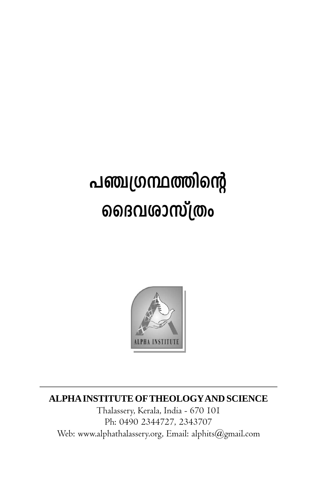## പഞ്ചഗ്രന്ഥത്തിന്റെ ൭ൈവശാസ്ത്രം



## ALPHA INSTITUTE OF THEOLOGY AND SCIENCE

Thalassery, Kerala, India - 670 101 Ph: 0490 2344727, 2343707 Web: www.alphathalassery.org, Email: alphits@gmail.com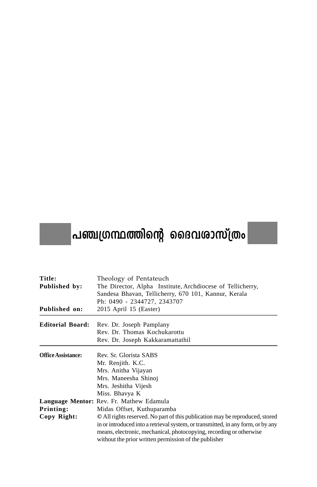## $\big|$ പഞ്ചഗ്രന്ഥത്തിന്റെ ദൈവശാസ്ത്രം $\big|$

| Title:                    | Theology of Pentateuch                                                           |
|---------------------------|----------------------------------------------------------------------------------|
| Published by:             | The Director, Alpha Institute, Archdiocese of Tellicherry,                       |
|                           | Sandesa Bhavan, Tellicherry, 670 101, Kannur, Kerala                             |
|                           | Ph: 0490 - 2344727, 2343707                                                      |
| Published on:             | 2015 April 15 (Easter)                                                           |
| <b>Editorial Board:</b>   | Rev. Dr. Joseph Pamplany                                                         |
|                           | Rev. Dr. Thomas Kochukarottu                                                     |
|                           | Rev. Dr. Joseph Kakkaramattathil                                                 |
| <b>Office Assistance:</b> | Rev. Sr. Glorista SABS                                                           |
|                           | Mr. Renjith. K.C.                                                                |
|                           | Mrs. Anitha Vijayan                                                              |
|                           | Mrs. Maneesha Shinoi                                                             |
|                           | Mrs. Jeshitha Vijesh                                                             |
|                           | Miss. Bhavya K                                                                   |
|                           | Language Mentor: Rev. Fr. Mathew Edamula                                         |
| Printing:                 | Midas Offset, Kuthuparamba                                                       |
| Copy Right:               | © All rights reserved. No part of this publication may be reproduced, stored     |
|                           | in or introduced into a retrieval system, or transmitted, in any form, or by any |
|                           | means, electronic, mechanical, photocopying, recording or otherwise              |
|                           | without the prior written permission of the publisher                            |
|                           |                                                                                  |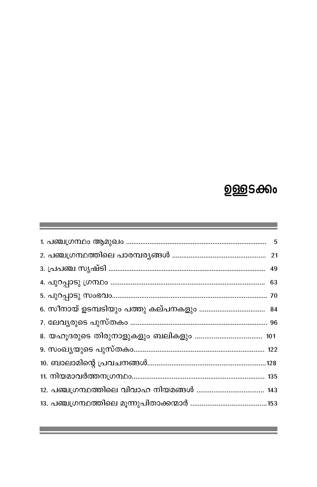## <u>ഉള്</u>ളടക്കം

ч.

п

 $\sim 100$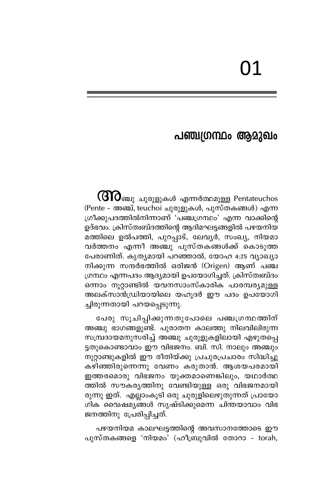## പഞ്ചഗ്രന്ഥം ആമുഖം

 $\operatorname{\mathsf{GIO}}$ ഞ്ചു ചുരുളുകൾ എന്നർത്ഥമുള്ള Pentateuchos (Pente - അഞ്ച്, teuchoi ചുരുളുകൾ, പുസ്തകങ്ങൾ) എന്ന ഗ്രീക്കുപദത്തിൽനിന്നാണ് 'പഞ്ചഗ്രന്ഥം' എന്ന വാക്കിന്റെ ഉദ്ഭവം. ക്രിസ്ത്വബ്ദത്തിന്റെ ആദിമഘട്ടങ്ങളിൽ പഴയനിയ മത്തിലെ ഉൽപത്തി, പുറപ്പാട്, ലേവൃർ, സംഖ്യ, നിയമാ വർത്തനം എന്നീ അഞ്ചു പുസ്തകങ്ങൾക്ക് കൊടുത്ത പേരാണിത്. കൃതൃമായി പറഞ്ഞാൽ, യോഹ 4:25 വ്യാഖ്യാ നിക്കുന്ന സന്ദർഭത്തിൽ ഒരിജൻ (Origen) ആണ് പഞ്ച ഗ്രന്ഥം എന്നപദം ആദ്യമായി ഉപയോഗിച്ചത്. ക്രിസ്ത്വബ്ദം ഒന്നാം നൂറ്റാണ്ടിൽ യവനസാംസ്കാരിക പാരമ്പര്യമുള്ള അലക്സാൻഡ്രിയായിലെ യഹൂദർ ഈ പദം ഉപയോഗി ച്ചിരുന്നതായി പറയപ്പെടുന്നു.

പേരു സൂചിപ്പിക്കുന്നതുപോലെ പഞ്ചഗ്രന്ഥത്തിന് അഞ്ചു ഭാഗങ്ങളുണ്ട്. പുരാതന കാലത്തു നിലവിലിരുന്ന സമ്പ്രദായമനുസരിച്ച് അഞ്ചു ചുരുളുകളിലായി എഴുതപ്പെ ട്ടതുകൊണ്ടാവാം ഈ വിഭജനം. ബി. സി. നാലും അഞ്ചും നൂറ്റാണ്ടുകളിൽ ഈ രീതിയ്ക്കു പ്രചുരപ്രചാരം സിദ്ധിച്ചു കഴിഞ്ഞിരുന്നെന്നു വേണം കരുതാൻ. ആശയപരമായി ഇത്തരമൊരു വിഭജനം യുക്തമാണെങ്കിലും, യഥാർത്ഥ —<br>ത്തിൽ സൗകര്യത്തിനു വേണ്ടിയുള്ള ഒരു വിഭജനമായി രുന്നു ഇത്. എല്ലാംകൂടി ഒരു ചുരുളിലെഴുതുന്നത് പ്രായോ ശിക വൈഷമ്യങ്ങൾ സൃഷ്ടിക്കുമെന്ന ചിന്തയാവാം വിഭ ജനത്തിനു പ്രേരിപ്പിച്ചത്.

പഴയനിയമ കാലഘട്ടത്തിന്റെ അവസാനത്തോടെ ഈ പുസ്തകങ്ങളെ 'നിയമം' (ഹീബ്രുവിൽ തോറാ - torah,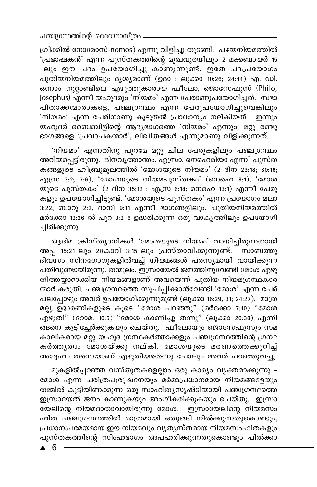ഗ്രീക്കിൽ നോമോസ്-nomos) എന്നു വിളിച്ചു തുടങ്ങി. പഴയനിയമത്തിൽ 'പ്രഭാഷകൻ' എന്ന പുസ്തകത്തിന്റെ മുഖവുരയിലും 2 മക്കബായർ 15 -ലും ഈ പദം ഉപയോഗിച്ചു കാണുന്നുണ്ട്. ഇതേ പദപ്രയോഗം പുതിയനിയമത്തിലും ദൃശ്യമാണ് (ഉദാ : ലൂക്കാ 10:26; 24:44) എ. ഡി. ഒന്നാം നൂറ്റാണ്ടിലെ എഴുത്തുകാരായ ഫീലോ, ജൊസേഫുസ് (Philo, Josephus) എന്നീ യഹുദരും 'നിയമം' എന്ന പേരാണുപയോഗിച്ചത്. സഭാ പിതാക്കന്മാരാകട്ടെ, പഞ്ചഗ്രന്ഥം എന്ന പേരുപയോഗിച്ചുവെങ്കിലും 'നിയമം' എന്ന പേരിനാണു കൂടുതൽ പ്രാധാന്യം നല്കിയത്. ഇന്നും യഹുദർ ബൈബിളിന്റെ ആദ്യഭാഗത്തെ 'നിയമം' എന്നും, മറ്റു രണ്ടു ഭാഗങ്ങളെ 'പ്രവാചകന്മാർ', ലിഖിതങ്ങൾ എന്നുമാണു വിളിക്കുന്നത്.

'നിയമം' എന്നതിനു പുറമേ മറ്റു ചില പേരുകളിലും പഞ്ചഗ്രന്ഥം അറിയപ്പെട്ടിരുന്നു. ദിനവൃത്താന്തം, എസ്രാ, നെഹെമിയാ എന്നീ പുസ്ത കങ്ങളുടെ ഹീബ്രുമൂലത്തിൽ 'മോശയുടെ നിയമം' (2 ദിന 23:18; 30:16; എസ്ര 3:2; 7:6), 'മോശയുടെ നിയമപുസ്തകം' (നെഹെ 8:1), 'മോശ യുടെ പുസ്തകം' (2 ദിന 35:12 : എസ്ര 6:18; നെഹെ 13:1) എന്നീ പേരു കളും ഉപയോഗിച്ചിട്ടുണ്ട്. 'മോശയുടെ പുസ്തകം' എന്ന പ്രയോഗം മലാ 3:22, ബാറൂ 2:2, ദാനി 9:11 എന്നീ ഭാഗങ്ങളിലും, പുതിയനിയമത്തിൽ മർക്കോ 12:26 ൽ പുറ 3:2-6 ഉദ്ധരിക്കുന്ന ഒരു വാകൃത്തിലും ഉപയോഗി ച്ചിരിക്കുന്നു.

ആദിമ ക്രിസ്ത്യാനികൾ 'മോശയുടെ നിയമം' വായിച്ചിരുന്നതായി അപ്പ 15:21-ലും 2കോറി 3:15-ലും പ്രസ്താവിക്കുന്നുണ്ട്. സാബത്തു ദിവസം സിനഗോഗുകളിൽവച്ച് നിയമങ്ങൾ പരസ്യമായി വായിക്കുന്ന പതിവുണ്ടായിരുന്നു. തന്മൂലം, ഇസ്രായേൽ ജനത്തിനുവേണ്ടി മോശ എഴു തിത്തയ്യാറാക്കിയ നിയമങ്ങളാണ് അവയെന്ന് പുതിയ നിയമഗ്രന്ഥകാര ന്മാർ കരുതി. പഞ്ചഗ്രന്ഥത്തെ സൂചിപ്പിക്കാൻവേണ്ടി 'മോശ' എന്ന പേര് പലപ്പോഴും അവർ ഉപയോഗിക്കുന്നുമുണ്ട് (ലൂക്കാ 16:29, 31; 24:27). മാത്ര മല്ല, ഉദ്ധരണികളുടെ കൂടെ "മോശ പറഞ്ഞു" (മർക്കോ 7:10) "മോശ എഴുതി" (റോമ. 10:5) "മോശ കാണിച്ചു തന്നു" (ലൂക്കാ 20:38) എന്നി ങ്ങനെ കൂട്ടിച്ചേർക്കുകയും ചെയ്തു. ഫീലോയും ജൊസേഫൂസും സമ കാലികരായ മറ്റു യഹൂദ ഗ്രന്ഥകർത്താക്കളും പഞ്ചഗ്രന്ഥത്തിന്റെ ഗ്രന്ഥ കർത്തൃത്വം മോശയ്ക്കു നല്കി. മോശയുടെ മരണത്തെക്കുറിച്ച് അദ്ദേഹം തന്നെയാണ് എഴുതിയതെന്നു പോലും അവർ പറഞ്ഞുവച്ചു.

മുകളിൽപ്പറഞ്ഞ വസ്തുതകളെല്ലാം ഒരു കാര്യം വ്യക്തമാക്കുന്നു – മോശ എന്ന ചരിത്രപുരുഷനേയും മർമ്മപ്രധാനമായ നിയമങ്ങളേയും തമ്മിൽ കൂട്ടിയിണക്കുന്ന ഒരു സാഹിത്യസൃഷ്ടിയായി പഞ്ചഗ്രന്ഥത്തെ ഇസ്രായേൽ ജനം കാണുകയും അംഗീകരിക്കുകയും ചെയ്തു. ഇസ്രാ യേലിന്റെ നിയമദാതാവായിരുന്നു മോശ. ഇസ്രായേലിന്റെ നിയമസം ഹിത പഞ്ചഗ്രന്ഥത്തിൽ മാത്രമായി ഒതുങ്ങി നിൽക്കുന്നതുകൊണ്ടും, പ്രധാനപ്രമേയമായ ഈ നിയമവും വൃതൃസ്തമായ നിയമസംഹിതകളും പുസ്തകത്തിന്റെ സിംഹഭാഗം അപഹരിക്കുന്നതുകൊണ്ടും പിൽക്കാ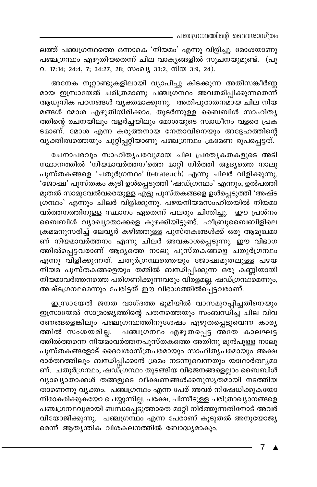ലത്ത് പഞ്ചഗ്രന്ഥത്തെ ഒന്നാകെ 'നിയമം' എന്നു വിളിച്ചു. മോശയാണു പഞ്ചഗ്രന്ഥം എഴുതിയതെന്ന് ചില വാകൃങ്ങളിൽ സൂചനയുമുണ്ട്. (പു 0. 17:14; 24:4, 7; 34:27, 28; സംഖ്യ 33:2, നിയ 3:9, 24).

അനേക നൂറ്റാണ്ടുകളിലായി വ്യാപിച്ചു കിടക്കുന്ന അതിസങ്കീർണ്ണ മായ ഇസ്രായേൽ ചരിത്രമാണു പഞ്ചഗ്രന്ഥം അവതരിപ്പിക്കുന്നതെന്ന് ആധുനിക പഠനങ്ങൾ വൃക്തമാക്കുന്നു. അതിപുരാതനമായ ചില നിയ മങ്ങൾ മോശ എഴുതിയിരിക്കാം. തുടർന്നുള്ള ബൈബിൾ സാഹിത്യ ത്തിന്റെ രചനയിലും വളർച്ചയിലും മോശയുടെ സ്വാധീനം വളരെ പ്രക ടമാണ്. മോശ എന്ന കരുത്തനായ നേതാവിനെയും അദ്ദേഹത്തിന്റെ വ്യക്തിത്വത്തെയും ചുറ്റിപ്പറ്റിയാണു പഞ്ചഗ്രന്ഥം ക്രമേണ രൂപപ്പെട്ടത്.

രചനാപരവും സാഹിതൃപരവുമായ ചില പ്രത്യേകതകളുടെ അടി സ്ഥാനത്തിൽ 'നിയമാവർത്തന'ത്തെ മാറ്റി നിർത്തി ആദ്യത്തെ നാലു പുസ്തകങ്ങളെ 'ചതുർഗ്രന്ഥം' (tetrateuch) എന്നു ചിലർ വിളിക്കുന്നു. 'ജോഷ്വ' പുസ്തകം കൂടി ഉൾപ്പെടുത്തി 'ഷഡ്ഗ്രന്ഥം' എന്നും, ഉൽപത്തി മുതൽ സാമുവേൽവരെയുള്ള എട്ടു പുസ്തകങ്ങളെ ഉൾപ്പെടുത്തി 'അഷ്ട ഗ്രന്ഥം' എന്നും ചിലർ വിളിക്കുന്നു. പഴയനിയമസംഹിതയിൽ നിയമാ വർത്തനത്തിനുള്ള സ്ഥാനം ഏതെന്ന് പലരും ചിന്തിച്ചു. ഈ പ്രശ്നം ബൈബിൾ വ്യാഖ്യാതാക്കളെ കുഴക്കിയിട്ടുണ്ട്. ഹീബ്രുബൈബിളിലെ ക്രമമനുസരിച്ച് ലേവൃർ കഴിഞ്ഞുള്ള പുസ്തകങ്ങൾക്ക് ഒരു ആമുഖമാ ണ് നിയമാവർത്തനം എന്നു ചിലർ അവകാശപ്പെടുന്നു. ഈ വിഭാഗ ത്തിൽപ്പെട്ടവരാണ് ആദ്യത്തെ നാലു പുസ്തകങ്ങളെ ചതുർഗ്രന്ഥം എന്നു വിളിക്കുന്നത്. ചതുർഗ്രന്ഥത്തെയും ജോഷ്വമുതലുള്ള പഴയ നിയമ പുസ്തകങ്ങളെയും തമ്മിൽ ബന്ധിപ്പിക്കുന്ന ഒരു കണ്ണിയായി നിയമാവർത്തനത്തെ പരിഗണിക്കുന്നവരും വിരളമല്ല. ഷഡ്ഗ്രന്ഥമെന്നും, അഷ്ടഗ്രന്ഥമെന്നും പേരിട്ടത് ഈ വിഭാഗത്തിൽപ്പെട്ടവരാണ്.

ഇസ്രായേൽ ജനത വാഗ്ദത്ത ഭൂമിയിൽ വാസമുറപ്പിച്ചതിനെയും ഇസ്രായേൽ സാമ്രാജ്യത്തിന്റെ പതനത്തെയും സംബന്ധിച്ച ചില വിവ രണങ്ങളെങ്കിലും പഞ്ചഗ്രന്ഥത്തിനുശേഷം എഴുതപ്പെട്ടുവെന്ന കാര്യ പഞ്ചഗ്രന്ഥം എഴുതപ്പെട്ട അതേ കാലഘട്ട ത്തിൽ സംശയമില്ല. ത്തിൽത്തന്നെ നിയമാവർത്തനപുസ്തകത്തെ അതിനു മുൻപുള്ള നാലു പുസ്തകങ്ങളോട് ദൈവശാസ്ത്രപരമായും സാഹിതൃപരമായും അക്ഷ രാർത്ഥത്തിലും ബന്ധിപ്പിക്കാൻ ശ്രമം നടന്നുവെന്നതും യാഥാർത്ഥ്യമാ ണ്. ചതുർഗ്രന്ഥം, ഷഡ്ഗ്രന്ഥം തുടങ്ങിയ വിഭജനങ്ങളെല്ലാം ബൈബിൾ വ്യാഖ്യാതാക്കൾ തങ്ങളുടെ വീക്ഷണങ്ങൾക്കനുസൃതമായി നടത്തിയ താണെന്നു വൃക്തം. പഞ്ചഗ്രന്ഥം എന്ന പേര് അവർ നിഷേധിക്കുകയോ നിരാകരിക്കുകയോ ചെയ്യുന്നില്ല. പക്ഷേ, പിന്നീടുള്ള ചരിത്രാഖ്യാനങ്ങളെ പഞ്ചഗ്രന്ഥവുമായി ബന്ധപ്പെടുത്താതെ മാറ്റി നിർത്തുന്നതിനോട് അവർ വിയോജിക്കുന്നു. പഞ്ചഗ്രന്ഥം എന്ന പേരാണ് കൂടുതൽ അനുയോജ്യ മെന്ന് ആതൃന്തിക വിശകലനത്തിൽ ബോദ്ധ്യമാകും.

 $\overline{7}$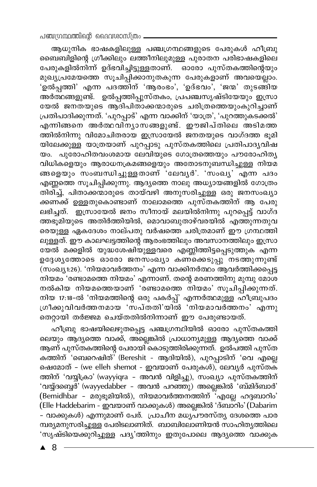ആധുനിക ഭാഷകളിലുള്ള പഞ്ചഗ്രന്ഥങ്ങളുടെ പേരുകൾ ഹീബ്രു ബൈബിളിന്റെ ഗ്രീക്കിലും ലത്തീനിലുമുള്ള പുരാതന പരിഭാഷകളിലെ പേരുകളിൽനിന്ന് ഉദ്ഭവിച്ചിട്ടുള്ളതാണ്. ഓരോ പുസ്തകത്തിന്റെയും മുഖൃപ്രമേയത്തെ സൂചിപ്പിക്കാനുതകുന്ന പേരുകളാണ് അവയെല്ലാം. 'ഉ്ൽപ്പത്തി' എന്ന പദത്തിന് 'ആരംഭം', 'ഉദ്ഭവം', 'ജന്മ' തുടങ്ങിയ അർത്ഥങ്ങളുണ്ട്. ഉൽപ്പത്തിപ്പുസ്തകം, പ്രപഞ്ചസൃഷ്ടിയേയും ഇസ്രാ യേൽ ജനതയുടെ ആദിപിതാക്കന്മാരുടെ ചരിത്രത്തെയുംകുറിച്ചാണ് പ്രതിപാദിക്കുന്നത്. 'പുറപ്പാട്' എന്ന വാക്കിന് 'യാത്ര', 'പുറത്തുകടക്കൽ' എന്നിങ്ങനെ അർത്ഥവിന്യാസങ്ങളുണ്ട്. ഈജിപ്തിലെ അടിമത്ത ം.<br>ത്തിൽനിന്നു വിമോചിതരായ ഇസ്രായേൽ ജനതയുടെ വാഗ്ദത്ത ഭൂമി .<br>യിലേക്കുള്ള യാത്രയാണ് പുറപ്പാടു പുസ്തകത്തിലെ പ്രതിപാദൃവിഷ യം. പുരോഹിതവംശമായ ലേവിയുടെ ഗോത്രത്തെയും പൗരോഹിതൃ .<br>വിധികളെയും ആരാധനക്രമങ്ങളെയും അതോടനുബന്ധിച്ചുള്ള നിയമ .<br>ങ്ങളെയും സംബന്ധിച്ചുള്ളതാണ് 'ലേവൃർ'. 'സംഖൃ' എന്ന പദം എണ്ണത്തെ സൂചിപ്പിക്കുന്നു. ആദ്യത്തെ നാലു അധ്യായങ്ങളിൽ ഗോത്രം തിരിച്ച്, പിതാക്കന്മാരുടെ തായ്വഴി അനുസരിച്ചുള്ള ഒരു ജനസംഖ്യാ .<br>ക്കണക്ക് ഉള്ളതുകൊണ്ടാണ് നാലാമത്തെ പുസ്തകത്തിന് ആ പേരു ത്തഭൂമിയുടെ അതിർത്തിയിൽ, മൊവാബുതാഴ്വരയിൽ എത്തുന്നതുവ <u>രെയുള്ള ഏകദേശം നാല്പതു വർഷത്തെ ചരിത്രമാണ് ഈ ഗ്രന്ഥത്തി</u> .<br>ലുള്ളത്. ഈ കാലഘട്ടത്തിന്റെ ആരംഭത്തിലും അവസാനത്തിലും ഇസ്രാ ഭയൽ മക്കളിൽ യുദ്ധശേഷിയുള്ളവരെ എണ്ണിത്തിട്ടപ്പെടുത്തുക എന്ന ഉദ്ദേശൃത്തോടെ ഓരോ ജനസംഖ്യാ കണ്കെടുപ്പ് നടത്തുന്നുണ്ട് \_ \_ ,<br>(സംഖ്യ.1:26). 'നിയമാവർത്തനം' എന്ന വാക്കിനർത്ഥം ആവർത്തിക്കപ്പെട്ട .<br>നിയമം 'രണ്ടാമത്തെ നിയമം' എന്നാണ്. തന്റെ മരണത്തിനു മുമ്പു മോശ നൽകിയ നിയമത്തെയാണ് 'രണ്ടാമത്തെ നിയമം' സുചിപ്പിക്കുന്നത്. നിയ 17:18-ൽ 'നിയമത്തിന്റെ ഒരു പകർപ്പ്' എന്നർത്ഥമുള്ള ഹീബ്രുപദം .<br>ശീക്കുവിവർത്തനമായ 'സപ്തതി'യിൽ 'നിയമാവർത്തനം' എന്നു .<br>തെറായി തർജ്ജമ ചെയ്തതിൽനിന്നാണ് ഈ പേരുണ്ടായത്.

ഹീബ്രു ഭാഷയിലെഴുതപ്പെട്ട പഞ്ചഗ്രന്ഥിയിൽ ഓരോ പുസ്തകത്തി ലെയും ആദ്യത്തെ വാക്ക്, അല്ലെങ്കിൽ പ്രാധാന്യമുള്ള ആദ്യത്തെ വാക്ക് ആണ് പുസ്തകത്തിന്റെ പേരായി കൊടുത്തിരിക്കുന്നത്. ഉൽപത്തി പുസ്ത കത്തിന് 'ബെറെഷിത്<sup>'</sup> (Bereshit - ആദിയിൽ), പുറപ്പാടിന് 'വെ എല്ലെ ഷെമോത് - (we elleh shemot - ഇവയാണ് പേരുകൾ), ലേവൃർ പുസ്തക് ത്തിന് 'വയ്യിക്രാ' (wayyiqra - അവൻ വിളിച്ചു), സംഖ്യാ പുസ്തകത്തിന് 'വയ്പ്പന്റൈര്' (wayyedabber - അവൻ പറഞ്ഞു) അല്ലെങ്കിൽ 'ബ്മിദ്ബാർ' (Bemidhbar - മരുഭൂമിയിൽ), നിയമാവർത്തനത്തിന് ''എല്ലേ ഹദ്ദബാറിം' (Elle Haddebarim - ഇവയാണ് വാക്കുകൾ) അല്ലെങ്കിൽ 'ദ്ബാറിം' (Dabarim .<br>- വാക്കുകൾ) എന്നുമാണ് പേര്. പ്രാചീന മധ്യപൗരസ്ത്യ ദേശത്തെ പാര മ്പര്യമനുസരിച്ചുള്ള പേരിടലാണിത്. ബാബിലോണിയൻ സാഹിത്യത്തിലെ 'സൃഷ്ടിയെക്കുറിച്ചുള്ള പദ്യ'ത്തിനും ഇതുപോലെ ആദ്യത്തെ വാക്കുക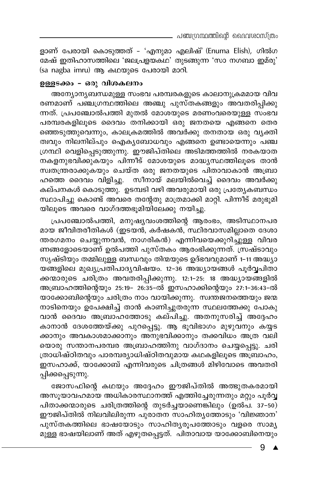ളാണ് പേരായി കൊടുത്തത് - 'എനുമാ എലിഷ്' (Enuma Elish), ഗിൽഗ മേഷ് ഇതിഹാസത്തിലെ 'ജലപ്രളയകഥ' തുടങ്ങുന്ന 'സാ നഗബാ ഇമ്രു' (sa nagba imru) ആ കഥയുടെ പേരായി മാറി.

### ഉള്ളടക്കം - ഒരു വിശകലനം

അന്യോന്യബന്ധമുള്ള സംഭവ പരമ്പരകളുടെ കാലാനുക്രമമായ വിവ രണമാണ് പഞ്ചഗ്രന്ഥത്തിലെ അഞ്ചു പുസ്തകങ്ങളും അവതരിപ്പിക്കു ന്നത്. പ്രപഞ്ചോൽപത്തി മുതൽ മോശയുടെ മരണംവരെയുള്ള സംഭവ പരമ്പരകളിലൂടെ ദൈവം തനിക്കായി ഒരു ജനതയെ എങ്ങനെ തെര ഞ്ഞെടുത്തുവെന്നും, കാലക്രമത്തിൽ അവർക്കു തനതായ ഒരു വൃക്തി ത്വവും നിലനില്പും ഐക്യബോധവും എങ്ങനെ ഉണ്ടായെന്നും പഞ്ച ഗ്രന്ഥി വെളിപ്പെടുത്തുന്നു. ഈജിപ്തിലെ അടിമത്തത്തിൽ നരകയാത നകളനുഭവിക്കുകയും പിന്നീട് മോശയുടെ മാദ്ധ്യസ്ഥത്തിലൂടെ താൻ സ്ഥതന്ത്രരാക്കുകയും ചെയ്ത ഒരു ജനതയുടെ പിതാവാകാൻ അബ്രാ ഹത്തെ ദൈവം വിളിച്ചു. സീനായ് മലയിൽവെച്ച് ദൈവം അവർക്കു കല്പനകൾ കൊടുത്തു. ഉടമ്പടി വഴി അവരുമായി ഒരു പ്രത്യേകബന്ധം സ്ഥാപിച്ചു കൊണ്ട് അവരെ തന്റേതു മാത്രമാക്കി മാറ്റി. പിന്നീട് മരുഭൂമി യിലൂടെ അവരെ വാഗ്ദത്തഭൂമിയിലേക്കു നയിച്ചു.

പ്രപഞ്ചോൽപത്തി, മനുഷ്യവംശത്തിന്റെ ആരംഭം, അടിസ്ഥാനപര മായ ജീവിതരീതികൾ (ഇടയൻ, കർഷകൻ, സ്ഥിരവാസമില്ലാതെ ദേശാ ന്തരഗമനം ചെയ്യുന്നവൻ, നാഗരികൻ) എന്നിവയെക്കുറിച്ചുള്ള വിവര ണങ്ങളോടെയാണ് ഉൽപത്തി പുസ്തകം ആരംഭിക്കുന്നത്. സ്രഷ്ടാവും സൃഷ്ടിയും തമ്മിലുള്ള ബന്ധവും തിന്മയുടെ ഉദ്ഭവവുമാണ് 1-11 അദ്ധ്യാ യങ്ങളിലെ മുഖ്യപ്രതിപാദ്യവിഷയം. 12-36 അദ്ധ്യായങ്ങൾ പൂർവ്വപിതാ ക്കന്മാരുടെ ചരിത്രം അവതരിപ്പിക്കുന്നു. 12:1-25: 18 അദ്ധ്യായങ്ങളിൽ അബ്രാഹത്തിന്റെയും 25:19- 26:35-ൽ ഇസഹാക്കിന്റെയും 27:1-36:43-ൽ യാക്കോബിന്റെയും ചരിത്രം നാം വായിക്കുന്നു. സ്വന്തജനത്തെയും ജന്മ നാടിനെയും ഉപേക്ഷിച്ച് താൻ കാണിച്ചുതരുന്ന സ്ഥലത്തേക്കു പോകു വാൻ ദൈവം അബ്രാഹത്തോടു കല്പിച്ചു. അതനുസരിച്ച് അദ്ദേഹം കാനാൻ ദേശത്തേയ്ക്കു പുറപ്പെട്ടു. ആ ഭൂവിഭാഗം മുഴുവനും കയ്യട ക്കാനും അവകാശമാക്കാനും അനുഭവിക്കാനും തക്കവിധം അത്ര വലി യൊരു സന്താനപരമ്പര അബ്രാഹത്തിനു വാഗ്ദാനം ചെയ്യപ്പെട്ടു. ചരി ത്രാധിഷ്ഠിതവും പാരമ്പര്യാധിഷ്ഠിതവുമായ കഥകളിലൂടെ അബ്രാഹം, ഇസഹാക്ക്, യാക്കോബ് എന്നിവരുടെ ചിത്രങ്ങൾ മിഴിവോടെ അവതരി പ്പിക്കപ്പെടുന്നു.

ജോസഫിന്റെ കഥയും അദ്ദേഹം ഈജിപ്തിൽ അത്ഭുതകരമായി അസൂയാവഹമായ അധികാരസ്ഥാനത്ത് എത്തിച്ചേരുന്നതും മറ്റും പൂർവ്വ പിതാക്കന്മാരുടെ ചരിത്രത്തിന്റെ തുടർച്ചയാണെങ്കിലും (ഉൽപ. 37-50) ഈജിപ്തിൽ നിലവിലിരുന്ന പുരാതന സാഹിതൃത്തോടും 'വിജ്ഞാന' പുസ്തകത്തിലെ ഭാഷയോടും സാഹിതൃരൂപത്തോടും വളരെ സാമൃ .<br>മുള്ള ഭാഷയിലാണ് അത് എഴുതപ്പെട്ടത്. പിതാവായ യാക്കോബിനെയും

> 9 ▲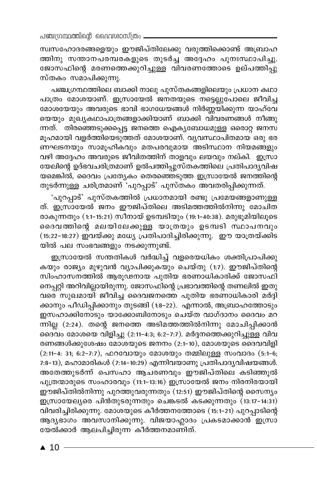സ്വസഹോദരങ്ങളെയും ഈജിപ്തിലേക്കു വരുത്തിക്കൊണ്ട് അബ്രാഹ ത്തിനു സന്താനപരമ്പരകളുടെ തുടർച്ച അദ്ദേഹം പുനഃസ്ഥാപിച്ചു. ജോസഫിന്റെ മരണത്തെക്കുറിച്ചുള്ള വിവരണത്തോടെ ഉല്പത്തിപ്പു സ്തകം സമാപിക്കുന്നു.

പഞ്ചഗ്രന്ഥത്തിലെ ബാക്കി നാലു പുസ്തകങ്ങളിലെയും പ്രധാന കഥാ പാത്രം മോശയാണ്. ഇസ്രായേൽ ജനതയുടെ നട്ടെല്ലുപോലെ ജീവിച്ച മോശയേയും അവരുടെ ഭാവി ഭാഗധേയങ്ങൾ നിർണ്ണയിക്കുന്ന യാഹ്വേ യെയും മുഖ്യകഥാപാത്രങ്ങളാക്കിയാണ് ബാക്കി വിവരണങ്ങൾ നീങ്ങു ന്നത്. തിരഞ്ഞെടുക്കപ്പെട്ട ജനത്തെ ഐക്യബോധമുള്ള ഒരൊറ്റ ജനസ മൂഹമായി വളർത്തിയെടുത്തത് മോശയാണ്. വ്യവസ്ഥാപിതമായ ഒരു ഭര ണഘടനയും സാമൂഹികവും മതപരവുമായ അടിസ്ഥാന നിയമങ്ങളും വഴി അദ്ദേഹം അവരുടെ ജീവിതത്തിന് താളവും ലയവും നല്കി. ഇസ്രാ യേലിന്റെ ഉദ്ഭവചരിത്രമാണ് ഉൽപത്തിപ്പുസ്തകത്തിലെ പ്രതിപാദ്യവിഷ യമെങ്കിൽ, ദൈവം പ്രത്യേകം തെരഞ്ഞെടുത്ത ഇസ്രായേൽ ജനത്തിന്റെ തുടർന്നുള്ള ചരിത്രമാണ് 'പുറപ്പാട്' പുസ്തകം അവതരിപ്പിക്കുന്നത്.

'പുറപ്പാട്' പുസ്തകത്തിൽ പ്രധാനമായി രണ്ടു പ്രമേയങ്ങളാണുള്ള ത്. ഇസ്രായേൽ ജനം ഈജിപ്തിലെ അടിമത്തത്തിൽനിന്നു മോചിത രാകുന്നതും (1:1-15:21) സീനായ് ഉടമ്പടിയും (19:1-40:38). മരുഭൂമിയിലൂടെ ദൈവത്തിന്റെ മലയിലേക്കുള്ള യാത്രയും ഉടമ്പടി സ്ഥാപനവും (15:22–18:27) ഇവയ്ക്കു മധ്യേ പ്രതിപാദിച്ചിരിക്കുന്നു. ഈ യാത്രയ്ക്കിട യിൽ പല സംഭവങ്ങളും നടക്കുന്നുണ്ട്.

ഇസ്രായേൽ സന്തതികൾ വർദ്ധിച്ച് വളരെയധികം ശക്തിപ്രാപിക്കു കയും രാജ്യം മുഴുവൻ വ്യാപിക്കുകയും ചെയ്തു (1:7). ഈജിപ്തിന്റെ സിംഹാസനത്തിൽ ആരൂഢനായ പുതിയ ഭരണാധികാരിക്ക് ജോസഫി നെപ്പറ്റി അറിവില്ലായിരുന്നു. ജോസഫിന്റെ പ്രഭാവത്തിന്റെ തണലിൽ ഇതു വരെ സുഖമായി ജീവിച്ച ദൈവജനത്തെ പുതിയ ഭരണാധികാരി മർദ്ദി ക്കാനും പീഡിപ്പിക്കാനും തുടങ്ങി (1:8–22). എന്നാൽ, അബ്രാഹത്തോടും ഇസഹാക്കിനോടും യാക്കോബിനോടും ചെയ്ത വാഗ്ദാനം ദൈവം മറ ന്നില്ല (2:24). തന്റെ ജനത്തെ അടിമത്തത്തിൽനിന്നു മോചിപ്പിക്കാൻ മൈവം മോശയെ വിളിച്ചു (2:11-4:3; 6:2-7:7). മർദ്ദനത്തെക്കുറിച്ചുള്ള വിവ രണങ്ങൾക്കുശേഷം മോശയുടെ ജനനം (2:1-10), മോശയുടെ ദൈവവിളി (2:11-4: 31; 6:2-7:7), ഫറവോയും മോശയും തമ്മിലുള്ള സംവാദം (5:1-6; 7:8-13), മഹാമാരികൾ (7:14-10:29) എന്നിവയാണു പ്രതിപാദൃവിഷയങ്ങൾ. അതേത്തുടർന്ന് പെസഹാ ആചരണവും ഈജിപ്തിലെ കടിഞ്ഞൂൽ പുത്രന്മാരുടെ സംഹാരവും (11:1-13:16) ഇസ്രായേൽ ജനം നിരനിരയായി ഈജിപ്തിൽനിന്നു പുറത്തുവരുന്നതും (12:51) ഈജിപ്തിന്റെ സൈന്യം ഇസ്രായേല്യരെ പിൻതുടരുന്നതും ചെങ്കടൽ കടക്കുന്നതും (13:17-14:31) വിവരിച്ചിരിക്കുന്നു. മോശയുടെ കീർത്തനത്തോടെ (15:1–21) പുറപ്പാടിന്റെ ആദ്യഭാഗം അവസാനിക്കുന്നു. വിജയാഹ്ലാദം പ്രകടമാക്കാൻ ഇസ്രാ യേൽക്കാർ ആലപിച്ചിരുന്ന കീർത്തനമാണിത്.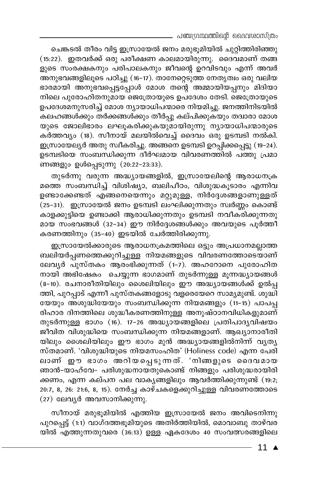\_ പഞ്ചഗ്രന്ഥത്തിന്റെ ദൈവശാസ്ത്രം

ചെങ്കടൽ തീരം വിട്ട ഇസ്രായേൽ ജനം മരുഭൂമിയിൽ ചുറ്റിത്തിരിഞ്ഞു (15:22). ഇതവർക്ക് ഒരു പരീക്ഷണ കാലമായിരുന്നു. ദൈവമാണ് തങ്ങ ളുടെ സംരക്ഷകനും പരിപാലകനും ജീവന്റെ ഉറവിടവും എന്ന് അവർ —<br>അനുഭവങ്ങളിലൂടെ പഠിച്ചു (16–17). താനേറ്റെടുത്ത നേതൃത്വം ഒരു വലിയ ഭാരമായി അനുഭവപ്പെട്ടപ്പോൾ മോശ തന്റെ അമ്മായിയപ്പനും മിദിയാ നിലെ പുരോഹിതനുമായ ജെത്രോയുടെ ഉപദേശം തേടി. ജെത്രോയുടെ ഉപദേശമനുസരിച്ച് മോശ ന്യായാധിപന്മാരെ നിയമിച്ചു. ജനത്തിനിടയിൽ കലഹങ്ങൾക്കും തർക്കങ്ങൾക്കും തീർപ്പു കല്പിക്കുകയും തദ്വാരാ മോശ യുടെ ജോലിഭാരം ലഘൂകരിക്കുകയുമായിരുന്നു ന്യായാധിപന്മാരുടെ കർത്തവൃം (18). സീനായ് മലയിൽവെച്ച് ദൈവം ഒരു ഉടമ്പടി നൽകി. ഇസ്രായേല്യർ അതു സ്വീകരിച്ചു. അങ്ങനെ ഉടമ്പടി ഉറപ്പിക്കപ്പെട്ടു (19–24). ഉടമ്പടിയെ സംബന്ധിക്കുന്ന ദീർഘമായ വിവരണത്തിൽ പത്തു പ്രമാ ണങ്ങളും ഉൾപ്പെടുന്നു (20:22-23:33).

തുടർന്നു വരുന്ന അദ്ധ്യായങ്ങളിൽ, ഇസ്രായേലിന്റെ ആരാധനക്ര മത്തെ സംബന്ധിച്ച് വിശിഷ്യാ, ബലിപീഠം, വിശുദ്ധകൂടാരം എന്നിവ ഉണ്ടാക്കേണ്ടത് എങ്ങനെയെന്നും മറ്റുമുള്ള, നിർദ്ദേശങ്ങളാണുള്ളത് .<br>(25-31). ഇസ്രായേൽ ജനം ഉടമ്പടി ലംഘിക്കുന്നതും സ്വർണ്ണം കൊണ്ട് കാളക്കുട്ടിയെ ഉണ്ടാക്കി ആരാധിക്കുന്നതും ഉടമ്പടി നവീക്തിക്കുന്നതു മായ സംഭവങ്ങൾ (32-34) ഈ നിർദ്ദേശങ്ങൾക്കും അവയുടെ പൂർത്തി കരണത്തിനും (35-40) ഇടയിൽ ചേർത്തിരിക്കുന്നു.

ഇസ്രായേൽക്കാരുടെ ആരാധനക്രമത്തിലെ ഒട്ടും അപ്രധാനമല്ലാത്ത ബലിയർപ്പണത്തെക്കുറിച്ചുള്ള നിയമങ്ങളുടെ വിവരണത്തോടെയാണ് ലേവൃർ പുസ്തകം ആരംഭിക്കുന്നത് (1-7). അഹറോനെ പുരോഹിത നായി അഭിഷേകം ചെയ്യുന്ന ഭാഗമാണ് തുടർന്നുള്ള മൂന്നദ്ധ്യായങ്ങൾ (8-10). രചനാരീതിയിലും ശൈലിയിലും ഈ അദ്ധ്യായങ്ങൾക്ക് ഉൽപ്പ ത്തി, പുറപ്പാട് എന്നീ പുസ്തകങ്ങളോടു വളരെയേറെ സാമൃമുണ്ട്. ശുദ്ധി യേയും അശുദ്ധിയേയും സംബന്ധിക്കുന്ന നിയമങ്ങളും (11-15) പാപപ്പ രിഹാര ദിനത്തിലെ ശുദ്ധീകരണത്തിനുള്ള അനുഷ്ഠാനവിധികളുമാണ് തുടർന്നുള്ള ഭാഗം (16). 17-26 അദ്ധ്യായങ്ങളിലെ പ്രതിപാദൃവിഷയം ജീവിത വിശുദ്ധിയെ സംബന്ധിക്കുന്ന നിയമങ്ങളാണ്. ആഖ്യാനാരീതി യിലും ശൈലിയിലും ഈ ഭാഗം മുൻ അദ്ധ്യായങ്ങളിൽനിന്ന് വൃത്യ സ്തമാണ്. 'വിശുദ്ധിയുടെ നിയമസംഹിത' (Holiness code) എന്ന പേരി ലാണ് ഈ ഭാഗം അറിയപ്പെടുന്നത്. 'നിങ്ങളുടെ ദൈവമായ ഞാൻ-യാഹ്വേ- പരിശുദ്ധനായതുകൊണ്ട് നിങ്ങളും പരിശുദ്ധരായിരി ക്കണം, എന്ന കല്പന പല വാകൃങ്ങളിലും ആവർത്തിക്കുന്നുണ്ട് (19:2; 20:7, 8, 26: 21:6, 8, 15). നേർച്ച കാഴ്ചകളെക്കുറിച്ചുള്ള വിവരണത്തോടെ  $(27)$  ലേവൃർ അവസാനിക്കുന്നു.

സീനായ് മരുഭൂമിയിൽ എത്തിയ ഇസ്രായേൽ ജനം അവിടെനിന്നു പുറപ്പെട്ട് (1:1) വാഗ്ദത്തഭൂമിയുടെ അതിർത്തിയിൽ, മൊവാബു താഴ്വര യിൽ എത്തുന്നതുവരെ (36:13) ഉള്ള ഏകദേശം 40 സംവത്സരങ്ങളിലെ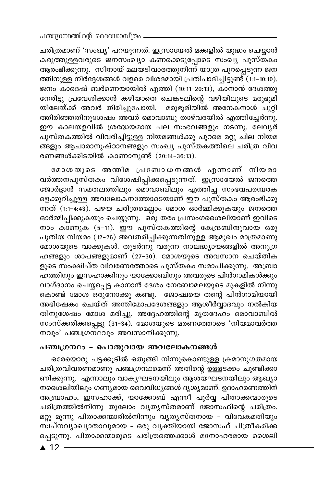ചരിത്രമാണ് 'സംഖ്യ' പറയുന്നത്. ഇസ്രായേൽ മക്കളിൽ യുദ്ധം ചെയ്യാൻ കരുത്തുള്ളവരുടെ ജനസംഖ്യാ കണക്കെടുപ്പോടെ സംഖ്യ പുസ്തകം ആരംഭിക്കുന്നു. സീനായ് മലയടിവാരത്തുനിന്ന് യാത്ര പുറപ്പെടുന്ന ജന ത്തിനുള്ള നിർദ്ദേശങ്ങൾ വളരെ വിശദമായി പ്രതിപാദിച്ചിട്ടുണ്ട് (1:1-10:10). ജനം കാദെഷ് ബർണെയായിൽ എത്തി (10:11-20:13), കാനാൻ ദേശത്തു നേരിട്ടു പ്രവേശിക്കാൻ കഴിയാതെ ചെങ്കടലിന്റെ വഴിയിലൂടെ മരുഭൂമി യിലേയ്ക്ക് അവർ തിരിച്ചുപോയി. മരുഭൂമിയിൽ അനേകനാൾ ചുറ്റി ത്തിരിഞ്ഞതിനുശേഷം അവർ മൊവാബു താഴ്വരയിൽ എത്തിച്ചേർന്നു. ഈ കാലയളവിൽ ശ്രദ്ധേയമായ പല സംഭവങ്ങളും നടന്നു. ലേവൃർ പുസ്തകത്തിൽ വിവരിച്ചിട്ടുള്ള നിയമങ്ങൾക്കു പുറമെ മറ്റു ചില നിയമ ങ്ങളും ആചാരാനുഷ്ഠാനങ്ങളും സംഖ്യ പുസ്തകത്തിലെ ചരിത്ര വിവ രണങ്ങൾക്കിടയിൽ കാണാനുണ്ട് (20:14-36:13).

മോശയുടെ അന്തിമ പ്രബോധനങ്ങൾ എന്നാണ് നിയമാ വർത്തനപുസ്തകം വിശേഷിപ്പിക്കപ്പെടുന്നത്. ഇസ്രായേൽ ജനത്തെ ജോർദ്ദാൻ സമതലത്തിലും മൊവാബിലും എത്തിച്ച സംഭവപരമ്പരക ളെക്കുറിച്ചുള്ള അവലോകനത്തോടെയാണ് ഈ പുസ്തകം ആരംഭിക്കു ന്നത് (1:1-4:43). പഴയ ചരിത്രമെല്ലാം മോശ ഓർമ്മിക്കുകയും ജനത്തെ ഓർമ്മിപ്പിക്കുകയും ചെയ്യുന്നു. ഒരു തരം പ്രസംഗശൈലിയാണ് ഇവിടെ നാം കാണുക (5-11). ഈ പുസ്തകത്തിന്റെ കേന്ദ്രബിന്ദുവായ ഒരു പുതിയ നിയമം (12–26) അവതരിപ്പിക്കുന്നതിനുള്ള ആമുഖം മാത്രമാണു മോശയുടെ വാക്കുകൾ. തുടർന്നു വരുന്ന നാലദ്ധ്യായങ്ങളിൽ അനുഗ്ര ഹങ്ങളും ശാപങ്ങളുമാണ് (27-30). മോശയുടെ അവസാന ചെയ്തിക ളുടെ സംക്ഷിപ്ത വിവരണത്തോടെ പുസ്തകം സമാപിക്കുന്നു. അബ്രാ ഹത്തിനും ഇസഹാക്കിനും യാക്കോബിനും അവരുടെ പിൻഗാമികൾക്കും വാഗ്ദാനം ചെയ്യപ്പെട്ട കാനാൻ ദേശം നേബോമലയുടെ മുകളിൽ നിന്നു കൊണ്ട് മോശ ഒരുനോക്കു കണ്ടു. ജോഷ്വയെ തന്റെ പിൻഗാമിയായി അഭിഷേകം ചെയ്ത് അന്തിമോപദേശങ്ങളും ആശീർവ്വാദവും നൽകിയ തിനുശേഷം മോശ മരിച്ചു. അദ്ദേഹത്തിന്റെ മൃതദേഹം മൊവാബിൽ സംസ്ക്കരിക്കപ്പെട്ടു (31-34). മോശയുടെ മരണത്തോടെ 'നിയമാവർത്ത നവും' പഞ്ചഗ്രന്ഥവും അവസാനിക്കുന്നു.

#### പഞ്ചഗ്രന്ഥം - പൊതുവായ അവലോകനങ്ങൾ

ഒരേയൊരു ചട്ടക്കൂടിൽ ഒതുങ്ങി നിന്നുകൊണ്ടുള്ള ക്രമാനുഗതമായ ചരിത്രവിവരണമാണു പഞ്ചഗ്രന്ഥമെന്ന് അതിന്റെ ഉള്ളടക്കം ചുണ്ടിക്കാ ണിക്കുന്നു. എന്നാലും വാകൃഘടനയിലും ആശയഘടനയിലും ആഖ്യാ നശൈലിയിലും ഗണ്യമായ വൈവിധ്യങ്ങൾ ദൃശ്യമാണ്. ഉദാഹരണത്തിന് അബ്രാഹം, ഇസഹാക്ക്, യാക്കോബ് എന്നീ പൂർവ്വ പിതാക്കന്മാരുടെ ചരിത്രത്തിൽനിന്നു തുലോം വൃതൃസ്തമാണ് ജോസഫിന്റെ ചരിത്രം. മറ്റു മൂന്നു പിതാക്കന്മാരിൽനിന്നും വ്യത്യസ്തനായ – വിവേകമതിയും സ്പ്നവുാഖ്യാതാവുമായ - ഒരു വൃക്തിയായി ജോസഫ് ചിത്രീകരിക്ക പ്പെടുന്നു. പിതാക്കന്മാരുടെ ചരിത്രത്തെക്കാൾ മനോഹരമായ ശൈലി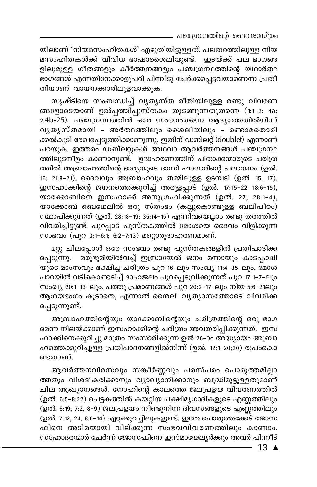യിലാണ് 'നിയമസംഹിതകൾ' എഴുതിയിട്ടുള്ളത്. പലതരത്തിലുള്ള നിയ മസംഹിതകൾക്ക് വിവിധ ഭാഷാശൈലിയുണ്ട്. ഇടയ്ക്ക് പല ഭാഗങ്ങ ളിലുമുള്ള ഗീതങ്ങളും കീർത്തനങ്ങളും പഞ്ചഗ്രന്ഥത്തിന്റെ യഥാർത്ഥ ഭാഗങ്ങൾ എന്നതിനേക്കാളുപരി പിന്നീടു ചേർക്കപ്പെട്ടവയാണെന്ന പ്രതീ തിയാണ് വായനക്കാരിലുളവാക്കുക.

സൃഷ്ടിയെ സംബന്ധിച്ച് വ്യത്യസ്ത രീതിയിലുള്ള രണ്ടു വിവരണ ങ്ങളോടെയാണ് ഉൽപ്പത്തിപ്പുസ്തകം തുടങ്ങുന്നതുതന്നെ (1:1-2: 4a; 2:4b-25). പഞ്ചഗ്രന്ഥത്തിൽ ഒരേ സംഭവംതന്നെ ആദൃത്തേതിൽനിന്ന് വൃതൃസ്തമായി - അർത്ഥത്തിലും ശൈലിയിലും - രണ്ടാമതൊരി ക്കൽകൂടി രേഖപ്പെടുത്തിക്കാണുന്നു. ഇതിന് ഡബ്ലറ്റ് (doublet) എന്നാണ് പറയുക. ഇത്തരം ഡബ്ലറ്റുകൾ അഥവാ ആവർത്തനങ്ങൾ പഞ്ചഗ്രന്ഥ ത്തിലുടനീളം കാണാനുണ്ട്. ഉദാഹരണത്തിന് പിതാക്കന്മാരുടെ ചരിത്ര ത്തിൽ അബ്രാഹത്തിന്റെ ഭാര്യയുടെ ദാസി ഹാഗാറിന്റെ പലായനം (ഉൽ. 16; 21:8-21), ദൈവവും അബ്രാഹവും തമ്മിലുള്ള ഉടമ്പടി (ഉൽ. 15; 17), ഇസഹാക്കിന്റെ ജനനത്തെക്കുറിച്ച് അരുളപ്പാട് (ഉൽ. 17:15-22 18:6-15), യാക്കോബിനെ ഇസഹാക്ക് അനുഗ്രഹിക്കുന്നത് (ഉൽ. 27, 28:1-4), യാക്കോബ് ബെഥേലിൽ ഒരു സ്തംഭം (കല്ലുകൊണ്ടുള്ള ബലിപീഠം) സ്ഥാപിക്കുന്നത് (ഉൽ. 28:18–19; 35:14–15) എന്നിവയെല്ലാം രണ്ടു തരത്തിൽ വിവരിച്ചിട്ടുണ്ട്. പുറപ്പാട് പുസ്തകത്തിൽ മോശയെ മൈവം വിളിക്കുന്ന സംഭവം (പുറ 3:1-6:1; 6:2-7:13) മറ്റൊരുദാഹരണമാണ്.

മറ്റു ചിലപ്പോൾ ഒരേ സംഭവം രണ്ടു പുസ്തകങ്ങളിൽ പ്രതിപാദിക്ക പ്പെടുന്നു. മരുഭൂമിയിൽവച്ച് ഇസ്രായേൽ ജനം മന്നായും കാടപ്പക്ഷി യുടെ മാംസവും ഭക്ഷിച്ച ചരിത്രം പുറ 16-ലും സംഖ്യ 11:4-35-ലും, മോശ പാറയിൽ വടികൊണ്ടടിച്ച് ദാഹജലം പുറപ്പെടുവിക്കുന്നത് പുറ 17 1-7-ലും സംഖ്യ 20:1–13–ലും, പത്തു പ്രമാണങ്ങൾ പുറ 20:2–17–ലും നിയ 5:6–21ലും ആശയഭംഗം കൂടാതെ, എന്നാൽ ശൈലി വ്യത്യാസത്തോടെ വിവരിക്ക പ്പെടുന്നുണ്ട്.

അബ്രാഹത്തിന്റെയും യാക്കോബിന്റെയും ചരിത്രത്തിന്റെ ഒരു ഭാഗ മെന്ന നിലയ്ക്കാണ് ഇസഹാക്കിന്റെ ചരിത്രം അവതരിപ്പിക്കുന്നത്. ഇസ ഹാക്കിനെക്കുറിച്ചു മാത്രം സംസാരിക്കുന്ന ഉൽ 26–ാം അദ്ധ്യായം അബ്രാ ഹത്തെക്കുറിച്ചുള്ള പ്രതിപാദനങ്ങളിൽനിന്ന് (ഉൽ. 12:1-20;20) രൂപംകൊ ണ്ടതാണ്.

ആവർത്തനവിരസവും സങ്കീർണ്ണവും പരസ്പരം പൊരുത്തമില്ലാ ത്തതും വിശദീകരിക്കാനും വ്യാഖ്യാനിക്കാനും ബുദ്ധിമുട്ടുള്ളതുമാണ് ചില ആഖ്യാനങ്ങൾ. നോഹിന്റെ കാലത്തെ ജലപ്രളയ വിവരണത്തിൽ (ഉൽ. 6:5–8:22) പെട്ടകത്തിൽ കയറ്റിയ പക്ഷിമൃഗാദികളുടെ എണ്ണത്തിലും (ഉൽ. 6:19; 7:2, 8–9) ജലപ്രളയം നീണ്ടുനിന്ന ദിവസങ്ങളുടെ എണ്ണത്തിലും (ഉൽ. 7:12, 24, 8:6-14) ഏറ്റക്കുറച്ചിലുകളുണ്ട്. ഇതേ പൊരുത്തക്കേട് ജോസ ഫിനെ അടിമയായി വില്ക്കുന്ന സംഭവവിവരണത്തിലും കാണാം. സഹോദരന്മാർ ചേർന്ന് ജോസഫിനെ ഇസ്മായേല്യർക്കും അവർ പിന്നീട്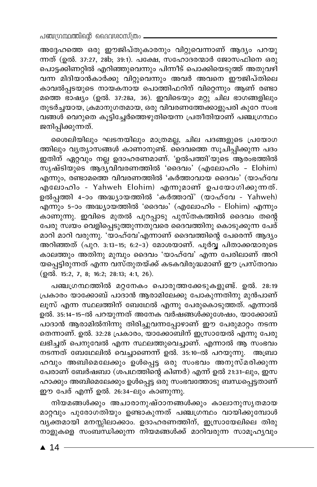അദ്ദേഹത്തെ ഒരു ഈജിപ്തുകാരനും വിറ്റുവെന്നാണ് ആദ്യം പറയു ന്നത് (ഉൽ. 37:27, 28b; 39:1). പക്ഷേ, സഹോദരന്മാർ ജോസഫിനെ ഒരു പൊട്ടക്കിണറ്റിൽ എറിഞ്ഞുവെന്നും പിന്നീട് പൊക്കിയെടുത്ത് അതുവഴി വന്ന മിദിയാൻകാർക്കു വിറ്റുവെന്നും അവർ അവനെ ഈജിപ്തിലെ കാവൽപ്പടയുടെ നായകനായ പൊത്തിഫറിന് വിറ്റെന്നും ആണ് രണ്ടാ മത്തെ ഭാഷ്യം (ഉൽ. 37:28a, 36). ഇവിടെയും മറ്റു ചില ഭാഗങ്ങളിലും തുടർച്ചയായ, ക്രമാനുഗതമായ, ഒരു വിവരണത്തേക്കാളുപരി കുറേ സംഭ വങ്ങൾ വെറുതെ കുട്ടിച്ചേർത്തെഴുതിയെന്ന പ്രതീതിയാണ് പഞ്ചഗ്രന്ഥം ജനിപ്പിക്കുന്നത്.

ശൈലിയിലും ഘടനയിലും മാത്രമല്ല, ചില പദങ്ങളുടെ പ്രയോഗ ത്തിലും വൃത്യാസങ്ങൾ കാണാനുണ്ട്. ദൈവത്തെ സൂചിപ്പിക്കുന്ന പദം ഇതിന് ഏറ്റവും നല്ല ഉദാഹരണമാണ്. 'ഉൽപത്തി'യുടെ ആരംഭത്തിൽ സൃഷ്ടിയുടെ ആദ്യവിവരണത്തിൽ 'ദൈവം' (എലോഹിം - Elohim) എന്നും, രണ്ടാമത്തെ വിവരണത്തിൽ 'കർത്താവായ ദൈവം' (യാഹ്വേ എലോഹിം - Yahweh Elohim) എന്നുമാണ് ഉപയോഗിക്കുന്നത്. ഉൽപ്പത്തി 4-ാം അദ്ധ്യായത്തിൽ 'കർത്താവ്' (യാഹ്വേ - Yahweh) \_\_ ...<br>എന്നും 5-ാം അദ്ധ്യായ്ത്തിൽ 'ദൈവം' (എലോഹിം - Elohim) എന്നും കാണുന്നു. ഇവിടെ മുതൽ പുറപ്പാടു പുസ്തകത്തിൽ ദൈവം തന്റെ പേരു സ്ഥയം വെളിപ്പെടുത്തുന്നതുവരെ ദൈവത്തിനു കൊടുക്കുന്ന പേര് മാറി മാറി വരുന്നു. 'യാഹ്വേ'എന്നാണ് ദൈവത്തിന്റെ പേരെന്ന് ആദ്യം അറിഞ്ഞത് (പുറ. 3:13-15; 6:2-3) മോശയാണ്. പൂർവ്വ പിതാക്കന്മാരുടെ കാലത്തും അതിനു മുമ്പും ദൈവം 'യാഹ്വേ' എന്ന പേരിലാണ് അറി യപ്പെട്ടിരുന്നത് എന്ന വസ്തുതയ്ക്ക് കടകവിരുദ്ധമാണ് ഈ പ്രസ്താവം (ഉൽ. 15:2, 7, 8; 16:2; 28:13; 4:1, 26).

പഞ്ചഗ്രന്ഥത്തിൽ മറ്റനേകം പൊരുത്തക്കേടുകളുണ്ട്. ഉൽ. 28:19 പ്രകാരം യാക്കോബ് പാദാൻ ആരാമിലേക്കു പോകുന്നതിനു മുൻപാണ് ലൂസ് എന്ന സ്ഥലത്തിന് ബേഥേൽ എന്നു പേരുകൊടുത്തത്. എന്നാൽ ഉൽ. 35:14-15-ൽ പറയുന്നത് അനേക വർഷങ്ങൾക്കുശേഷം, യാക്കോബ് പാദാൻ ആരാമിൽനിന്നു തിരിച്ചുവന്നപ്പോഴാണ് ഈ പേരുമാറ്റം നടന്ന തെന്നാണ്. ഉൽ. 32:28 പ്രകാരം, യാക്കോബിന് ഇസ്രായേൽ എന്നു പേരു ലഭിച്ചത് പെനുവേൽ എന്ന സ്ഥലത്തുവെച്ചാണ്. എന്നാൽ ആ സംഭവം നടന്നത് ബേഥേലിൽ വെച്ചാണെന്ന് ഉൽ. 35:10-ൽ പറയുന്നു. അബ്രാ ഹവും അബിമെലേക്കും ഉൾപ്പെട്ട ഒരു സംഭവം അനുസ്മരിക്കുന്ന പേരാണ് ബേർഷബാ (ശപഥത്തിന്റെ കിണർ) എന്ന് ഉൽ 21:31-ലും, ഇസ ഹാക്കും അബിമെലേക്കും ഉൾപ്പെട്ട ഒരു സംഭവത്തോടു ബന്ധപ്പെട്ടതാണ് .<br>ഈ പേര് എന്ന് ഉൽ. 26:34-ലും കാണുന്നു.

നിയമങ്ങൾക്കും അചാരാനുഷ്ഠാനങ്ങൾക്കും കാലാനുസൃതമായ മാറ്റവും പുരോഗതിയും ഉണ്ടാകുന്നത് പഞ്ചഗ്രന്ഥം വായിക്കുമ്പോൾ വൃക്തമായി മനസ്സിലാക്കാം. ഉദാഹരണത്തിന്, ഇസ്രായേലിലെ തിരു നാളുകളെ സംബന്ധിക്കുന്ന നിയമങ്ങൾക്ക് മാറിവരുന്ന സാമൂഹ്യവും

 $\triangle$  14 -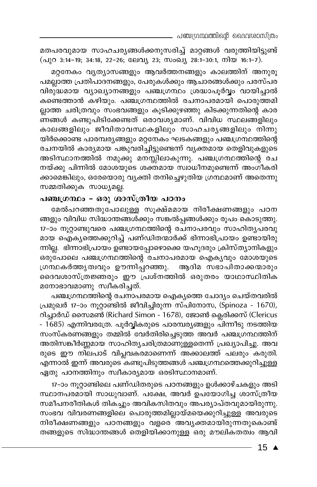പഞ്ചഗ്രന്ഥത്തിന്റെ ദൈവശാസ്ത്രം

മതപരവുമായ സാഹചര്യങ്ങൾക്കനുസരിച്ച് മാറ്റങ്ങൾ വരുത്തിയിട്ടുണ്ട് (പുറ 3:14-19; 34:18, 22-26; ലേവ്യ 23; സംഖ്യ 28:1-30:1, നിയ 16:1-7).

മറ്റനേകം വ്യത്യാസങ്ങളും ആവർത്തനങ്ങളും കാലത്തിന് അനുരൂ പമല്ലാത്ത പ്രതിപാദനങ്ങളും, പേരുകൾക്കും ആചാരങ്ങൾക്കും പരസ്പര വിരുദ്ധമായ വ്യാഖ്യാനങ്ങളും പഞ്ചഗ്രന്ഥം ശ്രദ്ധാപൂർവ്വം വായിച്ചാൽ കണ്ടെത്താൻ കഴിയും. പഞ്ചഗ്രന്ഥത്തിൽ രചനാപരമായി പൊരുത്തമി ല്ലാത്ത ചരിത്രവും സംഭവങ്ങളും കൂടിക്കുഴഞ്ഞു കിടക്കുന്നതിന്റെ കാര ണങ്ങൾ കണ്ടുപിടിക്കേണ്ടത് ഒരാവശ്യമാണ്. വിവിധ സ്ഥലങ്ങളിലും കാലങ്ങളിലും ജീവിതാവസ്ഥകളിലും സാഹചര്യങ്ങളിലും നിന്നു യിർക്കൊണ്ട പാരമ്പര്യങ്ങളും മറ്റനേകം ഘടകങ്ങളും പഞ്ചഗ്രന്ഥത്തിന്റെ രചനയിൽ കാര്യമായ പങ്കുവരിച്ചിട്ടുണ്ടെന്ന് വ്യക്തമായ തെളിവുകളുടെ അടിസ്ഥാനത്തിൽ നമുക്കു മനസ്സിലാകുന്നു. പഞ്ചഗ്രന്ഥത്തിന്റെ രച നയ്ക്കു പിന്നിൽ മോശയുടെ ശക്തമായ സ്വാധീനമുണ്ടെന്ന് അംഗീകരി ക്കാമെങ്കിലും, ഒരേയൊരു വ്യക്തി തനിച്ചെഴുതിയ ഗ്രന്ഥമാണ് അതെന്നു സമ്മതിക്കുക സാധ്യമല്ല.

### പഞ്ചഗ്രന്ഥം - ഒരു ശാസ്ത്രീയ പഠനം

മേൽപറഞ്ഞതുപോലുള്ള സൂക്ഷ്മമായ നിരീക്ഷണങ്ങളും പഠന ങ്ങളും വിവിധ സിദ്ധാന്തങ്ങൾക്കും സങ്കൽപ്പങ്ങൾക്കും രൂപം കൊടുത്തു. 17-ാം നൂറ്റാണ്ടുവരെ പഞ്ചഗ്രന്ഥത്തിന്റെ രചനാപരവും സാഹിതൃപരവു മായ ഐക്യത്തെക്കുറിച്ച് പണ്ഡിതന്മാർക്ക് ഭിന്നാഭിപ്രായം ഉണ്ടായിരു ന്നില്ല. ഭിന്നാഭിപ്രായം ഉണ്ടായപ്പോഴൊക്കെ യഹൂദരും ക്രിസ്ത്യാനികളും ഒരുപോലെ പഞ്ചഗ്രന്ഥത്തിന്റെ രചനാപരമായ ഐകൃവും മോശയുടെ ഗ്രന്ഥകർത്തൃത്വവും ഊന്നിപ്പറഞ്ഞു. ആദിമ സഭാപിതാക്കന്മാരും ദൈവശാസ്ത്രജ്ഞരും ഈ പ്രശ്നത്തിൽ ഒരുതരം യാഥാസ്ഥിതിക മനോഭാവമാണു സ്വീകരിച്ചത്.

പഞ്ചഗ്രന്ഥത്തിന്റെ രചനാപരമായ ഐക്യത്തെ ചോദ്യം ചെയ്തവരിൽ പ്രമുഖർ 17-ാം നൂറ്റാണ്ടിൽ ജീവിച്ചിരുന്ന സ്പിനോസ, (Spinoza - 1670), റിച്ചാർഡ് സൈമൺ (Richard Simon - 1678), ജോൺ ക്ലെരിക്കസ് (Clericus - 1685) എന്നിവരത്രേ. പൂർവ്വികരുടെ പാരമ്പര്യങ്ങളും പിന്നീടു നടത്തിയ സംസ്കരണങ്ങളും തമ്മിൽ വേർതിരിച്ചെടുത്ത അവർ പഞ്ചഗ്രന്ഥത്തിന് അതിസങ്കീർണ്ണമായ സാഹിത്യചരിത്രമാണുള്ളതെന്ന് പ്രഖ്യാപിച്ചു. അവ രുടെ ഈ നിലപാട് വിപ്ലവകരമാണെന്ന് അക്കാലത്ത് പലരും കരുതി. എന്നാൽ ഇന്ന് അവരുടെ കണ്ടുപിടുത്തങ്ങൾ പഞ്ചഗ്രന്ഥത്തെക്കുറിച്ചുള്ള ഏതു പഠനത്തിനും സ്വീകാര്യമായ ഒരടിസ്ഥാനമാണ്.

17-ാം നൂറ്റാണ്ടിലെ പണ്ഡിതരുടെ പഠനങ്ങളും ഉൾക്കാഴ്ചകളും അടി സ്ഥാനപരമായി സാധുവാണ്. പക്ഷേ, അവർ ഉപയോഗിച്ച ശാസ്ത്രീയ സമീപനരീതികൾ തികച്ചും അവികസിതവും അപര്യാപ്തവുമായിരുന്നു. സംഭവ വിവരണങ്ങളിലെ പൊരുത്തമില്ലായ്മയെക്കുറിച്ചുള്ള അവരുടെ നിരീക്ഷണങ്ങളും പഠനങ്ങളും വളരെ അവൃക്തമായിരുന്നതുകൊണ്ട് തങ്ങളുടെ സിദ്ധാന്തങ്ങൾ തെളിയിക്കാനുള്ള ഒരു മൗലികതത്വം ആവി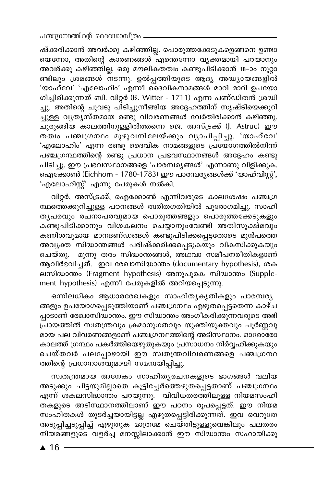ഷ്ക്കരിക്കാൻ അവർക്കു കഴിഞ്ഞില്ല. പൊരുത്തക്കേടുകളെങ്ങനെ ഉണ്ടാ യെന്നോ, അതിന്റെ കാരണങ്ങൾ എന്തെന്നോ വ്യക്തമായി പറയാനും അവർക്കു കഴിഞ്ഞില്ല. ഒരു മൗലികതത്വം കണ്ടുപിടിക്കാൻ 18–ാം നൂറ്റാ ണ്ടിലും ശ്രമങ്ങൾ നടന്നു. ഉൽപ്പത്തിയുടെ ആദ്യ അദ്ധ്യായങ്ങളിൽ 'യാഹ്വേ' 'എലോഹിം' എന്നീ ദൈവികനാമങ്ങൾ മാറി മാറി ഉപയോ ഗിച്ചിരിക്കുന്നത് ബി. വിറ്റർ (B. Witter - 1711) എന്ന പണ്ഡിതൻ ശ്രദ്ധി ച്ചു. അതിന്റെ ചുവടു പിടിച്ചുനീങ്ങിയ അദ്ദേഹത്തിന് സൃഷ്ടിയെക്കുറി ച്ചുള്ള വ്യത്യസ്തമായ രണ്ടു വിവരണങ്ങൾ വേർതിരിക്കാൻ കഴിഞ്ഞു. ചുരുങ്ങിയ കാലത്തിനുള്ളിൽത്തന്നെ ജെ. അസ്ട്രക്ക് (J. Astruc) ഈ തത്വം പഞ്ചഗ്രന്ഥം മുഴുവനിലേയ്ക്കും വ്യാപിപ്പിച്ചു. 'യാഹ്വേ' 'എലോഹിം' എന്ന രണ്ടു ദൈവിക നാമങ്ങളുടെ പ്രയോഗത്തിൽനിന്ന് പഞ്ചഗ്രന്ഥത്തിന്റെ രണ്ടു പ്രധാന പ്രഭവസ്ഥാനങ്ങൾ അദ്ദേഹം കണ്ടു പിടിച്ചു. ഈ പ്രഭവസ്ഥാനങ്ങളെ 'പാരമ്പര്യങ്ങൾ' എന്നാണു വിളിക്കുക. ഐക്കോൺ (Eichhorn - 1780-1783) ഈ പാരമ്പര്യങ്ങൾക്ക് 'യാഹ്വിസ്റ്റ്', 'എലോഹിസ്റ്റ്' എന്നു പേരുകൾ നൽകി.

വിറ്റർ, അസ്ട്രക്ക്, ഐക്കോൺ എന്നിവരുടെ കാലശേഷം പഞ്ചഗ്ര ന്ഥത്തെക്കുറിച്ചുള്ള പഠനങ്ങൾ ത്വരിതഗതിയിൽ പുരോഗമിച്ചു. സാഹി തൃപരവും രചനാപരവുമായ പൊരുത്തങ്ങളും പൊരുത്തക്കേടുകളും കണ്ടുപിടിക്കാനും വിശകലനം ചെയ്യാനുംവേണ്ടി അതിസൂക്ഷ്മവും കണിശവുമായ മാനദണ്ഡങ്ങൾ കണ്ടുപിടിക്കപ്പെട്ടതോടെ മുൻപത്തെ അവൃക്ത സിദ്ധാന്തങ്ങൾ പരിഷ്ക്കരിക്കപ്പെടുകയും വികസിക്കുകയും ചെയ്തു. മൂന്നു തരം സിദ്ധാന്തങ്ങൾ, അഥവാ സമീപനരീതികളാണ് ആവിർഭവിച്ചത്. ഇവ രേഖാസിദ്ധാന്തം (documentary hypothesis), ശക ലസിദ്ധാന്തം (Fragment hypothesis) അനുപൂരക സിദ്ധാന്തം (Supplement hypothesis) എന്നീ പേരുകളിൽ അറിയപ്പെടുന്നു.

ഒന്നിലധികം ആധാരരേഖകളും സാഹിതൃകൃതികളും പാരമ്പര്യ ങ്ങളും ഉപയോഗപ്പെടുത്തിയാണ് പഞ്ചഗ്രന്ഥം എഴുതപ്പെട്ടതെന്ന കാഴ്ച പ്പാടാണ് രേഖാസിദ്ധാന്തം. ഈ സിദ്ധാന്തം അംഗീകരിക്കുന്നവരുടെ അഭി പ്രായത്തിൽ സ്വതന്ത്രവും ക്രമാനുഗതവും യുക്തിയുക്തവും പൂർണ്ണവു .<br>മായ പല വിവരണങ്ങളാണ് പഞ്ചഗ്രന്ഥത്തിന്റെ അടിസ്ഥാനം. ഓരോരോ കാലത്ത് ഗ്രന്ഥം പകർത്തിയെഴുതുകയും പ്രസാധനം നിർവ്വഹിക്കുകയും ചെയ്തവർ പലപ്പോഴായി ഈ സ്വതന്ത്രവിവരണങ്ങളെ പഞ്ച്ഗ്രന്ഥ ത്തിന്റെ പ്രധാനാശവുമായി സമന്വയിപ്പിച്ചു.

സ്വതന്ത്രമായ അനേകം സാഹിതൃരചനകളുടെ ഭാഗങ്ങൾ വലിയ അടുക്കും ചിട്ടയുമില്ലാതെ കൂട്ടിച്ചേർത്തെഴുതപ്പെട്ടതാണ് പഞ്ചഗ്രന്ഥം എന്ന് ശകലസിദ്ധാന്തം പറയുന്നു. വിവിധതരത്തിലുള്ള നിയമസംഹി ം.<br>തകളുടെ അടിസ്ഥാനത്തിലാണ് ഈ പഠനം രൂപപ്പെട്ടത്. ഈ നിയമ സംഹിതകൾ തുടർച്ചയായിട്ടല്ല എഴുതപ്പെട്ടിരിക്കുന്നത്. ഇവ വെറുതേ .<br>അടുപ്പിച്ചടുപ്പിച്ച് എഴുതുക മാത്രമേ ചെയ്തിട്ടുള്ളുവെങ്കിലും പലതരം നിയമങ്ങളുടെ വളർച്ച മനസ്സിലാക്കാൻ ഈ സിദ്ധാന്തം സഹായിക്കു

 $\triangle$  16 -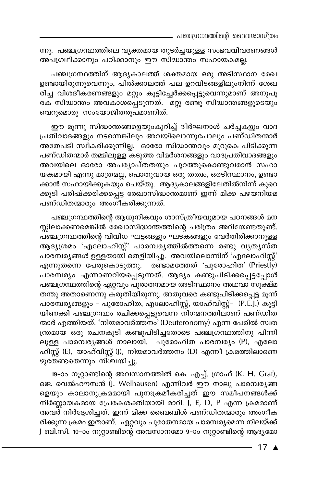പഞ്ചഗ്രന്ഥത്തിന്റെ ദൈവശാസ്ത്രം

ന്നു. പഞ്ചഗ്രന്ഥത്തിലെ വ്യക്തമായ തുടർച്ചയുള്ള സംഭവവിവരണങ്ങൾ അപഗ്രഥിക്കാനും പഠിക്കാനും ഈ സിദ്ധാന്തം സഹായകമല്ല.

പഞ്ചഗ്രന്ഥത്തിന് ആദ്യകാലത്ത് ശക്തമായ ഒരു അടിസ്ഥാന രേഖ ഉണ്ടായിരുന്നുവെന്നും, പിൽക്കാലത്ത് പല ഉറവിടങ്ങളിലുംനിന്ന് ശേഖ രിച്ച വിശദീകരണങ്ങളും മറ്റും കൂട്ടിച്ചേർക്കപ്പെട്ടുവെന്നുമാണ് അനുപൂ രക സിദ്ധാന്തം അവകാശപ്പെടുന്നത്. മറ്റു രണ്ടു സിദ്ധാന്തങ്ങളുടെയും വെറുമൊരു സംയോജിതരൂപമാണിത്.

ഈ മൂന്നു സിദ്ധാന്തങ്ങളെയുംകുറിച്ച് ദീർഘനാൾ ചർച്ചകളും വാദ പ്രതിവാദങ്ങളും നടന്നെങ്കിലും അവയിലൊന്നുപോലും പണ്ഡിതന്മാർ അതേപടി സ്വീകരിക്കുന്നില്ല. ഓരോ സിദ്ധാന്തവും മുറുകെ പിടിക്കുന്ന പണ്ഡിതന്മാർ തമ്മിലുള്ള കടുത്ത വിമർശനങ്ങളും വാദപ്രതിവാദങ്ങളും അവയിലെ ഓരോ അപര്യാപ്തതയും പുറത്തുകൊണ്ടുവരാൻ സഹാ യകമായി എന്നു മാത്രമല്ല, പൊതുവായ ഒരു തത്വം, ഒരടിസ്ഥാനം, ഉണ്ടാ ക്കാൻ സഹായിക്കുകയും ചെയ്തു. ആദൃകാലങ്ങളിലേതിൽനിന്ന് കുറെ ക്കുടി പരിഷ്ക്കരിക്കപ്പെട്ട രേഖാസിദ്ധാന്തമാണ് ഇന്ന് മിക്ക പഴയനിയമ പണ്ഡിതന്മാരും അംഗീകരിക്കുന്നത്.

പഞ്ചഗ്രന്ഥത്തിന്റെ ആധുനികവും ശാസ്ത്രീയവുമായ പഠനങ്ങൾ മന സ്സിലാക്കണമെങ്കിൽ രേഖാസിദ്ധാന്തത്തിന്റെ ചരിത്രം അറിയേണ്ടതുണ്ട്. പഞ്ചഗ്രന്ഥത്തിന്റെ വിവിധ ഘട്ടങ്ങളും ഘടകങ്ങളും വേർതിരിക്കാനുള്ള ആദൃശ്രമം 'എലോഹിസ്റ്റ്' പാരമ്പരൃത്തിൽത്തന്നെ രണ്ടു വൃതൃസ്ത പാരമ്പര്യങ്ങൾ ഉള്ളതായി തെളിയിച്ചു. അവയിലൊന്നിന് 'എലോഹിസ്റ്റ്' എന്നുതന്നെ പേരുകൊടുത്തു. രണ്ടാമത്തേത് 'പുരോഹിത' (Priestly) പാരമ്പര്യം എന്നാണറിയപ്പെടുന്നത്. ആദ്യം കണ്ടുപിടിക്കപ്പെട്ടപ്പോൾ പഞ്ചഗ്രന്ഥത്തിന്റെ ഏറ്റവും പുരാതനമായ അടിസ്ഥാനം അഥവാ സൂക്ഷ്മ തന്തു അതാണെന്നു കരുതിയിരുന്നു. അതുവരെ കണ്ടുപിടിക്കപ്പെട്ട മൂന്ന് പാരമ്പരൃങ്ങളും - പുരോഹിത, എലോഹിസ്റ്റ്, യാഹ്വിസ്റ്റ്- (P.E.J.) കൂട്ടി യിണക്കി പഞ്ചഗ്രന്ഥം രചിക്കപ്പെട്ടുവെന്ന നിഗമനത്തിലാണ് പണ്ഡിത ന്മാർ എത്തിയത്. 'നിയമാവർത്തനം' (Deuteronomy) എന്ന പേരിൽ സ്വത ന്ത്രമായ ഒരു രചനകൂടി കണ്ടുപിടിച്ചതോടെ പഞ്ചഗ്രന്ഥത്തിനു പിന്നി ലുള്ള പാരമ്പര്യങ്ങൾ നാലായി. പുരോഹിത പാരമ്പര്യം (P), എലോ ഹിസ്റ്റ് (E), യാഹ്വിസ്റ്റ് (J), നിയമാവർത്തനം (D) എന്നീ ക്രമത്തിലാണെ ഴുതേണ്ടതെന്നും നിശ്ചയിച്ചു.

19-ാം നൂറ്റാണ്ടിന്റെ അവസാനത്തിൽ കെ. എച്ച്. ഗ്രാഫ് (K. H. Graf), ജെ. വെൽഹൗസൻ (J. Welhausen) എന്നിവർ ഈ നാലു പാരമ്പര്യങ്ങ ളെയും കാലാനുക്രമമായി പുനഃക്രമീകരിച്ചത് ഈ സമീപനങ്ങൾക്ക് നിർണ്ണായകമായ പ്രേരകശക്തിയായി മാറി. J, E, D, P എന്ന ക്രമമാണ് അവർ നിർദ്ദേശിച്ചത്. ഇന്ന് മിക്ക ബൈബിൾ പണ്ഡിതന്മാരും അംഗീക രിക്കുന്ന ക്രമം ഇതാണ്. ഏറ്റവും പുരാതനമായ പാരമ്പര്യമെന്ന നിലയ്ക്ക് J ബി.സി. 10–ാം നൂറ്റാണ്ടിന്റെ അവസാനമോ 9–ാം നൂറ്റാണ്ടിന്റെ ആദ്യമോ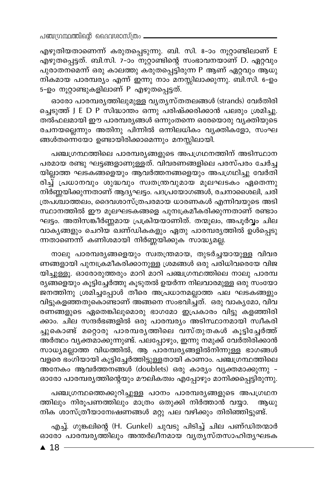എഴുതിയതാണെന്ന് കരുതപ്പെടുന്നു. ബി. സി. 8-ാം നൂറ്റാണ്ടിലാണ് E എഴുതപ്പെട്ടത്. ബി.സി. 7-ാം നൂറ്റാണ്ടിന്റെ സംഭാവനയാണ് D. ഏറ്റവും പുരാതനമെന്ന് ഒരു കാലത്തു കരുതപ്പെട്ടിരുന്ന P ആണ് ഏറ്റവും ആധു നികമായ പാരമ്പര്യം എന്ന് ഇന്നു നാം മനസ്സിലാക്കുന്നു. ബി.സി. 6-ഉം 5-ഉം നൂറ്റാണ്ടുകളിലാണ് P എഴുതപ്പെട്ടത്.

ഓരോ പാരമ്പര്യത്തിലുമുള്ള വ്യത്യസ്തതലങ്ങൾ (strands) വേർതിരി ച്ചെടുത്ത് J E D P സിദ്ധാന്തം ഒന്നു പരിഷ്ക്കരിക്കാൻ പലരും ശ്രമിച്ചു. തൽഫലമായി ഈ പാരമ്പര്യങ്ങൾ ഒന്നുംതന്നെ ഒരേയൊരു വ്യക്തിയുടെ രചനയല്ലെന്നും അതിനു പിന്നിൽ ഒന്നിലധികം വ്യക്തികളോ, സംഘ ങ്ങൾതന്നെയോ ഉണ്ടായിരിക്കാമെന്നും മനസ്സിലായി.

പഞ്ചഗ്രന്ഥത്തിലെ പാരമ്പര്യങ്ങളുടെ അപഗ്രഥനത്തിന് അടിസ്ഥാന പരമായ രണ്ടു ഘട്ടങ്ങളാണുള്ളത്. വിവരണങ്ങളിലെ പരസ്പരം ചേർച്ച യില്ലാത്ത ഘടകങ്ങളെയും ആവർത്തനങ്ങളെയും അപഗ്രഥിച്ചു വേർതി രിച്ച് പ്രധാനവും ശുദ്ധവും സ്വതന്ത്രവുമായ മൂലഘടകം ഏതെന്നു നിർണ്ണയിക്കുന്നതാണ് ആദ്യഘട്ടം. പദപ്രയോഗങ്ങൾ, രചനാശൈലി, ചരി ത്രപശ്ചാത്തലം, ദൈവശാസ്ത്രപരമായ ധാരണകൾ എന്നിവയുടെ അടി സ്ഥാനത്തിൽ ഈ മൂലഘടകങ്ങളെ പുനഃക്രമീകരിക്കുന്നതാണ് രണ്ടാം ഘട്ടം. അതിസങ്കീർണ്ണമായ പ്രക്രിയയാണിത്. തന്മൂലം, അപൂർവ്വം ചില വാകൃങ്ങളും ചെറിയ ഖണ്ഡികകളും ഏതു പാരമ്പരൃത്തിൽ ഉൾപ്പെടു ന്നതാണെന്ന് കണിശമായി നിർണ്ണയിക്കുക സാദ്ധ്യമല്ല.

നാലു പാരമ്പര്യങ്ങളെയും സ്വതന്ത്രമായ, തുടർച്ചയായുള്ള വിവര ണങ്ങളായി പുനഃക്രമീകരിക്കാനുള്ള ശ്രമങ്ങൾ ഒരു പരിധിവരെയേ വിജ യിച്ചുള്ളൂ. ഓരോരുത്തരും മാറി മാറി പഞ്ചഗ്രന്ഥത്തിലെ നാലു പാരമ്പ ര്യങ്ങളെയും കൂട്ടിച്ചേർത്തു കൂടുതൽ ഉയർന്ന നിലവാരമുള്ള ഒരു സംയോ ജനത്തിനു ശ്രമിച്ചപ്പോൾ തീരെ അപ്രധാനമല്ലാത്ത പല ഘടകങ്ങളും വിട്ടുകളഞ്ഞതുകൊണ്ടാണ് അങ്ങനെ സംഭവിച്ചത്. ഒരു വാകൃമോ, വിവ രണങ്ങളുടെ ഏതെങ്കിലുമൊരു ഭാഗമോ ഇപ്രകാരം വിട്ടു കളഞ്ഞിരി ക്കാം. ചില സന്ദർഭങ്ങളിൽ ഒരു പാരമ്പര്യം അടിസ്ഥാനമായി സ്വീകരി ച്ചുകൊണ്ട് മറ്റൊരു പാരമ്പരൃത്തിലെ വസ്തുതകൾ കൂട്ടിച്ചേർത്ത് അർത്ഥം വൃക്തമാക്കുന്നുണ്ട്. പലപ്പോഴും, ഇന്നു നമുക്ക് വേർതിരിക്കാൻ സാധ്യമല്ലാത്ത വിധത്തിൽ, ആ പാരമ്പര്യങ്ങളിൽനിന്നുള്ള ഭാഗങ്ങൾ വളരെ ഭംഗിയായി കൂട്ടിച്ചേർത്തിട്ടുള്ളതായി കാണാം. പഞ്ചഗ്രന്ഥത്തിലെ അനേകം ആവർത്തനങ്ങൾ (doublets) ഒരു കാര്യം വ്യക്തമാക്കുന്നു -ഓരോ പാരമ്പര്യത്തിന്റെയും മൗലികത്വം എപ്പോഴും മാനിക്കപ്പെട്ടിരുന്നു.

പഞ്ചഗ്രന്ഥത്തെക്കുറിച്ചുള്ള പഠനം പാരമ്പര്യങ്ങളുടെ അപഗ്രഥന ത്തിലും നിരൂപണത്തിലും മാത്രം ഒതുക്കി നിർത്താൻ വയ്യാ. ആധു നിക ശാസ്ത്രീയാന്വേഷണങ്ങൾ മറ്റു പല വഴിക്കും തിരിഞ്ഞിട്ടുണ്ട്.

എച്ച്. ഗുങ്കലിന്റെ (H. Gunkel) ചുവടു പിടിച്ച് ചില പണ്ഡിതന്മാർ ഓരോ പാരമ്പര്യത്തിലും അന്തർലീനമായ വൃത്യസ്തസാഹിത്യഘടക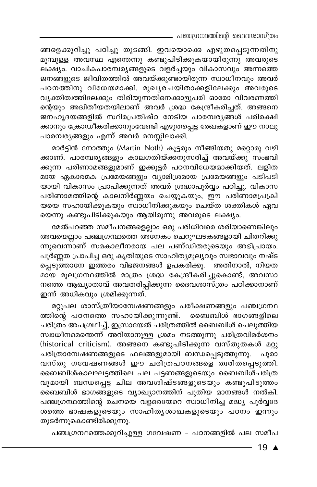\_ പഞ്ചഗ്രന്ഥത്തിന്റെ ദൈവശാസ്ത്രം

ങ്ങളെക്കുറിച്ചു പഠിച്ചു തുടങ്ങി. ഇവയൊക്കെ എഴുതപ്പെടുന്നതിനു മുമ്പുള്ള അവസ്ഥ എന്തെന്നു കണ്ടുപിടിക്കുകയായിരുന്നു അവരുടെ ലക്ഷ്യം. വാചികപാരമ്പര്യങ്ങളുടെ വളർച്ചയും വികാസവും അന്നത്തെ ജനങ്ങളുടെ ജീവിതത്തിൽ അവയ്ക്കുണ്ടായിരുന്ന സ്വാധീനവും അവർ പഠനത്തിനു വിധേയമാക്കി. മുഖ്യരചയിതാക്കളിലേക്കും അവരുടെ വൃക്തിത്വത്തിലേക്കും തിരിയുന്നതിനെക്കാളുപരി ഓരോ വിവരണത്തി ന്റെയും അദിതീയതയിലാണ് അവർ ശ്രദ്ധ കേന്ദ്രീകരിച്ചത്. അങ്ങനെ ജനഹൃദയങ്ങളിൽ സ്ഥിരപ്രതിഷ്ഠ നേടിയ പാരമ്പര്യങ്ങൾ പരിരക്ഷി ക്കാനും ക്രോഡീകരിക്കാനുംവേണ്ടി എഴുതപ്പെട്ട രേഖകളാണ് ഈ നാലു പാരമ്പര്യങ്ങളും എന്ന് അവർ മനസ്സിലാക്കി.

മാർട്ടിൻ നോത്തും (Martin Noth) കൂട്ടരും നീങ്ങിയതു മറ്റൊരു വഴി ക്കാണ്. പാരമ്പര്യങ്ങളും കാലഗതിയ്ക്കനുസരിച്ച് അവയ്ക്കു സംഭവി ക്കുന്ന പരിണാമങ്ങളുമാണ് ഇക്കൂട്ടർ പഠനവിധേയമാക്കിയത്. ലളിത മായ ഏകാത്മക പ്രമേയങ്ങളും വ്യാമിശ്രമായ പ്രമേയങ്ങളും പടിപടി യായി വികാസം പ്രാപിക്കുന്നത് അവർ ശ്രദ്ധാപൂർവ്വം പഠിച്ചു. വികാസ പരിണാമത്തിന്റെ കാലനിർണ്ണയം ചെയ്യുകയും, ഈ പരിണാമപ്രക്രി യയെ സഹായിക്കുകയും സ്വാധീനിക്കുകയും ചെയ്ത ശക്തികൾ ഏവ യെന്നു കണ്ടുപിടിക്കുകയും ആയിരുന്നു അവരുടെ ലക്ഷ്യം.

മേൽപറഞ്ഞ സമീപനങ്ങളെല്ലാം ഒരു പരിധിവരെ ശരിയാണെങ്കിലും അവയെല്ലാം പഞ്ചഗ്രന്ഥത്തെ അനേകം ചെറുഘടകങ്ങളായി ചിതറിക്കു ന്നുവെന്നാണ് സമകാലീനരായ പല പണ്ഡിതരുടെയും അഭിപ്രായം. പൂർണ്ണത പ്രാപിച്ച ഒരു കൃതിയുടെ സാഹിത്യമൂല്യവും സ്വഭാവവും നഷ്ട പ്പെടുത്താനേ ഇത്തരം വിഭജനങ്ങൾ ഉപകരിക്കു. അതിനാൽ, നിയത മായ മൂലഗ്രന്ഥത്തിൽ മാത്രം ശ്രദ്ധ കേന്ദ്രീകരിച്ചുകൊണ്ട്, അവസാ നത്തെ ആഖ്യാതാവ് അവതരിപ്പിക്കുന്ന ദൈവശാസ്ത്രം പഠിക്കാനാണ് ഇന്ന് അധികവും ശ്രമിക്കുന്നത്.

മറ്റുപല ശാസ്ത്രീയാമ്പേഷണങ്ങളും പരീക്ഷണങ്ങളും പഞ്ചഗ്രന്ഥ ത്തിന്റെ പഠനത്തെ സഹായിക്കുന്നുണ്ട്. ബൈബിൾ ഭാഗങ്ങളിലെ ചരിത്രം അപഗ്രഥിച്ച്, ഇസ്രായേൽ ചരിത്രത്തിൽ ബൈബിൾ ചെലുത്തിയ സ്വാധീനമെന്തെന്ന് അറിയാനുള്ള ശ്രമം നടത്തുന്നു ചരിത്രവിമർശനം (historical criticism). അങ്ങനെ കണ്ടുപിടിക്കുന്ന വസ്തുതകൾ മറ്റു ചരിത്രാന്വേഷണങ്ങളുടെ ഫലങ്ങളുമായി ബന്ധപ്പെടുത്തുന്നു. പുരാ വസ്തു ഗവേഷണങ്ങൾ ഈ ചരിത്രപഠനങ്ങളെ ത്വരിതപ്പെടുത്തി. ബൈബിൾകാലഘട്ടത്തിലെ പല പട്ടണങ്ങളുടെയും ബൈബിൾചരിത്ര വുമായി ബന്ധപ്പെട്ട ചില അവശിഷ്ടങ്ങളുടെയും കണ്ടുപിടുത്തം ബൈബിൾ ഭാഗങ്ങളുടെ വ്യാഖ്യാനത്തിന് പുതിയ മാനങ്ങൾ നൽകി. പഞ്ചഗ്രന്ഥത്തിന്റെ രചനയെ വളരെയേറെ സ്വാധീനിച്ച മദ്ധ്യ പൂർവ്വദേ ശത്തെ ഭാഷകളുടെയും സാഹിതൃശാഖകളുടെയും പഠനം ഇന്നും തുടർന്നുകൊണ്ടിരിക്കുന്നു.

പഞ്ചഗ്രന്ഥത്തെക്കുറിച്ചുള്ള ഗവേഷണ - പഠനങ്ങളിൽ പല സമീപ

19 ▲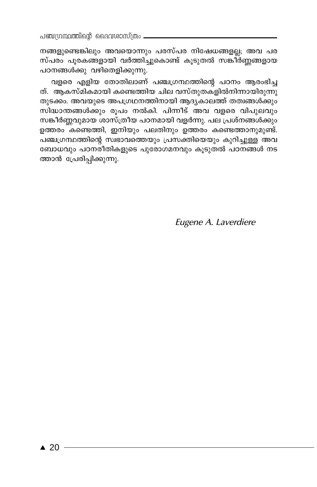നങ്ങളുണ്ടെങ്കിലും അവയൊന്നും പരസ്പര നിഷേധങ്ങളല്ല; അവ പര സ്പരം പൂരകങ്ങളായി വർത്തിച്ചുകൊണ്ട് കൂടുതൽ സങ്കീർണ്ണങ്ങളായ പഠനങ്ങൾക്കു വഴിതെളിക്കുന്നു.

വളരെ എളിയ തോതിലാണ് പഞ്ചഗ്രന്ഥത്തിന്റെ പഠനം ആരംഭിച്ച ത്. ആകസ്മികമായി കണ്ടെത്തിയ ചില വസ്തുതകളിൽനിന്നായിരുന്നു തുടക്കം. അവയുടെ അപഗ്രഥനത്തിനായി ആദൃകാലത്ത് തത്വങ്ങൾക്കും സിദ്ധാന്തങ്ങൾക്കും രൂപം നൽകി. പിന്നീട് അവ വളരെ വിപുലവും സങ്കീർണ്ണവുമായ ശാസ്ത്രീയ പഠനമായി വളർന്നു. പല പ്രശ്നങ്ങൾക്കും ഉത്തരം കണ്ടെത്തി, ഇനിയും പലതിനും ഉത്തരം കണ്ടെത്താനുമുണ്ട്. പഞ്ചഗ്രന്ഥത്തിന്റെ സ്വഭാവത്തെയും പ്രസക്തിയെയും കുറിച്ചുള്ള അവ ബോധവും പഠനരീതികളുടെ പുരോഗമനവും കൂടുതൽ പഠനങ്ങൾ നട ത്താൻ പ്രേരിപ്പിക്കുന്നു.

Eugene A. Laverdiere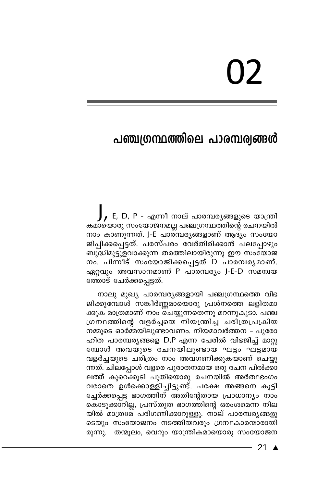# 02

## പഞ്ചഗ്രന്ഥത്തിലെ പാരമ്പര്വങ്ങൾ

 $\int$ , E, D, P - എന്നീ നാല് പാരമ്പര്യങ്ങളുടെ യാത്രി കമായൊരു സംയോജനമല്ല പഞ്ചഗ്രന്ഥത്തിന്റെ രചനയിൽ നാം കാണുന്നത്. J-E പാരമ്പര്യങ്ങളാണ് ആദ്യം സംയോ ജിപ്പിക്കപ്പെട്ടത്. പരസ്പരം വേർതിരിക്കാൻ പലപ്പോഴും ബുദ്ധിമുട്ടുളവാക്കുന്ന തരത്തിലായിരുന്നു ഈ സംഭ്യാജ നം. പിന്നീട് സംയോജിക്കപ്പെട്ടത് D പാരമ്പര്യമാണ്. ഏറ്റവും അവസാനമാണ് P പാരമ്പര്യം J-E-D സമന്വയ ത്തോട് ചേർക്കപ്പെട്ടത്.

നാലു മുഖ്യ പാരമ്പര്യങ്ങളായി പഞ്ചഗ്രന്ഥത്തെ വിഭ ജിക്കുമ്പോൾ സങ്കീർണ്ണമായൊരു പ്രശ്നത്തെ ലളിതമാ ക്കുക മാത്രമാണ് നാം ചെയ്യുന്നതെന്നു മറന്നുകൂടാ. പഞ്ച ഗ്രന്ഥത്തിന്റെ വളർച്ചയെ നിയന്ത്രിച്ച ചരിത്രപ്രക്രിയ നമ്മുടെ ഓർമ്മയിലുണ്ടാവണം. നിയമാവർത്തന - പുരോ ഹിത പാരമ്പര്യങ്ങളെ D,P എന്ന പേരിൽ വിഭജിച്ച് മാറ്റു മ്പോൾ അവയുടെ രചനയിലുണ്ടായ ഘട്ടം ഘട്ടമായ വളർച്ചയുടെ ചരിത്രം നാം അവഗണിക്കുകയാണ് ചെയ്യു ന്നത്. ചിലപ്പോൾ വളരെ പുരാതനമായ ഒരു രചന പിൽക്കാ ലത്ത് കുറെക്കൂടി പുതിയൊരു രചനയിൽ അർത്ഥഭംഗം വരാതെ ഉൾക്കൊള്ളിച്ചിട്ടുണ്ട്. പക്ഷേ അങ്ങനെ കൂട്ടി ച്ചേർക്കപ്പെട്ട ഭാഗത്തിന് അതിന്റേതായ പ്രാധാന്യം നാം കൊടുക്കാറില്ല, പ്രസ്തുത ഭാഗത്തിന്റെ ഒരംശമെന്ന നില യിൽ മാത്രമ്േ പരിഗണിക്കാറുള്ളൂ. നാല് പാരമ്പര്യങ്ങളു ടെയും സംയോജനം നടത്തിയവരും ഗ്രന്ഥകാരന്മാരായി രുന്നു. തന്മൂലം, വെറും യാന്ത്രികമായൊരു സംയോജന

21  $\blacktriangle$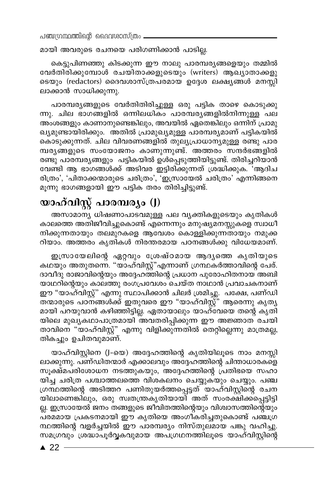$\Delta$ ഞ്ചന്ധ്രന്ഥത്തിന്റെ വൈവശാസ്ത്രം.

മായി അവരുടെ രചനയെ പരിഗണിക്കാൻ പാടില്ല.

കെട്ടുപിണഞ്ഞു കിടക്കുന്ന ഈ നാലു പാരമ്പര്യങ്ങളെയും തമ്മിൽ cവർതിരിക്കുമ്പോൾ രചയിതാക്കളുടെയും (writers) ആഖ്യാതാക്കളു ssയും (redactors) ദൈവശാസ്ത്രപരമായ ഉദ്ദേശ ലക്ഷ്യങ്ങൾ മനസ്സി ലാക്കാൻ സാധിക്കുന്നു.

പാരമ്പര്യങ്ങളുടെ വേർതിതിരിച്ചുള്ള ഒരു പട്ടിക താഴെ കൊടുക്കു ന്നു. ചില ഭാഗങ്ങളിൽ ഒന്നിലധികം പാരമ്പരൃങ്ങളിൽനിന്നുള്ള പല അംശങ്ങളും കാണാനുണ്ടെങ്കിലും, അവയിൽ ഏതെങ്കിലും ഒന്നിന് പ്രാമു ഖ്യമുണ്ടായിരിക്കും. അതിൽ പ്രാമുഖ്യമുള്ള പാരമ്പര്യമാണ് പട്ടികയിൽ കൊടുക്കുന്നത്. ചില വിവരണങ്ങളിൽ തുല്യപ്രാധാന്യമുള്ള രണ്ടു പാര മ്പര്യങ്ങളുടെ സംയോജനം കാണുന്നുണ്ട്. അത്തരം സന്ദർഭങ്ങളിൽ രണ്ടു പാരമ്പര്യങ്ങളും പട്ടികയിൽ ഉൾപ്പെടുത്തിയിട്ടുണ്ട്. തിരിച്ചറിയാൻ വേണ്ടി ആ ഭാഗങ്ങൾക്ക് അടിവര ഇട്ടിരിക്കുന്നത് ശ്രദ്ധിക്കുക. 'ആദിച രിത്രം', 'പിതാക്കന്മാരുടെ ചരിത്രം', 'ഇസ്രായേൽ ചരിത്രം' എന്നിങ്ങനെ മൂന്നു ഭാഗങ്ങളായി ഈ പട്ടിക തരം തിരിച്ചിട്ടുണ്ട്.

## *bmlvhnÃv ]mc-ºcyw* **(J)**

അസാമാന്യ ധിഷണാപാടവമുള്ള പല വ്യക്തികളുടെയും കൃതികൾ കാലത്തെ അതിജീവിച്ചുകൊണ്ട് എന്നെന്നും മനുഷ്യമനസ്സുകളെ സ്വാധീ നിക്കുന്നതായും തലമുറകളെ ആവേശം കൊള്ളിക്കുന്നതായും നമുക്ക റിയാം. അത്തരം കൃതികൾ നിരന്തരമായ പഠനങ്ങൾക്കു വിധേയമാണ്.

ഇസ്രായേലിന്റെ ഏറ്റവും ശ്രേഷ്ഠമായ ആദ്യത്തെ കൃതിയുടെ കഥയും അതുതന്നെ. "യാഹ്വിസ്റ്റ്"എന്നാണ് ശ്രന്ഥകർത്താവിന്റെ പേര്. ദാവീദു രാജാവിന്റെയും അദ്ദേഹത്തിന്റെ പ്രധാന പുരോഹിതനായ അബി യാഥറിന്റെയും കാലത്തു രംഗപ്രവേശം ചെയ്ത നാഥാൻ പ്രവാചകനാണ് ഈ "യാഹ്വിസ്റ്റ്' എന്നു സ്ഥാപിക്കാൻ ചിലർ ശ്രമിച്ചു. പക്ഷേ, പണ്ഡി തന്മാരുടെ പഠനങ്ങൾക്ക് ഇതുവരെ ഈ "യാഹ്വിസ്റ്റ്" ആരെന്നു കൃതൃ മായി പറയുവാൻ കഴിഞ്ഞിട്ടില്ല. ഏതായാലും യാഹ്്വേയെ തന്റെ കൃതി യിലെ മുഖൃകഥാപാത്രമായി അവതരിപ്പിക്കുന്ന ഈ അജ്ഞാത<sup>്</sup>രചയി താവിനെ "യാഹ്വിസ്റ്റ്" എന്നു വിളിക്കുന്നതിൽ തെറ്റില്ലെന്നു മാത്രമല്ല, തികച്ചും ഉചിതവുമാണ്.

യാഹ്വിസ്റ്റിനെ (J-യെ) അദ്ദേഹത്തിന്റെ കൃതിയിലൂടെ നാം മനസ്സി ലാക്കുന്നു. പണ്ഡിതന്മാർ എക്കാലവും അദ്ദേഹത്തിന്റെ ചിന്താധാരകളെ് സൂക്ഷ്മപരിശോധന നടത്തുകയും, അദ്ദേഹത്തിന്റെ പ്രതിഭയെ സഹാ യിച്ച ചരിത്ര പശ്ചാത്തലത്തെ വിശകലനം ചെയ്യുകയും ചെയ്യും. പഞ്ച ്രന്ഥത്തിന്റെ അടിത്തറ പണിതുയർത്തപ്പെട്ടത് യാഹ്വിസ്റ്റിന്റെ രചന യിലാണെങ്കിലും, ഒരു സ്വതന്ത്രകൃതിയായി അത് സംരക്ഷിക്കപ്പെട്ടിട്ടി ല്ല. ഇസ്രായേൽ ജനം തങ്ങളുടെ ജീവിതത്തിന്റെയും വിശ്വാസത്തിന്റെയും പ്രമമായ പ്രകടനമായി ഈ കൃതിയെ അംഗീകരിച്ചതുകൊണ്ട് പഞ്**⊥**ഗ്ര ന്ഥത്തിന്റെ വളർച്ചയിൽ ഈ പാരമ്പര്യം നിസ്തുലമായ പങ്കു വഹിച്ചു. സമഗ്രവും ശ്രദ്ധാപൂർവ്വകവുമായ അപഗ്രഥനത്തിലൂടെ യാഹ്വിസ്റ്റിന്റെ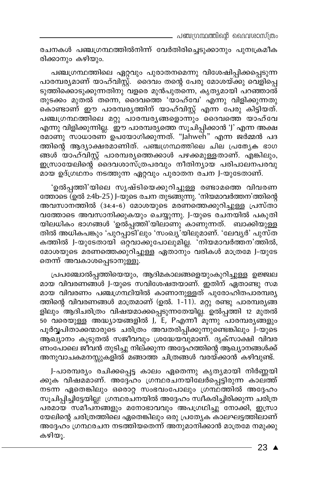രചനകൾ പഞ്ചഗ്രന്ഥത്തിൽനിന്ന് വേർതിരിച്ചെടുക്കാനും പുനഃക്രമീക രിക്കാനും കഴിയും.

പഞ്ചഗ്രന്ഥത്തിലെ ഏറ്റവും പുരാതനമെന്നു വിശേഷിപ്പിക്കപ്പെടുന്ന പാരമ്പര്യമാണ് യാഹ്വിസ്റ്റ്. ദൈവം തന്റെ പേരു മോശയ്ക്കു വെളിപ്പെ ടുത്തിക്കൊടുക്കുന്നതിനു വളരെ മുൻപുതന്നെ, കൃത്യമായി പറഞ്ഞാൽ് തുടക്കം മുതൽ തന്നെ, ദൈവത്തെ 'യാഹ്വേ' എന്നു വിളിക്കുന്നതു കൊണ്ടാണ് ഈ പാരമ്പരുത്തിന് യാഹ്വിസ്റ്റ് എന്ന പേരു കിട്ടിയത്. പഞ്ചഗ്രന്ഥത്തിലെ മറ്റു പാരമ്പരൃങ്ങളൊന്നും ദൈവത്തെ യാഹ്വേ എന്നു വിളിക്കുന്നില്ല. ഈ പാരമ്പര്യത്തെ സൂചിപ്പിക്കാൻ 'J' എന്ന അക്ഷ രമാണു സാധാരണ് ഉപയോഗിക്കുന്നത്. "Jahweh" എന്ന ജർമ്മൻ പദ ത്തിന്റെ ആദ്യാക്ഷരമാണിത്. പഞ്ചഗ്രന്ഥത്തിലെ ചില പ്രത്യേക ഭാഗ ങ്ങൾ യാഹ്വിസ്റ്റ് പാരമ്പരൃത്തെക്കാൾ പഴക്കമുള്ളതാണ്. എങ്കിലും, ഇസ്രായേലിന്റെ്്ദൈവശാസ്ത്രപരവും നീതിന്യായ പരിപാലനപരവു മായ ഉദ്ഗ്രഥനം നടത്തുന്ന ഏറ്റവും പുരാതന രചന J-യുടേതാണ്.

'ഉൽപ്പത്തി'യിലെ സൃഷ്ടിയെക്കുറിച്ചുള്ള രണ്ടാമത്തെ വിവരണ ത്തോടെ (ഉൽ 2:4b-25) J-യുടെ രചന തുടങ്ങുന്നു. 'നിയമാവർത്തന'ത്തിന്റെ അവസാനത്തിൽ (34:4-6) മോശയുടെ മരണത്തെക്കുറിച്ചുള്ള പ്രസ്താ വത്തോടെ അവസാനിക്കുകയും ചെയ്യുന്നു. J-യുടെ രചനയിൽ പകുതി യിലധികം ഭാഗങ്ങൾ 'ഉൽപ്പത്തി'യിലാണു കാണുന്നത്. ബാക്കിയുള്ള തിൽ അധികപങ്കും 'പുറപ്പാടി'ലും 'സംഖ്യ'യിലുമാണ്. 'ലേവൃർ' പുസ്ത കത്തിൽ J-യുടേതായി ഒറ്റവാക്കുപോലുമില്ല. 'നിയമാവർത്തന'ത്തിൽ, മോശയുടെ മരണത്തെക്കുറിച്ചുള്ള ഏതാനും വരികൾ മാത്രമേ J-യുടേ തെന്ന് അവകാശപ്പെടാനുള്ളൂ.

പ്രപഞ്ചോൽപ്പത്തിയെയും, ആദിമകാലങ്ങളെയുംകുറിച്ചുള്ള ഉജ്ജ്വല മായ വിവരണങ്ങൾ J-യുടെ സവിശേഷതയാണ്. ഇതിന് ഏതാണ്ടു സമ മായ വിവരണം പഞ്ചഗ്രന്ഥിയിൽ കാണാനുള്ളത് പുരോഹിതപാരമ്പര്യ ത്തിന്റെ വിവരണങ്ങൾ മാത്രമാണ് (ഉൽ. 1-11). മറ്റു രണ്ടു പാരമ്പര്യങ്ങ ളിലും ആദിചരിത്രം വിഷയമാക്കപ്പെടുന്നതേയില്ല. ഉൽപ്പത്തി 12 മുതൽ 50 വരെയുള്ള അദ്ധ്യായങ്ങളിൽ J, E, Pഎന്നീ മൂന്നു പാരമ്പര്യങ്ങളും പൂർവ്വപിതാക്കന്മാരുടെ ചരിത്രം അവതരിപ്പിക്കുന്നുണ്ടെങ്കിലും J-യുടെ ആചുറനം കൂടുതൽ സജീവവും ശ്രദ്ധേയവുമാണ്. ദൃക്സാക്ഷി വിവര ണംപോലെ ജീവൻ തുടിച്ചു നില്ക്കുന്ന അദ്ദേഹത്തിന്റെ ആഖ്യാനങ്ങൾക്ക് അനുവാചകമനസ്സുകളിൽ മങ്ങാത്ത ചിത്രങ്ങൾ വരയ്ക്കാൻ കഴിവുണ്ട്.

J-പാരമ്പര്യം രചിക്കപ്പെട്ട കാലം ഏതെന്നു കൃത്യമായി നിർണ്ണയി ക്കുക വിഷമമാണ്. അദ്ദേഹം ഗ്രന്ഥരചനയിലേർപ്പെട്ടിരുന്ന കാലത്ത് നടന്ന ഏതെങ്കിലും ഒരൊറ്റ സംഭവംപോലും ഗ്രന്ഥത്തിൽ അദ്ദേഹം സൂചിപ്പിച്ചിട്ടേയില്ല! ഗ്രന്ഥരചനയിൽ അദ്ദേഹം സ്വീകരിച്ചിരിക്കുന്ന ചരിത്ര പരമായ സമീപനങ്ങളും മനോഭാവവും അപഗ്രഥിച്ചു നോക്കി, ഇസ്രാ യേലിന്റെ ചരിത്രത്തിലെ ഏതെങ്കിലും ഒരു പ്രത്യേക കാലഘട്ടത്തിലാണ് അദ്ദേഹം ഗ്രന്ഥരചന നടത്തിയതെന്ന് അനുമാനിക്കാൻ മാത്രമേ നമുക്കു കഴിയു.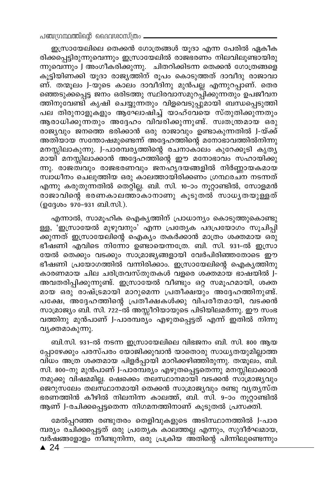ഇസ്രായേലിലെ തെക്കൻ ഗോത്രങ്ങൾ യൂദാ എന്ന പേരിൽ ഏകീക രിക്കപ്പെട്ടിരുന്നുവെന്നും ഇസ്രായേലിൽ രാജഭരണം നിലവിലുണ്ടായിരു ന്നുവെന്നും J അംഗീകരിക്കുന്നു. ചിതറിക്കിടന്ന തെക്കൻ ഗോത്രങ്ങളെ കൂട്ടിയിണ്ക്കി യൂദാ രാജ്യത്തിന് രൂപം കൊടുത്തത് ദാവീദു രാജാവാ ണ്. തന്മൂലം J-യുടെ കാലം ദാവീദിനു മുൻപല്ല എന്നുറപ്പാണ്. തെര ഞ്ഞെടുക്കപ്പെട്ട ജനം ഒരിടത്തു സ്ഥിരവാസമുറപ്പിക്കുന്നതും ഉപജീവന ത്തിനുവേണ്ടി കൃഷി ചെയ്യുന്നതും വിളവെടുപ്പുമായി ബന്ധപ്പെടുത്തി പല തിരുനാളുക്ളും ആഘോഷിച്ച് യാഹ്വേയെ സ്തുതിക്കുന്നതും ആരാധിക്കുന്നതും അദ്ദേഹം വിവരിക്കുന്നുണ്ട്. സ്വതന്ത്രമായ ഒരു രാജ്യവും ജനത്തെ ഭരിക്കാൻ ഒരു രാജാവും ഉണ്ടാകുന്നതിൽ J-യ്ക്ക് അതിയായ സന്തോഷമുണ്ടെന്ന് അദ്ദേഹത്തിന്റെ മനോഭാവത്തിൽനിന്നു മനസ്സിലാകുന്നു. J-പാരമ്പരൃത്തിന്റെ രചനാകാലം കുറേക്കൂടി കൃതൃ മായി മനസ്സിലാക്കാൻ അദ്ദേഹത്തിന്റെ ഈ മനോഭാവം സഹായിക്കു ന്നു. രാജത്ഥും രാജഭരണവും ജനഹൃദയങ്ങളിൽ നിർണ്ണായകമായ സ്ഥാധീനം ചെലുത്തിയ ഒരു കാലത്തായിരിക്കണം ഗ്രന്ഥരചന നടന്നത് എന്നു കരുതുന്നതിൽ തെറ്റില്ല. ബി. സി. 10-ാം നൂറ്റാണ്ടിൽ, സോളമൻ രാജാവിന്റെ ഭരണകാലത്താ്കാനാണു കൂടുതൽ സാധൃതയുള്ളത് (ഉദ്ദേശം 970-931 ബി.സി.).

എന്നാൽ, സാമൂഹിക ഐകൃത്തിന് പ്രാധാന്യം കൊടുത്തുകൊണ്ടു ള്ള, 'ഇസ്രായേൽ മുഴുവനും' എന്ന പ്രത്യേക പദപ്രയോഗം സൂചിപ്പി ക്കുന്നത് ഇസ്രായേലിന്റെ ഐക്യം തകർക്കാൻ മാത്രം ശക്തമായ ഒരു ഭീഷണി എവിടെ നിന്നോ ഉണ്ടായെന്നത്രേ. ബി. സി. 931-ൽ ഇസ്രാ യേൽ തെക്കും വടക്കും സാമ്രാജ്യങ്ങളായി വേർപിരിഞ്ഞതോടെ ഈ ഭീഷണി പ്രയോഗത്തിൽ വന്നിരിക്കാം. ഇസ്രായേലിന്റെ ഐക്യത്തിനു കാരണമായ ചില ചരിത്രവസ്തുതകൾ വളരെ ശക്തമായ ഭാഷയിൽ J-അവതരിപ്പിക്കുന്നുണ്ട്. ഇസ്രായേൽ വീണ്ടും ഒറ്റ സമൂഹമായി, ശക്ത മായ ഒരു രാഷ്ട്രമായി മാറുമെന്ന പ്രതീക്ഷയും അദ്ദേഹത്തിനുണ്ട്. പക്ഷേ, അദ്ദേഹത്തിന്റെ പ്രതീക്ഷകൾക്കു വിപരീതമായി, വടക്കൻ സാമ്രാജ്യം ബി. സി. 722–ൽ അസ്സീറിയായുടെ പിടിയിലമർന്നു. ഈ സംഭ വത്തിനു മുൻപാണ് J-പാരമ്പര്യം എഴുതപ്പെട്ടത് എന്ന് ഇതിൽ നിന്നു വ്യക്തമാകുന്നു.

ബി.സി. 931-ൽ നടന്ന ഇസ്രായേലിലെ വിഭജനം ബി. സി. 800 ആയ പ്പോഴേക്കും പരസ്പരം യോജിക്കുവാൻ യാതൊരു സാധ്യതയുമില്ലാത്ത വിധം അത്ര ശക്തമായ പിളർപ്പായി മാറിക്കഴിഞ്ഞിരുന്നു. തന്മൂലം, ബി. സി. 800–നു മുൻപാണ് J-പാരമ്പര്യം എഴുതപ്പെട്ടതെന്നു മനസ്സിലാക്കാൻ നമുക്കു വിഷമമില്ല. ഷെക്കെ തലസ്ഥാനമായി വടക്കൻ സാമ്രാജ്യവും ജെറുസലേം തലസ്ഥാനമായി തെക്കൻ സാമ്രാജ്യവും രണ്ടു വൃതൃസ്ത ഭരണത്തിൻ കീഴിൽ നിലനിന്ന കാലത്ത്, ബി. സി. 9-ാം നുറ്റാണ്ടിൽ ആണ് J-രചിക്കപ്പെട്ടതെന്ന നിഗമനത്തിനാണ് കൂടുതൽ പ്രസക്തി.

മേൽപ്പറഞ്ഞ രണ്ടുതരം തെളിവുകളുടെ അടിസ്ഥാനത്തിൽ J-പാര മ്പര്യം രചിക്കപ്പെട്ടത് ഒരു പ്രത്യേക കാലത്തല്ല എന്നും, സുദീർഘമായ, വർഷങ്ങളോളം നീണ്ടുനിന്ന, ഒരു പ്രക്രിയ അതിന്റെ പിന്നിലുണ്ടെന്നും

 $\blacktriangle$  24  $\cdot$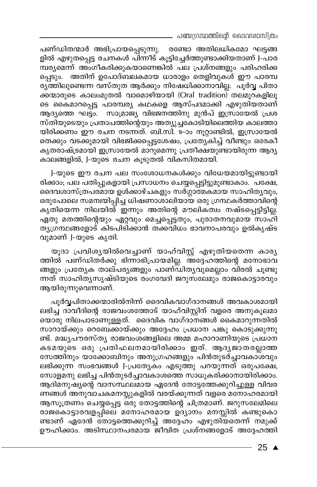പഞ്ചഗ്രന്ഥത്തിന്റെ ദൈവശാസ്ത്രം

പണ്ഡിതന്മാർ അഭിപ്രായപ്പെടുന്നു. രണ്ടോ അതിലധികമോ ഘട്ടങ്ങ ളിൽ എഴുതപ്പെട്ട രചനകൾ പിന്നീട് കൂട്ടിച്ചേർത്തുണ്ടാക്കിയതാണ് J-പാര മ്പര്യമെന്ന് അംഗീകരിക്കുകയാണെങ്കിൽ പല പ്രശ്നങ്ങളും പരിഹരിക്ക പ്പെടും. അതിന് ഉപോദ്ബലകമായ ധാരാളം തെളിവുകൾ ഈ പാരമ്പ രുത്തിലുണ്ടെന്ന വസ്തുത ആർക്കും നിഷേധിക്കാനാവില്ല. പൂർവ്വ പിതാ ക്കന്മാരുടെ കാലംമുതൽ വാമൊഴിയായി (Oral tradition) തലമുറകളിലൂ ടെ കൈമാറപ്പെട്ട പാരമ്പര്യ കഥകളെ ആസ്പദമാക്കി എഴുതിയതാണ് ആദ്യത്തെ ഘട്ടം. സാമ്രാജ്യ വിഭജനത്തിനു മുൻപ് ഇസ്രായേൽ പ്രശ സ്തിയുടെയും പ്രതാപത്തിന്റെയും അത്യുച്ചകോടിയിലെത്തിയ കാലത്താ യിരിക്കണം ഈ രചന നടന്നത്. ബി.സി. 9-ാം നൂറ്റാണ്ടിൽ, ഇസ്രായേൽ തെക്കും വടക്കുമായി വിഭജിക്കപ്പെട്ടശേഷം, പ്രത്യേകിച്ച് വീണ്ടും ഒരേകീ കൃതരാഷ്ട്രമായി ഇസ്രായേൽ മാറുമെന്നു പ്രതീക്ഷയുണ്ടായിരുന്ന ആദ്യ കാലങ്ങളിൽ, J-യുടെ രചന കൂടുതൽ വികസിതമായി.

J-യുടെ ഈ രചന പല സംശോധനകൾക്കും വിധേയമായിട്ടുണ്ടായി രിക്കാം, പല പതിപ്പുകളായി പ്രസാധനം ചെയ്യപ്പെട്ടിട്ടുമുണ്ടാകാം. പക്ഷേ, ദൈവശാസ്ത്രപര്മായ ഉൾക്കാഴ്ചകളും സർഗ്ഗാത്മകമായ സാഹിതൃവും, ഒരുപോലെ സമന്വയിപ്പിച്ച ധിഷണാശാലിയായ ഒരു ഗ്രന്ഥകർത്താവിന്റെ കൃതിയെന്ന നിലയിൽ ഇന്നും അതിന്റെ മൗലിക്ത്വം നഷ്ടപ്പെട്ടിട്ടില്ല. ഏതു മതത്തിന്റെയും ഏറ്റവും മെച്ചപ്പെട്ടതും, പുരാതനവുമായ സാഹി ത്യശ്രന്ഥങ്ങളോട് കിടപിടിക്കാൻ തക്കവിധം ഭാവനാപരവും ഉൽകൃഷ്ട വുമാണ് J-യുടെ കൃതി.

യൂദാ പ്രവിശൃയിൽവെച്ചാണ് യാഹ്വിസ്റ്റ് എഴുതിയതെന്ന കാരൃ ത്തിൽ പണ്ഡിതർക്കു ഭിന്നാഭിപ്രായമില്ല. അദ്ദേഹത്തിന്റെ മനോഭാവ ങ്ങളും പ്രത്യേക താല്പര്യങ്ങളും പാണ്ഡിത്യവുമെല്ലാം വിരൽ ചൂണ്ടു ന്നത് സാഹിതൃസൃഷ്ടിയുടെ രംഗവേദി ജറുസലേമും രാജകൊട്ടാരവും ആയിരുന്നുവെന്നാണ്.

പൂർവ്വപിതാക്കന്മാരിൽനിന്ന് ദൈവികവാഗ്ദാനങ്ങൾ അവകാശമായി ലഭിച്ച ദാവീദിന്റെ രാജവംശത്തോട് യാഹ്വിസ്റ്റിന് വളരെ അനുകൂലമാ യൊരു നിലപാടാണുള്ളത്. ദൈവിക വാഗ്ദാനങ്ങൾ കൈമാറുന്നതിൽ സാറായ്ക്കും റെബേക്കായ്ക്കും അദ്ദേഹം പ്രധാന പങ്കു കൊടുക്കുന്നു ണ്ട്. മദ്ധ്യപൗരസ്ത്യ രാജവംശങ്ങളിലെ അമ്മ മഹാറാണിയുടെ പ്രധാന കടമയുടെ ഒരു പ്രതിഫലനമായിരിക്കാം ഇത്. ആദൃജാതരല്ലാത്ത സേത്തിനും യാക്കോബിനും അനുഗ്രഹങ്ങളും പിൻതുടര്ച്ചാവകാശവും ലഭിക്കുന്ന സംഭവങ്ങൾ J-പ്രത്യേകം എടുത്തു പറയുന്നത് ഒരുപക്ഷേ, സോളമനു ലഭിച്ച പിൻതുടർച്ചാവകാശത്തെ സാധൂകരിക്കാനായിരിക്കാം. ആദിമനുഷ്യന്റെ വാസസ്ഥലമായ ഏദേൻ തോട്ടത്തേക്കുറിച്ചുള്ള വിവര ണങ്ങൾ അനുവാചകമനസ്സുകളിൽ വരയ്ക്കുന്നത് വളരെ മനോഹരമായി ആസൂത്രണം ചെയ്യപ്പെട്ട ഒരു തോട്ടത്തിന്റെ ചിത്രമാണ്. ജറുസലേമിലെ രാജകൊട്ടാരവളപ്പിലെ മനോഹരമായ ഉദ്യാനം മനസ്സിൽ കണ്ടുകൊ ണ്ടാണ് ഏദേൻ തോട്ടത്തെക്കുറിച്ച് അദ്ദേഹം എഴുതിയതെന്ന് നമുക്ക് ഊഹിക്കാം. അടിസ്ഥാനപരമായ ജീവിത പ്രശ്നങ്ങളോട് അദ്ദേഹത്തി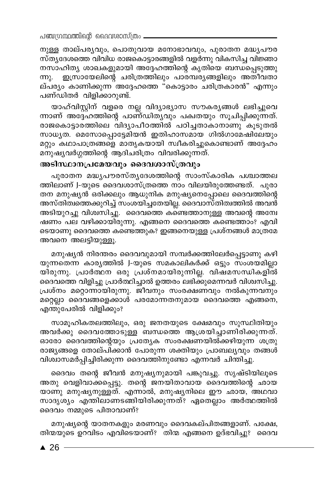നുള്ള താല്പര്യവും, പൊതുവായ മനോഭാവവും, പുരാതന മദ്ധ്യപൗര സ്ത്യദേശത്തെ വിവിധ രാജകൊട്ടാരങ്ങളിൽ വളർന്നു വികസിച്ച വിജ്ഞാ നസാഹിത്യ ശാഖകളുമായി അദ്ദേഹത്തിന്റെ കൃതിയെ ബന്ധപ്പെടുത്തു ഇസ്രായേലിന്റെ ചരിത്രത്തിലും പാരമ്പര്യങ്ങളിലും അതീവതാ ന്നു. ല്പര്യം കാണിക്കുന്ന<sup>്</sup>അദ്ദേഹത്തെ "കൊട്ടാരം ചരിത്രകാരൻ" എന്നും പണ്ഡിതർ വിളിക്കാറുണ്ട്.

യാഹ്വിസ്റ്റിന് വളരെ നല്ല വിദ്യാഭ്യാസ സൗകര്യങ്ങൾ ലഭിച്ചുവെ ന്നാണ് അദ്ദേഹത്തിന്റെ പാണ്ഡിത്യവും പക്വതയും സൂചിപ്പിക്കുന്നത്. രാജകൊട്ടാരത്തിലെ വിദ്യാപീഠത്തിൽ പഠിച്ചതാകാനാണു് കൂടുതൽ സാധ്യത. മെസോപ്പൊട്ടേമിയൻ ഇതിഹാസമായ ഗിൽഗാമേഷിലേയും മറ്റും കഥാപാത്രങ്ങളെ മാതൃകയായി സ്ഥീകരിച്ചുകൊണ്ടാണ് അദ്ദേഹം മനുഷ്യവർഗ്ഗത്തിന്റെ ആദിചരിത്രം വിവരിക്കുന്നത്.

### അടിസ്ഥാനപ്രമേയവും ദൈവശാസ്ത്രവും

പുരാതന മദ്ധ്യപൗരസ്ത്യദേശത്തിന്റെ സാംസ്കാരിക പശ്ചാത്തല ത്തിലാണ് J-യുടെ ദൈവശാസ്ത്രത്തെ നാം വിലയിരുത്തേണ്ടത്. പുരാ തന മനുഷ്യൻ ഒരിക്കലും ആധുനിക മനുഷ്യനെപ്പോലെ ദൈവത്തിന്റെ അസ്തിത്വത്തെക്കുറിച്ച് സംശയിച്ചതേയില്ല. ദൈവാസ്തിത്വത്തിൽ അവൻ അടിയുറച്ചു വിശ്വസിച്ചു. ദൈവത്തെ കണ്ടെത്താനുള്ള അവന്റെ അന്വേ ഷണം പല വഴിക്കായിരുന്നു. എങ്ങനെ ദൈവത്തെ കണ്ടെത്താം? എവി ടെയാണു ദൈവത്തെ കണ്ടെത്തുക? ഇങ്ങനെയുള്ള പ്രശ്നങ്ങൾ മാത്രമേ അവനെ അലട്ടിയുള്ളൂ.

മനുഷ്യൻ നിരന്തരം ദൈവവുമായി സമ്പർക്കത്തിലേർപ്പെട്ടാണു കഴി യുന്നതെന്ന കാരൃത്തിൽ J-യുടെ സമകാലികർക്ക് ഒട്ടും സംശയമില്ലാ യിരുന്നു. പ്രാർത്ഥന ഒരു പ്രശ്നമായിരുന്നില്ല. വിഷമസന്ധികളിൽ ദൈവത്തെ വിളിച്ചു പ്രാർത്ഥിച്ചാൽ ഉത്തരം ലഭിക്കുമെന്നവർ വിശ്വസിച്ചു. പ്രശ്നം മറ്റൊന്നായിരുന്നു. ജീവനും സംരക്ഷണവും നൽകുന്നവനും മറ്റെല്ലാ ദൈവങ്ങളെക്കാൾ പരമോന്നതനുമായ ദൈവത്തെ എങ്ങനെ, എന്തുപേരിൽ വിളിക്കും?

സാമൂഹികതലത്തിലും, ഒരു ജനതയുടെ ക്ഷേമവും സുസ്ഥിതിയും അവർക്കു ദൈവത്തോടുള്ള ബന്ധത്തെ ആശ്രയിച്ചാണിരിക്കുന്നത്. ഓരോ ദൈവത്തിന്റെയും പ്രത്യേക സംരക്ഷണയിൽക്കഴിയുന്ന ശത്രു രാജ്യങ്ങളെ തോല്പിക്കാൻ പോരുന്ന ശക്തിയും പ്രാബല്യവും തങ്ങൾ വിശ്വാസമർപ്പിച്ചിരിക്കുന്ന ദൈവത്തിനുണ്ടോ എന്നവർ ചിന്തിച്ചു.

ദൈവം തന്റെ ജീവൻ മനുഷ്യനുമായി പങ്കുവച്ചു. സൃഷ്ടിയിലൂടെ അതു വെളിവാക്കപ്പെട്ടു. തന്റെ ജനയിതാവായ ദൈവത്തിന്റെ ഛായ യാണു മനുഷ്യനുള്ളത്. എന്നാൽ, മനുഷ്യനിലെ ഈ ഛായ, അഥവാ സാദൃശ്യം എന്തിലാണടങ്ങിയിരിക്കുന്നത്? ഏതെല്ലാം അർത്ഥത്തിൽ ദൈവം നമ്മുടെ പിതാവാണ്?

മനുഷ്യന്റെ യാതനകളും മരണവും ദൈവകല്പിതങ്ങളാണ്. പക്ഷേ, തിന്മയുടെ ഉറവിടം എവിടെയാണ്? തിന്മ എങ്ങനെ ഉദ്ഭവിച്ചു? ദൈവ

 $\blacktriangle$  26 -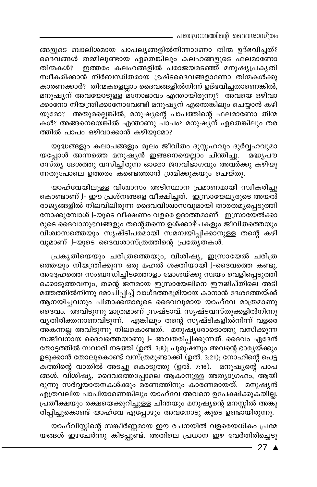\_ പഞ്ചഗ്രന്ഥത്തിന്റെ ദൈവശാസ്ത്രം

ങ്ങളുടെ ബാലിശമായ ചാപല്യങ്ങളിൽനിന്നാണോ തിന്മ ഉദ്ഭവിച്ചത്? ദൈവങ്ങൾ തമ്മിലുണ്ടായ ഏതെങ്കിലും കലഹങ്ങളുടെ ഫലമാണോ തിന്മകൾ? ഇത്തരം കലഹങ്ങളിൽ പരാജയമടഞ്ഞ് മനുഷ്യപ്രകൃതി സ്ഥീകരിക്കാൻ നിർബന്ധിതരായ ഭ്രഷ്ടദൈവങ്ങളാണോ തിന്മകൾക്കു കാരണക്കാർ? തിന്മകളെല്ലാം ദൈവങ്ങളിൽനിന്ന് ഉദ്ഭവിച്ചതാണെങ്കിൽ, മനുഷ്യന് അവയോടുള്ള മനോഭാവം എന്തായിരുന്നു? അവയെ ഒഴിവാ ക്കാനോ നിയന്ത്രിക്കാനോവേണ്ടി മനുഷ്യന് എന്തെങ്കിലും ചെയ്യാൻ കഴി യുമോ? അതുമല്ലെങ്കിൽ, മനുഷ്യന്റെ പാപത്തിന്റെ ഫലമാണോ തിന്മ കൾ? അങ്ങനെയെങ്കിൽ എന്താണു പാപം? മനുഷ്യന് ഏതെങ്കിലും തര ത്തിൽ പാപം ഒഴിവാക്കാൻ കഴിയുമോ?

യുദ്ധങ്ങളും കലാപങ്ങളും മൂലം ജീവിതം ദുസ്സഹവും ദുർവ്വഹവുമാ യപ്പോൾ അന്നത്തെ മനുഷ്യൻ ഇങ്ങനെയെല്ലാം ചിന്തിച്ചു. \_ മദ്ധ്യപൗ രസ്തൃ ദേശത്തു വസിച്ചിരുന്ന ഓരോ ജനവിഭാഗവും അവർക്കു കഴിയു ന്നതുപോലെ ഉത്തരം കണ്ടെത്താൻ ശ്രമിക്കുകയും ചെയ്തു.

യാഹ്വേയിലുള്ള വിശ്വാസം അടിസ്ഥാന പ്രമാണമായി സ്വീകരിച്ചു കൊണ്ടാണ് J- ഈ പ്രശ്നങ്ങളെ വീക്ഷിച്ചത്. ഇസ്രായേല്യരുടെ അയൽ രാജ്യങ്ങളിൽ നിലവിലിരുന്ന ദൈവവിശ്വാസവുമായി താരതമ്യപ്പെടുത്തി നോക്കുമ്പോൾ J-യുടെ വീക്ഷണം വളരെ ഉദാത്തമാണ്. ഇസ്രായേൽക്കാ രുടെ ദൈവാനുഭവങ്ങളും തന്റെതന്നെ ഉൾക്കാഴ്ചകളും ജീവിതത്തെയും വിശ്വാസത്തെയും സൃഷ്ടിപരമായി സമന്വയിപ്പിക്കാനുള്ള തന്റെ കഴി വുമാണ് J-യുടെ ദൈവശാസ്ത്രത്തിന്റെ പ്രത്യേതകൾ.

പ്രകൃതിയെയും ചരിത്രത്തെയും, വിശിഷ്യ, ഇസ്രായേൽ ചരിത്ര ത്തെയും നിയന്ത്രിക്കുന്ന ഒരു മഹൽ ശക്തിയായി J-ദൈവത്തെ കണ്ടു. അദ്ദേഹത്തെ സംബന്ധിച്ചിടത്തോളം മോശയ്ക്കു സ്വയം വെളിപ്പെടുത്തി ക്കൊടുത്തവനും, തന്റെ ജനമായ ഇസ്രായേലിനെ ഈജിപ്തിലെ അടി മത്തത്തിൽനിന്നു മോചിപ്പിച്ച് വാഗ്ദത്തഭൂമിയായ കാനാൻ ദേശത്തേയ്ക്ക് ആനയിച്ചവനും പിതാക്കന്മാരുടെ ദൈവവുമായ യാഹ്വേ മാത്രമാണു ദൈവം. അവിടുന്നു മാത്രമാണ് സ്രഷ്ടാവ്. സൃഷ്ടവസ്തുക്കളിൽനിന്നു വൃതിരിക്തനാണവിടുന്ന്. എങ്കിലും തന്റെ സൃഷ്ടികളിൽനിന്ന് വളരെ അകന്നല്ല അവിടുന്നു നിലകൊണ്ടത്. മനുഷ്യരോടൊത്തു വസിക്കുന്ന സജീവനായ ദൈവത്തെയാണു J- അവതരിപ്പിക്കുന്നത്. ദൈവം ഏദേൻ തോട്ടത്തിൽ സവാരി നടത്തി (ഉൽ. 3:8); പുരുഷനും അവന്റെ ഭാര്യയ്ക്കും ഉടുക്കാൻ തോലുകൊണ്ട് വസ്ത്രമുണ്ടാക്കി (ഉൽ. 3:21); നോഹിന്റെ പെട്ട കത്തിന്റെ വാതിൽ അടച്ചു കൊടുത്തു (ഉൽ. 7:16). മനുഷ്യന്റെ പാപ ങ്ങൾ, വിശിഷ്യ, ദൈവത്തെപ്പോലെ ആകാനുള്ള അത്യാഗ്രഹം, ആയി രുന്നു സർവ്വയാതനകൾക്കും മരണത്തിനും കാരണമായത്. മനുഷ്യൻ എത്രവലിയ പാപിയാണെങ്കിലും യാഹ്വേ അവനെ ഉപേക്ഷിക്കുകയില്ല. പ്രതീക്ഷയും രക്ഷയെക്കുറിച്ചുള്ള ചിന്തയും മനുഷ്യന്റെ മനസ്സിൽ അങ്കു രിപ്പിച്ചുകൊണ്ട് യാഹ്വേ് എപ്പോഴും അവനോടു് കൂടെ ഉണ്ടായിരുന്നു.

യാഹ്വിസ്റ്റിന്റെ സങ്കീർണ്ണമായ ഈ രചനയിൽ വളരെയധികം പ്രമേ യങ്ങൾ ഇഴചേർന്നു കിടപ്പുണ്ട്. അതിലെ പ്രധാന ഈ വേർതിരിച്ചെടു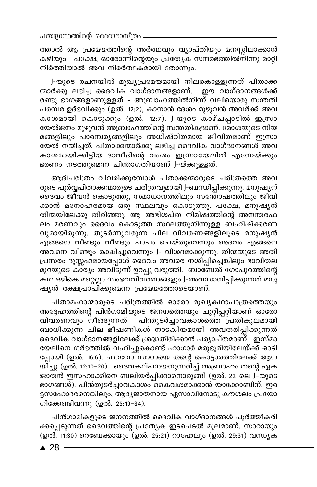ത്താൽ ആ പ്രമേയത്തിന്റെ അർത്ഥവും വ്യാപ്തിയും മനസ്സിലാക്കാൻ കഴിയും. പക്ഷേ, ഓരോന്നിന്റെയും പ്രത്യേക സന്ദർഭത്തിൽനിന്നു മാറ്റി നിർത്തിയാൽ അവ നിരർത്ഥകമായി തോന്നും.

J-യുടെ രചനയിൽ മുഖ്യപ്രമേയമായി നിലകൊള്ളുന്നത് പിതാക്ക ന്മാർക്കു ലഭിച്ച ദൈവിക വാഗ്ദാനങ്ങളാണ്. ഈ വാഗ്ദാനങ്ങൾക്ക് രണ്ടു ഭാഗങ്ങളാണുള്ളത് – അബ്രാഹത്തിൽനിന്ന് വലിയൊരു സന്തതി പരമ്പര ഉദ്ഭവിക്കും (ഉൽ. 12:2), കാനാൻ ദേശം മുഴുവൻ അവർക്ക് അവ കാശമായി കൊടുക്കും (ഉൽ. 12:7). J-യുടെ കാഴ്ചപ്പാടിൽ ഇസ്രാ യേൽജനം മുഴുവൻ അബ്രാഹത്തിന്റെ സന്തതികളാണ്. മോശയുടെ നിയ മങ്ങളിലും പാരമ്പരൃങ്ങളിലും അധിഷ്ഠിതമായ ജീവിതമാണ് ഇസ്രാ യേൽ നയിച്ചത്. പിതാക്കന്മാർക്കു ലഭിച്ച ദൈവിക വാഗ്ദാനങ്ങൾ അവ കാശമായിക്കിട്ടിയ ദാവീദിന്റെ വംശം ഇസ്രായേലിൽ എന്നേയ്ക്കും ഭരണം നടത്തുമെന്ന ചിന്താഗതിയാണ് J-യ്ക്കുള്ളത്.

ആദിചരിത്രം വിവരിക്കുമ്പോൾ പിതാക്കന്മാരുടെ ചരിത്രത്തെ അവ രുടെ പൂർവ്വപിതാക്കന്മാരുടെ ചരിത്രവുമായി J-ബന്ധിപ്പിക്കുന്നു. മനുഷ്യന് ദൈവം ജീവൻ കൊടുത്തു, സമാധാനത്തിലും സന്തോഷത്തിലും ജീവി ക്കാൻ മനോഹരമായ ഒരു സ്ഥലവും കൊടുത്തു. പക്ഷേ, മനുഷൃൻ തിന്മയിലേക്കു തിരിഞ്ഞു. ആ അഭിശപ്ത നിമിഷത്തിന്റെ അനന്തര്ഫ ലം മരണവും ദൈവം കൊടുത്ത സ്ഥലത്തുനിന്നുള്ള ബഹിഷ്ക്കരണ വുമായിരുന്നു. തുടർന്നുവരുന്ന ചില വിവരണങ്ങളിലൂടെ മനുഷ്യൻ എങ്ങനെ വീണ്ടും വീണ്ടും പാപം ചെയ്തുവെന്നും ദൈവം എങ്ങനെ അവനെ വീണ്ടും രക്ഷിച്ചുവെന്നും J- വിശദമാക്കുന്നു. തിന്മയുടെ അതി പ്രസരം ദുസ്സഹമായപ്പോൾ ദൈവം അവരെ നശിപ്പിച്ചെങ്കിലും ഭാവിതല മുറയുടെ കാര്യം അവിടുന്ന് ഉറപ്പു വരുത്തി. ബാബേൽ ഗോപുരത്തിന്റെ കഥ ഒഴികെ മറ്റെല്ലാ സംഭവവിവരണങ്ങളും J-അവസാനിപ്പിക്കുന്നത് മനു ഷൃൻ രക്ഷപ്രാപിക്കുമെന്ന പ്രമേയത്തോടെയാണ്.

പിതാമഹാന്മാരുടെ ചരിത്രത്തിൽ ഓരോ മുഖ്യകഥാപാത്രത്തെയും അദ്ദേഹത്തിന്റെ പിൻഗാമിയുടെ ജനനത്തെയും ചുറ്റിപ്പറ്റിയാണ് ഓരോ വിവരണവും നീങ്ങുന്നത്. പിന്തുടർച്ചാവകാശത്തെ പ്രതികൂലമായി ബാധിക്കുന്ന ചില ഭീഷണികൾ നാടകീയമായി അവതരിപ്പിക്കുന്നത് ദൈവിക വാഗ്ദാനങ്ങളിലേക്ക് ശ്രദ്ധതിരിക്കാൻ പര്യാപ്തമാണ്. ഇസ്മാ യേലിനെ ഗർഭത്തിൽ വഹിച്ചുകൊണ്ട് ഹാഗാർ മരുഭൂമിയിലേയ്ക്ക് ഓടി പ്പോയി (ഉൽ. 16:6). ഫറവോ സാറായെ തന്റെ കൊട്ടാരത്തിലേക്ക് ആന യിച്ചു (ഉൽ. 12:10–20). ദൈവകല്പനയനുസരിച്ച് അബ്രാഹം തന്റെ ഏക ജാതൻ ഇസഹാക്കിനെ ബലിയർപ്പിക്കാനൊരുങ്ങി (ഉൽ. 22-ലെ J–്യുടെ ഭാഗങ്ങൾ). പിൻതുടർച്ചാവകാശം കൈവശമാക്കാൻ യാക്കോബിന്, ഇര ട്ടസഹോദരനെങ്കിലും, ആദ്യജാതനായ ഏസാവിനോടു കൗശലം പ്രയോ .<br>ഗിക്കേണ്ടിവന്നു (ഉൽ. 25:19-34).

പിൻഗാമികളുടെ ജനനത്തിൽ ദൈവിക വാഗ്ദാനങ്ങൾ പൂർത്തീകരി ക്കപ്പെടുന്നത് ദൈവത്തിന്റെ പ്രത്യേക ഇടപെടൽ മൂലമാണ്. സാറായും (ഉൽ. 11:30) റെബേക്കായും (ഉൽ. 25:21) റാഹേലും (ഉൽ. 29:31) വന്ധ്യക

 $\triangle$  28 -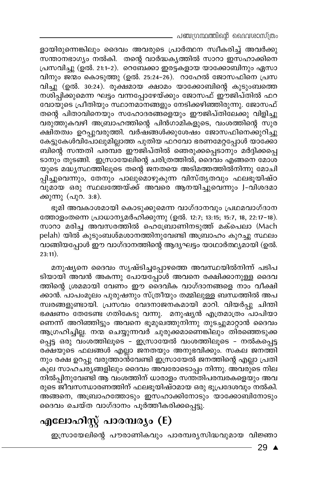\_ പഞ്ചഗ്രന്ഥത്തിന്റെ ദൈവശാസ്ത്രം

ളായിരുന്നെങ്കിലും ദൈവം അവരുടെ പ്രാർത്ഥന സ്വീകരിച്ച് അവർക്കു സന്താനഭാഗ്യം നൽകി. തന്റെ വാർദ്ധകൃത്തിൽ സാറാ ഇസഹാക്കിനെ പ്രസവിച്ചു (ഉൽ. 21:1–2). റെബേക്കാ ഇരട്ടകളായ യാക്കോബിനും ഏസാ വിനും ജന്മം കൊടുത്തു (ഉൽ. 25:24-26). റാഹേൽ ജോസഫിനെ പ്രസ വിച്ചു (ഉൽ. 30:24). രൂക്ഷമായ ക്ഷാമം യാക്കോബിന്റെ കുടുംബത്തെ നശിപ്പിക്കുമെന്ന ഘട്ടം വന്നപ്പോഴേയ്ക്കും ജോസഫ് ഈജിപ്തിൽ ഫറ വോയുടെ പ്രീതിയും സ്ഥാനമാനങ്ങളും നേടിക്കഴിഞ്ഞിരുന്നു. ജോസഫ് തന്റെ പിതാവിനെയും സഹോദരങ്ങളെയും ഈജിപ്തിലേക്കു വിളിച്ചു വരുത്തുകവഴി അബ്രാഹത്തിന്റെ പിൻഗാമികളുടെ, വംശത്തിന്റെ സുര ക്ഷിതത്വം ഉറപ്പുവരുത്തി. വർഷ്ങ്ങൾക്കുശേഷം ജോസഫിനെക്കുറിച്ചു കേട്ടുകേൾവിപോലുമില്ലാത്ത പുതിയ ഫറവോ ഭരണമേറ്റപ്പോൾ യാക്കോ ബിന്റെ സന്തതി പരമ്പ്ര ഈജിപ്തിൽ ഞെരുക്കപ്പെടാനും മർദ്ദിക്കപ്പെ ടാനും തുടങ്ങി. ഇസ്രായേലിന്റെ ചരിത്രത്തിൽ, ദൈവം എങ്ങനെ മോശ യുടെ മദ്ധ്യസ്ഥത്തിലൂടെ തന്റെ ജനതയെ അടിമത്തത്തിൽനിന്നു മോചി പ്പിച്ചുവെന്നും, തേനും പാലുമൊഴുകുന്ന വിസ്തൃതവും ഫലഭൂയിഷ്ഠ വുമായ ഒരു സ്ഥലത്തേയ്ക്ക് അവരെ ആനയിച്ചുവെന്നും J-വിശദമാ ക്കുന്നു (പുറ. 3:8).

ഭൂമി അവകാശമായി കൊടുക്കുമെന്ന വാഗ്ദാനവും പ്രഥമവാഗ്ദാന ത്തോളംതന്നെ പ്രാധാന്യമർഹിക്കുന്നു (ഉൽ. 12:7; 13:15; 15:7, 18, 22:17-18). സാറാ മരിച്ച അവസരത്തിൽ ഹെബ്രോണിനടുത്ത് മക്പെലാ (Mach pelah) യിൽ കുടുംബശ്മശാനത്തിനുവേണ്ടി അബ്രാഹം കുറച്ചു സ്ഥലം വാങ്ങിയപ്പോൾ ഈ വാഗ്ദാനത്തിന്റെ ആദ്യഘട്ടം യാഥാർത്ഥ്യമായി (ഉൽ.  $23:11$ ).

മനുഷ്യനെ ദൈവം സൃഷ്ടിച്ചപ്പോഴത്തെ അവസ്ഥയിൽനിന്ന് പടിപ ടിയായി അവൻ അകന്നു പോയപ്പോൾ അവനെ രക്ഷിക്കാനുള്ള ദൈവ ത്തിന്റെ ശ്രമമായി വേണം ഈ ദൈവിക വാഗ്ദാനങ്ങളെ നാം വീക്ഷി ക്കാൻ. പാപംമൂലം പുരുഷനും സ്ത്രീയും തമ്മിലുള്ള ബന്ധത്തിൽ അപ സ്വരങ്ങളുണ്ടായി. പ്രസവം വേദനാജനകമായി മാറി. വിയർപ്പു ചിന്തി ഭക്ഷണം തേടേണ്ട ഗതികേടു വന്നു. മനുഷ്യൻ എത്രമാത്രം പാപിയാ ണെന്ന് അറിഞ്ഞിട്ടും അവനെ ഭൂമുഖത്തുനിന്നു തുടച്ചുമാറ്റാൻ ദൈവം ആഗ്രഹിച്ചില്ല. നന്മ ചെയ്യുന്നവർ ചുരുക്കമാണെങ്കിലും തിരഞ്ഞെടുക്ക പ്പെട്ട ഒരു വംശത്തിലൂടെ - ഇസ്രായേൽ വംശത്തിലൂടെ - നൽകപ്പെട്ട രക്ഷയുടെ ഫലങ്ങൾ എല്ലാ ജനതയും അനുഭവിക്കും. സകല ജനത്തി നും രക്ഷ ഉറപ്പു വരുത്താൻവേണ്ടി ഇസ്രായേൽ ജനത്തിന്റെ എല്ലാ പ്രതി കൂല സാഹചര്യങ്ങളിലും ദൈവം അവരോടൊപ്പം നിന്നു. അവരുടെ നില നിൽപ്പിനുവേണ്ടി ആ വംശത്തിന് ധാരാളം സന്തതിപരമ്പരകളെയും അവ രുടെ ജീവസന്ധാരണത്തിന് ഫലഭൂയിഷ്ഠമായ ഒരു ഭൂപ്രദേശവും നൽകി. അങ്ങനെ, അബ്രാഹത്തോടും ഇസഹാക്കിനോടും യാക്കോബിനോടും ദൈവം ചെയ്ത വാഗ്ദാനം പൂർത്തീകരിക്കപ്പെട്ടു.

## എലോഹിസ്റ്റ് പാരമ്പര്യം (E)

ഇസ്രായേലിന്റെ പൗരാണികവും പാരമ്പര്യസിദ്ധവുമായ വിജ്ഞാ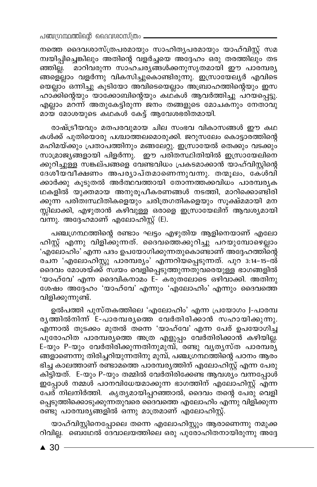നത്തെ ദൈവശാസ്ത്രപരമായും സാഹിത്യപരമായും യാഹ്വിസ്റ്റ് സമ ന്വയിപ്പിച്ചെങ്കിലും അതിന്റെ വളർച്ചയെ അദ്ദേഹം ഒരു തരത്തിലും തട ഞ്ഞില്ല. മാറിവരുന്ന സാഹചര്യങ്ങൾക്കനുസൃതമായി ഈ പാരമ്പര്യ ങ്ങളെല്ലാം വളർന്നു വികസിച്ചുകൊണ്ടിരുന്നു. ഇസ്രായേല്യർ എവിടെ യെല്ലാം ഒന്നിച്ചു കൂടിയോ അവിടെയെല്ലാം അബ്രാഹത്തിന്റെയും ഇസ ഹാക്കിന്റെയും യാക്കോബിന്റെയും കഥ്കൾ ആവർത്തിച്ചു പറയപ്പെട്ടു. എല്ലാം മറന്ന് അതുകേട്ടിരുന്ന ജനം തങ്ങളുടെ മോചകനും നേതാവു മായ മോശയുടെ കഥകൾ കേട്ട് ആവേശഭരിതമായി.

രാഷ്ട്രീയവും മതപരവുമായ ചില സംഭവ വികാസങ്ങൾ ഈ കഥ കൾക്ക് പുതിയൊരു പശ്ചാത്തലമൊരുക്കി. ജറുസലേം കൊട്ടാരത്തിന്റെ മഹിമയ്ക്കും പ്രതാപത്തിനും മങ്ങലേറ്റു. ഇസ്രായേൽ തെക്കും വടക്കും സാമ്രാജ്യങ്ങളായി പിളർന്നു. ഈ പരിതസ്ഥിതിയിൽ ഇസ്രായേലിനെ ക്കുറിച്ചുള്ള സങ്കല്പങ്ങളെ വേണ്ടവിധം പ്രകടമാക്കാൻ യാഹ്വിസ്റ്റിന്റെ ദേശീയവീക്ഷണം അപര്യാപ്തമാണെന്നുവന്നു. തന്മൂലം, കേശ്വി ക്കാർക്കു കൂടുതൽ അർത്ഥവത്തായി തോന്നത്തക്കവിധം പാരമ്പരൃക ഥകളിൽ യുക്തമായ അനുരൂപീകരണങ്ങൾ നടത്തി, മാറിക്കൊണ്ടിരി ക്കുന്ന പരിതഃസ്ഥിതികളെയും ചരിത്രഗതികളെയും സൂക്ഷ്മമായി മന സ്സിലാക്കി, എഴുതാൻ കഴിവുള്ള ഒരാളെ ഇസ്രായേലിന് ആവശ്യമായി വന്നു. അദ്ദേഹമാണ് എലോഹിസ്റ്റ് (E).

പഞ്ചഗ്രന്ഥത്തിന്റെ രണ്ടാം ഘട്ടം എഴുതിയ ആളിനെയാണ് എലോ ഹിസ്റ്റ് എന്നു വിളിക്കുന്നത്. ദൈവത്തെക്കുറിച്ചു പറയുമ്പോഴെല്ലാം 'എലോഹിം' എന്ന പദം ഉപയോഗിക്കുന്നതുകൊണ്ടാണ് അദ്ദേഹത്തിന്റെ രചന 'എലോഹിസ്റ്റു പാരമ്പര്യം' എന്നറിയപ്പെടുന്നത്. പുറ 3:14-15-ൽ ദൈവം മോശയ്ക്ക് സ്വയം വെളിപ്പെടുത്തുന്നതുവരെയുള്ള ഭാഗങ്ങളിൽ 'യാഹ്വേ' എന്ന ദൈവികനാമം E– കരുതലോടെ ഒഴിവാക്കി. അതിനു ശേഷം അദ്ദേഹം 'യാഹ്വേ' എന്നും 'എലോഹിം' എന്നും ദൈവത്തെ വിളിക്കുന്നുണ്ട്.

ഉൽപത്തി പുസ്തകത്തിലെ 'എലോഹിം' എന്ന പ്രയോഗം J-പാരമ്പ രൃത്തിൽനിന്ന് E-പാരമ്പരൃത്തെ വേർതിരിക്കാൻ സഹായിക്കുന്നു. എന്നാൽ തുടക്കം മുതൽ തന്നെ 'യാഹ്വേ' എന്ന പേര് ഉപയോഗിച്ച പുരോഹിത പാരമ്പര്യത്തെ അത്ര എളുപ്പം വേർതിരിക്കാൻ കഴിയില്ല. E-യും P-യും വേർതിരിക്കുന്നതിനുമുമ്പ്, രണ്ടു വൃതൃസ്ത പാരമ്പര്ൃ ങ്ങളാണെന്നു തിരിച്ചറിയുന്നതിനു മുമ്പ്, പഞ്ചഗ്രന്ഥത്തിന്റെ പഠനം ആരം ഭിച്ച കാലത്താണ് രണ്ടാമത്തെ പാരമ്പര്യത്തിന് എലോഹിസ്റ്റ് എന്ന പേരു കിട്ടിയത്. E-യും P-യും തമ്മിൽ വേർതിരിക്കേണ്ട ആവശ്യം വന്നപ്പോൾ ഇപ്പോൾ നമ്മൾ പഠനവിധേയമാക്കുന്ന ഭാഗത്തിന് എലോഹിസ്റ്റ് എന്ന പേര് നിലനിർത്തി. കൃത്യമായിപ്പറഞ്ഞാൽ, ദൈവം തന്റെ പേരു വെളി പ്പെടുത്തിക്കൊടുക്കുന്നതുവരെ ദൈവത്തെ എലോഹിം എന്നു വിളിക്കുന്ന രണ്ടു പാരമ്പര്യങ്ങളിൽ ഒന്നു മാത്രമാണ് എലോഹിസ്റ്റ്.

യാഹ്വിസ്റ്റിനെപ്പോലെ തന്നെ എലോഹിസ്റ്റും ആരാണെന്നു നമുക്ക റിവില്ല. ബെഥേൽ ദേവാലയത്തിലെ ഒരു പുരോഹിതനായിരുന്നു അദ്ദേ

 $\triangle$  30  $\overline{\phantom{0}}$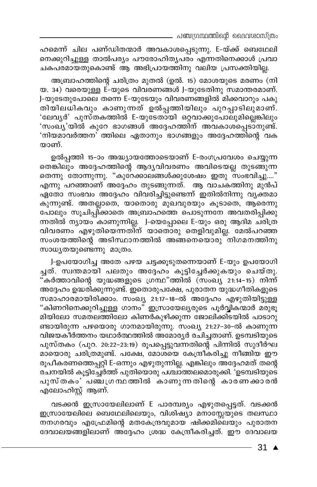. പഞ്ചഗ്രന്ഥത്തിന്റെ ദൈവശാസ്ത്രം

ഹമെന്ന് ചില പണ്ഡിതന്മാർ അവകാശപ്പെടുന്നു. E-യ്ക്ക് ബെഥേലി നെക്കുറിച്ചുള്ള താൽപര്യം പൗരോഹിതൃപരം എന്നതിനെക്കാൾ പ്രവാ ചകപരമായതുകൊണ്ട് ആ അഭിപ്രായത്തിനു വലിയ പ്രസക്തിയില്ല.

അബ്രാഹത്തിന്റെ ചരിത്രം മുതൽ (ഉൽ. 15) മോശയുടെ മരണം (നി യ. 34) വരെയുള്ള E-യുടെ വിവരണങ്ങൾ J-യുടേതിനു സമാന്തരമാണ്. J-യുടേതുപോലെ തന്നെ E-യുടേയും വിവരണങ്ങളിൽ മിക്കവാറും പകു തിയിലധികവും കാണുന്നത് ഉൽപ്പത്തിയിലും പുറപ്പാടിലുമാണ്. 'ലേവൃർ' പുസ്തകത്തിൽ E-യുടേതായി ഒറ്റവാക്കുപോലുമില്ലെങ്കിലും 'സംഖ്യ'യിൽ കുറേ ഭാഗങ്ങൾ അദ്ദേഹത്തിന് അവകാശപ്പെടാനുണ്ട്. 'നിയമാവർത്തന' ത്തിലെ ഏതാനും ഭാഗങ്ങളും അദ്ദേഹത്തിന്റെ വക യാണ്.

ഉൽപ്പത്തി 15-ാം അദ്ധ്യായത്തോടെയാണ് E-രംഗപ്രവേശം ചെയ്യുന്ന തെങ്കിലും അദ്ദേഹത്തിന്റെ ആദ്യവിവരണം അവിടെയല്ല തുടങ്ങുന്ന തെന്നു തോന്നുന്നു. "കുറേക്കാലങ്ങൾക്കുശേഷം ഇതു സംഭവിച്ചു...." എന്നു പറഞ്ഞാണ് അദ്ദേഹം തുടങ്ങുന്നത്. ആ വാചകത്തിനു മുൻപ് ഏതോ സംഭവം അദ്ദേഹം വിവരിച്ചിട്ടുണ്ടെന്ന് ഇതിൽനിന്നു വ്യക്തമാ കുന്നുണ്ട്. അതല്ലാതെ, യാതൊരു മുഖവുരയും കൂടാതെ, ആരെന്നു പോലും സൂചിപ്പി്ക്കാതെ അബ്രാഹത്തെ പൊടുന്നനേ അവതരിപ്പിക്കു ന്നതിൽ ന്യായം കാണുന്നില്ല. J-യെപ്പോലെ E-യും ഒരു ആദിമ ചരിത്ര വിവരണം എഴുതിയെന്നതിന് യാതൊരു തെളിവുമില്ല. മേൽപറഞ്ഞ സംശയത്തിന്റെ അടിസ്ഥാനത്തിൽ അങ്ങനെയൊരു നിഗമനത്തിനു സാധൃതയുണ്ടെന്നു മാത്രം.

J-ഉപയോഗിച്ച അതേ പഴയ ചട്ടക്കൂടുതന്നെയാണ് E-യും ഉപയോഗി ച്ചത്. സ്വന്തമായി പലതും അദ്ദേഹം കൂട്ടിച്ചേർക്കുകയും ചെയ്തു. 'കർത്താവിന്റെ യുദ്ധങ്ങളുടെ ഗ്രന്ഥ"ത്തിൽ (സംഖ്യ 21:14-15) നിന്ന് അദ്ദേഹം ഉദ്ധരിക്കുന്നുണ്ട്. ഇതൊരുപക്ഷേ, പുരാതന യുദ്ധഗീതികളുടെ സമാഹാരമായിരിക്കാം. സംഖ്യ 21:17-18-ൽ അദ്ദേഹം എഴുതിയി<u>ട്ടുള്ള</u> "കിണറിനെക്കുറിച്ചുള്ള ഗാനം" ഇസ്രായേല്യരുടെ പൂർവ്വികന്മാർ മരുഭൂ മിയിലോ സമതലത്തിലോ കിണർകുഴിക്കുന്ന ജോലിക്കിടയിൽ പാടാറു ണ്ടായിരുന്ന പഴയൊരു ഗാനമായിരുന്നു. സംഖ്യ 21:27-30-ൽ കാണുന്ന വിജയകീർത്തനം യഥാർത്ഥത്തിൽ അമോരൃർ രചിച്ചതാണ്. ഉടമ്പടിയുടെ പുസ്തകം (പുറ. 20:22–23:19) രൂപപ്പെട്ടുവന്നതിന്റെ പിന്നിൽ സുദീർഘ മായൊരു ചരിത്രമുണ്ട്. പക്ഷേ, മോശയെ കേന്ദ്രീകരിച്ചു നീങ്ങിയ ഈ രൂപീകരണത്തെപ്പറ്റി E-ഒന്നും എഴുതുന്നില്ല. എങ്കിലും അദ്ദേഹമത് തന്റെ രചനയിൽ കൂട്ടിച്ചേർത്ത് പുതിയൊരു പശ്ചാത്തലമൊരുക്കി. 'ഉടമ്പടിയുടെ പുസ്തകം'പഞ്ചഗ്രന്ഥത്തിൽ കാണുന്നതിന്റെ കാരണക്കാരൻ എലോഹിസ്റ്റ് ആണ്.

വടക്കൻ ഇസ്രായേലിലാണ് E പാരമ്പര്യം എഴുതപ്പെട്ടത്. വടക്കൻ ഇസ്രായേലിലെ ബെഥേലിലെയും, വിശിഷ്യാ മനാസ്സേയുടെ തലസ്ഥാ \_\_<br>നനഗരവും എഫ്രേമിന്റെ മതകേന്ദ്രവുമായ ഷിക്കമിലെയും പുരാതന ദേവാലയങ്ങളിലാണ് അദ്ദേഹം ശ്രദ്ധ കേന്ദ്രീകരിച്ചത്. ഈ ദേവാലയ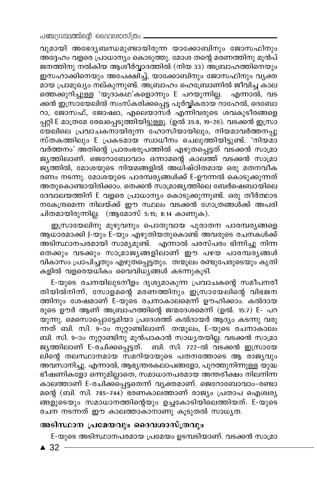വുമായി അഭേദ്യബന്ധമുണ്ടായിരുന്ന യാക്കോബിനും ജോസഫിനും അ്ദ്ദേഹം വളരെ പ്രാധാന്യം കൊടുത്തു. മോശ തന്റെ മരണത്തിനു മുൻപ് ജനത്തിനു നൽകിയ ആശീർവ്വാദത്തിൽ (നിയ 33) അബ്രാഹത്തിനെയും ഇസഹാക്കിനെയും അപേക്ഷിച്ച്, യാക്കോബിനും ജോസഫിനും വ്യക്ത മായ പ്രാമുഖ്യം നല്കുന്നുണ്ട്. അബ്രാഹം ഹെബ്രോണിൽ ജീവിച്ച കാല ത്തെക്കുറിച്ചുള്ള 'യുദാകഥ'കളൊന്നും E പറയുന്നില്ല. എന്നാൽ, വട ക്കൻ ഇസ്രായേലിൽ സംസ്കരിക്കപ്പെട്ട പൂർവ്വികരായ റാഹേൽ, ദെബോ റാ, ജോസഫ്, ജോഷ്വാ, എലെയാസർ എന്നിവരുടെ ശവകുടീരങ്ങളെ പ്പറ്റി E മാത്രമേ രേഖപ്പെടുത്തിയിട്ടുള്ളൂ. (ഉൽ 35:8, 19–20). വടക്കൻ ഇസ്രാ ഭയലിലെ പ്രവാചകനായിരുന്ന ഹോസിയായിലും, നിയമാവർത്തനപ്പു സ്തകത്തിലും E പ്രകടമായ സ്വാധീനം ചെലുത്തിയിട്ടുണ്ട്. 'നിയമാ വർത്തനം' അതിന്റെ പ്രാരംഭരൂപത്തിൽ എഴുതപ്പെട്ടത് വടക്കൻ സാമ്രാ ജൃത്തിലാണ്. ജെറോബോവാം ഒന്നാമന്റെ കാലത്ത് വടക്കൻ സാമ്രാ ജുത്തിൽ, മോശയുടെ നിയമങ്ങളിൽ അധിഷ്ഠിതമായ ഒരു മതനവീക രണം നടന്നു. മോശയുടെ പാരമ്പര്യങ്ങൾക്ക് E-ഊന്നൽ കൊടുക്കുന്നത് അതുകൊണ്ടായിരിക്കാം. തെക്കൻ സാമ്രാജ്യത്തിലെ ബേർഷെബായിലെ ദേവാലയത്തിന് E വളരെ പ്രാധാന്യം കൊടുക്കുന്നുണ്ട്. ഒരു തീർത്ഥാട നകേന്ദ്രമെന്ന നിലയ്ക്ക് ഈ സ്ഥലം വടക്കൻ ഗോത്രങ്ങൾക്ക് അപരി ചിതമായിരുന്നില്ല. (ആമോസ് 5:15; 8:14 കാണുക).

ഇസ്രായേലിനു മുഴുവനും പൊതുവായ പുരാതന പാരമ്പര്യങ്ങളെ ആധാരമാക്കി J-യും E-യും എഴുതിയതുകൊണ്ട് അവരുടെ രചനകൾക്ക് അടിസ്ഥാനപരമായി സാമൃമുണ്ട്. എന്നാൽ പരസ്പരം ഭിന്നിച്ചു നിന്ന തെക്കും വടക്കും സാമ്രാജ്യങ്ങളിലാണ് ഈ പഴയ പാരമ്പര്യങ്ങൾ വികാസം പ്രാപിച്ചതും എഴുത്പ്പെട്ടതും. തന്മൂലം രണ്ടുപേരുടെയും കൃതി കളിൽ വളരെയധികം വൈവിധ്യങ്ങൾ കടന്നുകൂടി.

E-യുടെ രചനയിലുടനീളം ദൃശ്യമാകുന്ന പ്രവാചകന്റെ സമീപനരീ തിയിൽനിന്ന്, സോളമന്റെ മരണത്തിനും ഇസ്രായേലിന്റെ വിഭജന ത്തിനും ശേഷമാണ് E-യുടെ രചനാകാലമെന്ന് ഊഹിക്കാം. കൽദായ രുടെ ഊർ ആണ് അബ്രാഹത്തിന്റെ ജന്മദേശമെന്ന് (ഉൽ. 15:7) E- പറ യുന്നു. മെസൊപ്പൊട്ടേമിയാ പ്രദേശ്ത്ത് കൽദായർ ആദ്യം കടന്നു വരു ന്നത് ബി. സി. 9–ാം നൂറ്റാണ്ടിലാണ്. തന്മൂലം, E-യുടെ രചനാകാലം ബി. സി. 9–ാം നൂറ്റാണ്ടിനു മുൻപാകാൻ സാധ്യതയില്ല. വടക്കൻ സാമ്രാ ജൃത്തിലാണ് E-രചിക്കപ്പെട്ടത്. ബി. സി. 722-ൽ വടക്കൻ ഇസ്രായേ ലിന്റെ തലസ്ഥാനമായ സമറിയായുടെ പതനത്തോടെ ആ രാജ്യവും അവസാനിച്ചു. എന്നാൽ, ആഭ്യന്തരകലാപങ്ങളോ, പുറത്തുനിന്നുള്ള യുദ്ധ ഭീഷണികളോ ഒന്നുമില്ലാതെ, സമാധാനപരമായ അന്തരീക്ഷം നിലനിന്ന കാലത്താണ് E-രചിക്കപ്പെട്ടതെന്ന് വൃക്തമാണ്. ജെറോബോവാം-രണ്ടാ മന്റെ (ബി. സി. 785–744) ഭരണകാലത്താണ് രാജ്യം പ്രതാപ ഐശ്വര്യ ങ്ങളുടെയും സമാധാനത്തിന്റെയും ഉച്ചകോടിയിലെത്തിയത്. E-യുടെ രചന നടന്നത് ഈ കാലത്താകാനാണു കൂടുതൽ സാധ്യത.

### അടിസ്ഥാന പ്രമേയവും ദൈവശാസ്ത്രവും

E-യുടെ അടിസ്ഥാനപരമായ പ്രമേയം ഉടമ്പടിയാണ്. വടക്കൻ സാമ്രാ

 $\triangle$  32  $-$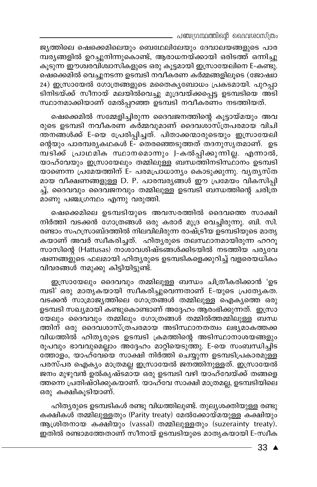\_ പഞ്ചഗ്രന്ഥത്തിന്റെ ദൈവശാസ്ത്രം

ജ്യത്തിലെ ഷെക്കെമിലെയും ബെഥേലിലേയും ദേവാലയങ്ങളുടെ പാര മ്പര്യങ്ങളിൽ ഉറച്ചുനിന്നുകൊണ്ട്, ആരാധനയ്ക്കായി ഒരിടത്ത് ഒന്നിച്ചു കൂടുന്ന ഈശ്വരവിശ്വാസികളുടെ ഒരു കൂട്ടമായി ഇസ്രായേലിനെ E-കണ്ടു. ഷെക്കെമിൽ വെച്ചുനടന്ന ഉടമ്പടി നവീകരണ കർമ്മങ്ങളിലൂടെ (ജോഷ്വാ 24) ഇസ്രായേൽ ഗോത്രങ്ങളുടെ മതൈകൃബോധം പ്രകടമായി. പുറപ്പാ ടിനിടയ്ക്ക് സീനായ് മലയിൽവെച്ചു മുദ്രവയ്ക്കപ്പെട്ട ഉടമ്പടിയെ അടി സ്ഥാനമാക്കിയാണ് മേൽപ്പറഞ്ഞ ഉടമ്പടി നവീകരണം നടത്തിയത്.

ഷെക്കെമിൽ സമ്മേളിച്ചിരുന്ന ദൈവജനത്തിന്റെ കൂട്ടായ്മയും അവ രുടെ ഉടമ്പടി നവീകരണ കർമ്മവുമാണ് ദൈവശാസ്ത്രപരമായ വിചി ന്തനങ്ങൾക്ക് E-യെ പ്രേരിപ്പിച്ചത്. പിതാക്കന്മാരുടെയും ഇസ്രായേലി ന്റെയും പാരമ്പരൃകഥകൾ E- തെരഞ്ഞെടുത്തത് തദനുസൃതമാണ്. ഉട മ്പ്ടിക്ക് പ്രാഥമിക സ്ഥാനമൊന്നും J-കൽപ്പിക്കുന്നില്ല. എന്നാൽ, യാഹ്വേയും ഇസ്രായേലും തമ്മിലുള്ള ബന്ധത്തിനടിസ്ഥാനം ഉടമ്പടി യാണെന്ന പ്രമേയത്തിന് E- പരമപ്രാധാന്യം കൊടുക്കുന്നു. വൃതൃസ്ത മായ വീക്ഷണങ്ങളുള്ള D. P. പാരമ്പര്യങ്ങൾ ഈ പ്രമേയം വികസിപ്പി ച്ച്, ദൈവവും ദൈവജനവും തമ്മിലുള്ള ഉടമ്പടി ബന്ധത്തിന്റെ ചരിത്ര \_\_<br>മാണു പഞ്ചഗ്രന്ഥം എന്നു വരുത്തി.

ഷെക്കെമിലെ ഉടമ്പടിയുടെ അവസരത്തിൽ ദൈവത്തെ സാക്ഷി നിർത്തി വടക്കൻ ഗോത്രങ്ങൾ ഒരു കരാർ മുദ്ര വെച്ചിരുന്നു. ബി. സി. രണ്ടാം സഹസ്രാബ്ദത്തിൽ നിലവിലിരുന്ന രാഷ്ട്രീയ ഉടമ്പടിയുടെ മാതൃ കയാണ് അവർ സ്വീകരിച്ചത്. ഹിതൃരുടെ തലസ്ഥാനമായിരുന്ന ഹററൂ സാസിന്റെ (Hattusas) നാശാവശിഷ്ടങ്ങൾക്കിടയിൽ നടത്തിയ പര്യവേ ഷണങ്ങളുടെ ഫലമായി ഹിതൃരുടെ ഉടമ്പടികളെക്കുറിച്ച് വളരെയധികം വിവരങ്ങൾ നമുക്കു കിട്ടിയിട്ടുണ്ട്.

ഇസ്രായേലും ദൈവവും തമ്മിലുള്ള ബന്ധം ചിത്രീകരിക്കാൻ 'ഉട മ്പടി' ഒരു മാതൃകയായി സ്ഥീകരിച്ചുവെന്നതാണ് E-യുടെ പ്രത്യേകത. വടക്കൻ സാമ്രാജ്യത്തിലെ ഗോത്രങ്ങൾ തമ്മിലുള്ള ഐക്യത്തെ ഒരു ഉടമ്പടി സഖ്യമായി കണ്ടുകൊണ്ടാണ് അദ്ദേഹം ആരംഭിക്കുന്നത്. ഇസ്രാ യേലും ദൈവവും തമ്മിലും ഗോത്രങ്ങൾ തമ്മിൽത്തമ്മിലുള്ള ബന്ധ ത്തിന് ഒരു ദൈവശാസ്ത്രപരമായ അടിസ്ഥാനതത്വം ലഭ്യമാകത്തക്ക വിധത്തിൽ ഹിതൃരുടെ ഉടമ്പടി ക്രമത്തിന്റെ അടിസ്ഥാനാശയങ്ങളും രൂപവും ഭാവവുമെല്ലാം അദ്ദേഹം മാറ്റിയെടുത്തു. E-യെ സംബന്ധിച്ചിട ത്തോളം, യാഹ്വേയെ സാക്ഷി നിർത്തി ചെയ്യുന്ന ഉടമ്പടിപ്രകാരമുള്ള പരസ്പര ഐക്യം മാത്രമല്ല ഇസ്രായേൽ ജനത്തിനുള്ളത്. ഇസ്രായേൽ ജനം മുഴുവൻ ഉൽകൃഷ്ടമായ ഒരു ഉടമ്പടി വഴി യാഹ്വേയ്ക്ക് തങ്ങളെ ത്തന്നെ പ്രതിഷ്ഠിക്കുകയാണ്. യാഹ്വേ സാക്ഷി മാത്രമല്ല, ഉടമ്പടിയിലെ ഒരു കക്ഷികൂടിയാണ്.

ഹിത്യരുടെ ഉടമ്പടികൾ രണ്ടു വിധത്തിലുണ്ട്. തുല്യശക്തിയുള്ള രണ്ടു കക്ഷികൾ തമ്മിലുള്ളതും (Parity treaty) മേൽക്കോയ്മയുള്ള കക്ഷിയും ആശ്രിതനായ കക്ഷിയും (vassal) തമ്മിലുള്ളതും (suzerainty treaty). ഇതിൽ രണ്ടാമത്തേതാണ് സീനായ് ഉടമ്പടിയുടെ മാതൃകയായി E-സ്വീക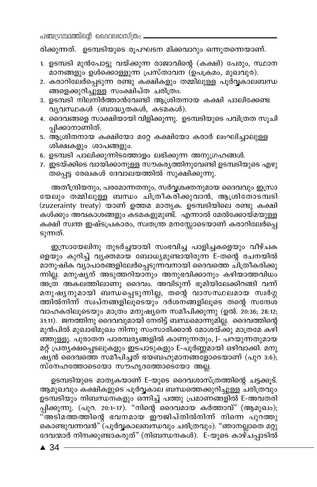പഞ്ചന്ഥ്രന്തിന്റെ ദൈവശാസ്ത്രം

രിക്കുന്നത്. ഉടമ്പടിയുടെ രൂപഘടന മിക്കവാറും ഒന്നുതന്നെയാണ്.

- 1. ഉടമ്പടി മുൻപോട്ടു വയ്ക്കുന്ന രാജാവിന്റെ (കക്ഷി) പേരും, സ്ഥാന മാനങ്ങളും ഉൾക്കൊള്ളുന്ന പ്രസ്താവന (ഉപക്രമം, മുഖവുര).
- 2. കരാറിലേർപ്പെടുന്ന രണ്ടു കക്ഷികളും തമ്മിലുള്ള പൂർവ്വകാലബന്ധ ങ്ങളെക്കുറിച്ചുള്ള സംക്ഷിപ്ത ചരിത്രം.
- 3. ഉടമ്പടി നിലനിർത്താൻവേണ്ടി ആശ്രിതനായ കക്ഷി പാലിക്കേണ്ട വ്യവസ്ഥകൾ (ബാദ്ധ്യതകൾ, കടമകൾ).
- 4. ദൈവങ്ങളെ സാക്ഷിയായി വിളിക്കുന്നു. ഉടമ്പടിയുടെ പവിത്രത സൂചി പ്പിക്കാനാണിത്.
- 5. ആശ്രിതനായ കക്ഷിയോ മറ്റേ കക്ഷിയോ കരാർ ലംഘിച്ചാലുള്ള ശിക്ഷകളും ശാപങ്ങളും.
- 6. ഉടമ്പടി പാലിക്കുന്നിടത്തോളം ലഭിക്കുന്ന അനുഗ്രഹങ്ങൾ.
- 7. ഇടയ്ക്കിടെ വായിക്കാനുള്ള സൗകര്യത്തിനുവേണ്ടി ഉടമ്പടിയുടെ എഴു തപ്പെട്ട രേഖകൾ ദേവാലയത്തിൽ സൂക്ഷിക്കുന്നു.

അതീന്ദ്രിയനും, പരമോന്നതനും, സർവ്വശക്തനുമായ ദൈവവും ഇസ്രാ യേലും തമ്മിലുള്ള ബന്ധം ചിത്രീകരിക്കുവാൻ, ആശ്രിതോടമ്പടി (zuzerainty treaty) യാണ് ഉത്തമ മാതൃക. ഉടമ്പടിയിലെ രണ്ടു കക്ഷി കൾക്കും അവകാശങ്ങളും കടമകളുമുണ്ട്. എന്നാൽ മേൽക്കോയ്മയുള്ള കക്ഷി സ്വന്ത ഇഷ്ടപ്രകാരം, സ്വതന്ത്ര മനസ്സോടെയാണ് കരാറിലേർപ്പെ ടുന്നത്.

ഇസ്രായേലിനു തുടർച്ചയായി സംഭവിച്ച പാളിച്ചകളെയും വീഴ്ചക ളെയും കുറിച്ച് വ്യക്തമായ ബോധ്യമുണ്ടായിരുന്ന E-തന്റെ രചനയിൽ മാനുഷിക വ്യാപാരങ്ങളിലേർപ്പെടുന്നവനായി ദൈവത്തെ ചിത്രീകരിക്കു ന്നില്ല. മനുഷ്യന് അടുത്തറിയാനും അനുഭവിക്കാനും കഴിയാത്തവിധം അത്ര അകലത്തിലാണു ദൈവം. അവിടുന്ന് ഭൂമിയിലേക്കിറങ്ങി വന്ന് മനുഷ്യനുമായി ബന്ധപ്പെടുന്നില്ല, തന്റെ വാസസ്ഥലമായ സ്വർഗ്ഗ ത്തിൽനിന്ന് സ്വപ്നങ്ങളിലൂടെയും ദർശനങ്ങളിലൂടെ തന്റെ സന്ദേശ വാഹകരിലൂടെയും മാത്രം മനുഷ്യനെ സമീപിക്കുന്നു (ഉൽ. 20:36; 28:12; 31:11). ജനത്തിനു ദൈവവുമായി നേരിട്ട് ബന്ധമൊന്നുമില്ല. ദൈവത്തിന്റെ മുൻപിൽ മുഖാഭിമുഖം നിന്നു സംസാരിക്കാൻ മോശയ്ക്കു മാത്രമേ കഴി ഞ്ഞുള്ളൂ. പുരാതന പാരമ്പര്യങ്ങളിൽ കാണുന്നതും, J- പറയുന്നതുമായ മറ്റ് പ്രത്യക്ഷപ്പെടലുകളും ഇടപാടുകളും E-പൂർണ്ണമായി ഒഴിവാക്കി. മനു ഷ്യൻ ദൈവത്തെ സമീപിച്ചത് ഭയബഹുമാനങ്ങളോടെയാണ് (പുറ 3:6); സ്നേഹത്തോടെയോ സൗഹൃദത്തോടെയോ അല്ല.

ഉടമ്പടിയുടെ മാതൃകയാണ് E-യുടെ ദൈവശാസ്ത്രത്തിന്റെ ചട്ടക്കൂട്. ആമുഖവും കക്ഷികളുടെ പൂർവ്വകാല ബന്ധത്തെക്കുറിച്ചുള്ള ചരിത്രവും ഉടമ്പടിയും നിബന്ധനകളും ഒന്നിച്ച് പത്തു പ്രമാണങ്ങളിൽ E-അവതരി പ്പിക്കുന്നു. (പുറ. 20:1-17). "നിന്റെ ദൈവമായ കർത്താവ്" (ആമുഖം); .<br>'അടിമത്തത്തിന്റെ ഭവനമായ ഈജിപ്തിൽനിന്ന നിന്നെ പുറത്തു കൊണ്ടുവന്നവൻ" (പൂർവ്വകാലബന്ധവും ചരിത്രവും). "ഞാനല്ലാതെ മറ്റു ദേവന്മാർ നിനക്കുണ്ടാകരുത്" (നിബന്ധനകൾ). E-യുടെ കാഴ്ചപ്പാടിൽ

 $\triangle$  34  $\overline{\phantom{0}}$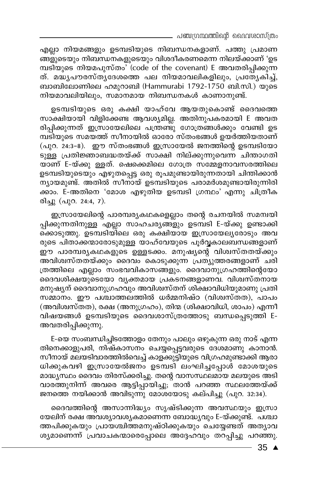പഞ്ചഗ്രന്ഥത്തിന്റെ ദൈവശാസ്ത്രം

എല്ലാ നിയമങ്ങളും ഉടമ്പടിയുടെ നിബന്ധനകളാണ്. പത്തു പ്രമാണ .<br>ങ്ങളുടെയും നിബന്ധനകളുടെയും വിശദീകരണമെന്ന നിലയ്ക്കാണ് 'ഉട മ്പടിയുടെ നിയമപുസ്തം' (code of the covenant) E അവതരിപ്പിക്കുന്ന ത്. മദ്ധ്യപൗരസ്ത്യദേശത്തെ പല നിയമാവലികളിലും, പ്രത്യേകിച്ച്, ബാബിലോണിലെ ഹമുറാബി (Hammurabi 1792-1750 ബി.സി.) യുടെ നിയമാവലിയിലും, സമാനമായ നിബന്ധനകൾ കാണാനുണ്ട്.

ഉടമ്പടിയുടെ ഒരു കക്ഷി യാഹ്വേ ആയതുകൊണ്ട് ദൈവത്തെ സാക്ഷിയായി വിളിക്കേണ്ട ആവശ്യമില്ല. അതിനുപകരമായി E അവത രിപ്പിക്കുന്നത് ഇസ്രായേലിലെ പത്രണ്ടു ഗോത്രങ്ങൾക്കും വേണ്ടി ഉട മ്പടിയുടെ സമയത്ത് സീനായിൽ ഓരോ സ്തംഭങ്ങൾ ഉയർത്തിയതാണ് (പുറ. 24:3-8). ഈ സ്തംഭങ്ങൾ ഇസ്രായേൽ ജനത്തിന്റെ ഉടമ്പടിയോ ടുള്ള പ്രതിജ്ഞാബദ്ധതയ്ക്ക് സാക്ഷി നില്ക്കുന്നുവെന്ന ചിന്താഗതി യാണ് E-യ്ക്കു ള്ളത്. ഷെക്കെമിലെ ഗോത്ര സമ്മേളനാവസരത്തിലെ ഉടമ്പടിയുടെയും എഴുതപ്പെട്ട ഒരു രൂപമുണ്ടായിരുന്നതായി ചിന്തിക്കാൻ ന്യായമുണ്ട്. അതിൽ സീനായ് ഉടമ്പടിയുടെ പരാമർശമുണ്ടായിരുന്നിരി ക്കാം. E-അതിനെ 'മോശ എഴുതിയ ഉടമ്പടി ഗ്രന്ഥം' എന്നു ചിത്രീക രിച്ചു (പുറ. 24:4, 7).

ഇസ്രായേലിന്റെ പാരമ്പര്യകഥകളെല്ലാം തന്റെ രചനയിൽ സമന്വയി പ്പിക്കുന്നതിനുള്ള <sup>്</sup>എല്ലാ സാഹചര്യങ്ങളും ഉടമ്പടി E-യ്ക്കു ഉണ്ടാക്കി .<br>കൊെടുത്തു. ഉടമ്പടിയിലെ ഒരു കക്ഷിയായ ഇസ്രായേല്യരോടും അവ രുടെ പിതാക്കന്മാരോടുമുള്ള യാഹ്വേയുടെ പൂർവ്വകാലബന്ധങ്ങളാണ് ഈ പാരമ്പര്യകഥകളുടെ ഉള്ളടക്കം. മനുഷ്യന്റെ വിശ്വസ്തതയ്ക്കും അവിശ്വസ്തതയ്ക്കും ദൈവം കൊടുക്കുന്ന പ്രത്യുത്തരങ്ങളാണ് ചരി ത്രത്തിലെ എല്ലാം സംഭവവികാസങ്ങളും. ദൈവാനുഗ്രഹത്തിന്റെയോ ദൈവശിക്ഷയുടെയോ വൃക്തമായ പ്രകടനങ്ങളാണവ. വിശ്വസ്തനായ മനുഷ്യന് ദൈവാനുഗ്രഹവും അവിശ്വസ്തന് ശിക്ഷാവിധിയുമാണു പ്രതി സമ്മാനം. ഈ പശ്ചാത്തലത്തിൽ ധർമ്മനിഷ്ഠ (വിശ്വസ്തത), പാപം (അവിശ്വസ്തത), രക്ഷ (അനുഗ്രഹം), തിന്മ (ശിക്ഷാവിധി, ശാപം) എന്നീ വിഷയങ്ങൾ ഉടമ്പടിയുടെ ദൈവശാസ്ത്രത്തോടു ബന്ധപ്പെടുത്തി E-അവതരിപ്പിക്കുന്നു.

E-യെ സംബന്ധിച്ചിടത്തോളം തേനും പാലും ഒഴുകുന്ന ഒരു നാട് എന്ന തിനെക്കാളുപരി, നിഷ്കാസനം ചെയ്യപ്പെട്ടവരുടെ ദേശമാണു കാനാൻ. സീനായ് മലയടിവാരത്തിൽവെച്ച് കാളക്കുട്ടിയുടെ വിഗ്രഹമുണ്ടാക്കി ആരാ ധിക്കുകവഴി ഇസ്രായേൽജനം ഉടമ്പടി ലംഘിച്ചപ്പോൾ മോശയുടെ മാദ്ധ്യസ്ഥം ദൈവം തിരസ്ക്കരിച്ചു. തന്റെ വാസസ്ഥലമായ മലയുടെ അടി .<br>വാരത്തുനിന്ന് അവരെ ആട്ടിപ്പായിച്ചു;്താൻ പറഞ്ഞ സ്ഥലത്തേയ്ക്ക് ജനത്തെ നയിക്കാൻ അവിടുന്നു മോശയോടു കല്പിച്ചു (പുറ. 32:34).

ദൈവത്തിന്റെ അസാന്നിദ്ധ്യം സൃഷ്ടിക്കുന്ന അവസ്ഥയും ഇസ്രാ യേലിന് രക്ഷ അവശ്യാവശ്യകമാണെന്ന ബോദ്ധ്യവും E-യ്ക്കുണ്ട്. പശ്ചാ ത്തപിക്കുകയും പ്രായശ്ചിത്തമനുഷ്ഠിക്കുകയും ചെയ്യേണ്ടത് അത്യാവ ശ്യമാണെന്ന് പ്രവാചകന്മാരെപ്പോലെ അദ്ദേഹവും തറപ്പിച്ചു പറഞ്ഞു.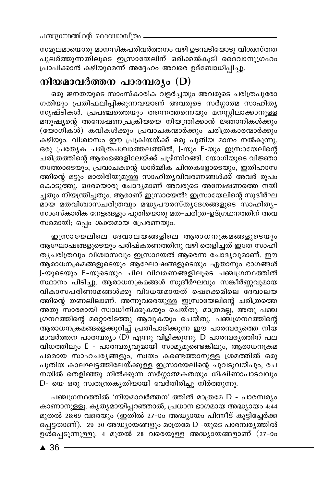സമൂലമായൊരു മാനസികപരിവർത്തനം വഴി ഉടമ്പടിയോടു വിശ്വസ്തത പുലർത്തുന്നതിലൂടെ ഇസ്രായേലിന് ഒരിക്കൽകൂടി ദൈവാനുഗ്രഹം പ്രാപിക്കാൻ കഴിയുമെന്ന് അദ്ദേഹം അവരെ ഉദ്ബോധിപ്പിച്ചു.

## നിയമാവർത്തന പാരമ്പര്യം (D)

ഒരു ജനതയുടെ സാംസ്കാരിക വളർച്ചയും അവരുടെ ചരിത്രപുരോ ഗതിയും പ്രതിഫലിപ്പിക്കുന്നവയാണ് അവരുടെ സദ്ഗ്ഗാത്മ സാഹിതൃ സൃഷ്ടികൾ. പ്രപഞ്ചത്തെയും തന്നെത്തന്നെയും മനസ്സിലാക്കാനുള്ള മനുഷ്യന്റെ അന്വേഷണപ്രക്രിയയെ നിയന്ത്രിക്കാൻ ജ്ഞാനികൾക്കും (യോഗിക**ശ്) കവികൾക്കും പ്രവാചകന്മാർക്കും ചരിത്രകാ**രന്മാർക്കും കഴിയും. വിശ്വാസം ഈ പ്രക്രിയയ്ക്ക് ഒരു പുതിയ മാനം നൽകുന്നു. ഒരു പ്രത്യേക ചരിത്രപശ്ചാത്തലത്തിൽ, J-യും E-യും ഇസ്രായേലിന്റെ ചരിത്രത്തിന്റെ ആരംഭങ്ങളിലേയ്ക്ക് ചൂഴ്ന്നിറങ്ങി. യോഗിയുടെ വിജ്ഞാ നത്തോടെയും, പ്രവാചകന്റെ ധാർമ്മിക ചിന്തകളോടെയും, ഇതിഹാസ ത്തിന്റെ മട്ടും മാതിരിയുമുള്ള സാഹിതൃവിവരണങ്ങൾക്ക് അവർ രൂപം കൊടുത്തു. ഒരേയൊരു ചോദ്യമാണ് അവരുടെ അന്വേഷണത്തെ നയി ച്ചതും നിയന്ത്രിച്ചതും. ആരാണ് ഇസ്രായേൽ? ഇസ്രായേലിന്റെ സുദീർഘ മായ മതവിശ്വാസചരിത്രവും മദ്ധ്യപൗരസ്തൃദേശങ്ങളുടെ സാഹിതൃ– സാംസ്കാരിക നേട്ടങ്ങളും പുതിയൊരു മത-ചരിത്ര-ഉദ്ഗ്ഥനത്തിന് അവ സരമായി; ഒപ്പം ശക്തമായ പ്രേരണയും.

ഇസ്രായേലിലെ ദേവാലയങ്ങളിലെ ആരാധനക്രമങ്ങളുടെയും ആഘോഷങ്ങളുടെയും പരിഷ്കരണത്തിനു വഴി തെളിച്ചത് ഇതേ സാഹി ത്യചരിത്രവും വിശ്വാസവും ഇസ്രായേൽ ആരെന്ന ചോദ്യവുമാണ്. ഈ ആരാധനക്രമങ്ങളുടെയും ആഘോഷങ്ങളുടെയും ഏതാനും ഭാഗങ്ങൾ J-യുടെയും E-യുടെയും ചില വിവരണങ്ങളിലൂടെ പഞ്ചഗ്രന്ഥത്തിൽ സ്ഥാനം പിടിച്ചു. ആരാധനക്രമങ്ങൾ സുദീർഘവും സങ്കീർണ്ണവുമായ വികാസപരിണാമങ്ങൾക്കു വിധേയമായത് ഷെക്കെമിലെ ദേവാലയ ത്തിന്റെ തണലിലാണ്. അന്നുവരെയുള്ള ഇസ്രായേലിന്റെ ചരിത്രത്തെ അതു സാരമായി സ്വാധീനിക്കുകയും ചെയ്തു. മാത്രമല്ല, അതു പഞ്ച ഗ്രന്ഥത്തിന്റെ മറ്റൊരിടത്തു ആവുകയും ചെയ്തു. പഞ്ചഗ്രന്ഥത്തിന്റെ ആരാധനക്രമങ്ങളെക്കുറിച്ച് പ്രതിപാദിക്കുന്ന ഈ പാരമ്പര്യത്തെ നിയ മാവർത്തന പാരമ്പര്യം (D) എന്നു വിളിക്കുന്നു. D പാരമ്പര്യത്തിന് പല വിധത്തിലും E - പാരമ്പര്യവുമായി സാമ്യമുണ്ടെങ്കിലും, ആരാധനക്രമ പരമായ സാഹചര്യങ്ങളും, സ്വയം കണ്ടെത്താനുള്ള ശ്രമത്തിൽ ഒരു പുതിയ കാലഘട്ടത്തിലേയ്ക്കുള്ള ഇസ്രായേലിന്റെ ചുവടുവയ്പും, രച നയിൽ തെളിഞ്ഞു നിൽക്കുന്ന സർഗ്ഗാത്മകതയും ധിഷിണാപാടവവും D- യെ ഒരു സ്വതന്ത്രകൃതിയായി വേർതിരിച്ചു നിർത്തുന്നു.

പഞ്ചഗ്രന്ഥത്തിൽ 'നിയമാവർത്തന' ത്തിൽ മാത്രമേ D - പാരമ്പര്യം കാണാനുള്ളൂ. കൃത്യമായിപ്പറഞ്ഞാൽ, പ്രധാന ഭാഗമായ അദ്ധ്യായം 4:44 മുതൽ 28:69 വരെയും (ഇതിൽ 27-ാം അദ്ധ്യായം പിന്നീട് കൂട്ടിച്ചേർക്ക പ്പെട്ടതാണ്). 29-30 അദ്ധ്യായങ്ങളും മാത്രമേ D -യുടെ പാരമ്പര്യത്തിൽ ഉൾപ്പെടുന്നുള്ളു. 4 മുതൽ 28 വരെയുള്ള അദ്ധ്യായങ്ങളാണ് (27–ാം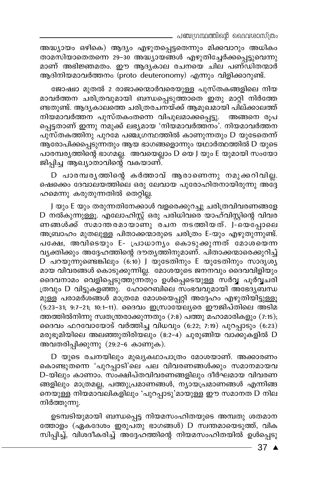\_ പഞ്ചഗ്രന്ഥത്തിന്റെ ദൈവശാസ്ത്രം

അദ്ധ്യായം ഒഴികെ) ആദ്യം എഴുതപ്പെട്ടതെന്നും മിക്കവാറും അധികം താമസിയാതെതന്നെ 29–30 അദ്ധ്യായങ്ങൾ എഴുതിച്ചേർക്കപ്പെട്ടുവെന്നു മാണ് അഭിജ്ഞമതം. ഈ ആദൃകാല രചനയെ ചില പണ്ഡിതന്മാർ ആദിനിയമാവർത്തനം (proto deuteronomy) എന്നും വിളിക്കാറുണ്ട്.

ജോഷ്വാ മുതൽ 2 രാജാക്കന്മാർവരെയുള്ള പുസ്തകങ്ങളിലെ നിയ മാവർത്തന ചരിത്രവുമായി ബന്ധപ്പെടുത്താതെ ഇതു മാറ്റി നിർത്തേ ണ്ടതുണ്ട്. ആദൃകാലത്തെ ചരിത്രരചനയ്ക്ക് ആമുഖമായി പില്ക്കാലത്ത് നിയമാവർത്തന പുസ്തകംതന്നെ വിപുലമാക്കപ്പെട്ടു. അങ്ങനെ രൂപ പ്പെട്ടതാണ് ഇന്നു നമുക്ക് ലഭ്യമായ 'നിയമാവർത്തനം'. നിയമാവർത്തന പുസ്തകത്തിനു പുറമേ പഞ്ചഗ്രന്ഥത്തിൽ കാണുന്നതും D യുടേതെന്ന് ആരോപിക്കപ്പെടുന്നതും ആയ ഭാഗങ്ങളൊന്നും യഥാർത്ഥത്തിൽ D യുടെ പാരമ്പര്യത്തിന്റെ ഭാഗമല്ല. അവയെല്ലാം D യെ J യും E യുമായി സംയോ ജിപ്പിച്ച ആഖ്യാതാവിന്റെ വകയാണ്.

D പാരമ്പരൃത്തിന്റെ കർത്താവ് ആരാണെന്നു നമുക്കറിവില്ല. ഷെക്കെ ദേവാലയത്തിലെ ഒരു ലേവായ പുരോഹിതനായിരുന്നു അദ്ദേ ഹമെന്നു കരുതുന്നതിൽ തെറ്റില്ല.

J യും E യും തരുന്നതിനേക്കാൾ വളരെക്കുറച്ചു ചരിത്രവിവരണങ്ങളേ D നൽകുന്നുള്ളൂ. എലോഹിസ്റ്റ് ഒരു പരിധിവരെ യാഹ്വിസ്റ്റിന്റെ വിവര ണങ്ങൾക്ക് സമാന്തരമായാണു രചന നടത്തിയത്. J-യെപ്പോലെ അബ്രാഹം മുതലുള്ള പിതാക്കന്മാരുടെ ചരിത്രം E-യും എഴുതുന്നുണ്ട്. പക്ഷേ, അവിടെയും E- പ്രാധാനൃം കൊടുക്കുന്നത് മോശയെന്ന വൃക്തിക്കും അദ്ദേഹത്തിന്റെ ദൗതൃത്തിനുമാണ്. പിതാക്കന്മാരെക്കുറിച്ച്  $D$  പറയുന്നുണ്ടെങ്കിലും (6:10) J യുടേതിനും E യുടേതിനും സാദൃശ്യ മായ വിവരങ്ങൾ കൊടുക്കുന്നില്ല. മോശയുടെ ജനനവും ദൈവവിളിയും ദൈവനാമം വെളിപ്പെടുത്തുന്നതും ഉൾപ്പെടെയുള്ള സർവ്വ പൂർവ്വചരി ത്രവും D വിട്ടുകളഞ്ഞു. ഹോറെബിലെ സംഭവവുമായി അഭേദ്യബന്ധ മുള്ള പരാമർശങ്ങൾ മാത്രമേ മോശയെപ്പറ്റി അദ്ദേഹം എഴുതിയിട്ടുള്ളൂ (5:23-31; 9:7-21; 10:1-11). ദൈവം ഇസ്രായേല്യരെ ഈജിപ്തിലെ അടിമ ത്തത്തിൽനിന്നു സ്വതന്ത്രരാക്കുന്നതും (7:8) പത്തു മഹാമാരികളും (7:15); ദൈവം ഫറവോയോട് വർത്തിച്ച വിധവും (6:22; 7:19) പുറപ്പാടും (6:23) മരുഭൂമിയിലെ അലഞ്ഞുതിരിയലും (8:2-4) ചുരുങ്ങിയ വാക്കുകളിൽ D അവതരിപ്പിക്കുന്നു (29:2-6 കാണുക).

D യുടെ രചനയിലും മുഖ്യകഥാപാത്രം മോശയാണ്. അക്കാരണം കൊണ്ടുതന്നെ 'പുറപ്പാടി'ലെ പല വിവരണങ്ങൾക്കും സമാനമായവ D-യിലും കാണാം. സംക്ഷിപ്തവിവരണങ്ങളിലും ദീർഘമായ വിവരണ ങ്ങളിലും മാത്രമല്ല, പത്തുപ്രമാണങ്ങൾ, ന്യായപ്രമാണങ്ങൾ എന്നിങ്ങ നെയുള്ള നിയമാവലികളിലും 'പുറപ്പാടു'മായുള്ള ഈ സമാനത D നില നിർത്തുന്നു.

ഉടമ്പടിയുമായി ബന്ധപ്പെട്ട നിയമസംഹിതയുടെ അമ്പതു ശതമാന ത്തോളം (ഏകദേശം ഇരുപ്തു ഭാഗങ്ങൾ) D സ്വന്തമായെടുത്ത്, വിക സിപ്പിച്ച്, വിശദീകരിച്ച് അദ്ദേഹത്തിന്റെ നിയമസംഹിതയിൽ ഉൾപ്പെടു

 $-37$   $\triangle$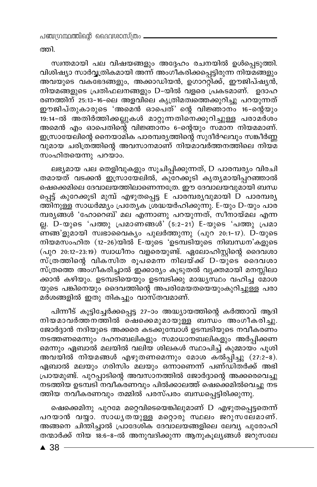ത്തി.

സ്വന്തമായി പല വിഷയങ്ങളും അദ്ദേഹം രചനയിൽ ഉൾപ്പെടുത്തി. വിശിഷ്യാ സാർവ്വത്രികമായി അന്ന് അംഗീകരിക്കപ്പെട്ടിരുന്ന നിയമങ്ങളും അവയുടെ വകഭേദങ്ങളും, അക്കാഡിയൻ, ഉഗാററ്റിക്ക്, ഈജിപ്ഷുൻ, നിയമങ്ങളുടെ പ്രതിഫലനങ്ങളും D-യിൽ വളരെ പ്രകടമാണ്. ഉദാഹ രണത്തിന് 25:13-16-ലെ അളവിലെ കൃത്രിമത്വത്തെക്കുറിച്ചു പറയുന്നത് ഈജിപ്തുകാരുടെ 'അമെൻ ഓപെത്' ന്റെ വിജ്ഞാനം 16-ന്റെയും 19:14-ൽ അതിർത്തിക്കല്ലുകൾ മാറ്റുന്നതിനെക്കുറിച്ചുള്ള പരാമർശം അമെൻ എം ഓപെതിന്റെ വിജ്ഞാനം 6-ന്റെയും സമാന നിയമമാണ്. ഇസ്രായേലിന്റെ നൈയാമിക പാരമ്പര്യത്തിന്റെ സുദീർഘവും സങ്കീർണ്ണ വുമായ ചരിത്രത്തിന്റെ അവസാനമാണ് നിയമാവർത്തനത്തിലെ നിയമ സംഹിതയെന്നു പറയാം.

ലഭ്യമായ പല തെളിവുകളും സൂചിപ്പിക്കുന്നത്, D പാരമ്പര്യം വിരചി തമായത് വടക്കൻ ഇസ്രായേലിൽ, കുറേക്കൂടി കൃത്യമായിപ്പറഞ്ഞാൽ ഷെക്കെമിലെ ദേവാലയത്തിലാണെന്നത്രേ. ഈ ദേവാലയവുമായി ബന്ധ പ്പെട്ട് കുറേക്കൂടി മുമ്പ് എഴുതപ്പെട്ട E പാരമ്പര്യവുമായി D പാരമ്പര്യ ത്തിനുള്ള സാധർമ്മ്യം പ്രത്യേക ശ്രദ്ധയർഹിക്കുന്നു. E-യും D-യും പാര് മ്പരുങ്ങൾ 'ഹോറെബ്' മല എന്നാണു പറയുന്നത്, സീനായ്മല എന്ന ല്ല. D-യുടെ 'പത്തു പ്രമാണങ്ങൾ' (5:2-21) E-യുടെ 'പത്തു പ്രമാ ണങ്ങ'ളുമായി സ്വഭാവൈക്യം പുലർത്തുന്നു (പുറ 20:1-17). D-യുടെ നിയമസംഹിത (12-26)യിൽ E-യുടെ 'ഉടമ്പടിയുടെ നിബന്ധന'കളുടെ (പുറ 20:12-23:19) സ്വാധീനം വളരെയുണ്ട്. ഏലോഹിസ്റ്റിന്റെ ദൈവശാ .<br>സ്ത്രത്തിന്റെ വികസിത രൂപമെന്ന് നിലയ്ക്ക് D-യുടെ ദൈവശാ സ്ത്രത്തെ അംഗീകരിച്ചാൽ ഇക്കാര്യം കൂടുതൽ വ്യക്തമായി മനസ്സിലാ ക്കാൻ കഴിയും. ഉടമ്പടിയെയും ഉടമ്പടിക്കു മാദ്ധ്യസ്ഥം വഹിച്ച മോശ യുടെ പങ്കിനെയും ദൈവത്തിന്റെ അപരിമേയതയെയുംകുറിച്ചുള്ള പരാ മർശങ്ങളിൽ ഇതു തികച്ചും വാസ്തവമാണ്.

പിന്നീട് കൂട്ടിച്ചേർക്കപ്പെട്ട 27-ാം അദ്ധ്യായത്തിന്റെ കർത്താവ് ആദി നിയമാവർത്തനത്തിൽ ഷെക്കെമുമായുള്ള ബന്ധം അംഗീകരിച്ചു. ജോർദ്ദാൻ നദിയുടെ അക്കരെ കടക്കുമ്പോൾ ഉടമ്പടിയുടെ നവീകരണം നടത്തണമെന്നും ദഹനബലികളും സമാധാനബലികളും അർപ്പിക്കണ മെന്നും ഏബാൽ മലയിൽ വലിയ ശിലകൾ സ്ഥാപിച്ച് കുമ്മായം പൂശി അവയിൽ നിയമങ്ങൾ എഴുതണമെന്നും മോശ കൽപ്പിച്ചു (27:2-8). ഏബാൽ മലയും ഗരിസിം മലയും ഒന്നാണെന്ന് പണ്ഡിതർക്ക് അഭി പ്രായമുണ്ട്. പുറപ്പാടിന്റെ അവസാനത്തിൽ ജോർദ്ദാന്റെ അക്കരെവെച്ചു നടത്തിയ ഉടമ്പടി നവീകരണവും പിൽക്കാലത്ത് ഷെക്കെമിൽവെച്ചു നട ത്തിയ നവീകരണവും തമ്മിൽ പരസ്പരം ബന്ധപ്പെട്ടിരിക്കുന്നു.

ഷെക്കെമിനു പുറമേ മറ്റെവിടെയെങ്കിലുമാണ് D എഴുതപ്പെട്ടതെന്ന് പറയാൻ വയ്യാ. സാധൃതയുള്ള മറ്റൊരു സ്ഥലം ജറുസലേമാണ്. അങ്ങനെ ചിന്തിച്ചാൽ പ്രാദേശിക ദേവാലയങ്ങളിലെ ലേവ്യ പുരോഹി തന്മാർക്ക് നിയ 18:6-8-ൽ അനുവദിക്കുന്ന ആനുകൂല്യങ്ങൾ ജറുസലേ

 $\triangle$  38 -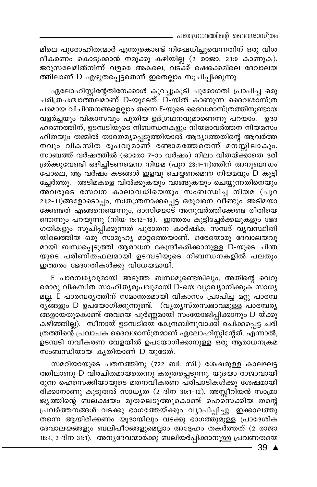മിലെ പുരോഹിതന്മാർ എന്തുകൊണ്ട് നിഷേധിച്ചുവെന്നതിന് ഒരു വിശ ദീകരണം കൊടുക്കാൻ നമുക്കു കഴിയില്ല (2 രാജാ. 23:9 കാണുക). ജറുസലേമിൽനിന്ന് വളരെ അകലെ, വടക്ക് ഷെക്കെമിലെ ദേവാലയ ത്തിലാണ് D എഴുതപ്പെട്ടതെന്ന് ഇതെല്ലാം സൂചിപ്പിക്കുന്നു.

ഏലോഹിസ്റ്റിന്റേതിനേക്കാൾ കുറച്ചുകൂടി പുരോഗതി പ്രാപിച്ച ഒരു ചരിത്രപശ്ചാത്തലമാണ് D-യുടേത്. D-യിൽ കാണുന്ന ദൈവശാസ്ത്ര പരമായ വിചിന്തനങ്ങളെല്ലാം തന്നെ E-യുടെ ദൈവശാസ്ത്രത്തിനുണ്ടായ വളർച്ചയും വികാസവും ്പുതിയ ഉദ്ഗ്രഥനവുമാണെന്നു പറയാം. ഉദാ ഹരണത്തിന്, ഉടമ്പടിയുടെ നിബന്ധനകളും നിയമാവർത്തന നിയമസം ഹിതയും തമ്മിൽ താരതമൃപ്പെടുത്തിയാൽ ആദൃത്തേതിന്റെ ആവർത്ത നവും വികസിത രൂപവുമാണ് രണ്ടാമത്തേതെന്ന് മനസ്സിലാകും. സാബത്ത് വർഷത്തിൽ (ഓരോ 7–ാം വർഷം) നിലം വിതയ്ക്കാതെ ദരി ദ്രർക്കുവേണ്ടി ഒഴിച്ചിടണമെന്ന നിയമ (പുറ 23:1-11)ത്തിന് അനുബന്ധം പോലെ, ആ വർഷം കടങ്ങൾ ഇളവു ചെയ്യണമെന്ന നിയമവും D കൂട്ടി ച്ചേർത്തു. അടിമകളെ വിൽക്കുകയും വാങ്ങുകയും ചെയ്യുന്നതിനെയും അവരുടെ സേവന കാലാവധിയെയും സംബന്ധിച്ച നിയമ (പുറ 21:2-11)ങ്ങളോടൊപ്പം, സ്വതന്ത്രനാക്കപ്പെട്ട ഒരുവനെ വീണ്ടും അടിമയാ ക്കേണ്ടത് എങ്ങനെയെന്നും, ദാസിയോട് അനുവർത്തിക്കേണ്ട രീതിയെ ത്തെന്നും പറയുന്നു (നിയ 15:12-18). ഇത്തരം കുട്ടിച്ചേർക്കലുകളും ഭേദ ഗതികളും സൂചിപ്പിക്കുന്നത് പുരാതന കാർഷിക സമ്പദ് വ്യവസ്ഥിതി യിലെത്തിയ ഒരു സാമൂഹ്യ മാറ്റത്തെയാണ്. ഒരേയൊരു ദേവാലയവു മായി ബന്ധപ്പെടുത്തി ആരാധന കേന്ദ്രീകരിക്കാനുള്ള D-യുടെ ചിന്ത യുടെ പരിണി്തഫലമായി ഉടമ്പടിയുടെ നിബന്ധനകളിൽ പലതും ഇത്തരം ഭേദഗതികൾക്കു വിധേയമായി.

E പാരമ്പര്യവുമായി അടുത്ത ബന്ധമുണ്ടെങ്കിലും, അതിന്റെ വെറു മൊരു വികസിത സാഹിതൃരൂപവുമായി D-യെ വ്യാഖ്യാനിക്കുക<sup>്</sup>സാധൃ മല്ല. E പാരമ്പര്യത്തിന് സമാന്തരമായി വികാസം പ്രാപിച്ച മറ്റു പാരമ്പ രു്ങ്ങളും D ഉപയോഗിക്കുന്നുണ്ട്. (വൃതൃസ്തസ്വഭാവമുള്ള<sup>്</sup>പാരമ്പരൃ ങ്ങളായതുകൊണ്ട് അവയെ പൂർണ്ണമായി സംയോജിപ്പിക്കാനും D-യ്ക്കു കഴിഞ്ഞില്ല). സീനായ് ഉടമ്പടിയെ കേന്ദ്രബിന്ദുവാക്കി രചിക്കപ്പെട്ട ചരി ത്രത്തിന്റെ പ്രവാചക ദൈവശാസ്ത്രമാണ് ഏലോഹിസ്റ്റിന്റേത്. എന്നാൽ, ഉടമ്പടി നവീകരണ വേളയിൽ ഉപയോഗിക്കാനുള്ള ഒരു ആരാധനക്രമ സംബന്ധിയായ കൃതിയാണ് D-യുടേത്.

സമറിയായുടെ പതനത്തിനു (722 ബി. സി.) ശേഷമുള്ള കാലഘട്ട ത്തിലാണു D വിരചിതമായതെന്നു കരുതപ്പെടുന്നു. യൂദയാ രാജാവായി രുന്ന ഹെസെക്കിയായുടെ മതനവീകരണ പരിപാടികൾക്കു ശേഷമായി രിക്കാനാണു കൂടുതൽ സാധ്യത (2 ദിന 30:1-12). അസ്സീറിയൻ സാമ്രാ ജൃത്തിന്റെ ബലക്ഷയം മുതലെടുത്തുകൊണ്ട് ഹെസെക്കിയ തന്റെ പ്രവർത്തനങ്ങൾ വടക്കു ഭാഗത്തേയ്ക്കും വ്യാപിപ്പിച്ചു. ഇക്കാലത്തു തന്നെ ആയിരിക്കണം യൂദായിലും വടക്കു ഭാഗത്തുമുള്ള പ്രാദേശിക ദേവാലയങ്ങളും ബലിപീഠങ്ങളുമെല്ലാം അദ്ദേഹം തകർത്തത് (2 രാജാ 18:4, 2 ദിന 31:1). അനൃദേവന്മാർക്കു ബലിയർപ്പിക്കാനുള്ള പ്രവണതയെ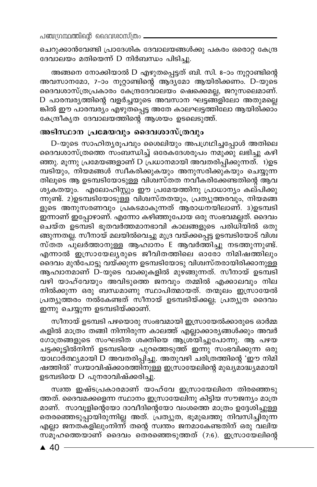ചെറുക്കാൻവേണ്ടി പ്രാദേശിക ദേവാലയങ്ങൾക്കു പകരം ഒരൊറ്റ കേന്ദ്ര ദേവാലയം മതിയെന്ന് D നിർബന്ധം പിടിച്ചു.

അങ്ങനെ നോക്കിയാൽ D എഴുതപ്പെട്ടത് ബി. സി. 8-ാം നൂറ്റാണ്ടിന്റെ അവസാനമോ, 7-ാം നൂറ്റാണ്ടിന്റെ ആദ്യമോ ആയിരിക്കണം. D-യുടെ ദൈവശാസ്ത്രപ്രകാരം കേന്ദ്രദേവാലയം ഷെക്കെമല്ല, ജറുസലെമാണ്. D പാരമ്പരൃത്തിന്റെ വളർച്ചയുടെ അവസാന ഘട്ടങ്ങളിലോ അതുമല്ലെ ങ്കിൽ ഈ പാരമ്പര്യം എഴുതപ്പെട്ട അതേ കാലഘട്ടത്തിലോ ആയിരിക്കാം കേന്ദ്രീകൃത ദേവാലയത്തിന്റെ ആശയം ഉടലെടുത്ത്.

#### അടിസ്ഥാന പ്രമേയവും ദൈവശാസ്ത്രവും

D-യുടെ സാഹിതൃരൂപവും ശൈലിയും അപഗ്രഥിച്ചപ്പോൾ അതിലെ ദൈവശാസ്ത്രത്തെ സംബന്ധിച്ച് ഒരേകദേശരൂപം നമുക്കു ലഭിച്ചു കഴി ഞ്ഞു. മൂന്നു പ്രമേയങ്ങളാണ് D പ്രധാനമായി അവതരിപ്പിക്കുന്നത്. 1)ഉട മ്പടിയും, നിയമങ്ങൾ സ്വീകരിക്കുകയും അനുസരിക്കുകയും ചെയ്യുന്ന തിലൂടെ ആ ഉടമ്പടിയോടുള്ള വിശ്വസ്തത നവീകരിക്കേണ്ടതിന്റെ ആവ ശൃകതയും. എലോഹിസ്റ്റും ഈ പ്രമേയത്തിനു പ്രാധാന്യം കല്പിക്കു ന്നുണ്ട്. 2)ഉടമ്പടിയോടുള്ള വിശ്വസ്തതയും, പ്രത്യുത്തരവും, നിയമങ്ങ ളുടെ അനുസരണവും പ്രകടമാകുന്നത് ആരാധനയിലാണ്. 3)ഉടമ്പടി ഇന്നാണ് ഇപ്പോഴാണ്. എന്നോ കഴിഞ്ഞുപോയ ഒരു സംഭവമല്ലത്. ദൈവം ചെയ്ത ഉടമ്പടി ഭൂതവർത്തമാനഭാവി കാലങ്ങളുടെ പരിധിയിൽ ഒതു ങ്ങുന്നതല്ല. സീനായ് മലയിൽവെച്ചു മുദ്ര വയ്ക്കപ്പെട്ട ഉടമ്പടിയോട് വിശ്വ സ്തത പുലർത്താനുള്ള ആഹാനം E ആവർത്തിച്ചു നടത്തുന്നുണ്ട്. എന്നാൽ ഇസ്രായേല്യരുടെ ജീവിതത്തിലെ ഓരോ നിമിഷത്തിലും ദൈവം മുൻപോട്ടു വയ്ക്കുന്ന ഉടമ്പടിയോടു വിശ്വസ്തരായിരിക്കാനുള്ള ആഹ്വാനമാണ് D-യുടെ വാക്കുകളിൽ മുഴങ്ങുന്നത്. സീനായ് ഉടമ്പടി വഴി യാഹ്വേയും അവിടുത്തെ ജനവും തമ്മിൽ എക്കാലവും നില നിൽക്കുന്ന ഒരു ബന്ധമാണു സ്ഥാപിത്മായത്. തന്മൂലം ഇസ്രായേൽ പ്രത്യുത്തരം നൽകേണ്ടത് സീനായ് ഉടമ്പടിയ്ക്കല്ല; പ്രത്യുത ദൈവം ഇന്നു ചെയ്യുന്ന ഉടമ്പടിയ്ക്കാണ്.

സീനായ് ഉടമ്പടി പഴയൊരു സംഭവമായി ഇസ്രായേൽക്കാരുടെ ഓർമ്മ കളിൽ മാത്രം തങ്ങി നിന്നിരുന്ന കാലത്ത് എല്ലാക്കാര്യങ്ങൾക്കും അവർ ഗോത്രങ്ങളുടെ സംഘടിത ശക്തിയെ ആശ്രയിച്ചുപോന്നു. ആ പഴയ ചട്ടക്കൂട്ടിൽനിന്ന് ഉടമ്പടിയെ പുറത്തെടുത്ത് ഇന്നു സംഭവിക്കുന്ന ഒരു യാഥാർത്ഥ്യമായി D അവതരിപ്പിച്ചു. അതുവഴി ചരിത്രത്തിന്റെ 'ഈ നിമി ഷത്തിൽ' സ്വയാവിഷ്ക്കാരത്തിനുള്ള ഇസ്രായേലിന്റെ മുഖ്യമാദ്ധ്യമമായി ഉടമ്പടിയെ D പുനരാവിഷ്ക്കരിച്ചു.

സ്വന്ത ഇഷ്ടപ്രകാരമാണ് യാഹ്വേ ഇസ്രായേലിനെ തിരഞ്ഞെടു ത്തത്. ദൈവമക്കളെന്ന സ്ഥാനം ഇസ്രായേലിനു കിട്ടിയ സൗജന്യം മാത്ര മാണ്. സാവൂളിന്റെയോ ദാവീദിന്റെയോ വംശത്തെ മാത്രം ഉദ്ദേശിച്ചുള്ള തെരഞ്ഞെടുപ്പായിരുന്നില്ല അത്. പ്രത്യുത, ഭൂമുഖത്തു നിവസിച്ചിരുന്ന എല്ലാ ജനതകളിലുംനിന്ന് തന്റെ സ്ഥതം ജനമാകേണ്ടതിന് ഒരു വലിയ സമൂഹത്തെയാണ് ദൈവം തെരഞ്ഞെടുത്തത് (7:6). ഇസ്രായേലിന്റെ

 $\triangle$  40 -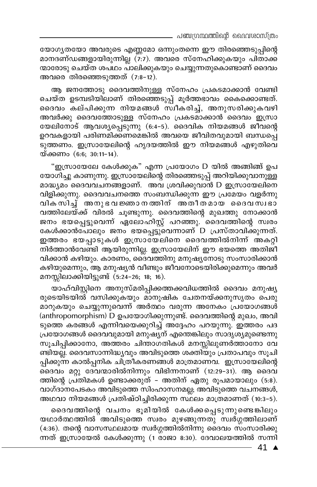യോഗ്യതയോ അവരുടെ എണ്ണമോ ഒന്നുംതന്നെ ഈ തിരഞ്ഞെടുപ്പിന്റെ മാനദണ്ഡങ്ങളായിരുന്നില്ല (7:7). അവരെ സ്നേഹിക്കുകയും പിതാക്ക ന്മാരോടു ചെയ്ത ശപഥം പാലിക്കുകയും ചെയ്യുന്നതുകൊണ്ടാണ് ദൈവം അവരെ തിരഞ്ഞെടുത്തത് (7:8-12).

ആ ജനത്തോടു ദൈവത്തിനുള്ള സ്നേഹം പ്രകടമാക്കാൻ വേണ്ടി ചെയ്ത ഉടമ്പടിയിലാണ് തിരഞ്ഞെടുപ്പ് മൂർത്തഭാവം കൈക്കൊണ്ടത്. ദൈവം കല്പിക്കുന്ന നിയമങ്ങൾ സ്ഥീകരിച്ച്, അനുസരിക്കുകവഴി അവർക്കു ദൈവത്തോടുള്ള സ്നേഹം പ്രകടമാക്കാൻ ദൈവം ഇസ്രാ യേലിനോട് ആവശ്യപ്പെടുന്നു (6:4-5). ദൈവിക നിയമങ്ങൾ ജീവന്റെ ഉറവകളായി പരിണമിക്കണമെങ്കിൽ അവയെ ജീവിതവുമായി ബന്ധപ്പെ ടുത്തണം. ഇസ്രായേലിന്റെ ഹൃദയത്തിൽ ഈ നിയമങ്ങൾ എഴുതിവെ യ്ക്കണം (6:6; 30:11-14).

"ഇസ്രായേലേ കേൾക്കുക" എന്ന പ്രയോഗം D യിൽ അങ്ങിങ്ങ് ഉപ യോഗിച്ചു കാണുന്നു. ഇസ്രായേലിന്റെ തിരഞ്ഞെടുപ്പ് അറിയിക്കുവാനുള്ള മാദ്ധ്യമം ദൈവവചനങ്ങളാണ്. അവ ശ്രവിക്കുവാൻ D ഇസ്രായേലിനെ വിളിക്കുന്നു. ദൈവവചനത്തെ സംബന്ധിക്കുന്ന ഈ പ്രമേയം വളർന്നു വികസിച്ച് അനുഭവ ജ്ഞാനത്തിന് അതീതമായ ദൈവസ്വഭാ വത്തിലേയ്ക്ക് വിരൽ ചൂണ്ടുന്നു. ദൈവത്തിന്റെ മുഖത്തു നോക്കാൻ ജനം ഭയപ്പെട്ടുവെന്ന് ഏലോഹിസ്റ്റ് പറഞ്ഞു. കൈവത്തിന്റെ സ്വരം കേൾക്കാൻപോലും ജനം ഭയപ്പെട്ടുവെന്നാണ് D പ്രസ്താവിക്കുന്നത്. ഇത്തരം ഭയപ്പാടുകൾ ഇസ്രാഭയലിനെ ദൈവത്തിൽനിന്ന് അകറ്റി നിർത്താൻവേണ്ടി ആയിരുന്നില്ല. ഇസ്രായേലിന് ഈ ഭയത്തെ അതിജി വിക്കാൻ കഴിയും. കാരണം, ദൈവത്തിനു മനുഷ്യനോടു സംസാരിക്കാൻ കഴിയുമെന്നും, ആ മനുഷ്യൻ വീണ്ടും ജീവനോടെയിരിക്കുമെന്നും അവർ മനസ്സിലാക്കിയിട്ടുണ്ട് (5:24-26; 18; 16).

യാഹ്വിസ്റ്റിനെ അനുസ്മരിപ്പിക്കത്തക്കവിധത്തിൽ ദൈവം മനുഷ്യ രുടെയിടയിൽ വസിക്കുകയും മാനുഷിക ചേതനയ്ക്കനുസൃതം പെരു മാറുകയും ചെയ്യുന്നുവെന്ന് അർത്ഥം വരുന്ന അനേകം പ്രയോഗങ്ങൾ (anthropomorphism) D ഉപയോഗിക്കുന്നുണ്ട്. ദൈവത്തിന്റെ മുഖം, അവി ടുത്തെ കരങ്ങൾ എന്നിവയെക്കുറിച്ച് അദ്ദേഹം പറയുന്നു. ഇത്തരം പദ പ്രയോഗങ്ങൾ ദൈവവുമായി മനുഷ്യന് എന്തെങ്കിലും സാദൃശ്യമുണ്ടെന്നു സുചിപ്പിക്കാനോ, അത്തരം ചിന്താഗതികൾ മനസ്സിലുണർത്താനോ വേ ണ്ടിയല്ല്. ദൈവസാന്നിദ്ധ്യവും അവിടുത്തെ ശക്തിയും പ്രതാപവും സൂചി പ്പിക്കുന്ന കാൽപ്പനിക ചിത്രീകരണങ്ങൾ മാത്രമാണവ. ഇസ്രായേലിന്റെ ദൈവം മറ്റു ദേവന്മാരിൽനിന്നും വിഭിന്നനാണ് (12:29-31). ആ ദൈവ ത്തിന്റെ പ്രതിമകൾ ഉണ്ടാക്കരുത് – അതിന് ഏതു രൂപമായാലും (5:8). വാഗ്ദാനപേടകം അവിടുത്തെ സിംഹാസനമല്ല; അവിടുത്തെ വചനങ്ങൾ, അഥവാ നിയമങ്ങൾ പ്രതിഷ്ഠിച്ചിരിക്കുന്ന സ്ഥലം മാത്രമാണത് (10:3–5).

ദൈവത്തിന്റെ വചനം ഭൂമിയിൽ കേൾക്കപ്പെടുന്നുണ്ടെങ്കിലും യഥാർത്ഥത്തിൽ അവിടുത്തെ സ്വരം മുഴങ്ങുന്നതു് സ്വർഗ്ഗത്തിലാണ് (4:36). തന്റെ വാസസ്ഥലമായ സ്വർഗ്ഗത്തിൽനിന്നു ദൈവം സംസാരിക്കു ന്നത് ഇസ്രായേൽ കേൾക്കുന്നു (1 രാജാ 8:30). ദേവാലയത്തിൽ സന്നി

 $-41$   $\triangle$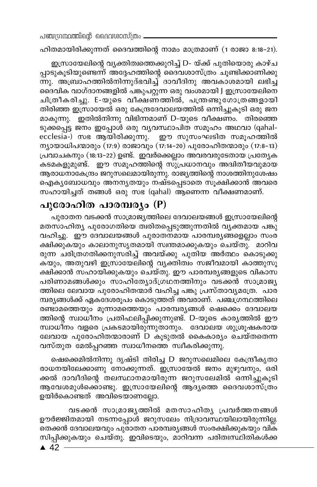ഹിതമായിരിക്കുന്നത് ദൈവത്തിന്റെ നാമം മാത്രമാണ് (1 രാജാ 8:18–21).

ഇസ്രായേലിന്റെ വ്യക്തിത്വത്തെക്കുറിച്ച് D- യ്ക്ക് പുതിയൊരു കാഴ്ച പ്പാടുകൂടിയുണ്ടെന്ന് അദ്ദേഹത്തിന്റെ ദൈവശാസ്ത്രം ചൂണ്ടിക്കാണിക്കു ന്നു. അബ്രാഹത്തിൽനിന്നുദ്ഭവിച്ച് ദാവീദിനു അവകാശമായി ലഭിച്ച ദൈവിക വാഗ്ദാനങ്ങളിൽ പങ്കുപറ്റുന്ന ഒരു വംശമായി J ഇസ്രായേലിനെ ചിത്രീകരിച്ചു. E-യുടെ വീക്ഷണത്തിൽ, പന്ത്രണ്ടുഗോത്രങ്ങളായി തിരിഞ്ഞ ഇസ്രായേൽ ഒരു കേന്ദ്രദേവാലയത്തിൽ ഒന്നിച്ചുകൂടി ഒരു ജന മാകുന്നു. ഇതിൽനിന്നു വിഭിന്നമാണ് D-യുടെ വീക്ഷണം. തിരഞ്ഞെ ടുക്കപ്പെട്ട ജനം ഇപ്പോൾ ഒരു വ്യവസ്ഥാപിത സമൂഹം അഥവാ (qahalecclesia-) സഭ ആയിരിക്കുന്നു. ഈ സുസംഘടിത സമൂഹത്തിൽ ന്യായാധിപന്മാരും (17:9) രാജാവും (17:14-20) പുരോഹിതന്മാരും (17:8-13) പ്രവാചകനും (18:13-22) ഉണ്ട്. ഇവർക്കെല്ലാം അവരവരുടേതായ പ്രത്യേക കടമകളുമുണ്ട്. ഈ സമൂഹത്തിന്റെ സുപ്രധാനവും അദിതീയവുമായ ആരാധനാകേന്ദ്രം ജറുസലെമായിരുന്നു. രാജ്യത്തിന്റെ നാശത്തിനുശേഷം ഐകൃബോധവും അനനൃതയും നഷ്ടപ്പെടാതെ സൂക്ഷിക്കാൻ അവരെ സഹായിച്ചത് തങ്ങൾ ഒരു സഭ (qahal) ആണെന്ന വീക്ഷണമാണ്.

## പുരോഹിത പാരമ്പര്യം (P)

പുരാതന വടക്കൻ സാമ്രാജ്യത്തിലെ ദേവാലയങ്ങൾ ഇസ്രായേലിന്റെ മതസാഹിത്യ പുരോഗതിയെ ത്വരിതപ്പെടുത്തുന്നതിൽ വ്യക്തമായ പങ്കു വഹിച്ചു. ഈ ദേവാലയങ്ങൾ പുരാതനമായ പാരമ്പര്യങ്ങളെല്ലാം സംര ക്ഷിക്കുകയും കാലാനുസൃതമായി സ്വന്തമാക്കുകയും ചെയ്തു. മാറിവ രുന്ന ചരിത്രഗതിക്കനുസരിച്ച് അവയ്ക്കു പുതിയ അർത്ഥം കൊടുക്കു കയും, അതുവഴി ഇസ്രായേലിന്റെ വ്യക്തിത്വം സജീവമായി കാത്തുസൂ ക്ഷിക്കാൻ സഹായിക്കുകയും ചെയ്തു. ഈ പാരമ്പര്യങ്ങളുടെ വികാസ പരിണാമങ്ങൾക്കും സാഹിത്യോദ്ഗ്രഥനത്തിനും വടക്കൻ സാമ്രാജ്യ ത്തിലെ ലേവായ പുരോഹിതന്മാർ വഹിച്ച പങ്കു പ്രസ്താവ്യമത്രേ. പാര മ്പരുങ്ങൾക്ക് ഏകദേശരൂപം കൊടുത്തത് അവരാണ്. പഞ്ചഗ്രന്ഥത്തിലെ രണ്ടാമത്തെയും മൂന്നാമത്തെയും പാരമ്പര്യങ്ങൾ ഷെക്കെം ദേവാലയ ത്തിന്റെ സ്വാധീനം പ്രതിഫലിപ്പിക്കുന്നുണ്ട്. D-യുടെ കാര്യത്തിൽ ഈ സ്വാധീനം വളരെ പ്രകടമായിരുന്നുതാനും. ദേവാലയ ശുശ്രൂഷകരായ ലേവായ പുരോഹിതന്മാരാണ് D കൂടുതൽ കൈകാര്യം ചെയ്തതെന്ന വസ്തുത മേൽപ്പറഞ്ഞ സ്വാധീനത്തെ സ്വീകരിക്കുന്നു.

ഷെക്കെമിൽനിന്നു ദൃഷ്ടി തിരിച്ച D ജറുസലെമിലെ കേന്ദ്രീകൃതാ രാധനയിലേക്കാണു നോക്കുന്നത്. ഇസ്രായേൽ ജനം മുഴുവനും, ഒരി ക്കൽ ദാവീദിന്റെ തലസ്ഥാനമായിരുന്ന ജറുസലേമിൽ ഒന്നിച്ചുകൂടി ആവേശമുൾക്കൊണ്ടു. ഇസ്രായേലിന്റെ ആദ്യത്തെ ദൈവശാസ്ത്രം ഉയിർകൊണ്ടത് അവിടെയാണല്ലോ.

വടക്കൻ സാമ്രാജ്യത്തിൽ മതസാഹിത്യ പ്രവർത്തനങ്ങൾ ഊർജ്ജിതമായി നടന്നപ്പോൾ ജറുസലേം നിദ്രാവസ്ഥയിലായിരുന്നില്ല. തെക്കൻ ദേവാലയവും പുരാതന പാരമ്പര്യങ്ങൾ സംരക്ഷിക്കുകയും വിക സിപ്പിക്കുകയും ചെയ്തു. ഇവിടെയും, മാറിവന്ന പരിതഃസ്ഥിതികൾക്ക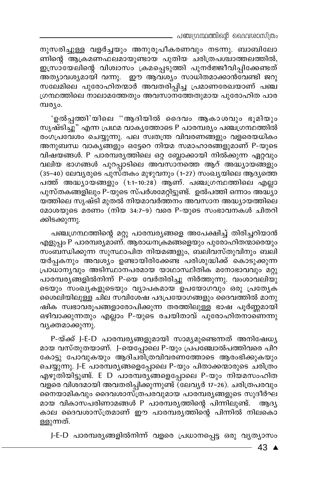\_ പഞ്ചഗ്രന്ഥത്തിന്റെ ദൈവശാസ്ത്രം

നുസരിച്ചുള്ള വളർച്ചയും അനുരൂപീകരണവും നടന്നു. ബാബിലോ ണിന്റെ ആക്രമണഫലമായുണ്ടായ പുതിയ ചരിത്രപശ്ചാത്തലത്തിൽ, ഇസ്രായേലിന്റെ വിശ്വാസം ക്രമപ്പെടുത്തി പുനർജ്ജീവിപ്പിക്കേണ്ടത് അത്യാവശ്യമായി വന്നു. ഈ ആവശ്യം സാധിതമാക്കാൻവേണ്ടി ജറു സലേമിലെ പുരോഹിതന്മാർ അവതരിപ്പിച്ച പ്രമാണരേഖയാണ് പഞ്ച ഗ്രന്ഥത്തിലെ നാലാമത്തേതും അവസാനത്തേതുമായ പുരോഹിത പാര മ്പര്യം.

'ഉൽപ്പത്തി'യിലെ ''ആദിയിൽ ദൈവം ആകാശവും ഭൂമിയും സൃഷ്ടിച്ചു" എന്ന പ്രഥമ വാകൃത്തോടെ P പാരമ്പര്യം പഞ്ചഗ്രന്ഥത്തിൽ രംഗപ്രവേശം ചെയ്യുന്നു. പല സ്വതന്ത്ര വിവരണങ്ങളും വളരെയധികം അനുബന്ധ വാകൃങ്ങളും ഒട്ടേറെ നിയമ സമാഹാരങ്ങളുമാണ് P-യുടെ വിഷയങ്ങൾ. P പാരമ്പര്യത്തിലെ ഒറ്റ ബ്ലോക്കായി നിൽക്കുന്ന ഏറ്റവും വലിയ ഭാഗങ്ങൾ പുറപ്പാടിലെ അവസാനത്തെ ആറ് അദ്ധ്യായങ്ങളും (35-40) ലേവൃരുടെ പുസ്തകം മുഴുവനും (1-27) സംഖ്യയിലെ ആദ്യത്തെ പത്ത് അദ്ധ്യായങ്ങളും (1:1-10:28) ആണ്. പഞ്ചഗ്രന്ഥത്തിലെ എല്ലാ പുസ്തകങ്ങളിലും P-യുടെ സ്പർശമേറ്റിട്ടുണ്ട്. ഉൽപത്തി ഒന്നാം അദ്ധ്യാ യത്തിലെ സൃഷ്ടി മുതൽ നിയമാവർത്തനം അവസാന അദ്ധ്യായത്തിലെ മോശയുടെ മരണം (നിയ 34:7-9) വരെ P-യുടെ സംഭാവനകൾ ചിതറി ക്കിടക്കുന്നു.

പഞ്ചഗ്രന്ഥത്തിന്റെ മറ്റു പാരമ്പര്യങ്ങളെ അപേക്ഷിച്ച് തിരിച്ചറിയാൻ എളുപ്പം P പാരമ്പര്യമാണ്. ആരാധനക്രമങ്ങളെയും പുരോഹിതന്മാരെയും സംബന്ധിക്കുന്ന സുസ്ഥാപിത നിയമങ്ങളും, ബലിവസ്തുവിനും ബലി യർപ്പകനും അവശ്യം ഉണ്ടായിരിക്കേണ്ട പരിശുദ്ധിക്ക് കൊടുക്കുന്ന പ്രാധാന്യവും അടിസ്ഥാനപരമായ യാഥാസ്ഥിതിക മനോഭാവവും മറ്റു പാരമ്പര്യങ്ങളിൽനിന്ന് P-യെ വേർതിരിച്ചു നിർത്തുന്നു. വംശാവലിയു ടെയും സംഖ്യകളുടെയും വ്യാപകമായ ഉപയോഗവും ഒരു പ്രത്യേക ശൈലിയിലുള്ള ചില സവിശേഷ പദപ്രയോഗങ്ങളും ദൈവത്തിൽ മാനു ഷിക സ്വഭാവരൂപങ്ങളാരോപിക്കുന്ന തരത്തിലുള്ള ഭാഷ പൂർണ്ണമായി ഒഴിവാക്കുന്നതും എല്ലാം P-യുടെ രചയിതാവ് പുരോഹിതനാണെന്നു വ്യക്തമാക്കുന്നു.

P-യ്ക്ക് J-E-D പാരമ്പര്യങ്ങളുമായി സാമ്യമുണ്ടെന്നത് അനിഷേധ്യ മായ വസ്തുതയാണ്. J-യെപ്പോലെ P-യും പ്രപഞ്ചോൽപത്തിവരെ പിറ കോട്ടു പോവുകയും ആദിചരിത്രവിവരണത്തോടെ ആരംഭിക്കുകയും ചെയ്യുന്നു. J-E പാരമ്പര്യങ്ങളെപ്പോലെ P-യും പിതാക്കന്മാരുടെ ചരിത്രം എഴുതിയിട്ടുണ്ട്. E D പാരമ്പര്യങ്ങളെപ്പോലെ P-യും നിയമസംഹിത വളരെ വിശദമായി അവതരിപ്പിക്കുന്നുണ്ട് (ലേവൃർ 17–26). ചരിത്രപരവും നൈയാമികവും ദൈവശാസ്ത്രപരവുമായ പാരമ്പര്യങ്ങളുടെ സുദീർഘ മായ വികാസപരിണാമങ്ങൾ P പാരമ്പരൃത്തിന്റെ പിന്നിലുണ്ട്. ആദൃ കാല ദൈവശാസ്ത്രമാണ് ഈ പാരമ്പര്യത്തിന്റെ പിന്നിൽ നിലകൊ ള്ളുന്നത്.

J-E-D പാരമ്പര്യങ്ങളിൽനിന്ന് വളരെ പ്രധാനപ്പെട്ട ഒരു വ്യത്യാസം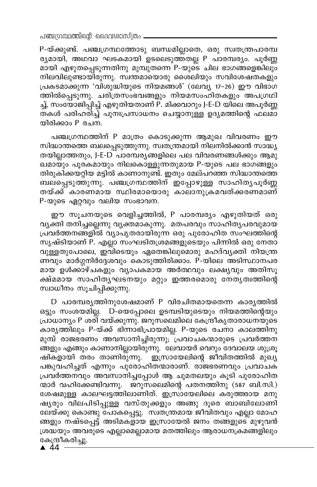P-യ്ക്കുണ്ട്. പഞ്ചഗ്രന്ഥത്തോടു ബന്ധമില്ലാതെ, ഒരു സ്വതന്ത്രപാരമ്പ ര്യമായി, അഥവാ ഘടകമായി ഉടലെടുത്തതല്ല P പാരമ്പര്യം. പൂർണ്ണ മായി എഴുതപ്പെടുന്നതിനു മുമ്പുതന്നെ P-യുടെ ചില ഭാഗങ്ങളെങ്കിലും നിലവിലുണ്ടായിരുന്നു. സ്വന്തമായൊരു ശൈലിയും സവിശേഷതകളും പ്രകടമാക്കുന്ന 'വിശുദ്ധിയുടെ നിയമങ്ങൾ' (ലേവ്യ 17-26) ഈ വിഭാഗ ത്തിൽപ്പെടുന്നു. ചരിത്രസംഭവങ്ങളും നിയമസംഹിതകളും അപഗ്രഥി ച്ച്, സംയോജിപ്പിച്ച് എഴുതിയതാണ് P. മിക്കവാറും J-E-D യിലെ അപൂർണ്ണ തകൾ പരിഹരിച്ച് പുനഃപ്രസാധനം ചെയ്യാനുള്ള ഉദൃമത്തിന്റെ ഫലമാ യിരിക്കാം P രചന.

പഞ്ചഗ്രന്ഥത്തിന് P മാത്രം കൊടുക്കുന്ന ആമുഖ വിവരണം ഈ സിദ്ധാന്തത്തെ ബലപ്പെടുത്തുന്നു. സ്വതന്ത്രമായി നിലനിൽക്കാൻ സാദ്ധ്യ തയില്ലാത്തതും, J-E-D പാരമ്പര്യങ്ങളിലെ പല വിവരണങ്ങൾക്കും ആമു ഖമായും പൂരകമായും നിലകൊള്ളുന്നതുമായ P-യുടെ പല ഭാഗങ്ങളും തിരുകിക്കയറ്റിയ മട്ടിൽ കാണാനുണ്ട്. ഇതും മേല്പറഞ്ഞ സിദ്ധാന്തത്തെ ബലപ്പെടുത്തുന്നു. പഞ്ചഗ്രന്ഥത്തിന് ഇപ്പോഴുള്ള സാഹിതൃപൂർണ്ണ തയ്ക്ക് കാരണമായ സ്ഥിരമായൊരു കാലാനുക്രമവത്ക്കരണമാണ് P-യുടെ ഏറ്റവും വലിയ സംഭാവന.

ഈ സൂചനയുടെ വെളിച്ചത്തിൽ, P പാരമ്പര്യം എഴുതിയത് ഒരു വൃക്തി തനിച്ചല്ലെന്നു വൃക്തമാകുന്നു. മതപരവും സാഹിത്യപരവുമായ പ്രവർത്തനങ്ങളിൽ വ്യാപൃതരായിരുന്ന ഒരു പുരോഹിത സംഘത്തിന്റെ സൃഷ്ടിയാണ് P. എല്ലാ സംഘടിതശ്രമങ്ങളുടെയും പിന്നിൽ ഒരു നേതാ വുള്ളതുപോലെ, ഇവിടെയും ഏതെങ്കിലുമൊരു മഹദ്വ്യക്തി നിയന്ത്ര ണവും മാർഗ്ഗനിർദ്ദേശവും കൊടുത്തിരിക്കാം. P-യിലെ അടിസ്ഥാനപര മായ ഉൾക്കാഴ്ചകളും വ്യാപകമായ അർത്ഥവും ലക്ഷ്യവും അതിസൂ ക്ഷ്മമായ സാഹിതൃഘടനയും മറ്റും ഇത്തരമൊരു നേതൃത്വത്തിന്റെ സ്വാധീനം സൂചിപ്പിക്കുന്നു.

D പാരമ്പര്യത്തിനുശേഷമാണ് P വിരചിതമായതെന്ന കാര്യത്തിൽ ഒട്ടും സംശയമില്ല. D-യെപ്പോലെ ഉടമ്പടിയുടെയും നിയമത്തിന്റെയും പ്രാധാന്യം P ശരി വയ്ക്കുന്നു. ജറുസലെമിലെ കേന്ദ്രീകൃതാരാധനയുടെ കാര്യത്തിലും P-യ്ക്ക് ഭിന്നാഭിപ്രായമില്ല. P-യുടെ രചനാ കാലത്തിനു മുമ്പ് രാജഭരണം അവസാനിച്ചിരുന്നു;്പ്രവാചകന്മാരുടെ പ്രവർത്തന .<br>അളും എങ്ങും കാണാനില്ലായിരുന്നു. ലേവായർ വെറും ദേവാലയ ശുശ്രൂ ഷികളായി തരം താണിരുന്നു. ` ഇസ്രായേലിന്റെ ജീവിതത്തിൽ മുഖ്യ പങ്കുവഹിച്ചത് എന്നും പുരോഹിതന്മാരാണ്. രാജഭരണവും പ്രവാചക പ്രവർത്തനവും അവസാനിച്ചപ്പോൾ ആ ചുമതലയും കൂടി പുരോഹിത ന്മാർ വഹിക്കേണ്ടിവന്നു. ജറുസലെമിന്റെ പതനത്തിനു (587 ബി.സി.) ശേഷമുള്ള കാലഘട്ടത്തിലാണിത്. ഇസ്രായേലിലെ കരുത്തരായ മനു ഷൃരും വിലപിടിപ്പുള്ള വസ്തുക്കളും അങ്ങു ദൂരെ ബാബിലോണി ലേയ്ക്കു കൊണ്ടു പോകപ്പെട്ടു. സ്വതന്ത്രമായ ജീവിതവും എല്ലാ മോഹ ങ്ങളും നഷ്ടപ്പെട്ട് അടിമകളായ ഇസ്രായേൽ ജനം തങ്ങളുടെ മുഴുവൻ ശ്രദ്ധയും അവരുടെ എല്ലാമെല്ലാമായ മതത്തിലും ആരാധനക്രമങ്ങളിലും കേന്ദ്രീകരിച്ചു.

 $\triangle$  44  $\overline{\phantom{a}}$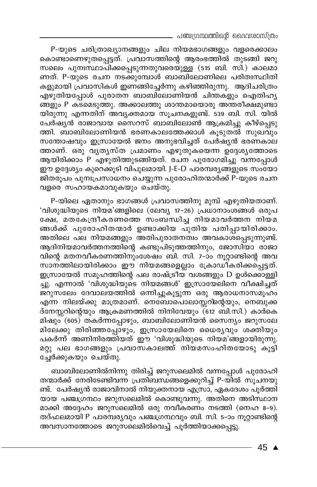പഞ്ചഗ്രന്ഥത്തിന്റെ ദൈവശാസ്ത്രം

P-യുടെ ചരിത്രാഖ്യാനങ്ങളും ചില നിയമഭാഗങ്ങളും വളരെക്കാലം കൊണ്ടാണെഴുതപ്പെട്ടത്. പ്രവാസത്തിന്റെ ആരംഭത്തിൽ തുടങ്ങി ജറു സലെം പുനഃസ്ഥാപിക്കപ്പെടുന്നതുവരെയുള്ള (515 ബി. സി.) കാലമാ ണത്. P-യുടെ രചന നടക്കുമ്പോൾ ബാബിലോണിലെ പരിതഃസ്ഥിതി കളുമായി പ്രവാസികൾ ഇണ്ങ്ങിച്ചേർന്നു കഴിഞ്ഞിരുന്നു. ആദിചരിത്രം എഴുതിയപ്പോൾ പുരാതന ബാബിലോണിയൻ ചിന്തകളും ഐതിഹ്യ ങ്ങളും P കടമെടുത്തു. അക്കാലത്തു ശാന്തമായൊരു അന്തരീക്ഷമുണ്ടാ യിരുന്നു എന്നതിന് അവൃക്തമായ സൂചനകളുണ്ട്. 539 ബി. സി. യിൽ പേർഷ്യൻ രാജാവായ സൈറസ് ബാബിലോൺ ആക്രമിച്ചു കീഴ്പ്പെടു ത്തി. ബാബിലോണിയൻ ഭരണകാലത്തേക്കാൾ കൂടുതൽ സുഖവും സന്തോഷവും ഇസ്രായേൽ ജനം അനുഭവിച്ചത് പേർഷ്യൻ ഭരണകാല ത്താണ്. ഒരു വൃതൃസ്ത പ്രമാണം എഴുതുകയെന്ന ഉദ്ദേശൃത്തോടെ ആയിരിക്കാം P എഴുതിത്തുടങ്ങിയത്. രചന പുരോഗമിച്ചു വന്നപ്പോൾ ഈ ഉദ്ദേശ്യം കുറെക്കൂടി വിപുലമായി. J-E-D പാരമ്പര്യങ്ങളുടെ സംയോ .<br>ജിതരൂപം പുനഃപ്രസാധനം ചെയ്യുന്ന പുരോഹിതന്മാർക്ക് P-യുടെ രചന വളരെ സഹായകമാവുകയും ചെയ്തു.

P-യിലെ ഏതാനും ഭാഗങ്ങൾ പ്രവാസത്തിനു മുമ്പ് എഴുതിയതാണ്. 'വിശുദ്ധിയുടെ നിയമ'ങ്ങളിലെ (ലേവ്യ 17–26) പ്രധാനാംശങ്ങൾ ഒരുപ ക്ഷേ, മതകേന്ദ്രീകരണത്തെ സംബന്ധിച്ച നിയമാവർത്തന നിയമ ങ്ങൾക്ക് പുരോഹിതന്മാർ ഉണ്ടാക്കിയ പുതിയ പതിപ്പായിരിക്കാം. അതിലെ പല നിയമങ്ങളും അതിപുരാതനത്വം അവകാശപ്പെടുന്നുണ്ട്. ആദിനിയമാവർത്തനത്തിന്റെ കണ്ടുപിടുത്തത്തിനും, ജോസിയാ രാജാ വിന്റെ മതനവീകരണത്തിനുംശേഷം ബി. സി. 7-ാം നൂറ്റാണ്ടിന്റെ അവ സാന്ത്തിലായിരിക്കാം ഈ നിയമങ്ങളെല്ലാം ക്രോഡീകരിക്കപ്പെട്ടത്. ഇസ്രായേൽ സമുഹത്തിന്റെ പല രാഷ്ട്രീയ വശങ്ങളും D ഉൾക്കൊള്ളി ച്ചു. എന്നാൽ 'വിശുദ്ധിയുടെ നിയമങ്ങൾ' ഇസ്രായേലിനെ വീക്ഷിച്ചത് ജറുസലേം ദേവാലയത്തിൽ ഒന്നിച്ചുകൂട്ടുന്ന ഒരു ആരാധനാസമൂഹം .<br>എന്ന നിലയ്ക്കു മാത്രമാണ്. നെബോപൊലാസ്സറിന്റെയും, നെബുക്ക ദ്നേസ്സറിന്റെയും ആക്രമണത്തിൽ നിനിവേയും (്612 ബി.സി.) കാർകെ മിഷും (605) തകർന്നപ്പോഴും, ബാബിലോണിയൻ സൈന്യം ജറുസലേ മിലേക്കു തിരിഞ്ഞപ്പോഴും, ഇസ്രായേലിനെ ധൈര്യവും ശക്തിയും പകർന്ന് അണിനിരത്തിയത് ഈ 'വിശുദ്ധിയുടെ നിയമ'ങ്ങളായിരുന്നു. മറ്റു പല ഭാഗങ്ങളും പ്രവാസകാലത്ത് നിയമസംഹിതയോടു കൂട്ടി ചേർക്കുകയും ചെയ്തു.

ബാബിലോണിൽനിന്നു തിരിച്ച് ജറുസലെമിൽ വന്നപ്പോൾ പുരോഹി തന്മാർക്ക് നേരിടേണ്ടിവന്ന പ്രതിബന്ധങ്ങളെക്കുറിച്ച് P-യിൽ സൂചനയു ണ്ട്. പേർഷ്യൻ രാജാവിനാൽ നിയുക്തനായ എസ്രാ, ഏകദേശം പൂർത്തി യായ പഞ്ചഗ്രന്ഥം ജറുസലെമിൽ കൊണ്ടുവന്നു. അതിനെ അടിസ്ഥാന മാക്കി അദ്ദേഹം ജറുസലെമിൽ ഒരു നവീകരണം നടത്തി (നെഹ 8-9). തദ്ഫലമായി P പാരമ്പര്യവും പഞ്ചഗ്രന്ഥവും ബി. സി. 5-ാം നൂറ്റാണ്ടിന്റെ അവസാനത്തോടെ ജറുസലെമിൽവെച്ച് പൂർത്തിയാക്കപ്പെട്ടു.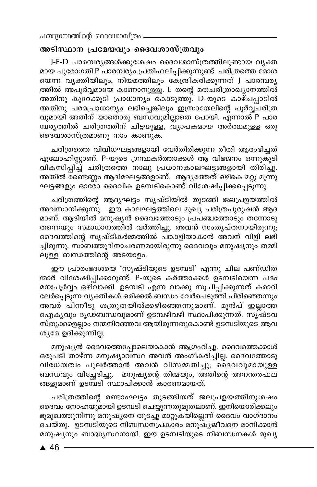### അടിസ്ഥാന പ്രമേയവും ദൈവശാസ്ത്രവും

J-E-D പാരമ്പര്യങ്ങൾക്കുശേഷം ദൈവശാസ്ത്രത്തിലുണ്ടായ വ്യക്ത മായ പുരോഗതി P പാരമ്പര്യം പ്രതിഫലിപ്പിക്കുന്നുണ്ട്. ചരിത്രത്തെ മോശ യെന്ന വ്യക്തിയിലും, നിയമത്തിലും കേന്ദ്രീകരിക്കുന്നത് J പാരമ്പര്യ ത്തിൽ അപൂർവ്വമായേ കാണാനുള്ളൂ. E തന്റെ മതചരിത്രാഖ്യാനത്തിൽ അതിനു കുറേക്കൂടി പ്രാധാന്യം കൊടുത്തു. D-യുടെ കാഴ്ചപ്പാടിൽ അതിനു പരമപ്രാധാന്യം ലഭിച്ചെങ്കിലും ഇസ്രായേലിന്റെ പൂർവ്വചരിത്ര വുമായി അതിന് യാതൊരു ബന്ധവുമില്ലാതെ പോയി. എന്നാൽ P പാര മ്പരൃത്തിൽ ചരിത്രത്തിന് ചിട്ടയുള്ള, വ്യാപകമായ അർത്ഥമുള്ള ഒരു ദൈവശാസ്ത്രമാണു നാം കാണുക.

ചരിത്രത്തെ വിവിധഘട്ടങ്ങളായി വേർതിരിക്കുന്ന രീതി ആരംഭിച്ചത് എലോഹിസ്റ്റാണ്. P-യുടെ ഗ്രന്ഥകർത്താക്കൾ ആ വിഭജനം ഒന്നുകൂടി വികസിപ്പിച്ച് ചരിത്രത്തെ നാലു പ്രധാനകാലഘട്ടങ്ങളായി തിരിച്ചു. അതിൽ രണ്ടെണ്ണം ആദിമഘട്ടങ്ങളാണ്. ആദൃത്തേത് ഒഴികെ മറ്റു മൂന്നു ഘട്ടങ്ങളും ഓരോ ദൈവിക ഉടമ്പടികൊണ്ട് വിശേഷിപ്പിക്കപ്പെടുന്നു.

ചരിത്രത്തിന്റെ ആദ്യഘട്ടം സൃഷ്ടിയിൽ തുടങ്ങി ജലപ്രളയത്തിൽ അവസാനിക്കുന്നു. ഈ കാലഘട്ടത്തിലെ മുഖ്യ ചരിത്രപുരുഷൻ ആദ മാണ്. ആദിയിൽ മനുഷ്യൻ ദൈവത്തോടും പ്രപഞ്ചത്തോടും തന്നോടു തന്നെയും സമാധാനത്തിൽ വർത്തിച്ചു. അവൻ സംതൃപ്തനായിരുന്നു; ദൈവത്തിന്റെ സൃഷ്ടികർമ്മത്തിൽ പങ്കാളിയാകാൻ അവന് വിളി ലഭി ച്ചിരുന്നു. സാബത്തുദിനാചരണമായിരുന്നു ദൈവവും മനുഷ്യനും തമ്മി ലുള്ള ബന്ധത്തിന്റെ അടയാളം.

ഈ പ്രാരംഭദശയെ 'സൃഷ്ടിയുടെ ഉടമ്പടി' എന്നു ചില പണ്ഡിത ന്മാർ വിശേഷിപ്പിക്കാറുണ്ട്. P-യുടെ കർത്താക്കൾ ഉടമ്പടിയെന്ന പദം മനഃപൂർവ്വം ഒഴിവാക്കി. ഉടമ്പടി എന്ന വാക്കു സൂചിപ്പിക്കുന്നത് കരാറി ലേർപ്പെടുന്ന വ്യക്തികൾ ഒരിക്കൽ ബന്ധം വേർപെടുത്തി പിരിഞ്ഞെന്നും അവര് പിന്നീടു ശത്രുതയിൽക്കഴിഞ്ഞെന്നുമാണ്. മുൻപ് ഇല്ലാത്ത ഐകൃവും ദൃഢബന്ധവുമാണ് ഉടമ്പഴിവഴി സ്ഥാപിക്കുന്നത്. സൃഷ്ടവ സ്തുക്കളെല്ലാം നന്മനിറഞ്ഞവ ആയിരുന്നതുകൊണ്ട് ഉടമ്പടിയുടെ ആവ ശ്യമേ ഉദിക്കുന്നില്ല.

മനുഷ്യൻ ദൈവത്തെപ്പോലെയാകാൻ ആഗ്രഹിച്ചു. ദൈവത്തെക്കാൾ ഒരുപടി താഴ്ന്ന മനുഷ്യാവ്സ്ഥ അവൻ അംഗീകരിച്ചില്ല. ദൈവത്തോടു വിധേയത്വം പുലർത്താൻ അവൻ വിസമ്മതിച്ചു; ദൈവവുമായുള്ള ബന്ധവും വിച്ഛേദിച്ചു. മനുഷ്യന്റെ തിന്മയും, അതിന്റെ അനന്തരഫല ങ്ങളുമാണ് ഉടമ്പടി സ്ഥാപിക്കാൻ കാരണമായത്.

ചരിത്രത്തിന്റെ രണ്ടാംഘട്ടം തുടങ്ങിയത് ജലപ്രളയത്തിനുശഷം ദൈവം നോഹയുമായി ഉടമ്പടി ചെയ്യുന്നതുമുതലാണ്. ഇനിയൊരിക്കലും ഭൂമുഖത്തുനിന്നു മനുഷ്യനെ തുടച്ചു മാറ്റുകയില്ലെന്ന് ദൈവം വാഗ്ദാനം ചെയ്തു. ഉടമ്പടിയുടെ നിബന്ധനപ്രകാരം മനുഷ്യജീവനെ മാനിക്കാൻ മനുഷ്യനും ബാദ്ധ്യസ്ഥനായി. ഈ ഉടമ്പടിയുടെ നിബന്ധനകൾ മുഖ്യ

 $46 -$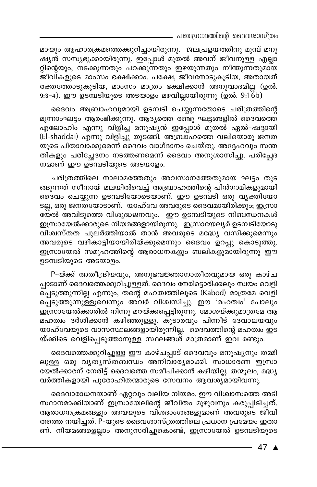- പഞ്ചഗ്രന്ഥത്തിന്റെ ദൈവശാസ്ത്രം

മായും ആഹാരക്രമത്തെക്കുറിച്ചായിരുന്നു. ജലപ്രളയത്തിനു മുമ്പ് മനു ഷ്യൻ സസ്യഭുക്കായിരുന്നു. ഇപ്പോൾ മുതൽ അവന് ജീവനുള്ള എല്ലാ റ്റിന്റെയും, നടക്കുന്നതും പറക്കുന്നതും ഇഴയുന്നതും നീന്തുന്നതുമായ ജീവികളുടെ മാംസം ഭക്ഷിക്കാം. പക്ഷേ, ജീവനോടുകൂടിയ, അതായത് രക്തത്തോടുകൂടിയ, മാംസം മാത്രം ഭക്ഷിക്കാൻ അനുവാദമില്ല (ഉൽ. 9:3-4). ഈ ഉടമ്പടിയുടെ അടയാളം മഴവില്ലായിരുന്നു (ഉൽ. 9:16b)

ദൈവം അബ്രാഹവുമായി ഉടമ്പടി ചെയ്യുന്നതോടെ ചരിത്രത്തിന്റെ മൂന്നാംഘട്ടം ആരംഭിക്കുന്നു. ആദ്യത്തെ രണ്ടു ഘട്ടങ്ങളിൽ ദൈവത്തെ എലോഹിം എന്നു വിളിച്ച മനുഷ്യൻ ഇപ്പോൾ മുതൽ ഏൽ-ഷദ്ദായി (El-shaddai) എന്നു വിളിച്ചു തുടങ്ങി. അബ്രാഹത്തെ വലിയൊരു ജനത യുടെ പിതാവാക്കുമെന്ന് ദൈവം വാഗ്ദാനം ചെയ്തു. അദ്ദേഹവും സന്ത തികളും പരിച്ഛേദനം നടത്തണമെന്ന് ദൈവം അനുശാസിച്ചു. പരിച്ഛേദ നമാണ് ഈ ഉട്മ്പടിയുടെ അടയാളം.

ചരിത്രത്തിലെ നാലാമത്തേതും അവസാനത്തേതുമായ ഘട്ടം തുട ങ്ങുന്നത് സീനായ് മലയിൽവെച്ച് അബ്രാഹത്തിന്റെ പിൻഗാമികളുമായി ദൈവം ചെയ്യുന്ന ഉടമ്പടിയോടെയാണ്. ഈ ഉടമ്പടി ഒരു വൃക്തിയോ ടല്ല, ഒരു ജനതയോടാണ്. യാഹ്വേ അവരുടെ ദൈവമായിരിക്കും; ഇസ്രാ യേൽ അവിടുത്തെ വിശുദ്ധജനവും. ഈ ഉടമ്പടിയുടെ നിബന്ധനകൾ ഇസ്രായേൽക്കാരുടെ നിയമങ്ങളായിരുന്നു. ഇസ്രായേല്യർ ഉടമ്പടിയോടു വിശ്വസ്തത പുലർത്തിയാൽ താൻ അവരുടെ മദ്ധ്യേ വസിക്കുമെന്നും അവരുടെ വഴികാട്ടിയായിരിയ്ക്കുമെന്നും ദൈവം ഉറപ്പു കൊടുത്തു. ഇസ്രായേൽ സമൂഹത്തിന്റെ ആരാധനകളും ബലികളുമായിരുന്നു ഈ ഉടമ്പടിയുടെ അടയാളം.

P-യ്ക്ക് അതീന്ദ്രിയവും, അനുഭവജ്ഞാനാതീതവുമായ ഒരു കാഴ്ച പ്പാടാണ് ദൈവത്തെക്കുറിച്ചുള്ളത്. ദൈവം നേരിട്ടൊരിക്കലും സ്വയം വെളി പ്പെടുത്തുന്നില്ല എന്നും, തന്റെ മഹത്വത്തിലൂടെ (Kabod) മാത്രമേ വെളി പ്പെടുത്തുന്നുള്ളുവെന്നും അവർ വിശ്വസിച്ചു. ഈ 'മഹത്വം' പോലും ഇസ്രായേൽക്കാരിൽ നിന്നു മറയ്ക്കപ്പെട്ടിരുന്നു. മോശയ്ക്കുമാത്രമേ ആ മഹത്വം ദർശിക്കാൻ കഴിഞ്ഞുള്ളു. കൂടാരവും പിന്നീട് ദേവാലയവും യാഹ്വേയുടെ വാസസ്ഥലങ്ങളായിരുന്നില്ല. ദൈവത്തിന്റെ മഹത്വം ഇട യ്ക്കിടെ വെളിപ്പെടുത്താനുള്ള സ്ഥലങ്ങൾ മാത്രമാണ് ഇവ രണ്ടും.

ദൈവത്തെക്കുറിച്ചുള്ള ഈ കാഴ്ചപ്പാട് ദൈവവും മനുഷ്യനും തമ്മി ലുള്ള ഒരു വൃതൃസ്തബന്ധം അനിവാര്യമാക്കി. സാധാരണ ഇസ്രാ യേൽക്കാരന് നേരിട്ട് ദൈവത്തെ സമീപിക്കാൻ കഴിയില്ല. തന്മൂലം, മദ്ധ്യ വർത്തികളായി പുരോഹിതന്മാരുടെ സേവനം ആവശ്യമായിവന്നു.

ദൈവാരാധനയാണ് ഏറ്റവും വലിയ നിയമം. ഈ വിശ്വാസത്തെ അടി സ്ഥാനമാക്കിയാണ് ഇസ്രായേലിന്റെ ജീവിതം മുഴുവനും കരുപ്പിടിച്ചത്. ആരാധനക്രമങ്ങളും അവയുടെ വിശദാംശങ്ങളുമാണ് അവരുടെ ജീവി തത്തെ നയിച്ചത്. P-യുടെ ദൈവശാസ്ത്രത്തിലെ പ്രധാന പ്രമേയം ഇതാ ണ്. നിയമങ്ങളെല്ലാം അനുസരിച്ചുകൊണ്ട്, ഇസ്രായേൽ ഉടമ്പടിയുടെ

47 ▲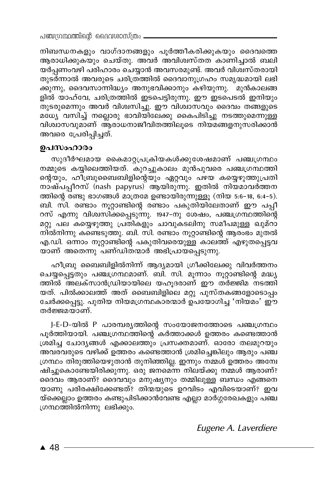നിബന്ധനകളും വാഗ്ദാനങ്ങളും പൂർത്തീകരിക്കുകയും ദൈവത്തെ ആരാധിക്കുകയും ചെയ്തു. അവർ അവിശ്വസ്തത കാണിച്ചാൽ ബലി യർപ്പണംവഴി പരിഹാരം ചെയ്യാൻ അവസരമുണ്ട്. അവർ വിശ്വസ്തരായി തുടർന്നാൽ അവരുടെ ചരിത്രത്തിൽ ദൈവാനുഗ്രഹം സമൃദ്ധമായി ലഭി .<br>കുന്നു, ദൈവസാന്നിദ്ധ്യം അനുഭവിക്കാനും കഴിയുന്നു. ്മുൻകാലങ്ങ .<br>ളിൽ യാഹ്വേ, ചരിത്രത്തിൽ ഇടപെട്ടിരുന്നു. ഈ ഇടപെടൽ ഇനിയും \_<br>തുടരുമെന്നും അവർ വിശ്വസിച്ചു. ഈ വിശ്വാസവും ദൈവം തങ്ങളുടെ മധ്യേ വസിച്ച് നല്ലൊരു ഭാവിയിലേക്കു കൈപിടിച്ചു നടത്തുമെന്നുള്ള വിശ്വാസവുമാണ് ആരാധനാജീവിതത്തിലൂടെ നിയമങ്ങളനുസരിക്കാൻ അവരെ പ്രേരിപ്പിച്ചത്.

#### ഉപസംഹാരം

സുദീർഘമായ കൈമാറ്റപ്രക്രിയകൾക്കുശേഷമാണ് പഞ്ചഗ്രന്ഥം നമ്മുടെ കയ്യിലെത്തിയത്. കുറച്ചുകാലം മുൻപുവരെ പഞ്ചഗ്രന്ഥത്തി ന്റെയും, ഹീബ്രുബൈബിളിന്റെയും ഏറ്റവും പഴയ കയ്യെഴുത്തുപ്രതി നാഷ്പപ്പീറസ് (nash papyrus) ആയിരുന്നു. ഇതിൽ നിയമാവർത്തന ത്തിന്റെ രണ്ടു ഭാഗങ്ങൾ മാത്രമേ ഉണ്ടായിരുന്നുള്ളൂ (നിയ 5:6-18, 6:4-5). ബി. സി. രണ്ടാം നൂറ്റാണ്ടിന്റെ രണ്ടാം പകുതിയിലേതാണ് ഈ പപ്പീ റസ് എന്നു വിശ്വസിക്കപ്പെടുന്നു. 1947-നു ശേഷം, പഞ്ചഗ്രന്ഥത്തിന്റെ മറ്റു പല കയ്യെഴുത്തു പ്രതികളും ചാവുകടലിനു സമീപമുള്ള ഖുമ്റാ നിൽനിന്നു കണ്ടെടുത്തു. ബി. സി. രണ്ടാം നൂറ്റാണ്ടിന്റെ ആരംഭം മുതൽ എ.ഡി. ഒന്നാം നൂറ്റാണ്ടിന്റെ പകുതിവരെയുള്ള കാലത്ത് എഴുതപ്പെട്ടവ യാണ് അതെന്നു പണ്ഡിതന്മാർ അഭിപ്രായപ്പെടുന്നു.

ഹീബ്രു ബൈബിളിൽനിന്ന് ആദ്യമായി ഗ്രീക്കിലേക്കു വിവർത്തനം ചെയ്യപ്പെട്ടതും പഞ്ചഗ്രന്ഥമാണ്. ബി. സി. മൂന്നാം നൂറ്റാണ്ടിന്റെ മദ്ധ്യ ത്തിൽ അലക്സാൻഡ്രിയായിലെ യഹൂദരാണ് ഈ തര്ജ്ജിമ നടത്തി യത്. പിൽക്കാലത്ത് അത് ബൈബിളിലെ മറ്റു പുസ്തകങ്ങളോടൊപ്പം ചേർക്കപ്പെട്ടു. പുതിയ നിയമഗ്രന്ഥകാരന്മാർ ഉപയോഗിച്ച 'നിയമം' ഈ തർജ്ജമയാണ്.

J-E-D-യിൽ P പാരമ്പര്യത്തിന്റെ സംയോജനത്തോടെ പഞ്ചഗ്രന്ഥം പൂർത്തിയായി. പഞ്ചഗ്രന്ഥത്തിന്റെ<sup>്</sup>കർത്താക്കൾ ഉത്തരം കണ്ടെത്താൻ ശ്രമിച്ച ചോദ്യങ്ങൾ എക്കാലത്തും പ്രസക്തമാണ്. ഓരോ തലമുറയും അവരവരുടെ വഴിക്ക് ഉത്തരം കണ്ടെത്താൻ ശ്രമിച്ചെങ്കിലും ആരും പഞ്ച ഗ്രന്ഥം തിരുത്തിയെഴുതാൻ തുനിഞ്ഞില്ല. ഇന്നും നമ്മൾ ഉത്തരം അന്വേ ഷിച്ചുകൊണ്ടേയിരിക്കുന്നു. ഒരു ജനമെന്ന നിലയ്ക്കു നമ്മൾ ആരാണ്? ദൈവം ആരാണ്? ദൈവവും മനുഷ്യനും തമ്മിലുള്ള ബന്ധം എങ്ങനെ യാണു പരിരക്ഷിക്കേണ്ടത്? തിന്മയുടെ ഉറവിടം എവിടെയാണ്? ഇവ യ്ക്കെല്ലാം ഉത്തരം കണ്ടുപിടിക്കാൻവേണ്ട എല്ലാ മാർഗ്ഗരേഖകളും പഞ്ച ഗ്രന്ഥത്തിൽനിന്നു ലഭിക്കും.

Eugene A. Laverdiere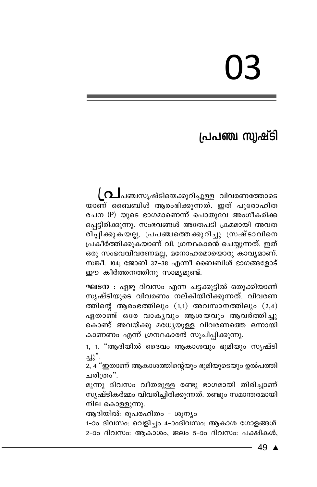# 03

# പ്രപഞ്ച സ്വഷ്ടി

( ∩⊥പഞ്ചസൃഷ്ടിയെക്കുറിച്ചുള്ള വിവരണത്തോടെ യാണ് ബൈബിൾ ആരംഭിക്കുന്നത്. ഇത് പുരോഹിത രചന (P) യുടെ ഭാഗമാണെന്ന് പൊതുവേ അംഗീകരിക്ക പ്പെട്ടിരിക്കുന്നു. സംഭവങ്ങൾ അതേപടി ക്രമമായി അവത രിപ്പിക്കുകയല്ല, പ്രപഞ്ചത്തെക്കുറിച്ചു സ്രഷ്ടാവിനെ പ്രകീർത്തിക്കുകയാണ് വി. ഗ്രന്ഥകാരൻ ചെയ്യുന്നത്. ഇത് ഒരു സംഭവവിവരണമല്ല, മനോഹരമായൊരു കാവ്യമാണ്. സങ്കീ. 104; ജോബ് 37-38 എന്നീ ബൈബിൾ ഭാഗങ്ങളോട് ഈ കീർത്തനത്തിനു സാമ്യമുണ്ട്.

ഘടന : ഏഴു ദിവസം എന്ന ചട്ടക്കൂട്ടിൽ ഒതുക്കിയാണ് സൃഷ്ടിയുടെ വിവരണം നല്കിയിരിക്കുന്നത്. വിവരണ ത്തിന്റെ ആരംഭത്തിലും  $(1,1)$  അവസാനത്തിലും  $(2,4)$ ഏതാണ്ട് ഒരേ വാകൃവും ആശയവും ആവർത്തിച്ചു കൊണ്ട് അവയ്ക്കു മധ്യേയുള്ള വിവരണത്തെ ഒന്നായി കാണണം എന്ന് ഗ്രന്ഥകാരൻ സൂചിപ്പിക്കുന്നു.

1, 1. "ആദിയിൽ ദൈവം ആകാശവും ഭൂമിയും സൃഷ്ടി لار<br>."د

2, 4 "ഇതാണ് ആകാശത്തിന്റെയും ഭൂമിയുടെയും ഉൽപത്തി ചരിത്രം".

മൂന്നു ദിവസം വീതമുള്ള രണ്ടു ഭാഗമായി തിരിച്ചാണ് സൃഷ്ടികർമ്മം വിവരിച്ചിരിക്കുന്നത്. രണ്ടും സമാന്തരമായി നില കൊള്ളുന്നു.

ആദിയിൽ: രൂപരഹിതം - ശൂന്യം

1-ാം ദിവസം: വെളിച്ചം 4-ാംദിവസം: ആകാശ ഗോളങ്ങൾ 2-ാം ദിവസം: ആകാശം, ജലം 5-ാം ദിവസം: പക്ഷികൾ,

49 ▲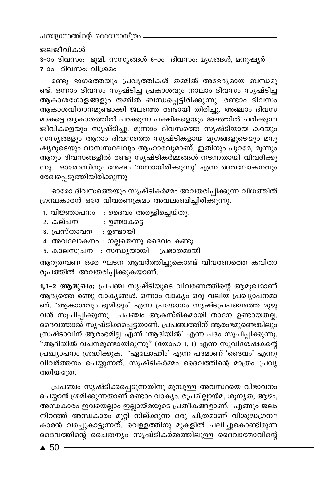പഞ്ചന്ഥ്രന്തിന്റെ ദൈവശാസ്ത്രം

#### ജലജീവികൾ

3-ാം ദിവസം: ഭൂമി, സസ്യങ്ങൾ 6-ാം ദിവസം: മൃഗങ്ങൾ, മനുഷ്യർ 7-ാം ദിവസം: വിശ്രമം

രണ്ടു ഭാഗത്തെയും പ്രവൃത്തികൾ തമ്മിൽ അഭേദ്യമായ ബന്ധമു ണ്ട്. ഒന്നാം ദിവസം സൃഷ്ടിച്ച പ്രകാശവും നാലാം ദിവസം സൃഷ്ടിച്ച ആകാശഗോളങ്ങളും തമ്മിൽ ബന്ധപ്പെട്ടിരിക്കുന്നു. രണ്ടാം ദിവസം ആകാശവിതാനമുണ്ടാക്കി ജലത്തെ രണ്ടായി തിരിച്ചു. അഞ്ചാം ദിവസ മാകട്ടെ ആകാശത്തിൽ പറക്കുന്ന പക്ഷികളെയും ജലത്തിൽ ചരിക്കുന്ന ജീവികളെയും സൃഷ്ടിച്ചു. മൂന്നാം ദിവസത്തെ സൃഷ്ടിയായ കരയും സസ്യങ്ങളും ആറാം ദിവസത്തെ സൃഷ്ടികളായ മൃഗങ്ങളുടെയും മനു ഷ്യരുടെയും വാസസ്ഥലവും ആഹാരവുമാണ്. ഇതിനും പുറമേ, മൂന്നും ആറും ദിവസങ്ങളിൽ രണ്ടു സൃഷ്ടികർമ്മങ്ങൾ നടന്നതായി വിവരിക്കു ന്നു. ഓരോന്നിനും ശേഷം 'നന്നായിരിക്കുന്നു' എന്ന അവലോകനവും രേഖപ്പെടുത്തിയിരിക്കുന്നു.

ഓരോ ദിവസത്തെയും സൃഷ്ടികർമ്മം അവതരിപ്പിക്കുന്ന വിധത്തിൽ ഗ്രന്ഥകാരൻ ഒരേ വിവരണക്രമം അവലംബിച്ചിരിക്കുന്നു.

- 1. വിജ്ഞാപനം : ദൈവം അരുളിച്ചെയ്തു.
- 2. കല്പന : ഉണ്ടാകട്ടെ
- 3. പ്രസ്താവന : ഉണ്ടായി
- 4. അവലോകനം : നല്ലതെന്നു ദൈവം കണ്ടു
- 5. കാലസൂചന : സന്ധ്യയായി പ്രഭാതമായി

ആറുതവണ ഒരേ ഘടന ആവർത്തിച്ചുകൊണ്ട് വിവരണത്തെ കവിതാ രുപത്തിൽ അവതരിപ്പിക്കുകയാണ്.

1,1–2 ആമുഖം: പ്രപഞ്ച സൃഷ്ടിയുടെ വിവരണത്തിന്റെ ആമുഖമാണ് ആദ്യത്തെ രണ്ടു വാകൃങ്ങൾ. ഒന്നാം വാക്യം ഒരു വലിയ പ്രഖ്യാപനമാ ണ്. 'ആകാശവും ഭൂമിയും' എന്ന പ്രയോഗം സൃഷ്ടപ്രപഞ്ചത്തെ മുഴു വൻ സൂചിപ്പിക്കുന്നു. പ്രപഞ്ചം ആകസ്മികമായി താനേ ഉണ്ടായതല്ല, ദൈവത്താൽ സൃഷ്ടിക്കപ്പെട്ടതാണ്. പ്രപഞ്ചത്തിന് ആരംഭമുണ്ടെങ്കിലും സ്രഷ്ടാവിന് ആരംഭമില്ല എന്ന് 'ആദിയിൽ' എന്ന പദം സൂചിപ്പിക്കുന്നു. "ആദിയിൽ വചനമുണ്ടായിരുന്നു" (യോഹ 1, 1) എന്ന സുവിശേഷകന്റെ പ്രഖ്യാപനം ശ്രദ്ധിക്കുക. 'ഏലോഹിം' എന്ന പദമാണ് 'ദൈവം' എന്നു വിവർത്തനം ചെയ്യുന്നത്. സൃഷ്ടികർമ്മം ദൈവത്തിന്റെ മാത്രം പ്രവൃ ത്തിയത്രേ.

പ്രപഞ്ചം സൃഷ്ടിക്കപ്പെടുന്നതിനു മുമ്പുള്ള അവസ്ഥയെ വിഭാവനം ചെയ്യാൻ ശ്രമിക്കുന്നതാണ് രണ്ടാം വാക്യം. രൂപമില്ലായ്മ, ശൂന്യത, ആഴം, അന്ധകാരം ഇവയെല്ലാം ഇല്ലായ്മയുടെ പ്രതീകങ്ങളാണ്. എങ്ങും ജലം നിറഞ്ഞ് അന്ധകാരം മുറ്റി നില്ക്കുന്ന ഒരു ചിത്രമാണ് വിശുദ്ധഗ്രന്ഥ കാരൻ വരച്ചുകാട്ടുന്നത്. വെള്ളത്തിനു മുകളിൽ ചലിച്ചുകൊണ്ടിരുന്ന ദൈവത്തിന്റെ ചൈതന്യം സൃഷ്ടികർമ്മത്തിലുള്ള ദൈവാത്മാവിന്റെ

 $\triangle$  50  $\overline{\phantom{0}}$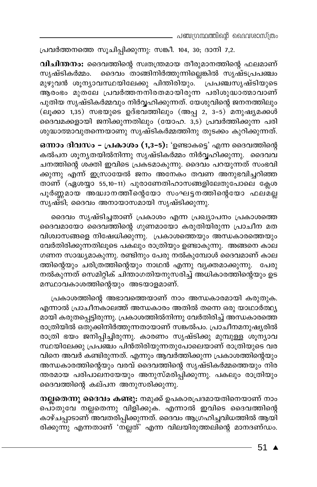പ്രവർത്തനത്തെ സൂചിപ്പിക്കുന്നു: സങ്കീ. 104, 30; ദാനി 7,2.

വിചിന്തനം: ദൈവത്തിന്റെ സ്വതന്ത്രമായ തീരുമാനത്തിന്റെ ഫലമാണ് സൃഷ്ടികർമ്മം. ദൈവം താങ്ങിനിർത്തുന്നില്ലെങ്കിൽ സൃഷ്ടപ്രപഞ്ചം മുഴുവൻ ശൂന്യാവസ്ഥയിലേക്കു പിന്തിരിയും. പ്രപഞ്ചസൃഷ്ടിയുടെ ആരംഭം മുതലേ പ്രവർത്തനനിരതമായിരുന്ന പരിശുദ്ധാത്മാവാണ് പുതിയ സൃഷ്ടികർമ്മവും നിർവ്വഹിക്കുന്നത്. യേശുവിന്റെ ജനനത്തിലും (ലൂക്കാ 1,35) സഭയുടെ ഉദ്ഭവത്തിലും (അപ്പ 2, 3–5) മനുഷ്യമക്കൾ ദൈവമക്കളായി ജനിക്കുന്നതിലും (യോഹ. 3,5) പ്രവർത്തിക്കുന്ന പരി ശുദ്ധാത്മാവുതന്നെയാണു സൃഷ്ടികർമ്മത്തിനു തുടക്കം കുറിക്കുന്നത്.

ഒന്നാം ദിവസം - പ്രകാശം (1,3-5): 'ഉണ്ടാകട്ടെ' എന്ന ദൈവത്തിന്റെ കൽപന ശൂനൃതയിൽനിന്നു സൃഷ്ടികർമ്മം നിർവ്വഹിക്കുന്നു. ദൈവവ ചനത്തിന്റെ ശക്തി ഇവിടെ പ്രകടമാകുന്നു. ദൈവം പറയുന്നത് സംഭവി ക്കുന്നു എന്ന് ഇസ്രായേൽ ജനം അനേകം തവണ അനുഭവിച്ചറിഞ്ഞ താണ് (ഏശയ്യാ 55,10-11) പുരാണേതിഹാസങ്ങളിലേതുപോലെ ക്ലേശ പൂർണ്ണമായ അദ്ധാനത്തി്ന്റെയോ സംഘട്ടനത്തിന്റെയോ ഫലമ്ല്ല സൃഷ്ടി, ദൈവം അനായാസമായി സൃഷ്ടിക്കുന്നു.

ദൈവം സൃഷ്ടിച്ചതാണ് പ്രകാശം എന്ന പ്രഖ്യാപനം പ്രകാശത്തെ ദൈവമായോ ദൈവത്തിന്റെ ഗുണമായോ കരുതിയിരുന്ന പ്രാചീന മത വിശ്വാസങ്ങളെ നിഷേധിക്കുന്നു. പ്രകാശത്തെയും അന്ധകാരത്തെയും വേർതിരിക്കുന്നതിലൂടെ പകലും രാത്രിയും ഉണ്ടാകുന്നു. അങ്ങനെ കാല ഗണന സാദ്ധ്യമാകുന്നു. രണ്ടിനും പേരു നൽകുമ്പോൾ ദൈവമാണ് കാല ത്തിന്റെയും ചരിത്രത്തിന്റെയും നാഥൻ എന്നു വ്യക്തമാക്കുന്നു. പേരു നൽകുന്നത് സെമിറ്റിക് ചിന്താഗതിയനുസരിച്ച് അധികാരത്തിന്റെയും ഉട മസ്ഥാവകാശത്തിന്റെയും അടയാളമാണ്.

പ്രകാശത്തിന്റെ അഭാവത്തെയാണ് നാം അന്ധകാരമായി കരുതുക. എന്നാൽ പ്രാചീനകാലത്ത് അന്ധകാരം അതിൽ തന്നെ ഒരു യാഥാർത്ഥ്യ മായി കരുതപ്പെട്ടിരുന്നു. പ്രകാശത്തിൽനിന്നു വേർതിരിച്ച് അന്ധകാരത്തെ രാത്രിയിൽ ഒതുക്കിനിർത്തുന്നതായാണ് സങ്കൽപം. പ്രാചീനമനുഷ്യരിൽ രാത്രി ഭയം ജനിപ്പിച്ചിരുന്നു. കാരണം സൃഷ്ടിക്കു മുമ്പുള്ള ശൂന്യാവ സ്ഥയിലേക്കു പ്രപഞ്ചം പിൻതിരിയുന്നതുപോലെയാണ് രാത്രിയുടെ വര വിനെ അവർ കണ്ടിരുന്നത്. എന്നും ആവർത്തിക്കുന്ന പ്രകാശത്തിന്റെയും അന്ധകാരത്തിന്റെയും വരവ് ദൈവത്തിന്റെ സൃഷ്ടികർമ്മത്തെയും നിര ന്തരമായ പരിപാലനയേയും അനുസ്മരിപ്പിക്കുന്നു. പകലും രാത്രിയും ദൈവത്തിന്റെ കല്പന അനുസരിക്കുന്നു.

നല്ലതെന്നു ദൈവം കണ്ടു: നമുക്ക് ഉപകാരപ്രദമായതിനെയാണ് നാം പൊതുവേ നല്ലതെന്നു വിളിക്കുക. എന്നാൽ ഇവിടെ ദൈവത്തിന്റെ കാഴ്ചപ്പാടാണ് അവതരിപ്പിക്കുന്നത്. ദൈവം ആഗ്രഹിച്ചവിധത്തിൽ ആയി രിക്കുന്നു എന്നതാണ് 'നല്ലത്' എന്ന വിലയിരുത്തലിന്റെ മാനദണ്ഡം.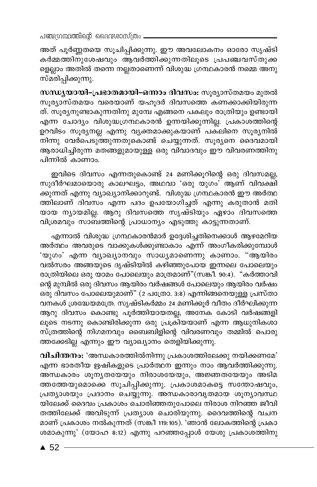പഞ്ചഗ്രന്ഥത്തിന്റെ ദൈവശാസ്ത്രം \_

അത് പൂർണ്ണതയെ സൂചിപ്പിക്കുന്നു. ഈ അവലോകനം ഓരോ സൃഷ്ടി കർമ്മത്തിനുശേഷവും ആവർത്തിക്കുന്നതിലൂടെ പ്രപഞ്ചവസ്തുക<u>്</u>ക ളെല്ലാം അതിൽ തന്നെ നല്ലതാണെന്ന് വിശുദ്ധ ഗ്രന്ഥകാരൻ നമ്മെ അനു സ്മരിപ്പിക്കുന്നു.

സന്ധ്യയായി-പ്രഭാതമായി-ഒന്നാം ദിവസം: സൂര്യാസ്തമയം മുതൽ സൂര്യാസ്തമയം വരെയാണ് യഹൂദർ ദിവസത്തെ കണക്കാക്കിയിരുന്ന ത്. സൂര്യനുണ്ടാകുന്നതിനു മുമ്പേ എങ്ങനെ പകലും രാത്രിയും ഉണ്ടായി എന്ന<sup>് ചോദ്യം വിശുദ്ധഗ്രന്ഥകാരൻ ഉന്നയിക്കുന്നില്ല. പ്രകാശത്തിന്റെ</sup> ഉറവിടം സൂര്യനല്ല എന്നു വ്യക്തമാക്കുകയാണ് പക്ലിനെ സൂര്യനിൽ് \_<br>നിന്നു വേർപെടുത്തുന്നതുകൊണ്ട് ചെയ്യുന്നത്. സൂര്യനെ ദൈവമായി ആരാധിച്ചിരുന്ന മതങ്ങളുമായുള്ള ഒരു വിവാദവും ഈ വിവരണത്തിനു പിന്നിൽ കാണാം.

ഇവിടെ ദിവസം എന്നതുകൊണ്ട് 24 മണിക്കുറിന്റെ ഒരു ദിവസമല്ല, സുദീർഘമായൊരു കാലഘ്ട്ടം, അഥവാ 'ഒരു യുഗം' ആണ് വിവക്ഷി ക്കുന്നത് എന്നു വ്യാഖ്യാനിക്കാറുണ്ട്. വിശുദ്ധ ഗ്രന്ഥകാരൻ ഈ അർത്ഥ ത്തിലാണ് ദിവസം എന്ന പദം ഉപയോഗിച്ചത് എന്നു കരുതാൻ മതി യായ ന്യായമില്ല. ആറു ദിവസത്തെ സൃഷ്ടിയും ഏഴാം ദിവസത്തെ വിശ്രമവും സാബത്തിന്റെ പ്രാധാന്യം എടുത്തു കാട്ടുന്നതാണ്.

എന്നാൽ വിശുദ്ധ ഗ്രന്ഥകാരൻമാർ ഉദ്ദേശിച്ചതിനെക്കാൾ ആഴമേറിയ അർത്ഥം അവരുടെ വാക്കുകൾക്കുണ്ടാകാം എന്ന് അംഗീകരിക്കുമ്പോൾ 'യുഗം' എന്ന വ്യാഖ്യാനവും സാധ്യമാണെന്നു കാണാം. "ആയിരം വൽസരം അങ്ങയുടെ ദൃഷ്ടിയിൽ കഴിഞ്ഞുപോയ ഇന്നലെ പോലെയും രാത്രിയിലെ ഒരു യാമം പോലെയും മാത്രമാണ്"(സങ്കീ. 90:4). "കർത്താവി ന്റെ മുമ്പിൽ ഒരു ദിവസം ആയിരം വർഷങ്ങൾ പോലെയും ആയിരം വർഷം ഒരു ദിവസം പോലെയുമാണ്" (2 പത്രോ. 3:8) എന്നിങ്ങനെയുള്ള പ്രസ്താ വനകൾ ശ്രദ്ധേയമത്രേ. സൃഷ്ടികർമ്മം 24 മണിക്കൂർ വീതം ദീർഘിക്കുന്ന ആറു ദിവസം കൊണ്ടു പൂർത്തിയായതല്ല, അനേക കോടി വർഷങ്ങളി ലൂടെ നടന്നു കൊണ്ടിരിക്കുന്ന ഒരു പ്രക്രിയയാണ് എന്ന ആധുനികശാ സ്ത്രത്തിന്റെ നിഗമനവും ബൈബിളിന്റെ വിവരണവും തമ്മിൽ പൊരു ത്തക്കേടില്ല എന്നും ഈ വ്യാഖ്യാനം തെളിയിക്കുന്നു.

വിചിന്തനം: 'അന്ധകാരത്തിൽനിന്നു പ്രകാശത്തിലേക്കു നയിക്കണമേ' എന്ന ഭാരതീയ ഋഷികളുടെ പ്രാർത്ഥന ഇന്നും നാം ആവർത്തിക്കുന്നു. അന്ധകാരം ശൂനൃതയേയും നിരാശയേയും, അജ്ഞതയേയും അടിമ ത്തത്തേയുമൊക്കെ സൂചിപ്പിക്കുന്നു. പ്രകാശമാകട്ടെ സന്തോഷവും, പ്രത്യാശയും പ്രദാനം ചെയ്യുന്നു. അന്ധകാരാവൃതമായ ശൂന്യാവസ്ഥ യിലേക്ക് ദൈവം പ്രകാശം ചൊരിഞ്ഞതുപോലെ നിരാശ നിറഞ്ഞ ജീവി തത്തിലേക്ക് അവിടുന്ന് പ്രത്യാശ ചൊരിയുന്നു. ദൈവത്തിന്റെ വചന മാണ് പ്രകാശം നൽകുന്നത് (സങ്കീ 119:105). 'ഞാൻ ലോകത്തിന്റെ പ്രകാ ശമാകുന്നു' (യോഹ 8:12) എന്നു പറഞ്ഞപ്പോൾ യേശു പ്രകാശത്തിനു

 $\triangle$  52 -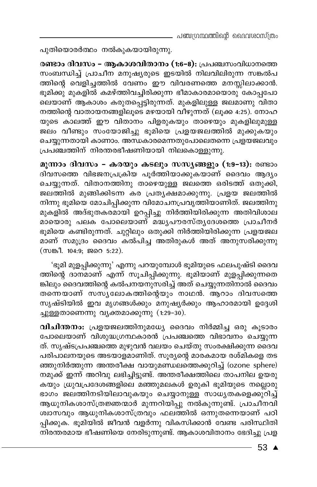പുതിയൊരർത്ഥം നൽകുകയായിരുന്നു.

രണ്ടാം ദിവസം – ആകാശവിതാനം (1:6-8): പ്രപഞ്ചസംവിധാനത്തെ സംബന്ധിച്ച് പ്രാചീന മനുഷ്യരുടെ ഇടയിൽ നിലവിലിരുന്ന സങ്കൽപ ത്തിന്റെ വെളിച്ചത്തിൽ വേണം ഈ വിവരണത്തെ മനസ്സിലാക്കാൻ. ഭൂമിക്കു മുകളിൽ കമഴ്ത്തിവച്ചിരിക്കുന്ന ഭീമാകാരമായൊരു കോപ്പപോ .<br>ലെയാണ് ആകാശം കരുതപ്പെട്ടിരുന്നത്. മുകളിലുള്ള ജലമാണു വിതാ നത്തിന്റെ വാതായനങ്ങളിലൂടെ മഴയായി വീഴുന്നത് (ലൂക്ക 4:25). നോഹ യുടെ കാലത്ത് ഈ വിതാനം പിളരുകയും താഴെയും മുകളിലുമുള്ള ജലം വീണ്ടും സംയോജിച്ചു ഭൂമിയെ പ്രളയജലത്തിൽ മുക്കുകയും ചെയ്യുന്നതായി കാണാം. അന്ധകാരമെന്നതുപോലെതന്നെ പ്രളയജലവും പ്രപഞ്ചത്തിന് നിരന്തരഭീഷണിയായി നിലകൊള്ളുന്നു.

മൂന്നാം ദിവസം – കരയും കടലും സസ്യങ്ങളും (1:9–13): രണ്ടാം ദിവസത്തെ വിഭജനപ്രക്രിയ പൂർത്തിയാക്കുകയാണ് ദൈവം ആദ്യം ചെയ്യുന്നത്. വിതാനത്തിനു താഴെയുള്ള ജലത്തെ ഒരിടത്ത് ഒതുക്കി, ജലത്തിൽ മുങ്ങിക്കിടന്ന കര പ്രത്യക്ഷമാക്കുന്നു. പ്രളയ ജലത്തിൽ നിന്നു ഭൂമിയെ മോചിപ്പിക്കുന്ന വിമോചനപ്രവൃത്തിയാണിത്. ജലത്തിനു മുകളിൽ അദ്ഭുതകരമായി ഉറപ്പിച്ചു നിർത്തിയിരിക്കുന്ന അതിവിശാല മായൊരു പലക പോലെയാണ് മദ്ധ്യപൗരസ്ത്യദേശത്തെ പ്രാചീനർ ഭൂമിയെ കണ്ടിരുന്നത്. ചുറ്റിലും ഒതുക്കി നിർത്തിയിരിക്കുന്ന പ്രളയജല മാണ് സമുദ്രം ദൈവം കൽപിച്ച അതിരുകൾ അത് അനുസരിക്കുന്നു (സങ്കീ. 104:9; ജറെ 5:22).

'ഭൂമി മുളപ്പിക്കുന്നു' എന്നു പറയുമ്പോൾ ഭൂമിയുടെ ഫലപുഷ്ടി ദൈവ ത്തിന്റെ ദാനമാണ് എന്ന് സൂചിപ്പിക്കുന്നു. ഭൂമിയാണ് മുളപ്പിക്കുന്നതെ ങ്കിലും ദൈവത്തിന്റെ കൽപനയനുസരിച്ച് അത് ചെയ്യുന്നതിനാൽ ദൈവം തന്നെയാണ് സസ്യലോകത്തിന്റെയും നാഥൻ. ആറാം ദിവസത്തെ സൃഷ്ടിയിൽ ഇവ മൃഗങ്ങൾക്കും മനുഷ്യർക്കും ആഹാരമായി ഉദ്ദേശി ച്ചുള്ളതാണെന്നു വൃക്തമാക്കുന്നു (1:29-30).

വിചിന്തനം: പ്രളയജലത്തിനുമധ്യേ ദൈവം നിർമ്മിച്ച ഒരു കൂടാരം പോലെയാണ് വിശുദ്ധഗ്രന്ഥകാരൻ പ്രപഞ്ചത്തെ വിഭാവനം ചെയ്യുന്ന ത്. സൃഷ്ടപ്രപഞ്ചത്തെ മുഴുവൻ വലയം ചെയ്തു സംരക്ഷിക്കുന്ന ദൈവ പരിപാലനയുടെ അടയാളമാണിത്. സൂര്യന്റെ മാരകമായ രശ്മികളെ തട ഞ്ഞുനിർത്തുന്ന അന്തരീക്ഷ വായുമണ്ഡലത്തെക്കുറിച്ച് (ozone sphere) നമുക്ക് ഇന്ന് അറിവു ലഭിച്ചിട്ടുണ്ട്. അന്തരീക്ഷത്തിലെ താപനില ഉയരു കയും ധ്രുവപ്രദേശങ്ങളിലെ മഞ്ഞുമലകൾ ഉരുകി ഭൂമിയുടെ നല്ലൊരു ഭാഗം ജലത്തിനടിയിലാവുകയും ചെയ്യാനുള്ള സാധ്യതകളെക്കുറിച്ച് ആധുനികശാസ്ത്രജ്ഞന്മാർ മുന്നറിയിപ്പു നൽകുന്നുണ്ട്. പ്രാചീനവി ശ്വാസവും ആധുനികശാസ്ത്രവും ഫലത്തിൽ ഒന്നുതന്നെയാണ് പഠി പ്പിക്കുക. ഭൂമിയിൽ ജീവൻ വളർന്നു വികസിക്കാൻ വേണ്ട പരിസ്ഥിതി നിരന്തരമായ ഭീഷണിയെ നേരിടുന്നുണ്ട്. ആകാശവിതാനം ഭേദിച്ചു പ്രള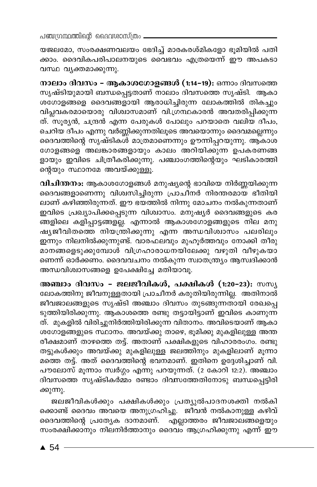പഞ്ചന്ഥ്രന്തിന്റെ ദൈവശാസ്ത്രം

യജലമോ, സംരക്ഷണവലയം ഭേദിച്ച് മാരകരശ്മികളോ ഭൂമിയിൽ പതി ക്കാം. ദൈവികപരിപാലനയുടെ വൈഭവം എത്രയെന്ന് ഈ അപകടാ വസ്ഥ വൃക്തമാക്കുന്നു.

നാലാം ദിവസം - ആകാശഗോളങ്ങൾ (1:14-19): ഒന്നാം ദിവസത്തെ സൃഷ്ടിയുമായി ബന്ധപ്പെട്ടതാണ് നാലാം ദിവസത്തെ സൃഷ്ടി. ആകാ ശഗോളങ്ങളെ ദൈവങ്ങളായി ആരാധിച്ചിരുന്ന ലോകത്തിൽ തികച്ചും വിപ്ലവകരമായൊരു വിശ്വാസമാണ് വി.ഗ്രന്ഥകാരൻ അവതരിപ്പിക്കുന്ന ത്. സൂര്യൻ, ചന്ദ്രൻ എന്ന പേരുകൾ പോലും പറയാതെ വലിയ ദീപം, ചെറിയ ദീപം എന്നു വർണ്ണിക്കുന്നതിലൂടെ അവയൊന്നും ദൈവമല്ലെന്നും ദൈവത്തിന്റെ സൃഷ്ടികൾ മാത്രമാണെന്നും ഊന്നിപ്പറയുന്നു. ആകാശ ഗോളങ്ങളെ അലങ്കാരങ്ങളായും കാലം അറിയിക്കുന്ന ഉപകരണങ്ങ ളായും ഇവിടെ ചിത്രീകരിക്കുന്നു. പഞ്ചാംഗത്തിന്റെയും ഘടികാരത്തി ന്റെയും സ്ഥാനമേ അവയ്ക്കുള്ളൂ.

വിചിന്തനം: ആകാശഗോളങ്ങൾ മനുഷ്യന്റെ ഭാവിയെ നിർണ്ണയിക്കുന്ന ദൈവങ്ങളാണെന്നു വിശ്വസിച്ചിരുന്ന പ്രാചീനർ നിരന്തരമായ ഭീതിയി ലാണ് കഴിഞ്ഞിരുന്നത്. ഈ ഭയത്തിൽ നിന്നു മോചനം നൽകുന്നതാണ് ഇവിടെ പ്രഖ്യാപിക്കപ്പെടുന്ന വിശ്വാസം. മനുഷ്യർ ദൈവങ്ങളുടെ കര ങ്ങളിലെ കളിപ്പാട്ടങ്ങള്ല്ല. എന്നാൽ ആകാശഗോളങ്ങളുടെ നില മനു ഷ്യജീവിതത്തെ നിയന്ത്രിക്കുന്നു എന്ന അന്ധവിശ്വാസം പലരിലും ഇന്നും നിലനിൽക്കുന്നുണ്ട്. വാരഫലവും മുഹൂർത്തവും നോക്കി തീരു മാനങ്ങളെടുക്കുമ്പോൾ വിഗ്രഹാരാധനയിലേക്കു വഴുതി വീഴുകയാ ണെന്ന് ഓർക്കണം. ദൈവവചനം നൽകുന്ന സ്വാതന്ത്ര്യം ആസ്വദിക്കാൻ അന്ധവിശ്വാസങ്ങളെ ഉപേക്ഷിച്ചേ മതിയാവു.

അഞ്ചാം ദിവസം - ജലജീവികൾ, പക്ഷികൾ (1:20-23): സസൃ ലോകത്തിനു ജീവനുള്ളതായി പ്രാചീനർ കരുതിയിരുന്നില്ല. അതിനാൽ ജീവജാലങ്ങളുടെ സൃഷ്ടി അഞ്ചാം ദിവസം തുടങ്ങുന്നതായി രേഖപ്പെ ടുത്തിയിരിക്കുന്നു. ആകാശത്തെ രണ്ടു തട്ടായിട്ടാണ് ഇവിടെ കാണുന്ന ത്. മുകളിൽ വിരിച്ചുനിർത്തിയിരിക്കുന്ന വിതാനം. അവിടെയാണ് ആകാ ശഗോളങ്ങളുടെ സ്ഥാനം. അവയ്ക്കു താഴെ, ഭൂമിക്കു മുകളിലുള്ള അന്ത രീക്ഷമാണ് താഴത്തെ തട്ട്. അതാണ് പക്ഷികളുടെ വിഹാരരംഗം. രണ്ടു തട്ടുകൾക്കും അവയ്ക്കു മുകളിലുള്ള ജലത്തിനും മുകളിലാണ് മൂന്നാ മത്തെ തട്ട്. അത് ദൈവത്തിന്റെ ഭവനമാണ്. ഇതിനെ ഉദ്ദേശിച്ചാണ് വി. പൗലോസ് മൂന്നാം സ്വർഗ്ഗം എന്നു പറയുന്നത്. (2 കോറി 12:2). അഞ്ചാം ദിവസത്തെ സൃഷ്ടികർമ്മം രണ്ടാം ദിവസത്തേതിനോടു ബന്ധപ്പെട്ടിരി ക്കുന്നു.

ജലജീവികൾക്കും പക്ഷികൾക്കും പ്രത്യുൽപാദനശക്തി നൽകി ക്കൊണ്ട് ദൈവം അവയെ അനുഗ്രഹിച്ചു. ജീവൻ നൽകാനുള്ള കഴിവ് ദൈവത്തിന്റെ പ്രത്യേക ദാനമാണ്. എല്ലാത്തരം ജീവജാലങ്ങളെയും സംരക്ഷിക്കാനും നിലനിർത്താനും ദൈവം ആഗ്രഹിക്കുന്നു എന്ന് ഈ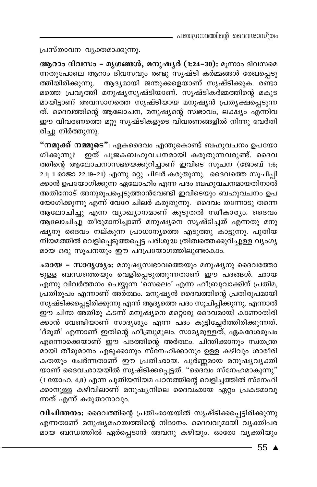പ്രസ്താവന വൃക്തമാക്കുന്നു.

ആറാം ദിവസം - മൃഗങ്ങൾ, മനുഷൃർ (1:24-30): മൂന്നാം ദിവസമെ ന്നതുപോലെ ആറാം ദിവസവും രണ്ടു സൃഷ്ടി കർമ്മങ്ങൾ രേഖപ്പെടു ത്തിയിരിക്കുന്നു. ആദ്യമായി ജന്തുക്കളെയാണ് സൃഷ്ടിക്കുക. രണ്ടാ മത്തെ പ്രവൃത്തി മനുഷ്യസൃഷ്ടിയാണ്. സൃഷ്ടികർമ്മത്തിന്റെ മകുട മായിട്ടാണ് അവസാനത്തെ സൃഷ്ടിയായ മനുഷൃൻ പ്രതൃക്ഷപ്പെടുന്ന ത്. ദൈവത്തിന്റെ ആലോചന, മനുഷ്യന്റെ സ്ഥാവം, ലക്ഷ്യം എന്നിവ ഈ വിവരണത്തെ മറ്റു സൃഷ്ടികളുടെ വിവരണങ്ങളിൽ നിന്നു വേർതി രിച്ചു നിർത്തുന്നു.

"**നമുക്ക് നമ്മുടെ"**: ഏകദൈവം എന്തുകൊണ്ട് ബഹുവചനം ഉപയോ ഗിക്കുന്നുഃ ഇത് പൂജ്കബഹുവചനമായി കരുതുന്നവരുണ്ട്. ദൈവ ത്തിന്റെ ആലോചനാസഭയെക്കുറിച്ചാണ് ഇവിടെ സൂചന (ജോബ് 1:6; 2:1; 1 രാജാ 22:19–21) എന്നു മറ്റു ചിലർ കരുതുന്നു. ദൈവത്തെ സൂചിപ്പി .<br>ക്കാൻ ഉപയോഗിക്കുന്ന ഏലോഹിം എന്ന പദം ബഹുവചനമായതിനാൽ അതിനോട് അനുരൂപപ്പെടുത്താൻവേണ്ടി ഇവിടെയും ബഹുവചനം ഉപ യോഗിക്കുന്നു എന്ന് വേറേ ചിലർ കരുതുന്നു. ദൈവം തന്നോടു തന്നെ ആലോചിച്ചു എന്ന വ്യാഖ്യാനമാണ് കൂടുതൽ സ്വീകാര്യം. ദൈവം ആലോചിച്ചു് തീരുമാനിച്ചാണ് മനുഷ്യനെ സൃഷ്ടിച്ചത് എന്നതു മനു ഷൃനു ദൈവം നല്കുന്ന പ്രാധാന്യത്തെ എടുത്തു കാട്ടുന്നു. പുതിയ നിയമത്തിൽ വെളിപ്പെടുത്തപ്പെട്ട പരിശുദ്ധ ത്രിത്വത്തെക്കുറിച്ചുള്ള വ്യാഗ്യ മായ ഒരു സുചനയും ഈ പദപ്രയോഗത്തിലുണ്ടാകാം.

ഛായ – സാദൃശ്യം: മനുഷ്യസ്വഭാവത്തെയും മനുഷ്യനു ദൈവത്തോ ടുള്ള ബന്ധത്തെയും വെളിപ്പെടുത്തുന്നതാണ് ഈ പദങ്ങൾ. ഛായ എന്നു വിവർത്തനം ചെയ്യുന്ന 'സെലെം' എന്ന ഹീബ്രുവാക്കിന് പ്രതിമ, പ്രതിരൂപം എന്നാണ് അർത്ഥം. മനുഷ്യൻ ദൈവത്തിന്റെ പ്രതിരൂപമായി സൃഷ്ടിക്കപ്പെട്ടിരിക്കുന്നു എന്ന് ആദ്യത്തെ പദം സൂചിപ്പിക്കുന്നു. എന്നാൽ ഈ ചിന്ത അതിരു കടന്ന് മനുഷ്യനെ മറ്റൊരു ദൈവമായി കാണാതിരി ക്കാൻ വേണ്ടിയാണ് സാദൃശും എന്ന പദം കൂട്ടിച്ചേർത്തിരിക്കുന്നത്. 'ദ്മൂത്' എന്നാണ് ഇതിന്റെ ഹിബ്രുമൂലം. സാമ്യമുള്ളത്, ഏകദേശരൂപം എന്നൊക്കെയാണ് ഈ പദത്തിന്റെ അർത്ഥം. ചിന്തിക്കാനും സ്വതന്ത്ര മായി തീരുമാനം എടുക്കാനും സ്നേഹിക്കാനും ഉള്ള കഴിവും ശാരീരി കതയും ചേർന്നതാണ് ഈ പ്രതിഛായ. പൂർണ്ണമായ മനുഷ്യവ്യക്തി യാണ് ദൈവഛായയിൽ സൃഷ്ടിക്കപ്പെട്ടത്. "ദൈവം സ്നേഹമാകുന്നു" (1 യോഹ. 4,8) എന്ന പുതിയനിയമ പഠനത്തിന്റെ വെളിച്ചത്തിൽ സ്നേഹി ക്കാനുള്ള കഴിവിലാണ് മനുഷ്യനിലെ ദൈവഛായ ഏറ്റം പ്രകടമാവു ന്നത് എന്ന് കരുതാനാവും.

വിചിന്തനം: ദൈവത്തിന്റെ പ്രതിഛായയിൽ സൃഷ്ടിക്കപ്പെട്ടിരിക്കുന്നു എന്നതാണ് മനുഷ്യമഹത്വത്തിന്റെ നിദാനം. ദൈവവുമായി വ്യക്തിപര മായ ബന്ധത്തിൽ ഏർപ്പെടാൻ അവനു കഴിയും. ഓരോ വ്യക്തിയും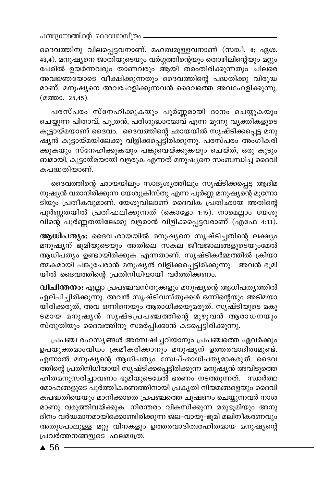പഞ്ചന്ഥ്രന്തിന്റെ ദൈവശാസ്ത്രം.

ദൈവത്തിനു വിലപ്പെട്ടവനാണ്, മഹത്വമുള്ളവനാണ് (സങ്കീ. 8; ഏശ. 43,4). മനുഷ്യനെ ജാതിയുടെയും വർഗ്ഗത്തിന്റെയും തൊഴിലിന്റെയും മറ്റും പേരിൽ ഉയർന്നവരും താണവരും ആയി തരംതിരിക്കുന്നതും ചിലരെ അവജ്ഞയോടെ വീക്ഷിക്കുന്നതും ദൈവത്തിന്റെ പദ്ധതിക്കു വിരുദ്ധ മാണ്. മനുഷ്യനെ അവഹേളിക്കുന്നവൻ ദൈവത്തെ അവഹേളിക്കുന്നു. (മത്താ. 25,45).

പരസ്പരം സ്നേഹിക്കുകയും പൂർണ്ണമായി ദാനം ചെയ്യുകയും ചെയ്യുന്ന പിതാവ്, പുത്രൻ, പരിശുദ്ധാത്മാവ് എന്ന മൂന്നു വൃക്തികളുടെ കൂട്ടായ്മയാണ് ദൈവം. ദൈവത്തിന്റെ ഛായയിൽ സൃഷ്ടിക്കപ്പെട്ട മനു ഷ്യൻ കൂട്ടായ്മയിലേക്കു വിളിക്കപ്പെട്ടിരിക്കുന്നു. പരസ്പരം അംഗീകരി ക്കുകയും സ്നേഹിക്കുകയും പങ്കുവെയ്ക്കുകയും ചെയ്ത്, ഒരു കുടും ബമായി, കൂട്ടായ്മയായി വളരുക എന്നത് മനുഷ്യനെ സംബന്ധിച്ച ദൈവി കപദ്ധതിയാണ്.

ദൈവത്തിന്റെ ഛായയിലും സാദൃശ്യത്തിലും സൃഷ്ടിക്കപ്പെട്ട ആദിമ നുഷ്യൻ വരാനിരിക്കുന്ന യേശുക്രിസ്തു എന്ന പൂർണ്ണ മനുഷ്യന്റെ മുന്നോ ടിയും പ്രതീകവുമാണ്. യേശുവിലാണ് ദൈവിക പ്രതിഛായ അതിന്റെ പൂർണ്ണതയിൽ പ്രതിഫലിക്കുന്നത് (കൊളോ 1:15). നാമെല്ലാം യേശു വിന്റെ പുർണ്ണതയിലേക്കു വളരാൻ വിളിക്കപ്പെട്ടവരാണ് (എഫേ 4:13).

ആധിപത്യം: ദൈവഛായയിൽ മനുഷ്യനെ സൃഷ്ടിച്ചതിന്റെ ലക്ഷ്യം മനുഷ്യന് ഭൂമിയുടെയും അതിലെ സകല ജീവജാലങ്ങളുടെയുംമേൽ ആധിപത്യം ഉണ്ടായിരിക്കുക എന്നതാണ്. സൃഷ്ടികർമ്മത്തിൽ ക്രിയാ ത്മകമായി പങ്കുചേരാൻ മനുഷ്യൻ വിളിക്കപ്പെട്ടിരിക്കുന്നു. അവൻ ഭൂമി യിൽ ദൈവത്തിന്റെ പ്രതിനിധിയായി വർത്തിക്കണം.

വിചിന്തനം: എല്ലാ പ്രപഞ്ചവസ്തുക്കളും മനുഷ്യന്റെ ആധിപത്യത്തിൽ ഏല്പിച്ചിരിക്കുന്നു. അവൻ സൃഷ്ടിവസ്തുക്കൾ ഒന്നിന്റെയും അടിമയാ യിരിക്കരുത്, അവ ഒന്നിനെയും ആരാധിക്കയുമരുത്. സൃഷ്ടിയുടെ മകു ടമായ മനുഷൃൻ സൃഷ്ടപ്രപഞ്ചത്തിന്റെ മുഴുവൻ ആരാധനയും സ്തുതിയും ദൈവത്തിനു സമർപ്പിക്കാൻ കടപ്പെട്ടിരിക്കുന്നു.

പ്രപഞ്ച രഹസ്യങ്ങൾ അന്വേഷിച്ചറിയാനും പ്രപഞ്ചത്തെ ഏവർക്കും ഉപയുക്തമാംവിധം ക്രമീകരിക്കാനും മനുഷ്യന് ഉത്തരവാദിത്വമുണ്ട്. എന്നാൽ മനുഷ്യന്റെ ആധിപത്യം സേച്ഛാധിപത്യമാകരുത്. ദൈവ ത്തിന്റെ പ്രതിനിധിയായി സൃഷ്ടിക്കപ്പെട്ടിരിക്കുന്ന മനുഷ്യൻ അവിടുത്തെ ഹിതമനുസരിച്ചാവണം ഭൂമിയുടെമേൽ ഭരണം നടത്തുന്നത്. സ്വാർത്ഥ മോഹങ്ങളുടെ പൂർത്തീകരണത്തിനായി പ്രകൃതി നിയമങ്ങളെയും ദൈവി കപദ്ധതിയെയും മാനിക്കാതെ പ്രപഞ്ചത്തെ ചൂഷണം ചെയ്യുന്നവർ നാശ മാണു വരുത്തിവയ്ക്കുക. നിരന്തരം വികസിക്കുന്ന മരുഭൂമിയും അനു ദിനം വർദ്ധമാനമായിക്കൊണ്ടിരിക്കുന്ന ജല-വായു-ഭൂമി മലിനീകരണവും അതുപോലുള്ള മറ്റു വിനകളും ഉത്തരവാദിത്വരഹിതമായ മനുഷ്യന്റെ പ്രവർത്തനങ്ങളുടെ ഫലമത്രേ.

 $\triangle$  56 -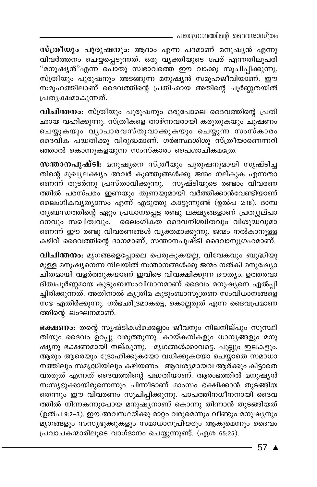- പഞ്ചഗ്രന്ഥത്തിന്റെ ദൈവശാസ്ത്രം

സ്ത്രീയും പുരുഷനും: ആദാം എന്ന പദമാണ് മനുഷ്യൻ എന്നു വിവർത്തനം ചെയ്യപ്പെടുന്നത്. ഒരു വൃക്തിയുടെ പേര് എന്നതിലുപരി "മനുഷ്യൻ"എന്ന പൊതു സ്വഭാവത്തെ ഈ വാക്കു സൂചിപ്പിക്കുന്നു. സ്ത്രീയും പുരുഷനും അടങ്ങുന്ന മനുഷ്യൻ സമൂഹജീവിയാണ്. ഈ സമൂഹത്തിലാണ് ദൈവത്തിന്റെ പ്രതിഛായ അതിന്റെ പൂർണ്ണതയിൽ പ്രതൃക്ഷമാകുന്നത്.

വിചിന്തനം: സ്ത്രീയും പുരുഷനും ഒരുപോലെ ദൈവത്തിന്റെ പ്രതി ഛായ വഹിക്കുന്നു. സ്ത്രീകളെ താഴ്ന്നവരായി കരുതുകയും ചൂഷണം ചെയ്യുകയും വ്യാപാരവസ്തുവാക്കുകയും ചെയ്യുന്ന സംസ്കാരം ദൈവിക പദ്ധതിക്കു വിരുദ്ധമാണ്. ഗർഭസ്ഥശിശു സ്ത്രീയാണെന്നറി ഞ്ഞാൽ കൊന്നുകളയുന്ന സംസ്കാരം പൈശാചികമത്രേ.

സന്താനപുഷ്ടി: മനുഷ്യനെ സ്ത്രീയും പുരുഷനുമായി സൃഷ്ടിച്ച തിന്റെ മുഖ്യലക്ഷ്യം അവർ കുഞ്ഞുങ്ങൾക്കു ജന്മം നല്കുക എന്നതാ ണെന്ന് തുടർന്നു പ്രസ്താവിക്കുന്നു. സൃഷ്ടിയുടെ രണ്ടാം വിവരണ ത്തിൽ പരസ്പരം ഇണയും തുണയുമായി വർത്തിക്കാൻവേണ്ടിയാണ് ലൈംഗികവൃത്യാസം എന്ന് എടുത്തു കാട്ടുന്നുണ്ട് (ഉൽപ 2:18). ദാമ്പ തൃബന്ധത്തിന്റെ ഏറ്റം പ്രധാനപ്പെട്ട രണ്ടു ലക്ഷ്യങ്ങളാണ് പ്രത്യുല്പാ ദനവും സഖിത്വവും. ലൈംഗിക്ത ദൈവനിശ്ചിതവും വിശുദ്ധവുമാ ണെന്ന് ഈ രണ്ടു വിവരണങ്ങൾ വ്യക്തമാക്കുന്നു. ജന്മം നൽകാനുള്ള കഴിവ് ദൈവത്തിന്റെ ദാനമാണ്, സന്താനപുഷ്ടി ദൈവാനുഗ്രഹമാണ്.

വിചിന്തനം: മൃഗങ്ങളെപ്പോലെ പെരുകുകയല്ല, വിവേകവും ബുദ്ധിയു മുള്ള മനുഷ്യനെന്ന നിലയിൽ സന്താനങ്ങൾക്കു് ജന്മം നൽകി മനുഷ്യോ ചിതമായി വളർത്തുകയാണ് ഇവിടെ വിവക്ഷിക്കുന്ന ദൗത്യം. ഉത്തരവാ ദിത്വപൂർണ്ണമായ കുടുംബസംവിധാനമാണ് ദൈവം മനുഷ്യനെ ഏൽപ്പി ച്ചിരിക്കുന്നത്. അതിനാൽ കൃത്രിമ കുടുംബാസൂത്രണ സംവിധാനങ്ങളെ സഭ എതിർക്കുന്നു. ഗർഭഛിദ്രമാകട്ടെ, കൊല്ലരുത് എന്ന ദൈവപ്രമാണ ത്തിന്റെ ലംഘനമാണ്.

ഭക്ഷണം: തന്റെ സൃഷ്ടികൾക്കെല്ലാം ജീവനും നിലനില്പും സുസ്ഥി തിയും ദൈവം ഉറപ്പു വരുത്തുന്നു. കായ്കനികളും ധാനൃങ്ങളും മനു ഷ്യനു ഭക്ഷണമായി നല്കുന്നു. മൃഗങ്ങൾക്കാവട്ടെ, പുല്ലും ഇലകളും. ആരും ആരെയും ദ്രോഹിക്കുകയോ വധിക്കുകയോ ചെയ്യാതെ സമാധാ നത്തിലും സമൃദ്ധിയിലും കഴിയണം. ആവശ്യമായവ ആർക്കും കിട്ടാതെ വരരുത് എന്നത് ദൈവത്തിന്റെ പദ്ധതിയാണ്. ആരംഭത്തിൽ മനുഷ്യൻ സസ്യഭുക്കായിരുന്നെന്നും പിന്നീടാണ് മാംസം ഭക്ഷിക്കാൻ തുടങ്ങിയ തെന്നും ഈ വിവരണം സൂചിപ്പിക്കുന്നു. പാപത്തിനധീനനായി ദൈവ ത്തിൽ നിന്നകന്നുപോയ മനുഷ്യനാണ് കൊന്നു തിന്നാൻ തുടങ്ങിയത് (ഉൽപ 9:2-3). ഈ അവസ്ഥയ്ക്കു മാറ്റം വരുമെന്നും വീണ്ടും മനുഷൃനും മൃഗങ്ങളും സസ്യഭുക്കുകളും സമാധാനപ്രിയരും ആകുമെന്നും ദൈവം പ്രവാചകന്മാരിലൂടെ വാഗ്ദാനം ചെയ്യുന്നുണ്ട്. (ഏശ 65:25).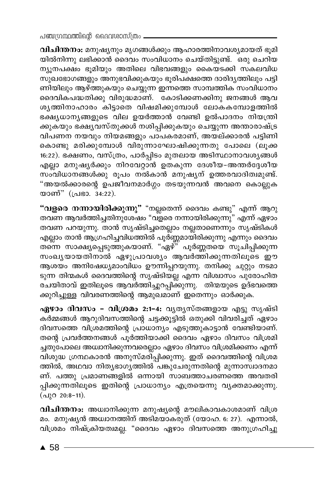പഞ്ചഗ്രന്ഥത്തിന്റെ ദൈവശാസ്ത്രം -

വിചിന്തനം: മനുഷ്യനും മൃഗങ്ങൾക്കും ആഹാരത്തിനാവശ്യമായത് ഭൂമി യിൽനിന്നു ലഭിക്കാൻ ദൈവം സംവിധാനം ചെയ്തിട്ടുണ്ട്. ഒരു ചെറിയ ന്യൂനപക്ഷം ഭൂമിയും അതിലെ വിഭവങ്ങളും കൈയടക്കി സകലവിധ .<br>സുഖഭോഗങ്ങളും അനുഭവിക്കുകയും ഭൂരിപക്ഷത്തെ ദാരിദൃത്തിലും പട്ടി ണിയിലും ആഴ്ത്തുകയും ചെയ്യുന്ന ഇന്നത്തെ സാമ്പത്തിക സംവിധാനം ദൈവികപദ്ധതിക്കു വിരുദ്ധമാണ്. കോടിക്കണക്കിനു ജനങ്ങൾ ആവ ശൃത്തിനാഹാരം കിട്ടാതെ വിഷമിക്കുമ്പോൾ ലോകകമ്പോളത്തിൽ ഭക്ഷ്യധാന്യങ്ങളുടെ വില ഉയർത്താൻ വേണ്ടി ഉൽപാദനം നിയന്ത്രി ക്കുകയും ഭക്ഷ്യവസ്തുക്കൾ നശിപ്പിക്കുകയും ചെയ്യുന്ന അന്താരാഷ്ട്ര വിപണന നയവും നിയമങ്ങളും പാപകരമാണ്, അയല്ക്കാരൻ പട്ടിണി കൊണ്ടു മരിക്കുമ്പോൾ വിരുന്നാഘോഷിക്കുന്നതു പോലെ (ലൂക്ക 16:22). ഭക്ഷണം, വസ്ത്രം, പാർപ്പിടം മുതലായ അടിസ്ഥാനാവശ്യങ്ങൾ എല്ലാ മനുഷൃർക്കും നിറവേറ്റാൻ ഉതകുന്ന ദേശീയ–അന്തർദ്ദേശീയ സംവിധാനങ്ങൾക്കു രൂപം നൽകാൻ മനുഷ്യന് ഉത്തരവാദിത്വമുണ്ട്. "അയൽക്കാരന്റെ ഉപജീവനമാർഗ്ഗം തടയുന്നവൻ അവനെ കൊല്ലുക യാണ്" (പ്രഭാ. 34:22).

<mark>"വളരെ നന്നായിരിക്കുന്നു"</mark> "നല്ലതെന്ന് ദൈവം കണ്ടു" എന്ന് ആറു തവണ ആവർത്തിച്ചതിനുശേഷം "വളരെ നന്നായിരിക്കുന്നു" എന്ന് ഏഴാം തവണ പറയുന്നു. താൻ സൃഷ്ടിച്ചതെല്ലാം നല്ലതാണെന്നും സൃഷ്ടികൾ എല്ലാം താൻ ആഗ്രഹിച്ചവിധത്തിൽ പൂർ്ണ്ണമായിരിക്കുന്നു എന്നും ദൈവം സംഖ്യയായതിനാൽ ഏഴുപ്രാവശ്യം ആവർത്തിക്കുന്നതിലൂടെ ഈ ആശയം അനിഷേധ്യമാംവിധം ഊന്നിപ്പറയുന്നു. തനിക്കു ചുറ്റും നടമാ ടുന്ന തിന്മകൾ ദൈവത്തിന്റെ സൃഷ്ടിയല്ല എന്ന വിശ്വാസം പുരോഹിത രചയിതാവ് ഇതിലൂടെ ആവരത്തിച്ചുറപ്പിക്കുന്നു. തിന്മയുടെ ഉദ്ഭവത്തെ ക്കുറിച്ചുള്ള വിവരണത്തിന്റെ ആമുഖമാണ് ഇതെന്നും ഓർക്കുക.

ഏഴാം ദിവസം – വിശ്രമം 2:1-4: വ്യത്യസ്തങ്ങളായ എട്ടു സൃഷ്ടി കർമ്മങ്ങൾ ആറുദിവസത്തിന്റെ ചട്ടക്കൂട്ടിൽ ഒതുക്കി വിവരിച്ചത് ഏഴാം ദിവസത്തെ വിശ്രമത്തിന്റെ പ്രാധാന്യം എടുത്തുകാട്ടാൻ വേണ്ടിയാണ്. തന്റെ പ്രവർത്തനങ്ങൾ പൂർത്തിയാക്കി ദൈവം ഏഴാം ദിവസം വിശ്രമി ച്ചതുപോലെ അധ്വാനിക്കുന്നവരെല്ലാം ഏഴാം ദിവസം വിശ്രമിക്കണം എന്ന് വിശുദ്ധ ഗ്രന്ഥകാരൻ അനുസ്മരി്പ്പിക്കുന്നു. ഇത് ദൈവത്തിന്റെ വിശ്രമ ത്തിൽ, അഥവാ നിത്യഭാഗ്യത്തിൽ പങ്കുചേരുന്നതിന്റെ മുന്നാസ്വാദനമാ ണ്. പത്തു പ്രമാണങ്ങളിൽ ഒന്നായി സാബത്താചരണത്തെ അവതരി പ്പിക്കുന്നതിലൂടെ ഇതിന്റെ പ്രാധാന്യം എത്രയെന്നു വ്യക്തമാക്കുന്നു.  $($ L)O 20:8-11).

വിചിന്തനം: അധ്വാനിക്കുന്ന മനുഷ്യന്റെ മൗലികാവകാശമാണ് വിശ്ര മം. മനുഷ്യൻ അധ്വാനത്തിന് അടിമയാകരുത് (യോഹ. 6: 27). എന്നാൽ, വിശ്രമം നിഷ്ക്രിയത്വമല്ല. "ദൈവം ഏഴാം ദിവസത്തെ അനുഗ്രഹിച്ചു

 $\triangle$  58 -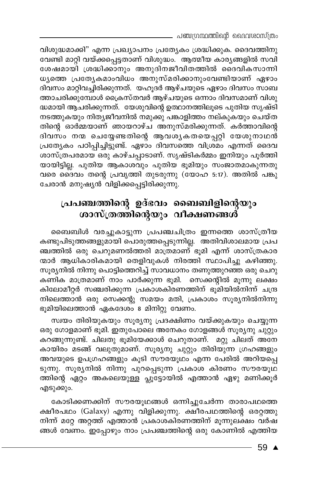\_ പഞ്ചഗ്രന്ഥത്തിന്റെ ദൈവശാസ്ത്രം

വിശുദ്ധമാക്കി" എന്ന പ്രഖ്യാപനം പ്രത്യേകം ശ്രദ്ധിക്കുക. ദൈവത്തിനു വേണ്ടി മാറ്റി വയ്ക്കപ്പെട്ടതാണ് വിശുദ്ധം. ആത്മീയ കാര്യങ്ങളിൽ സവി ശേഷമായി ശ്രദ്ധിക്കാനും അനുദിനജീവിതത്തിൽ ദൈവികസാന്നി ധൃത്തെ പ്രത്യേകമാംവിധം അനുസ്മരിക്കാനുംവേണ്ടിയാണ് ഏഴാം ദിവസം മാറ്റിവച്ചിരിക്കുന്നത്. യഹൂദർ ആഴ്ചയുടെ ഏഴാം ദിവസം സാബ ത്താചരിക്കുമ്പോൾ ക്രൈസ്തവർ ആഴ്ചയുടെ ഒന്നാം ദിവസമാണ് വിശു ദ്ധമായി ആചരിക്കുന്നത്. യേശുവിന്റെ ഉത്ഥാനത്തിലൂടെ പുതിയ സൃഷ്ടി നടത്തുകയും നിത്യജീവനിൽ നമുക്കു പങ്കാളിത്തം നല്കുകയും ചെയ്ത തിന്റെ ഓർമ്മയാണ് ഞായറാഴ്ച അനുസ്മരിക്കുന്നത്. കർത്താവിന്റെ ദിവസം നന്മ ചെയ്യേണ്ടതിന്റെ ആവശ്യകതയെപ്പറ്റി യേശുനാഥൻ പ്രത്യേകം പഠിപ്പിച്ചിട്ടുണ്ട്. ഏഴാം ദിവസത്തെ വിശ്രമം എന്നത് ദൈവ ശാസ്ത്രപരമായ ഒരു കാഴ്ചപ്പാടാണ്. സൃഷ്ടികർമ്മം ഇനിയും പൂർത്തി യായിട്ടില്ല. പുതിയ ആകാശവും പുതിയ ഭൂമിയും സംജാതമാകുന്നതു വരെ ദൈവം തന്റെ പ്രവൃത്തി തുടരുന്നു (യോഹ 5:17). അതിൽ പങ്കു ചേരാൻ മനുഷ്യൻ വിളിക്കപ്പെട്ടിരിക്കുന്നു.

# പ്രപഞ്ചത്തിന്റെ ഉദ്ഭവം ബൈബിളിന്റെയും ശാസ്ത്രത്തിന്റെയും വീക്ഷണങ്ങൾ്

ബൈബിൾ വരച്ചുകാട്ടുന്ന പ്രപഞ്ചചിത്രം ഇന്നത്തെ ശാസ്ത്രീയ കണ്ടുപിടുത്തങ്ങളുമായി പൊരുത്തപ്പെടുന്നില്ല. അതിവിശാലമായ പ്രപ ഞ്ചത്തിൽ ഒരു ചെറുമണൽത്തരി മാത്രമാണ് ഭൂമി എന്ന് ശാസ്ത്രകാര ന്മാർ ആധികാരികമായി തെളിവുകൾ നിരത്തി സ്ഥാപിച്ചു കഴിഞ്ഞു. സൂര്യനിൽ നിന്നു പൊട്ടിത്തെറിച്ച് സാവധാനം തണുത്തുറഞ്ഞ ഒരു ചെറു കണിക മാത്രമാണ് നാം പാർക്കുന്ന ഭൂമി. സെക്കന്റിൽ മൂന്നു ലക്ഷം കിലോമീറ്റർ സഞ്ചരിക്കുന്ന പ്രകാശകിരണത്തിന് ഭൂമിയിൽനിന്ന് ചന്ദ്ര നിലെത്താൻ ഒരു സെക്കന്റു സമയം മതി, പ്രകാശം സൂര്യനിൽനിന്നു ഭൂമിയിലെത്താൻ ഏകദേശം 8 മിനിറ്റു വേണം.

സ്വയം തിരിയുകയും സൂര്യനു പ്രദക്ഷിണം വയ്ക്കുകയും ചെയ്യുന്ന ഒരു ഗോളമാണ് ഭൂമി. ഇതുപോലെ അനേകം ഗോളങ്ങൾ സൂര്യനു ചുറ്റും കറങ്ങുന്നുണ്ട്. ചിലതു ഭൂമിയേക്കാൾ ചെറുതാണ്. മറ്റു ചിലത് അനേ കായിരം മടങ്ങ് വലുതുമാണ്. സൂര്യനു ചുറ്റും തിരിയുന്ന ഗ്രഹങ്ങളും അവയുടെ ഉപഗ്രഹങ്ങളും കൂടി സൗരയൂഥം എന്ന പേരിൽ അറിയപ്പെ ടുന്നു. സൂര്യനിൽ നിന്നു പുറപ്പെടുന്ന പ്രകാശ കിരണം സൗരയൂഥ ത്തിന്റെ ഏറ്റം അകലെയുള്ള പ്ലൂട്ടോയിൽ എത്താൻ ഏഴു മണിക്കൂർ എടുക്കും.

കോടിക്കണക്കിന് സൗരയൂഥങ്ങൾ ഒന്നിച്ചുചേർന്ന താരാപഥത്തെ ക്ഷീരപഥം (Galaxy) എന്നു വിളിക്കുന്നു. ക്ഷീരപഥത്തിന്റെ ഒരറ്റത്തു നിന്ന് മറ്റേ അറ്റത്ത് എത്താൻ പ്രകാശകിരണത്തിന് മൂന്നുലക്ഷം വർഷ ങ്ങൾ വേണം. ഇപ്പോഴും നാം പ്രപഞ്ചത്തിന്റെ ഒരു കോണിൽ എത്തിയ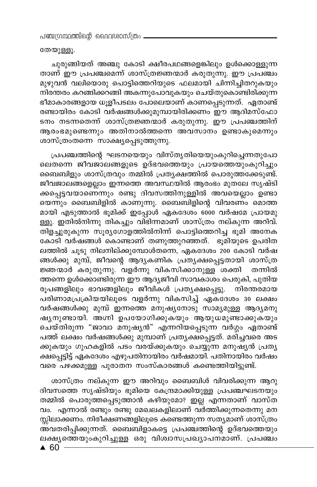തേയുള്ളൂ.

ചുരുങ്ങിയത് അഞ്ചു കോടി ക്ഷീരപഥങ്ങളെങ്കിലും ഉൾക്കൊള്ളുന്ന താണ് ഈ പ്രപഞ്ചമെന്ന് ശാസ്ത്രജ്ഞന്മാർ കരുതുന്നു. ഈ പ്രപഞ്ചം മുഴുവൻ വലിയൊരു പൊട്ടിത്തെറിയുടെ ഫലമായി ചിന്നിച്ചിതറുകയും .<br>നിരന്തരം കറങ്ങിക്കറങ്ങി അകന്നുപോവുകയും ചെയ്തുകൊണ്ടിരിക്കുന്ന ഭീമാകാരങ്ങളായ ധൂളീപടലം പോലെയാണ് കാണപ്പെടുന്നത്. ഏതാണ്ട് രണ്ടായിരം കോടി വർഷങ്ങൾക്കുമുമ്പായിരിക്കണം ഈ ആദിമസ്ഫോ ടനം നടന്നതെന്ന് ശാസ്ത്രജ്ഞന്മാർ കരുതുന്നു. ഈ പ്രപഞ്ചത്തിന് ആരംഭമുണ്ടെന്നും അതിനാൽത്തന്നെ അവസാനം ഉണ്ടാകുമെന്നും ശാസ്ത്രംതന്നെ സാക്ഷ്യപ്പെടുത്തുന്നു.

പ്രപഞ്ചത്തിന്റെ ഘടനയെയും വിസ്തൃതിയെയുംകുറിച്ചെന്നതുപോ ലെതന്നെ ജീവജാലങ്ങളുടെ ഉദ്ഭവത്തെയും പ്രായത്തെയുംകുറിച്ചും ബൈബിളും ശാസ്ത്രവും തമ്മിൽ പ്രത്യക്ഷത്തിൽ പൊരുത്തക്കേടുണ്ട്. .<br>ജീവജാലങ്ങളെല്ലാം ഇന്നത്തെ അവസ്ഥയിൽ ആരംഭം മുതലേ സൃഷ്ടി ക്കപ്പെട്ടവയാണെ്ന്നും രണ്ടു ദിവസത്തിനുള്ളിൽ അവയെല്ലാം ഉണ്ടാ യെന്നും ബൈബിളിൽ കാണുന്നു. ബൈബിളിന്റെ വിവരണം മൊത്ത മായി എടുത്താൽ ഭൂമിക്ക് ഇപ്പോൾ ഏകദേശം 6000 വർഷമേ പ്രായമു ള്ളൂ. ഇതിൽനിന്നു തികച്ചും വിഭിന്നമാണ് ശാസ്ത്രം നല്കുന്ന അറിവ്. .<br>തിളച്ചുരുകുന്ന സുര്യഗോളത്തിൽനിന്ന് പൊട്ടിത്തെറിച്ച ഭുമി അനേക കോടി വർഷങ്ങൾ കൊണ്ടാണ് തണുത്തുറഞ്ഞത്. ഭൂമിയുടെ ഉപരിത ലത്തിൽ ചൂടു നിലനില്ക്കുമ്പോൾതന്നെ, ഏകദേശം 200 കോടി വർഷ ങ്ങൾക്കു മുമ്പ്, ജീവന്റെ ആദൃകണിക പ്രതൃക്ഷപ്പെട്ടതായി ശാസ്ത്ര .<br>ജ്ഞന്മാർ കരുതുന്നു. വളർന്നു വികസിക്കാനുള്ള ശക്തി തന്നിൽ ത്തന്നെ ഉൾക്കൊണ്ടിരുന്ന ഈ ആദ്യജീവി സാവകാശം പെരുകി, പുതിയ രൂപങ്ങളിലും ഭാവങ്ങളിലും ജീവികൾ പ്രത്യക്ഷപ്പെട്ടു. നിരന്തരമായ പരിണാമപ്രകിയയിലൂടെ വളർന്നു വികസിച്ച് ഏകദേശം 30 ലക്ഷം വർഷങ്ങൾക്കു മുമ്പ് ഇന്നത്തെ മനുഷ്യനോടു സാമ്യമുള്ള ആദ്യമനു ഷൃനുണ്ടായി. അഗ്നി ഉപയോഗിക്കുകയും ആയുധമുണ്ടാക്കുകയും ചെയ്തിരുന്ന "ജാവാ മനുഷൃൻ" എന്നറിയപ്പെടുന്ന വർഗ്ഗം ഏതാണ്ട് പത്ത് ലക്ഷം വർഷങ്ങൾക്കു മുമ്പാണ് പ്രതൃക്ഷപ്പെട്ടത്. മരിച്ചവരെ അട ക്കുകയും ഗുഹകളിൽ പടം വരയ്ക്കുകയും ചെയ്യുന്ന മനുഷ്യൻ പ്രത്യ .<br>ക്ഷപ്പെട്ടിട്ട് ഏകദേശം എഴുപതിനായിരം വർഷമായി. പതിനായിരം വർഷം വരെ പഴക്കമുള്ള പുരാതന സംസ്കാരങ്ങൾ കണ്ടെത്തിയിട്ടുണ്ട്.

ശാസ്ത്രം നല്കുന്ന ഈ അറിവും ബൈബിൾ വിവരിക്കുന്ന ആറു ദിവസത്തെ സൃഷ്ടിയും ഭൂമിയെ കേന്ദ്രമാക്കിയുള്ള പ്രപഞ്ചഘടനയും തമ്മിൽ പൊരുത്തപ്പെടുത്താൻ കഴിയുമോ? ഇല്ല എന്നതാണ് വാസ്ത വം. എന്നാൽ രണ്ടും രണ്ടു മേഖലകളിലാണ് വർത്തിക്കുന്നതെന്നു മന സ്സിലാക്കണം. നിരീക്ഷണങ്ങളിലൂടെ കണ്ടെത്തുന്ന സത്യമാണ് ശാസ്ത്രം ്യം<br>അവതരിപ്പിക്കുന്നത്. ബൈബിളാകട്ടെ പ്രപഞ്ചത്തിന്റെ ഉദ്ഭവത്തെയും ലക്ഷ്യത്തെയുംകുറിച്ചുള്ള ഒരു വിശ്വാസപ്രഖ്യാപന്മാണ്. പ്രപഞ്ചം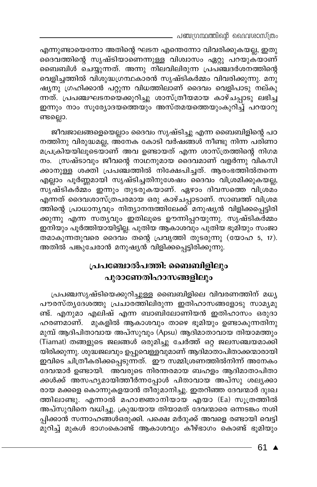\_ പഞ്ചഗ്രന്ഥത്തിന്റെ ദൈവശാസ്ത്രം

എന്നുണ്ടായെന്നോ അതിന്റെ ഘടന എന്തെന്നോ വിവരിക്കുകയല്ല, ഇതു ദൈവത്തിന്റെ സൃഷ്ടിയാണെന്നുള്ള വിശ്വാസം ഏറ്റു പറയുകയാണ് ബൈബിൾ ചെയ്യുന്നത്. അന്നു നിലവിലിരുന്ന പ്രപഞ്ചദർശനത്തിന്റെ വെളിച്ചത്തിൽ വിശുദ്ധഗ്രന്ഥകാരൻ സൃഷ്ടികർമ്മം വിവരിക്കുന്നു. മനു ഷ്യനു ഗ്രഹിക്കാൻ പറ്റുന്ന വിധത്തിലാണ് ദൈവം വെളിപാടു നല്കു ന്നത്. പ്രപഞ്ചഘടനയെക്കുറിച്ചു ശാസ്ത്രീയമായ കാഴ്ചപ്പാടു ലഭിച്ച ഇന്നും നാം സൂര്യോദയത്തെയും അസ്തമയത്തെയുംകുറിച്ച് പറയാറു ണ്ടല്ലൊ.

ജീവജാലങ്ങളെയെല്ലാം ദൈവം സൃഷ്ടിച്ചു എന്ന ബൈബിളിന്റെ പഠ നത്തിനു വിരുദ്ധമല്ല, അ്നേക കോടി വർഷങ്ങൾ നീണ്ടു നിന്ന പരിണാ മപ്രക്രിയയിലൂടെയാണ് അവ ഉണ്ടായത് എന്ന ശാസ്ത്രത്തിന്റെ നിഗമ നം. സ്രഷ്ടാവും ജീവന്റെ നാഥനുമായ ദൈവമാണ് വളർന്നു വികസി ക്കാനുള്ള ശക്തി പ്രപഞ്ചത്തിൽ നിക്ഷേപിച്ചത്. ആരംഭത്തിൽതന്നെ എല്ലാം പൂർണ്ണമായി സൃഷ്ടിച്ചതിനുശേഷം ദൈവം വിശ്രമിക്കുകയല്ല, സൃഷ്ടികർമ്മം ഇന്നും തുടരുകയാണ്. ഏഴാം ദിവസത്തെ വിശ്രമ<mark>്</mark> എന്നത് ദൈവശാസ്ത്രപരമായ ഒരു കാഴ്ചപ്പാടാണ്. സാബത്ത് വിശ്രമ ത്തിന്റെ പ്രാധാന്യവും നിത്യാനന്ദത്തിലേക്ക് മനുഷ്യൻ വിളിക്കപ്പെട്ടിരി ക്കുന്നു എന്ന സത്യവും ഇതിലൂടെ ഊന്നിപ്പറയുന്നു. സൃഷ്ടികർമ്മം ഇനിയും പൂർത്തിയായിട്ടില്ല. പുതിയ ആകാശവും പുതിയ ഭൂമിയും സംജാ തമാകുന്നതുവരെ ദൈവം തന്റെ പ്രവൃത്തി തുടരുന്നു (യോഹ 5, 17). അതിൽ പങ്കുചേരാൻ മനുഷ്യൻ വിളിക്കപ്പെട്ടിരിക്കുന്നു.

### പ്രപഞ്ചോൽപത്തി: ബൈബിളിലും പുരാണേതിഹാസങ്ങളിലും

പ്രപഞ്ചസൃഷ്ടിയെക്കുറിച്ചുള്ള ബൈബിളിലെ വിവരണത്തിന് മധ്യ പൗരസ്തൃദേശത്തു പ്രചാരത്തിലിരുന്ന ഇതിഹാസങ്ങളോടു സാമൃമു ണ്ട്. എനുമാ എലിഷ് എന്ന ബാബിലോണിയൻ ഇതിഹാസം ഒരുദാ ഹരണമാണ്. മുകളിൽ ആകാശവും താഴെ ഭൂമിയും ഉണ്ടാകുന്നതിനു മുമ്പ് ആദിപിതാവായ അപ്സുവും (Apsu) ആദിമാതാവായ തിയാമത്തും (Tiamat) തങ്ങളുടെ ജലങ്ങൾ ഒരുമിച്ചു ചേർത്ത് ഒറ്റ ജലസഞ്ചയമാക്കി യിരിക്കുന്നു. ശുദ്ധജലവും ഉപ്പുവെള്ളവുമാണ് ആദിമാതാപിതാക്കന്മാരായി ഇവിടെ ചിത്രീകരിക്കപ്പെടുന്നത്. ഈ സമ്മിശ്രണത്തിൽനിന്ന് അനേകം ദേവന്മാർ ഉണ്ടായി. അവരുടെ നിരന്തരമായ ബഹളം ആദിമാതാപിതാ ക്കൾക്ക് അസഹൃമായിത്തിർന്നപ്പോൾ പിതാവായ അപ്സു ശലൃക്കാ രായ മക്കളെ കൊന്നുകളയാൻ തീരുമാനിച്ചു. ഇതറിഞ്ഞ ദേവന്മാർ ദുഃഖ ത്തിലാണ്ടു. എന്നാൽ മഹാജ്ഞാനിയായ എയാ (Ea) സൂത്രത്തിൽ അപ്സുവിനെ വധിച്ചു. ക്രുദ്ധയായ തിയാമത് ദേവന്മാരെ ഒന്നടങ്കം നശി പ്പിക്കാൻ സന്നാഹങ്ങൾഒരുക്കി. പക്ഷെ മർദുക്ക് അവളെ രണ്ടായി വെട്ടി മുറിച്ച് മുകൾ ഭാഗംകൊണ്ട് ആകാശവും കീഴ്ഭാഗം കൊണ്ട് ഭൂമിയും

61 ▲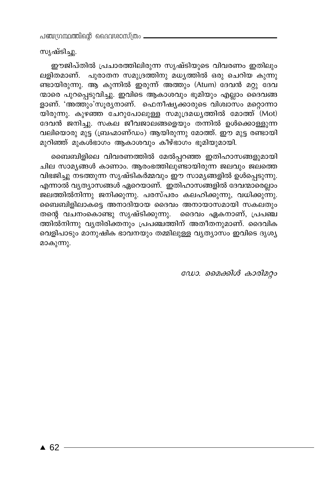പഞ്ചന്ധന്ഥത്തിന്റെ ദൈവശാസ്ത്രം -

സൃഷ്ടിച്ചു.

ഈജിപ്തിൽ പ്രചാരത്തിലിരുന്ന സൃഷ്ടിയുടെ വിവരണം ഇതിലും ലളിതമാണ്. പുരാതന സമുദ്രത്തിനു മധ്യത്തിൽ ഒരു ചെറിയ കുന്നു ണ്ടായിരുന്നു. ആ കുന്നിൽ ഇരുന്ന് അത്തും (Atum) ദേവൻ മറ്റു ദേവ ന്മാരെ പുറപ്പെടുവിച്ചു. ഇവിടെ ആകാശവും ഭൂമിയും എല്ലാം ദൈവങ്ങ ളാണ്. 'അത്തും'സൂരുനാണ്. ഫെനീഷ്യക്കാരുടെ വിശ്വാസം മറ്റൊന്നാ യിരുന്നു. കുഴഞ്ഞ ചേറുപോലുള്ള സമുദ്രമധൃത്തിൽ മോത്ത് (Mot) ദേവൻ ജനിച്ചു. സകല ജീവജാലങ്ങളെയും തന്നിൽ ഉൾക്കൊള്ളുന്ന വലിയൊരു മുട്ട (ബ്രഹ്മാണ്ഡം) ആയിരുന്നു മോത്ത്. ഈ മുട്ട രണ്ടായി മുറിഞ്ഞ് മുകൾഭാഗം ആകാശവും കീഴ്ഭാഗം ഭൂമിയുമായി.

ബൈബിളിലെ വിവരണത്തിൽ മേൽപ്പറഞ്ഞ ഇതിഹാസങ്ങളുമായി ചില സാമ്യങ്ങൾ കാണാം. ആരംഭത്തിലുണ്ടായിരുന്ന ജലവും ജലത്തെ വിഭജിച്ചു നടത്തുന്ന സൃഷ്ടികർമ്മവും ഈ സാമൃങ്ങളിൽ ഉൾപ്പെടുന്നു. എന്നാൽ വ്യത്യാസങ്ങൾ ഏറെയാണ്. ഇതിഹാസങ്ങളിൽ ദേവന്മാരെല്ലാം ജലത്തിൽനിന്നു ജനിക്കുന്നു. പരസ്പരം കലഹിക്കുന്നു, വധിക്കുന്നു. ബൈബിളിലാകട്ടെ അനാദിയായ ദൈവം അനായാസമായി സകലതും തന്റെ വചനംകൊണ്ടു സൃഷ്ടിക്കുന്നു. ദൈവം ഏകനാണ്, പ്രപഞ്ച ത്തിൽനിന്നു വൃതിരിക്തനും പ്രപഞ്ചത്തിന് അതീതനുമാണ്. ദൈവിക വെളിപാടും മാനുഷിക ഭാവനയും തമ്മിലുള്ള വൃത്യാസം ഇവിടെ ദൃശ്യ മാകുന്നു.

ഡോ. മൈക്കിൾ കാരിമറ്റം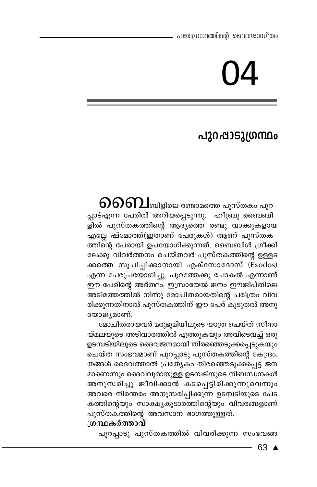# പുറപ്പാടുഗ്രന്ഥം

 $\mathbf{\partial}$ റിബ്രിലെ രണ്ടാമത്തെ പുസ്തകം പുറ പ്പാട്എന്ന പേരിൽ അറിയപ്പെടുന്നു. ഹീബ്രു ബൈബി .<br>ളിൽ പുസ്തകത്തിന്റെ ആദ്യത്തെ രണ്ടു വാക്കുകളായ എല്ലേ ഷ്മോത്ത്(ഇതാണ് പേരുകൾ) ആണ് പുസ്തക ത്തിന്റെ പേരായി ഉപയോഗിക്കുന്നത്. ബൈബിൾ ഗ്രീക്കി ലേക്കു വിവർത്തനം ചെയ്തവർ പുസ്തകത്തിന്റെ ഉള്ളട ക്കത്തെ സൂചിപ്പിക്കാനായി എക്സോദോസ് (Exodos) എന്ന പേരുപയോഗിച്ചു. പുറത്തേക്കു പോകൽ എന്നാണ് ഈ പേരിന്റെ അർത്ഥം. ഇസ്രായേൽ ജനം ഈജിപ്തിലെ അടിമത്തത്തിൽ നിന്നു മോചിതരായതിന്റെ ചരിത്രം വിവ രിക്കുന്നതിനാൽ പുസ്തകത്തിന് ഈ പേര് കൂടുതൽ അനു യോജ്യമാണ്.

മോചിതരായവർ മരുഭൂമിയിലൂടെ യാത്ര ചെയ്ത് സീനാ യ്മലയുടെ അടിവാരത്തിൽ എത്തുകയും അവിടെവച്ച് ഒരു ഉടമ്പടിയിലൂടെ ദൈവജനമായി തിരഞ്ഞെടുക്കപ്പെടുകയും ചെയ്ത സംഭവമാണ് പുറപ്പാടു പുസ്തകത്തിന്റെ കേന്ദ്രം. തങ്ങൾ ദൈവത്താൽ പ്രത്യേകം തിരഞ്ഞെടുക്കപ്പെട്ട ജന മാണെന്നും ദൈവവുമായുള്ള ഉടമ്പടിയുടെ നിബന്ധനകൾ അനുസരിച്ചു ജീവിക്കാൻ കടപ്പെട്ടിരിക്കുന്നുവെന്നു<mark>ം</mark> അവരെ നിരന്തരം അനുസരിപ്പിക്കുന്ന ഉടമ്പടിയുടെ പേട കത്തിന്റെയും സാക്ഷ്യകൂടാരത്തിന്റെയും വിവരങ്ങളാണ് പുസ്തകത്തിന്റെ അവസാന ഭാഗത്തുള്ളത്.

#### ശ്രന്ഥകർത്താവ്

പുറപ്പാടു പുസ്തകത്തിൽ വിവരിക്കുന്ന സംഭവങ്ങ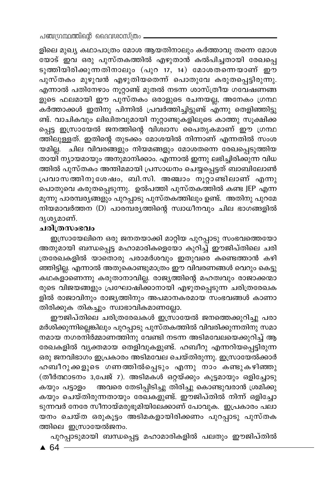ളിലെ മുഖ്യ കഥാപാത്രം മോശ ആയതിനാലും കർത്താവു തന്നെ മോശ യോട് ഇവ ഒരു പുസ്തകത്തിൽ എഴുതാൻ കൽപിച്ചതായി രേഖപ്പെ ടുത്തിയിരിക്കുന്നതിനാലും (പുറ 17, 14) മോശതന്നെയാണ് ഈ പുസ്തകം മുഴുവൻ എഴുതിയതെന്ന് പൊതുവേ കരുതപ്പെട്ടിരുന്നു. എന്നാൽ പതിനേഴാം നൂറ്റാണ്ട് മുതൽ നടന്ന ശാസ്ത്രീയ ഗവേഷണങ്ങ ളുടെ ഫലമായി ഈ പുസ്തകം ഒരാളുടെ രചനയല്ല, അനേകം ഗ്രന്ഥ കർത്താക്കൾ ഇതിനു പിന്നിൽ പ്രവർത്തിച്ചിട്ടുണ്ട് എന്നു തെളിഞ്ഞിട്ടു ണ്ട്. വാചികവും ലിഖിതവുമായി നൂറ്റാണ്ടുകളിലൂടെ കാത്തു സൂക്ഷിക്ക പ്പെട്ട ഇസ്രായേൽ ജനത്തിന്റെ വിശ്വാസ പൈതൃകമാണ് ഈ ഗ്രന്ഥ ത്തിലുള്ളത്. ഇതിന്റെ തുടക്കം മോശയിൽ നിന്നാണ് എന്നതിൽ സംശ യമില്ല. ചില വിവരങ്ങളും നിയമങ്ങളും മോശതന്നെ രേഖപ്പെടുത്തിയ തായി ന്യായമായും അനുമാനിക്കാം. എന്നാൽ ഇന്നു ലഭിച്ചിരിക്കുന്ന വിധ ത്തിൽ പുസ്തകം അന്തിമമായി പ്രസാധനം ചെയ്യപ്പെട്ടത് ബാബിലോൺ പ്രവാസത്തിനുശേഷം, ബി.സി. അഞ്ചാം നൂറ്റാണ്ടിലാണ് എന്നു പൊതുവെ കരുതപ്പെടുന്നു. ഉൽപത്തി പുസ്തകത്തിൽ കണ്ട JEP എന്ന മൂന്നു പാരമ്പര്യങ്ങളും പുറപ്പാടു പുസ്തകത്തിലും ഉണ്ട്. അതിനു പുറമേ നിയമാവർത്തന (D) പാരമ്പര്യത്തിന്റെ സ്വാധീനവും ചില ഭാഗങ്ങളിൽ ദൃശൃമാണ്.

#### ചരിത്രസംഭവം

ഇസ്രായേലിനെ ഒരു ജനതയാക്കി മാറ്റിയ പുറപ്പാടു സംഭവത്തെയോ അതുമായി ബന്ധപ്പെട്ട മഹാമാരികളെയോ കുറിച്ച് ഈജിപ്തിലെ ചരി ത്രരേഖകളിൽ യാതൊരു പരാമർശവും ഇതുവരെ കണ്ടെത്താൻ കഴി ഞ്ഞിട്ടില്ല. എന്നാൽ അതുകൊണ്ടുമാത്രം ഈ വിവരണങ്ങൾ വെറും കെട്ടു കഥകളാണെന്നു കരുതാനാവില്ല. രാജ്യത്തിന്റെ മഹത്വവും രാജാക്കന്മാ രുടെ വിജയങ്ങളും പ്രഘോഷിക്കാനായി എഴുതപ്പെടുന്ന ചരിത്രരേഖക ളിൽ രാജാവിനും രാജ്യത്തിനും അപമാനകരമായ സംഭവങ്ങൾ കാണാ തിരിക്കുക തികച്ചും സ്വാഭാവികമാണല്ലോ.

ഈജിപ്തിലെ ചരിത്രരേഖകൾ ഇസ്രായേൽ ജനത്തെക്കുറിച്ചു പരാ മർശിക്കുന്നില്ലെങ്കിലും പുറപ്പാടു പുസ്തകത്തിൽ വിവരിക്കുന്നതിനു സമാ നമായ നഗരനിർമ്മാണത്തിനു വേണ്ടി നടന്ന അടിമവേലയെക്കുറിച്ച് ആ രേഖകളിൽ വ്യക്തമായ തെളിവുകളുണ്ട്. ഹബീറു എന്നറിയപ്പെട്ടിരുന്ന ഒരു ജനവിഭാഗം ഇപ്രകാരം അടിമവേല ചെയ്തിരുന്നു. ഇസ്രായേൽക്കാർ ഹബീറുക്കളുടെ ഗണത്തിൽപ്പെടും എന്നു നാം കണ്ടുകഴിഞ്ഞു (തീർത്ഥാടനം 3,പേജ് 7). അടിമകൾ ഒറ്റയ്ക്കും കൂട്ടമായും ഒളിച്ചോടു അവരെ തേടിപ്പിടിച്ചു തിരിച്ചു കൊണ്ടുവരാൻ ശ്രമിക്കു കയും പട്ടാളം കയും ചെയ്തിരുന്നതായും രേഖകളുണ്ട്. ഈജിപ്തിൽ നിന്ന് ഒളിച്ചോ ടുന്നവർ നേരേ സീനായ്മരുഭൂമിയിലേക്കാണ് പോവുക. ഇപ്രകാരം പലാ യനം ചെയ്ത ഒരുകൂട്ടം അടിമകളായിരിക്കണം പുറപ്പാടു പുസ്തക ത്തിലെ ഇസ്രായേൽജനം.

പുറപ്പാടുമായി ബന്ധപ്പെട്ട മഹാമാരികളിൽ പലതും ഈജിപ്തിൽ

 $\triangle$  64 -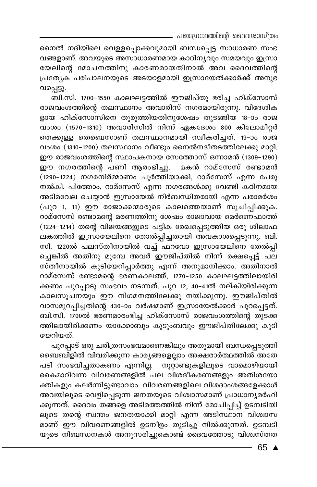\_ പഞ്ചഗ്രന്ഥത്തിന്റെ ദൈവശാസ്ത്രം

നൈൽ നദിയിലെ വെള്ളപ്പൊക്കവുമായി ബന്ധപ്പെട്ട സാധാരണ സംഭ വങ്ങളാണ്. അവയുടെ അസാധാരണമായ കാഠിന്യവും സമയവും ഇസ്രാ യേലിന്റെ മോചനത്തിനു കാരണമായതിനാൽ അവ ദൈവത്തിന്റെ പ്രത്യേക<sup>്</sup> പരിപാലനയുടെ അടയാളമായി ഇസ്രായേൽക്കാർക്ക് അനുഭ വപ്പെട്ടു.

ബി.സി. 1700-1550 കാലഘട്ടത്തിൽ ഈജിപ്തു ഭരിച്ച ഹിക്സോസ് രാജവംശത്തിന്റെ തലസ്ഥാനം അവാരിസ് നഗരമായിരുന്നു. വിദേശിക ളായ ഹിക്സോസിനെ തുരുത്തിയതിനുശേഷം തുടങ്ങിയ 18-ാം രാജ വംശം (1570-1310) അവാരിസിൽ നിന്ന് ഏകദേശം 800 കിലോമീറ്റർ തെക്കുള്ള തെബെസാണ് തലസ്ഥാനമായി സ്വീകരിച്ചത്. 19-ാം രാജ വംശം (1310-1200) തലസ്ഥാനം വീണ്ടും നൈൽനദീതടത്തിലേക്കു മാറ്റി. ഈ രാജവംശത്തിന്റെ സ്ഥാപകനായ സേത്തോസ് ഒന്നാമൻ (1309-1290) ഈ നഗരത്തിന്റെ പണി ആരംഭിച്ചു. മകൻ റാമ്സേസ് രണ്ടാമൻ (1290-1224) നഗരനിർമ്മാണം പൂർത്തിയാക്കി, റാമ്സേസ് എന്ന പേരു .<br>നൽകി. പിത്തോം, റാമ്സേസ് എന്ന നഗരങ്ങൾക്കു വേണ്ടി കഠിനമായ അടിമവേല ചെയ്യാൻ ഇസ്രായേൽ നിർബന്ധിതരായി എന്ന പരാമർശം (പുറ 1, 11) ഈ രാജാക്കന്മാരുടെ കാലത്തെയാണ് സൂചിപ്പിക്കുക. റാമ്സേസ് രണ്ടാമന്റെ മരണത്തിനു ശേഷം രാജാവായ മെർണെഫാത്ത് (1224-1214) തന്റെ വിജയങ്ങളുടെ പട്ടിക രേഖപ്പെടുത്തിയ ഒരു ശിലാഫ ലകത്തിൽ ഇസ്രായേലിനെ തോൽപ്പിച്ചതായി അവകാശപ്പെടുന്നു. ബി. സി. 1220ൽ പലസ്തീനായിൽ വച്ച് ഫറവോ ഇസ്രായേലിനെ തേൽപ്പി ച്ചെങ്കിൽ അതിനു മുമ്പേ അവർ ഈജിപ്തിൽ നിന്ന് രക്ഷപ്പെട്ട് പല സ്തീനായിൽ കുടിയേറിപ്പാർത്തു എന്ന് അനുമാനിക്കാം. അതിനാൽ റാമ്സേസ് രണ്ടാമന്റെ ഭരണകാലത്ത്, 1270-1250 കാലഘട്ടത്തിലായിരി ക്കണം പുറപ്പാടു സംഭവം നടന്നത്. പുറ 12, 40–41ൽ നല്കിയിരിക്കുന്ന കാലസൂചനയും ഈ നിഗമനത്തിലേക്കു നയിക്കുന്നു. ഈജിപ്തിൽ വാസമുറപ്പിച്ചതിന്റെ 430-ാം വർഷമാണ് ഇസ്രായേൽക്കാർ പുറപ്പെട്ടത്. ബി.സി. 1700ൽ ഭരണമാരംഭിച്ച ഹിക്സോസ് രാജവംശത്തിന്റെ തുടക്ക ത്തിലായിരിക്കണം യാക്കോബും കുടുംബവും ഈജിപ്തിലേക്കു കുടി യേറിയത്.

പുറപ്പാട് ഒരു ചരിത്രസംഭവമാണെങ്കിലും അതുമായി ബന്ധപ്പെടുത്തി ബൈബിളിൽ വിവരിക്കുന്ന കാര്യങ്ങളെല്ലാം അക്ഷരാർത്ഥത്തിൽ അതേ പടി സംഭവിച്ചതാകണം എന്നില്ല. നൂറ്റാണ്ടുകളിലൂടെ വാമൊഴിയായി കൈമാറിവന്ന വിവരണങ്ങളിൽ പല വിശദീകരണങ്ങളും അതിശയോ ക്തികളും കലർന്നിട്ടുണ്ടാവാം. വിവരണങ്ങളിലെ വിശദാംശങ്ങളേക്കാൾ അവയിലൂടെ വെളിപ്പെടുന്ന ജനതയുടെ വിശ്വാസമാണ് പ്രാധാന്യമർഹി ക്കുന്നത്. ദൈവം തങ്ങളെ അടിമത്തത്തിൽ നിന്ന് മോചിപ്പിച്ച് ഉടമ്പടിയി ലൂടെ തന്റെ സ്ഥതം ജനതയാക്കി മാറ്റി എന്ന അടിസ്ഥാന വിശ്വാസ മാണ് ഈ വിവരണങ്ങളിൽ ഉടനീളം തുടിച്ചു നിൽക്കുന്നത്. ഉടമ്പടി യുടെ നിബന്ധനകൾ അനുസരിച്ചുകൊണ്ട് ദൈവത്തോടു വിശ്വസ്തത

65 ▲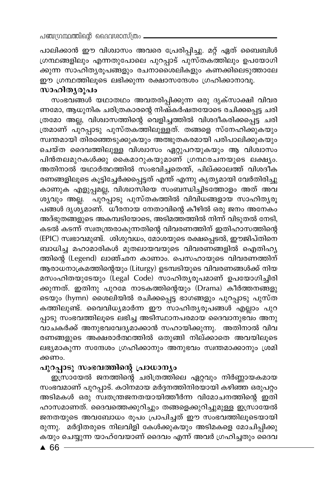പാലിക്കാൻ ഈ വിശ്വാസം അവരെ പ്രേരിപ്പിച്ചു. മറ്റ് ഏത് ബൈബിൾ ഗ്രന്ഥങ്ങളിലും എന്നതുപോലെ പുറപ്പാട് പുസ്തകത്തിലും ഉപയോഗി ക്കുന്ന സാഹിത്യരൂപങ്ങളും രചനാശൈലികളും കണക്കിലെടുത്താലേ ഈ ഗ്രന്ഥത്തിലൂടെ ലഭിക്കുന്ന രക്ഷാസന്ദേശം ഗ്രഹിക്കാനാവൂ.

### സാഹിത്യരൂപം

സംഭവങ്ങൾ യഥാതഥം അവതരിപ്പിക്കുന്ന ഒരു ദൃക്സാക്ഷി വിവര ണമോ, ആധുനിക ചരിത്രകാരന്റെ നിഷ്കർഷതയോടെ രചിക്കപ്പെട്ട ചരി ത്രമോ അല്ല, വിശ്വാസത്തിന്റെ വെളിച്ചത്തിൽ വിശദീകരിക്കപ്പെട്ട ചരി ത്രമാണ് പുറപ്പാടു പുസ്തകത്തിലുള്ളത്. തങ്ങളെ സ്നേഹിക്കുകയും സ്വന്തമായി തിരഞ്ഞെടുക്കുകയും അത്ഭുതകരമായി പരിപാലിക്കുകയും ചെയ്ത ദൈവത്തിലുള്ള വിശ്വാസം ഏറ്റുപറയുകയും ആ വിശ്വാസം പിൻതലമുറകൾക്കു കൈമാറുകയുമാണ് ഗ്രന്ഥരചനയുടെ ലക്ഷ്യം. അതിനാൽ യഥാർത്ഥത്തിൽ സംഭവിച്ചതെന്ത്, പില്ക്കാലത്ത് വിശദീക രണങ്ങളിലൂടെ കൂട്ടിച്ചേർക്കപ്പെട്ടത് എന്ത് എന്നു കൃത്യമായി വേർതിരിച്ചു കാണുക എളുപ്പമല്ല, വിശ്വാസിയെ സംബന്ധിച്ചിടത്തോളം അത് അവ ശൃവും അല്ല. പുറ്പ്പാടു പുസ്തകത്തിൽ വിവിധങ്ങളായ സാഹിതൃരൂ പങ്ങൾ ദൃശ്യമാണ്. ധീരനായ നേതാവിന്റെ കീഴിൽ ഒരു ജനം അനേകം അദ്ഭുതങ്ങളുടെ അകമ്പടിയോടെ, അടിമത്തത്തിൽ നിന്ന് വിടുതൽ നേടി, കടൽ കടന്ന് സ്വതന്ത്രരാകുന്നതിന്റെ വിവരണത്തിന് ഇതിഹാസത്തിന്റെ (EPIC) സ്വഭാവമുണ്ട്. ശിശുവധം, മോശയുടെ രക്ഷപ്പെടൽ, ഈജിപ്തിനെ ബാധിച്ച മഹാമാരികൾ മുതലായവയുടെ വിവരണങ്ങളിൽ ഐതിഹ്യ ത്തിന്റെ (Legend) ലാഞ്ഛന കാണാം. പെസഹായുടെ വിവരണത്തിന് ആരാധനാക്രമത്തിന്റെയും (Liturgy) ഉടമ്പടിയുടെ വിവരണങ്ങൾക്ക് നിയ മസംഹിതയുടേയും (Legal Code) സാഹിതൃരൂപമാണ് ഉപയോഗിച്ചിരി ക്കുന്നത്. ഇതിനു പുറമേ നാടകത്തിന്റെയും (Drama) കീർത്തനങ്ങളു ടെയും (hymn) ശൈലിയിൽ രചിക്കപ്പെട്ട ഭാഗങ്ങളും പുറപ്പാടു പുസ്ത കത്തിലുണ്ട്. വൈവിധ്യമാർന്ന ഈ സാഹിത്യരൂപങ്ങൾ എല്ലാം പുറ പ്പാടു സംഭവത്തിലൂടെ ലഭിച്ച അടിസ്ഥാനപരമായ ദൈവാനുഭവം അനു .<br>വാചകർക്ക് അനുഭവവേദ്യമാക്കാൻ സഹായിക്കുന്നു. അതിനാൽ വിവ രണങ്ങളുടെ അക്ഷരാർത്ഥത്തിൽ ഒതുങ്ങി നില്ക്കാതെ അവയിലൂടെ ലഭ്യമാകുന്ന സന്ദേശം ഗ്രഹിക്കാനും അനുഭവം സ്ഥതമാക്കാനും ശ്രമി ക്കണം.

#### പുറപ്പാടു സംഭവത്തിന്റെ പ്രാധാന്യം

ഇസ്രായേൽ ജനത്തിന്റെ ചരിത്രത്തിലെ ഏറ്റവും നിർണ്ണായകമായ സംഭവമാണ് പുറപ്പാട്. കഠിനമായ മർദ്ദനത്തിനിരയായി കഴിഞ്ഞ ഒരുപറ്റം അടിമകൾ ഒരു സ്വതന്ത്രജനതയായിത്തീർന്ന വിമോചനത്തിന്റെ ഇതി ഹാസമാണത്. ദൈവത്തെക്കുറിച്ചും തങ്ങളെക്കുറിച്ചുമുള്ള ഇസ്രായേൽ ജനതയുടെ അവബോധം രൂപം പ്രാപിച്ചത് ഈ സംഭവത്തിലൂടെയായി രുന്നു. മർദ്ദിതരുടെ നിലവിളി കേൾക്കുകയും അടിമകളെ മോചിപ്പിക്കു കയും ചെയ്യുന്ന യാഹ്വേയാണ് ദൈവം എന്ന് അവർ ഗ്രഹിച്ചതും ദൈവ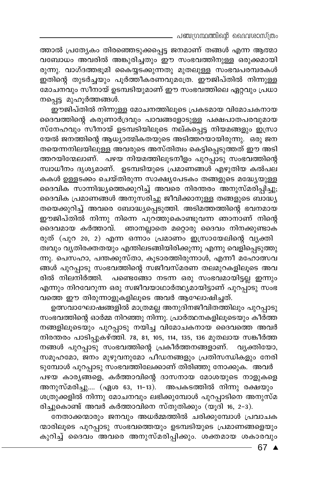\_ പഞ്ചഗ്രന്ഥത്തിന്റെ ദൈവശാസ്ത്രം

ത്താൽ പ്രത്യേകം തിരഞ്ഞെടുക്കപ്പെട്ട ജനമാണ് തങ്ങൾ എന്ന ആത്മാ വബോധം അവരിൽ അങ്കുരിച്ചതും ഈ സംഭവത്തിനുള്ള ഒരുക്കമായി രുന്നു. വാഗ്ദത്തഭൂമി കൈയ്യടക്കുന്നതു മുതലുള്ള സംഭവപരമ്പരകൾ ഇതിന്റെ തുടർച്ചയും പൂർത്തീകരണവുമത്രേ. ഈജിപ്തിൽ നിന്നുള്ള മോചനവും സീനായ് ഉടമ്പടിയുമാണ് ഈ സംഭവത്തിലെ ഏറ്റവും പ്രധാ നപ്പെട്ട മുഹൂർത്തങ്ങൾ.

ഈജിപ്തിൽ നിന്നുള്ള മോചനത്തിലൂടെ പ്രകടമായ വിമോചകനായ ദൈവത്തിന്റെ കരുണാർദ്രവും പാവങ്ങളോടുള്ള പക്ഷപാതപരവുമായ സ്നേഹവും സീനായ് ഉടമ്പടിയിലൂടെ നല്കപ്പെട്ട നിയമങ്ങളും ഇസ്രാ യേൽ ജനത്തിന്റെ ആധ്യാത്മികതയുടെ അടിത്തറയായിരുന്നു. ഒരു ജന തയെന്നനിലയിലുള്ള അവരുടെ അസ്തിത്വം കെട്ടിപ്പെടുത്തത് ഈ അടി ത്തറയിന്മേലാണ്. പഴയ നിയമത്തിലുടനീളം പുറപ്പാടു സംഭവത്തിന്റെ സ്വാധീനം ദൃശ്യമാണ്. ഉടമ്പടിയുടെ പ്രമാണങ്ങൾ എഴുതിയ കൽപല കകൾ ഉള്ളടക്കം ചെയ്തിരുന്ന സാക്ഷ്യപേടകം തങ്ങളുടെ മദ്ധ്യേയുള്ള ദൈവിക സാന്നിദ്ധ്യത്തെക്കുറിച്ച് അവരെ നിരന്തരം അനുസ്മരിപ്പിച്ചു; ദൈവിക പ്രമാണങ്ങൾ അനുസരിച്ചു ജീവിക്കാനുള്ള തങ്ങളുടെ ബാദ്ധ്യ തയെക്കുറിച്ച് അവരെ ബോദ്ധ്യപ്പെടുത്തി. അടിമത്തത്തിന്റെ ഭവനമായ ഈജിപ്തിൽ നിന്നു നിന്നെ പുറത്തുകൊണ്ടുവന്ന ഞാനാണ് നിന്റെ ദൈവമായ കർത്താവ്. ഞാനല്ലാതെ മറ്റൊരു ദൈവം നിനക്കുണ്ടാക

രുത് (പുറ 20, 2) എന്ന ഒന്നാം പ്രമാണം ഇസ്രായേലിന്റെ വൃക്തി ത്വവും വ്യതിരക്തതയും എന്തിലടങ്ങിയിരിക്കുന്നു എന്നു വെളിപ്പെടുത്തു ന്നു. പെസഹാ, പന്തക്കുസ്താ, കൂടാരത്തിരുന്നാൾ, എന്നീ മഹോത്സവ ങ്ങൾ പുറപ്പാടു സംഭവത്തിന്റെ സജീവസ്മരണ തലമുറകളിലൂടെ അവ രിൽ നിലനിർത്തി. പണ്ടെങ്ങോ നടന്ന ഒരു സംഭവമായിട്ടല്ല ഇന്നും എന്നും നിറവേറുന്ന ഒരു സജീവയാഥാർത്ഥ്യമായിട്ടാണ് പുറപ്പാടു സംഭ വത്തെ ഈ തിരുന്നാളുകളിലൂടെ അവർ ആഘോഷിച്ചത്.

ഉത്സവാഘോഷങ്ങളിൽ മാത്രമല്ല അനുദിനജീവിതത്തിലും പുറപ്പാടു സംഭവത്തിന്റെ ഓർമ്മ നിറഞ്ഞു നിന്നു. പ്രാർത്ഥനകളിലൂടെയും കീർത്ത നങ്ങളിലൂടെയും പുറപ്പാടു നയിച്ച വിമോചകനായ ദൈവത്തെ അവർ നിരന്തരം പാടിപ്പുകഴ്ത്തി. 78, 81, 105, 114, 135, 136 മുതലായ സങ്കീർത്ത നങ്ങൾ പുറപ്പാടു സംഭവത്തിന്റെ പ്രകീർത്തനങ്ങളാണ്. വ്യക്തിയോ, സമൂഹമോ, ജനം മുഴുവനുമോ പീഡനങ്ങളും പ്രതിസന്ധികളും നേരി ടുമ്പോൾ പുറപ്പാടു സംഭവത്തിലേക്കാണ് തിരിഞ്ഞു നോക്കുക. അവർ പഴയ കാര്യങ്ങളെ, കർത്താവിന്റെ ദാസനായ മോശയുടെ നാളുകളെ അനുസ്മരിച്ചു.... (ഏശ 63, 11-13). അപകടത്തിൽ നിന്നു രക്ഷയും ശത്രുക്കളിൽ നിന്നു മോചനവും ലഭിക്കുമ്പോൾ പുറപ്പാടിനെ അനുസ്മ രിച്ചുകൊണ്ട് അവർ കർത്താവിനെ സ്തുതിക്കും (യൂദി 16, 2-3).

നേതാക്കന്മാരും ജനവും അധർമ്മത്തിൽ ചരിക്കുമ്പോൾ പ്രവാചക ന്മാരിലൂടെ പുറപ്പാടു സംഭവത്തെയും ഉടമ്പടിയുടെ പ്രമാണങ്ങളെയും കുറിച്ച് ദൈവം അവരെ അനുസ്മരിപ്പിക്കും. ശക്തമായ ശകാരവും

 $-67$   $\triangle$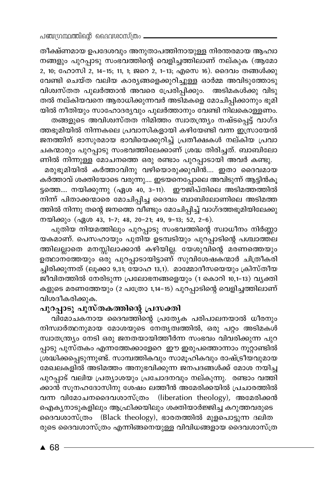തീക്ഷ്ണമായ ഉപദേശവും അനുതാപത്തിനായുള്ള നിരന്തരമായ ആഹ്വാ നങ്ങളും പുറപ്പാടു സംഭവത്തിന്റെ വെളിച്ചത്തിലാണ് നല്കുക (ആമോ 2, 10; ഹോസി 2, 14-15; 11, 1; ജറെ 2, 1-13; എസെ 16). ദൈവം തങ്ങൾക്കു വേണ്ടി ചെയ്ത വലിയ കാര്യങ്ങളെക്കുറിച്ചുള്ള ഓർമ്മ അവിടുത്തോടു വിശ്വസ്തത പുലർത്താൻ അവരെ പ്രേരിപ്പിക്കും. അടിമകൾക്കു വിടു തൽ നല്കിയവനെ ആരാധിക്കുന്നവർ അടിമകളെ മോചിപ്പിക്കാനും ഭൂമി യിൽ നീതിയും സാഹോദര്യവും പുലർത്താനും വേണ്ടി നിലകൊള്ളണം. തങ്ങളുടെ അവിശ്വസ്തത നിമിത്തം സ്വാതന്ത്ര്യം നഷ്ടപ്പെട്ട് വാഗ്ദ

.<br>അഭൂമിയിൽ നിന്നകലെ പ്രവാസികളായി കഴിയേണ്ടി വന്ന ഇസ്രായേൽ ജനത്തിന് ഭാസുരമായ ഭാവിയെക്കുറിച്ച് പ്രതീക്ഷകൾ നല്കിയ പ്രവാ ചകന്മാരും പുറപ്പാടു സംഭവത്തിലേക്കാണ് ശ്രദ്ധ തിരിച്ചത്. ബാബിലോ

ണിൽ നിന്നുള്ള മോചനത്തെ ഒരു രണ്ടാം പുറപ്പാടായി അവർ കണ്ടു. മരുഭൂമിയിൽ കർത്താവിനു വഴിയൊരുക്കുവിൻ.... ഇതാ ദൈവമായ കർത്താവ് ശക്തിയോടെ വരുന്നു.... ഇടയനെപ്പോലെ അവിടുന്ന് ആട്ടിൻകൂ ട്ടത്തെ.... നയിക്കുന്നു (ഏശ 40, 3-11). ഇൗജിപ്തിലെ അടിമത്തത്തിൽ നിന്ന് പിതാക്കന്മാരെ മോചിപ്പിച്ച ദൈവം ബാബിലോണിലെ അടിമത്ത ത്തിൽ നിന്നു തന്റെ ജനത്തെ വീണ്ടും മോചിപ്പിച്ച് വാഗ്ദത്തഭൂമിയിലേക്കു നയിക്കും (ഏശ 43, 1-7; 48, 20-21; 49, 9-13; 52, 2-6).

പുതിയ നിയമത്തിലും പുറപ്പാടു സംഭവത്തിന്റെ സ്വാധീനം നിർണ്ണാ യകമാണ്. പെസഹായും പുതിയ ഉടമ്പടിയും പുറപ്പാടിന്റെ പശ്ചാത്തല ത്തിലല്ലാതെ മനസ്സിലാക്കാൻ കഴിയില്ല. യേശുവിന്റെ മരണത്തെയും ഉത്ഥാനത്തേയും ഒരു പുറപ്പാടായിട്ടാണ് സുവിശേഷകന്മാർ ചിത്രീകരി ച്ചിരിക്കുന്നത് (ലൂക്കാ 9,31; യോഹ 13,1). മാമ്മോദീസയെയും ക്രിസ്തീയ .<br>ജീവിതത്തിൽ നേരിടുന്ന പ്രലോഭനങ്ങളെയും (1 കൊറി 10,1-13) വൃക്തി കളുടെ മരണത്തേയും (2 പത്രോ 1,14–15) പുറപ്പാടിന്റെ വെളിച്ചത്തിലാണ് വിശദീകരിക്കുക.

#### പുറപ്പാടു പുസ്തകത്തിന്റെ പ്രസക്തി

വിമോചകനായ ദൈവത്തിന്റെ പ്രത്യേക പരിപാലനയാൽ ധീരനും നിസ്വാർത്ഥനുമായ മോശയുടെ നേതൃത്വത്തിൽ, ഒരു പറ്റം അടിമകൾ സ്വാതന്ത്ര്യം നേടി ഒരു ജനതയായിത്തീർന്ന സംഭവം വിവരിക്കുന്ന പുറ പ്പാടു പുസ്തകം എന്നത്തേക്കാളേറെ ഈ ഇരുപത്തൊന്നാം നൂറ്റാണ്ടിൽ ശ്രദ്ധിക്കപ്പെടുന്നുണ്ട്. സാമ്പത്തികവും സാമൂഹികവും രാഷ്ട്രീയവുമായ മേഖലകളിൽ അടിമത്തം അനുഭവിക്കുന്ന ജനപദങ്ങൾക്ക് മോശ നയിച്ച പുറപ്പാട് വലിയ പ്രത്യാശയും പ്രചോദനവും നല്കുന്നു. രണ്ടാം വത്തി .<br>ക്കാൻ സുനഹദോസിനു ശേഷം ലത്തീൻ അമേരിക്കയിൽ പ്രചാരത്തിൽ വന്ന വിമോചനദൈവശാസ്ത്രം (liberation theology), അമേരിക്കൻ ഐക്യനാടുകളിലും ആഫ്രിക്കയിലും ശക്തിയാർജ്ജിച്ച കറുത്തവരുടെ ദൈവശാസ്ത്രം (Black theology), ഭാരതത്തിൽ മുളപൊട്ടുന്ന ദലിത .<br>രുടെ ദൈവശാസ്ത്രം എന്നിങ്ങനെയുള്ള വിവിധങ്ങളായ ദൈവശാസ്ത്ര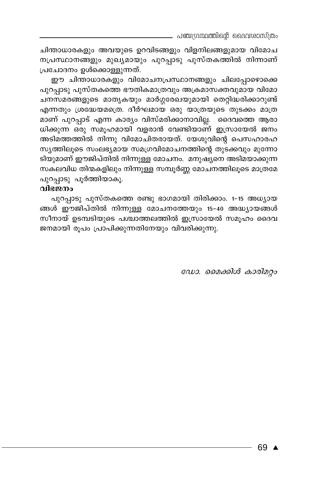. പഞ്ചഗ്രന്ഥത്തിന്റെ ദൈവശാസ്ത്രം

ചിന്താധാരകളും അവയുടെ ഉറവിടങ്ങളും വിളനിലങ്ങളുമായ വിമോച നപ്രസ്ഥാനങ്ങളും മുഖ്യമായും പുറപ്പാടു പുസ്തകത്തിൽ നിന്നാണ് പ്രചോദനം ഉൾക്കൊള്ളുന്നത്.

ഈ ചിന്താധാരകളും വിമോചനപ്രസ്ഥാനങ്ങളും ചിലപ്പോഴൊക്കെ പുറപ്പാടു പുസ്തകത്തെ ഭൗതികമാത്രവും അക്രമാസക്തവുമായ വിമോ ചനസമരങ്ങളുടെ മാതൃകയും മാർഗ്ഗരേഖയുമായി തെറ്റിദ്ധരിക്കാറുണ്ട് എന്നതും ശ്രദ്ധേയമത്രെ. ദീർഘമായ ഒരു യാത്രയുടെ തുടക്കം മാത്ര മാണ് പുറപ്പാട് എന്ന കാര്യം വിസ്മരിക്കാനാവില്ല. ദൈവത്തെ ആരാ ധിക്കുന്ന ഒരു സമൂഹമായി വളരാൻ വേണ്ടിയാണ് ഇസ്രായേൽ ജനം അടിമത്തത്തിൽ നിന്നു വിമോചിതരായത്. യേശുവിന്റെ പെസഹാരഹ സ്യത്തിലൂടെ സംലഭ്യമായ സമഗ്രവിമോചനത്തിന്റെ തുടക്കവും മുന്നോ ടിയുമാണ് ഈജിപ്തിൽ നിന്നുള്ള മോചനം. മനുഷ്യനെ അടിമയാക്കുന്ന സകലവിധ തിന്മകളിലും നിന്നുള്ള സമ്പൂർണ്ണ മോചനത്തിലൂടെ മാത്രമേ പുറപ്പാടു പൂർത്തിയാകൂ.

#### വിഭജനം

പുറപ്പാടു പുസ്തകത്തെ രണ്ടു ഭാഗമായി തിരിക്കാം. 1-15 അധ്യായ ങ്ങൾ ഈജിപ്തിൽ നിന്നുള്ള മോചനത്തേയും 15-40 അദ്ധ്യായങ്ങൾ സീനായ് ഉടമ്പടിയുടെ പശ്ചാത്തലത്തിൽ ഇസ്രായേൽ സമൂഹം ദൈവ ജനമായി രൂപം പ്രാപിക്കുന്നതിനേയും വിവരിക്കുന്നു.

ഡോ. മൈക്കിൾ കാരിമറ്റം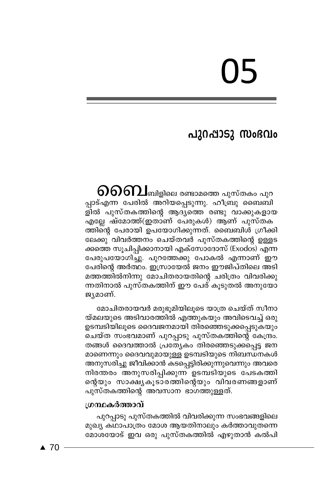# U5

# പുറപ്പാടു സംഭവം

 $\mathfrak{H}$  $\mathfrak{H}$ ബിളിലെ രണ്ടാമത്തെ പുസ്തകം പുറ പ്പാട്എന്ന പേരിൽ അറിയപ്പെടുന്നു. ഹീബ്രു ബൈബി ളിൽ പുസ്തകത്തിന്റെ ആദ്യത്തെ രണ്ടു വാക്കുകളായ എല്ലേ ഷ്മോത്ത്(ഇതാണ് പേരുകൾ) ആണ് പുസ്തക ത്തിന്റെ പേരായി ഉപയോഗിക്കുന്നത്. ബൈബിൾ ഗ്രീക്കി ലേക്കു വിവർത്തനം ചെയ്തവർ പുസ്തകത്തിന്റെ ഉള്ളട ക്കത്തെ സൂചിപ്പിക്കാനായി എക്സോദോസ് (Exodos) എന്ന പേരുപയോഗിച്ചു. പുറത്തേക്കു പോകൽ എന്നാണ് ഈ പേരിന്റെ അർത്ഥം. ഇസ്രായേൽ ജനം ഈജിപ്തിലെ അടി മത്തത്തിൽനിന്നു മോചിതരായതിന്റെ ചരിത്രം വിവരിക്കു ന്നതിനാൽ പുസ്തകത്തിന് ഈ പേര് കൂടുതൽ അനുയോ ജ്യമാണ്.

മോചിതരായവർ മരുഭൂമിയിലൂടെ യാത്ര ചെയ്ത് സീനാ യ്മലയുടെ അടിവാരത്തിൽ എത്തുകയും അവിടെവച്ച് ഒരു ഉടമ്പടിയിലുടെ ദൈവജനമായി തിരഞ്ഞെടുക്കപ്പെടുകയും ചെയ്ത സംഭവമാണ് പുറപ്പാടു പുസ്തകത്തിന്റെ കേന്ദ്രം. തങ്ങൾ ദൈവത്താൽ പ്രത്യേകം തിരഞ്ഞെടുക്കപ്പെട്ട ജന മാണെന്നും ദൈവവുമായുള്ള ഉടമ്പടിയുടെ നിബന്ധനകൾ അനുസരിച്ചു ജീവിക്കാൻ കടപ്പെട്ടിരിക്കുന്നുവെന്നും അവരെ നിരന്തരം അനുസരിപ്പിക്കുന്ന് ഉടമ്പടിയുടെ പേടകത്തി പുസ്തകത്തിന്റെ അവസാന ഭാഗത്തുള്ളത്.

#### ഗ്രന്ഥകർത്താവ്

പുറപ്പാടു പുസ്തകത്തിൽ വിവരിക്കുന്ന സംഭവങ്ങളിലെ മുഖ്യ കഥാപാത്രം മോശ ആയതിനാലും കർത്താവുതന്നെ മോശയോട് ഇവ ഒരു പുസ്തകത്തിൽ എഴുതാൻ കൽപി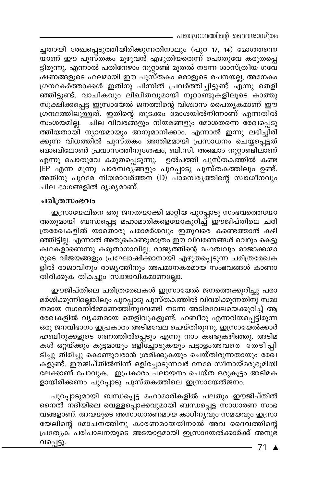. പഞ്ചഗ്രന്ഥത്തിന്റെ ദൈവശാസ്ത്രം

ച്ചതായി രേഖപ്പെടുത്തിയിരിക്കുന്നതിനാലും (പുറ 17, 14) മോശതന്നെ യാണ് ഈ പുസ്തകം മുഴുവൻ എഴുതിയതെന്ന് പൊതുവേ കരുതപ്പെ ട്ടിരുന്നു. എന്നാൽ പതിനേഴാം നൂറ്റാണ്ട് മുതൽ നടന്ന ശാസ്ത്രീയ ഗവേ ഷണങ്ങളുടെ ഫലമായി ഈ പുസ്തകം ഒരാളുടെ രചനയല്ല, അനേകം ഗ്രന്ഥകർത്താക്കൾ ഇതിനു പിന്നിൽ പ്രവർത്തിച്ചിട്ടുണ്ട് എന്നു തെളി ഞ്ഞിട്ടുണ്ട്. വാചികവും ലിഖിതവുമായി നൂറ്റാണ്ടുകളിലൂടെ കാത്തു സൂക്ഷിക്കപ്പെട്ട ഇസ്രായേൽ ജനത്തിന്റെ വിശ്വാസ പൈതൃകമാണ് ഈ ഗ്രന്ഥത്തിലുള്ളത്. ഇതിന്റെ തുടക്കം മോശയിൽനിന്നാണ് എന്നതിൽ സംശയമില്ല. ചില വിവരങ്ങളും നിയമങ്ങളും മോശതന്നെ രേഖപ്പെടു ത്തിയതായി ന്യായമായും അനുമാനിക്കാം. എന്നാൽ ഇന്നു ലഭിച്ചിരി ക്കുന്ന വിധത്തിൽ പുസ്തകം അന്തിമമായി പ്രസാധനം ചെയ്യപ്പെട്ടത് ബാബിലോൺ പ്രവാസത്തിനുശേഷം, ബി.സി. അഞ്ചാം നൂറ്റാണ്ടിലാണ് എന്നു പൊതുവേ കരുതപ്പെടുന്നു. ഉൽപത്തി പുസ്തകത്തിൽ കണ്ട JEP എന്ന മൂന്നു പാരമ്പര്യങ്ങളും പുറപ്പാടു പുസ്തകത്തിലും ഉണ്ട്. അതിനു പുറമേ നിയമാവർത്തന (D) പാരമ്പര്യത്തിന്റെ സ്വാധീനവും ചില ഭാഗങ്ങളിൽ ദൃശ്യമാണ്.

#### ചരിത്രസംഭവം

ഇസ്രായേലിനെ ഒരു ജനതയാക്കി മാറ്റിയ പുറപ്പാടു സംഭവത്തെയോ അതുമായി ബന്ധപ്പെട്ട മഹാമാരികളെയോകുറിച്ച് ഈജിപ്തിലെ ചരി ത്രരേഖകളിൽ യാതൊരു പരാമർശവും ഇതുവരെ കണ്ടെത്താൻ കഴി ഞ്ഞിട്ടില്ല. എന്നാൽ അതുകൊണ്ടുമാത്രം ഈ വിവരണങ്ങൾ വെറും കെട്ടു കഥകളാണെന്നു കരുതാനാവില്ല. രാജ്യത്തിന്റെ മഹത്വവും രാജാക്കന്മാ രുടെ വിജയങ്ങളും പ്രഘോഷിക്കാനായി എഴുതപ്പെടുന്ന ചരിത്രരേഖക ളിൽ രാജാവിനും രാജ്യത്തിനും അപമാനകരമായ സംഭവങ്ങൾ കാണാ തിരിക്കുക തികച്ചും സ്വാഭാവികമാണല്ലോ.

ഈജിപ്തിലെ ചരിത്രരേഖകൾ ഇസ്രായേൽ ജനത്തെക്കുറിച്ചു പരാ മർശിക്കുന്നില്ലെങ്കിലും പുറപ്പാടു പുസ്തകത്തിൽ വിവരിക്കുന്നതിനു സമാ നമായ നഗരനിർമ്മാണത്തിനുവേണ്ടി നടന്ന അടിമവേലയെക്കുറിച്ച് ആ രേഖകളിൽ വ്യക്തമായ തെളിവുകളുണ്ട്. ഹബീറു എന്നറിയപ്പെട്ടിരുന്ന ഒരു ജനവിഭാഗം ഇപ്രകാരം അടിമവേല ചെയ്തിരുന്നു. ഇസ്രായേൽക്കാർ ഹബീറുക്കളുടെ ഗണത്തിൽപ്പെടും എന്നു നാം കണ്ടുകഴിഞ്ഞു. അടിമ കൾ ഒറ്റയ്ക്കും കൂട്ടമായും ഒളിച്ചോടുകയും പട്ടാളംഅവരെ തേടിച്ചി ടിച്ചു തിരിച്ചു കൊണ്ടുവരാൻ ശ്രമിക്കുകയും ചെയ്തിരുന്നതായും രേഖ കളുണ്ട്. ഈജിപ്തിൽനിന്ന് ഒളിച്ചോടുന്നവർ നേരേ സീനായ്മരുഭൂമിയി ലേക്കാണ് പോവുക. ഇപ്രകാരം പലായനം ചെയ്ത ഒരുകൂട്ടം അടിമക ളായിരിക്കണം പുറപ്പാടു പുസ്തകത്തിലെ ഇസ്രായേൽജനം.

പുറപ്പാടുമായി ബന്ധപ്പെട്ട മഹാമാരികളിൽ പലതും ഈജിപ്തിൽ നൈൽ നദിയിലെ വെള്ളപ്പൊക്കവുമായി ബന്ധപ്പെട്ട സാധാരണ സംഭ വങ്ങളാണ്. അവയുടെ അസാധാരണമായ കാഠിന്യവും സമയവും ഇസ്രാ യേലിന്റെ മോചനത്തിനു കാരണമായതിനാൽ അവ ദൈവത്തിന്റെ പ്രത്യേക പരിപാലനയുടെ അടയാളമായി ഇസ്രായേൽക്കാർക്ക് അനുഭ വപ്പെട്ടു.

71 ▲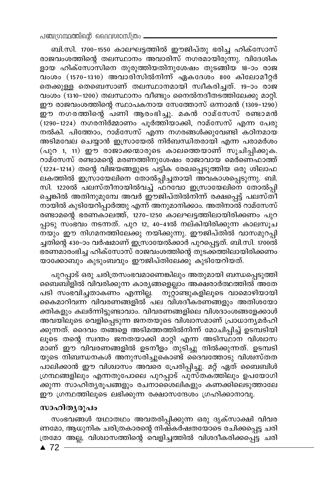ബി.സി. 1700-1550 കാലഘട്ടത്തിൽ ഈജിപ്തു ഭരിച്ച ഹിക്സോസ് രാജവംശത്തിന്റെ തലസ്ഥാനം അവാരിസ് നഗരമായിരുന്നു. വിദേശിക ളായ ഹിക്സോസിനെ തുരുത്തിയതിനുശേഷം തുടങ്ങിയ 18-ാം രാജ \_<br>വംശം (1570-1310) അവാരിസിൽനിന്ന് ഏകദേശം 800 കിലോമീറ്റർ തെക്കുള്ള തെബെസാണ് തലസ്ഥാനമായി സ്വീകരിച്ചത്. 19-ാം രാജ വംശം (1310-1200) തലസ്ഥാനം വീണ്ടും നൈൽനദീതടത്തിലേക്കു മാറ്റി. ഈ രാജവംശത്തിന്റെ സ്ഥാപകനായ സേത്തോസ് ഒന്നാമൻ (1309–1290) ഈ നഗരത്തിന്റെ പണി ആരംഭിച്ചു. മകൻ റാമ്സേസ് രണ്ടാമൻ  $\overline{(\hspace{1pt}1290}$ –1224) നഗരനിർമ്മാണം പൂർത്തിയാക്കി, റാമ്സേസ് എന്ന പേരു നൽകി. പിത്തോം, റാമ്സേസ് എന്ന നഗരങ്ങൾക്കുവേണ്ടി കഠിനമായ അടിമവേല ചെയ്യാൻ ഇസ്രായേൽ നിർബന്ധിതരായി എന്ന പരാമർശം (പുറ 1, 11) ഈ രാജാക്കന്മാരുടെ കാലത്തെയാണ് സൂചിപ്പിക്കുക. <u>റാമ്സേസ് രണ്ടാമന്റെ മരണത്തിനുശേഷം രാജാവായ മെർണെഫാത്ത്</u> (1224–1214) തന്റെ വിജയങ്ങളുടെ പട്ടിക രേഖപ്പെടുത്തിയ ഒരു ശിലാഫ ലകത്തിൽ ഇസ്രായേലിനെ തോൽപ്പിച്ചതായി അവകാശപ്പെടുന്നു. ബി. സി. 1220ൽ പലസ്തീനായിൽവച്ച് ഫറവോ ഇസ്രായേലിനെ തോൽപ്പി ച്ചെങ്കിൽ അതിനുമുമ്പേ അവർ ഈജിപ്തിൽനിന്ന് രക്ഷപ്പെട്ട് പലസ്ത്1 നായിൽ കുടിയേറിപ്പാർത്തു എന്ന് അനുമാനിക്കാം. അതിനാൽ റാമ്സേസ് രണ്ടാമന്റെ ഭരണകാലത്ത്, 1270-1250 കാലഘട്ടത്തിലായിരിക്കണം പുറ പ്പാടു സംഭവം നടന്നത്. പുറ 12, 40-41ൽ നല്കിയിരിക്കുന്ന കാലസൂച നയും ഈ നിഗമനത്തിലേക്കു നയിക്കുന്നു. ഈജിപ്തിൽ വാസമുറപ്പി ച്ചതിന്റെ 430–ാം വർഷമാണ് ഇസ്രായേൽക്കാർ പുറപ്പെട്ടത്. ബി.സി. 1700ൽ ഭരണമാരംഭിച്ച ഹിക്സോസ് രാജവംശത്തിന്റെ തുടക്കത്തിലായിരിക്കണം യാക്കോബും കുടുംബവും ഈജിപ്തിലേക്കു കുടിയേറിയത്.

പുറപ്പാട് ഒരു ചരിത്രസംഭവമാണെങ്കിലും അതുമായി ബന്ധപ്പെടുത്തി ബൈബിളിൽ വിവരിക്കുന്ന കാര്യങ്ങളെല്ലാം അക്ഷരാർത്ഥത്തിൽ അതേ പടി സംഭവിച്ചതാകണം എന്നില്ല. നൂറ്റാണ്ടുകളിലൂടെ വാമൊഴിയായി കൈമാറിവന്ന വിവരണങ്ങളിൽ പല വിശദീകരണങ്ങളും അതിശയോ ക്തികളും കലർന്നിട്ടുണ്ടാവാം. വിവരണങ്ങളിലെ വിശദാംശങ്ങളേക്കാൾ അവയിലൂടെ വെളിപ്പെടുന്ന ജനതയുടെ വിശ്വാസമാണ് പ്രാധാന്യമർഹി ക്കുന്നത്. ദൈവം തങ്ങളെ അടിമത്തത്തിൽനിന്ന് മോചിപ്പിച്ച് ഉടമ്പടിയി ലൂടെ തന്റെ സ്ഥതം ജനതയാക്കി മാറ്റി എന്ന അടിസ്ഥാന വിശ്വാസ മാണ് ഈ ്വിവരണങ്ങളിൽ ഉടനീളം ്തുടിച്ചു നിൽക്കുന്നത്. ഉടമ്പടി യുടെ നിബന്ധനകൾ അനുസരിച്ചുകൊണ്ട് ദൈവത്തോടു വിശ്വസ്തത പാലിക്കാൻ ഈ വിശ്വാസം അവരെ പ്രേരിപ്പിച്ചു. മറ്റ് ഏത് ബൈബിൾ ഗ്രന്ഥങ്ങളിലും എന്നതുപോലെ പുറപ്പാട് പുസ്്തക്ത്തിലും ഉപയോഗി ക്കുന്ന സാഹിത്യരൂപങ്ങളും രചനാശൈലികളും കണക്കിലെടുത്താലേ ഈ ഗ്രന്ഥത്തിലൂടെ ലഭിക്കുന്ന രക്ഷാസന്ദേശം ഗ്രഹിക്കാനാവൂ.

#### സാഹിതൃരൂപം

സംഭവങ്ങൾ യഥാതഥം അവതരിപ്പിക്കുന്ന ഒരു ദൃക്സാക്ഷി വിവര ണമോ, ആധുനിക ചരിത്രകാരന്റെ നിഷ്കർഷതയോടെ രചിക്കപ്പെട്ട ചരി ത്രമോ അല്ല, വിശ്വാസത്തിന്റെ വെളിച്ചത്തിൽ വിശദീകരിക്കപ്പെട്ട ചരി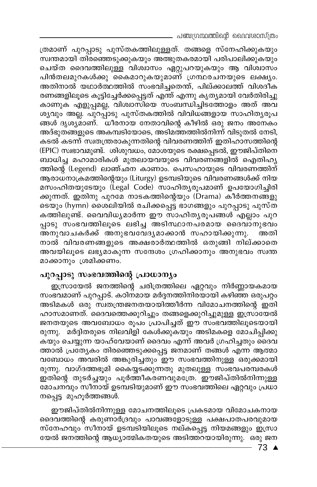- പഞ്ചഗ്രന്ഥത്തിന്റെ ദൈവശാസ്ത്രം

ത്രമാണ് പുറപ്പാടു പുസ്തകത്തിലുള്ളത്. തങ്ങളെ സ്നേഹിക്കുകയും സ്വന്തമായി തിരഞ്ഞെടുക്കുകയും അത്ഭുതകരമായി പരിപാലിക്കുകയും ചെയ്ത ദൈവത്തിലുള്ള വിശ്വാസം ഏറ്റുപറയുകയും ആ വിശ്വാസം പിൻതലമുറകൾക്കു കൈമാറുകയുമാണ് ഗ്രന്ഥരചനയുടെ ലക്ഷ്യം. അതിനാൽ യഥാർത്ഥത്തിൽ സംഭവിച്ചതെന്ത്, പില്ക്കാലത്ത് വിശദീക രണങ്ങളിലൂടെ കൂട്ടിച്ചേർക്കപ്പെട്ടത് എന്ത് എന്നു കൃത്യമായി വേർതിരിച്ചു കാണുക എളുപ്പമല്ല, വിശ്വാസിയെ സംബന്ധിച്ചിടത്തോളം അത് അവ ശ്യവും അല്ല. പുറപ്പാടു പുസ്തകത്തിൽ വിവിധങ്ങളായ സാഹിതൃരൂപ ങ്ങൾ ദൃശ്യമാണ്. ധീരനായ നേതാവിന്റെ കീഴിൽ ഒരു ജനം അനേകം അദ്ഭുതങ്ങളുടെ അകമ്പടിയോടെ, അടിമത്തത്തിൽനിന്ന് വിടുതൽ നേടി, കടൽ കടന്ന് സ്വതന്ത്രരാകുന്നതിന്റെ വിവരണത്തിന് ഇതിഹാസത്തിന്റെ (EPIC) സ്വഭാവമുണ്ട്. ശിശുവധം, മോശയുടെ രക്ഷപ്പെടൽ, ഈജിപ്തിനെ ബാധിച്ച മഹാമാരികൾ മുതലായവയുടെ വിവരണങ്ങളിൽ ഐതിഹ്യ ത്തിന്റെ (Legend) ലാഞ്ഛന കാണാം. പെസഹായുടെ വിവരണത്തിന് ആരാധനാക്രമത്തിന്റെയും (Liturgy) ഉടമ്പടിയുടെ വിവരണങ്ങൾക്ക് നിയ മസംഹിതയുടേയും (Legal Code) സാഹിതൃരൂപമാണ് ഉപയോഗിച്ചിരി ക്കുന്നത്. ഇതിനു പുറമേ നാടകത്തിന്റെയും (Drama) കീർത്തനങ്ങളു ടെയും (hymn) ശൈലിയിൽ രചിക്കപ്പെട്ട ഭാഗങ്ങളും പുറപ്പാടു പുസ്ത കത്തിലുണ്ട്. വൈവിധ്യമാർന്ന ഈ സാഹിത്യരൂപങ്ങൾ എല്ലാം പുറ പ്പാടു സംഭവത്തിലൂടെ ലഭിച്ച അടിസ്ഥാനപരമായ ദൈവാനുഭവം അനുവാചകർക്ക് അനുഭവവേദ്യമാക്കാൻ സഹായിക്കുന്നു. അതി നാൽ വിവരണങ്ങളുടെ അക്ഷരാർത്ഥത്തിൽ ഒതുങ്ങി നില്ക്കാതെ അവയിലൂടെ ലഭ്യമാകുന്ന സന്ദേശം ഗ്രഹിക്കാനും അനുഭവം സ്വന്ത മാക്കാനും ശ്രമിക്കണം.

# പുറപ്പാടു സംഭവത്തിന്റെ പ്രാധാന്യം

ഇസ്രായേൽ ജനത്തിന്റെ ചരിത്രത്തിലെ ഏറ്റവും നിർണ്ണായകമായ സംഭവമാണ് പുറപ്പാട്. കഠിനമായ മർദ്ദനത്തിനിരയായി കഴിഞ്ഞ ഒരുപറ്റം അടിമകൾ ഒരു സ്വതന്ത്രജനതയായിത്തീർന്ന വിമോചനത്തിന്റെ ഇതി ഹാസമാണത്. ദൈവത്തെക്കുറിച്ചും തങ്ങളെക്കുറിച്ചുമുള്ള ഇസ്രായേൽ ജനതയുടെ അവബോധം രൂപം പ്രാപിച്ചത് ഈ സംഭവത്തിലൂടെയായി രുന്നു. മർദ്ദിതരുടെ നിലവിളി കേൾക്കുകയും അടിമകളെ മോചിപ്പിക്കു കയും ചെയ്യുന്ന യാഹ്വേയാണ് ദൈവം എന്ന് അവർ ഗ്രഹിച്ചതും ദൈവ ത്താൽ പ്രത്യേകം തിരഞ്ഞെടുക്കപ്പെട്ട ജനമാണ് തങ്ങൾ എന്ന ആത്മാ വബോധം അവരിൽ അങ്കുരിച്ചതും ഈ സംഭവത്തിനുള്ള ഒരുക്കമായി രുന്നു. വാഗ്ദത്തഭൂമി കൈയ്യടക്കുന്നതു മുതലുള്ള സംഭവപരമ്പരകൾ ഇതിന്റെ തുടർച്ചയും പൂർത്തീകരണവുമത്രേ. ഈജിപ്തിൽനിന്നുള്ള മോചനവും സീനായ് ഉടമ്പടിയുമാണ് ഈ സംഭവത്തിലെ ഏറ്റവും പ്രധാ നപ്പെട്ട മുഹൂർത്തങ്ങൾ.

ഈജിപ്തിൽനിന്നുള്ള മോചനത്തിലൂടെ പ്രകടമായ വിമോചകനായ ദൈവത്തിന്റെ കരുണാർദ്രവും പാവങ്ങളോടുള്ള പക്ഷപാതപരവുമായ സ്നേഹവും സീനായ് ഉടമ്പടിയിലൂടെ നല്കപ്പെട്ട നിയമങ്ങളും ഇസ്രാ യേൽ ജനത്തിന്റെ ആധ്യാത്മികതയുടെ അടിത്തറയായിരുന്നു. ഒരു ജന

 $-73$   $\triangle$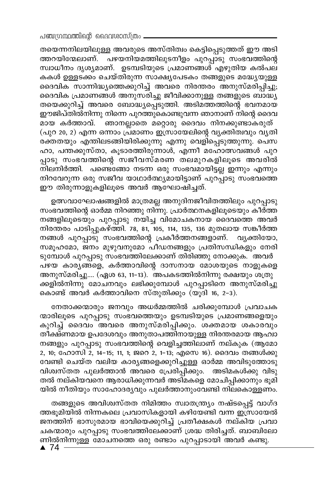തയെന്നനിലയിലുള്ള അവരുടെ അസ്തിത്വം കെട്ടിപ്പെടുത്തത് ഈ അടി ത്തറയിന്മേലാണ്. പഴയനിയമത്തിലുടനീളം പുറപ്പാടു സംഭവത്തിന്റെ സ്ഥാധീനം ദൃശ്യമാണ്. ഉടമ്പടിയുടെ പ്രമാണങ്ങൾ എഴുതിയ കൽപല കകൾ ഉള്ളടക്കം ചെയ്തിരുന്ന സാക്ഷ്യപേടകം തങ്ങളുടെ മദ്ധ്യേയുള്ള ദൈവിക സാന്നിദ്ധ്യത്തെക്കുറിച്ച് അവരെ നിരന്തരം അനുസ്മരിപ്പിച്ചു; ദൈവിക പ്രമാണങ്ങൾ അനുസരിച്ചു ജീവിക്കാനുള്ള തങ്ങളുടെ ബാദ്ധ്യ തയെക്കുറിച്ച് അവരെ ബോദ്ധ്യപ്പെടുത്തി. അടിമത്തത്തിന്റെ ഭവനമായ ഈജിപ്തിൽനിന്നു നിന്നെ പുറത്തുകൊണ്ടുവന്ന ഞാനാണ് നിന്റെ ദൈവ മായ കർത്താവ്. ഞാനല്ലാതെ മറ്റൊരു ദൈവം നിനക്കുണ്ടാകരുത് (പുറ 20, 2) എന്ന ഒന്നാം പ്രമാണം ഇസ്രായേലിന്റെ വ്യക്തിത്വവും വ്യതി രക്തതയും എന്തിലടങ്ങിയിരിക്കുന്നു എന്നു വെളിപ്പെടുത്തുന്നു. പെസ ഹാ, പന്തക്കുസ്താ, കൂടാരത്തിരുന്നാൾ, എന്നീ മഹോത്സവങ്ങൾ പുറ പ്പാടു സംഭവത്തിന്റെ സജീവസ്മരണ തലമുറകളിലൂടെ അവരിൽ നിലനിർത്തി. പണ്ടെങ്ങോ നടന്ന ഒരു സംഭവമായിട്ടല്ല ഇന്നും എന്നും നിറവേറുന്ന ഒരു സജീവ യാഥാർത്ഥ്യമായിട്ടാണ് പുറപ്പാടു സംഭവത്തെ ഈ തിരുന്നാളുകളിലൂടെ അവർ ആഘോഷിച്ചത്.

ഉത്സവാഘോഷങ്ങളിൽ മാത്രമല്ല അനുദിനജീവിതത്തിലും പുറപ്പാടു സംഭവത്തിന്റെ ഓർമ്മ നിറഞ്ഞു നിന്നു. പ്രാർത്ഥനകളിലൂടെയും കീർത്ത നങ്ങളിലൂടെയും പുറപ്പാടു നയിച്ച വിമോചകനായ ദൈവത്തെ അവർ നിരന്തരം പാടിപ്പുകഴ്ത്തി. 78, 81, 105, 114, 135, 136 മുതലായ സങ്കീർത്ത നങ്ങൾ പുറപ്പാടു സംഭവത്തിന്റെ പ്രകീർത്തനങ്ങളാണ്. വൃക്തിയോ, സമൂഹമോ, ജനം മുഴുവനുമോ പീഡനങ്ങളും പ്രതിസന്ധികളും നേരി ടുമ്പോൾ പുറപ്പാടു സംഭവത്തിലേക്കാണ് തിരിഞ്ഞു നോക്കുക. അവർ പഴയ കാര്യങ്ങളെ, കർത്താവിന്റെ ദാസനായ മോശയുടെ നാളുകളെ അനുസ്മരിച്ചു.... (ഏശ 63, 11-13). അപകടത്തിൽനിന്നു രക്ഷയും ശത്രു ക്കളിൽനിന്നു മോചനവും ലഭിക്കുമ്പോൾ പുറപ്പാടിനെ അനുസ്മരിച്ചു കൊണ്ട് അവർ കർത്താവിനെ സ്തുതിക്കും (യൂദി 16, 2-3).

നേതാക്കന്മാരും ജനവും അധർമ്മത്തിൽ ചരിക്കുമ്പോൾ പ്രവാചക ന്മാരിലൂടെ പുറപ്പാടു സംഭവത്തെയും ഉടമ്പടിയുടെ പ്രമാണങ്ങളെയും കുറിച്ച് ദൈവം അവരെ അനുസ്മരിപ്പിക്കും. ശക്തമായ ശകാരവും തീക്ഷ്ണമായ ഉപദേശവും അനുതാപത്തിനായുള്ള നിരന്തരമായ ആഹ്വാ നങ്ങളും പുറപ്പാടു സംഭവത്തിന്റെ വെളിച്ചത്തിലാണ് നല്കുക (ആമോ 2, 10; ഹോസി 2, 14-15; 11, 1; ജറെ 2, 1-13; എസെ 16). ദൈവം തങ്ങൾക്കു വേണ്ടി ചെയ്ത വലിയ കാര്യങ്ങളെക്കുറിച്ചുള്ള ഓർമ്മ അവിടുത്തോടു വിശ്വസ്തത പുലർത്താൻ അവരെ പ്രേരിപ്പിക്കും. അടിമകൾക്കു വിടു തൽ നല്കിയവനെ ആരാധിക്കുന്നവർ അടിമകളെ മോചിപ്പിക്കാനും ഭൂമി യിൽ നീതിയും സാഹോദര്യവും പുലർത്താനുംവേണ്ടി നിലകൊള്ളണം.

തങ്ങളുടെ അവിശ്വസ്തത നിമിത്തം സ്വാതന്ത്ര്യം നഷ്ടപ്പെട്ട് വാഗ്ദ ത്തഭൂമിയിൽ നിന്നകലെ പ്രവാസികളായി കഴിയേണ്ടി വന്ന ഇസ്രായേൽ ജനത്തിന് ഭാസുരമായ ഭാവിയെക്കുറിച്ച് പ്രതീക്ഷകൾ നല്കിയ പ്രവാ ചകന്മാരും പുറപ്പാടു സംഭവത്തിലേക്കാണ് ശ്രദ്ധ തിരിച്ചത്. ബാബിലോ ണിൽനിന്നുള്ള മോചനത്തെ ഒരു രണ്ടാം പുറപ്പാടായി അവർ കണ്ടു.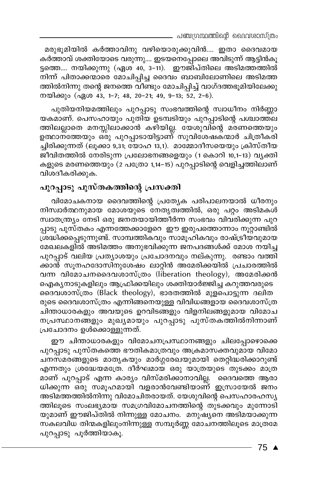മരുഭൂമിയിൽ കർത്താവിനു വഴിയൊരുക്കുവിൻ.... ഇതാ ദൈവമായ കർത്താവ് ശക്തിയോടെ വരുന്നു.... ഇടയനെപ്പോലെ അവിടുന്ന് ആട്ടിൻകൂ ട്ടത്തെ.... നയിക്കുന്നു (ഏശ 40, 3–11). ഇൗജിപ്തിലെ അടിമത്തത്തിൽ നിന്ന് പിതാക്കന്മാരെ മോചിപ്പിച്ച ദൈവം ബാബിലോണിലെ അടിമത്ത ത്തിൽനിന്നു തന്റെ ജനത്തെ വീണ്ടും മോചിപ്പിച്ച് വാഗ്ദത്തഭൂമിയിലേക്കു നയിക്കും (ഏശ 43, 1-7; 48, 20-21; 49, 9-13; 52, 2-6).

പുതിയനിയമത്തിലും പുറപ്പാടു സംഭവത്തിന്റെ സ്വാധീനം നിർണ്ണാ യകമാണ്. പെസഹായും പുതിയ ഉടമ്പടിയും പുറപ്പാടിന്റെ പശ്ചാത്തല ത്തിലല്ലാതെ മനസ്സിലാക്കാൻ കഴിയില്ല. യേശുവിന്റെ മരണത്തെയും ഉത്ഥാന്ത്തേയും ഒരു പുറപ്പാടായിട്ടാണ് സുവിശേഷക്ന്മാർ ചിത്രീകരി ച്ചിരിക്കുന്നത് (ലൂക്കാ 9,31; യോഹ 13,1). മാമ്മോദീസയെയും ക്രിസ്തീയ ജീവിതത്തിൽ നേരിടുന്ന പ്രലോഭനങ്ങളെയും (1 കൊറി 10,1-13) വൃക്തി കളുടെ മരണത്തെയും (2 പത്രോ 1,14–15) പുറപ്പാടിന്റെ വെളിച്ചത്തിലാണ് വിശദീകരിക്കുക.

# പുറപ്പാടു പുസ്തകത്തിന്റെ പ്രസക്തി

വിമോചകനായ ദൈവത്തിന്റെ പ്രത്യേക പരിപാലനയാൽ ധീരനും നിസ്വാർത്ഥനുമായ മോശയുടെ നേതൃത്വത്തിൽ, ഒരു പറ്റം അടിമകൾ സ്വാതന്ത്ര്യം നേടി ഒരു ജനതയായിത്തീർന്ന സംഭവം വിവരിക്കുന്ന പുറ പ്പാടു പുസ്തകം എന്നത്തേക്കാളേറെ ഈ ഇരുപത്തൊന്നാം നൂറ്റാണ്ടിൽ ശ്രദ്ധിക്കപ്പെടുന്നുണ്ട്. സാമ്പത്തികവും സാമൂഹികവും രാഷ്ട്രീയവുമായ മേഖലകളിൽ അടിമത്തം അനുഭവിക്കുന്ന ജനപദങ്ങൾക്ക് മോശ നയിച്ച പുറപ്പാട് വലിയ പ്രത്യാശയും പ്രചോദനവും നല്കുന്നു. രണ്ടാം വത്തി ക്കാൻ സൂനഹദോസിനുശേഷം ലാറ്റിൻ അമേരിക്കയിൽ പ്രചാരത്തിൽ വന്ന വിമോചനദൈവശാസ്ത്രം (liberation theology), അമേരിക്കൻ ഐക്യനാടുകളിലും ആഫ്രിക്കയിലും ശക്തിയാർജ്ജിച്ച കറുത്തവരുടെ ദൈവശാസ്ത്രം (Black theology), ഭാരതത്തിൽ മുളപൊട്ടുന്ന ദലിത രുടെ ദൈവശാസ്ത്രം എന്നിങ്ങനെയുള്ള വിവിധങ്ങളായ ദൈവശാസ്ത്ര ചിന്താധാരകളും അവയുടെ ഉറവിടങ്ങളും വിളനിലങ്ങളുമായ വിമോച നപ്രസ്ഥാനങ്ങളും മുഖ്യമായും പുറപ്പാടു പുസ്തകത്തിൽനിന്നാണ് പ്രചോദനം ഉൾക്കൊള്ളുന്നത്.

ഈ ചിന്താധാരകളും വിമോചനപ്രസ്ഥാനങ്ങളും ചിലപ്പോഴൊക്കെ പുറപ്പാടു പുസ്തകത്തെ ഭൗതികമാത്രവും അക്രമാസക്തവുമായ വിമോ ചനസമരങ്ങളുടെ മാതൃകയും മാർഗ്ഗരേഖയുമായി തെറ്റിദ്ധരിക്കാറുണ്ട് എന്നതും ശ്രദ്ധേയമത്രേ. ദീർഘമായ ഒരു യാത്രയുടെ തുടക്കം മാത്ര മാണ് പുറപ്പാട് എന്ന കാര്യം വിസ്മരിക്കാനാവില്ല. ദൈവത്തെ ആരാ ധിക്കുന്ന ഒരു സമൂഹമായി വളരാൻവേണ്ടിയാണ് ഇസ്രായേൽ ജനം അടിമത്തത്തിൽനിന്നു വിമോചിതരായത്. യേശുവിന്റെ പെസഹാരഹസ്യ ത്തിലൂടെ സംലഭ്യമായ സമഗ്രവിമോചനത്തിന്റെ തുടക്കവും മുന്നോടി യുമാണ് ഈജിപ്തിൽ നിന്നുള്ള മോചനം. മനുഷ്യനെ അടിമയാക്കുന്ന സകലവിധ തിന്മകളിലുംനിന്നുള്ള സമ്പൂർണ്ണ മോചനത്തിലൂടെ മാത്രമേ പുറപ്പാടു പൂർത്തിയാകൂ.

75 ▲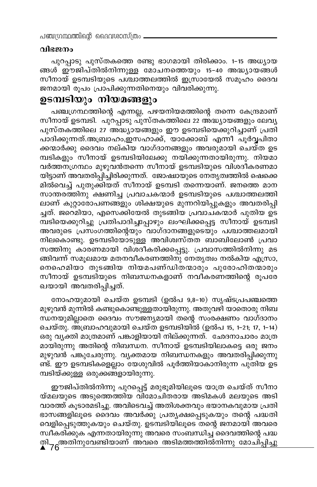# വിഭജനം

പുറപ്പാടു പുസ്തകത്തെ രണ്ടു ഭാഗമായി തിരിക്കാം. 1-15 അധ്യായ ങ്ങൾ ഈജിപ്തിൽനിന്നുള്ള മോചനത്തെയും 15-40 അദ്ധ്യായങ്ങൾ സീനായ് ഉടമ്പടിയുടെ പശ്ചാത്തലത്തിൽ ഇസ്രായേൽ സമൂഹം ദൈവ ജനമായി രൂപം പ്രാപിക്കുന്നതിനെയും വിവരിക്കുന്നു.

# ഉടമ്പടിയും നിയമങ്ങളും

പഞ്ചഗ്രന്ഥത്തിന്റെ എന്നല്ല, പഴയനിയമത്തിന്റെ തന്നെ കേന്ദ്രമാണ് സീനായ് ഉടമ്പടി. പുറപ്പാടു പുസ്തകത്തിലെ 22 അദ്ധ്യായങ്ങളും ലേവൃ പുസ്തകത്തിലെ 27 അദ്ധ്യായങ്ങളും ഈ ഉടമ്പടിയെക്കുറിച്ചാണ് പ്രതി പാദിക്കുന്നത്.അബ്രാഹം,ഇസഹാക്ക്, യാക്കോബ് എന്നീ പൂർവ്വപിതാ ക്കന്മാർക്കു ദൈവം നല്കിയ വാഗ്ദാനങ്ങളും അവരുമായി ചെയ്ത ഉട മ്പടികളും സീനായ് ഉടമ്പടിയിലേക്കു നയിക്കുന്നതായിരുന്നു. നിയമാ വർത്തനഗ്രന്ഥം മുഴുവൻതന്നെ സീനായ് ഉടമ്പടിയുടെ വിശദീകരണമാ യിട്ടാണ് അവതരിപ്പിച്ചിരിക്കുന്നത്. ജോഷ്വായുടെ നേതൃത്വത്തിൽ ഷെക്കെ മിൽവെച്ച് പുതുക്കിയത് സീനായ് ഉടമ്പടി തന്നെയാണ്. ജനത്തെ മാന സാന്തരത്തിനു ക്ഷണിച്ച പ്രവാചകന്മാർ ഉടമ്പടിയുടെ പശ്ചാത്തലത്തി ലാണ് കുറ്റാരോപണങ്ങളും ശിക്ഷയുടെ മുന്നറിയിപ്പുകളും അവതരിപ്പി ച്ചത്. ജറെമിയാ, എസെക്കിയേൽ തുടങ്ങിയ പ്രവാചകന്മാർ പുതിയ ഉട മ്പടിയെക്കുറിച്ചു പ്രതിപാദിച്ചപ്പോഴും ലംഘിക്കപ്പെട്ട സീനായ് ഉടമ്പടി അവരുടെ പ്രസ്ംഗത്തിന്റെയും വാഗ്ദാനങ്ങളുടെയും പശ്ചാത്തലമായി നിലകൊണ്ടു. ഉടമ്പടിയോടുള്ള അവിശ്വസ്തത ബാബിലോൺ പ്രവാ സത്തിനു കാരണമായി വിശദീകരിക്കപ്പെട്ടു. പ്രവാസത്തിൽനിന്നു മട ങ്ങിവന്ന് സമൂലമായ മതനവീകരണത്തിനു നേതൃത്വം നൽകിയ എസ്രാ, നെഹെമിയാ തുടങ്ങിയ നിയമപണ്ഡിതന്മാരും പുരോഹിതന്മാരും സീനായ് ഉടമ്പടിയുടെ നിബന്ധനകളാണ് നവീകരണത്തിന്റെ രൂപരേ ഖയായി അവതരിപ്പിച്ചത്.

നോഹയുമായി ചെയ്ത ഉടമ്പടി (ഉൽപ 9,8-10) സൃഷ്ടപ്രപഞ്ചത്തെ മുഴുവൻ മുന്നിൽ കണ്ടുകൊണ്ടുള്ളതായിരുന്നു. അതുവഴി യാതൊരു നിബ ന്ധനയുമില്ലാതെ ദൈവം സൗജന്യമായി തന്റെ സംരക്ഷണം വാഗ്ദാനം ചെയ്തു. അ്ബ്രാഹവുമായി ചെയ്ത ഉടമ്പടിയിൽ (ഉൽപ 15, 1–21, 17, 1–14) ഒരു വ്യക്തി മാത്രമാണ് പങ്കാളിയായി നില്ക്കുന്നത്. ഛേദനാചാരം മാത്ര മായിരുന്നു അതിന്റെ നിബന്ധന. സീനായ് ഉടമ്പടിയിലാകട്ടെ ഒരു ജനം മുഴുവൻ പങ്കുചേരുന്നു. വ്യക്തമായ നിബന്ധനകളും അവതരിപ്പിക്കുന്നു ണ്ട്. ഈ ഉടമ്പടികളെല്ലാം യേശുവിൽ പൂർത്തിയാകാനിരുന്ന പുതിയ ഉട മ്പടിയ്ക്കുള്ള ഒരുക്കങ്ങളായിരുന്നു.

ഈജിപ്തിൽനിന്നു പുറപ്പെട്ട് മരുഭൂമിയിലൂടെ യാത്ര ചെയ്ത് സീനാ യ്മലയുടെ അടുത്തെത്തിയ വിമോചിതരായ അടിമകൾ മലയുടെ അടി വാരത്ത് കൂടാരമടിച്ചു. അവിടെവച്ച് അതിശക്തവും ഭയാനകവുമായ പ്രതി ഭാസങ്ങളിലൂടെ ദൈവം അവർക്കു പ്രത്യക്ഷപ്പെടുകയും തന്റെ പദ്ധതി വെളിപ്പെടുത്തുകയും ചെയ്തു. ഉടമ്പടിയിലൂടെ തന്റെ ജനമായി അവരെ സ്ഥീകരിക്കുക എന്നതായിരുന്നു അവരെ സംബന്ധിച്ച ദൈവത്തിന്റെ പദ്ധ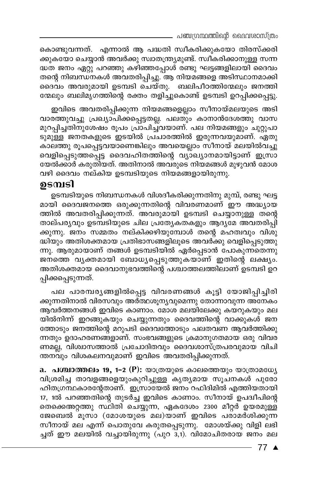\_ പഞ്ചഗ്രന്ഥത്തിന്റെ ദൈവശാസ്ത്രം

കൊണ്ടുവന്നത്. എന്നാൽ ആ പദ്ധതി സ്ഥീകരിക്കുകയോ തിരസ്ക്കരി ക്കുകയോ ചെയ്യാൻ അവർക്കു സ്വാതന്ത്ര്യമുണ്ട്. സ്വീകരിക്കാനുള്ള സന്ന ദ്ധത ജനം ഏറ്റു പറഞ്ഞു കഴിഞ്ഞപ്പോൾ രണ്ടു ഘട്ടങ്ങളിലായി ദൈവം തന്റെ നിബന്ധനകൾ അവതരിപ്പിച്ചു. ആ നിയമങ്ങളെ അടിസ്ഥാനമാക്കി ദൈവം അവരുമായി ഉടമ്പടി ചെയ്തു. ബലിപീഠത്തിന്മേലും ജനത്തി ന്മേലും ബലിമൃഗത്തിന്റെ രക്തം തളിച്ചുകൊണ്ട് ഉടമ്പടി ഉറപ്പിക്കപ്പെട്ടു.

ഇവിടെ അവതരിപ്പിക്കുന്ന നിയമങ്ങളെല്ലാം സീനായ്മലയുടെ അടി വാരത്തുവച്ചു പ്രഖ്യാപിക്കപ്പെട്ടതല്ല. പലതും കാനാൻദേശത്തു വാസ മുറപ്പിച്ചതിനുശേഷം രൂപം പ്രാപിച്ചവയാണ്. പല നിയമങ്ങളും ചുറ്റുപാ ടുമുള്ള ജനതകളുടെ ഇടയിൽ പ്രചാരത്തിൽ ഇരുന്നവയുമാണ്. ഏതു കാലത്തു രൂപപ്പെട്ടവയാണെങ്കിലും അവയെല്ലാം സീനായ് മലയിൽവച്ചു വെളിപ്പെടുത്തപ്പെട്ട ദൈവഹിതത്തിന്റെ വ്യാഖ്യാനമായിട്ടാണ് ഇസ്രാ യേൽക്കാർ കരുതിയത്. അതിനാൽ അവരുടെ നിയമങ്ങൾ മുഴുവൻ മോശ വഴി ദൈവം നല്കിയ ഉടമ്പടിയുടെ നിയമങ്ങളായിരുന്നു.

# ഉടമ്പടി

ഉടമ്പടിയുടെ നിബന്ധനകൾ വിശദീകരിക്കുന്നതിനു മുമ്പ്, രണ്ടു ഘട്ട മായി ദൈവജനത്തെ ഒരുക്കുന്നതിന്റെ വിവരണമാണ് ഈ അദ്ധ്യായ ത്തിൽ അവതരിപ്പിക്കുന്നത്. അവരുമായി ഉടമ്പടി ചെയ്യാനുള്ള തന്റെ താല്പര്യവും ഉടമ്പടിയുടെ ചില പ്രത്യേകതകളും ആദ്യമേ അവതരിപ്പി ക്കുന്നു. ജനം സമ്മതം നല്കിക്കഴിയുമ്പോൾ തന്റെ മഹത്വവും വിശു ദ്ധിയും അതിശക്തമായ പ്രതിഭാസങ്ങളിലൂടെ അവർക്കു വെളിപ്പെടുത്തു ന്നു. ആരുമായാണ് തങ്ങൾ ഉടമ്പടിയിൽ ഏർപ്പെടാൻ പോകുന്നതെന്നു ജനത്തെ വൃക്തമായി ബോധ്യപ്പെടുത്തുകയാണ് ഇതിന്റെ ലക്ഷ്യം. അതിശക്തമായ ദൈവാനുഭവത്തിന്റെ പശ്ചാത്തലത്തിലാണ് ഉടമ്പടി ഉറ പ്പിക്കപ്പെടുന്നത്.

പല പാരമ്പര്യങ്ങളിൽപ്പെട്ട വിവരണങ്ങൾ കൂട്ടി യോജിപ്പിച്ചിരി ക്കുന്നതിനാൽ വിരസവും അർത്ഥശൂന്യവുമെന്നു തോന്നാവുന്ന അനേകം ആവർത്തനങ്ങൾ ഇവിടെ കാണാം. മോശ മലയിലേക്കു കയറുകയും മല യിൽനിന്ന് ഇറങ്ങുകയും ചെയ്യുന്നതും ദൈവത്തിന്റെ വാക്കുകൾ ജന ത്തോടും ജനത്തിന്റെ മറുപടി ദൈവത്തോടും പലതവണ ആവർത്തിക്കു ന്നതും ഉദാഹരണങ്ങളാണ്. സംഭവങ്ങളുടെ ക്രമാനുഗതമായ ഒരു വിവര ണമല്ല, വിശ്വാസത്താൽ പ്രചോദിതവും ദൈവശാസ്ത്രപരവുമായ വിചി ന്തനവും വിശകലനവുമാണ് ഇവിടെ അവതരിപ്പിക്കുന്നത്.

a. പശ്ചാത്തലം 19, 1–2 (P): യാത്രയുടെ കാലത്തെയും യാത്രാമധ്യേ വിശ്രമിച്ച താവളങ്ങളെയുംകുറിച്ചുള്ള കൃത്യമായ സൂചനകൾ പുരോ ഹിതഗ്രന്ഥകാരന്റേതാണ്. ഇസ്രായേൽ ജനം റഫിദിമിൽ എത്തിയതായി 17, 1ൽ പറഞ്ഞതിന്റെ തുടർച്ച ഇവിടെ കാണാം. സീനായ് ഉപദ്വീപിന്റെ തെക്കെഅറ്റത്തു സ്ഥിതി ചെയ്യുന്ന, ഏകദേശം 2300 മീറ്റർ ഉയരമുള്ള ജേബെൽ മൂസാ (മോശയുടെ മല)യാണ് ഇവിടെ പരാമർശിക്കുന്ന സീനായ് മല എന്ന് പൊതുവേ കരുതപ്പെടുന്നു. മോശയ്ക്കു വിളി ലഭി ച്ചത് ഈ മലയിൽ വച്ചായിരുന്നു (പുറ<sup>്</sup>ദ്,1). വിമോചിതരായ ജനം മല

77 ▲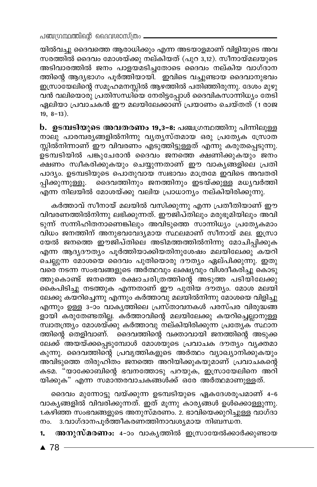യിൽവച്ചു ദൈവത്തെ ആരാധിക്കും എന്ന അടയാളമാണ് വിളിയുടെ അവ സരത്തിൽ ദൈവം മോശയ്ക്കു നല്കിയത് (പുറ 3,12). സീനായ്മലയുടെ അടിവാരത്തിൽ ജനം പാളയമടിച്ചതോടെ ദൈവം നല്കിയ വാഗ്ദാന ത്തിന്റെ ആദ്യഭാഗം പൂർത്തിയായി. ഇവിടെ വച്ചുണ്ടായ ദൈവാനുഭവം ഇസ്രാഭയലിന്റെ സമൂഹമനസ്സിൽ ആഴത്തിൽ പതിഞ്ഞിരുന്നു. ദേശം മുഴു വൻ വലിയൊരു പ്രതിസന്ധിയെ നേരിട്ടപ്പോൾ ദൈവികസാന്നിധ്യം തേടി ഏലിയാ പ്രവാചകൻ ഈ മലയിലേക്കാണ് പ്രയാണം ചെയ്തത് (1 രാജ  $19, 8-13$ ).

b. ഉടമ്പടിയുടെ അവതരണം 19,3-8: പഞ്ചഗ്രന്ഥത്തിനു പിന്നിലുള്ള നാലു പാരമ്പര്യങ്ങളിൽനിന്നു വ്യത്യസ്തമായ ഒരു പ്രത്യേക സ്രോത സ്സിൽനിന്നാണ് ഈ വിവരണം എടുത്തിട്ടുള്ളത് എന്നു കരുതപ്പെടുന്നു. ഉടമ്പടിയിൽ പങ്കുചേരാൻ ദൈവം ജനത്തെ ക്ഷണിക്കുകയും ജനം ക്ഷണം സ്വീകരിക്കുകയും ചെയ്യുന്നതാണ് ഈ വാകൃങ്ങളിലെ പ്രതി പാദ്യം. ഉടമ്പടിയുടെ പൊതുവായ സ്വഭാവം മാത്രമേ ഇവിടെ അവതരി പ്പിക്കുന്നുള്ളൂ. ദൈവത്തിനും ജനത്തിനും ഇടയ്ക്കുള്ള മധൃവർത്തി എന്ന നിലയിൽ മോശയ്ക്കു വലിയ പ്രാധാന്യം നല്കിയിരിക്കുന്നു.

കർത്താവ് സീനായ് മലയിൽ വസിക്കുന്നു എന്ന പ്രതീതിയാണ് ഈ വിവരണത്തിൽനിന്നു ലഭിക്കുന്നത്. ഈജിപ്തിലും മരുഭൂമിയിലും അവി ടുന്ന് സന്നിഹിതനാണെങ്കിലും അവിടുത്തെ സാന്നിധ്യം പ്രത്യേകമാം വിധം ജനത്തിന് അനുഭവവേദ്യമായ സ്ഥലമാണ് സീനായ് മല. ഇസ്രാ യേൽ ജനത്തെ ഈജിപ്തിലെ അടിമത്തത്തിൽനിന്നു മോചിപ്പിക്കുക എന്ന ആദൃദൗതൃം പൂർത്തിയാക്കിയതിനുശേഷം മലയിലേക്കു കയറി ചെല്ലുന്ന മോശയെ ദൈവം പുതിയൊരു ദൗത്യം ഏല്പിക്കുന്നു. ഇതു വരെ നടന്ന സംഭവങ്ങളുടെ അർത്ഥവും ലക്ഷ്യവും വിശദീകരിച്ചു കൊടു ത്തുകൊണ്ട് ജനത്തെ രക്ഷാചരിത്രത്തിന്റെ അടുത്ത പടിയിലേക്കു കൈപിടിച്ചു നടത്തുക എന്നതാണ് ഈ പുതിയ ദൗത്യം. മോശ മലയി ലേക്കു കയറിച്ചെന്നു എന്നും കർത്താവു മലയിൽനിന്നു മോശയെ വിളിച്ചു എന്നും ഉള്ള 3-ാം വാകൃത്തിലെ പ്രസ്താവനകൾ പരസ്പര വിരുദ്ധങ്ങ ം.<br>ളായി കരുതേണ്ടതില്ല. കർത്താവിന്റെ മലയിലേക്കു കയറിച്ചെല്ലാനുള്ള സ്വാതന്ത്ര്യം മോശയ്ക്കു കർത്താവു നല്കിയിരിക്കുന്ന പ്രത്യേക് സ്ഥാന ത്തിന്റെ തെളിവാണ്. `ദൈവത്തിന്റെ വക്താവായി` ജനത്തിന്റെ അടുക്ക ലേക്ക്്അയയ്ക്കപ്പെടുമ്പോൾ മോശ്യുടെ പ്രവാചക ദൗത്യം്വ്യക്തമാ കുന്നു. ദൈവത്തിന്റെ പ്രവൃത്തികളുടെ അർത്ഥം വ്യാഖ്യാനിക്കുകയും അവിടുത്തെ തിരുഹിതം ജനത്തെ അറിയിക്കുകയുമാണ് പ്രവാചകന്റെ കടമ. "യാക്കോബിന്റെ ഭവനത്തോടു പറയുക, ഇസ്രായേലിനെ അറി യിക്കുക" എന്ന സമാന്തരവാചകങ്ങൾക്ക് ഒരേ അർത്ഥമാണുള്ളത്.

ദൈവം മുന്നോട്ടു വയ്ക്കുന്ന ഉടമ്പടിയുടെ ഏകദേശരൂപമാണ് 4-6 വാകൃങ്ങളിൽ വിവരിക്കുന്നത്. ഇത് മൂന്നു കാരൃങ്ങൾ ഉൾക്കൊള്ളുന്നു. 1.കഴിഞ്ഞ സംഭവങ്ങളുടെ അനുസ്മരണം. 2. ഭാവിയെക്കുറിച്ചുള്ള വാഗ്ദാ നം. 3.വാഗ്ദാനപൂർത്തീകരണത്തിനാവശ്യമായ നിബന്ധന.

അനുസ്മരണം: 4-ാം വാകൃത്തിൽ ഇസ്രായേൽക്കാർക്കുണ്ടായ 1.

 $\triangle$  78 -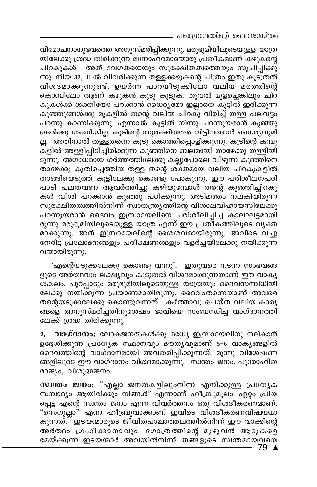. പഞ്ചഗ്രന്ഥത്തിന്റെ ദൈവശാസ്ത്രം

വിമോചനാനുഭവത്തെ അനുസ്മരിപ്പിക്കുന്നു. മരുഭൂമിയിലൂടെയുള്ള യാത്ര യിലേക്കു ശ്രദ്ധ തിരിക്കുന്ന മനോഹരമായൊരു പ്രതീകമാണ് കഴുകന്റെ ചിറകുകൾ. അത് വേഗതയെയും സുരക്ഷിതത്വത്തെയും സൂചിപ്പിക്കു ന്നു. നിയ 32, 11 ൽ വിവരിക്കുന്ന തള്ളക്കഴുകന്റെ ചിത്രം ഇതു കൂടുതൽ വിശദമാക്കുന്നുണ്ട്. ഉയർന്ന പാറയിടുക്കിലോ വലിയ മരത്തിന്റെ കൊമ്പിലോ ആണ് കഴുകൻ കൂടു കൂട്ടുക. തൂവൽ മുളച്ചെങ്കിലും ചിറ കുകൾക്ക് ശക്തിയോ പറക്കാൻ ധൈര്യമോ ഇല്ലാതെ കൂട്ടിൽ ഇരിക്കുന്ന കുഞ്ഞുങ്ങൾക്കു മുകളിൽ തന്റെ വലിയ ചിറക്ു വിരിച്ച് തള്ള പലവട്ടം പറന്നു കാണിക്കുന്നു. എന്നാൽ കൂട്ടിൽ നിന്നു പറന്നുയരാൻ കുഞ്ഞു ങ്ങൾക്കു ശക്തിയില്ല. കൂടിന്റെ സുരക്ഷിതത്വം വിട്ടിറങ്ങാൻ ധൈര്യവുമി ല്ല. അതിനാൽ തള്ളതന്നെ കൂടു കൊത്തിപ്പൊളിക്കുന്നു. കൂടിന്റെ കമ്പു ക്ളിൽ അള്ളിപ്പിടിച്ചിരിക്കുന്ന കുഞ്ഞിനെ ബലമായി താഴേക്കു തള്ളിയി ടുന്നു. അഗാധമായ ഗർത്തത്തിലേക്കു കല്ലുപോലെ വീഴുന്ന കുഞ്ഞിനെ താഴേക്കു കുതിച്ചെത്തിയ തള്ള തന്റെ ശ്ക്തമായ വലിയ ചിറകുകളിൽ താങ്ങിയെടുത്ത് കൂട്ടിലേക്കു കൊണ്ടു പോകുന്നു. ഈ പരിശീലനപരി പാടി പലതവണ ആവർത്തിച്ചു കഴിയുമ്പോൾ തന്റെ കുഞ്ഞിച്ചിറകു കൾ വീശി പറക്കാൻ കുഞ്ഞു പഠിക്കുന്നു. അടിമത്ത്ം നല്കിയിരുന്ന സുരക്ഷിതത്വത്തിൽനിന്ന് സ്വാതന്ത്ര്യത്തിന്റെ വിശാലവിഹായസിലേക്കു പറന്നുയരാൻ ദൈവം ഇസ്രായേലിനെ പരിശീലിപ്പിച്ച കാലഘട്ടമായി രുന്നു മരുഭൂമിയിലൂടെയുള്ള യാത്ര എന്ന് ഈ പ്രതികത്തിലൂടെ വ്യക്ത മാക്കുന്നു. അത് ഇസ്രായേലിന്റെ ശൈശവമായിരുന്നു. അവിടെ വച്ചു നേരിട്ട പ്രലോഭനങ്ങളും പരീക്ഷണങ്ങളും വളർച്ചയിലേക്കു നയിക്കുന്ന വയായിരുന്നു.

'എന്റെയടുക്കലേക്കു കൊണ്ടു വന്നു': ഇതുവരെ നടന്ന സംഭവങ്ങ ളുടെ അർത്ഥവും ലക്ഷ്യവും കുടുതൽ വിശദമാക്കുന്നതാണ് ഈ വാകൃ ശകലം. പുറപ്പാടും മരുഭൂമിയിലൂടെയുള്ള യാത്രയും ദൈവസന്നിധിയി ലേക്കു നയിക്കുന്ന പ്രയാണമായിരുന്നു. ദൈവംതന്നെയാണ് അവരെ തന്റെയടുക്കലേക്കു കൊണ്ടുവന്നത്. കർത്താവു ചെയ്ത വലിയ കാര്യ ങ്ങളെ അനുസ്മരിച്ചതിനുശേഷം ഭാവിയെ സംബന്ധിച്ച വാഗ്ദാനത്തി ലേക്ക് ശ്രദ്ധ തിരിക്കുന്നു.

വാഗ്ദാനം: ലോകജനതകൾക്കു മധ്യേ ഇസ്രായേലിനു നല്കാൻ 2. ഉദ്ദേശിക്കുന്ന പ്രത്യേക സ്ഥാനവും ദൗതൃവുമാണ് 5-6 വാകൃങ്ങളിൽ ദൈവത്തിന്റെ വാഗ്ദാനമായി അവതരിപ്പിക്കുന്നത്. മൂന്നു വിശേഷണ ങ്ങളിലൂടെ ഈ വാഗ്ദാനം വിശദമാക്കുന്നു. സ്വന്തം ജനം, പുരോഹിത രാജ്യം, വിശുദ്ധജനം.

സ്വന്തം ജനം: "എല്ലാ ജനതകളിലുംനിന്ന് എനിക്കുള്ള പ്രത്യേക സമ്പാദ്യം ആയിരിക്കും നിങ്ങൾ" എന്നാണ് ഹീബ്രുമൂലം. ഏറ്റം പ്രിയ പ്പെട്ട എന്റെ സ്വന്തം ജനം എന്ന വിവർത്തനം ഒരു വിശദീകരണമാണ്. "സെഗുല്ലാ" എന്ന ഹീബ്രുവാക്കാണ് ഇവിടെ വിശദീകരണവിഷയമാ കുന്നത്. ്ഇടയന്മാരുടെ ജീവിതപശ്ചാത്തലത്തിൽനിന്ന് ഈ വാക്കിന്റെ അർത്ഥം ഗ്രഹിക്കാനാവും. ഗോത്രത്തിന്റെ മുഴുവൻ ആടുകളെ മേയ്ക്കുന്ന ഇടയന്മാർ അവയിൽനിന്ന് തങ്ങളുടെ സ്വന്തമായവയെ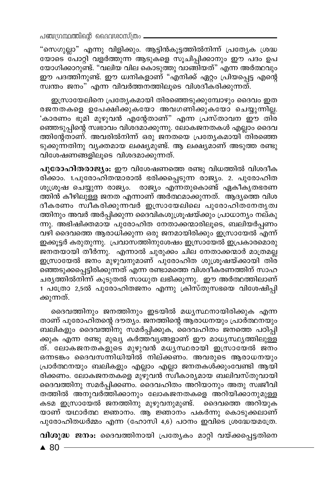"സെഗുല്ലാ" എന്നു വിളിക്കും. ആട്ടിൻകൂട്ടത്തിൽനിന്ന് പ്രത്യേക ശ്രദ്ധ യോടെ പോറ്റി വളർത്തുന്ന ആടുകളെ സൂചിപ്പിക്കാനും ഈ പദം ഉപ യോഗിക്കാറുണ്ട്. "വലിയ വില കൊടുത്തു വാങ്ങിയത്" എന്ന അർത്ഥവും ഈ പദത്തിനുണ്ട്. ഈ ധ്വനികളാണ് "എനിക്ക് ഏറ്റം പ്രിയപ്പെട്ട എന്റെ സ്വന്തം ജനം" എന്ന വിവർത്തനത്തിലൂടെ വിശദീകരിക്കുന്നത്.

ഇസ്രായേലിനെ പ്രത്യേകമായി തിരഞ്ഞെടുക്കുമ്പോഴും ദൈവം ഇത രജനതകളെ ഉപേക്ഷിക്കുകയോ അവഗണിക്കുകയോ ചെയ്യുന്നില്ല. 'കാരണം ഭൂമി മുഴുവൻ എന്റേതാണ്" എന്ന പ്രസ്താവന ഈ തി്ര ഞ്ഞെടുപ്പിന്റെ സ്വഭാവം വിശദമാക്കുന്നു. ലോകജനതകൾ എല്ലാം ദൈവ ത്തിന്റേതാണ്. അവരിൽനിന്ന് ഒരു ജനതയെ പ്രത്യേകമായി തിരഞ്ഞെ ടുക്കുന്നതിനു വൃക്തമായ ലക്ഷ്യമുണ്ട്. ആ ലക്ഷ്യമാണ് അടുത്ത രണ്ടു വിശേഷണങ്ങളിലൂടെ വിശദമാക്കുന്നത്.

പുരോഹിതരാജ്യം: ഈ വിശേഷണത്തെ രണ്ടു വിധത്തിൽ വിശദീക രിക്കാം. 1.പുരോഹിതന്മാരാൽ ഭരിക്കപ്പെടുന്ന രാജ്യം. 2. പുരോഹിത ശൂശ്രൂഷ ചെയ്യുന്ന രാജ്യം. രാജ്യം എന്നതുകൊണ്ട് ഏകീകൃതഭരണ ത്തിൻ കീഴിലുള്ള ജനത എന്നാണ് അർത്ഥമാക്കുന്നത്. ആദ്യത്തെ വിശ ദീകരണം സ്ഥീകരിക്കുന്നവർ ഇസ്രായേലിലെ പുരോഹിതനേതൃത്വ ത്തിനും അവർ അർപ്പിക്കുന്ന ദൈവികശുശ്രൂഷയ്ക്കും പ്രാധാന്യം നല്കു ന്നു. അഭിഷിക്തമായ പുരോഹിത നേതാക്കന്മാരിലൂടെ, ബലിയർപ്പണം വഴി ദൈവത്തെ ആരാധിക്കുന്ന ഒരു ജനമായിരിക്കും ഇസ്രായേൽ എന്ന് ഇക്കൂട്ടർ കരുതുന്നു. പ്രവാസത്തിനുശേഷം ഇസ്രായേൽ ഇപ്രകാരമൊരു ജനതയായി തീർന്നു. എന്നാൽ ചുരുക്കം ചില നേതാക്കന്മാർ മാത്രമല്ല ഇസ്രായേൽ ജനം മുഴുവനുമാണ് പുരോഹിത ശുശ്രൂഷയ്ക്കായി തിര് ഞ്ഞെടുക്കപ്പെട്ടിരിക്കുന്നത് എന്ന രണ്ടാമത്തെ വിശദീകരണത്തിന് സാഹ ചര്യത്തിൽനിന്ന് കൂടുതൽ സാധുത ലഭിക്കുന്നു. ഈ അർത്ഥത്തിലാണ് 1 പത്രോ 2,5ൽ പുരോഹിതജനം എന്നു ക്രിസ്തുസഭയെ വിശേഷിപ്പി ക്കുന്നത്.

ദൈവത്തിനും ജനത്തിനും ഇടയിൽ മധ്യസ്ഥനായിരിക്കുക എന്ന താണ് പുരോഹിതന്റെ ദൗത്യം. ജനത്തിന്റെ ആരാധനയും പ്രാർത്ഥനയും ബലികളും ദൈവത്തിനു സമർപ്പിക്കുക, ദൈവഹിതം ജനത്തെ പഠിപ്പി ക്കുക എന്ന രണ്ടു മുഖ്യ കർത്തവൃങ്ങളാണ് ഈ മാധ്യസ്ഥ്യത്തിലുള്ള ത്. ലോകജനതകളുടെ മുഴുവൻ മധൃസ്ഥരായി ഇസ്രായേൽ ജനം ഒന്നടങ്കം ദൈവസന്നിധിയിൽ നില്ക്കണം. അവരുടെ ആരാധനയും പ്രാർത്ഥനയും ബലികളും എല്ലാം എല്ലാ ജനതകൾക്കുംവേണ്ടി ആയി രിക്കണം. ലോകജനതകളെ മുഴുവൻ സ്ഥീകാര്യമായ ബലിവസ്തുവായി ദൈവത്തിനു സമർപ്പിക്കണം. ദൈവഹിതം അറിയാനും അതു സ്വജീവി തത്തിൽ അനുവർത്തിക്കാനും ലോകജനതകളെ അറിയിക്കാനുമുള്ള കടമ ഇസ്രായേൽ ജനത്തിനു മുഴുവനുമുണ്ട്. ദൈവത്തെ അറിയുക യാണ് യഥാർത്ഥ ജ്ഞാനം. ആ ജ്ഞാനം പകർന്നു കൊടുക്കലാണ് പുരോഹിതധർമ്മം എന്ന (ഹോസി 4,6) പഠനം ഇവിടെ ശ്രദ്ധേയമത്രേ.

വിശുദ്ധ ജനം: ദൈവത്തിനായി പ്രത്യേകം മാറ്റി വയ്ക്കപ്പെട്ടതിനെ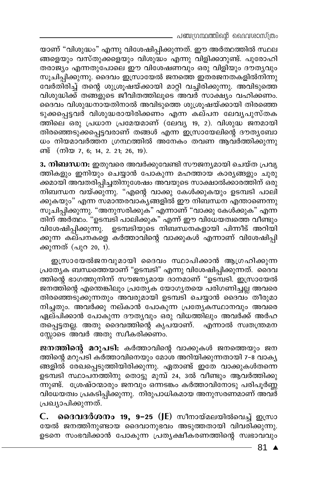പഞ്ചഗ്രന്ഥത്തിന്റെ ദൈവശാസ്ത്രം

യാണ് "വിശുദ്ധം" എന്നു വിശേഷിപ്പിക്കുന്നത്. ഈ അർത്ഥത്തിൽ സ്ഥല ങ്ങളെയും വസ്തുക്കളെയും വിശുദ്ധം എന്നു വിളിക്കാറുണ്ട്. പുരോഹി തരാജ്യം എന്നതുപോലെ ഈ വിശേഷണവും ഒരു വിളിയും ദൗത്യവും സൂചിപ്പിക്കുന്നു. ദൈവം ഇസ്രായേൽ ജനത്തെ ഇതരജനതകളിൽനിന്നു വേർതിരിച്ച് തന്റെ ശുശ്രൂഷയ്ക്കായി മാറ്റി വച്ചിരിക്കുന്നു. അവിടുത്തെ വിശുദ്ധിക്ക് തങ്ങളുടെ ജീവിതത്തിലൂടെ അവർ സാക്ഷ്യം വഹിക്കണം. ദൈവം വിശുദ്ധനായതിനാൽ അവിടുത്തെ ശുശ്രൂഷയ്ക്കായി തിരഞ്ഞെ ടുക്കപ്പെട്ടവർ വിശുദ്ധരായിരിക്കണം എന്ന കല്പന ലേവൃപുസ്തക ത്തിലെ ഒരു പ്രധാന പ്രമേയമാണ് (ലേവ്യ 19, 2). വിശുദ്ധ ജനമായി തിരഞ്ഞെടുക്കപ്പെട്ടവരാണ് തങ്ങൾ എന്ന ഇസ്രായേലിന്റെ ദൗതൃബോ ധം നിയമാവർത്തന ഗ്രന്ഥത്തിൽ അനേകം തവണ ആവർത്തിക്കുന്നു ണ്ട് (നിയ 7, 6; 14, 2. 21; 26, 19).

3. നിബന്ധന: ഇതുവരെ അവർക്കുവേണ്ടി സൗജന്യമായി ചെയ്ത പ്രവൃ ത്തികളും ഇനിയും ചെയ്യാൻ പോകുന്ന മഹത്തായ കാര്യങ്ങളും ചുരു ക്കമായി അവതരിപ്പിച്ചതിനുശേഷം അവയുടെ സാക്ഷാൽക്കാരത്തിന് ഒരു നിബന്ധന വയ്ക്കുന്നു. "എന്റെ വാക്കു കേൾക്കുകയും ഉടമ്പടി പാലി ക്കുകയും" എന്ന സമാന്തരവാക്യങ്ങളിൽ ഈ നിബന്ധന എന്താണെന്നു സൂചിപ്പിക്കുന്നു. "അനുസരിക്കുക" എന്നാണ് "വാക്കു കേൾക്കുക" എന്ന തിന് അർത്ഥം. "ഉടമ്പടി പാലിക്കുക" എന്ന് ഈ വിധേയത്വത്തെ വീണ്ടും വിശേഷിപ്പിക്കുന്നു. ഉടമ്പടിയുടെ നിബന്ധനകളായി പിന്നീട് അറിയി ക്കുന്ന കല്പനകളെ കർത്താവിന്റെ വാക്കുകൾ എന്നാണ് വിശേഷിപ്പി ക്കുന്നത് (പുറ 20, 1).

ഇസ്രായേൽജനവുമായി ദൈവം സ്ഥാപിക്കാൻ ആഗ്രഹിക്കുന്ന പ്രത്യേക ബന്ധത്തെയാണ് "ഉടമ്പടി" എന്നു വിശേഷിപ്പിക്കുന്നത്. ദൈവ ത്തിന്റെ ഭാഗത്തുനിന്ന് സൗജന്യമായ ദാനമാണ് "ഉടമ്പടി. ഇസ്രായേൽ ജനത്തിന്റെ എന്തെങ്കിലും പ്രത്യേക യോഗ്യതയെ പരിഗണിച്ചല്ല അവരെ തിരഞ്ഞെടുക്കുന്നതും അവരുമായി ഉടമ്പടി ചെയ്യാൻ ദൈവം തീരുമാ നിച്ചതും. അവർക്കു നല്കാൻ പോകുന്ന പ്രത്യേകസ്ഥാനവും അവരെ ഏല്പിക്കാൻ പോകുന്ന ദൗതൃവും ഒരു വിധത്തിലും അവർക്ക് അർഹ തപ്പെട്ടതല്ല. അതു ദൈവത്തിന്റെ കൃപയാണ്. എന്നാൽ സ്വതന്ത്രമന സ്സോടെ അവർ അതു സ്വീകരിക്കണം.

ജനത്തിന്റെ മറുപടി: കർത്താവിന്റെ വാക്കുകൾ ജനത്തെയും ജന ത്തിന്റെ മറുപടി കർത്താവിനെയും മോശ അറിയിക്കുന്നതായി 7-8 വാകൃ ങ്ങളിൽ രേഖപ്പെടുത്തിയിരിക്കുന്നു. ഏതാണ്ട് ഇതേ വാക്കുകൾതന്നെ ഉടമ്പടി സ്ഥാപനത്തിനു തൊട്ടു മുമ്പ് 24, 3ൽ വീണ്ടും ആവർത്തിക്കു ന്നുണ്ട്. ശ്രേഷ്ഠന്മാരും ജനവും ഒന്നടങ്കം കർത്താവിനോടു പരിപൂർണ്ണ വിധേയത്വം പ്രകടിപ്പിക്കുന്നു. നിരുപാധികമായ അനുസരണമാണ് അവർ പ്രഖ്യാപിക്കുന്നത്.

**ദൈവദർശനം 19, 9–25 (JE)** സീനായ്മലയിൽവെച്ച് ഇസ്രാ C. യേൽ ജനത്തിനുണ്ടായ ദൈവാനുഭവം അടുത്തതായി വിവരിക്കുന്നു. ഉടനെ സംഭവിക്കാൻ പോകുന്ന പ്രത്യക്ഷീകരണത്തിന്റെ സ്വഭാവവും

 $-81$   $\triangle$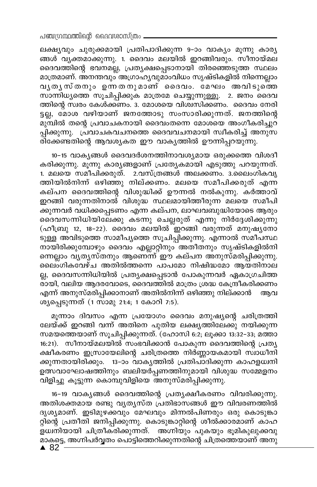ലക്ഷ്യവും ചുരുക്കമായി പ്രതിപാദിക്കുന്ന 9-ാം വാക്യം മൂന്നു കാര്യ ങ്ങൾ വ്യക്തമാക്കുന്നു. 1. ദൈവം മലയിൽ ഇറങ്ങിവരും. സീനായ്മല ദൈവത്തിന്റെ ഭവനമല്ല, പ്രത്യക്ഷപ്പെടാനായി തിരഞ്ഞെടുത്ത സ്ഥലം മാത്രമാണ്. അനന്തവും അഗ്രാഹൃവുമാംവിധം സൃഷ്ടികളിൽ നിന്നെല്ലാം വൃതൃസ്തനും ഉന്നതനുമാണ് ദൈവം. മേഘം അവിടുത്തെ സാന്നിധ്യത്തെ സൂചിപ്പിക്കുക മാത്രമേ ചെയ്യുന്നുള്ളൂ. 2. ജനം ദൈവ ത്തിന്റെ സ്വരം കേൾക്കണം. 3. മോശയെ വിശ്വസിക്കണം. ദൈവം നേരി ട്ടല്ല, മോശ വഴിയാണ് ജനത്തോടു സംസാരിക്കുന്നത്. ജനത്തിന്റെ മുമ്പിൽ തന്റെ പ്രവാചകനായി ദൈവംതന്നെ മോശയെ അംഗീകരിച്ചുറ പ്പിക്കുന്നു. പ്രവാചകവചനത്തെ ദൈവവചനമായി സ്വീകരിച്ച് അനുസ .<br>രിക്കേണ്ടതിന്റെ ആവശ്യകത ഈ വാക്യത്തിൽ ഊന്നിപ്പറയുന്നു.

10-15 വാകൃങ്ങൾ ദൈവദർശനത്തിനാവശ്യമായ ഒരുക്കത്തെ വിശദീ കരിക്കുന്നു. മൂന്നു കാര്യങ്ങളാണ് പ്രത്യേകമായി എടുത്തു പറയുന്നത്. 1. മലയെ സമീപിക്കരുത്. 2.വസ്ത്രങ്ങൾ അലക്കണം. 3.ലൈംഗികവൃ ത്തിയിൽനിന്ന് ഒഴിഞ്ഞു നില്ക്കണം. മലയെ സമീപിക്കരുത് എന്ന കല്പന ദൈവത്തിന്റെ വിശുദ്ധിക്ക് ഊന്നൽ നൽകുന്നു. കർത്താവ് ഇറങ്ങി വരുന്നതിനാൽ വിശുദ്ധ സ്ഥലമായിത്തീരുന്ന മലയെ സമീപി ക്കുന്നവർ വധിക്കപ്പെടണം എന്ന കല്പന, ലാഘവബുദ്ധിയോടെ ആരും ദൈവസന്നിധിയിലേക്കു കടന്നു ചെല്ലരുത് എന്നു നിർദ്ദേശിക്കുന്നു (ഹീബ്രു 12, 18-22). ദൈവം മലയിൽ ഇറങ്ങി വരുന്നത് മനുഷ്യനോ ടുള്ള അവിടുത്തെ സാമീപൃത്തെ സൂചിപ്പിക്കുന്നു. എന്നാൽ സമീപസ്ഥ നായിരിക്കുമ്പോഴും ദൈവം എല്ലാറ്റിനും അതീതനും സൃഷ്ടികളിൽനി നെല്ലാം വൃതൃസ്തനും ആണെ്ന് ഈ കല്പന അനുസ്മരിപ്പിക്കുന്നു. ലൈംഗികവേഴ്ച അതിൽത്തന്നെ പാപമോ നിഷിദ്ധമോ ആയതിനാല ല്ല, ദൈവസന്നിധിയിൽ പ്രത്യക്ഷപ്പെടാൻ പോകുന്നവർ ഏകാഗ്രചിത്ത രായി, വലിയ ആദരവോടെ, ദൈവത്തിൽ മാത്രം ശ്രദ്ധ കേന്ദ്രീകരിക്കണം എന്ന് അനുസ്മരിപ്പിക്കാനാണ് അതിൽനിന്ന് ഒഴിഞ്ഞു നില്ക്കാൻ ആവ ശ്യപ്പെടുന്നത് (1 സാമൂ 21:4; 1 കോറി 7:5).

മൂന്നാം ദിവസം എന്ന പ്രയോഗം ദൈവം മനുഷ്യന്റെ ചരിത്രത്തി ലേയ്ക്ക് ഇറങ്ങി വന്ന് അതിനെ പുതിയ ലക്ഷ്യത്തിലേക്കു നയിക്കുന്ന സമയത്തെയാണ് സൂചിപ്പിക്കുന്നത്. (ഹോസി 6:2; ലൂക്കാ 13:32–33; മത്താ 16:21). സീനായ്മലയിൽ സംഭവിക്കാൻ പോകുന്ന ദൈവത്തിന്റെ പ്രത്യ ക്ഷീകരണം ഇസ്രായേലിന്റെ ചരിത്രത്തെ നിർണ്ണായകമായി സ്ഥാധീനി ക്കുന്നതായിരിക്കും. 13-ാം വാകൃത്തിൽ പ്രതിപാദിക്കുന്ന കാഹളധ്വനി ഉത്സവാഘോഷത്തിനും ബലിയർപ്പണത്തിനുമായി വിശുദ്ധ സമ്മേളനം വിളിച്ചു കൂട്ടുന്ന കൊമ്പുവിളിയെ അനുസ്മരിപ്പിക്കുന്നു.

16-19 വാകൃങ്ങൾ ദൈവത്തിന്റെ പ്രതൃക്ഷീകരണം വിവരിക്കുന്നു. അതിശക്തമായ രണ്ടു വൃത്യസ്ത പ്രതിഭാസങ്ങൾ ഈ വിവരണത്തിൽ ദൃശ്യമാണ്. ഇടിമുഴക്കവും മേഘവും മിന്നൽപിണരും ഒരു കൊടുങ്കാ റ്റിന്റെ പ്രതീതി ജനിപ്പിക്കുന്നു. കൊടുങ്കാറ്റിന്റെ ശീൽക്കാരമാണ് കാഹ ളധ്വനിയായി ചിത്രീകരിക്കുന്നത്. അഗ്നിയും പുകയും ഭൂമികുലുക്കവു \_<br>മാകട്ടെ, അഗ്നിപർവ്വതം പൊട്ടിത്തെറിക്കുന്നതിന്റെ ചിത്രത്തെയാണ് അനു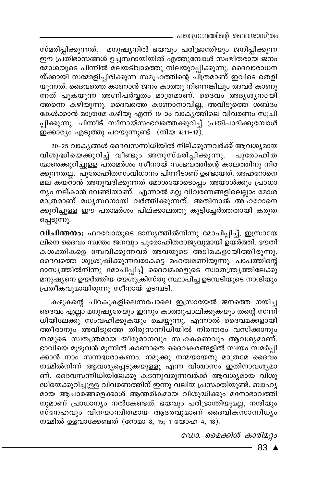– പഞ്ചഗ്രന്ഥത്തിന്റെ ദൈവശാസ്ത്രം

സ്മരിപ്പിക്കുന്നത്. മനുഷ്യനിൽ ഭയവും പരിഭ്രാന്തിയും ജനിപ്പിക്കുന്ന ഈ പ്രതിഭാസങ്ങൾ ഉച്ചസ്ഥായിയിൽ എത്തുമ്പോൾ സംഭീതരായ ജനം മോശയുടെ പിന്നിൽ മലയടിവാരത്തു നിലയുറപ്പിക്കുന്നു. ദൈവാരാധന യ്ക്കായി സമ്മേളിച്ചിരിക്കുന്ന സമൂഹത്തിന്റെ ചിത്രമാണ് ഇവിടെ തെളി യുന്നത്. ദൈവത്തെ കാണാൻ ജനം കാത്തു നിന്നെങ്കിലും അവർ കാണു ന്നത് പുകയുന്ന അഗ്നിപർവ്വതം മാത്രമാണ്. ദൈവം അദൃശൃനായി ത്തന്നെ കഴിയുന്നു. ദൈവത്തെ കാണാനാവില്ല, അവിടുത്തെ ശബ്ദം കേൾക്കാൻ മാത്രമേ കഴിയു എന്ന് 19-ാം വാകൃത്തിലെ വിവരണം സൂചി പിക്കുന്നു. പിന്നീട് സീനായ്സംഭവത്തെക്കുറിച്ച് പ്രതിപാദിക്കുമ്പോൾ ഇക്കാര്യം എടുത്തു പറയുന്നുണ്ട് (നിയ 4:11-12).

20–25 വാകൃങ്ങൾ ദൈവസന്നിധിയിൽ നില്ക്കുന്നവർക്ക് ആവശ്യമായ വിശുദ്ധിയെക്കുറിച്ച് വീണ്ടും അനുസ്മരിപ്പിക്കുന്നു. പുരോഹിത ന്മാരെക്കുറിച്ചുള്ള പരാമർശം സീനായ് സംഭവത്തിന്റെ കാലത്തിനു നിര ക്കുന്നതല്ല. പുരോഹിതസംവിധാനം പിന്നീടാണ് ഉണ്ടായത്. അഹറോനെ മല കയറാൻ അനുവദിക്കുന്നത് മോശയോടൊപ്പം അയാൾക്കും പ്രാധാ ന്യം നല്കാൻ വേണ്ടിയാണ്. എന്നാൽ മറ്റു വിവരണങ്ങളിലെല്ലാം മോശ മാത്രമാണ് മധൃസ്ഥനായി വർത്തിക്കുന്നത്. അതിനാൽ അഹറോനെ ക്കുറിച്ചുള്ള ഈ പരാമർശം പില്ക്കാലത്തു കൂട്ടിച്ചേർത്തതായി കരുത പ്പെടുന്നു.

വിചിന്തനം: ഫറവോയുടെ ദാസ്യത്തിൽനിന്നു മോചിപ്പിച്ച്, ഇസ്രായേ ലിനെ ദൈവം സ്ഥതം ജനവും പുരോഹിതരാജ്യവുമായി ഉയർത്തി. ഭൗതി കശക്തികളെ സേവിക്കുന്നവർ അവയുടെ അടിമകളായിത്തീരുന്നു. ദൈവത്തെ ശുശ്രൂഷിക്കുന്നവരാകട്ടെ മഹത്വമണിയുന്നു. പാപത്തിന്റെ ദാസൃത്തിൽനിന്നു മോചിപ്പിച്ച് ദൈവമക്കളുടെ സ്ഥതന്ത്രൃത്തിലേക്കു മനുഷ്യനെ ഉയർത്തിയ യേശുക്രിസ്തു സ്ഥാപിച്ച ഉടമ്പടിയുടെ നാന്ദിയും പ്രതീകവുമായിരുന്നു സീനായ് ഉടമ്പടി.

കഴുകന്റെ ചിറകുകളിലെന്നപോലെ ഇസ്രായേൽ ജനത്തെ നയിച്ച ദൈവം എല്ലാ മനുഷ്യരേയും ഇന്നും കാത്തുപാലിക്കുകയും തന്റെ സന്നി ധിയിലേക്കു് സംവഹിക്കുകയും ചെയ്യുന്നു. എന്നാൽ ദൈവമക്കളായി ത്തീരാനും അവിടുത്തെ തിരുസന്നിധിയിൽ നിരന്തരം വസിക്കാനും നമ്മുടെ സ്വതന്ത്രമായ തീരുമാനവും സഹകരണവും ആവശ്യമാണ്. ഭാവിയെ മുഴുവൻ മുന്നിൽ കാണാതെ ദൈവകരങ്ങളിൽ സ്വയം സമർപ്പി .<br>ക്കാൻ നാം സന്നദ്ധരാകണം. നമുക്കു നന്മയായതു മാത്രമേ ദൈവം നമ്മിൽനിന്ന് ആവശ്യപ്പെടുകയുള്ളൂ എന്ന വിശ്വാസം ഇതിനാവശ്യമാ ണ്. ദൈവസന്നിധിയിലേക്കു കടന്നുവരുന്നവർക്ക് ആവശ്യമായ വിശു ദ്ധിയെക്കുറിച്ചുള്ള വിവരണത്തിന് ഇന്നു വലിയ പ്രസക്തിയുണ്ട്. ബാഹൃ മായ ആചാരങ്ങളെക്കാൾ ആന്തരികമായ വിശുദ്ധിക്കും മനോഭാവത്തി നുമാണ് പ്രാധാന്യം നൽകേണ്ടത്. ഭയവും പരിഭ്രാന്തിയുമല്ല, നന്ദിയും സ്നേഹവും വിന്യാനിതമായ ആദരവുമാണ് ദൈവിക്സാന്നിധ്യം നമ്മിൽ ഉളവാക്കേണ്ടത് (റോമാ 8, 15; 1 യോഹ 4, 18).

ഡോ. മൈക്കിൾ കാരിമറ്റം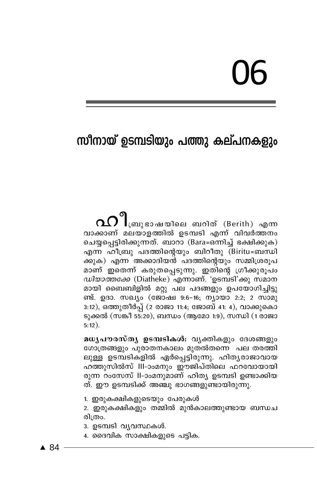# 06

# സീനായ് ഉടമ്പടിയും പത്തു കല്പനകളും

വാക്കാണ് മലയാളത്തിൽ ഉടമ്പടി എന്ന് വിവർത്തനം ചെയ്യപ്പെട്ടിരിക്കുന്നത്. ബാറാ (Bara=ഒന്നിച്ച് ഭക്ഷിക്കുക) എന്ന ഹീബ്രു പദത്തിന്റെയും ബിറീതു (Biritu=ബന്ധി ക്കുക) എന്ന അക്കാദിയൻ പദത്തിന്റെയും സമ്മിശ്രരുപ മാണ് ഇതെന്ന് കരുതപ്പെടുന്നു. ഇതിന്റെ ഗ്രീക്കുരൂപം *ഡിയാത്തക്കേ* (Diatheke) എന്നാണ്. 'ഉടമ്പടി'ക്കു സമാന മായി ബൈബിളിൽ മറ്റു പല പദങ്ങളും ഉപയോഗിച്ചിട്ടു ണ്ട്. ഉദാ. സഖ്യം (ജോഷ്വ 9:6–16; ന്യായാ 2:2; 2 സാമു 3:12), ഒത്തുതീർപ്പ് (2 രാജാ 11:4; ജോബ് 41: 4), വാക്കുകൊ ടുക്കൽ (സങ്കീ 55:20), ബന്ധം (ആമോ 1:9), സന്ധി (1 രാജാ  $5:12$ ).

മധൃപൗരസ്തൃ ഉടമ്പടികൾ: വൃക്തികളും ദേശങ്ങളും ഗോത്രങ്ങളും പുരാതനകാലം മുതൽതന്നെ പല തരത്തി ലുള്ള ഉടമ്പടികളിൽ ഏർപ്പെട്ടിരുന്നു. ഹിത്യരാജാവായ ഹത്തുസിൽസ് III-ാംമനും ഈജിപ്തിലെ ഫറവോയായി രുന്ന റംസേസ് Il-ാംമനുമാണ് ഹിത്യ ഉടമ്പടി ഉണ്ടാക്കിയ ത്. ഈ ഉടമ്പടിക്ക് അഞ്ചു ഭാഗങ്ങളുണ്ടായിരുന്നു.

1. ഇരുകക്ഷികളുടെയും പേരുകൾ

2. ഇരുകക്ഷികളും തമ്മിൽ മുൻകാലത്തുണ്ടായ ബന്ധച രിത്രം.

- 3. ഉടമ്പടി വ്യവസ്ഥകൾ.
- 4. ദൈവിക സാക്ഷികളുടെ പട്ടിക.

 $\triangle$  84  $\overline{\phantom{0}}$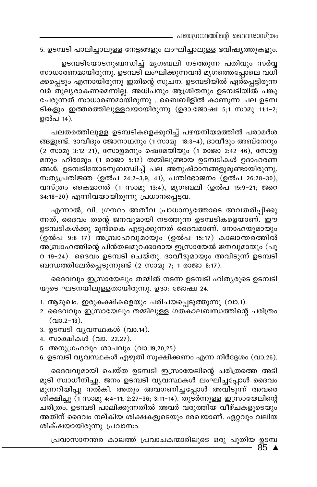. പഞ്ചഗ്രന്ഥത്തിന്റെ വൈവശാസ്ത്രം

5. ഉടമ്പടി പാലിച്ചാലുള്ള നേട്ടങ്ങളും ലംഘിച്ചാലുള്ള ഭവിഷ്യത്തുകളും.

ഉടമ്പടിയോടനുബന്ധിച്ച് മൃഗബലി നടത്തുന്ന പതിവും സർ**വ്വ** സാധാരണമായിരുന്നു. ഉടമ്പടി ലംഘിക്കുന്നവൻ മൃഗത്തെപ്പോലെ വധി ക്കപ്പെടും എന്നായിരുന്നു ഇതിന്റെ സൂചന. ഉടമ്പടിയിൽ ഏര്പ്പെട്ടിരുന്ന വർ തുല്യരാകണമെന്നില്ല. അധിപനും ആശ്രിതനും ഉടമ്പടിയിൽ പങ്കു ചേരുന്നത് സാധാരണമായിരുന്നു . ബൈബിളിൽ കാണുന്ന പല ഉടമ്പ ടികളും ഇത്തരത്തിലുള്ളവയായിരുന്നു (ഉദാ:ജോഷ്വ 5;1 സാമു 11:1−2; ഉൽപ 14).

പലതരത്തിലുള്ള ഉടമ്പടികളെക്കുറിച്ച് പഴയനിയമത്തിൽ പരാമർശ ങ്ങളുണ്ട്. ദാവീദും ജോനാഥനും (1 സാമു 18:3-4), ദാവീദും അബ്നേറും  $(2 \text{ m}$ ാമു 3:12-21), സോളമനും ഷെമേയിയും  $(1 \text{ a}$ ാജാ 2:42-46), സോള മനും ഹിരാമും (1 രാജാ 5:12) തമ്മിലുണ്ടായ ഉടമ്പടികൾ ഉദാഹരണ ങ്ങൾ. ഉടമ്പടിയോടനുബന്ധിച്ച് പല അനുഷ്ഠാനങ്ങളുമുണ്ടായിരുന്നു. സതൃപ്രതിജ്ഞ (ഉൽപ 24:2-3,9, 41), പന്തിഭോജനം (ഉൽപ 26:28-30), വസ്ത്രം കൈമാറൽ (1 സാമു 13:4), മൃഗബലി (ഉൽപ 15:9-21; ജറെ 34:18−20) എന്നിവയായിരുന്നു പ്രധാനപ്പെട്ടവ.

എന്നാൽ, വി. ഗ്രന്ഥം അതീവ പ്രാധാനൃത്തോടെ അവതരിപ്പിക്കു ന്നത്, ദൈവം തന്റെ ജനവുമായി നടത്തുന്ന ഉടമ്പടികളെയാണ്. ഈ ഉടമ്പടികൾക്കു മുൻകൈ എടുക്കുന്നത് ദൈവമാണ്. നോഹയുമായും (ഉൽപ 9:8-17) അബ്രാഹവുമായും (ഉൽപ 15:17) കാലാന്തരത്തിൽ അബ്രാഹത്തിന്റെ പിൻതലമുറക്കാരായ ഇസ്രായേൽ ജനവുമായും (പു റ 19−24) ദൈവം ഉടമ്പടി ചെയ്തു. ദാവീദുമായും അവിടുന്ന് ഉടമ്പടി ബന്ധത്തിലേർപ്പെടുന്നുണ്ട് (2 സാമു 7; 1 രാജാ 8:17).

ദൈവവും ഇസ്രായേലും തമ്മിൽ നടന്ന ഉടമ്പടി ഹിത്യരുടെ ഉടമ്പടി യുടെ ഘടനയിലുള്ളതായിരുന്നു. ഉദാ: ജോഷ്വ 24.

- 1. ആമുഖം. ഇരുകക്ഷികളെയും പരിചയപ്പെടുത്തുന്നു (വാ.1).
- 2. ദൈവവും ഇസ്രായേലും തമ്മിലുള്ള ഗതകാലബന്ധത്തിന്റെ ചരിത്രം  $($ QIO.2-13).
- 3. ഉടമ്പടി വൃവസ്ഥകൾ (വാ.14).
- 4. സാക്ഷികൾ (വാ. 22,27).
- 5. അനുഗ്രഹവും ശാപവും (വാ.19,20,25)
- 6. ഉടമ്പടി വൃവസ്ഥകൾ എഴുതി സുക്ഷിക്കണം എന്ന നിർദ്ദേശം (വാ.26).

ദെെവവുമായി ചെയ്ത ഉടമ്പടി ഇസ്രായേലിന്റെ ചരിത്രത്തെ അടി മുടി സ്വാധീനിച്ചു. ജനം ഉടമ്പടി വ്യവസ്ഥകൾ ലംഘിച്ചപ്പോൾ ദൈവം മുന്നറിയിപ്പു നൽകി. അതും അവഗണിച്ചപ്പോൾ അവിടുന്ന് അവരെ ശിക്ഷിച്ചു (1 സാമു 4:4−11; 2:27−36; 3:11−14). തുടർന്നുള്ള ഇസ്രായേലിന്റെ ചരിത്രം, ഉടമ്പടി പാലിക്കുന്നതിൽ അവർ വരുത്തിയ വീഴ്ചകളുടെയും അതിന് ദൈവം നല്കിയ ശിക്ഷകളുടെയും രേഖയാണ്. ഏറ്റവും വലിയ ശിക്ഷയായിരുന്നു <sub>്പവാസം.</sub>

85 ▲  $\lambda$ പ്രവാസാനന്തര കാലത്ത് പ്രവാചകന്മാരിലൂടെ ഒരു പുതിയ ഉടമ്പ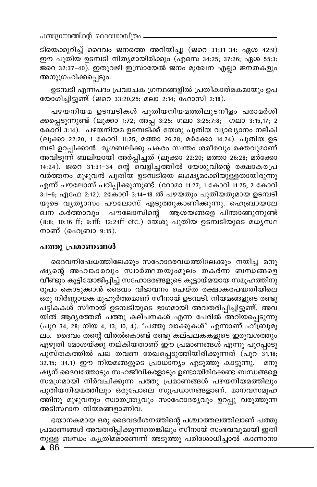പഞ്ചന്ധന്ഥത്തിന്റെ ദൈവശാസ്ത്രം -

ടിയെക്കുറിച്ച് ദൈവം ജനത്തെ അറിയിച്ചു (ജറെ 31:31-34; ഏശ 42:9) ഈ പുതിയ ഉടമ്പടി നിതൃമായിരിക്കും (എസെ 34:25; 37:26; ഏശ 55:3; ജറെ 32:37-40). ഇതുവഴി ഇസ്രായേൽ ജനം മുഖേന എല്ലാ ജനതകളും അനുഗ്രഹിക്കപ്പെടും.

ഉടമ്പടി എന്നപദം പ്രവാചക ഗ്രന്ഥങ്ങളിൽ പ്രതീകാത്മകമായും ഉപ യോഗിച്ചിട്ടുണ്ട് (ജറെ 33:20,25; മലാ 2:14; ഹോസി 2:18).

പഴയനിയമ ഉടമ്പടികൾ പുതിയനിയമത്തിലുടനീളം പരാമർശി ക്കപ്പെടുന്നുണ്ട് (ലൂക്കാ 1:72; അപ്പ 3:25; ഗലാ 3:25;7:8; ഗലാ 3:15,17; 2 കോറി ഃ.14). പഴയനിയമ ഉടമ്പടിക്ക് യേശു പുതിയ വ്യാഖ്യാനം നല്കി (ലൂക്കാ 22:20; 1 കോറി 11:25; മത്താ 26:28; മർക്കോ 14:24). പുതിയ ഉട മ്പടി ഉറപ്പിക്കാൻ മൃഗബലിക്കു പകരം സ്വന്തം ശരീരവും രക്തവുമാണ് അവിടുന്ന് ബലിയായി അർപ്പിച്ചത് (ലൂക്കാ 22:20; മത്താ 26:28; മർക്കോ 14:24). ജറെ 31:31-34 ന്റെ പൊളിച്ചത്തിൽ യേശുവിന്റെ രക്ഷാകരപ്ര വർത്തനം മുഴുവൻ പുതിയ ഉടമ്പടിയെ ലക്ഷ്യമാക്കിയുള്ളതായിരുന്നു എന്ന് പൗലോസ് പഠിപ്പിക്കുന്നുണ്ട്. (റോമാ 11:27; 1 കോറി 11:25; 2 കോറി 3:1-6; എഫേ 2:12). 2കോറി 3:14-18 ൽ പഴയതും പുതിയതുമായ ഉടമ്പടി യുടെ വൃത്യാസം പൗലോസ് എടുത്തുകാണിക്കുന്നു. ഹെബ്രായലേ ഖന കർത്താവും പൗലോസിന്റെ ആശയങ്ങളെ പിന്താങ്ങുന്നുണ്ട് (8:8; 10:16 ff; 9:1ff; 12:24ff etc.) യേശു പുതിയ ഉടമ്പടിയുടെ മധ്യസ്ഥ നാണ് (ഹെബ്രാ  $9:15$ ).

## പത്തു പ്രമാണങ്ങൾ

ദൈവനിഷേധത്തിലേക്കും സഹോദരവധത്തിലേക്കും നയിച്ച മനു ഷ്യന്റെ അഹങ്കാരവും സ്വാർത്ഥതയുംമൂലം തകർന്ന ബന്ധങ്ങളെ വീണ്ടും കൂട്ടിയോജിപ്പിച്ച് സഹോദരങ്ങളുടെ കൂട്ടായ്മയായ സമൂഹത്തിനു രൂപം കൊടുക്കാൻ ദൈവം വിഭാവനം ചെയ്ത രക്ഷാകരപദ്ധതിയിലെ ഒരു നിർണ്ണായക മുഹുർത്തമാണ് സീനായ് ഉടമ്പടി. നിയമങ്ങളുടെ രണ്ടു പട്ടികകശ്് സീനായ് ഉടമ്പടിയുടെ ഭാഗമായി അവതരിപ്പിച്ചിട്ടുണ്ട്. അവ യിൽ ആദ്യത്തേത് പത്തു കല്പനകൾ എന്ന പേരിൽ അറിയപ്പെടുന്നു (പുറ 34, 28, നിയ 4, 13, 10, 4). "പത്തു വാക്കുകൾ" എന്നാണ് ഹിബ്രുമൂ ലം. ദൈവം തന്റെ വിരൽകൊണ്ട് രണ്ടു കല്പലകകളുടെ ഇരുവശത്തും എഴുതി മോശയ്ക്കു നല്കിയതാണ് ഈ പ്രമാണങ്ങൾ എന്നു പുറപ്പാടു പുസ്തകത്തിൽ പല തവണ രേഖപ്പെടുത്തിയിരിക്കുന്നത് (പുറ 31,18; 32,15; 34,1) ഈ നിയമങ്ങളുടെ പ്രാധാന്യം എടുത്തു കാട്ടുന്നു. മനു ഷ്യന് ദൈവത്തോടും സഹജീവികളോടും ഉണ്ടായിരിക്കേണ്ട ബന്ധങ്ങളെ സ്മഗ്രമായി നിർവ്ചിക്കുന്ന പത്തു പ്രമാണങ്ങൾ പഴയനിയമത്തിലും പുതിയനിയമത്തിലും ഒരുപോലെ സുപ്രധാനങ്ങളാണ്. മാനവസമൂഹ ത്തിനു മുഴുവനും സ്ഥാതന്ത്ര്യവും സാഹോദര്യവും ഉറപ്പു വരുത്തുന്ന അടിസ്ഥാന നിയമങ്ങളാണിവ.

ഭയാനകമായ ഒരു ദൈവദർശനത്തിന്റെ പശ്ചാത്തലത്തിലാണ് പത്തു പ്രമാണങ്ങൾ അവതരിപ്പിക്കുന്നതെങ്കിലും സീനായ് സംഭവവുമായി ഇതി നുള്ള ബന്ധം കൃത്രിമമാണെന്ന് അടുത്തു പരിശോധിച്ചാൽ കാണാനാ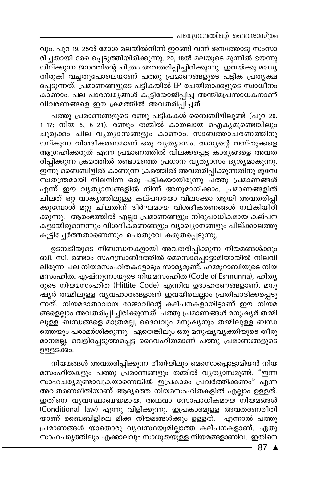- പഞ്ചഗ്രന്ഥത്തിന്റെ ദൈവശാസ്ത്രം

വും. പുറ 19, 25ൽ മോശ മലയിൽനിന്ന് ഇറങ്ങി വന്ന് ജനത്തോടു സംസാ രിച്ചതായി രേഖപ്പെടുത്തിയിരിക്കുന്നു. 20, 18ൽ മലയുടെ മുന്നിൽ ഭയന്നു നില്ക്കുന്ന ജനത്തിന്റെ ചിത്രം അവതരിപ്പിച്ചിരിക്കുന്നു ഇവയ്ക്കു മധ്യേ തിരുകി വച്ചതുപോലെയാണ് പത്തു പ്രമാണങ്ങളുടെ പട്ടിക പ്രതൃക്ഷ പ്പെടുന്നത്. പ്രമാണങ്ങളുടെ പട്ടികയിൽ EP രചയിതാക്കളുടെ സ്വാധീനം കാണാം. പല പാരമ്പര്യങ്ങൾ കൂട്ടിയോജിപ്പിച്ച അന്തിമപ്രസാധകനാണ് വിവരണങ്ങളെ ഈ ക്രമത്തിൽ അവതരിപ്പിച്ചത്.

പത്തു പ്രമാണങ്ങളുടെ രണ്ടു പട്ടികകൾ ബൈബിളിലുണ്ട് (പുറ 20, 1-17; നിയ 5, 6-21). രണ്ടും തമ്മിൽ കാതലായ ഐക്യമുണ്ടെങ്കിലും ചുരുക്കം ചില വൃത്യാസ്ങ്ങളും കാണാം. സാബത്താചരണത്തിനു നല്കുന്ന വിശദീകരണമാണ് ഒരു വ്യത്യാസം. അന്യന്റെ വസ്തുക്കളെ ആഗ്രഹിക്കരുത് എന്ന പ്രമാണത്തിൽ വിലക്കപ്പെട്ട കാര്യങ്ങളെ അവത രിപ്പിക്കുന്ന ക്രമത്തിൽ രണ്ടാമത്തെ പ്രധാന വ്യത്യാസം ദൃശ്യമാകുന്നു. ഇന്നു ബൈബിളിൽ കാണുന്ന ക്രമത്തിൽ അവതരിപ്പിക്കുന്നതിനു മുമ്പേ സ്വതന്ത്രമായി നിലനിന്ന ഒരു പട്ടികയായിരുന്നു പത്തു പ്രമാണങ്ങൾ എന്ന് ഈ വൃത്യാസങ്ങളിൽ നിന്ന് അനുമാനിക്കാം. പ്രമാണങ്ങളിൽ ചിലത് ഒറ്റ വാകൃത്തിലുള്ള കല്പനയോ വിലക്കോ ആയി അവതരിപ്പി ക്കുമ്പോശ് മറ്റു ചിലതിന് ദീർഘമായ വിശദീകരണങ്ങൾ നല്കിയിരി ക്കുന്നു. ആരംഭത്തിൽ എല്ലാ പ്രമാണങ്ങളും നിരുപാധികമായ കല്പന കളായിരുന്നെന്നും വിശദീകരണങ്ങളും വ്യാഖ്യാനങ്ങളും പില്ക്കാലത്തു കൂട്ടിച്ചേർത്തതാണെന്നും പൊതുവേ കരുതപ്പെടുന്നു.

ഉടമ്പടിയുടെ നിബന്ധനകളായി അവതരിപ്പിക്കുന്ന നിയമങ്ങൾക്കും ബി. സി. രണ്ടാം സഹസ്രാബ്ദത്തിൽ മെസൊപ്പൊട്ടാമിയായിൽ നിലവി ലിരുന്ന പല നിയമസംഹിതകളോടും സാമ്യമുണ്ട്. ഹമ്മുറാബിയുടെ നിയ മസംഹിത, എഷ്നുന്നായുടെ നിയമസംഹിത (Code of Eshnunna), ഹിതൃ രുടെ നിയമസംഹിത (Hittite Code) എന്നിവ ഉദാഹരണങ്ങളാണ്. മനു ഷ്യർ തമ്മിലുള്ള വ്യവഹാരങ്ങളാണ് ഇവയിലെല്ലാം പ്രതിപാദിക്കപ്പെടു ന്നത്. നിയമദാതാവായ രാജാവിന്റെ കല്പനകളായിട്ടാണ് ഈ നിയമ ങ്ങളെല്ലാം അവതരിപ്പിച്ചിരിക്കുന്നത്. പത്തു പ്രമാണങ്ങൾ മനുഷ്യർ തമ്മി ലുള്ള ബന്ധങ്ങളെ മാത്രമല്ല, ദൈവവും മനുഷ്യനും തമ്മിലുള്ള ബന്ധ ത്തെയും പരാമർശിക്കുന്നു.്ഏതെങ്കിലും ഒരു മനുഷ്യവൃക്തിയുടെ തീരു മാനമല്ല, വെളിപ്പെടുത്തപ്പെട്ട ദൈവഹിതമാണ് പത്തു പ്രമാണങ്ങളുടെ ഉള്ളടക്കം.

നിയമങ്ങൾ അവതരിപ്പിക്കുന്ന രീതിയിലും മെസൊപ്പൊട്ടാമിയൻ നിയ മസംഹിതകളും പത്തു പ്രമാണങ്ങളും തമ്മിൽ വൃത്യാസമുണ്ട്. "ഇന്ന സാഹചര്യമുണ്ടാവുകയാണെങ്കിൽ ഇപ്രകാരം പ്രവർത്തിക്കണം" എന്ന അവതരണരീതിയാണ് ആദ്യത്തെ നിയമസംഹിതകളിൽ എല്ലാം ഉള്ളത്. ഇതിനെ വൃവസ്ഥാബദ്ധമായ, അഥവാ സോപാധികമായ നിയമങ്ങൾ (Conditional law) എന്നു വിളിക്കുന്നു. ഇപ്രകാരമുള്ള അവതരണരീതി യാണ് ബൈബിളിലെ മിക്ക നിയമങ്ങൾക്കും ഉള്ളത്. എന്നാൽ പത്തു പ്രമാണങ്ങൾ യാതൊരു വൃവസ്ഥയുമില്ലാത്ത കല്പനകളാണ്. ഏതു സാഹചര്യത്തിലും എക്കാലവും സാധുതയു്ള്ള നിയമങ്ങളാണിവ. ഇതിനെ

 $-87$   $\triangle$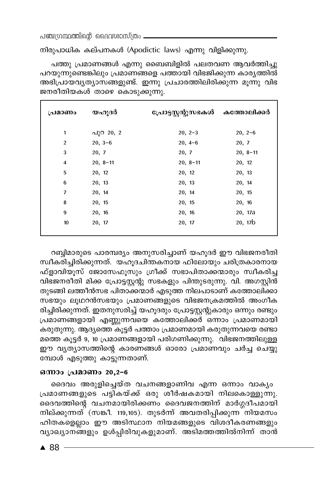നിരുപാധിക കല്പനകൾ (Apodictic laws) എന്നു വിളിക്കുന്നു.

പത്തു പ്രമാണങ്ങൾ എന്നു ബൈബിളിൽ പലതവണ ആവർത്തിച്ചു പറയുന്നുണ്ടെങ്കിലും പ്രമാണങ്ങളെ പത്തായി വിഭജിക്കുന്ന കാര്യത്തിൽ അഭിപ്രായവൃത്യാസങ്ങളുണ്ട്. ഇന്നു പ്രചാരത്തിലിരിക്കുന്ന മൂന്നു വിഭ ജനരീതിയകൾ താഴെ കൊടുക്കുന്നു.

| പ്രമാണം        | യഹുദർ      | പ്രോട്ടസ്റ്റന്റുസഭകൾ കത്തോലിക്കർ |            |
|----------------|------------|----------------------------------|------------|
| 1              | പുറ 20, 2  | $20, 2-3$                        | $20, 2-6$  |
| $\overline{2}$ | $20, 3-6$  | $20, 4-6$                        | 20, 7      |
| 3              | 20, 7      | 20, 7                            | $20, 8-11$ |
| 4              | $20, 8-11$ | $20, 8-11$                       | 20, 12     |
| 5              | 20, 12     | 20, 12                           | 20, 13     |
| 6              | 20, 13     | 20, 13                           | 20, 14     |
| 7              | 20, 14     | 20, 14                           | 20, 15     |
| 8              | 20, 15     | 20, 15                           | 20, 16     |
| 9              | 20, 16     | 20, 16                           | 20, 17a    |
| 10             | 20, 17     | 20, 17                           | 20, 17b    |

റബ്ബിമാരുടെ പാരമ്പര്യം അനുസരിച്ചാണ് യഹൂദർ ഈ വിഭജനരീതി സ്ഥീകരിച്ചിരിക്കുന്നത്. യഹൂദചിന്തകനായ ഫിലോയും ചരിത്രകാരനായ ഫ്ളാവിയൂസ് ജോസേഫൂസും ഗ്രീക്ക് സഭാപിതാക്കന്മാരും സ്വീകരിച്ച വിഭജനരീതി മിക്ക പ്രോട്ടസ്റ്റന്റു സഭകളും പിന്തുടരുന്നു. വി. അഗസ്റ്റിൻ തുടങ്ങി ലത്തീൻസഭ പിതാക്കന്മാർ എടുത്ത നിലപാടാണ് കത്തോലിക്കാ സഭയും ലൂഥറൻസഭയും പ്രമാണങ്ങളുടെ വിഭജനക്രമത്തിൽ അംഗീക രിച്ചിരിക്കുന്നത്. ഇതനുസരിച്ച് യഹൂദരും പ്രോട്ടസ്റ്റന്റുകാരും ഒന്നും രണ്ടും പ്രമാണങ്ങളായി എണ്ണുന്നവയെ കത്തോലിക്കർ ഒന്നാം പ്രമാണമായി കരുതുന്നു. ആദ്യത്തെ കൂട്ടർ പത്താം പ്രമാണമായി കരുതുന്നവയെ രണ്ടാ മത്തെ കൂട്ടർ 9, 10 പ്രമാണങ്ങളായി പരിഗണിക്കുന്നു. വിഭജനത്തിലുള്ള ഈ വ്യത്യാസത്തിന്റെ കാരണങ്ങൾ ഓരോ പ്രമാണവും ചർച്ച ചെയ്യു മ്പോൾ എടുത്തു കാട്ടുന്നതാണ്.

## ഒന്നാം പ്രമാണം 20,2-6

ദൈവം അരുളിച്ചെയ്ത വചനങ്ങളാണിവ എന്ന ഒന്നാം വാകൃം പ്രമാണങ്ങളുടെ പട്ടികയ്ക്ക് ഒരു ശീർഷകമായി നിലകൊള്ളുന്നു. ദൈവത്തിന്റെ വചനമായിരിക്കണം ദൈവജനത്തിന് മാർഗ്ഗദീപമായി നില്ക്കുന്നത് (സങ്കീ. 119,105). തുടർന്ന് അവതരിപ്പിക്കുന്ന നിയമസം ഹിതകളെല്ലാം ഈ അടിസ്ഥാന നിയമങ്ങളുടെ വിശദീകരണങ്ങളും വ്യാഖ്യാനങ്ങളും ഉൾപ്പിരിവുകളുമാണ്. അടിമത്തത്തിൽനിന്ന് താൻ

 $\triangle$  88 -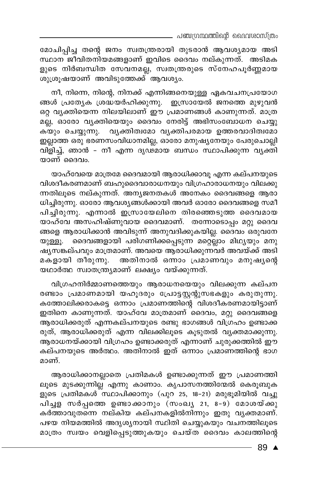\_ പഞ്ചഗ്രന്ഥത്തിന്റെ ദൈവശാസ്ത്രം

മോചിപ്പിച്ച തന്റെ ജനം സ്വതന്ത്രരായി തുടരാൻ ആവശ്യമായ അടി സ്ഥാന ജീവിതനിയമങ്ങളാണ് ഇവിടെ ദൈവം നല്കുന്നത്. അടിമക ളുടെ നിർബന്ധിത സേവനമല്ല, സ്വതന്ത്രരുടെ സ്നേഹപൂർണ്ണമായ ശുശൂഷയാണ് അവിടുത്തേക്ക് ആവശ്യം.

നീ, നിന്നെ, നിന്റെ, നിനക്ക് എന്നിങ്ങനെയുള്ള ഏകവചനപ്രയോഗ ങ്ങൾ പ്രത്യേക ശ്രദ്ധയർഹിക്കുന്നു. ഇസ്രായേൽ ജനത്തെ മുഴുവൻ ഒറ്റ വ്യക്തിയെന്ന നിലയിലാണ് ഈ പ്രമാണങ്ങൾ കാണുന്നത്. മാത്ര മല്ല, ഓരോ വ്യക്തിയെയും ദൈവം നേരിട്ട് അഭിസംബോധന ചെയ്യു കയും ചെയ്യുന്നു. വൃക്തിത്വമോ വൃക്തിപരമായ ഉത്തരവാദിത്വമോ ഇല്ലാത്ത ഒരു ഭരണസംവിധാനമില്ല, ഓരോ മനുഷ്യനേയും പേരുചൊല്ലി വിളിച്ച്, ഞാൻ – നീ എന്ന ദൃഢ്മായ ബന്ധം സ്ഥാപിക്കുന്ന വൃക്തി യാണ് ദൈവം.

യാഹ്വേയെ മാത്രമേ ദൈവമായി ആരാധിക്കാവു എന്ന കല്പനയുടെ വിശദീകരണമാണ് ബഹുദൈവാരാധനയും വിഗ്രഹാരാധനയും വിലക്കു ന്നതിലൂടെ നല്കുന്നത്. അന്യജനതകൾ അനേകം ദൈവങ്ങളെ ആരാ ധിച്ചിരുന്നു. ഓരോ ആവശ്യങ്ങൾക്കായി അവർ ഓരോ ദൈവങ്ങളെ സമീ പിച്ചിരുന്നു. എന്നാൽ ഇസ്രായേലിനെ തിരഞ്ഞെടുത്ത ദൈവമായ യാഹ്വേ അസഹിഷ്ണുവായ ദൈവമാണ്. തന്നോടൊപ്പം മറ്റു ദൈവ ങ്ങളെ ആരാധിക്കാൻ അവിടുന്ന് അനുവദിക്കുകയില്ല. ദൈവം ഒരുവനേ യുള്ളൂ. ദൈവങ്ങളായി പരിഗണിക്കപ്പെടുന്ന മറ്റെല്ലാം മിഥ്യയും മനു മകളായി തീരുന്നു. അതിനാൽ ഒന്നാം പ്രമാണവും മനുഷ്യന്റെ യഥാർത്ഥ സ്വാതന്ത്ര്യമാണ് ലക്ഷ്യം വയ്ക്കുന്നത്.

വിഗ്രഹനിർമ്മാണത്തെയും ആരാധനയെയും വിലക്കുന്ന കല്പന രണ്ടാം പ്രമാണമായി യഹൂദരും പ്രോട്ടസ്റ്റന്റുസഭകളും കരുതുന്നു. കത്തോലിക്കരാകട്ടെ ഒന്നാം പ്രമാണത്തിന്റെ വിശദീകരണമായിട്ടാണ് ഇതിനെ കാണുന്നത്. യാഹ്വേ മാത്രമാണ്്ദൈവം, മറ്റു ദൈവങ്ങളെ ആരാധിക്കരുത് എന്നകല്പനയുടെ രണ്ടു ഭാഗങ്ങൾ വിഗ്രഹം ഉണ്ടാക്ക രുത്, ആരാധിക്കരുത് എന്ന വിലക്കിലൂടെ കൂടുതൽ വ്യക്തമാക്കുന്നു. ആരാധനയ്ക്കായി വിഗ്രഹം ഉണ്ടാക്കരുത് എന്നാണ് ചുരുക്കത്തിൽ ഈ കല്പനയുടെ അർത്ഥം. അതിനാൽ ഇത് ഒന്നാം പ്രമാണത്തിന്റെ ഭാഗ മാണ്.

ആരാധിക്കാനല്ലാതെ പ്രതിമകൾ ഉണ്ടാക്കുന്നത് ഈ പ്രമാണത്തി ലൂടെ മുടക്കുന്നില്ല എന്നു കാണാം. കൃപാസനത്തിന്മേൽ കെരൂബുക ളുടെ പ്രതിമകൾ സ്ഥാപിക്കാനും (പുറ 25, 18-21) മരുഭൂമിയിൽ വച്ചു പിച്ചള സർപ്പത്തെ ഉണ്ടാക്കാനും (സംഖ്യ 21, 8-9) മോശയ്ക്കു കർത്താവുതന്നെ നല്കിയ കല്പനകളിൽനിന്നും ഇതു വൃക്തമാണ്. പഴയ നിയമത്തിൽ അദൃശ്യനായി സ്ഥിതി ചെയ്യുകയും വചനത്തിലൂടെ മാത്രം സ്വയം വെളിപ്പെടുത്തുകയും ചെയ്ത ദൈവം കാലത്തിന്റെ

89 ▲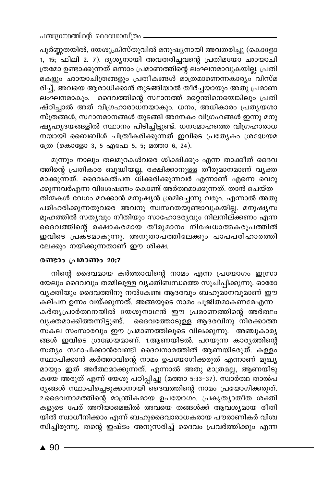പൂർണ്ണതയിൽ, യേശുക്രിസ്തുവിൽ മനുഷ്യനായി അവതരിച്ചു (കൊളോ 1, 15, ഫിലി 2. 7). ദൃശ്യനായി അവതരിച്ചവന്റെ പ്രതിമയോ ഛായാചി ത്രമോ ഉണ്ടാക്കുന്നത് ഒന്നാം പ്രമാണത്തിന്റെ ലംഘനമാവുകയില്ല. പ്രതി മകളും ഛായാചിത്രങ്ങളും പ്രതീകങ്ങൾ മാത്രമാണെന്നകാര്യം വിസ്മ രിച്ച്, അവയെ ആരാധിക്കാൻ തുടങ്ങിയാൽ തീർച്ചയായും അതു പ്രമാണ ലംഘനമാകും. ദൈവത്തിന്റെ സ്ഥാനത്ത് മറ്റെതിനെയെങ്കിലും പ്രതി ഷ്ഠിച്ചാൽ അത് വിഗ്രഹാരാധനയാകും. ധനം, അധികാരം പ്രതൃയശാ സ്ത്രങ്ങൾ, സ്ഥാനമാനങ്ങൾ തുടങ്ങി അനേകം വിഗ്രഹങ്ങൾ ഇന്നു മനു ഷ്യഹൃദയങ്ങളിൽ സ്ഥാനം പിടിച്ചിട്ടുണ്ട്. ധനമോഹത്തെ വിഗ്രഹാരാധ നയായി ബൈബിൾ ചിത്രീകരിക്കുന്നത് ഇവിടെ പ്രത്യേകം ശ്രദ്ധേയമ ്രേ (കൊളോ 3, 5 എഫേ 5, 5; മത്താ 6, 24).

മൂന്നും നാലും തലമുറകൾവരെ ശിക്ഷിക്കും എന്ന താക്കീത് ദൈവ ത്തിന്റെ പ്രതികാര ബുദ്ധിയല്ല, രക്ഷിക്കാനുള്ള തീരുമാനമാണ് വൃക്ത മാക്കുന്നത്. ദൈവകൽപന ധിക്കരിക്കുന്നവർ എന്നാണ് എന്നെ വെറു ക്കുന്നവർഎന്ന വിശേഷണം കൊണ്ട് അർത്ഥമാക്കുന്നത്. താൻ ചെയ്ത തിന്മകൾ വേഗം മറക്കാൻ മനുഷ്യൻ ശ്രമിച്ചെന്നു വരും. എന്നാൽ അതു പരിഹരിക്കുന്നതുവരെ അവനു സ്വസ്ഥതയുണ്ടാവുകയില്ല. മനുഷൃസ മൂഹത്തിൽ സത്യവും നീതിയും സാഹോദര്യവും നിലനില്ക്കണം എന്ന ദൈവത്തിന്റെ രക്ഷാകരമായ തീരുമാനം നിഷേധാത്മകരൂപത്തിൽ ഇവിടെ പ്രകടമാകുന്നു. അനുതാപത്തിലേക്കും പാപപരിഹാരത്തി ലേക്കും നയിക്കുന്നതാണ് ഈ ശിക്ഷ.

#### രണ്ടാം പ്രമാണം 20:7

നിന്റെ ദൈവമായ കർത്താവിന്റെ നാമം എന്ന പ്രയോഗം ഇസ്രാ യേലും ദൈവവും തമ്മിലുള്ള വൃക്തിബന്ധത്തെ സൂചിപ്പിക്കുന്നു. ഓരോ വൃക്തിയും ദൈവത്തിനു നൽകേണ്ട ആദരവും ബഹുമാനവുമാണ് ഈ .<br>കല്പന ഉന്നം വയ്ക്കുന്നത്. അങ്ങയുടെ നാമം പൂജിതമാകണമേഎന്ന കർതൃപ്രാർത്ഥനയിൽ യേശുനാഥൻ ഈ പ്രമാണത്തിന്റെ അർത്ഥം വ്യക്തമാക്കിത്തന്നിട്ടുണ്ട്. ദൈവത്തോടുള്ള ആദരവിനു നിരക്കാത്ത സകല സംസാരവും ഈ പ്രമാണത്തിലൂടെ വിലക്കുന്നു. അഞ്ചുകാര്യ ങ്ങൾ ഇവിടെ ശ്രദ്ധേയമാണ്. 1.ആണയിടൽ. പറയുന്ന കാരൃത്തിന്റെ സത്യം സ്ഥാപിക്കാൻവേണ്ടി ദൈവനാമത്തിൽ ആണയിടരുത്. കള്ളം സ്ഥാപിക്കാൻ കർത്താവിന്റെ നാമം ഉപയോഗിക്കരുത് എന്നാണ് മുഖ്യ മായും ഇത് അർത്ഥമാക്കുന്നത്. എന്നാൽ അതു മാത്രമല്ല, ആണയിടു കയേ അരുത് എന്ന് യേശു പഠിപ്പിച്ചു (മത്താ 5:33–37). സ്വാർത്ഥ താൽപ രൃങ്ങൾ സ്ഥാപിച്ചെടുക്കാനായി ദൈവത്തിന്റെ നാമം പ്രയോഗിക്കരുത്. 2.ദൈവനാമത്തിന്റെ മാന്ത്രികമായ ഉപയോഗം. പ്രകൃത്യാതീത ശക്തി കളുടെ പേര് അറിയാമെങ്കിൽ അവയെ തങ്ങൾക്ക് ആവശ്യമായ രീതി യിൽ സ്വാധീനിക്കാം എന്ന് ബഹുദൈവാരാധകരായ പൗരാണികർ വിശ്വ സിച്ചിരുന്നു. തന്റെ ഇഷ്ടം അനുസരിച്ച് ദൈവം പ്രവർത്തിക്കും എന്ന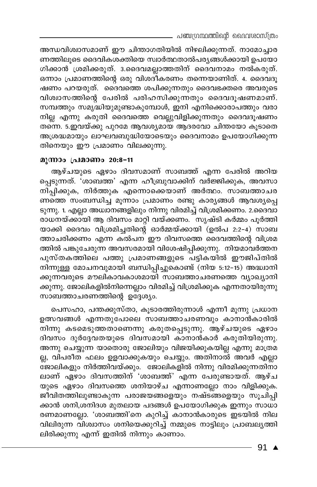അന്ധവിശ്വാസമാണ് ഈ ചിന്താഗതിയിൽ നിഴലിക്കുന്നത്. നാമോച്ചാര ണത്തിലൂടെ ദൈവികശക്തിയെ സ്വാർത്ഥതാൽപര്യങ്ങൾക്കായി ഉപയോ ഗിക്കാൻ ശ്രമിക്കരുത്. 3.ദൈവമല്ലാത്തതിന് ദൈവനാമം നൽകരുത്. ഒന്നാം പ്രമാണത്തിന്റെ ഒരു വിശദീകരണം തന്നെയാണിത്. 4. ദൈവദൂ ഷണം പറയരുത്. ദൈവത്തെ ശപിക്കുന്നതും ദൈവഭക്തരെ അവരുടെ വിശ്വാസത്തിന്റെ പേരിൽ പരിഹസിക്കുന്നതും ദൈവദൂഷണമാണ്. സമ്പത്തും സമൃദ്ധിയുമുണ്ടാകുമ്പോൾ, ഇനി എനിക്കൊരാപത്തും വരാ നില്ല എന്നു കരുതി ദൈവത്തെ വെല്ലുവിളിക്കുന്നതും ദൈവദൂഷണം തന്നെ. 5.ഇവയ്ക്കു പുറമേ ആവശ്യമായ ആദരവോ ചിന്തയോ കൂടാതെ അശ്രദ്ധമായും ലാഘവബുദ്ധിയോടെയും ദൈവനാമം ഉപയോഗിക്കുന്ന തിനെയും ഈ പ്രമാണം വിലക്കുന്നു.

# മൂന്നാം പ്രമാണം 20:8-11

ആഴ്ചയുടെ ഏഴാം ദിവസമാണ് സാബത്ത് എന്ന പേരിൽ അറിയ പ്പെടുന്നത്. 'ശാബത്ത' എന്ന ഹീബ്രുവാക്കിന് വർജ്ജിക്കുക, അവസാ നിപ്പിക്കുക, നിർത്തുക എന്നൊക്കെയാണ് അർത്ഥം. സാബത്താചര ണത്തെ സംബന്ധിച്ച മൂന്നാം പ്രമാണം രണ്ടു കാര്യങ്ങൾ ആവശ്യപ്പെ ടുന്നു. 1. എല്ലാ അധ്വാനങ്ങളിലും നിന്നു വിരമിച്ച് വിശ്രമിക്കണം. 2.ദൈവാ രാധനയ്ക്കായി ആ ദിവസം മാറ്റി വയ്ക്കണം. സൃഷ്ടി കർമ്മം പൂർത്തി യാക്കി ദൈവം വിശ്രമിച്ചതിന്റെ ഓർമ്മയ്ക്കായി (ഉൽപ 2:2-4) സാബ ത്താചരിക്കണം എന്ന കൽപന ഈ ദിവസത്തെ ദൈവത്തിന്റെ വിശ്രമ ത്തിൽ പങ്കുചേരുന്ന അവസരമായി വിശേഷിപ്പിക്കുന്നു. നിയമാവർത്തന പുസ്തകത്തിലെ പത്തു പ്രമാണങ്ങളുടെ പട്ടികയിൽ ഈജിപ്തിൽ നിന്നുള്ള മോചനവുമായി ബന്ധിപ്പിച്ചുകൊണ്ട് (നിയ 5:12–15) അദ്ധ്വാനി ക്കുന്നവരുടെ മൗലികാവകാശമായി സാബത്താചരണത്തെ വ്യാഖ്യാനി ക്കുന്നു. ജോലികളിൽനിന്നെല്ലാം വിരമിച്ച് വിശ്രമിക്കുക എന്നതായിരുന്നു സാബത്താചരണത്തിന്റെ ഉദ്ദേശ്യം.

പെസഹാ, പന്തക്കുസ്താ, കൂടാരത്തിരുന്നാൾ എന്നീ മൂന്നു പ്രധാന ഉത്സവങ്ങൾ എന്നതുപോലെ സാബത്താചരണവും കാനാൻകാരിൽ നിന്നു കടമെടുത്തതാണെന്നു കരുതപ്പെടുന്നു. ആഴ്ചയുടെ ഏഴാം ദിവസം ദുർദ്ദേവതയുടെ ദിവസമായി കാനാൻകാർ കരുതിയിരുന്നു. അന്നു ചെയ്യുന്ന യാതൊരു ജോലിയും വിജയിക്കുകയില്ല എന്നു മാത്രമ ല്ല, വിപരീത ഫലം ഉളവാക്കുകയും ചെയ്യും. അതിനാൽ അവർ എല്ലാ ഭ്ജാലികളും നിർത്തിവയ്ക്കും. ജോലികളിൽ നിന്നു വിരമിക്കുന്നതിനാ ലാണ് ഏഴാം ദിവസത്തിന് 'ശാബത്ത്' എന്ന പേരുണ്ടായത്. ആഴ്ച യുടെ ഏഴാം ദിവസത്തെ ശനിയാഴ്ച എന്നാണല്ലോ നാം വിളിക്കുക. ജീവിതത്തിലുണ്ടാകുന്ന പരാജയങ്ങളെയും നഷ്ട്ങ്ങളെയും സൂചിപ്പി ക്കാൻ ശനി,ശനിദശ മുതലായ പദങ്ങൾ ഉപയോഗിക്കുക ഇന്നും സാധാ രണമാണല്ലോ. 'ശാബ്ത്തി'നെ കുറിച്ച് കാനാൻകാരുടെ ഇടയിൽ നില വിലിരുന്ന വിശ്വാസം ശനിയെക്കുറിച്ച് നമ്മുടെ നാട്ടിലും പ്രാബല്യത്തി ലിരിക്കുന്നു എന്ന് ഇതിൽ നിന്നും കാണാം.

91  $\triangle$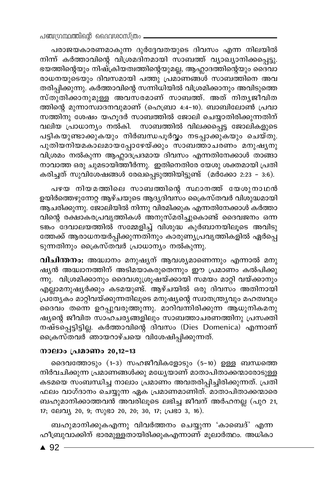പരാജയകാരണമാകുന്ന ദുർദ്ദേവതയുടെ ദിവസം എന്ന നിലയിൽ നിന്ന് കർത്താവിന്റെ വിശ്രമദിനമായി സാബത്ത് വ്യാഖ്യാനിക്കപ്പെട്ടു. ഭയത്തിന്റെയും നിഷ്ക്രിയത്വത്തിന്റെയുമല്ല, ആഹ്ലാദത്തിന്റെയും ദൈവാ രാധനയുടെയും ദിവസമായി പത്തു പ്രമാണങ്ങൾ സാബത്തിനെ അവ തരിപ്പിക്കുന്നു. കർത്താവിന്റെ സന്നിധിയിൽ വിശ്രമിക്കാനും അവിടുത്തെ സ്തുതിക്കാനുമുള്ള അവസരമാണ് സാബത്ത്. അത് നിതൃജിവിത ത്തിന്റെ മുന്നാസ്വാദനവുമാണ് (ഹെബ്രാ 4:4–10). ബാബിലോൺ പ്രവാ സത്തിനു ശേഷം യഹൂദർ സാബത്തിൽ ജോലി ചെയ്യാതിരിക്കുന്നതിന് വലിയ പ്രാധാന്യം നൽകി. സാബത്തിൽ വിലക്കപ്പെട്ട ജോലികളുടെ പട്ടികയുണ്ടാക്കുകയും നിർബന്ധപൂർവ്വം നടപ്പാക്കുകയും ചെയ്തു. പുതിയനിയമകാലമായപ്പോഴേയ്ക്കും സാബത്താചരണം മനുഷൃനു വിശ്രമം നൽകുന്ന ആഹ്ലാദ്യപദമായ ദിവസം എന്നതിനേക്കാൾ താങ്ങാ നാവാത്ത ഒരു ചുമടായിത്തീർന്നു. ഇതിനെതിരേ യേശു ശക്തമായി പ്രതി കരിച്ചത് സുവിശേഷങ്ങൾ രേഖപ്പെടുത്തിയിട്ടുണ്ട് (മർക്കോ 2:23 – 3:6).

പഴയ നിയമത്തിലെ സാബത്തിന്റെ സ്ഥാനത്ത് യേശുനാഥൻ ഉയിർത്തെഴുന്നേറ്റ ആഴ്ചയുടെ ആദ്യദിവസം ക്രൈസ്തവർ വിശുദ്ധമായി ആചരിക്കുന്നു. ജോലിയിൽ നിന്നു വിരമിക്കുക എന്നതിനേക്കാൾ കർത്താ വിന്റെ രക്ഷാകരപ്രവൃത്തികൾ അനുസ്മരിച്ചുകൊണ്ട് ദൈവജനം ഒന്ന ടങ്കം ദേവാലയത്തിൽ സമ്മേളിച്ച് വിശുദ്ധ കുർബാനയിലൂടെ അവിടു ത്തേക്ക് ആരാധനയർപ്പിക്കുന്നതിനും കാരുണ്യപ്രവൃത്തികളിൽ ഏർപ്പെ ടുന്നതിനും ക്രൈസ്തവർ പ്രാധാന്യം നൽകുന്നു.

വിചിന്തനം: അദ്ധാനം മനുഷ്യന് ആവശ്യമാണെന്നും എന്നാൽ മനു ഷ്യൻ അദ്ധ്വാനത്തിന് അടിമയാകരുതെന്നും ഈ പ്രമാണം കൽപിക്കു ന്നു. വിശ്രമിക്കാനും ദൈവശുശ്രുഷയ്ക്കായി സമയം മാറ്റി വയ്ക്കാനും എല്ലാമനുഷ്യർക്കും കടമയുണ്ട്. ആഴ്ചയിൽ ഒരു ദിവസം അതിനായി പ്രത്യേകം മാറ്റിവയ്ക്കുന്നതിലൂടെ മനുഷ്യന്റെ സ്വാതന്ത്ര്യവും മഹത്വവും ദൈവം തന്നെ ഉറപ്പുവരുത്തുന്നു. മാറിവന്നിരിക്കുന്ന ആധുനികമനു ഷ്യന്റെ ജീവിത സാഹചര്യങ്ങളിലും സാബത്താചരണത്തിനു പ്രസക്തി നഷ്ടപ്പെട്ടിട്ടില്ല. കർത്താവിന്റെ ദിവസം (Dies Domenica) എന്നാണ് ക്രൈസ്തവർ ്ഞായറാഴ്ചയെ വിശേഷിപ്പിക്കുന്നത്.

## നാലാം പ്രമാണം 20,12-13

ദൈവത്തോടും (1-3) സഹജീവികളോടും (5-10) ഉള്ള ബന്ധത്തെ നിർവചിക്കുന്ന പ്രമാണങ്ങൾക്കു മധ്യേയാണ് മാതാപിതാക്കന്മാരോടുള്ള കടമയെ സംബന്ധിച്ച നാലാം പ്രമാണം അവതരിപ്പിച്ചിരിക്കുന്നത്. പ്രതി ഫലം വാഗ്ദാനം ചെയ്യുന്ന ഏക പ്രമാണമാണിത്. മാതാപിതാക്കന്മാരെ ബഹുമാനിക്കാത്തവൻ അവരിലൂടെ ലഭിച്ച ജീവന് അർഹനല്ല (പുറ 21, 17; ലേവ്യ 20, 9; സുഭാ 20, 20; 30, 17; പ്രഭാ 3, 16).

ബഹുമാനിക്കുകഎന്നു വിവർത്തനം ചെയ്യുന്ന 'കാബെദ്' എന്ന ഹീബ്രുവാക്കിന് ഭാരമുള്ളതായിരിക്കുകഎന്നാണ് മൂലാർത്ഥം. അധികാ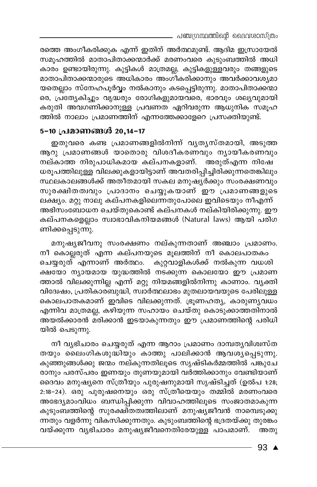- പഞ്ചഗ്രന്ഥത്തിന്റെ ദൈവശാസ്ത്രം

രത്തെ അംഗീകരിക്കുക എന്ന് ഇതിന് അർത്ഥമുണ്ട്. ആദിമ ഇസ്രായേൽ സമുഹത്തിൽ മാതാപിതാക്കന്മാർക്ക് മരണംവരെ കുടുംബത്തിൽ അധി കാരം ഉണ്ടായിരുന്നു. കുട്ടികൾ മാത്രമല്ല, കുട്ടികളുള്ളവരും തങ്ങളുടെ മാതാപിതാക്കന്മാരുടെ അധികാരം അംഗ്ീകരിക്കാനും അവർക്കാവശ്യമാ യതെല്ലാം സ്നേഹപൂർവ്വം നൽകാനും കടപ്പെട്ടിരുന്നു. മാതാപിതാക്കന്മാ രെ, പ്രത്യേകിച്ചും വൃദ്ധരും രോഗികളുമായവരെ, ഭാരവും ശല്യവുമായി കരുതി അവഗണിക്കാനുള്ള പ്രവണത ഏറിവരുന്ന ആധുനിക സമൂഹ ത്തിൽ നാലാം പ്രമാണത്തിന് എന്നത്തേക്കാളേറെ പ്രസക്തിയുണ്ട്.

# 5-10 പ്രമാണങ്ങൾ 20,14-17

ഇതുവരെ കണ്ട പ്രമാണങ്ങളിൽനിന്ന് വ്യത്യസ്തമായി, അടുത്ത ആറു പ്രമാണങ്ങൾ യാതൊരു വിശദീകരണവും ന്യായീകരണവും .<br>നല്കാത്ത നിരുപാധികമായ കല്പനകളാണ്. അരുത്എന്ന നിഷേ ധരൂപത്തിലുള്ള വിലക്കുകളായിട്ടാണ് അവതരിപ്പിച്ചിരിക്കുന്നതെങ്കിലും സ്ഥലകാലങ്ങൾക്ക് അതീതമായി സകല മനുഷ്യർക്കും സംരക്ഷണവും സുരക്ഷിതത്വവും പ്രാദാനം ചെയ്യുകയാണ് ഈ പ്രമാണങ്ങളുടെ ലക്ഷ്യം. മറ്റു നാലു കല്പനകളിലെന്നതുപോലെ ഇവിടെയും നീഎന്ന് അഭിസംബോധന ചെയ്തുകൊണ്ട് കല്പനകൾ നല്കിയിരിക്കുന്നു. ഈ കല്പനകളെല്ലാം സ്വാഭാവികനിയമങ്ങൾ (Natural laws) ആയി പരിഗ ണിക്കപ്പെടുന്നു.

മനുഷ്യജീവനു സംരക്ഷണം നല്കുന്നതാണ് അഞ്ചാം പ്രമാണം. നീ കൊല്ലരുത് എന്ന കല്പനയുടെ മൂലത്തിന് നീ കൊലപാതകം ചെയ്യരുത് എന്നാണ് അർത്ഥം. കുറ്റവാളികൾക്ക് നൽകുന്ന വധശി .<br>ക്ഷയോ ന്യായമായ യുദ്ധത്തിൽ നടക്കുന്ന കൊലയോ ഈ പ്രമാണ ത്താൽ വിലക്കുന്നില്ല എന്ന് മറ്റു നിയമങ്ങളിൽനിന്നു കാണാം. വ്യക്തി വിദ്വേഷം, പ്രതികാര്ബുദ്ധി, സ്ഥർത്ഥലാഭം മുതലായവയുടെ പേരിലുള്ള കൊലപാതകമാണ് ഇവിടെ വിലക്കുന്നത്. ഭ്രൂണഹത്യ, കാരുണ്യവധം എന്നിവ മാത്രമല്ല, കഴിയുന്ന സഹായം ചെയ്തു കൊടുക്കാത്തതിനാൽ അയൽക്കാരൻ മരിക്കാൻ ഇടയാകുന്നതും ഈ പ്രമാണത്തിന്റെ പരിധി യിൽ പെടുന്നു.

നീ വൃഭിചാരം ചെയ്യരുത് എന്ന ആറാം പ്രമാണം ദാമ്പതൃവിശ്വസ്ത തയും ലൈംഗികശുദ്ധിയും കാത്തു പാലിക്കാൻ ആവശ്യപ്പെടുന്നു. കുഞ്ഞുങ്ങൾക്കു ജന്മം നല്കുന്നതിലൂടെ സൃഷ്ടികർമ്മത്തിൽ പങ്കുചേ രാനും പരസ്പരം ഇണയും തുണയുമായി വർത്തിക്കാനും വേണ്ടിയാണ് ദൈവം മനുഷ്യനെ സ്ത്രീയും പുരുഷനുമായി സൃഷ്ടിച്ചത് (ഉൽപ 1:28; 2:18-24). ഒരു പുരുഷനെയും ഒരു സ്ത്രീയെയും തമ്മിൽ മരണംവരെ അഭേദ്യമാംവിധം ബന്ധിപ്പിക്കുന്ന വിവാഹത്തിലൂടെ സംജാതമാകുന്ന കുടുംബത്തിന്റെ സുരക്ഷിതത്വത്തിലാണ് മനുഷ്യജീവൻ നാമ്പെടുക്കു ന്നതും വളർന്നു വികസിക്കുന്നതും. കുടുംബത്തിന്റെ ഭദ്രതയ്ക്കു തുരങ്കം വയ്ക്കുന്ന വൃഭിചാരം മനുഷ്യജീവനെതിരേയുള്ള പാപമാണ്. അതു

93  $\triangle$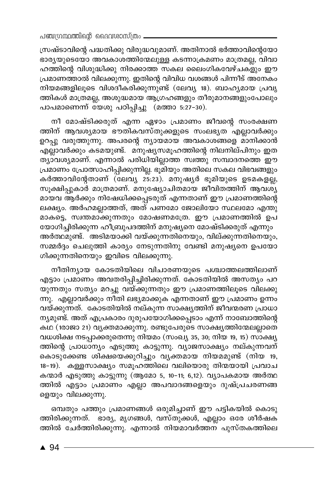സ്രഷ്ടാവിന്റെ പദ്ധതിക്കു വിരുദ്ധവുമാണ്. അതിനാൽ ഭർത്താവിന്റെയോ ഭാരൃയുടെയോ അവകാശത്തിന്മേലുള്ള കടന്നാക്രമണം മാത്രമല്ല, വിവാ ഹത്തിന്റെ വിശുദ്ധിക്കു നിരക്കാത്ത സകല ലൈംഗികവേഴ്ചകളും ഈ പ്രമാണത്താൽ വിലക്കുന്നു. ഇതിന്റെ വിവിധ വശങ്ങൾ പിന്നീട് അനേകം നിയമങ്ങളിലൂടെ വിശദീകരിക്കുന്നുണ്ട് (ലേവ്യ 18). ബാഹ്യമായ പ്രവൃ ത്തികൾ മാത്രമല്ല, അശുദ്ധമായ ആഗ്രഹങ്ങളും തീരുമാനങ്ങളുംപോലും പാപമാണെന്ന് യേശു പഠിപ്പിച്ചു (മത്താ 5:27-30).

നീ മോഷ്ടിക്കരുത് എന്ന ഏഴാം പ്രമാണം ജീവന്റെ സംരക്ഷണ ത്തിന് ആവശ്യമായ ഭൗതികവസ്തുക്കളുടെ സംലഭൃത എല്ലാവർക്കും ഉറപ്പു വരുത്തുന്നു. അപരന്റെ ന്യായമായ അവകാശങ്ങളെ മാനിക്കാൻ എല്ലാവർക്കും കടമയുണ്ട്. മനുഷ്യസമൂഹത്തിന്റെ നിലനില്പിനും ഇത ത്യാവശ്യമാണ്. എന്നാൽ പരിധിയില്ലാത്ത സ്വത്തു സമ്പാദനത്തെ ഈ പ്രമാണം പ്രോത്സാഹിപ്പിക്കുന്നില്ല. ഭൂമിയും അതിലെ സകല വിഭവങ്ങളും കർത്താവിന്റേതാണ് (ലേവ്യ 25:23). മനുഷ്യർ ഭൂമിയുടെ ഉടമകളല്ല, സൂക്ഷിപ്പുകാർ മാത്രമാണ്. മനുഷ്യോചിതമായ ജീവിതത്തിന് ആവശ്യ മായവ ആർക്കും നിഷേധിക്കപ്പെടരുത് എന്നതാണ് ഈ പ്രമാണത്തിന്റെ ലക്ഷ്യം. അർഹമല്ലാത്തത്, അത് പണമോ ജോലിയോ സ്ഥലമോ എന്തു മാകട്ടെ, സ്വന്തമാക്കുന്നതും മോഷണമത്രേ. ഈ പ്രമാണത്തിൽ ഉപ യോഗിച്ചിരിക്കുന്ന ഹീബ്രുപദത്തിന് മനുഷ്യനെ മോഷ്ടിക്കരുത് എന്നും അർത്ഥമുണ്ട്. `അടിമയാക്കി വയ്ക്കുന്നതിനെയും, വില്ക്കുന്നതിനെയും, സമ്മർദ്ദം ചെലുത്തി കാര്യം നേടുന്നതിനു വേണ്ടി മനുഷ്യനെ ഉപയോ ഗിക്കുന്നതിനെയും ഇവിടെ വിലക്കുന്നു.

നീതിന്യായ കോടതിയിലെ വിചാരണയുടെ പശ്ചാത്തലത്തിലാണ് എട്ടാം പ്രമാണം അവതരിപ്പിച്ചിരിക്കുന്നത്. കോടതിയിൽ അസത്യം പറ യുന്നതും സത്യം മറച്ചു വയ്ക്കുന്നതും ഈ പ്രമാണത്തിലൂടെ വിലക്കു .<br>ന്നു. എല്ലാവർക്കും നീതി ലഭ്യമാക്കുക എന്നതാണ് ഈ പ്രമാണം ഉന്നം വയ്ക്കുന്നത്. കോടതിയിൽ നല്കുന്ന സാക്ഷ്യത്തിന് ജീവന്മരണ പ്രാധാ ന്യമുണ്ട്. അത് എപ്രകാരം ദുരുപയോഗിക്കപ്പെടാം എന്ന് നാബോത്തിന്റെ കഥ (1രാജാ 21) വൃക്തമാക്കുന്നു. രണ്ടുപേരുടെ സാക്ഷൃത്തിന്മേലല്ലാതെ വധശിക്ഷ നടപ്പാക്കരുതെന്നു നിയമം (സംഖ്യ 35, 30; നിയ 19, 15) സാക്ഷ്യ ത്തിന്റെ പ്രാധാന്യം എടുത്തു കാട്ടുന്നു. വ്യാജസാക്ഷ്യം നല്കുന്നവന് കൊടുക്കേണ്ട ശിക്ഷയെക്കുറിച്ചും വൃക്തമായ നിയമമുണ്ട് (നിയ 19, 18-19). കള്ളസാക്ഷ്യം സമൂഹത്തിലെ വലിയൊരു തിന്മയായി പ്രവാച കന്മാർ എടുത്തു കാട്ടുന്നു (ആമോ 5, 10-11; 6,12). വ്യാപകമായ അർത്ഥ ത്തിൽ എട്ടാം പ്രമാണം എല്ലാ അപവാദങ്ങളെയും ദുഷ്പ്രചരണങ്ങ ളെയും വിലക്കുന്നു.

ഒമ്പതും പത്തും പ്രമാണങ്ങൾ ഒരുമിച്ചാണ് ഈ പട്ടികയിൽ കൊടു ത്തിരിക്കുന്നത്. ഭാര്യ, മൃഗങ്ങൾ, വസ്തുക്കൾ, എല്ലാം ഒരേ ശീർഷക ത്തിൽ ചേർത്തിരിക്കുന്നു. എന്നാൽ നിയമാവർത്തന പുസ്തകത്തിലെ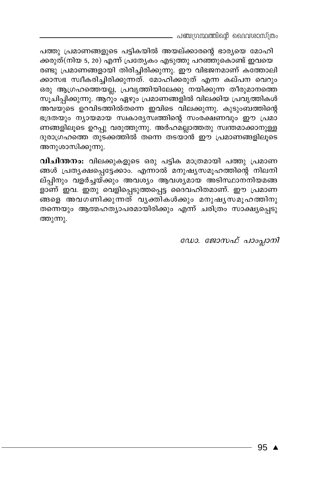പഞ്ചഗ്രന്ഥത്തിന്റെ ദൈവശാസ്ത്രം

പത്തു പ്രമാണങ്ങളുടെ പട്ടികയിൽ അയല്ക്കാരന്റെ ഭാര്യയെ മോഹി ക്കരുത്(നിയ 5, 20) എന്ന് പ്രത്യേകം എടുത്തു പറഞ്ഞുകൊണ്ട് ഇവയെ രണ്ടു പ്രമാണങ്ങളായി തിരിച്ചിരിക്കുന്നു. ഈ വിഭജനമാണ് കത്തോലി ക്കാസഭ സ്ഥീകരിച്ചിരിക്കുന്നത്. മോഹിക്കരുത് എന്ന കല്പന വെറും ഒരു ആഗ്രഹത്തെയല്ല, പ്രവൃത്തിയിലേക്കു നയിക്കുന്ന തീരുമാനത്തെ സൂചിപ്പിക്കുന്നു. ആറും ഏഴും പ്രമാണങ്ങളിൽ വിലക്കിയ പ്രവൃത്തികൾ അവയുടെ ഉറവിടത്തിൽതന്നെ ഇവിടെ വിലക്കുന്നു. കുടുംബത്തിന്റെ ഭദ്രതയും ന്യായമായ സ്വകാര്യസ്വത്തിന്റെ സംരക്ഷണവും ഈ പ്രമാ ണങ്ങളിലൂടെ ഉറപ്പു വരുത്തുന്നു. അർഹമല്ലാത്തതു സ്ഥതമാക്കാനുള്ള ദുരാഗ്രഹത്തെ തുടക്കത്തിൽ തന്നെ തടയാൻ ഈ പ്രമാണങ്ങളിലൂടെ അനുശാസിക്കുന്നു.

വിചിന്തനം: വിലക്കുകളുടെ ഒരു പട്ടിക മാത്രമായി പത്തു പ്രമാണ ങ്ങൾ പ്രത്യക്ഷപ്പെട്ടേക്കാം. എന്നാൽ മനുഷ്യസമൂഹത്തിന്റെ നിലനി ല്പ്പിനും വളർച്ചയ്ക്കും അവശ്യം ആവശ്യമായ അടിസ്ഥാനനിയമങ്ങ ളാണ് ഇവ. ഇതു വെളിപ്പെടുത്തപ്പെട്ട ദൈവഹിതമാണ്. ഈ പ്രമാണ \_<br>ങ്ങളെ അവഗണിക്കുന്നത് വൃക്തികൾക്കും മനുഷൃസമൂഹത്തിനു തന്നെയും ആത്മഹത്യാപരമായിരിക്കും എന്ന് ചരിത്രം സാക്ഷ്യപ്പെടു ത്തുന്നു.

ഡോ. ജോസഫ് പാംപ്ലാനി

95  $\triangle$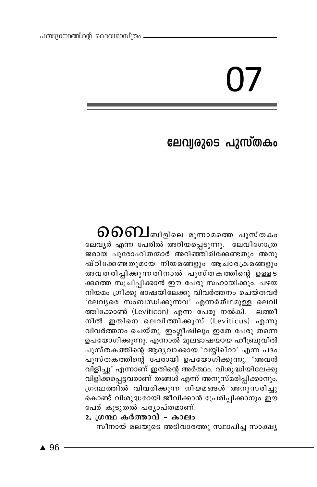# ലേവ്വരുടെ പുസ്തകം

 $\mathfrak{0}$   $\mathfrak{0}$   $\mathfrak{0}$   $\mathfrak{1}$ ബിളിലെ മൂന്നാമത്തെ പുസ്തകം ലേവൃർ എന്ന പേരിൽ അറിയപ്പെടുന്നു. ലേവീഗോത്ര ജരായ പുരോഹിതന്മാർ അറിഞ്ഞിരിക്കേണ്ടതും അനു ഷ്ഠിക്കേണ്ടതുമായ നിയമങ്ങളും ആചാരക്രമങ്ങളും അവതരിപ്പിക്കുന്നതിനാൽ പുസ്തകത്തിന്റെ ഉള്ളട ക്കത്തെ സൂചിപ്പിക്കാൻ ഈ പേരു സഹായിക്കും. പഴയ നിയമം ഗ്രീക്കു ഭാഷയിലേക്കു വിവർത്തനം ചെയ്തവർ 'ലേവൃരെ സംബന്ധിക്കുന്നവ<sup>'</sup> എന്നർത്ഥമുള്ള ലെവി ത്തിക്കോൺ (Leviticon) എന്ന പേരു നൽകി. ലത്തീ നിൽ ഇതിനെ ലെവിത്തിക്കുസ് (Leviticus) എന്നു വിവർത്തനം ചെയ്തു. ഇംഗ്ലീഷിലും ഇതേ പേരു തന്നെ ഉപയോഗിക്കുന്നു. എന്നാൽ മൂലഭാഷയായ ഹീബ്രുവിൽ പുസ്തകത്തിന്റെ ആദൃവാക്കായ 'വയ്യിഖ്റാ' എന്ന പദം പുസ്തകത്തിന്റെ പേരായി ഉപയോഗിക്കുന്നു. 'അവൻ വിളിച്ചു' എന്നാണ് ഇതിന്റെ അർത്ഥം. വിശുദ്ധിയിലേക്കു വിളിക്കപ്പെട്ടവരാണ് തങ്ങശ് എന്ന് അനുസ്മരിപ്പിക്കാനും, ഗ്രന്ഥത്തിൽ വിവരിക്കുന്ന നിയമങ്ങൾ അനുസരിച്ചു കൊണ്ട് വിശുദ്ധരായി ജീവിക്കാൻ പ്രേരിപ്പിക്കാനും ഈ പേര് കുടുതൽ പര്യാപ്തമാണ്.

# 2. ഗ്രന്ഥ കർത്താവ് - കാലം

സീനായ് മലയുടെ അടിവാരത്തു സ്ഥാപിച്ച സാക്ഷ്യ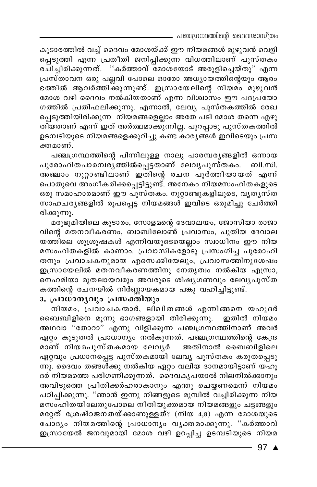. പഞ്ചഗ്രന്ഥത്തിന്റെ ദൈവശാസ്ത്രം

കൂടാരത്തിൽ വച്ച് ദൈവം മോശയ്ക്ക് ഈ നിയമങ്ങൾ മുഴുവൻ വെളി പ്പെടുത്തി എന്ന പ്രതീതി ജനിപ്പിക്കുന്ന വിധത്തിലാണ് പുസ്തകം രചിച്ചിരിക്കുന്നത്. ''കർത്താവ് മോശയോട് അരുളിച്ചെയ്തു" എന്ന പ്രസ്താവന ഒരു പല്ലവി പോലെ ഓരോ അധ്യായത്തിന്റെയും ആരം ഭത്തിൽ ആവർത്തിക്കുന്നുണ്ട്. ഇസ്രായേലിന്റെ നിയമം മുഴുവൻ മോശ വഴി ദൈവം നൽകിയതാണ് എന്ന വിശ്വാസം ഈ പദപ്രയോ ഗത്തിൽ പ്രതിഫലിക്കുന്നു. എന്നാൽ, ലേവ്യ പുസ്തകത്തിൽ രേഖ പ്പെടുത്തിയിരിക്കുന്ന നിയമങ്ങളെല്ലാം അതേ പടി മോശ തന്നെ എഴു തിയതാണ് എന്ന് ഇത് അർത്ഥമാക്കുന്നില്ല. പുറപ്പാടു പുസ്തകത്തിൽ ഉടമ്പടിയുടെ നിയമങ്ങളെക്കുറിച്ചു കണ്ട കാരൃങ്ങൾ ഇവിടെയും പ്രസ ക്തമാണ്.

പഞ്ചഗ്രന്ഥത്തിന്റെ പിന്നിലുള്ള നാലു പാരമ്പര്യങ്ങളിൽ ഒന്നായ പുരോഹിതപാരമ്പരുത്തിൽപ്പെട്ടതാണ് ലേവൃപുസ്തകം. ബി.സി. അഞ്ചാം നൂറ്റാണ്ടിലാണ് ഇതിന്റെ രചന പൂർത്തിയായത് എന്ന് പൊതുവെ അംഗീകരിക്കപ്പെട്ടിട്ടുണ്ട്. അനേകം നിയമസംഹിതകളുടെ ഒരു സമാഹാരമാണ് ഈ പുസ്തകം. നൂറ്റാണ്ടുകളിലൂടെ, വൃതൃസ്ത സാഹചര്യങ്ങളിൽ രൂപപ്പെട്ട നിയമങ്ങൾ ഇവിടെ ഒരുമിച്ചു ചേർത്തി രിക്കുന്നു.

മരുഭൂമിയിലെ കൂടാരം, സോളമന്റെ ദേവാലയം, ജോസിയാ രാജാ വിന്റെ മതനവീകരണം, ബാബിലോൺ പ്രവാസം, പുതിയ ദേവാല യത്തിലെ ശുശ്രൂഷകൾ എന്നിവയുടെയെല്ലാം സ്വാധീനം ഈ നിയ മസംഹിതകളിൽ കാണാം. പ്രവാസികളോടു പ്രസംഗിച്ച പുരോഹി തനും പ്രവാചകനുമായ എസെക്കിയേലും, പ്രവാസത്തിനുശേഷം ഇസ്രായേലിൽ മതനവീകരണത്തിനു നേതൃത്വം നൽകിയ എസ്രാ, നെഹമിയാ മുതലായവരും അവരുടെ ശിഷൃഗണവും ലേവൃപുസ്ത കത്തിന്റെ രചനയിൽ നിർണ്ണായകമായ പങ്കു വഹിച്ചിട്ടുണ്ട്.

# 3. പ്രാധാനൃവും പ്രസക്തിയും

നിയമം, പ്രവാചകന്മാർ, ലിഖിതങ്ങൾ എന്നിങ്ങനെ യഹുദർ ബൈബിളിനെ മൂന്നു ഭാഗങ്ങളായി തിരിക്കുന്നു. ഇതിൽ നിയമം അഥവാ "തോറാ" എന്നു വിളിക്കുന്ന പഞ്ചഗ്രന്ഥത്തിനാണ് അവർ ഏറ്റം കൂടുതൽ പ്രാധാന്യം നൽകുന്നത്. പഞ്ചഗ്രന്ഥത്തിന്റെ കേന്ദ്ര മാണ് നിയമപുസ്തകമായ ലേവൃർ. അതിനാൽ ബൈബിളിലെ ഏറ്റവും പ്രധാനപ്പെട്ട പുസ്തകമായി ലേവ്യ പുസ്തകം കരുതപ്പെടു ന്നു. ദൈവം തങ്ങൾക്കു നൽകിയ ഏറ്റം വലിയ ദാനമായിട്ടാണ് യഹൂ ദർ നിയമത്തെ പരിഗണിക്കുന്നത്. ദൈവകൃപയാൽ നിലനിൽക്കാനും അവിടുത്തെ പ്രീതിക്കർഹരാകാനും എന്തു ചെയ്യണമെന്ന് നിയമം പഠിപ്പിക്കുന്നു. "ഞാൻ ഇന്നു നിങ്ങളുടെ മുമ്പിൽ വച്ചിരിക്കുന്ന നിയ മസംഹിതയിലേതുപോലെ നീതിയുക്തമായ നിയമങ്ങളും ചട്ടങ്ങളും മറ്റേത് ശ്രേഷ്ഠജനതയ്ക്കാണുള്ളത്? (നിയ 4,8) എന്ന മോശയുടെ ചോദ്യം നിയമത്തിന്റെ പ്രാധാന്യം വൃക്തമാക്കുന്നു. "കർത്താവ് ഇസ്രായേൽ ജനവുമായി മോശ വഴി ഉറപ്പിച്ച ഉടമ്പടിയുടെ നിയമ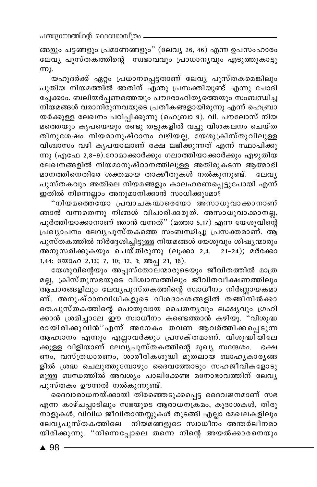ങ്ങളും ചട്ടങ്ങളും പ്രമാണങ്ങളും" (ലേവ്യ 26, 46) എന്ന ഉപസംഹാരം ലേവ്യ പുസ്തകത്തിന്റെ സ്വഭാവവും പ്രാധാന്യവും എടുത്തുകാട്ടു  $m<sub>λ</sub>$ .

യഹൂദർക്ക് ഏറ്റം പ്രധാനപ്പെട്ടതാണ് ലേവൃ പുസ്തകമെങ്കിലും പുതിയ നിയമത്തിൽ അതിന് എന്തു പ്രസക്തിയുണ്ട് എന്നു ചോദി ച്ചേക്കാം. ബലിയർപ്പണത്തെയും പൗരോഹിത്യത്തെയും സംബന്ധിച്ച നിയമങ്ങൾ വരാനിരുന്നവയുടെ പ്രതീകങ്ങളായിരുന്നു എന്ന് ഹെബ്രാ യർക്കുള്ള ലേഖനം പഠിപ്പിക്കുന്നു (ഹെബ്രാ 9). വി. പൗലോസ് നിയ മത്തെയും കൃപയെയും രണ്ടു തട്ടുകളിൽ വച്ചു വിശകലനം ചെയ്ത തിനുശേഷം നിയമാനുഷ്ഠാനം വഴിയല്ല, യേശുക്രിസ്തുവിലുള്ള വിശ്വാസം വഴി കൃപയാലാണ് രക്ഷ ലഭിക്കുന്നത് എന്ന് സ്ഥാപിക്കു ന്നു (എഫേ 2,8-9).റോമാക്കാർക്കും ഗലാത്തിയാക്കാർക്കും എഴുതിയ ലേഖനങ്ങളിൽ നിയമാനുഷ്ഠാനത്തിലുള്ള അതിരുകടന്ന ആത്മാഭി മാനത്തിനെതിരേ ശക്തമായ താക്കീതുകൾ നൽകുന്നുണ്ട്. ലേവൃ പുസ്തകവും അതിലെ നിയമങ്ങളും കാലഹരണപ്പെട്ടുപോയി എന്ന് ഇതിൽ നിന്നെല്ലാം അനുമാനിക്കാൻ സാധിക്കുമോ?

"നിയമത്തെയോ പ്രവാചകന്മാരെയോ അസാധുവാക്കാനാണ് ഞാൻ വന്നതെന്നു നിങ്ങൾ വിചാരിക്കരുത്. അസാധുവാക്കാനല്ല, പൂർത്തിയാക്കാനാണ് ഞാൻ വന്നത്" (മത്താ 5,17) എന്ന യേശുവിന്റെ പ്രഖ്യാപനം ലേവൃപുസ്തകത്തെ സംബന്ധിച്ചു പ്രസക്തമാണ്. ആ പുസ്തകത്തിൽ നിർദ്ദേശിച്ചിട്ടുള്ള നിയമങ്ങൾ യേശുവും ശിഷ്യന്മാരും അനുസരിക്കുകയും ചെയ്തിരുന്നു (ലൂക്കാ 2,4. 21-24); മർക്കോ 1,44; യോഹ 2,13; 7, 10; 12, 1; അപ്പ 21, 16).

യേശുവിന്റെയും അപ്പസ്തോലന്മാരുടെയും ജീവിതത്തിൽ മാത്ര മല്ല, ക്രിസ്തുസഭയുടെ വിശ്വാസത്തിലും ജീവിതവീക്ഷണത്തിലും ആ്ചാരങ്ങളിലും ലേവൃപുസ്തകത്തിന്റെ സ്വാധീനം നിർണ്ണായകമാ ണ്. അനുഷ്ഠാനവിധികളുടെ വിശദാംശങ്ങളിൽ തങ്ങിനിൽക്കാ തെ,പുസ്തകത്തിന്റെ പൊതുവായ ചൈതനൃവും ലക്ഷ്യവും ഗ്രഹി ക്കാൻ ശ്രമിച്ചാലേ ഈ സ്വാധീനം കണ്ടെത്താൻ കഴിയു. "വിശുദ്ധ രായിരിക്കുവിൻ"എന്ന് അനേകം തവണ ആവർത്തിക്കപ്പെടുന്ന ആഹാനം എന്നും എല്ലാവർക്കും പ്രസക്തമാണ്. വിശുദ്ധിയിലേ ക്കുള്ള വിളിയാണ് ലേവ്യപുസ്തകത്തിന്റെ മുഖ്യ സന്ദേശം. ഭക്ഷ ണം, വസ്ത്രധാരണം, ശാരീരികശുദ്ധി മുതലായ ബാഹൃകാരൃങ്ങ ളിൽ ശ്രദ്ധ ചെലുത്തുമ്പോഴും ദൈവത്തോടും സഹജീവികളോടു മുള്ള ബന്ധത്തിൽ അവശ്യം പാലിക്കേണ്ട മനോഭാവത്തിന് ലേവൃ പുസ്തകം ഊന്നൽ നൽകുന്നുണ്ട്.

ദൈവാരാധനയ്ക്കായി തിരഞ്ഞെടുക്കപ്പെട്ട ദൈവജനമാണ് സഭ എന്ന കാഴ്ചപ്പാടിലും സഭയുടെ ആരാധനക്രമം, കൂദാശകൾ, തിരു നാളുകൾ, വിവിധ ജീവിതാന്തസ്സുകൾ തുടങ്ങി എല്ലാ മേഖലകളിലും ലേവൃപുസ്തകത്തിലെ നിയമങ്ങളുടെ സ്വാധീനം അന്തർലീനമാ യിരിക്കുന്നു. "നിന്നെപ്പോലെ തന്നെ നിന്റെ അയൽക്കാരനെയും

 $\triangle$  98 -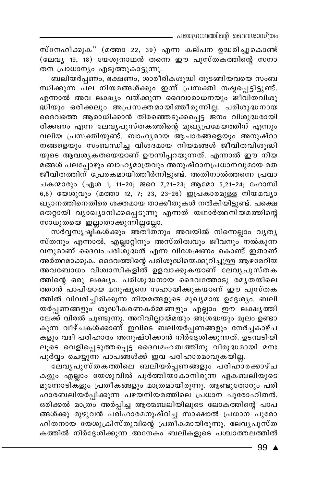\_ പഞ്ചഗ്രന്ഥത്തിന്റെ ദൈവശാസ്ത്രം

സ്നേഹിക്കുക" (മത്താ 22, 39) എന്ന കല്പന ഉദ്ധരിച്ചുകൊണ്ട് (ലേവ്യ 19, 18) യേശുനാഥൻ തന്നെ ഈ പുസ്തകത്തിന്റെ സനാ തന പ്രാധാന്യം എടുത്തുകാട്ടുന്നു.

ബലിയർപ്പണം, ഭക്ഷണം, ശാരീരികശുദ്ധി തുടങ്ങിയവയെ സംബ ന്ധിക്കുന്ന പല നിയമങ്ങൾക്കും ഇന്ന് പ്രസക്തി നഷ്ടപ്പെട്ടിട്ടുണ്ട്. എന്നാൽ അവ ലക്ഷ്യം വയ്ക്കുന്ന ദൈവാരാധനയും ജീവിതവിശു ...<br>ദ്ധിയും ഒരിക്കലും അപ്രസക്തമായിത്തീരുന്നില്ല. പരിശുദ്ധനായ ദൈവത്തെ ആരാധിക്കാൻ തിരഞ്ഞെടുക്കപ്പെട്ട ജനം വിശുദ്ധരായി രിക്കണം എന്ന ലേവൃപുസ്തകത്തിന്റെ മുഖ്യപ്രമേയത്തിന് എന്നും വലിയ പ്രസക്തിയുണ്ട്. ബാഹൃമായ ആചാരങ്ങളെയും അനുഷ്ഠാ നങ്ങളെയും സംബന്ധിച്ച വിശദമായ നിയമങ്ങൾ ജീവിതവിശുദ്ധി യുടെ ആവശ്യകതയെയാണ് ഊന്നിപ്പറയുന്നത്. എന്നാൽ ഈ നിയ മങ്ങൾ പലപ്പോഴും ബാഹൃമാത്രവും അനുഷ്ഠാനപ്രധാനവുമായ മത ജീവിതത്തിന് പ്രേരകമായിത്തീർന്നിട്ടുണ്ട്. അതിനാൽത്തന്നെ പ്രവാ ചകന്മാരും (ഏശ 1, 11-20; ജറെ 7,21-23; ആമോ 5,21-24; ഹോസി 6,6) യേശുവും (മത്താ 12, 7; 23, 23-26) ഇപ്രകാരമുള്ള നിയമവൃാ ഖ്യാനത്തിനെതിരെ ശക്തമായ താക്കീതുകൾ നൽകിയിട്ടുണ്ട്. പക്ഷെ തെറ്റായി വ്യാഖ്യാനിക്കപ്പെടുന്നു എന്നത് യഥാർത്ഥനിയമത്തിന്റെ സാധുതയെ ഇല്ലാതാക്കുന്നില്ലല്ലോ.

സർവ്വസൃഷ്ടികൾക്കും അതീതനും അവയിൽ നിന്നെല്ലാം വൃതൃ സ്തനും എന്നാൽ, എല്ലാറ്റിനും അസ്തിത്വവും ജീവനും നൽകുന്ന വനുമാണ് ദൈവം.പരിശുദ്ധൻ എന്ന വിശേഷണം കൊണ്ട് ഇതാണ് അർത്ഥമാക്കുക. ദൈവത്തിന്റെ പരിശുദ്ധിയെക്കുറിച്ചുള്ള ആഴമേറിയ അവബോധം വിശ്വാസികളിൽ ഉളവാക്കുകയാണ് ലേവൃപുസ്തക ത്തിന്റെ ഒരു ലക്ഷ്യം. പരിശുദ്ധനായ ദൈവത്തോടു രമ്യതയിലെ ത്താൻ പാപിയായ മനുഷ്യനെ സഹായിക്കുകയാണ് ഈ പുസ്തക ത്തിൽ വിവരിച്ചിരിക്കുന്ന നിയമങ്ങളുടെ മുഖ്യമായ ഉദ്ദേശ്യം. ബലി യർപ്പണങ്ങളും ശുദ്ധീകരണകർമ്മങ്ങളും എല്ലാം ഈ ലക്ഷ<mark>ൃ</mark>ത്തി ലേക്ക് വിരൽ ചൂണ്ടുന്നു. അറിവില്ലായ്മയും അശ്രദ്ധയും മൂലം ഉണ്ടാ കുന്ന വീഴ്ചകൾക്കാണ് ഇവിടെ<sup>്</sup>ബലിയർപ്പണങ്ങളും നേർച്ചകാഴ്ച കളും വഴി പരിഹാരം അനുഷ്ഠിക്കാൻ നിർദ്ദേശിക്കുന്നത്. ഉടമ്പടിയി ലൂടെ വെളിപ്പെടുത്തപ്പെട്ട ദൈവമഹത്വത്തിനു വിരുദ്ധമായി മനഃ പൂർവ്വം ചെയ്യുന്ന പാപങ്ങൾക്ക് ഇവ പരിഹാരമാവുകയില്ല.

ലേവൃപുസ്തകത്തിലെ ബലിയർപ്പണങ്ങളും പരിഹാരക്കാഴ്ച കളും എല്ലാം യേശുവിൽ പൂർത്തിയാകാനിരുന്ന ഏകബലിയുടെ മുന്നോടികളും പ്രതീകങ്ങളും മാത്രമായിരുന്നു. ആണ്ടുതോറും പരി ഹാരബലിയർപ്പിക്കുന്ന പഴയനിയമത്തിലെ പ്രധാന പുരോഹിതൻ, ഒരിക്കൽ മാത്രം അർപ്പിച്ച ആത്മബലിയിലൂടെ ലോകത്തിന്റെ പാപ ങ്ങൾക്കു മുഴുവൻ പരിഹാരമനുഷ്ഠിച്ച സാക്ഷാൽ പ്രധാന<sup>്</sup>പുരോ ഹിതനായ യേശുക്രിസ്തുവിന്റെ പ്രതികമായിരുന്നു. ലേവൃപുസ്ത കത്തിൽ നിർദ്ദേശിക്കുന്ന അനേകം ബലികളുടെ പശ്ചാത്തലത്തിൽ

99  $\triangle$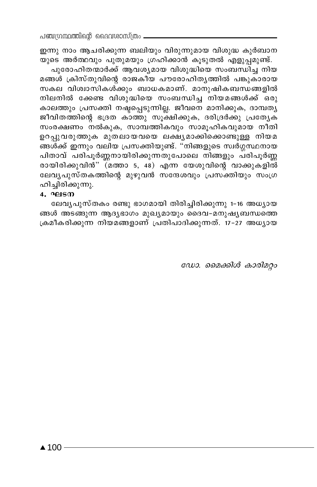ഇന്നു നാം ആചരിക്കുന്ന ബലിയും വിരുന്നുമായ വിശുദ്ധ കുർബാന യുടെ അർത്ഥവും പുതുമയും ഗ്രഹിക്കാൻ കൂടുതൽ എളുപ്പമുണ്ട്.

പുരോഹിതന്മാർക്ക് ആവശ്യമായ വിശുദ്ധിയെ സംബന്ധിച്ച നിയ മങ്ങൾ ക്രിസ്തുവിന്റെ രാജകീയ പൗരോഹിത്യത്തിൽ പങ്കുകാരായ സകല വിശ്വാസികൾ്ക്കും ബാധകമാണ്. മാനുഷികബന്ധങ്ങളിൽ നിലനിൽ ക്കേണ്ട വിശുദ്ധിയെ സംബന്ധിച്ച നിയമങ്ങൾക്ക് ഒരു കാലത്തും പ്രസക്തി നഷ്ടപ്പെടുന്നില്ല. ജീവനെ മാനിക്കുക, ദാമ്പതൃ ജീവിതത്തിന്റെ ഭദ്രത കാത്തു സൂക്ഷിക്കുക, ദരിദ്രർക്കു പ്രത്യേക സംരക്ഷണം നൽകുക, സാമ്പത്തികവും സാമൂഹികവുമായ നീതി ഉറപ്പുവരുത്തുക മുതലായവയെ ലക്ഷ്യമാക്കിക്കൊണ്ടുള്ള നിയമ ങ്ങൾക്ക് ഇന്നും വലിയ പ്രസക്തിയുണ്ട്. "നിങ്ങളുടെ സ്വർഗ്ഗസ്ഥനായ പിതാവ് പരിപൂർണ്ണനായിരിക്കുന്നതുപോലെ നിങ്ങളും പരിപൂർണ്ണ രായിരിക്കുവിൻ" (മത്താ 5, 48) എന്ന യേശുവിന്റെ വാക്കുകളിൽ ലേവൃപുസ്തകത്തിന്റെ മുഴുവൻ സന്ദേശവും പ്രസക്തിയും സംഗ്ര ഹിച്ചിരിക്കുന്നു.

#### $4.9<sup>2</sup>$ ലടന

ലേവ്യപുസ്തകം രണ്ടു ഭാഗമായി തിരിച്ചിരിക്കുന്നു 1-16 അധ്യായ ങ്ങൾ അടങ്ങുന്ന ആദ്യഭാഗം മുഖ്യമായും ദൈവ-മനുഷ്യബന്ധത്തെ ക്രമീകരിക്കുന്ന നിയമങ്ങളാണ് പ്രതിപാദിക്കുന്നത്. 17–27 അധ്യായ

ഡോ. മൈക്കിൾ കാരിമറ്റം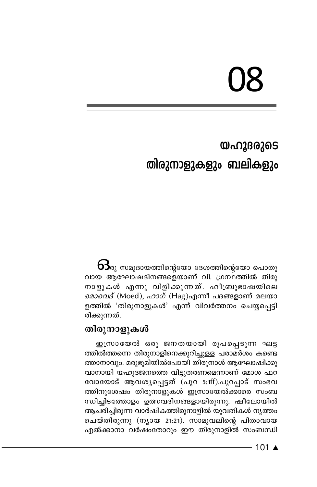# 08

# യഹൂദരുടെ തിരുനാളുകളും ബലികളും

 $\mathbf{\Theta}$ ു സമുദായത്തിന്റെയോ ദേശത്തിന്റെയോ പൊതു വായ ആഘോഷദിനങ്ങളെയാണ് വി. ഗ്രന്ഥത്തിൽ തിരു നാളുകൾ എന്നു വിളിക്കുന്നത്. ഹീബ്രുഭാഷയിലെ മൊവെദ് (Moed), ഹാഗ് (Hag)എന്നീ പദങ്ങളാണ് മലയാ ളത്തിൽ 'തിരുനാളുകൾ' എന്ന് വിവർത്തനം ചെയ്യപ്പെട്ടി രിക്കുന്നത്.

# തിരുനാളുകൾ

ഇസ്രായേൽ ഒരു ജനതയായി രൂപപ്പെടുന്ന ഘട്ട ത്തിൽത്തന്നെ തിരുനാളിനെക്കുറിച്ചുള്ള പരാമർശം കണ്ടെ ത്താനാവും. മരുഭൂമിയിൽപോയി തിരുനാൾ ആഘോഷിക്കു വാനായി യഹൂദജനത്തെ വിട്ടുതരണമെന്നാണ് മോശ ഫറ വോയോട് ആവശ്യപ്പെട്ടത് (പുറ 5:1ff).പുറപ്പാട് സംഭവ ത്തിനുശേഷം തിരുനാളുകൾ ഇസ്രായേൽക്കാരെ സംബ ന്ധിച്ചിടത്തോളം ഉത്സവദിനങ്ങളായിരുന്നു. ഷീലോയിൽ ആചരിച്ചിരുന്ന വാർഷികത്തിരുനാളിൽ യുവതികൾ നൃത്തം ചെയ്തിരുന്നു (ന്യായ 21:21). സാമുവലിന്റെ പിതാവായ എൽക്കാനാ വർഷംതോറും ഈ തിരുനാളിൽ സംബന്ധി

 $101 \triangle$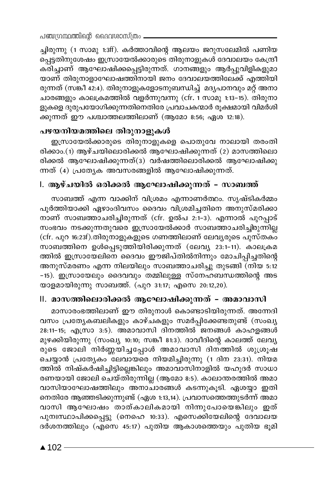ച്ചിരുന്നു (1 സാമു 1:3ff). കർത്താവിന്റെ ആലയം ജറുസലേമിൽ പണിയ പ്പെട്ടതിനുശേഷം ഇസ്രായേൽക്കാരുടെ തിരുനാളുകൾ ദേവാലയം കേന്ദ്രീ കരിച്ചാണ് ആഘോഷിക്കപ്പെട്ടിരുന്നത്. ഗാനങ്ങളും ആർപ്പുവിളികളുമാ യാണ് തിരുനാളാഘോഷത്തിനായി ജനം ദേവാലയത്തിലേക്ക് എത്തിയി രുന്നത് (സങ്കീ 42:4). തിരുനാളുകളോടനുബന്ധിച്ച് മദ്യപാനവും മറ്റ് അനാ ചാരങ്ങളും കാലക്രമത്തിൽ വളർന്നുവന്നു (cfr. 1 സാമു 1:13–15). തിരുനാ ളുകളെ ദുരുപയോഗിക്കുന്നതിനെതിരേ പ്രവാചകന്മാർ രൂക്ഷമായി വിമർശി ക്കുന്നത് ഈ പശ്ചാത്തലത്തിലാണ് (ആമോ 8:56; ഏശ 12:18).

# പഴയനിയമത്തിലെ തിരുനാളുകൾ

ഇസ്രായേൽക്കാരുടെ തിരുനാളുകളെ പൊതുവേ നാലായി തരംതി രിക്കാം.(1) ആഴ്ചയിലൊരിക്കൽ ആഘോഷിക്കുന്നത് (2) മാസത്തിലൊ രിക്കൽ ആഘോഷിക്കുന്നത്(3) വർഷത്തിലൊരിക്കൽ ആഘോഷിക്കു ന്നത് (4) പ്രത്യേക അവസരങ്ങളിൽ ആഘോഷിക്കുന്നത്.

# l. ആഴ്ചയിൽ ഒരിക്കൽ ആഘോഷിക്കുന്നത് – സാബത്ത്

സാബത്ത് എന്ന വാക്കിന് വിശ്രമം എന്നാണർത്ഥം. സൃഷ്ടികർമ്മം പൂർത്തിയാക്കി ഏഴാംദിവസം ദൈവം വിശ്രമിച്ചതിനെ അനുസ്മരിക്കാ നാണ് സാബത്താചരിച്ചിരുന്നത് (cfr. ഉൽപ 2:1-3). എന്നാൽ പുറപ്പാട് സംഭവം നടക്കുന്നതുവരെ ഇസ്രായേൽക്കാർ സാബത്താചരിച്ചിരുന്നില്ല (cfr. പുറ 16:23f).തിരുനാളുകളുടെ ഗണത്തിലാണ് ലേവൃരുടെ പുസ്തക്ക് സാബത്തിനെ ഉൾപ്പെടുത്തിയിരിക്കുന്നത് (ലേവ്യ 23:1-11). കാലക്രമ ത്തിൽ ഇസ്രായേലിനെ ദൈവം ഈജിപ്തിൽനിന്നും മോചിപ്പിച്ചതിന്റെ അനുസ്മരണം എന്ന നിലയിലും സാബത്താചരിച്ചു തുടങ്ങി (നിയ 5:12 -15). ഇസ്രായേലും ദൈവവും തമ്മിലുള്ള സ്നേഹബന്ധത്തിന്റെ അട യാളമായിരുന്നു സാബത്ത്. (പുറ 31:17; എസെ 20:12,20).

# II. മാസത്തിലൊരിക്കൽ ആഘോഷിക്കുന്നത് – അമാവാസി

മാസാരംഭത്തിലാണ് ഈ തിരുനാൾ കൊണ്ടാടിയിരുന്നത്. അന്നേദി വസം പ്രത്യേകബലികളും കാഴ്ചകളും സമർപ്പിക്കേണ്ടതുണ്ട് (സംഖ്യ 28:11-15; എസ്രാ 3:5). അമാവാസി ദിനത്തിൽ ജനങ്ങൾ കാഹളങ്ങൾ മുഴക്കിയിരുന്നു (സംഖ്യ 10:10; സങ്കീ 81:3). ദാവീദിന്റെ കാലത്ത് ലേവ്യ രുടെ ജോലി നിർണ്ണയിച്ചപ്പോൾ അമാവാസി ദിന്ത്തിൽ ശുശ്രൂഷ ചെയ്യാൻ പ്രത്യേകം ലേവായരെ നിയമിച്ചിരുന്നു (1 ദിന 23:31). നിയമ ത്തിൽ നിഷ്കർഷിച്ചിട്ടില്ലെങ്കിലും അമാവാസിനാളിൽ യഹുദർ സാധാ രണയായി ജോലി ചെയ്തിരുന്നില്ല (ആമോ 8:5). കാലാന്തരത്തിൽ അമാ വാസിയാഘോഷത്തിലും അനാചാരങ്ങൾ കടന്നുകൂടി. ഏശയ്യാ ഇതി നെതിരേ ആഞ്ഞടിക്കുന്നുണ്ട് (ഏശ 1:13,14). പ്രവാസത്തെത്തുടർന്ന് അമാ വാസി ആഘോഷം താത്കാലികമായി നിന്നുപോയെങ്കിലും ഇത് പുനഃസ്ഥാപിക്കപ്പെട്ടു (നെഹെ 10:33). എസെക്കിയേലിന്റെ ദേവാലയ ദർശനത്തിലും (എസെ 45:17) പുതിയ ആകാശത്തെയും പുതിയ ഭൂമി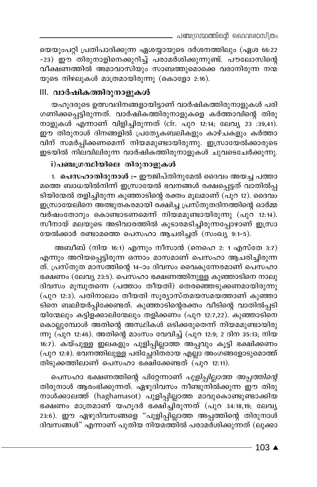യെയുംപറ്റി പ്രതിപാദിക്കുന്ന ഏശയ്യായുടെ ദർശനത്തിലും (ഏശ 66:22 -23) ഈ തിരുനാളിനെക്കുറിച്ച് പരാമർശിക്കുന്നുണ്ട്. പൗലോസിന്റെ വീക്ഷണത്തിൽ അമാവാസിയും സാബത്തുമൊക്കെ വരാനിരുന്ന നന്മ യുടെ നിഴലുകൾ മാത്രമായിരുന്നു (കൊളോ 2:16).

# III. വാർഷികത്തിരുനാളുകൾ

യഹുദരുടെ ഉത്സവദിനങ്ങളായിട്ടാണ് വാർഷികത്തിരുനാളുകൾ പരി ഗണിക്കപ്പെട്ടിരുന്നത്. വാർഷികത്തിരുനാളുകളെ കർത്താവിന്റെ തിരു നാളുകൾ എന്നാണ് വിളിച്ചിരുന്നത് (cfr. പുറ 12:14; ലേവ്യ 23 :39,41). ഈ തിരുനാൾ ദിനങ്ങളിൽ പ്രത്യേകബലികളും കാഴ്ചകളും കർത്താ വിന് സമർപ്പിക്കണമെന്ന് നിയമമുണ്ടായിരുന്നു. ഇസ്രായേൽക്കാരുടെ ഇടയിൽ നിലവിലിരുന്ന വാർഷികത്തിരുനാളുകൾ ചുവടെചേർക്കുന്നു.

# i)പഞ്ചഗ്രന്ഥിയിലെ തിരുനാളുകൾ

1. പെസഹാതിരുനാൾ :- ഈജിപ്തിനുമേൽ ദൈവം അയച്ച പത്താ മത്തെ ബാധയിൽനിന്ന് ഇസ്രായേൽ ഭവനങ്ങൾ രക്ഷപ്പെട്ടത് വാതിൽപ്പ ടിയിന്മേൽ തളിച്ചിരുന്ന കുഞ്ഞാടിന്റെ രക്തം മൂലമാണ് (പുറ 12). ദൈവം ഇസ്രായേലിനെ അത്ഭുതകരമായി രക്ഷിച്ച പ്രസ്തുതദിനത്തിന്റെ ഓർമ്മ വർഷംതോറും കൊണ്ടാടണമെന്ന് നിയമമുണ്ടായിരുന്നു (പുറ 12:14). സീനായ് മലയുടെ അടിവാരത്തിൽ കൂടാരമടിച്ചിരുന്നപ്പോഴാണ് ഇസ്രാ യേൽക്കാർ രണ്ടാമത്തെ പെസഹാ ആചരിച്ചത് (സംഖ്യ 9:1-5).

അബീബ് (നിയ 16:1) എന്നും നീസാൻ (നെഹെ 2: 1 എസ്തേ 3:7) എന്നും അറിയപ്പെട്ടിരുന്ന ഒന്നാം മാസമാണ് പെസഹാ ആചരിച്ചിരുന്ന ത്. പ്രസ്തുത മാസത്തിന്റെ 14-ാം ദിവസം വൈകുന്നേരമാണ് പെസഹാ ഭക്ഷണം (ലേവ്യ 23:5). പെസഹാ ഭക്ഷണത്തിനുള്ള കുഞ്ഞാടിനെ നാലു ദിവസം മുമ്പുതന്നെ (പത്താം തീയതി) തെരഞ്ഞെടുക്കണമായിരുന്നു (പുറ 12:3). പതിനാലാം തീയതി സൂര്യാസ്തമയസമയത്താണ് കുഞ്ഞാ ടിനെ ബലിയർപ്പിക്കേണ്ടത്. കുഞ്ഞാടിന്റെരക്തം വീടിന്റെ വാതിൽപ്പടി യിന്മേലും കട്ടിളക്കാലിന്മേലും തളിക്കണം (പുറ 12:7,22). കുഞ്ഞാടിനെ കൊല്ലുമ്പോൾ അതിന്റെ അസ്ഥികൾ ഒടിക്കരുതെന്ന് നിയമമുണ്ടായിരു ന്നു (പുറ 12:46). അതിന്റെ മാംസം വേവിച്ച് (പുറ 12:9; 2 ദിന 35:13; നിയ 16:7). കയ്പുള്ള ഇലകളും പുളിപ്പില്ലാത്ത അപ്പവും കൂട്ടി ഭക്ഷിക്കണം (പുറ 12:8). ഭവനത്തിലുള്ള പരിച്ചേദിതരായ എല്ലാ അംഗങ്ങളോടുമൊത്ത് തിടുക്കത്തിലാണ് പെസഹാ ഭക്ഷിക്കേണ്ടത് (പുറ 12:11).

പെസഹാ ഭക്ഷണത്തിന്റെ പിറ്റേന്നാണ് *പുളിപ്പില്ലാത്ത അപ്പത്തിന്റെ* തിരുനാൾ ആരംഭിക്കുന്നത്. ഏഴുദിവസം നീണ്ടുനിൽക്കുന്ന ഈ തിരു നാൾക്കാലത്ത് (haghamasot) പുളിപ്പില്ലാത്ത മാവുകൊണ്ടുണ്ടാക്കിയ ഭക്ഷണം മാത്രമാണ് യഹൂദർ ഭക്ഷിച്ചിരുന്നത് (പുറ 34:18,19; ലേവൃ 23:6). ഈ ഏഴുദിവസങ്ങളെ "പുളിപ്പില്ലാത്ത അപ്പത്തിന്റെ തിരുനാൾ ദിവസങ്ങൾ" എന്നാണ് പുതിയ നിയമത്തിൽ പരാമർശിക്കുന്നത് (ലുക്കാ

 $103$  ▲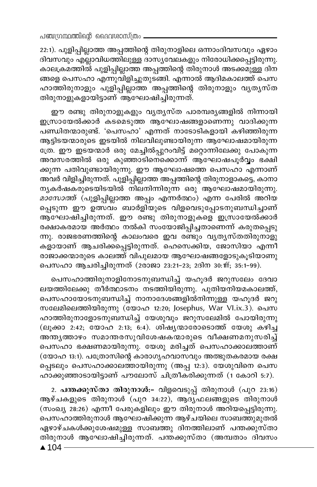22:1). പുളിപ്പില്ലാത്ത അപ്പത്തിന്റെ തിരുനാളിലെ ഒന്നാംദിവസവും ഏഴാം ദിവസവും എല്ലാവിധത്തിലുള്ള ദാസ്യവേലകളും നിരോധിക്കപ്പെട്ടിരുന്നു. കാലക്രമത്തിൽ പുളിപ്പില്ലാത്ത അപ്പത്തിന്റെ തിരുനാൾ അടക്കമുള്ള ദിന ങ്ങളെ പെസഹാ എന്നുവിളിച്ചുതുടങ്ങി. എന്നാൽ ആദിമകാലത്ത് പെസ ഹാത്തിരുനാളും പുളിപ്പില്ലാത്ത അപ്പത്തിന്റെ തിരുനാളും വൃതൃസ്ത തിരുനാളുകളായിട്ടാണ് ആഘോഷിച്ചിരുന്നത്.

ഈ രണ്ടു തിരുനാളുകളും വൃതൃസ്ത പാരമ്പരൃങ്ങളിൽ നിന്നായി ഇസ്രായേൽക്കാർ കടമെടുത്ത ആഘോഷങ്ങളാണെന്നു വാദിക്കുന്ന പണ്ഡിതന്മാരുണ്ട്. 'പെസഹാ' എന്നത് നാടോടികളായി കഴിഞ്ഞിരുന്ന ആട്ടിടയന്മാരുടെ ഇടയിൽ നിലവിലുണ്ടായിരുന്ന ആഘോഷമായിരുന്ന ത്രേ. ഈ ഇടയന്മാർ ഒരു മേച്ചിൽപ്പുറംവിട്ട് മറ്റൊന്നിലേക്കു പോകുന്ന അവസരത്തിൽ ഒരു കുഞ്ഞാടിനെക്കൊന്ന് ആഘോഷപൂർവ്വം ഭക്ഷി ക്കുന്ന പതിവുണ്ടായിരുന്നു. ഈ ആഘോഷത്തെ പെസഹാ എന്നാണ് അവർ വിളിച്ചിരുന്നത്. പുളിപ്പില്ലാത്ത അപ്പത്തിന്റെ തിരുനാളാകട്ടെ, കാനാ നൃകർഷകരുടെയിടയിൽ നിലനിന്നിരുന്ന ഒരു ആഘോഷമായിരുന്നു. *മാസോത്ത്* (പുളിപ്പില്ലാത്ത അപ്പം എന്നർത്ഥം) എന്ന പേരിൽ അറിയ പ്പെടുന്ന ഈ ഉത്സവം ബാർളിയുടെ വിളവെടുപ്പോടനുബന്ധിച്ചാണ് ആഘോഷിച്ചിരുന്നത്. ഈ രണ്ടു തിരുനാളുകളെ ഇസ്രായേൽക്കാർ രക്ഷാകരമായ അർത്ഥം നൽകി സംയോജിപ്പിച്ചതാണെന്ന് കരുതപ്പെടു ന്നു. രാജഭരണത്തിന്റെ കാലംവരെ ഇവ രണ്ടും വൃതൃസ്തതിരുനാളു കളായാണ് ആചരിക്കപ്പെട്ടിരുന്നത്. ഹെസെക്കിയ, ജോസിയാ എന്നീ രാജാക്കന്മാരുടെ കാലത്ത് വിപുലമായ ആഘോഷങ്ങളോടുകൂടിയാണു പെസഹാ ആചരിച്ചിരുന്നത് (2രാജാ 23:21-23; 2ദിന 30:1ff; 35:1-99).

പെസഹാത്തിരുനാളിനോടനുബന്ധിച്ച് യഹുദർ ജറുസലേം ദേവാ ലയത്തിലേക്കു തീർത്ഥാടനം നടത്തിയിരുന്നു. പുതിയനിയമകാലത്ത്, പെസഹായോടനുബന്ധിച്ച് നാനാദേശങ്ങളിൽനിന്നുള്ള യഹൂദർ ജറു സലേമിലെത്തിയിരുന്നു (യോഹ 12:20; Josephus, War VI.ix.3). പെസ ഹാത്തിരുനാളോടനുബന്ധിച്ച് യേശുവും ജറുസലേമിൽ പോയിരുന്നു (ലൂക്കാ 2:42; യോഹ 2:13; 6:4). ശിഷ്യന്മാരോടൊത്ത് യേശു കഴിച്ച .<br>അന്തൃത്താഴം സമാന്തരസുവിശേഷകന്മാരുടെ വീക്ഷണമനുസരിച്ച് പെസഹാ ഭക്ഷണമായിരുന്നു. യേശു മരിച്ചത് പെസഹാക്കാലത്താണ് (യോഹ 13:1). പത്രോസിന്റെ കാരാഗൃഹവാസവും അത്ഭുതകരമായ രക്ഷ പ്പെടലും പെസഹാക്കാലത്തായിരുന്നു (അപ്പ 12:3). യേശുവിനെ പെസ ഹാക്കുഞ്ഞാടായിട്ടാണ് പൗലോസ് ചിത്രീകരിക്കുന്നത് (1 കോറി 5:7).

2. പന്തക്കുസ്താ തിരുനാൾ:- വിളവെടുപ്പ് തിരുനാൾ (പുറ 23:16) ആഴ്ചകളുടെ തിരുനാൾ (പുറ 34:22), ആദ്യഫലങ്ങളുടെ തിരുനാൾ (സംഖ്യ 28:26) എന്നീ പേരുകളിലും ഈ തിരുനാൾ അറിയപ്പെട്ടിരുന്നു. പെസഹാത്തിരുനാൾ ആഘോഷിക്കുന്ന ആഴ്ചയിലെ സാബത്തുമുതൽ ഏഴാഴ്ചകൾക്കുശേഷമുള്ള സാബത്തു ദിനത്തിലാണ് പന്തക്കുസ്താ തിരുനാൾ ആഘോഷിച്ചിരുന്നത്. പന്തക്കുസ്താ (അമ്പതാം ദിവസം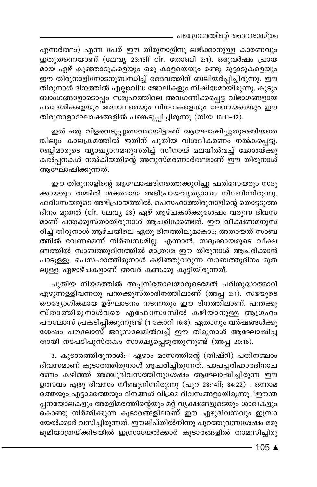എന്നർത്ഥം) എന്ന പേര് ഈ തിരുനാളിനു ലഭിക്കാനുള്ള കാരണവും .<br>ഇതുതന്നെയാണ് (ലേവ്യ 23:15ff cfr. തോബി 2:1). ഒരുവർഷം പ്രായ മായ ഏഴ് കുഞ്ഞാടുകളെയും ഒരു കാളയെയും രണ്ടു മുട്ടാടുകളെയും ഈ തിരുനാളിനോടനുബന്ധിച്ച് ദൈവത്തിന് ബലിയർപ്പിച്ചിരുന്നു. ഈ തിരുനാൾ ദിനത്തിൽ എല്ലാവിധ ജോലികളും നിഷിദ്ധമായിരുന്നു. കുടും ബാംഗങ്ങളോടൊപ്പം സമൂഹത്തിലെ അവഗണിക്കപ്പെട്ട വിഭാഗങ്ങളായ പരദേശികളെയും അനാഥരെയും വിധവകളെയും ലേവായരെയും ഈ തിരുനാളാഘോഷങ്ങളിൽ പങ്കെടുപ്പിച്ചിരുന്നു (നിയ 16:11-12).

ഇത് ഒരു വിളവെടുപ്പുത്സവമായിട്ടാണ് ആഘോഷിച്ചുതുടങ്ങിയതെ ങ്കിലും കാലക്രമത്തിൽ ഇതിന് പുതിയ വിശദീകരണം നൽകപ്പെട്ടു. റബ്ബ്മാരുടെ വ്യാഖ്യാനമനുസരിച്ച് സീനായ് മലയിൽവച്ച് മോശയ്ക്കു കൽപ്പനകൾ നൽകിയതിന്റെ അനുസ്മരണാർത്ഥമാണ് ഈ തിരുനാൾ ആഘോഷിക്കുന്നത്.

ഈ തിരുനാളിന്റെ ആഘോഷദിനത്തെക്കുറിച്ചു ഫരിസേയരും സദു ക്കായരും തമ്മിൽ ശക്തമായ അഭിപ്രായവൃത്യാസം നിലനിന്നിരുന്നു. ഫരിസേയരുടെ അഭിപ്രായത്തിൽ, പെസഹാത്തിരുനാളിന്റെ തൊട്ടടുത്ത ദിനം മുതൽ (cfr. ലേവൃ 23) ഏഴ് ആഴ്ചകൾക്കുശേഷം വരുന്ന ദിവസ മാണ് പന്തക്കുസ്താതിരുനാൾ ആചരിക്കേണ്ടത്. ഈ വീക്ഷണമനുസ രിച്ച് തിരുനാൾ ആഴ്ചയിലെ ഏതു ദിനത്തിലുമാകാം, അതായത് സാബ ത്തിൽ വേണമെന്ന് നിർബന്ധമില്ല. എന്നാൽ, സദുക്കായരുടെ വീക്ഷ ണത്തിൽ സാബത്തുദിനത്തിൽ മാത്രമേ ഈ തിരുനാൾ ആചരിക്കാൻ പാടുള്ളൂ. പെസഹാത്തിരുനാൾ കഴിഞ്ഞുവരുന്ന സാബത്തുദിനം മുത ലുള്ള ഏഴാഴ്ചകളാണ് അവർ കണക്കു കൂട്ടിയിരുന്നത്.

പുതിയ നിയമത്തിൽ അപ്പസ്തോലന്മാരുടെമേൽ പരിശുദ്ധാത്മാവ് എഴുന്നള്ളിവന്നതു പന്തക്കുസ്താദിനത്തിലാണ് (അപ്പ 2:1). സഭയുടെ ഔദ്യോഗികമായ ഉദ്ഘാടനം നടന്നതും ഈ ദിനത്തിലാണ്. പന്തക്കു സ്താത്തിരുനാൾവരെ എഫേസോസിൽ കഴിയാനുള്ള ആഗ്രഹം പൗലോസ് പ്രകടിപ്പിക്കുന്നുണ്ട് (1 കോറി 16:8). ഏതാനും വർഷങ്ങൾക്കു ശേഷം പൗലോസ് ജറുസലേമിൽവച്ച് ഈ തിരുനാൾ ആഘോഷിച്ച് തായി നടപടിപുസ്തകം സാക്ഷ്യപ്പെടുത്തുന്നുണ്ട് (അപ്പ 20:16).

3. കൂടാരത്തിരുനാൾ:- ഏഴാം മാസത്തിന്റെ (തിഷ്റി) പതിനഞ്ചാം ദിവസമാണ് കൂടാരത്തിരുനാൾ ആചരിച്ചിരുന്നത്. പാപപ്പരിഹാരദിനാച രണം കഴിഞ്ഞ് അഞ്ചുദിവസത്തിനുശേഷം ആഘോഷിച്ചിരുന്ന ഈ ഉത്സവം ഏഴു ദിവസം നീണ്ടുനിന്നിരുന്നു (പുറ 23:14ff; 34:22) . ഒന്നാമ ത്തെയും എട്ടാമത്തെയും ദിനങ്ങൾ വിശ്രമ ദിവസങ്ങളായിരുന്നു. 'ഈന്ത പ്പനയോലകളും അരളിമരത്തിന്റെയും മറ്റ് വൃക്ഷങ്ങളുടെയും ശാഖകളും കൊണ്ടു നിർമ്മിക്കുന്ന കൂടാരങ്ങളിലാണ് ഈ ഏഴുദിവസവും ഇസ്രാ യേൽക്കാർ വസിച്ചിരുന്നത്. ഈജിപ്തിൽനിന്നു പുറത്തുവന്നശേഷം മരു ഭൂമിയാത്രയ്ക്കിടയിൽ ഇസ്രായേൽക്കാർ കൂടാരങ്ങളിൽ താമസിച്ചിരു

- 105 ▲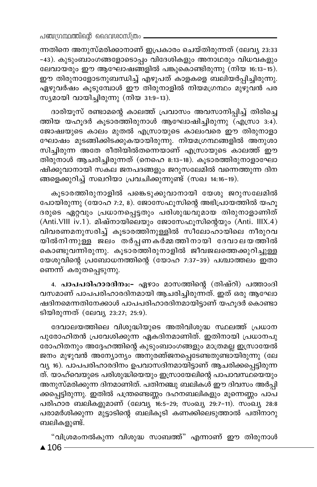ന്നതിനെ അനുസ്മരിക്കാനാണ് ഇപ്രകാരം ചെയ്തിരുന്നത് (ലേവ്യ 23:33 -43). കുടുംബാംഗങ്ങളോടൊപ്പം വിദേശികളും അനാഥരും വിധവകളും ലേവായരും ഈ ആഘോഷങ്ങളിൽ പങ്കുകൊണ്ടിരുന്നു (നിയ 16:13-15). ഈ തിരുനാളോടനുബന്ധിച്ച് എഴുപത് കാളകളെ ബലിയർപ്പിച്ചിരുന്നു. ഏഴുവർഷം കൂടുമ്പോൾ ഈ തിരുനാളിൽ നിയമഗ്രന്ഥം മുഴുവൻ പര സ്യമായി വായിച്ചിരുന്നു (നിയ 31:9-13).

ദാരിയുസ് രണ്ടാമന്റെ കാലത്ത് പ്രവാസം അവസാനിപ്പിച്ച് തിരിച്ചെ ത്തിയ യഹൂദർ കൂടാരത്തിരുനാൾ ആഘോഷിച്ചിരുന്നു (എസ്രാ 3:4). ജോഷ്വയുടെ കാലം മുതൽ എസ്രായുടെ കാലംവരെ ഈ തിരുനാളാ ഘോഷം മുടങ്ങിക്കിടക്കുകയായിരുന്നു. നിയമഗ്രന്ഥങ്ങളിൽ അനുശാ സിച്ചിരുന്ന അതേ രീതിയിൽതന്നെയാണ് എസ്രായുടെ കാലത്ത് ഈ തിരുനാൾ ആചരിച്ചിരുന്നത് (നെഹെ 8:13–18). കൂടാരത്തിരുനാളാഘോ ഷിക്കുവാനായി സകല ജനപദങ്ങളും ജറുസലേമിൽ വന്നെത്തുന്ന ദിന ങ്ങളെക്കുറിച്ച് സഖറിയാ പ്രവചിക്കുന്നുണ്ട് (സഖ 14:16-19).

കുടാരത്തിരുനാളിൽ പങ്കെടുക്കുവാനായി യേശു ജറുസലേമിൽ പോയിരുന്നു (യോഹ 7:2, 8). ജോസേഫുസിന്റെ അഭിപ്രായത്തിൽ യഹു ദരുടെ ഏറ്റവും പ്രധാനപ്പെട്ടതും പരിശുദ്ധവുമായ തിരുനാളാണിത് (Anti. VIII iv. 1). മിഷ്നായിലെയും ജോസേഫുസിന്റെയും (Anti. IIIX.4) വിവരണമനുസരിച്ച് കുടാരത്തിനുള്ളിൽ സീലോഹായിലെ നീരുറവ യിൽനിന്നുള്ള ജലം തർപ്പണകർമ്മത്തിനായി ദേവാലയത്തിൽ കൊണ്ടുവന്നിരുന്നു. കൂടാര്ത്തിരുനാളിൽ ജീവജലത്തെക്കുറിച്ചുള്ള യേശുവിന്റെ പ്രബോധനത്തിന്റെ (യോഹ 7:37-39) പശ്ചാത്തലം ഇതാ ണെന്ന് കരുതപ്പെടുന്നു.

4. പാപപരിഹാരദിനം:- ഏഴാം മാസത്തിന്റെ (തിഷ്റി) പത്താംദി വസമാണ് പാപപരിഹാരദിനമായി ആചരിച്ചിരുന്നത്. ഇത് ഒരു ആഘോ ഷദിനമെന്നതിനേക്കാൾ പാപപരിഹാരദിനമായിട്ടാണ് യഹൂദർ കൊണ്ടാ ടിയിരുന്നത് (ലേവ്യ 23:27; 25:9).

ദേവാലയത്തിലെ വിശുദ്ധിയുടെ അതിവിശുദ്ധ സ്ഥലത്ത് പ്രധാന പുരോഹിതൻ പ്രവേശിക്കുന്ന ഏകദിനമാണിത്. ഇതിനായി പ്രധാനപു രോഹിതനും അദ്ദേഹത്തിന്റെ കുടുംബാംഗങ്ങളും മാത്രമല്ല ഇസ്രായേൽ ജനം മുഴുവൻ അന്യോന്യം അനുരഞ്ജനപ്പെടേണ്ടതുണ്ടായിരുന്നു (ലേ വ്യ 16). പാപപരിഹാരദിനം ഉപവാസദിനമായിട്ടാണ് ആചരിക്കപ്പെട്ടിരുന്ന ത്. യാഹ്വെയുടെ പരിശുദ്ധിയെയും ഇസ്രായേലിന്റെ പാപാവസ്ഥയെയും അനുസ്മരിക്കുന്ന ദിനമാണിത്. പതിനഞ്ചു ബലികൾ ഈ ദിവസം അർപ്പി ക്കപ്പെട്ടിരുന്നു. ഇതിൽ പന്ത്രണ്ടെണ്ണം ദഹനബലികളും മൂന്നെണ്ണം പാപ പരിഹാര ബലികളുമാണ് (ലേവ്യ 16:5-29; സംഖ്യ 29:7-11). സംഖ്യ 28:8 പരാമർശിക്കുന്ന മുട്ടാടിന്റെ ബലികൂടി കണക്കിലെടുത്താൽ പതിനാറു ബലികളുണ്ട്.

"വിശ്രമംനൽകുന്ന വിശുദ്ധ സാബത്ത്" എന്നാണ് ഈ തിരുനാൾ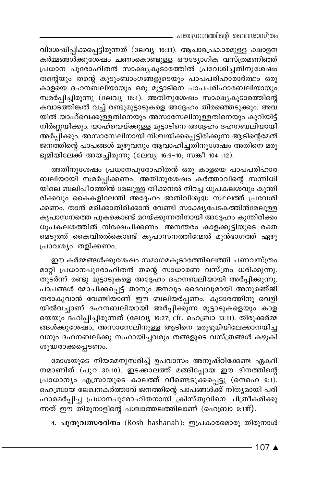\_ പഞ്ചഗ്രന്ഥത്തിന്റെ ദൈവശാസ്ത്രം

വിശേഷിപ്പിക്കപ്പെട്ടിരുന്നത് (ലേവ്യ 16:31). ആചാരപ്രകാരമുള്ള ക്ഷാളന കർമ്മങ്ങൾക്കുശേഷം ചണംകൊണ്ടുള്ള ഔദ്യോഗിക വസ്ത്രമണിഞ്ഞ് പ്രധാന പുരോഹിതൻ സാക്ഷ്യകൂടാരത്തിൽ പ്രവേശിച്ചതിനുശേഷം തന്റെയും തന്റെ കുടുംബാംഗങ്ങളുടെയും പാപപരിഹാരാർത്ഥം ഒരു കാളയെ ദഹനബലിയായും ഒരു മുട്ടാടിനെ പാപപരിഹാരബലിയായും സമർപ്പിച്ചിരുന്നു (ലേവ്യ 16:4). അതിനുശേഷം സാക്ഷ്യകൂടാരത്തിന്റെ കവാടത്തിങ്കൽ വച്ച് രണ്ടുമുട്ടാടുകളെ അദ്ദേഹം തിരഞ്ഞെടുക്കും. അവ യിൽ യാഹ്വെക്കുള്ളതിനെയും അസാസേലിനുള്ളതിനെയും കുറിയിട്ട് നിർണ്ണയിക്കും. യാഹ്വെയ്ക്കുള്ള മുട്ടാടിനെ അദ്ദേഹം ദഹനബലിയായി അർപ്പിക്കും. അസാസേലിനായി നിശ്ചയിക്കപ്പെട്ടിരിക്കുന്ന ആടിന്റെമേൽ ജനത്തിന്റെ പാപങ്ങൾ മുഴുവനും ആവാഹിച്ചതിനുശേഷം അതിനെ മരു ഭൂമിയിലേക്ക് അയച്ചിരുന്നു (ലേവ്യ 16:9-10; സങ്കീ 104 :12).

അതിനുശേഷം പ്രധാനപുരോഹിതൻ ഒരു കാളയെ പാപപരിഹാര ബലിയായി സമർപ്പിക്കണം. അതിനുശേഷം കർത്താവിന്റെ സന്നിധി യിലെ ബലിപീഠത്തിൻ മേലുള്ള തീക്കനൽ നിറച്ച ധൂപകലശവും കുന്തി രിക്കവും കൈകളിലേന്തി അദ്ദേഹം അതിവിശുദ്ധ സ്ഥലത്ത് പ്രവേശി ക്കണം. താൻ മരിക്കാതിരിക്കാൻ വേണ്ടി സാക്ഷ്യപേടകത്തിൻമേലുള്ള കൃപാസനത്തെ പുകകൊണ്ട് മറയ്ക്കുന്നതിനായി അദ്ദേഹം കുന്തിരിക്കം ധൂപകലശത്തിൽ നിക്ഷേപിക്കണം. അനന്തരം കാളക്കുട്ടിയുടെ രക്ത മെടുത്ത് കൈവിരൽകൊണ്ട് കൃപാസനത്തിന്മേൽ മുൻഭാഗത്ത് ഏഴു പ്രാവശ്യം തളിക്കണം.

ഈ കർമ്മങ്ങൾക്കുശേഷം സമാഗമകൂടാരത്തിലെത്തി ചണവസ്ത്രം മാറ്റി പ്രധാനപുരോഹിതൻ തന്റെ സാധാരണ വസ്ത്രം ധരിക്കുന്നു. തുടർന്ന് രണ്ടു മുട്ടാടുകളെ അദ്ദേഹം ദഹനബലിയായി അർപ്പിക്കുന്നു. പാപങ്ങൾ മോചിക്കപ്പെട്ട് താനും ജനവും ദൈവവുമായി അനുരഞ്ജി തരാകുവാൻ വേണ്ടിയാണ് ഈ ബലിയർപ്പണം. കൂടാരത്തിനു വെളി യിൽവച്ചാണ് ദഹനബലിയായി അർപ്പിക്കുന്ന മുട്ടാടുകളെയും കാള യെയും ദഹിപ്പിച്ചിരുന്നത് (ലേവ്യ 16:27; cfr. ഹെബ്രാ 13:11). തിരുക്കർമ്മ ങ്ങൾക്കുശേഷം, അസാസേലിനുള്ള ആടിനെ മരുഭുമിയിലേക്കാനയിച്ച വനും ദഹനബലിക്കു സഹായിച്ചവരും തങ്ങളുടെ വസ്ത്രങ്ങൾ കഴുകി ശുദ്ധരാക്കപ്പെടണം.

മോശയുടെ നിയമമനുസരിച്ച് ഉപവാസം അനുഷ്ഠിക്കേണ്ട ഏകദി നമാണിത് (പുറ 30:10). ഇടക്കാലത്ത് മങ്ങിപ്പോയ ഈ ദിനത്തിന്റെ പ്രാധാന്യം എസ്രായുടെ കാലത്ത് വീണ്ടെടുക്കപ്പെട്ടു (നെഹെ 9:1). ഹെബ്രായ ലേഖനകർത്താവ് ജനത്തിന്റെ പാപങ്ങൾക്ക് നിത്യമായി പരി ഹാരമർപ്പിച്ച പ്രധാനപുരോഹിതനായി ക്രിസ്തുവിനെ ചിത്രീകരിക്കു ന്നത് ഈ തിരുനാളിന്റെ പശ്ചാത്തലത്തിലാണ് (ഹെബ്രാ 9:11ff).

4. പുതുവത്സരദിനം (Rosh hashanah): ഇപ്രകാരമൊരു തിരുനാൾ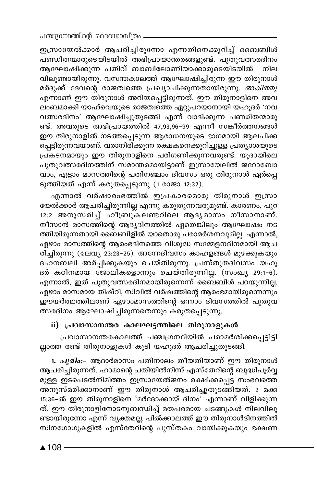ഇസ്രായേൽക്കാർ ആചരിച്ചിരുന്നോ എന്നതിനെക്കുറിച്ച് ബൈബിൾ പണ്ഡിതന്മാരുടെയിടയിൽ അഭിപ്രായാന്തരങ്ങളുണ്ട്. പുതുവത്സരദിനം ആഘോഷിക്കുന്ന പതിവ് ബാബിലോണിയാക്കാരുടെയിടയിൽ നില വിലുണ്ടായിരുന്നു. വസന്തകാലത്ത് ആഘോഷിച്ചിരുന്ന ഈ തിരുനാൾ മർദുക്ക് ദേവന്റെ രാജത്വത്തെ പ്രഖ്യാപിക്കുന്നതായിരുന്നു. *അകിത്തു* എന്നാണ് ഈ തിരുനാൾ അറിയപ്പെട്ടിരുന്നത്. ഈ തിരുനാളിനെ അവ ലംബമാക്കി യാഹ്വെയുടെ രാജത്വത്തെ ഏറ്റുപറയാനായി യഹൂദർ 'നവ വത്സരദിനം' ആഘോഷിച്ചുതുടങ്ങി എന്ന് വാദിക്കുന്ന പണ്ഡിതന്മാരു ണ്ട്. അവരുടെ അഭിപ്രായത്തിൽ 47,93,96-99 എന്നീ സങ്കീർത്തനങ്ങൾ ഈ തിരുനാളിൽ നടത്തപ്പെടുന്ന ആരാധനയുടെ ഭാഗമായി ആലപിക്ക പ്പെട്ടിരുന്നവയാണ്. വരാനിരിക്കുന്ന രക്ഷകനെക്കുറിച്ചുള്ള പ്രത്യാശയുടെ പ്രകടനമായും ഈ തിരുനാളിനെ പരിഗണിക്കുന്നവരുണ്ട്. യൂദായിലെ പുതുവത്സരദിനത്തിന് സമാന്തരമായിട്ടാണ് ഇസ്രായേലിൽ ജറോബോ വാം, എട്ടാം മാസത്തിന്റെ പതിനഞ്ചാം ദിവസം ഒരു തിരുനാൾ ഏർപ്പെ ടുത്തിയത് എന്ന് കരുതപ്പെടുന്നു (1 രാജാ 12:32).

എന്നാൽ വർഷാരംഭത്തിൽ ഇപ്രകാരമൊരു തിരുനാൾ ഇസ്രാ യേൽക്കാർ ആചരിച്ചിരുന്നില്ല എന്നു കരുതുന്നവരുമുണ്ട്. കാരണം, പുറ 12:2 അനുസരിച്ച് ഹീബ്രുകലണ്ടറിലെ ആദൃമാസം നീസാനാണ്. നീസാൻ മാസത്തിന്റെ ആദ്യദിനത്തിൽ ഏതെങ്കിലും ആഘോഷം നട ത്തിയിരുന്നതായി ബൈബിളിൽ യാതൊരു പരാമർശനവുമില്ല. എന്നാൽ, ഏഴാം മാസത്തിന്റെ ആരംഭദിനത്തെ വിശുദ്ധ സമ്മേളനദിന്മായി ആച രിച്ചിരുന്നു (ലേവ്യ`23:23-25). അന്നേദിവസം കാഹളങ്ങൾ മുഴക്കുകയും ദഹനബലി അർപ്പിക്കുകയും ചെയ്തിരുന്നു. പ്രസ്തുതദിവസം യഹൂ ദർ കഠിനമായ ജോലികളൊന്നും ചെയ്തിരുന്നില്ല. (സംഖ്യ 29:1-6). എന്നാൽ, ഇത് പുതുവത്സരദിനമായിരുന്നെന്ന് ബൈബിൾ പറയുന്നില്ല. ഏഴാം മാസമായ തിഷ്റി, സിവിൽ വർഷത്തിന്റെ ആരംഭമായിരുന്നെന്നും ഈയർത്ഥത്തിലാണ് ഏഴാംമാസത്തിന്റെ ഒന്നാം ദിവസത്തിൽ പുതുവ ത്സരദിനം ആഘോഷിച്ചിരുന്നതെന്നും കരുതപ്പെടുന്നു.

# ii) പ്രവാസാനന്തര കാലഘട്ടത്തിലെ തിരുനാളുകൾ

പ്രവാസാനന്തരകാലത്ത് പഞ്ചഗ്രന്ഥിയിൽ പരാമർശിക്കപ്പെട്ടിട്ടി ല്ലാത്ത രണ്ട് തിരുനാളുകൾ കൂടി യഹൂദർ ആചരിച്ചുതുടങ്ങി.

1. *പൂരിം:*- ആദാർമാസം പതിനാലം തീയതിയാണ് ഈ തിരുനാൾ ആചരിച്ചിരുന്നത്. ഹാമാന്റെ ചതിയിൽനിന്ന് എസ്തേറിന്റെ ബുദ്ധിപൂർവ്വ മുള്ള ഇടപെടൽനിമിത്തം ഇസ്രായേൽജനം രക്ഷിക്കപ്പെട്ട സംഭവത്തെ അനുസ്മരിക്കാനാണ് ഈ തിരുനാൾ ആചരിച്ചുതുടങ്ങിയത്. 2 മക്ക 15:36-ൽ ഈ തിരുനാളിനെ 'മർദോക്കായ് ദിനം' എന്നാണ് വിളിക്കുന്ന ത്. ഈ തിരുനാളിനോടനുബന്ധിച്ച് മതപരമായ ചടങ്ങുകൾ നിലവിലു ണ്ടായിരുന്നോ എന്ന് വ്യക്തമല്ല. പിൽക്കാലത്ത് ഈ തിരുനാൾദിനത്തിൽ സിനഗോഗുകളിൽ എസ്തേറിന്റെ പുസ്തകം വായിക്കുകയും ഭക്ഷണ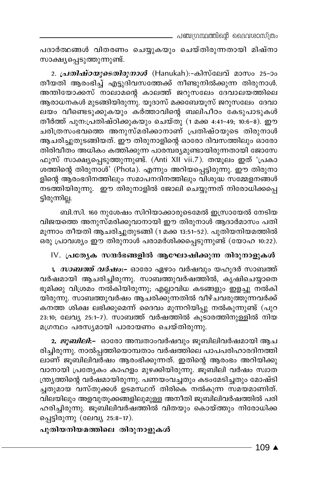പദാർത്ഥങ്ങൾ വിതരണം ചെയ്യുകയും ചെയ്തിരുന്നതായി മിഷ്നാ സാക്ഷ്യപ്പെടുത്തുന്നുണ്ട്.

2. *പ്രതിഷ്ഠയുടെതിരുനാൾ* (Hanukah):-കിസ്ലേവ് മാസം 25-ാം തീയതി ആരംഭിച്ച് എട്ടുദിവസത്തേക്ക് നീണ്ടുനിൽക്കുന്ന തിരുനാൾ. അന്തിയോക്കസ് നാലാമന്റെ കാലത്ത് ജറുസലേം ദേവാലയത്തിലെ ആരാധനകൾ മുടങ്ങിയിരുന്നു. യൂദാസ് മക്കബേയൂസ് ജറുസലേം ദേവാ ലയം വീണ്ടെടുക്കുകയും കർത്താവിന്റെ ബലിപീഠം കേടുപാടുകൾ തീർത്ത് പുന.പ്രതിഷ്ഠിക്കുകയും ചെയ്തു (1 മക്ക 4:41-49; 10:6-8). ഈ ചരിത്രസംഭവത്തെ അനുസ്മരിക്കാനാണ് പ്രതിഷ്ഠയുടെ തിരുനാൾ ആചരിച്ചുതുടങ്ങിയത്. ഈ തിരുനാളിന്റെ ഓരോ ദിവസത്തിലും ഓരോ തിരിവീതം അധികം കത്തിക്കുന്ന പാരമ്പര്യമുണ്ടായിരുന്നതായി ജോസേ ഫൂസ് സാക്ഷ്യപ്പെടുത്തുന്നുണ്ട്. (Anti XII vii.7). തന്മൂലം ഇത് 'പ്രകാ ശത്തിന്റെ തിരുനാൾ' (Phota). എന്നും അറിയപ്പെട്ടിരുന്നു. ഈ തിരുനാ ളിന്റെ ആരംഭദിനത്തിലും സമാപനദിനത്തിലും വിശുദ്ധ സമ്മേളനങ്ങൾ നടത്തിയിരുന്നു. ഈ തിരുനാളിൽ ജോലി ചെയ്യുന്നത് നിരോധിക്കപ്പെ ട്ടിരുന്നില്ല.

ബി.സി. 160 നുശേഷം സിറിയാക്കാരുടെമേൽ ഇസ്രായേൽ നേടിയ വിജയത്തെ അനുസ്മരിക്കുവാനായി ഈ തിരുനാൾ ആദാർമാസം പതി മുന്നാം തീയതി ആചരിച്ചുതുടങ്ങി (1 മക്ക 13:51–52). പുതിയനിയമത്തിൽ .<br>ഒരു പ്രാവശ്യം ഈ തിരുനാൾ പരാമർശിക്കപ്പെടുന്നുണ്ട് (യോഹ 10:22).

#### IV. പ്രത്യേക സന്ദർഭങ്ങളിൽ ആഘോഷിക്കുന്ന തിരുനാളുകൾ

1. *സാബത്ത് വർഷം*:– ഓരോ ഏഴാം വർഷവും യഹൂദർ സാബത്ത് വർഷമായി ആചരിച്ചിരുന്നു. സാബത്തുവർഷത്തിൽ, കൃഷിചെയ്യാതെ ഭൂമിക്കു വിശ്രമം നൽകിയിരുന്നു; എല്ലാവിധ കടങ്ങളും ഇളച്ചു നൽകി യിരുന്നു. സാബത്തുവർഷം ആചരിക്കുന്നതിൽ വീഴ്ചവരുത്തുന്നവർക്ക് കനത്ത ശിക്ഷ ലഭിക്കുമെന്ന് ദൈവം മുന്നറിയിപ്പു നൽകുന്നുണ്ട് (പുറ 23:10; ലേവ്യ 25:1-7). സാബത്ത് വർഷത്തിൽ കൂടാരത്തിനുള്ളിൽ നിയ മഗ്രന്ഥം പരസ്യമായി പാരായണം ചെയ്തിരുന്നു.

2. *ജുബിലി*:- ഓരോ അമ്പതാംവർഷവും ജൂബിലിവർഷമായി ആച രിച്ചിരുന്നു. നാൽപ്പത്തിയൊമ്പതാം വർഷത്തിലെ പാപപരിഹാരദിനത്തി ലാണ് ജൂബിലിവർഷം ആരംഭിക്കുന്നത്. ഇതിന്റെ ആരംഭം അറിയിക്കു വാനായി പ്രത്യേകം കാഹളം മുഴക്കിയിരുന്നു. ജുബിലി വർഷം സ്വാത ന്ത്ര്യത്തിന്റെ വർഷമായിരുന്നു. പണയംവച്ചതും കടംമേടിച്ചതും മോഷ്ടി ച്ചതുമായ വസ്തുക്കൾ ഉടമസ്ഥന് തിരികെ നൽകുന്ന സമയമാണിത്. വിലയിലും അളവുതൂക്കങ്ങളിലുമുള്ള അനീതി ജൂബിലിവർഷത്തിൽ പരി ഹരിച്ചിരുന്നു. ജുബിലിവർഷത്തിൽ വിതയും കൊയ്ത്തും നിരോധിക്ക പ്പെട്ടിരുന്നു (ലേവ്യ 25:8-17).

പുതിയനിയമത്തിലെ തിരുനാളുകൾ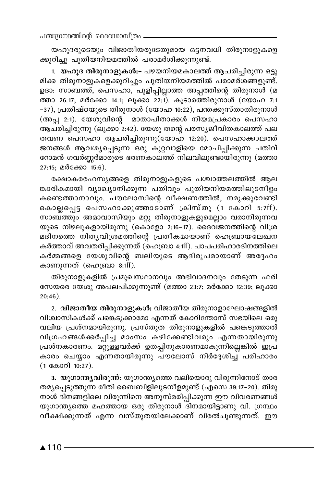പഞ്ചന്ഥ്രന്തിന്റെ ദൈവശാസ്ത്രം

യഹൂദരുടെയും വിജാതീയരുടേതുമായ ഒട്ടനവധി തിരുനാളുകളെ ക്കുറിച്ചു പുതിയനിയമത്തിൽ പരാമർശിക്കുന്നുണ്ട്.

1. യഹൂദ തിരുനാളുകൾ:- പഴയനിയമകാലത്ത് ആചരിച്ചിരുന്ന ഒട്ടു മിക്ക തിരുനാളുകളെക്കുറിച്ചും പുതിയനിയമത്തിൽ പരാമർശങ്ങളുണ്ട്. ഉദാ: സാബത്ത്, പെസഹാ, പുളിപ്പില്ലാത്ത അപ്പത്തിന്റെ തിരുനാൾ (മ ത്താ 26:17; മർക്കോ 14:1; ലൂക്കാ 22:1). കൂടാരത്തിരുനാൾ (യോഹ 7:1 -37), പ്രതിഷ്ഠയുടെ തിരുനാൾ (യോഹ 10:22), പന്തക്കുസ്താതിരുനാൾ (അപ്പ 2:1). യേശുവിന്റെ മാതാപിതാക്കൾ നിയമപ്രകാരം പെസഹാ ആചരിച്ചിരുന്നു (ലൂക്കാ 2:42). യേശു തന്റെ പരസ്യജീവിതകാലത്ത് പല തവണ പെസഹാ ആചരിച്ചിരുന്നു(യോഹ 12:20). പെസഹാക്കാലത്ത് ജനങ്ങൾ ആവശ്യപ്പെടുന്ന ഒരു കുറ്റവാളിയെ മോചിപ്പിക്കുന്ന പതിവ് റോമൻ ഗവർണ്ണർമാരുടെ ഭരണകാലത്ത് നിലവിലുണ്ടായിരുന്നു (മത്താ 27:15; മർക്കോ 15:6).

രക്ഷാകരരഹസ്യങ്ങളെ തിരുനാളുകളുടെ പശ്ചാത്തലത്തിൽ ആല ങ്കാരികമായി വ്യാഖ്യാനിക്കുന്ന പതിവും പുതിയനിയമത്തിലുടനീളം കണ്ടെത്താനാവും. പൗലോസിന്റെ വീക്ഷണത്തിൽ, നമുക്കുവേണ്ടി കൊല്ലപ്പെട്ട പെസഹാക്കുഞ്ഞാടാണ് ക്രിസ്തു (1 കോറി 5:7ff). സാബ്ത്തും അമാവാസിയും മറ്റു തിരുനാളുകളുമെല്ലാം വരാനിരുന്നവ യുടെ നിഴലുകളായിരുന്നു (കൊളോ 2:16-17). ദൈവജനത്തിന്റെ വിശ്ര മദിനത്തെ നിതൃവിശ്രമത്തിന്റെ പ്രതീകമായാണ് ഹെബ്രായലേഖന കർത്താവ് അവതരിപ്പിക്കുന്നത് (ഹെബ്രാ 4:ff). പാപപരിഹാരദിനത്തിലെ കർമ്മങ്ങളെ യേശുവിന്റെ ബലിയുടെ ആദിരൂപമായാണ് അദ്ദേഹം കാണുന്നത് (ഹെബ്രാ  $\sin$ ff).

തിരുനാളുകളിൽ പ്രമുഖസ്ഥാനവും അഭിവാദനവും തേടുന്ന ഫരി സേയരെ യേശു അപലപിക്കുന്നുണ്ട് (മത്താ 23:7; മർക്കോ 12:39; ലുക്കാ  $20:46$ ).

2. വിജാതീയ തിരുനാളുകൾ: വിജാതീയ തിരുനാളാഘോഷങ്ങളിൽ വിശ്വാസികൾക്ക് പങ്കെടുക്കാമോ എന്നത് കോറിന്തോസ് സഭയിലെ ഒരു വലിയ പ്രശ്നമായിരുന്നു. പ്രസ്തുത തിരുനാളുകളിൽ പങ്കെടുത്താൽ വിഗ്രഹങ്ങൾക്കർപ്പിച്ച മാംസം കഴിക്കേണ്ടിവരും എന്നതായിരുന്നു പ്രശ്നകാരണം. മറ്റുള്ളവർക്ക് ഉതപ്പിനുകാരണമാകുന്നില്ലെങ്കിൽ ഇപ്ര കാരം ചെയ്യാം എന്നതായിരുന്നു പൗലോസ് നിർദ്ദേശിച്ച് പരിഹാരം (1 കോറി 10:27).

3. യുഗാന്ത്യവിരുന്ന്: യുഗാന്ത്യത്തെ വലിയൊരു വിരുന്നിനോട് താര തമൃപ്പെടുത്തുന്ന രീതി ബൈബിളിലുടനീളമുണ്ട് (എസെ 39:17–20). തിരു നാൾ ദിനങ്ങളിലെ വിരുന്നിനെ അനുസ്മരിപ്പിക്കുന്ന ഈ വിവരണങ്ങൾ യുഗാന്ത്യത്തെ മഹത്തായ ഒരു തിരുനാൾ ദിനമായിട്ടാണു വി. ഗ്രന്ഥം വീക്ഷിക്കുന്നത് എന്ന വസ്തുതയിലേക്കാണ് വിരൽചുണ്ടുന്നത്. ഈ

 $\triangle$  110 -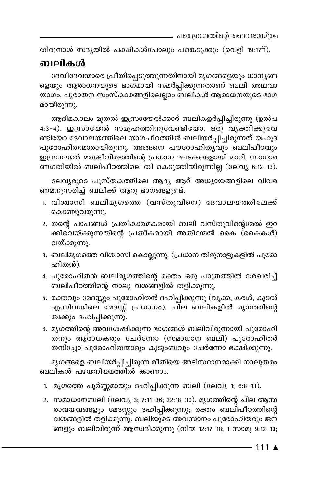. പഞ്ചഗ്രന്ഥത്തിന്റെ ദൈവശാസ്ത്രം

തിരുനാൾ സദൃയിൽ പക്ഷികൾപോലും പങ്കെടുക്കും (വെളി 19:17ff).

### ബലികൾ

ദേവീദേവന്മാരെ പ്രീതിപ്പെടുത്തുന്നതിനായി മൃഗങ്ങളെയും ധാനൃങ്ങ ളെയും ആരാധനയുടെ ഭാഗമായി സമർപ്പിക്കുന്നതാണ് ബലി അഥവാ യാഗം. പുരാതന സംസ്കാരങ്ങളിലെല്ലാം ബലികൾ ആരാധനയുടെ ഭാഗ മായിരുന്നു.

ആദിമകാലം മുതൽ ഇസ്രായേൽക്കാർ ബലികളർപ്പിച്ചിരുന്നു (ഉൽപ 4:3-4). ഇസ്രായേൽ സമൂഹത്തിനുവേണ്ടിയോ, ഒരു വ്യക്തിക്കുവേ ണ്ടിയോ ദേവാലയത്തിലെ യാഗപീഠത്തിൽ ബലിയർപ്പിച്ചിരുന്നത് യഹൂദ പുരോഹിതന്മാരായിരുന്നു. അങ്ങനെ പൗരോഹിതൃവും ബലിപീഠവും ഇസ്രായേൽ മതജീവിതത്തിന്റെ പ്രധാന ഘടകങ്ങളായി മാറി. സാധാര ണഗതിയിൽ ബലിപീഠത്തിലെ തീ കെടുത്തിയിരുന്നില്ല (ലേവ്യ 6:12-13).

ലേവ്യരുടെ പുസ്തകത്തിലെ ആദ്യ ആറ് അധ്യായങ്ങളിലെ വിവര ണമനുസരിച്ച് ബലിക്ക് ആറു ഭാഗങ്ങളുണ്ട്.

- 1. വിശ്വാസി ബലിമൃഗത്തെ (വസ്തുവിനെ) ദേവാലയത്തിലേക്ക് കൊണ്ടുവരുന്നു.
- 2. തന്റെ പാപങ്ങൾ പ്രതീകാത്മകമായി ബലി വസ്തുവിന്റെമേൽ ഇറ ക്കിവെയ്ക്കുന്നതിന്റെ പ്രതീകമായി അതിന്മേൽ കൈ (കൈകൾ) വയ്ക്കുന്നു.
- 3. ബലിമൃഗത്തെ വിശ്വാസി കൊല്ലുന്നു. (പ്രധാന തിരുനാളുകളിൽ പുരോ ഹിതൻ).
- 4. പുരോഹിതൻ ബലിമൃഗത്തിന്റെ രക്തം ഒരു പാത്രത്തിൽ ശേഖരിച്ച് ബലിപീഠത്തിന്റെ നാലു വശങ്ങളിൽ തളിക്കുന്നു.
- 5. രക്തവും മേദസ്സും പുരോഹിതൻ ദഹിപ്പിക്കുന്നു (വൃക്ക, കരൾ, കുടൽ എന്നിവയിലെ മേദസ്സ് പ്രധാനം). ചില ബലികളിൽ മൃഗത്തിന്റെ ത്വക്കും ദഹിപ്പിക്കുന്നു.
- 6. മൃഗത്തിന്റെ അവശേഷിക്കുന്ന ഭാഗങ്ങൾ ബലിവിരുന്നായി പുരോഹി തനും ആരാധകരും ചേർന്നോ (സമാധാന ബലി) പുരോഹിതർ തനിച്ചോ പുരോഹിതന്മാരും കുടുംബവും ചേർന്നോ ഭക്ഷിക്കുന്നു.

മൃഗങ്ങളെ ബലിയർപ്പിച്ചിരുന്ന രീതിയെ അടിസ്ഥാനമാക്കി നാലുതരം ബലികൾ പഴയനിയമത്തിൽ കാണാം.

- 1. മൃഗത്തെ പൂർണ്ണമായും ദഹിപ്പിക്കുന്ന ബലി (ലേവ്യ 1; 6:8-13).
- 2. സമാധാനബലി (ലേവ്യ 3; 7:11-36; 22:18-30). മൃഗത്തിന്റെ ചില ആന്ത രാവയവങ്ങളും മേദസ്സും ദഹിപ്പിക്കുന്നു; രക്തം ബലിപീഠത്തിന്റെ വശങ്ങളിൽ തളിക്കുന്നു. ബലിയുടെ അവസാനം പുരോഹിതരും ജന ങ്ങളും ബലിവിരുന്ന് ആസ്വദിക്കുന്നു (നിയ 12:17–18; 1 സാമു 9:12–13;

- 111 ▲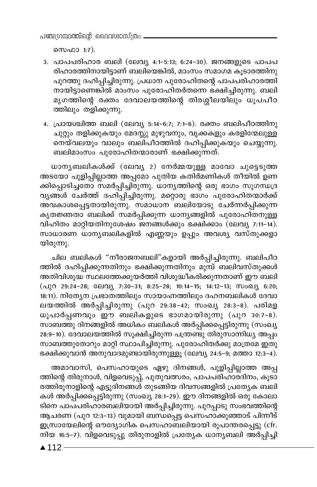പഞ്ചന്ധ്രന്ഥത്തിന്റെ ദൈവശാസ്ത്രം.

സെഫാ 1:7).

- 3. പാപപരിഹാര ബലി (ലേവ്യ 4:1-5:13; 6:24-30). ജനങ്ങളുടെ പാപപ രിഹാരത്തിനായിട്ടാണ് ബലിയെങ്കിൽ, മാംസം സമാഗമ കൂടാരത്തിനു പുറത്തു ദഹിപ്പിച്ചിരുന്നു. പ്രധാന പുരോഹിതന്റെ പാപപരിഹാരത്തി നായിട്ടാണെങ്കിൽ മാംസം പുരോഹിതർതന്നെ ഭക്ഷിച്ചിരുന്നു. ബലി മൃഗത്തിന്റെ രക്തം ദേവാലയത്തിന്റെ തിരശ്ശീലയിലും ധൂപപീഠ ത്തിലും തളിക്കുന്നു.
- 4. പ്രായശ്ചിത്ത ബലി (ലേവ്യ 5:14-6:7; 7:1-6). രക്തം ബലിപീഠത്തിനു ചുറ്റും തളിക്കുകയും മേദസ്സു മുഴുവനും, വൃക്കകളും കരളിന്മേലുള്ള നെയ്വലയും വാലും ബലിപീഠത്തിൽ ദഹിപ്പിക്കുകയും ചെയ്യുന്നു. ബലിമാംസം പുരോഹിതന്മാരാണ് ഭക്ഷിക്കുന്നത്.

ധാനൃബലികൾക്ക് (ലേവൃ 2) നേർമ്മയുള്ള മാവോ ചുട്ടെടുത്ത അടയോ പുളിപ്പില്ലാത്ത അപ്പമോ പുതിയ കതിർമണികൾ തീയിൽ ഉണ ക്കിപ്പൊടിച്ചതോ സമർപ്പിച്ചിരുന്നു. ധാനൃത്തിന്റെ ഒരു ഭാഗം സുഗന്ധദ്ര വൃങ്ങൾ ചേർത്ത് ദഹിപ്പിച്ചിരുന്നു. മറ്റൊരു ഭാഗം പുരോഹിതന്മാർക്ക് അവകാശപ്പെട്ടതായിരുന്നു. സമാധാന ബലിയോടു ചേർന്നർപ്പിക്കുന്ന കൃതജ്ഞതാ ബലിക്ക് സമർപ്പിക്കുന്ന ധാന്യങ്ങളിൽ പുരോഹിതനുള<u>്</u>ള വിഹിതം മാറ്റിയതിനുശേഷം ജനങ്ങൾക്കും ഭക്ഷിക്കാം (ലേവ്യ 7:11-14). സാധാരണ ധാനൃബലികളിൽ എണ്ണയും ഉപ്പും അവശ്യ വസ്തുക്കളാ യിരുന്നു.

ചില ബലികൾ "നീരാജനബലി"കളായി അർപ്പിച്ചിരുന്നു. ബലിപീഠ ത്തിൽ ദഹിപ്പിക്കുന്നതിനും ഭക്ഷിക്കുന്നതിനും മുമ്പ് ബലിവസ്തുക്കൾ അതിവിശുദ്ധ സ്ഥലത്തേക്കുയർത്തി വിശുദ്ധീകരിക്കുന്നതാണ് ഈ ബലി (പുറ 29:24-28; ലേവ്യ 7:30-31; 8:25-28; 10:14-15; 14:12-13; സംഖ്യ 6:20; 18:11). നിത്യേന പ്രഭാതത്തിലും സായാഹ്നത്തിലും ദഹനബലികൾ ദേവാ ലയത്തിൽ അർപ്പിച്ചിരുന്നു (പുറ 29:38-42; സംഖ്യ 28:3-8). പരിമള ധൂപാർപ്പണവും ഈ ബലികളുടെ ഭാഗമായിരുന്നു (പുറ 30:7-8). സാബത്തു ദിനങ്ങളിൽ അധികം ബലികൾ അർപ്പിക്കപ്പെട്ടിരുന്നു (സംഖ്യ 28:9–10). ദേവാലയത്തിൽ സൂക്ഷിച്ചിരുന്ന പന്ത്രണ്ടു തിരുസാന്നിധ്യ അപ്പം സാബത്തുതോറും മാറ്റി സ്ഥാപിച്ചിരുന്നു. പുരോഹിതർക്കു മാത്രമേ ഇതു ഭക്ഷിക്കുവാൻ അനുവാദമുണ്ടായിരുന്നുള്ളൂ (ലേവ്യ 24:5–9; മത്താ 12:3–4).

അമാവാസി, പെസഹായുടെ ഏഴു ദിനങ്ങൾ, പുളിപ്പില്ലാത്ത അപ്പ ത്തിന്റെ തിരുനാൾ, വിളവെടുപ്പ്, പുതുവത്സരം, പാപപരിഹാരദിനം, കൂടാ രത്തിരുനാളിന്റെ എട്ടുദിനങ്ങൾ തുടങ്ങിയ ദിവസങ്ങളിൽ പ്രത്യേക ബലി കൾ അർപ്പിക്കപ്പെട്ടിരുന്നു (സംഖ്യ 28:1-29). ഈ ദിനങ്ങളിൽ ഒരു കോലാ ടിനെ പാപ്പരിഹാരബലിയായി അർപ്പിച്ചിരുന്നു. പുറപ്പാടു സംഭവത്തിന്റെ ആചരണ (പുറ 12:3-13) വുമായി ബന്ധപ്പെട്ട പെസഹാക്കുഞ്ഞാട് പിന്നീട് ഇസ്രായേലിന്റെ ഔദ്യോഗിക പെസഹാബലിയായി രൂപാന്തരപ്പെട്ടു (cfr. നിയ 16:5-7). വിളവെടുപ്പു തിരുനാളിൽ പ്രത്യേക ധാന്യബലി അർപ്പിച്ചി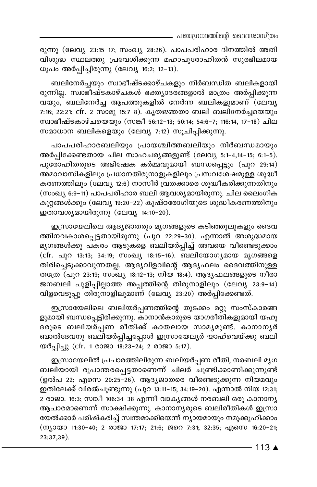\_ പഞ്ചഗ്രന്ഥത്തിന്റെ വൈവശാസ്ത്രം

രുന്നു (ലേവ്യ 23:15-17; സംഖ്യ 28:26). പാപപരിഹാര ദിനത്തിൽ അതി വിശുദ്ധ സ്ഥലത്തു പ്രവേശിക്കുന്ന മഹാപുരോഹിതൻ സുരഭിലമായ ധൂപം അർപ്പിച്ചിരുന്നു (ലേവൃ 16:2; 12-13).

ബലിനേർച്ചയും സ്വാഭീഷ്ടക്കാഴ്ചകളും നിർബന്ധിത ബലികളായി രുന്നില്ല. സ്വാഭീഷ്ടകാഴ്ചകൾ ഭക്ത്യാദരങ്ങളാൽ മാത്രം അർപ്പിക്കുന്ന വയും, ബലിനേർച്ച ആപത്തുകളിൽ നേർന്ന ബലികളുമാണ് $\vec{\phantom{a}}$ (ലേവൃ 7:16; 22:21; cfr. 2 സാമു 15:7-8). കൃതജ്ഞതാ ബലി ബലിനേർച്ചയെയും സ്വാഭീഷ്ടകാഴ്ചയെയും (സങ്കീ 56:12-13; 50:14; 54:6-7; 116:14, 17-18) ചില സമാധാന ബലികളെയും (ലേവ്യ 7:12) സൂചിപ്പിക്കുന്നു.

പാപപരിഹാരബലിയും പ്രായശ്ചിത്തബലിയും നിർബന്ധമായും അർപ്പിക്കേണ്ടതായ ചില സാഹചര്യങ്ങളുണ്ട് (ലേവ്യ 5:1-4,14-15; 6:1-5).  $\alpha$ ുരോഹിതരുടെ അഭിഷേക കർമ്മവുമായി ബന്ധപ്പെട്ടും (പുറ 29:14) .<br>അമാവാസികളിലും പ്രധാനതിരുനാളുകളിലും പ്രസവശേഷമുള്ള ശുദ്ധീ കരണത്തിലും (ലേവ്യ 12:6) നാസീർ വ്രതക്കാരെ ശുദ്ധീകരിക്കുന്നതിനും (സംഖ്യ 6:9−11) പാപപരിഹാര ബലി ആവശ്യമായിരുന്നു. ചില ലൈംഗിക കുറ്റങ്ങൾക്കും (ലേവ്യ 19:20−22) കുഷ്ഠരോഗിയുടെ ശുദ്ധീകരണത്തിനും ഈരാവശ്യമായിരുന്നു (ലേവ്യ 14:10−20).

ഇസ്രായേലിലെ ആദ്യജാതരും മൃഗങ്ങളുടെ കടിഞ്ഞുലുകളും ദൈവ ത്തിനവകാശപ്പെട്ടതായിരുന്നു (പുറ 22:29-30). എന്നാൽ അശുദ്ധമായ മൃഗങ്ങൾക്കു പകരം ആടുകളെ ബലിയർപ്പിച്ച് അവയെ വീണ്ടെടുക്കാം (cfr. പുറ 13:13; 34:19; സംഖ്യ 18:15-16). ബലിയോഗ്യമായ മൃഗങ്ങളെ തിരിച്ചെടുക്കാവുന്നതല്ല. ആദ്യവിളവിന്റെ ആദ്യഫലം ദൈവത്തിനുള്ള തത്രേ (പുറ 23:19; സംഖ്യ 18:12-13; നിയ 18:4). ആദ്യഫലങ്ങളുടെ നീരാ ജനബലി പുളിപ്പില്ലാത്ത അപ്പത്തിന്റെ തിരുനാളിലും (ലേവൃ 23:9−14) വിളവെടുപ്പു തിരുനാളിലുമാണ് (ലേവ്യ 23:20) അർപ്പിക്കേണ്ടത്.

ഇസ്രായേലിലെ ബലിയർപ്പണത്തിന്റെ തുടക്കം മറ്റു സംസ്കാരങ്ങ ളുമായി ബന്ധപ്പെട്ടിരിക്കുന്നു. കാനാൻകാരുടെ യാഗരീതികളുമായി യഹൂ ദരുടെ ബലിയർപ്പണ രീതിക്ക് കാതലായ സാമൃമുണ്ട്. കാനാനൃർ ബാൽദേവനു ബലിയർപ്പിച്ചപ്പോൾ ഇസ്രായേല്യർ യാഹ്വെയ്ക്കു ബലി യർപ്പിച്ചു (cfr. 1 രാജാ 18:23-24; 2 രാജാ 5:17).

ഇസ്രായേലിൽ പ്രചാരത്തിലിരുന്ന ബലിയർപ്പണ രീതി, നരബലി മൃഗ \_-en-bmbn cq]m-¥-c-s∏-´-Xm-sW∂v Nne¿ Nq≠n-°m-Wn-°p-∂p≠v (ഉൽപ 22; എസെ 20:25–26). ആദ്യജാതരെ വീണ്ടെടുക്കുന്ന നിയമവും ഇതിലേക്ക് വിരൽചുണ്ടുന്നു (പുറ 13:11–15; 34:19–20). എന്നാൽ നിയ 12:31; 2 രാജാ. 16:3; സങ്കീ 106:34-38 എന്നീ വാകൃങ്ങൾ നരബലി ഒരു കാനാനൃ ആചാരമാണെന്ന് സാക്ഷിക്കുന്നു. കാനാനൃരുടെ ബലിരീതികൾ ഇസ്രാ യേൽക്കാർ പരിഷ്കരിച്ച് സ്വന്തമാക്കിയെന്ന് ന്യായമായും നമുക്കുഹിക്കാം  $(m_1)$  = 11:30-40; 2 @ 280 17:17; 21:6;  $\mathfrak{so}_0$  7:31; 32:35;  $\alpha$  0  $\alpha$  16:20-21; 23:37,39).

113 ▲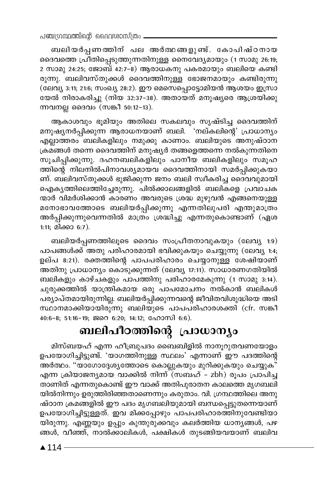പഞ്ചന്ഥ്രന്തിന്റെ ദൈവശാസ്ത്രം -

ബലിയർപ്പണത്തിന് പല അർത്ഥങ്ങളുണ്ട്. കോപിഷ്ഠനായ ദൈവത്തെ പ്രീതിപ്പെടുത്തുന്നതിനുള്ള നൈവേദ്യമായും (1 സാമു 26:19; 2 സാമു 24:25; ജോബ് 42:7-8) ആരാധകനു പകരമായും ബലിയെ കണ്ടി രുന്നു. ബലിവസ്തുക്കൾ ദൈവത്തിനുള്ള ഭോജനമായും കണ്ടിരുന്നു (ലേവ്യ 3:11; 21:6; സംഖ്യ 28:2). ഈ മെസെപ്പൊട്ടോമിയൻ ആശയം ഇസ്രാ യേൽ നിരാകരിച്ചു (നിയ 32:37-38). അതായത് മനുഷ്യരെ ആശ്രയിക്കു ന്നവനല്ല ദൈവം (സങ്കീ 50:12-13).

ആകാശവും ഭൂമിയും അതിലെ സകലവും സൃഷ്ടിച്ച ദൈവത്തിന് മനുഷ്യനർപ്പിക്കുന്ന ആരാധനയാണ് ബലി. 'നല്കലിന്റെ' പ്രാധാന്യം എല്ലാത്തരം ബലികളിലും നമുക്കു കാണാം. ബലിയുടെ അനുഷ്ഠാന ക്രമങ്ങൾ തന്നെ ദൈവത്തിന് മനുഷ്യർ തങ്ങളെത്തന്നെ നൽകുന്നതിനെ സൂചിപ്പിക്കുന്നു. ദഹനബലികളിലും പാനീയ ബലികളിലും സമൂഹ ത്തിന്റെ നിലനിൽപിനാവശ്യമായവ ദൈവത്തിനായി സമർപ്പിക്കുകയാ ണ്. ബലിവസ്തുക്കൾ ഭുജിക്കുന്ന ജനം ബലി സ്ഥീകരിച്ച ദൈവവുമായി ഐകൃത്തിലെത്തിച്ചേരുന്നു. പിൽക്കാലങ്ങളിൽ ബലികളെ പ്രവാചക ന്മാർ വിമർശിക്കാൻ കാരണം അവരുടെ ശ്രദ്ധ മുഴുവൻ എങ്ങനെയുള്ള മനോഭാവത്തോടെ ബലിയർപ്പിക്കുന്നു എന്നതിലുപരി എന്തുമാത്രം അർപ്പിക്കുന്നുവെന്നതിൽ മാത്രം ശ്രദ്ധിച്ചു എന്നതുകൊണ്ടാണ് (ഏശ 1:11; മിക്കാ 6:7).

ബലിയർപ്പണത്തിലൂടെ ദൈവം സംപ്രീതനാവുകയും (ലേവ്യ 1:9) പാപങ്ങൾക്ക് അതു പരിഹാരമായി ഭവിക്കുകയും ചെയ്യുന്നു (ലേവ്യ 1:4; ഉല്പ 8:21). രക്തത്തിന്റെ പാപപരിഹാരം ചെയ്യാനുള്ള ശേഷിയാണ് അതിനു പ്രാധാന്യം കൊടുക്കുന്നത് (ലേവ്യ 17:11). സാധാരണഗതിയിൽ ബലികളും കാഴ്ചകളും പാപത്തിനു പരിഹാരമേകുന്നു (1 സാമു 3:14). ചുരുക്കത്തിൽ യാന്ത്രികമായ ഒരു പാപമോചനം നൽകാൻ ബലികൾ പര്യാപ്തമായിരുന്നില്ല. ബലിയർപ്പിക്കുന്നവന്റെ ജീവിതവിശുദ്ധിയെ അടി സ്ഥാനമാക്കിയായിരുന്നു ബലിയുടെ പാപപരിഹാരശക്തി (cfr. സങ്കീ  $40:6-8$ ; 51:16-19; ജറെ 6:20; 14:12; ഹോസി 6:6).

## ബലിപീഠത്തിന്റെ പ്രാധാന്യം

മിസ്ബയഹ് എന്ന ഹീബ്രുപദം ബൈബിളിൽ നാനൂറുതവണയോളം ഉപയോഗിച്ചിട്ടുണ്ട്. 'യാഗത്തിനുള്ള സ്ഥലം' എന്നാണ് ഈ പദത്തിന്റെ അർത്ഥം. "യാഗോദ്ദേശ്യത്തോടെ കൊല്ലുകയും മുറിക്കുകയും ചെയ്യുക" എന്ന ക്രിയാജന്യമായ വാക്കിൽ നിന്ന് (സബഹ് – zbh) രൂപം പ്രാപിച്ച താണിത് എന്നതുകൊണ്ട് ഈ വാക്ക് അതിപുരാതന കാലത്തെ മൃഗബലി യിൽനിന്നും ഉരുത്തിരിഞ്ഞതാണെന്നും കരുതാം. വി. ഗ്രന്ഥത്തിലെ അനു ഷ്ഠാന ക്രമങ്ങളിൽ ഈ പദം മൃഗബലിയുമായി ബന്ധപ്പെട്ടുതന്നെയാണ് ഉപയോഗിച്ചിട്ടുള്ളത്. ഇവ മിക്കപ്പോഴും പാപപരിഹാരത്തിനുവേണ്ടിയാ യിരുന്നു. എണ്ണയും ഉപ്പും കുന്തുരുക്കവും കലർത്തിയ ധാന്യങ്ങൾ, പഴ ങ്ങൾ, വീഞ്ഞ്, നാൽക്കാലികൾ, പക്ഷികൾ തുടങ്ങിയവയാണ് ബലിവ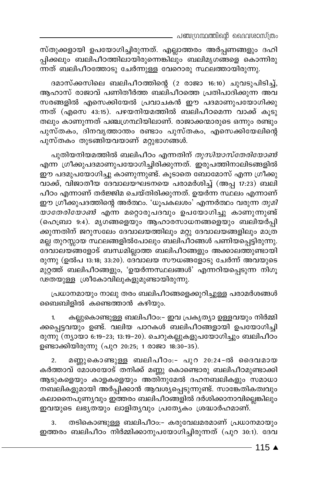\_ പഞ്ചഗ്രന്ഥത്തിന്റെ ദൈവശാസ്ത്രം

സ്തുക്കളായി ഉപയോഗിച്ചിരുന്നത്. എല്ലാത്തരം അർപ്പണങ്ങളും ദഹി പ്പിക്കലും ബലിപീഠത്തിലായിരുന്നെങ്കിലും ബലിമൃഗങ്ങളെ കൊന്നിരു ന്നത് ബലിപീഠത്തോടു ചേർന്നുള്ള വേറൊരു സ്ഥലത്തായിരുന്നു.

ദമാസ്ക്കസിലെ ബലിപീഠത്തിന്റെ (2 രാജാ 16:10) ചുവടുപിടിച്ച്, ആഹാസ് രാജാവ് പണിതീർത്ത ബലിപീഠത്തെ പ്രതിപാദിക്കുന്ന അവ സരങ്ങളിൽ എസെക്കിയേൽ പ്രവാചകൻ ഈ പദമാണുപയോഗിക്കു ന്നത് (എസെ 43:15). പഴയനിയമത്തിൽ ബലിപീഠമെന്ന വാക്ക് കൂടു .<br>തലും കാണുന്നത് പഞ്ചഗ്രന്ഥിയിലാണ്. രാജാക്കന്മാരുടെ ഒന്നും രണ്ടും പുസ്തകം, ദിനവൃത്താന്തം രണ്ടാം പുസ്തകം, എസെക്കിയേലിന്റെ പുസ്തകം തുടങ്ങിയവയാണ് മറ്റുഭാഗങ്ങൾ.

പുതിയനിയമത്തിൽ ബലിപീഠം എന്നതിന് *തുസിയാസ്തേരിയോൺ* എന്ന ഗ്രീക്കുപദമാണുപയോഗിച്ചിരിക്കുന്നത്. ഇരുപത്തിനാലിടങ്ങളിൽ ഈ പദമുപയോഗിച്ചു കാണുന്നുണ്ട്. കൂടാതെ ബോമോസ് എന്ന ഗ്രീക്കു വാക്ക്, വിജാതീയ ദേവാലയഘടനയെ പരാമർശിച്ച് (അപ്പ 17:23) ബലി പീഠം എന്നാണ് തർജ്ജിമ ചെയ്തിരിക്കുന്നത്. ഉയർന്ന സ്ഥലം എന്നാണ് ഈ ഗ്രീക്കുപദത്തിന്റെ അർത്ഥം. 'ധൂപകലശം' എന്നർത്ഥം വരുന്ന *തുമി യാതേരിയോൺ* എന്ന മറ്റൊരുപദവും ഉപയോഗിച്ചു കാണുന്നുണ്ട് (ഹെബ്രാ 9:4). മൃഗങ്ങളെയും ആഹാരസാധനങ്ങളെയും ബലിയർപ്പി ക്കുന്നതിന് ജറുസലേം ദേവാലയത്തിലും മറ്റു ദേവാലയങ്ങളിലും മാത്ര മല്ല തുറസ്സായ സ്ഥലങ്ങളിൽപോലും ബലിപീഠങ്ങൾ പണിയപ്പെട്ടിരുന്നു. ദേവാലയങ്ങളോട് ബന്ധമില്ലാത്ത ബലിപീഠങ്ങളും അക്കാലത്തുണ്ടായി രുന്നു (ഉൽപ 13:18; 33:20). ദേവാലയ സൗധങ്ങളോടു ചേർന്ന് അവയുടെ മുറ്റത്ത് ബലിപീഠങ്ങളും, 'ഉയർന്നസ്ഥലങ്ങൾ' എന്നറിയപ്പെടുന്ന നിഗൂ ഢതയുള്ള ശ്രീകോവിലുകളുമുണ്ടായിരുന്നു.

പ്രധാനമായും നാലു തരം ബലിപീഠങ്ങളെക്കുറിച്ചുള്ള പരാമർശങ്ങൾ ബൈബിളിൽ കണ്ടെത്താൻ കഴിയും.

കല്ലുകൊണ്ടുള്ള ബലിപീഠം:- ഇവ പ്രകൃത്യാ ഉള്ളവയും നിർമ്മി ക്കപ്പെട്ടവയും ഉണ്ട്. വലിയ പാറകൾ ബലിപീഠങ്ങളായി ഉപയോഗിച്ചി രുന്നു (ന്യായാ 6:19–23; 13:19–20). ചെറുകല്ലുകളുപയോഗിച്ചും ബലിപീഠം ഉണ്ടാക്കിയിരുന്നു (പുറ 20:25; 1 രാജാ 18:30-35).

മണ്ണുകൊണ്ടുള്ള ബലിപീഠം:- പുറ 20:24-ൽ ദൈവമായ 2. കർത്താവ് മോശയോട് തനിക്ക് മണ്ണു കൊണ്ടൊരു ബലിപീഠമുണ്ടാക്കി ആടുകളെയും കാളകളെയും അതിനുമേൽ ദഹനബലികളും സമാധാ നബലികളുമായി അർപ്പിക്കാൻ ആവശ്യപ്പെടുന്നുണ്ട്. സാങ്കേതികത്വവും .<br>കലാനൈപുണ്യവും ഇത്തരം ബലിപീഠങ്ങളിൽ ദർശിക്കാനാവില്ലെങ്കിലും ഇവയുടെ ലഭ്യതയും ലാളിത്യവും പ്രത്യേകം ശ്രദ്ധാർഹമാണ്.

തടികൊണ്ടുള്ള ബലിപീഠം:- കരുവേലമരമാണ് പ്രധാനമായും 3. ഇത്തരം ബലിപീഠം നിർമ്മിക്കാനുപയോഗിച്ചിരുന്നത് (പുറ 30:1). ദേവ

- 115 ▲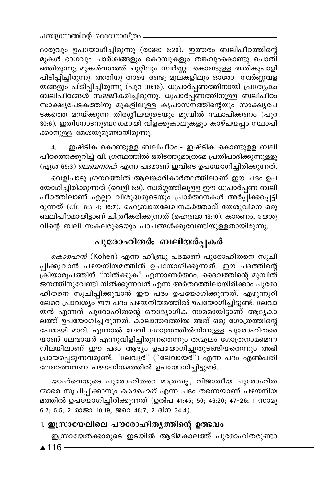ദാരുവും ഉപയോഗിച്ചിരുന്നു (രാജാ 6:20). ഇത്തരം ബലിപീഠത്തിന്റെ മുകൾ ഭാഗവും പാർശ്വങ്ങളും കൊമ്പുകളും തങ്കവുംകൊണ്ടു പൊതി ഞ്ഞിരുന്നു; മുകൾവശത്ത് ചുറ്റിലും സ്ഥർണ്ണം കൊണ്ടുള്ള അരികുപാളി പിടിപ്പിച്ചിരുന്നു. അതിനു താഴെ രണ്ടു മൂല്കളിലും ഓരോ സ്വർണ്ണവള യങ്ങളും പിടിപ്പിച്ചിരുന്നു (പുറ 30:16). ധൂപാർപ്പണത്തിനായി പ്രത്യേകം ബലിപീഠങ്ങൾ സജ്ജീകരിച്ചിരുന്നു. ധൂപാർപ്പണത്തിനുള്ള ബലിപീഠം സാക്ഷ്യപേടകത്തിനു മുകളിലുള്ള കൃപാസനത്തിന്റെയും സാക്ഷ്യപേ ടകത്തെ മറയ്ക്കുന്ന തിരശ്ശീലയുടെയും മുമ്പിൽ സ്ഥാപിക്കണം (പുറ 30:6). ഇതിനോടനുബന്ധമായി വിളക്കുകാലുകളും കാഴ്ചയപ്പം സ്ഥാപി ക്കാനുള്ള മേശയുമുണ്ടായിരുന്നു.

ഇഷ്ടിക കൊണ്ടുള്ള ബലിപീഠം:- ഇഷ്ടിക കൊണ്ടുളള ബലി  $\overline{4}$ . പീഠത്തെക്കുറിച്ച് വി. ഗ്രന്ഥത്തിൽ ഒരിടത്തുമാത്രമേ പ്രതിപാദിക്കുന്നുള്ളൂ (ഏശ 65:3) *ലെബനാഹ്* എന്ന പദമാണ് ഇവിടെ ഉപയോഗിച്ചിരിക്കുന്നത്.

വെളിപാടു ഗ്രന്ഥത്തിൽ ആലങ്കാരികാർത്ഥത്തിലാണ് ഈ പദം ഉപ യോഗിച്ചിരിക്കുന്നത് (വെളി 6:9). സ്വർഗ്ഗത്തിലുളള ഈ ധൂപാർപ്പണ ബലി പീഠത്തിലാണ് എല്ലാ വിശുദ്ധരുടെയും പ്രാർത്ഥനകൾ അർപ്പിക്കപ്പെട്ടി രുന്നത് (cfr. 8:3-4; 16:7). ഹെബ്രായലേഖനകർത്താവ് യേശുവിനെ ഒരു ബലിപീഠമായിട്ടാണ് ചിത്രീകരിക്കുന്നത് (ഹെബ്രാ 13:10). കാരണം, യേശു വിന്റെ ബലി സകലരുടെയും പാപങ്ങൾക്കുവേണ്ടിയുള്ളതായിരുന്നു.

### പുരോഹിതർ: ബലിയർപ്പകർ

*കൊഹെൻ* (Kohen) എന്ന ഹീബ്രു പദമാണ് പുരോഹിതനെ സൂചി പ്പിക്കുവാൻ പഴയനിയമത്തിൽ ഉപയോഗിക്കുന്നത്. ഈ പദത്തിന്റെ ക്രിയാരൂപത്തിന് "നിൽക്കുക" എന്നാണർത്ഥം. ദൈവത്തിന്റെ മുമ്പിൽ് ജനത്തിനുവേണ്ടി നിൽക്കുന്നവൻ എന്ന അർത്ഥത്തിലായിരിക്കാം പുരോ ഹിതനെ സൂചിപ്പിക്കുവാൻ ഈ പദം ഉപയോഗിക്കുന്നത്. എഴുന്നൂറി ലേറെ പ്രാവശ്യം ഈ പദം പഴയനിയമത്തിൽ ഉപയോഗിച്ചിട്ടുണ്ട്. ലേവാ യൻ എന്നത് പുരോഹിതന്റെ ഔദ്യോഗിക നാമമായിട്ടാണ് ആദൃകാ ലത്ത് ഉപയോഗിച്ചിരുന്നത്. കാലാന്തരത്തിൽ അത് ഒരു ഗോത്രത്തിന്റെ പേരായി മാറി. എന്നാൽ ലേവി ഗോത്രത്തിൽനിന്നുള്ള പുരോഹിതരെ യാണ് ലേവായർ എന്നുവിളിച്ചിരുന്നതെന്നും തന്മൂലം ഗോത്രനാമമെന്ന നിലയിലാണ് ഈ പദം ആദ്യം ഉപയോഗിച്ചുതുടങ്ങിയതെന്നും അഭി പ്രായപ്പെടുന്നവരുണ്ട്. "ലേവൃർ" ("ലേവായർ") എന്ന പദം എൺപതി ലേറെത്തവണ പഴയനിയമത്തിൽ ഉപയോഗിച്ചിട്ടുണ്ട്.

യാഹ്വെയുടെ പുരോഹിതരെ മാത്രമല്ല, വിജാതീയ പുരോഹിത ന്മാരെ സൂചിപ്പിക്കാനും *കൊഹെൻ* എന്ന പദം തന്നെയാണ് പഴയനിയ മത്തിൽ ഉപയോഗിച്ചിരിക്കുന്നത് (ഉൽപ 41:45; 50; 46:20; 47–26; 1 സാമു 6:2; 5:5; 2 രാജാ 10:19; ജറെ 48:7; 2 ദിന 34:4).

#### 1. ഇസ്രായേലിലെ പൗരോഹിതൃത്തിന്റെ ഉത്ഭവം

ഇസ്രായേൽക്കാരുടെ ഇടയിൽ ആദിമകാലത്ത് പുരോഹിതരുണ്ടാ

 $\triangle$  116 -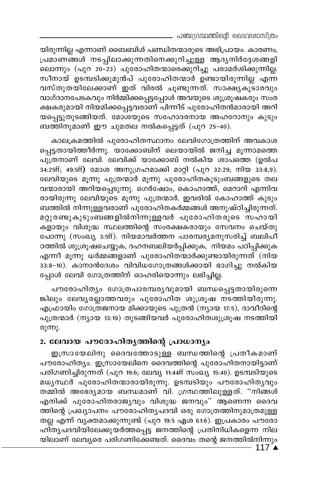യിരുന്നില്ല എന്നാണ് ബൈബിൾ പണ്ഡിതന്മാരുടെ അഭിപ്രായം. കാരണം, പ്രമാണങ്ങൾ നടപ്പിലാക്കുന്നതിനെക്കുറിച്ചുള്ള ആദൃനിർദ്ദേശങ്ങളി ലൊന്നും (പുറ 20–23) പുരോഹിതന്മാരെക്കുറിച്ചു പരാമർശിക്കുന്നില്ല. സീനായ് ഉടമ്പടിക്കുമുൻപ് പുരോഹിതന്മാർ ഉണ്ടായിരുന്നില്ല എന്ന വസ്തുതയിലേക്കാണ് ഇത് വിരൽ ചൂണ്ടുന്നത്. സാക്ഷ്യകൂ്ടാരവും വാഗ്ദാനപേടകവും നിർമ്മിക്കപ്പെട്ടപ്പോൾ അവയുടെ ശുശ്രൂഷ്കരും സംര ക്ഷകരുമായി നിയമിക്കപ്പെട്ടവരാണ് പിന്നീട് പുരോഹിതൻമാരായി അറി യപ്പെട്ടുതുടങ്ങിയത്. മോശയുടെ സഹോദരനായ അഹറോനും കുടും ബത്തിനുമാണ് ഈ ചുമതല നൽകപ്പെട്ടത് (പുറ 25-40).

കാലക്രമത്തിൽ പുരോഹിതസ്ഥാനം ലേവിഗോത്രത്തിന് അവകാശ പ്പെട്ടതായിത്തീർന്നു. യാക്കോബിന് ലെയായിൽ ജനിച്ച മൂന്നാമത്തെ പുത്രനാണ് ലേവി. ലേവിക്ക് യാക്കോബ് നൽകിയ ശാപത്തെ (ഉൽപ 34:25ff; 49:5ff) മോശ അനുഗ്രഹമാക്കി മാറ്റി (പുറ 32:29; നിയ 33:8,9). ലേവിയുടെ മൂന്നു പുത്രന്മാർ മൂന്നു പുരോഹിതകുടുംബങ്ങളുടെ തല വന്മാരായി അറിയപ്പെടുന്നു. ഗെർഷോം, കൊഹാത്ത്, മെറാറി എന്നിവ രായിരുന്നു ലേവിയുടെ മൂന്നു പുത്രന്മാർ. ഇവരിൽ കോഹാത്ത് കുടും ബത്തിൽ നിന്നുള്ളവരാണ് പുരോഹിതകർമ്മങ്ങൾ അനുഷ്ഠിച്ചിരുന്നത്. മറ്റുരണ്ടുകുടുംബങ്ങളിൽനിന്നുള്ളവർ പുരോഹിതരുടെ സഹായി കളായും വിശുദ്ധ സ്ഥലത്തിന്റെ സംരക്ഷകരായും സേവനം ചെയ്തു പോന്നു (സംഖ്യ 3:5ff). നിയമാവർത്തന പാരമ്പര്യമനുസരിച്ച് ബലിപീ ഠത്തിൽ ശുശ്രൂഷചെയ്യുക, ദഹനബലിയർപ്പിക്കുക, നിയമം പഠിപ്പിക്കുക എന്നീ മൂന്നു ധർമ്മങ്ങളാണ് പുരോഹിതന്മാർക്കുണ്ടായിരുന്നത് (നിയ 33:8-10). കാനാൻദേശം വിവിധഗോത്രങ്ങൾക്കായി ഭാഗിച്ചു നൽകിയ പ്പോൾ ലേവി ഗോത്രത്തിന് ഓഹരിയൊന്നും ലഭിച്ചില്ല.

പൗരോഹിത്യം ഗോത്രപാരമ്പര്യവുമായി ബന്ധപ്പെട്ടതായിരുന്നെ ങ്കിലും ലേവൃരല്ലാത്തവരും പുരോഹിത ശുശ്രൂഷ നടത്തിയിരുന്നു. എഫ്രായിം ഗോത്രജനായ മിക്കായുടെ പുത്രൻ (ന്യായ 17:5), ദാവീദിന്റെ പുത്രന്മാർ (ന്യായ 13:19) തുടങ്ങിയവർ പുരോഹിതശുശ്രൂഷ നടത്തിയി രുന്നു.

#### 2. ലേവായ പൗരോഹിതൃത്തിന്റെ പ്രാധാന്യം

ഇസ്രായേലിനു ദൈവത്തോടുള്ള ബന്ധത്തിന്റെ പ്രതീകമാണ് പൗരോഹിത്യം. ഇസ്രായേലിനെ ദൈവത്തിന്റെ പുരോഹിതനായിട്ടാണ് പരിഗണിച്ചിരുന്നത് (പുറ 19:6; ലേവ്യ 11:44ff സംഖ്യ 15:40). ഉടമ്പടിയുടെ മധൃസ്ഥർ പുരോഹിതന്മാരായിരുന്നു. ഉടമ്പടിയും പൗരോഹിതൃവും തമ്മിൽ അഭേദ്യമായ ബന്ധമാണ് വി. ഗ്രന്ഥത്തിലുള്ളത്. "നിങ്ങൾ എനിക്ക് പുരോഹിതരാജ്യവും വിശുദ്ധ ജനവും" ആണെന്ന ദൈവ ത്തിന്റെ പ്രഖ്യാപനം പൗരോഹിതൃപദവി ഒരു ഗോത്രത്തിനുമാത്രമുള്ള തല്ല എന്ന് വ്യക്തമാക്കുന്നുണ്ട് (പുറ 19:5 ഏശ 61:6). ഇപ്രകാരം പൗരോ ഹിതൃപദവിയിലേക്കുയർത്തപ്പെട്ട ജനത്തിന്റെ പ്രതിനിധികളെന്ന നില യിലാണ് ലേവൃരെ പരിഗണിക്കേണ്ടത്. ദൈവം തന്റെ ജനത്തിൽനിന്നും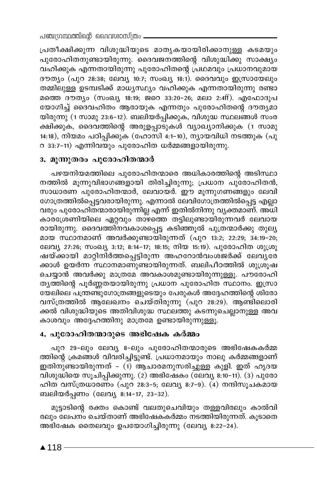പ്രതീക്ഷിക്കുന്ന വിശുദ്ധിയുടെ മാതൃകയായിരിക്കാനുള്ള കടമയും പുരോഹിതനുണ്ടായിരുന്നു. ദൈവജനത്തിന്റെ വിശുദ്ധിക്കു സാക്ഷ്യം വഹിക്കുക എന്നതായിരുന്നു പുരോഹിതന്റെ പ്രഥമവും പ്രധാനവുമായ ദൗത്യം (പുറ 28:38; ലേവ്യ 10:7; സംഖ്യ 18:1). ദൈവവും ഇസ്രായേലും തമ്മിലുള്ള ഉടമ്പടിക്ക് മാധ്യസ്ഥ്യം വഹിക്കുക എന്നതായിരുന്നു രണ്ടാ മത്തെ ദൗത്യം (സംഖ്യ 18:19; ജറെ 33:20-26; മലാ 2:4ff). എഫോദുപ യോഗിച്ച് ദൈവഹിതം ആരായുക എന്നതും പുരോഹിതന്റെ ദൗത്യമാ യിരുന്നു (1 സാമു 23:6–12). ബലിയർപ്പിക്കുക, വിശുദ്ധ സ്ഥലങ്ങൾ സംര ക്ഷിക്കുക, ദൈവത്തിന്റെ അരുളപ്പാടുകൾ വ്യാഖ്യാനിക്കുക (1 സാമു 14:18), നിയമം പഠിപ്പിക്കുക (ഹോസി 4:1-10), ന്യായവിധി നടത്തുക (പു റ 33:7-11) എന്നിവയും പുരോഹിത ധർമ്മങ്ങളായിരുന്നു.

#### 3. മൂന്നുതരം പുരോഹിതന്മാർ

പഴയനിയമത്തിലെ പുരോഹിതന്മാരെ അധികാരത്തിന്റെ അടിസ്ഥാ നത്തിൽ മൂന്നുവിഭാഗങ്ങളായി തിരിച്ചിരുന്നു; പ്രധാന പുരോഹിതൻ, സാധാരണ പുരോഹിതന്മാർ, ലേവായർ. ഈ മൂന്നുഗണങ്ങളും ലേവി ഗോത്രത്തിൽപ്പെട്ടവരായിരുന്നു. എന്നാൽ ലേവിഗോത്രത്തിൽപ്പെട്ട എല്ലാ വരും പുരോഹിതന്മാരായിരുന്നില്ല എന്ന് ഇതിൽനിന്നു വ്യക്തമാണ്. അധി കാരശ്രേണിയിലെ ഏറ്റവും താഴത്തെ തട്ടിലുണ്ടായിരുന്നവർ ലേവായ രായിരുന്നു. ദൈവത്തിനവകാശപ്പെട്ട കടിഞ്ഞൂൽ പുത്രന്മാർക്കു തുല്യ മായ സ്ഥാനമാണ് അവർക്കുണ്ടായിരുന്നത് (പുറ 13:2; 22:29; 34:19-20; ലേവ്യ 27:26; സംഖ്യ 3:12; 8:14-17; 18:15; നിയ 15:19). പുരോഹിത ശുശ്രൂ ഷയ്ക്കായി മാറ്റിനിർത്തപ്പെട്ടിരുന്ന അഹറോൻവംശജർക്ക് ലേവൃരേ ക്കാൾ ഉയർന്ന സ്ഥാനമാണുണ്ടായിരുന്നത്. ബലിപീഠത്തിൽ ശുശ്രൂഷ ചെയ്യാൻ അവർക്കു മാത്രമേ അവകാശമുണ്ടായിരുന്നുള്ളൂ. പൗരോഹി തൃത്തിന്റെ പൂർണ്ണതയായിരുന്നു പ്രധാന പുരോഹിത സ്ഥാനം. ഇസ്രാ യേലിലെ പന്ത്രണ്ടുഗോത്രങ്ങളുടെയും പേരുകൾ അദ്ദേഹത്തിന്റെ ശിരോ വസ്ത്രത്തിൽ ആലേഖനം ചെയ്തിരുന്നു (പുറ 28:29). ആണ്ടിലൊരി ക്കൽ വിശുദ്ധിയുടെ അതിവിശുദ്ധ സ്ഥലത്തു കടന്നുചെല്ലാനുള്ള അവ കാശവും അദ്ദേഹത്തിനു മാത്രമേ ഉണ്ടായിരുന്നുള്ളൂ.

#### 4. പുരോഹിതന്മാരുടെ അഭിഷേക കർമ്മം

പുറ 29-ലും ലേവ്യ 8-ലും പുരോഹിതന്മാരുടെ അഭിഷേകകർമ്മ ത്തിന്റെ ക്രമങ്ങൾ വിവരിച്ചിട്ടുണ്ട്. പ്രധാനമായും നാലു കർമ്മങ്ങളാണ് ഇതിനുണ്ടായിരുന്നത് – (1) ആചാരമനുസരിച്ചുള്ള കുളി. ഇത് ഹൃദയ വിശുദ്ധിയെ സൂചിപ്പിക്കുന്നു. (2) അഭിഷേകം (ലേവ്യ 8:10-11). (3) പുരോ ഹിത വസ്ത്രധാരണം (പുറ 28:3-5; ലേവ്യ 8:7-9).  $\overline{(4)}$  നന്ദിസൂചകമായ ബലിയർപ്പണം (ലേവ്യ 8:14-17, 23-32).

മുട്ടാടിന്റെ രക്തം കൊണ്ട് വലതുചെവിയും തള്ളവിരലും കാൽവി രലും ലേപനം ചെയ്താണ് അഭിഷേകകർമ്മം നടത്തിയിരുന്നത്. കൂടാതെ അഭിഷേക തൈലവും ഉപയോഗിച്ചിരുന്നു (ലേവ്യ 8:22-24).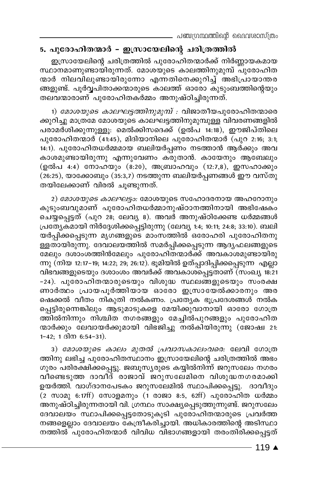പഞ്ചഗ്രന്ഥത്തിന്റെ ദൈവശാസ്ത്രം

#### 5. പുരോഹിതന്മാർ – ഇസ്രായേലിന്റെ ചരിത്രത്തിൽ

ഇസ്രായേലിന്റെ ചരിത്രത്തിൽ പുരോഹിതന്മാർക്ക് നിർണ്ണായകമായ സ്ഥാനമാണുണ്ടായിരുന്നത്. മോശയുടെ കാലത്തിനുമുമ്പ് പുരോഹിത ന്മാർ നിലവിലുണ്ടായിരുന്നോ എന്നതിനെക്കുറിച്ച് അഭിപ്രായാന്തര ങ്ങളുണ്ട്. പൂർവ്വപിതാക്കന്മാരുടെ കാലത്ത് ഓരോ കുടുംബത്തിന്റെയും തലവന്മാരാണ് പുരോഹിതകർമ്മം അനുഷ്ഠിച്ചിരുന്നത്.

1) *മോശയുടെ കാലഘട്ടത്തിനുമുമ്പ് :* വിജാതീയപുരോഹിതന്മാരെ ക്കുറിച്ചു മാത്രമേ മോശയുടെ കാലഘട്ടത്തിനുമുമ്പുള്ള വിവരണങ്ങളിൽ പരാമർശിക്കുന്നുള്ളൂ. മെൽക്കിസദെക്ക് (ഉൽപ 14:18), ഈജിപ്തിലെ പുരോഹിതന്മാർ (41:45), മിദിയാനിലെ പുരോഹിതന്മാർ (പുറ 2:16; 3:1; 14:1). പുരോഹിതധർമ്മമായ ബലിയർപ്പണം നടത്താൻ ആർക്കും അവ കാശമുണ്ടായിരുന്നു എന്നുവേണം കരുതാൻ. കായേനും ആബേലും (ഉൽപ 4:4) നോഹയും (8:20), അബ്രാഹവും (12:7,8), ഇസഹാക്കും  $(26.25)$ , യാക്കോബും  $(35.3,7)$  നടത്തുന്ന ബലിയർപ്പണങ്ങൾ ഈ വസ്തു തയിലേക്കാണ് വിരൽ ചൂണ്ടുന്നത്.

2) മോശയുടെ കാലഘട്ടം: മോശയുടെ സഹോദരനായ അഹറോനും കുടുംബവുമാണ് പുരോഹിതധർമ്മാനുഷ്ഠാനത്തിനായി അഭിഷേകം ചെയ്യപ്പെട്ടത് (പുറ 28; ലേവ്യ 8). അവർ അനുഷ്ഠിക്കേണ്ട ധർമ്മങ്ങൾ പ്രത്യേകമായി നിർദ്ദേശിക്കപ്പെട്ടിരുന്നു (ലേവ്യ 1:4; 10:11; 24:8; 33:10). ബലി യർപ്പിക്കപ്പെടുന്ന മൃഗങ്ങളുടെ മാംസത്തിൽ ഒരോഹരി പുരോഹിതനു ള്ളതായിരുന്നു. ദേവാലയത്തിൽ സമർപ്പിക്കപ്പെടുന്ന ആദൃഫലങ്ങളുടെ മേലും ദശാംശത്തിൻമേലും പുരോഹിതന്മാർക്ക് അവകാശമുണ്ടായിരു ന്നു (നിയ 12:17-19; 14:22; 29; 26:12). ഭൂമിയിൽ ഉത്പ്പാദിപ്പിക്കപ്പെടുന്ന എല്ലാ വിഭവങ്ങളുടെയും ദശാംശം അവർക്ക് അവകാശപ്പെട്ടതാണ് (സംഖ്യ 18:21 -24). പുരോഹിതന്മാരുടെയും വിശുദ്ധ സ്ഥലങ്ങളുടെയും സംരക്ഷ ണാർത്ഥം പ്രായപൂർത്തിയായ ഓരോ ഇസ്രായേൽക്കാരനും അര ഷെക്കൽ വീതം നികുതി നൽകണം. പ്രത്യേക ഭൂപ്രദേശങ്ങൾ നൽക പ്പെട്ടിരുന്നെങ്കിലും ആ്ടുമാടുകളെ മേയിക്കുവാനായി ഓരോ ഗോത്ര ത്തിൽനിന്നും നിശ്ചിത നഗരങ്ങളും മേച്ചിൽപുറങ്ങളും പുരോഹിത ന്മാർക്കും ലേവായർക്കുമായി വിഭജിച്ചു നൽകിയിരുന്നു (ജോഷ്വ 21:  $1-42$ ; 1  $3\sqrt{m}$  6:54-31).

3) മോശയുടെ കാലം മുതൽ പ്രവാസകാലംവരെ: ലേവി ഗോത്ര ത്തിനു ലഭിച്ച പുരോഹിതസ്ഥാനം ഇസ്രായേലിന്റെ ചരിത്രത്തിൽ അഭം ഗുരം പരിരക്ഷിക്കപ്പെട്ടു. ജബൂസ്യരുടെ കയ്യിൽനിന്ന് ജറുസലേം നഗരം വീണ്ടെടുത്ത ദാവീദ് രാജാവ് ജറുസലേമിനെ വിശുദ്ധനഗരമാക്കി ഉയർത്തി. വാഗ്ദാനപേടകം ജറുസലേമിൽ സ്ഥാപിക്കപ്പെട്ടു. ദാവീദും  $(2 \text{ m}$ ാമു 6:17ff) സോളമനും (1 രാജാ 8:5, 62ff) പുരോഹിത ധർമ്മം അനുഷ്ഠിച്ചിരുന്നതായി വി. ഗ്രന്ഥം സാക്ഷ്യപ്പെടുത്തുന്നുണ്ട്. ജറുസലേം ദേവാലയം സ്ഥാപിക്കപ്പെട്ടതോടുകൂടി പുരോഹിതന്മാരുടെ പ്രവർത്ത നങ്ങളെല്ലാം ദേവാലയം കേന്ദ്രീകരിച്ചായി. അധികാരത്തിന്റെ അടിസ്ഥാ നത്തിൽ പുരോഹിതന്മാർ വിവിധ വിഭാഗങ്ങളായി തരംതിരിക്കപ്പെട്ടത്

- 119 ▲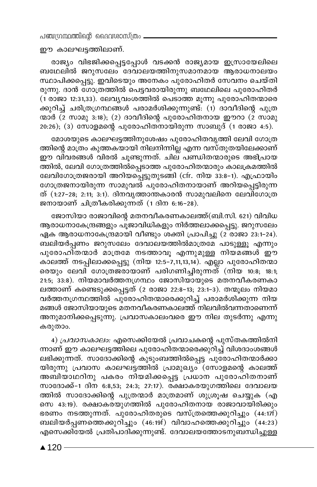പഞ്ചന്ഥ്രന്തിന്റെ ദൈവശാസ്ത്രം

ഈ കാലഘട്ടത്തിലാണ്.

രാജ്യം വിഭജിക്കപ്പെട്ടപ്പോൾ വടക്കൻ രാജ്യമായ ഇസ്രായേലിലെ ബഥേലിൽ ജറുസലേം ദേവാലയത്തിനുസമാനമായ ആരാധനാലയം സ്ഥാപിക്കപ്പെട്ടു. ഇവിടെയും അനേകം പുരോഹിതർ സേവനം ചെയ്തി രുന്നു. ദാൻ ഗോത്രത്തിൽ പെട്ടവരായിരുന്നു ബഥേലിലെ പുരോഹിതർ (1 രാജാ 12:31,33). ലേവൃവംശത്തിൽ പെടാത്ത മൂന്നു പുരോഹിതന്മാരെ .<br>ക്കുറിച്ച് ചരിത്രഗ്രന്ഥങ്ങൾ പരാമർശിക്കുന്നുണ്ട്. (1) ദാവീദിന്റെ പുത്ര ന്മാർ (2 സാമു 3:18); (2) ദാവീദിന്റെ പുരോഹിതനായ ഈറാ (2 സാമു  $20:26$ ); (3) സോളമന്റെ പുരോഹിതനായിരുന്ന സാബുദ് (1 രാജാ 4:5).

മോശയുടെ കാലഘട്ടത്തിനുശേഷം പുരോഹിതവൃത്തി ലേവി ഗോത്ര ത്തിന്റെ മാത്രം കുത്തകയായി നിലനിന്നില്ല എന്ന വസ്തുതയിലേക്കാണ് ഈ വിവരങ്ങൾ വിരൽ ചൂണ്ടുന്നത്. ചില് പണ്ഡിതന്മാരുടെ അഭിപായ ത്തിൽ, ലേവി ഗോത്രത്തിൽപ്പെടാത്ത പുരോഹിതന്മാരും കാലക്രമത്തിൽ ലേവിഗോത്രജരായി അറിയപ്പെട്ടുതുടങ്ങി (cfr. നിയ 33:8-1). എഫ്രായിം ഗോത്രജനായിരുന്ന സാമുവൽ പുരോഹിതനായാണ് അറിയപ്പെട്ടിരുന്ന ത് (1:27-28; 2:11; 3:1). ദിനവൃത്താന്തകാരൻ സാമുവലിനെ ലേവിഗോത്ര ജനായാണ് ചിത്രീകരിക്കുന്നത് (1 ദിന 6:16-28).

ജോസിയാ രാജാവിന്റെ മതനവീകരണകാലത്ത്(ബി.സി. 621) വിവിധ ആരാധനാകേന്ദ്രങ്ങളും പൂജാവിധികളും നിർത്തലാക്കപ്പെട്ടു. ജറുസലേം ഏക ആരാധനാകേന്ദ്രമായി വീണ്ടും ശക്തി പ്രാപിച്ചു (2 രാജാ 23:1-24). ബലിയർപ്പണം ജറുസലേം ദേവാലയത്തിൽമാത്രമേ പാടുള്ളൂ എന്നും പുരോഹിതന്മാർ മാത്രമേ നടത്താവൂ എന്നുമുള്ള നിയമങ്ങൾ ഈ കാലത്ത് നടപ്പിലാക്കപ്പെട്ടു (നിയ 12:5–7,11,13,14). എല്ലാ പുരോഹിതന്മാ രെയും ലേവി ഗോത്രജരായാണ് പരിഗണിച്ചിരുന്നത് (നിയ 10:8; 18:1; 21:5; 33:8). നിയമാവർത്തനഗ്രന്ഥം ജോസിയായുടെ മതനവീകരണകാ ലത്താണ് കണ്ടെടുക്കപ്പെട്ടത് (2 രാജാ 22:8–13; 23:1–3). തന്മൂലം നിയമാ വർത്തനഗ്രന്ഥത്തിൽ പുരോഹിതന്മാരെക്കുറിച്ച് പരാമർശിക്കുന്ന നിയ മങ്ങൾ ജോസിയായുടെ മതനവീകരണകാലത്ത് നിലവിൽവന്നതാണെന്ന് അനുമാനിക്കപ്പെടുന്നു. പ്രവാസകാലംവരെ ഈ നില തുടർന്നു എന്നു കരുതാം.

4) *പ്രവാസകാലം*: എസെക്കിയേൽ പ്രവാചകന്റെ പുസ്തകത്തിൽനി ന്നാണ് ഈ കാലഘട്ടത്തിലെ പുരോഹിതന്മാരെക്കുറിച്ച് വിശദാംശങ്ങൾ ലഭിക്കുന്നത്. സാദോക്കിന്റെ കുടുംബത്തിൽപ്പെട്ട പുരോഹിതന്മാർക്കാ യിരുന്നു പ്രവാസ കാലഘട്ടത്തിൽ പ്രാമുഖ്യം (സോളമന്റെ കാലത്ത് അബിയാഥറിനു പകരം നിയമിക്കപ്പെട്ട പ്രധാന പുരോഹിതനാണ് സാദോക്ക്-1 ദിന 6:8,53; 24:3; 27:17). രക്ഷാകരയുഗത്തിലെ ദേവാലയ ത്തിൽ സാദോക്കിന്റെ പുത്രന്മാർ മാത്രമാണ് ശുശ്രൂഷ ചെയ്യുക (എ സെ 43:19). രക്ഷാകര്യുഗത്തിൽ പുരോഹിതനായ രാജാവായിരിക്കും ഭരണം നടത്തുന്നത്. പുരോഹിതരുടെ വസ്ത്രത്തെക്കുറിച്ചും (44:17f) ബലിയർപ്പണത്തെക്കുറിച്ചും (46:19f) വിവാഹത്തെക്കുറിച്ചും (44:23) എസെക്കിയേൽ പ്രതിപാദിക്കുന്നുണ്ട്. ദേവാലയത്തോടനുബന്ധിച്ചുള്ള

 $\triangle$  120 -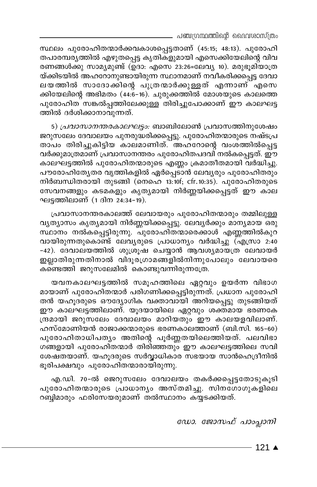. പഞ്ചഗ്രന്ഥത്തിന്റെ ദൈവശാസ്ത്രം

സ്ഥലം പുരോഹിതന്മാർക്കവകാശപ്പെട്ടതാണ് (45:15; 48:13). പുരോഹി തപാരമ്പര്യത്തിൽ എഴുതപ്പെട്ട കൃതികളുമായി എസെക്കിയേലിന്റെ വിവ രണങ്ങൾക്കു സാമ്യമുണ്ട് (ഉദാ: എസെ 23:26=ലേവ്യ 10). മരുഭുമിയാത്ര യ്ക്കിടയിൽ അഹറോനുണ്ടായിരുന്ന സ്ഥാനമാണ് നവീകരിക്കപ്പെട്ട ദേവാ ലയത്തിൽ സാദോക്കിന്റെ പുത്രന്മാർക്കുള്ളത് എന്നാണ് എസെ ക്കിയേലിന്റെ അഭിമതം (44:6-16). ചുരുക്കത്തിൽ മോശയുടെ കാലത്തെ പുരോഹിത<sup>്</sup>സങ്കൽപ്പത്തിലേക്കുള്ള തിരിച്ചുപോക്കാണ് ഈ കാലഘട്ട ത്തിൽ ദർശിക്കാനാവുന്നത്.

5) *പ്രവാസാനന്തരകാലഘട്ടം:* ബാബിലോൺ പ്രവാസത്തിനുശേഷം ജറുസലേം ദേവാലയം പുനരുദ്ധരിക്കപ്പെട്ടു. പുരോഹിതന്മാരുടെ നഷ്ടപ്ര താപം തിരിച്ചുകിട്ടിയ കാലമാണിത്. അഹറോന്റെ വംശത്തിൽപ്പെട്ട വർക്കുമാത്രമാണ് പ്രവാസാനന്തരം പുരോഹിതപദവി നൽകപ്പെട്ടത്. ഈ കാലഘട്ടത്തിൽ പുരോഹിതന്മാരുടെ എണ്ണം ക്രമാതീതമായി വർദ്ധിച്ചു. പൗരോഹിത്യേതര വൃത്തികളിൽ ഏർപ്പെടാൻ ലേവൃരും പുരോഹിതരും നിർബന്ധിതരായി തുടങ്ങി (നെഹെ 13:10f; cfr.10:35). പുരോഹിതരുടെ സേവനങ്ങളും കടമകളും കൃത്യമായി നിർണ്ണയിക്കപ്പെട്ടത് ഈ കാല ഘട്ടത്തിലാണ് (1 ദിന 24:34–19).

പ്രവാസാനന്തരകാലത്ത് ലേവായരും പുരോഹിതന്മാരും തമ്മിലുള്ള വൃത്യാസം കൃത്യമായി നിർണ്ണയിക്കപ്പെട്ടു. ലേവ്യർക്കും മാന്യമായ ഒരു സ്ഥാനം നൽകപ്പെട്ടിരുന്നു. പുരോഹിതന്മാരെക്കാൾ എണ്ണത്തിൽകുറ വായിരുന്നതുകൊണ്ട് ലേവൃരുടെ പ്രാധാന്യം വർദ്ധിച്ചു (എസ്രാ 2:40 -42). ദേവാലയത്തിൽ ശുശ്രൂഷ ചെയ്യാൻ ആവശ്യമായത്ര ലേവായർ ഇല്ലാതിരുന്നതിനാൽ വിദൂരഗ്രാമങ്ങളിൽനിന്നുപോലും ലേവായരെ കണ്ടെത്തി ജറുസലേമിൽ കൊണ്ടുവന്നിരുന്നത്രേ.

യവനകാലഘട്ടത്തിൽ സമൂഹത്തിലെ ഏറ്റവും ഉയർന്ന വിഭാഗ മായാണ് പുരോഹിതന്മാർ പരിഗണിക്കപ്പെട്ടിരുന്നത്. പ്രധാന പുരോഹി തൻ യഹൂദരുടെ ഔദ്യോഗിക വക്താവായി അറിയപ്പെട്ടു തുടങ്ങിയത് ഈ കാലഘട്ടത്തിലാണ്. യൂദയായിലെ ഏറ്റവും ശക്തമായ ഭരണകേ ന്ദ്രമായി ജറുസലേം ദേവാലയം മാറിയതും ഈ കാലയളവിലാണ്. ഹസ്മോണിയൻ രാജാക്കന്മാരുടെ ഭരണകാലത്താണ് (ബി.സി. 165-60) പുരോഹിതാധിപത്യം അതിന്റെ പൂർണ്ണതയിലെത്തിയത്. പലവിഭാ ഗങ്ങളായി പുരോഹിതന്മാർ തിരിഞ്ഞതും ഈ കാലഘട്ടത്തിലെ സവി ശേഷതയാണ്. യഹൂദരുടെ സർവ്വാധികാര സഭയായ സാൻഹെദ്രീനിൽ ഭൂരിപക്ഷവും പുരോഹിതന്മാരായിരുന്നു.

എ.ഡി. 70-ൽ ജെറുസലേം ദേവാലയം തകർക്കപ്പെട്ടതോടുകൂടി പുരോഹിതന്മാരുടെ പ്രാധാന്യം അസ്തമിച്ചു. സിനഗോഗുകളിലെ റബ്ബിമാരും ഫരിസേയരുമാണ് തൽസ്ഥാനം കയ്യടക്കിയത്.

ഡോ. ജോസഫ് പാംപ്ലാനി

121 ▲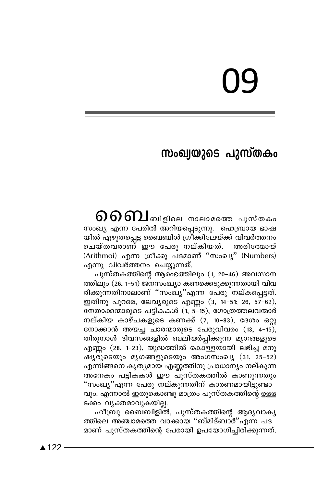## സംഖ്വയുടെ പുസ്തകം

 $\boldsymbol{\Omega}$   $\boldsymbol{\Omega}$   $\boldsymbol{\Omega}$  ബിളിലെ നാലാമത്തെ പുസ്തകം സംഖ്യ എന്ന പേരിൽ അറിയപ്പെടുന്നു. ഹെബ്രായ ഭാഷ യിൽ എഴുതപ്പെട്ട ബൈബിൾ ഗ്രീക്കിലേയ്ക്ക് വിവർത്തനം ചെയ്തവരാണ് ഈ പേരു നല്കിയത്. അരിത്മോയ് (Arithmoi) എന്ന ഗ്രീക്കു പദമാണ് "സംഖ്യ" (Numbers) എന്നു വിവർത്തനം ചെയ്യുന്നത്.

പുസ്തകത്തിന്റെ ആരംഭത്തിലും (1, 20–46) അവസാന ത്തിലും (26, 1–51) ജനസംഖ്യാ കണക്കെടുക്കുന്നതായി വിവ രിക്കുന്നതിനാലാണ് ''സംഖ്യ''എന്ന പേരു നല്കപ്പെട്ടത്. ഇതിനു പുറമെ, ലേവൃരുടെ എണ്ണം (3, 14-51; 26, 57-62), നേതാക്കന്മാരുടെ പട്ടികകൾ (1, 5-15), ഗോത്രത്തലവന്മാർ നല്കിയ കാഴ്ചകളുടെ കണക്ക് (7, 10–83), ദേശം ഒറ്റു നോക്കാൻ അയച്ച ചാരന്മാരുടെ പേരുവിവരം (13, 4-15), തിരുനാൾ ദിവസങ്ങളിൽ ബലിയർപ്പിക്കുന്ന മൃഗങ്ങളുടെ  $\alpha$ സിന്റാ (28, 1-23), യുദ്ധത്തിൽ കൊള്ളയായി ലഭിച്ച മനു ഷ്യരുടെയും മൃഗങ്ങളുടെയും അംഗസംഖ്യ (31, 25-52) എന്നിങ്ങനെ കൃത്യമായ എണ്ണത്തിനു പ്രാധാന്യം നല്കുന്ന അനേകം പട്ടികകൾ ഈ പുസ്തകത്തിൽ കാണുന്നതും "സംഖ്യ"എന്ന പേരു നല്കുന്നതിന് കാരണമായിട്ടുണ്ടാ വും. എന്നാൽ ഇതുകൊണ്ടു മാത്രം പുസ്തകത്തിന്റെ ഉള്ള ടക്കം വ്യക്തമാവുകയില്ല.

ഹീബ്രു ബൈബിളിൽ, പുസ്തകത്തിന്റെ ആദ്യവാകൃ ത്തിലെ അഞ്ചാമത്തെ വാക്കായ ''ബ്മിദ്ബാർ''എന്ന പദ മാണ് പുസ്തകത്തിന്റെ പേരായി ഉപയോഗിച്ചിരിക്കുന്നത്.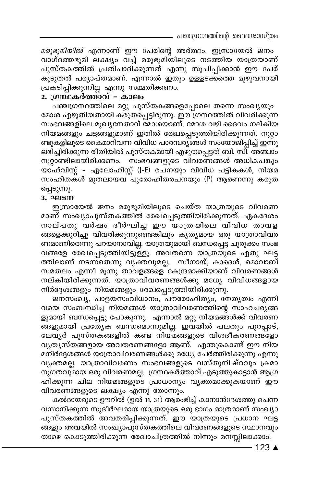മരുഭുമിയിൽ എന്നാണ് ഈ പേരിന്റെ അർത്ഥം. ഇസ്രായേൽ ജനം വാഗ്ദത്തഭൂമി ലക്ഷ്യം വച്ച് മരുഭൂമിയിലൂടെ നടത്തിയ യാത്രയാണ് പുസ്തകത്തിൽ പ്രതിപാദിക്കുന്നത് എന്നു സൂചിപ്പിക്കാൻ ഈ പേര് കൂടുതൽ പര്യാപ്തമാണ്. എന്നാൽ ഇതും ഉള്ളടക്കത്തെ മുഴുവനായി പ്രകടിപ്പിക്കുന്നില്ല എന്നു സമ്മതിക്കണം.

#### 2. ഗ്രന്ഥകർത്താവ് - കാലം

പഞ്ചഗ്രന്ഥത്തിലെ മറ്റു പുസ്തകങ്ങളെപ്പോലെ തന്നെ സംഖ്യയും മോശ എഴുതിയതായി കരുതപ്പെട്ടിരുന്നു. ഈ ഗ്രന്ഥത്തിൽ വിവരിക്കുന്ന സംഭവങ്ങളിലെ മുഖ്യനേതാവ് മോശയാണ്. മോശ വഴി ദൈവം നല്കിയ നിയമങ്ങളും ചട്ടങ്ങളുമാണ് ഇതിൽ രേഖപ്പെടുത്തിയിരിക്കുന്നത്. നൂറ്റാ ണ്ടുകളിലൂടെ കൈമാറിവന്ന വിവിധ പാരമ്പര്യങ്ങൾ സംയോജിപ്പിച്ച് ഇന്നു ലഭിച്ചിരിക്കുന്ന രീതിയിൽ പുസ്തകമായി എഴുതപ്പെട്ടത് ബി. സി. അഞ്ചാം നൂറ്റാണ്ടിലായിരിക്കണം. സംഭവങ്ങളുടെ വിവരണങ്ങൾ അധികപങ്കും യാഹ്വിസ്റ്റ് – ഏലോഹിസ്റ്റ് (J-E) രചനയും വിവിധ പട്ടികകൾ, നിയമ സംഹിതകൾ മുതലായവ<sup>്</sup>പുരോഹിതരചനയും (P) ആണെന്നു കരുത പ്പെടുന്നു.

#### 3. ഘടന

ഇസ്രായേൽ ജനം മരുഭൂമിയിലൂടെ ചെയ്ത യാത്രയുടെ വിവരണ മാണ് സംഖ്യാപുസ്തകത്തിൽ രേഖപ്പെടുത്തിയിരിക്കുന്നത്. ഏകദേശം നാല്പതു വർഷം ദീർഘിച്ച ഈ യാത്രയിലെ വിവിധ താവള ങ്ങളെക്കുറിച്ചു വിവരിക്കുന്നുണ്ടെങ്കിലും കൃത്യമായ ഒരു യാത്രാവിവര ണമാണിതെന്നു പറയാനാവില്ല. യാത്രയുമായി ബന്ധപ്പെട്ട ചുരുക്കം സംഭ വങ്ങളേ രേഖപ്പെടുത്തിയിട്ടുള്ളൂ. അവതന്നെ യാത്രയുടെ ഏതു ഘട്ട ത്തിലാണ് നടന്നതെന്നു വൃക്തവുമല്ല. സീനായ്, കാദെശ്, മൊവാബ് സമതലം എന്നീ മൂന്നു താവളങ്ങളെ കേന്ദ്രമാക്കിയാണ് വിവരണങ്ങൾ നല്കിയിരിക്കുന്നത്. യാത്രാവിവരണങ്ങൾക്കു മധ്യേ വിവിധങ്ങളായ നിർദ്ദേശങ്ങളും നിയമങ്ങളും രേഖപ്പെടുത്തിയിരിക്കുന്നു.

ജനസംഖ്യ, പാളയസംവിധാനം, പൗരോഹിത്യം, നേതൃത്വം എന്നി വയെ സംബന്ധിച്ച നിയമങ്ങൾ യാത്രാവിവരണത്തിന്റെ സാഹചര്യങ്ങ ളുമായി ബന്ധപ്പെട്ടു പോകുന്നു. എന്നാൽ മറ്റു നിയമങ്ങൾക്ക് വിവരണ ങ്ങളുമായി പ്രത്യേക ബന്ധമൊന്നുമില്ല. ഇവയിൽ പലതും പുറപ്പാട്, ലേവൃർ പുസ്തകങ്ങളിൽ കണ്ട നിയ്മങ്ങളുടെ വിശദീകരണങ്ങളോ വൃതൃസ്തങ്ങളായ അവതരണങ്ങളോ ആണ്. എന്തുകൊണ്ട് ഈ നിയ മനിർദ്ദേശങ്ങൾ യാത്രാവിവരണങ്ങൾക്കു മധ്യേ ചേർത്തിരിക്കുന്നു എന്നു വൃക്തമല്ല. യാത്രാവിവരണം സംഭവങ്ങളുടെ വസ്തുനിഷ്ഠവും ക്രമാ നുഗതവുമായ ഒരു വിവരണമല്ല. ഗ്രന്ഥകർത്താവ് എടുത്തുകാട്ടാൻ ആഗ്ര ഹിക്കുന്ന ചില നിയമങ്ങളുടെ പ്രാധാന്യം വ്യക്തമാക്കുകയാണ് ഈ വിവരണങ്ങളുടെ ലക്ഷ്യം എന്നു തോന്നും.

കൽദായരുടെ ഊറിൽ (ഉൽ 11, 31) ആരംഭിച്ച് കാനാൻദേശത്തു ചെന്ന വസാനിക്കുന്ന സുദീർഘമായ യാത്രയുടെ ഒരു ഭാഗം മാത്രമാണ് സംഖ്യാ പുസ്തകത്തിൽ അവതരിപ്പിക്കുന്നത്. ഈ യാത്രയുടെ പ്രധാന ഘട്ട ങ്ങളും അവയിൽ സംഖ്യാപുസ്തകത്തിലെ വിവരണങ്ങളുടെ സ്ഥാനവും താഴെ കൊടുത്തിരിക്കുന്ന രേഖാചിത്രത്തിൽ നിന്നും മനസ്സിലാക്കാം.

 $-123$   $\triangle$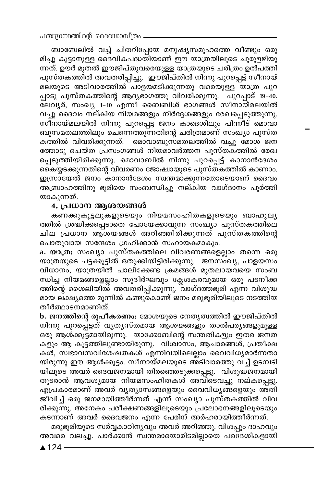ബാബേലിൽ വച്ച് ചിതറിപ്പോയ മനുഷ്യസമൂഹത്തെ വീണ്ടും ഒരു മിച്ചു കൂട്ടാനുള്ള ദൈവികപദ്ധതിയാണ് ഈ യാത്രയിലൂടെ ചുരുളഴിയു ന്നത്. ഊർ മുതൽ ഈജിപ്തുവരെയുള്ള യാത്രയുടെ ചരിത്രം ഉൽപത്തി പുസ്തകത്തിൽ അവതരിപ്പിച്ചു. ഇൗജിപ്തിൽ നിന്നു പുറപ്പെട്ട് സീനായ് മലയുടെ അടിവാരത്തിൽ പാളയമടിക്കുന്നതു വരെയുള്ള യാത്ര പുറ പ്പാടു പുസ്തകത്തിന്റെ ആദ്യഭാഗത്തു വിവരിക്കുന്നു. പുറപ്പാട് 19–40, ലേവൃർ, സംഖ്യ 1-10 എന്നീ ബൈബിൾ ഭാഗങ്ങൾ സീനായ്മലയിൽ വച്ചു ദൈവം നല്കിയ നിയമങ്ങളും നിർദ്ദേശങ്ങളും രേഖപ്പെടുത്തുന്നു. സീനായ്മലയിൽ നിന്നു പുറപ്പെട്ട ജനം കാദെശിലും പിന്നീട് മൊവാ ബുസമതലത്തിലും ചെന്നെത്തുന്നതിന്റെ ചരിത്രമാണ് സംഖ്യാ പുസ്ത കത്തിൽ വിവരിക്കുന്നത്. മൊവാബുസമതലത്തിൽ വച്ചു മോശ ജന ത്തോടു ചെയ്ത പ്രസംഗങ്ങൾ നിയമാവർത്തന പുസ്തകത്തിൽ രേഖ പ്പെടുത്തിയിരിക്കുന്നു. മൊവാബിൽ നിന്നു പുറപ്പെട്ട് കാനാൻദേശം കൈയ്യടക്കുന്നതിന്റെ വിവരണം ജോഷ്വായുടെ പുസ്തകത്തിൽ കാണാം. ഇസ്രായേൽ ജനം കാനാൻദേശം സ്വന്തമാക്കുന്നതോടെയാണ് ദൈവം അബ്രാഹത്തിനു ഭൂമിയെ സംബന്ധിച്ചു നല്കിയ വാഗ്ദാനം പൂർത്തി യാകുന്നത്.

#### 4. പ്രധാന ആശയങ്ങൾ

കണക്കുകൂട്ടലുകളുടെയും നിയമസംഹിതകളുടെയും ബാഹുല്യ ത്തിൽ ശ്രദ്ധിക്കപ്പെടാതെ പോയേക്കാവുന്ന സംഖ്യാ പുസ്തകത്തിലെ ചില പ്രധാന ആശയങ്ങൾ അറിഞ്ഞിരിക്കുന്നത് പുസ്തകത്തിന്റെ പൊതുവായ സന്ദേശം ഗ്രഹിക്കാൻ സഹായകമാകും.

a. യാത്ര: സംഖ്യാ പുസ്തകത്തിലെ വിവരണങ്ങളെല്ലാം തന്നെ ഒരു യാത്രയുടെ ചട്ടക്കൂട്ടിൽ ഒതുക്കിയിട്ടിരിക്കുന്നു. ജനസ്ംഖ്യ, പാളയസം വിധാനം, യാത്രയിൽ പാലിക്കേണ്ട ക്രമങ്ങൾ മുതലായവയെ സംബ ന്ധിച്ച നിയമങ്ങളെല്ലാം സുദീർഘവും ക്ലേശകരവുമായ ഒരു പടനീക്ക ത്തിന്റെ ശൈലിയിൽ് അവതരിപ്പിക്കുന്നു. വാഗ്ദത്തഭൂമി എന്ന വിശുദ്ധ മായ ലക്ഷ്യത്തെ മുന്നിൽ കണ്ടുകൊണ്ട് ജനം മരുഭൂമിയിലൂടെ നടത്തിയ തീർത്ഥാടനമാണിത്.

b. ജനത്തിന്റെ രൂപീകരണം: മോശയുടെ നേതൃത്വത്തിൽ ഈജിപ്തിൽ നിന്നു പുറപ്പെട്ടത് വൃതൃസ്തമായ ആശയങ്ങളും താൽപര്യങ്ങളുമുള്ള ഒരു ആൾക്കൂട്ടമായിരുന്നു. യാക്കോബിന്റെ സന്തതികളും ഇതര ജനത കളും ആ കൂട്ടത്തിലുണ്ടായിരുന്നു. വിശ്വാസം, ആചാരങ്ങൾ, പ്രതീക്ഷ കൾ, സ്വഭാവസവിശേഷതകൾ എന്നിവയിലെല്ലാം വൈവിധ്യമാർന്നതാ യിരുന്നു ഈ ആൾക്കൂട്ടം. സീനായ്മലയുടെ അ്ടിവാരത്തു വച്ച് ഉടമ്പടി യിലൂടെ അവർ ദൈവജനമായി തിരഞ്ഞെടുക്കപ്പെട്ടു. വിശുദ്ധജനമായി തുടരാൻ ആവശ്യമായ നിയമസംഹിതകൾ അവിടെവച്ച നല്കപ്പെട്ടു. എപ്രകാരമാണ് അവർ വ്യത്യാസങ്ങളെയും വൈവിധ്യങ്ങളെയും അതി ജീവിച്ച് ഒരു ജനമായിത്തീർന്നത് എന്ന് സംഖ്യാ പുസ്തകത്തിൽ വിവ രിക്കുന്നു. അനേകം പരീക്ഷണങ്ങളിലൂടെയും പ്രലോഭനങ്ങളിലൂടെയും കടന്നാണ് അവർ ദൈവജനം എന്ന പേരിന് അർഹരായിത്തീർന്നത്.

മരുഭൂമിയുടെ സർവ്വകാഠിനൃവും അവർ അറിഞ്ഞു. വിശപ്പും ദാഹവും അവരെ വലച്ചു. പാർക്കാൻ സ്വന്തമായൊരിടമില്ലാതെ പരദേശികളായി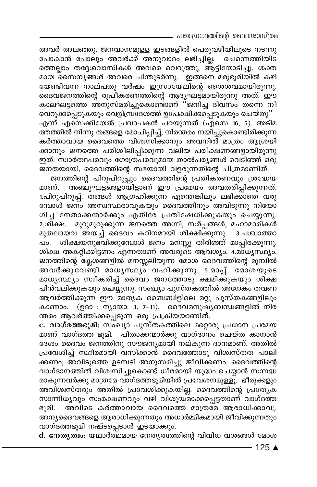— പഞ്ചഗ്രന്ഥത്തിന്റെ വൈവശാസ്ത്രം

അവർ അലഞ്ഞു. ജനവാസമുള്ള ഇടങ്ങളിൽ പെരുവഴിയിലൂടെ നടന്നു പോകാൻ പോലും അവർക്ക് അനുവാദം ലഭിച്ചില്ല. ചെന്നെത്തിയിട ത്തെല്ലാം തദ്ദേശവാസികൾ അവരെ വെറുത്തു, ആ്ട്ടിയോടിച്ചു. ശക്ത മായ സൈന്യങ്ങൾ അവരെ പിന്തുടർന്നു. `ഇങ്ങനെ മരുഭൂമിയിൽ കഴി യേണ്ടിവന്ന നാല്പതു വർഷം ഇസ്രായേലിന്റെ ശൈശവമായിരുന്നു. ദൈവജനത്തിന്റെ രൂപീകരണത്തിന്റെ ആദൃഘട്ട്മായിരുന്നു അത്. ഈ കാലഘട്ടത്തെ അനുസ്മരിച്ചുകൊണ്ടാണ് <sup>ദ</sup>ജനിച്ച ദിവസം തന്നെ നീ

വെറുക്കപ്പെടുകയും വെളിമ്പ്രദേശത്ത് ഉപേക്ഷിക്കപ്പെടുകയും ചെയ്തു'' എന്ന് എസെക്കിയേൽ പ്രവാചകൻ പറയുന്നത് (എസെ 16, 5). അടിമ ത്തത്തിൽ നിന്നു തങ്ങളെ മോചിപ്പിച്ച്, നിരന്തരം നയിച്ചുകൊണ്ടിരിക്കുന്ന കർത്താവായ ദൈവത്തെ വിശ്വസിക്കാനും അവനിൽ മാത്രം ആശ്രയി ക്കാനും ജനത്തെ പരിശീലിപ്പിക്കുന്ന വലിയ പരീക്ഷണങ്ങളായിരുന്നു ഇത്. സ്ഥർത്ഥപരവും ഗോത്രപരവുമായ താൽപര്യങ്ങൾ വെടിഞ്ഞ് ഒരു ജനതയായി, ദൈവത്തിന്റെ സഭയായി വളരുന്നതിന്റെ ചിത്രമാണിത്.

ജനത്തിന്റെ പിറുപിറുപ്പും ദൈവത്തിന്റെ പ്രതികരണവും ശ്രദ്ധേയ മാണ്. അഞ്ചുഘട്ടങ്ങളായിട്ടാണ് ഈ പ്രമേയം അവതരിപ്പിക്കുന്നത്. 1.പിറുപിറുപ്പ്. തങ്ങൾ ആഗ്രഹിക്കുന്ന എന്തെങ്കിലും ലഭിക്കാതെ വരു <u>മ്പോൾ ജനം അസ്വസ്ഥരാവുകയും ദൈവത്തിനും അവിടുന്നു നിയോ</u> ഗിച്ച നേതാക്കന്മാർക്കും എതിരേ പ്രതിഷേധിക്കുകയും ചെയ്യുന്നു. മുറുമുറുക്കുന്ന ജനത്തെ അഗ്നി, സർപ്പങ്ങൾ, മഹാമാരികൾ 2.ശിക്ഷ. മുതലായവ അയച്ച് ദൈവം കഠിനമായി ശിക്ഷിക്കുന്നു. 3.പശ്ചാത്താ പം. ശിക്ഷയനുഭവിക്കുമ്പോൾ ജനം മനസ്സു തിരിഞ്ഞ് മാപ്പിരക്കുന്നു. ശിക്ഷ അകറ്റിക്കിട്ടണം എന്നതാണ് അവരുടെ ആവശ്യം. 4.മാധ്യസ്ഥ്യം. ജനത്തിന്റെ ക്ലേശങ്ങളിൽ മനസ്സലിയുന്ന മോശ ദൈവത്തിന്റെ മുമ്പിൽ അവർക്കുവേണ്ടി മാധൃസ്ഥൃം വഹിക്കുന്നു. 5.മാപ്പ്. മോശയുടെ മാധൃസ്ഥ്യം സ്വീകരിച്ച് ദൈവം ജനത്തോടു ക്ഷമിക്കുകയും ശിക്ഷ പിൻവലിക്കുകയും ചെയ്യുന്നു. സംഖ്യാ പുസ്തകത്തിൽ അനേകം തവണ ആവർത്തിക്കുന്ന ഈ മാതൃക ബൈബിളിലെ മറ്റു പുസ്തകങ്ങളിലും കാണാം. (ഉദാ : ന്യായാ. 3, 7-11). ദൈവമനുഷ്യബന്ധങ്ങളിൽ നിര ന്തരം ആവർത്തിക്കപ്പെടുന്ന ഒരു പ്രക്രിയയാണിത്.

c. വാഗ്ദത്തഭൂമി: സംഖ്യാ പുസ്തകത്തിലെ മറ്റൊരു പ്രധാന പ്രമേയ മാണ് വാഗ്ദത്ത ഭൂമി. പിതാക്കന്മാർക്കു വാഗ്ദാനം ചെയ്ത കാനാൻ ദേശം ദൈവം ജനത്തിനു സൗജന്യമായി നല്കുന്ന ദാനമാണ്. അതിൽ പ്രവേശിച്ച് സ്ഥിരമായി വസിക്കാൻ ദൈവത്തോടു വിശ്വസ്തത പാലി ക്കണം; അവിടുത്തെ ഉടമ്പടി അനുസരിച്ചു ജീവിക്കണം. ദൈവത്തിന്റെ വാഗ്ദാനത്തിൽ വിശിസിച്ചുകൊണ്ട് ധീരമായി യുദ്ധം ചെയ്യാൻ സന്നദ്ധ രാകുന്നവർക്കു മാത്രമേ വാഗ്ദത്തഭൂമിയിൽ പ്രവേശനമുള്ളൂ. ഭീരുക്കളും അവിശ്വസ്തരും അതിൽ പ്രവേശിക്കുകയില്ല. ദൈവത്തിന്റെ പ്രത്യേക സാന്നിധൃവും സംരക്ഷണവും വഴി വിശുദ്ധമാക്കപ്പെട്ടതാണ് വാഗ്ദത്ത ഭൂമി. അവിടെ കർത്താവായ ദൈവത്തെ മാത്രമേ ആരാധിക്കാവൂ. അന്യദൈവങ്ങളെ ആരാധിക്കുന്നതും അധാർമ്മികമായി ജീവിക്കുന്നതും വാഗ്ദത്തഭൂമി നഷ്ടപ്പെടാൻ ഇടയാക്കും.

d. നേതൃത്വം: യഥാർത്ഥമായ നേതൃത്വത്തിന്റെ വിവിധ വശങ്ങൾ മോശ

 $-125$  ▲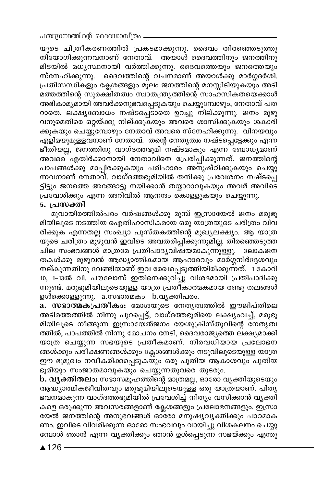പഞ്ചഗ്രന്ഥത്തിന്റെ ദൈവശാസ്ത്രം \_

യുടെ ചിത്രീകരണത്തിൽ പ്രകടമാക്കുന്നു. ദൈവം തിരഞ്ഞെടുത്തു നിയോഗിക്കുന്നവനാണ് നേതാവ്. അയാൾ ദൈവത്തിനും ജനത്തിനു മിടയിൽ മധൃസ്ഥനായി വർത്തിക്കുന്നു. ദൈവത്തെയും ജനത്തെയും സ്നേഹിക്കുന്നു. ദൈവത്തിന്റെ വചനമാണ് അയാൾക്കു മാർഗ്ഗദർശി. പ്രതിസന്ധികളും ക്ലേശങ്ങളും മൂലം ജനത്തിന്റെ മനസ്സിടിയുകയും അടി മത്തത്തിന്റെ സുരക്ഷിതത്വം സ്വാതന്ത്ര്യത്തിന്റെ സാഹസികതയെക്കാൾ അഭികാമൃമായി അവർക്കനുഭവപ്പെടുകയും ചെയ്യുമ്പോഴും, നേതാവ് പത റാതെ, ലക്ഷ്യബോധം നഷ്ടപ്പെടാതെ ഉറച്ചു നില്ക്കുന്നു. ജനം മുഴു വനുമെതിരെ ഒറ്റയ്ക്കു നില്ക്കുകയും അവരെ ശാസിക്കുകയും ശകാരി ക്കുകയും ചെയ്യുമ്പോഴും നേതാവ് അവരെ സ്നേഹിക്കുന്നു. വിനയവും എളിമയുമുള്ളവനാണ് നേതാവ്. തന്റെ നേതൃത്വം നഷ്ട്പ്പെട്ടേക്കും എന്ന ഭീതിയല്ല, ജനത്തിനു വാഗ്ദത്തഭൂമി നഷ്ടമാകും എന്ന ബോധ്യമാണ് അവരെ എതിർക്കാനായി നേതാവിനെ പ്രേരിപ്പിക്കുന്നത്. ജനത്തിന്റെ പാപങ്ങൾക്കു മാപ്പിരക്കുകയും പരിഹാരം അനുഷ്ഠിക്കുകയും ചെയ്യു ന്നവനാണ് നേതാവ്. വാഗ്ദത്തഭൂമിയിൽ തനിക്കു പ്രവേശനം നഷ്ടപ്പെ ട്ടിട്ടും ജനത്തെ അങ്ങോട്ടു നയിക്കാൻ തയ്യാറാവുകയും അവർ അവിടെ പ്രവേശിക്കും എന്ന അറിവിൽ ആനന്ദം കൊള്ളുകയും ചെയ്യുന്നു.

#### 5. പ്രസക്തി

മുവായിരത്തിൽപരം വർഷങ്ങൾക്കു മുമ്പ് ഇസ്രായേൽ ജനം മരുഭൂ മിയിലൂടെ നടത്തിയ ഐതിഹാസികമായ ഒരു യാത്രയുടെ ചരിത്രം വിവ രിക്കുക എന്നതല്ല സംഖ്യാ പുസ്തകത്തിന്റെ മുഖ്യലക്ഷ്യം. ആ യാത്ര യുടെ ചരിത്രം മുഴുവൻ ഇവിടെ അവതരിപ്പിക്കുന്നുമില്ല. തിരഞ്ഞെടുത്ത ചില സംഭവങ്ങൾ മാത്രമേ പ്രതിപാദൃവിഷയമാകുന്നുള്ളൂ. ലോകജന തകൾക്കു മുഴുവൻ ആദ്ധ്യാത്മികമായ ആഹാരവും മാർഗ്ഗനിർദ്ദേശവും നല്കുന്നതിനു വേണ്ടിയാണ് ഇവ രേഖപ്പെടുത്തിയിരിക്കുന്നത്. 1 കോറി 10, 1-13ൽ വി. പൗലോസ് ഇതിനെക്കുറിച്ചു് വിശദമായി പ്രതിപാദിക്കു ന്നുണ്ട്. മരുഭൂമിയിലൂടെയുള്ള യാത്ര പ്രതികാത്മകമായ രണ്ടു തലങ്ങൾ ഉൾക്കൊള്ളുന്നു. a.സഭാത്മകം b.വൃക്തിപരം.

a. സഭാത്മകപ്രതീകം: മോശയുടെ നേതൃത്വത്തിൽ ഈജിപ്തിലെ അടിമത്തത്തിൽ നിന്നു പുറപ്പെട്ട്, വാഗ്ദത്തഭൂമിയെ ലക്ഷ്യംവച്ച്, മരുഭൂ മിയിലൂടെ നീങ്ങുന്ന ഇസ്രായേൽജനം യേശുക്രിസ്തുവിന്റെ നേതൃത്വ ത്തിൽ, പാപത്തിൽ നിന്നു മോചനം നേടി, ദൈവരാജ്യത്തെ ലക്ഷ്യമാക്കി യാത്ര ചെയ്യുന്ന സഭയുടെ പ്രതീകമാണ്. നിരവധിയായ പ്രലോഭന ങ്ങൾക്കും പരീക്ഷണങ്ങൾക്കും ക്ലേശങ്ങൾക്കും നടുവിലൂടെയുള്ള യാത്ര ഈ ഭൂമുഖം നവീകരിക്കപ്പെടുകയും ഒരു പുതിയ ആകാശവും പുതിയ ഭൂമിയും സംജാതമാവുകയും ചെയ്യുന്നതുവരെ തുടരും.

b. വ്യക്തിതലം: സഭാസമൂഹത്തിന്റെ മാത്രമല്ല, ഓരോ വ്യക്തിയുടെയും ആദ്ധ്യാത്മികജീവിതവും മരുഭൂമിയിലൂടെയുള്ള ഒരു യാത്രയാണ്. പിത്യ ഭവനമാകുന്ന വാഗ്ദത്തഭൂമിയിൽ പ്രവേശിച്ച് നിത്യം വസിക്കാൻ വ്യക്തി കളെ ഒരുക്കുന്ന അവസരങ്ങളാണ് ക്ലേശങ്ങളും പ്രലോഭനങ്ങളും. ഇസ്രാ യേൽ ജനത്തിന്റെ അനുഭവങ്ങൾ ഓരോ മനുഷ്യവ്യക്തിക്കും പാഠമാക ണം. ഇവിടെ വിവരിക്കുന്ന ഓരോ സംഭവവും വായിച്ചു വിശകലനം ചെയ്യു മ്പോൾ ഞാൻ എന്ന വ്യക്തിക്കും ഞാൻ ഉൾപ്പെടുന്ന സഭയ്ക്കും എന്തു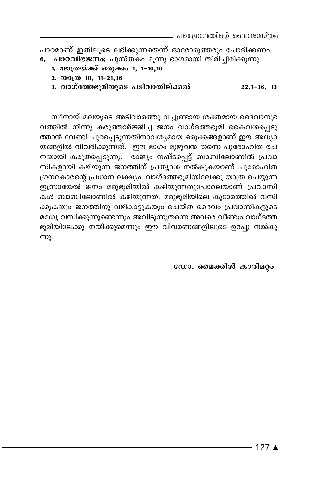പാഠമാണ് ഇതിലൂടെ ലഭിക്കുന്നതെന്ന് ഓരോരുത്തരും ചോദിക്കണം. 6. പാഠവിഭജനം: പുസ്തകം മൂന്നു ഭാഗമായി തിരിച്ചിരിക്കുന്നു.

- 1. യാത്രയ്ക്ക് ഒരുക്കം 1, 1-10,10
	- 2.  $\omega$  3( $\omega$ ) 10, 11-21,36
	- 3. വാഗ്ദത്തഭൂമിയുടെ പടിവാതില്ക്കൽ  $22,1-36,13$

സീനായ് മലയുടെ അടിവാരത്തു വച്ചുണ്ടായ ശക്തമായ ദൈവാനുഭ വത്തിൽ നിന്നു കരുത്താർജ്ജിച്ച ജനം വാഗ്ദത്തഭൂമി കൈവശപ്പെടു ത്താൻ വേണ്ടി പുറപ്പെടുന്നതിനാവശ്യമായ ഒരുക്കങ്ങളാണ് ഈ അധ്യാ യങ്ങളിൽ വിവരിക്കുന്നത്. ഈ ഭാഗം മുഴുവൻ തന്നെ പുരോഹിത രച നയായി കരുതപ്പെടുന്നു. രാജ്യം നഷ്ടപ്പെട്ട് ബാബിലോണിൽ പ്രവാ സികളായി കഴിയുന്ന ജനത്തിന് പ്രത്യാശ നൽകുകയാണ് പുരോഹിത ഗ്രന്ഥകാരന്റെ പ്രധാന ലക്ഷ്യം. വാഗ്ദത്തഭൂമിയിലേക്കു യാത്ര ചെയ്യുന്ന ഇസ്രായേൽ ജനം മരുഭൂമിയിൽ കഴിയുന്നതുപോലെയാണ് പ്രവാസി കൾ ബാബിലോണിൽ കഴിയുന്നത്. മരുഭൂമിയിലെ കൂടാരത്തിൽ വസി ക്കുകയും ജനത്തിനു വഴികാട്ടുകയും ചെയ്ത ദൈവം പ്രവാസികളുടെ മധ്യേ വസിക്കുന്നുണ്ടെന്നും അവിടുന്നുതന്നെ അവരെ വീണ്ടും വാഗ്ദത്ത ഭൂമിയിലേക്കു നയിക്കുമെന്നും ഈ വിവരണങ്ങളിലൂടെ ഉറപ്പു നൽകു <u>m)</u>.

ഡോ. മൈക്കിൾ കാരിമറ്റം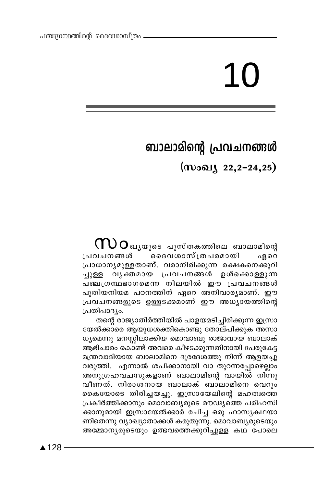# 10

## ബാലാമിന്റെ പ്രവചനങ്ങൾ

(സംഖ്യ 22,2-24,25)

 ${\bf \bigcap\! \, }$   $\bf O$ ഖൃയുടെ പുസ്തകത്തിലെ ബാലാമിന്റെ <u>്ദൈവശാസ്ത്രപരമായി</u> പ്രവചനങ്ങൾ ഏറെ പ്രാധാന്യമുള്ളതാണ്. വരാനിരിക്കുന്ന രക്ഷകനെക്കുറി വൃക്തമായ പ്രവചനങ്ങൾ ഉൾക്കൊള്ളുന്ന ച്ചുള്ള പഞ്ചത്രന്ഥഭാഗമെന്ന നിലയിൽ ഈ പ്രവചനങ്ങൾ പുതിയനിയമ പഠനത്തിന് ഏറെ അനിവാര്യമാണ്. ഈ പ്രവചനങ്ങളുടെ ഉള്ളടക്കമാണ് ഈ അധ്യായത്തിന്റെ പ്രതിപാദ്യം.

തന്റെ രാജ്യാതിർത്തിയിൽ പാളയമടിച്ചിരിക്കുന്ന ഇസ്രാ യേൽക്കാരെ ആയുധശക്തികൊണ്ടു തോല്പിക്കുക അസാ ധ്യമെന്നു മനസ്സിലാക്കിയ മൊവാബു രാജാവായ ബാലാക് ആഭിചാരം കൊണ്ട് അവരെ കീഴടക്കുന്നതിനായി പേരുകേട്ട മന്ത്രവാദിയായ ബാലാമിനെ ദൂരദേശത്തു നിന്ന് ആളയച്ചു വരുത്തി. എന്നാൽ ശപിക്കാനായി വാ തുറന്നപ്പോഴെല്ലാം അനുഗ്രഹവചസുകളാണ് ബാലാമിന്റെ വായിൽ നിന്നു വീണത്. നിരാശനായ ബാലാക് ബാലാമിനെ വെറും കൈയോടെ തിരിച്ചയച്ചു. ഇസ്രായേലിന്റെ മഹത്വത്തെ പ്രകീർത്തിക്കാനും മൊവാബ്യരുടെ മൗഢ്യത്തെ പരിഹസി ക്കാനുമായി ഇസ്രായേൽക്കാർ രചിച്ച ഒരു ഹാസ്യകഥയാ ണിതെന്നു വ്യാഖ്യാതാക്കൾ കരുതുന്നു. മൊവാബൃരുടെയും അമ്മോന്യരുടെയും ഉത്ഭവത്തെക്കുറിച്ചുള്ള കഥ പോലെ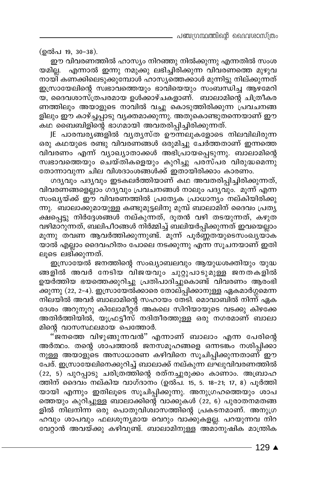(ഉൽപ 19, 30-38).

ഈ വിവരണത്തിൽ ഹാസ്യം നിറഞ്ഞു നിൽക്കുന്നു എന്നതിൽ സംശ യമില്ല. എന്നാൽ ഇന്നു നമുക്കു ലഭിച്ചിരിക്കുന്ന വിവരണത്തെ മുഴുവ നായി കണക്കിലെടുക്കുമ്പോൾ ഹാസ്യത്തെക്കാൾ മുന്നിട്ടു നില്ക്കുന്നത് ഇസ്രായേലിന്റെ സ്വഭാവത്തെയും ഭാവിയെയും സംബന്ധിച്ച ആഴ്മേറി യ, ദൈവശാസ്ത്രപരമായ ഉൾക്കാഴ്ചകളാണ്. ബാലാമിന്റെ ചിത്രീകര ണത്തിലും അയാളുടെ നാവിൽ വച്ചു കൊടുത്തിരിക്കുന്ന പ്രവചനങ്ങ ളിലും ഈ കാഴ്ച്ചപ്പാടു വൃക്തമാക്കുന്നു. അതുകൊണ്ടുതന്നെയാണ് ഈ കഥ ബൈബിളിന്റെ ഭാഗമായി അവതരിപ്പിച്ചിരിക്കുന്നത്.

JE പാരമ്പര്യങ്ങളിൽ വ്യത്യസ്ത ഊന്നലുകളോടെ നിലവിലിരുന്ന ഒരു കഥയുടെ രണ്ടു വിവരണങ്ങൾ ഒരുമിച്ചു ചേർത്തതാണ് ഇന്നത്തെ വിവരണം എന്ന് വ്യാഖ്യാതാക്കൾ അഭിപ്രായപ്പെടുന്നു. ബാലാമിന്റെ സ്ഥഭാവത്തെയും ചെയ്തികളെയും കുറിച്ചു പരസ്പര വിരുദ്ധമെന്നു തോന്നാവുന്ന ചില വിശദാംശങ്ങൾക്ക് ഇതായിരിക്കാം കാരണം.

ഗദൃവും പദൃവും ഇടകലർത്തിയാണ് കഥ അവതരിപ്പിച്ചിരിക്കുന്നത്, വിവരണങ്ങളെല്ലാം ഗദൃവും പ്രവചനങ്ങൾ നാലും പദൃവും. മൂന്ന് എന്ന സംഖ്യയ്ക്ക് ഈ വിവരണത്തിൽ പ്രത്യേക പ്രാധാന്യം നല്കിയിരിക്കു ന്നു. ബാലാക്കുമായുള്ള കണ്ടുമുട്ടലിനു മുമ്പ് ബാലാമിന് ദൈവം പ്രതൃ ക്ഷപ്പെട്ടു നിർദ്ദേശങ്ങൾ നല്കുന്നത്, ദൂതൻ വഴി തടയുന്നത്, കഴുത വഴിമാറുന്നത്, ബലിപീഠങ്ങൾ നിർമ്മിച്ച് ബലിയർപ്പിക്കുന്നത് ഇവയെല്ലാം മൂന്നു തവണ ആവർത്തിക്കുന്നുണ്ട്. മൂന്ന് പൂർണ്ണതയുടെസംഖ്യയാക യാൽ എല്ലാം ദൈവഹിതം പോലെ നടക്കുന്നു എന്ന സൂചനയാണ് ഇതി ലൂടെ ലഭിക്കുന്നത്.

ഇസ്രായേൽ ജനത്തിന്റെ സംഖ്യാബലവും ആയുധശക്തിയും യുദ്ധ ങ്ങളിൽ അവർ നേടിയ വിജയവും ചുറ്റുപാടുമുള്ള ജനതകളിൽ ഉയർത്തിയ ഭയത്തെക്കുറിച്ചു പ്രതിപാദിച്ചുകൊണ്ട് വിവരണം ആരംഭി \_<br>ക്കുന്നു (22, 2–4). ഇസ്രായേൽ്ക്കാരെ തോല്പ്പിക്കാനുള്ള ഏകമാർഗ്ഗമെന്ന നിലയിൽ അവർ ബാലാമിന്റെ സഹായം തേടി. മൊവാബിൽ നിന്ന് ഏക ദേശം അറുനൂറു കിലോമീറ്റര് അകലെ സിറിയായുടെ വടക്കു കിഴക്കേ അതിർത്തിയിൽ, യുഫ്രട്ടീസ് നദിതീരത്തുള്ള ഒരു നഗരമാണ് ബാലാ മിന്റെ വാസസ്ഥലമായ പെത്തോർ.

"്ജനത്തെ വിഴുങ്ങുന്നവൻ" എന്നാണ് ബാലാം എന്ന പേരിന്റെ അർത്ഥം. തന്റെ ശാപത്താൽ ജനസമൂഹങ്ങളെ ഒന്നടങ്കം നശിപ്പിക്കാ നുള്ള അയാളുടെ അസാധാരണ കഴിവിനെ സൂചിപ്പിക്കുന്നതാണ് ഈ പേര്. ഇസ്രായേലിനെക്കുറിച്ച് ബാലാക്ക് നല്കുന്ന ലഘുവിവരണത്തിൽ  $(22, 5)$  പുറപ്പാടു ചരിത്രത്തിന്റെ രത്നച്ചുരുക്കം കാണാം. അബ്രാഹ ത്തിന് ദൈവം നല്കിയ വാഗ്ദാനം (ഉൽപ. 15, 5. 18-21; 17, 8) പൂർത്തി യായി എന്നും ഇതിലൂടെ സൂചിപ്പിക്കുന്നു. അനുഗ്രഹത്തെയും ശാപ ത്തെയും കുറിച്ചുള്ള ബാലാക്കിന്റെ വാക്കുകൾ (22, 6) പുരാതനമതങ്ങ ളിൽ നിലനിന്ന ഒരു പൊതുവിശ്ചാസത്തിന്റെ പ്രകടനമാണ്. അനുഗ്ര ഹവും ശാപവും ഫലശൂന്യമായ വെറും വാക്കുകളല്ല. പറയുന്നവ നിറ വേറ്റാൻ അവയ്ക്കു കഴിവുണ്ട്. ബാലാമിനുള്ള അമാനുഷിക് മാന്ത്രിക

129 ▲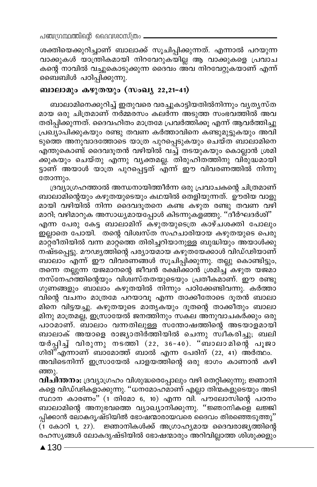ശക്തിയെക്കുറിച്ചാണ് ബാലാക്ക് സൂചിപ്പിക്കുന്നത്. എന്നാൽ പറയുന്ന വാക്കുകൾ യാന്ത്രികമായി നിറവേറുകയില്ല ആ വാക്കുകളെ പ്രവാച കന്റെ നാവിൽ വച്ചുകൊടുക്കുന്ന ദൈവം അവ നിറവേറ്റുകയാണ് എന്ന് ബൈബിൾ പഠിപ്പിക്കുന്നു.

#### ബാലാമും കഴുതയും (സംഖ്യ 22,21-41)

ബാലാമിനെക്കുറിച്ച് ഇതുവരെ വരച്ചുകാട്ടിയതിൽനിന്നും വ്യത്യസ്ത മായ ഒരു ചിത്രമാണ് നർമ്മരസം കലർന്ന അടുത്ത സംഭവത്തിൽ അവ തരിപ്പിക്കുന്നത്. ദൈവഹിതം മാത്രമേ പ്രവർത്തിക്കൂ എന്ന് ആവർത്തിച്ചു പ്രഖ്യാപിക്കുകയും രണ്ടു തവണ കർത്താവിനെ കണ്ടുമുട്ടുകയും അവി ടുത്തെ അനുവാദത്തോടെ യാത്ര പുറപ്പെടുകയും ചെയ്ത ബാലാമിനെ എന്തുകൊണ്ട് ദൈവദൂതൻ വഴിയിൽ വച്ച് തടയുകയും കൊല്ലാൻ ശ്രമി ക്കുകയും ചെയ്തു എന്നു വ്യക്തമല്ല. തിരുഹിതത്തിനു വിരുദ്ധമായി ട്ടാണ് അയാൾ യാത്ര പുറപ്പെട്ടത് എന്ന് ഈ വിവരണത്തിൽ നിന്നു തോന്നും.

ദ്രവ്യാഗ്രഹത്താൽ അന്ധനായിത്തീർന്ന ഒരു പ്രവാചകന്റെ ചിത്രമാണ് ബാലാമിന്റെയും കഴുതയുടെയും കഥയിൽ തെളിയുന്നത്. ഊരിയ വാളു മായി വഴിയിൽ നിന്ന ദൈവദൂതനെ കണ്ട കഴുത രണ്ടു തവണ വഴി മാറി; വഴിമാറുക അസാധ്യമായപ്പോൾ കിടന്നുകളഞ്ഞു. ''ദീർഘദർശി'' എന്ന പേരു കേട്ട ബാലാമിന് കഴുതയുടെത്ര കാഴ്ചശക്തി പോലും ഇല്ലാതെ പോയി. തന്റെ വിശ്വസ്ത സഹചാരിയായ കഴുതയുടെ പെരു മാറ്റരീതിയിൽ വന്ന മാറ്റത്തെ തിരിച്ചറിയാനുള്ള ബുദ്ധിയും അയാൾക്കു നഷ്ടപ്പെട്ടു. മൗഢ്യത്തിന്റെ പര്യായമായ കഴുതയേക്കാൾ വിഡ്ഢിയാണ് ബാലാം എന്ന് ഈ വിവരണങ്ങൾ സൂചിപ്പിക്കുന്നു. തല്ലു കൊണ്ടിട്ടും, തന്നെ തല്ലുന്ന യജമാനന്റെ ജീവൻ രക്ഷിക്കാൻ ശ്രമിച്ച് കഴുത യജമാ നസ്നേഹത്തിന്റെയും വിശിസ്തതയുടെയും പ്രതീകമാണ്. ഈ രണ്ടു ഗുണങ്ങളും ബാലാം കഴുതയിൽ നിന്നും പഠിക്കേണ്ടിവന്നു. കർത്താ വിന്റെ വചനം മാത്രമേ പറയാവൂ എന്ന താക്കീതോടെ ദൂതൻ ബാലാ മിനെ വിട്ടയച്ചു. കഴുതയുടെ മാതൃകയും ദൂതന്റെ താക്കീതും ബാലാ മിനു മാത്രമല്ല, ഇസ്രായേൽ ജനത്തിനും സകല അനുവാചകർക്കും ഒരു പാഠമാണ്. ബാലാം വന്നതിലുള്ള സന്തോഷത്തിന്റെ അടയാളമായി ബാലാക് അയാളെ രാജ്യാതിർത്തിയിൽ ചെന്നു സ്വീകരിച്ചു; ബലി യർപ്പിച്ച് വിരുന്നു നടത്തി (22, 36-40). "ബാലാമിന്റെ പൂജാ ഗിരി"്എന്നാണ് ബാമോത്ത് ബാൽ എന്ന പേരിന് (22, 41) അർത്ഥം. അവിടെനിന്ന് ഇസ്രായേൽ പാളയത്തിന്റെ ഒരു ഭാഗം കാണാൻ കഴി ഞ്ഞു.

വിചിന്തനം: ദ്രവ്യാഗ്രഹം വിശുദ്ധരെപ്പോലും വഴി തെറ്റിക്കുന്നു; ജ്ഞാനി കളെ വിഡ്ഢികളാക്കുന്നു. ''ധനമോഹമാണ് എല്ലാ തിന്മകളുടെയും അടി സ്ഥാന കാരണം" (1 തിമോ 6, 10) എന്ന വി. പൗലോസിന്റെ പഠനം ബാലാമിന്റെ അനുഭവത്തെ വ്യാഖ്യാനിക്കുന്നു. ''ജ്ഞാനികളെ ലജ്ജി പ്പിക്കാൻ ലോകദൃഷ്ടിയിൽ ഭോഷന്മാരായവരെ ദൈവം തിരഞ്ഞെടുത്തു'' (1 കോറി 1, 27). ജ്ഞാനികൾക്ക് അഗ്രാഹ്യമായ ദൈവരാജ്യത്തിന്റെ രഹസ്യങ്ങൾ ലോകദൃഷ്ടിയിൽ ഭോഷന്മാരും അറിവില്ലാത്ത ശിശുക്കളും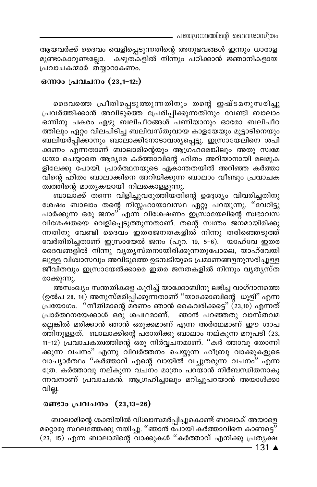ആയവർക്ക് ദൈവം വെളിപ്പെടുന്നതിന്റെ അനുഭവങ്ങൾ ഇന്നും ധാരാള കഴുതകളിൽ നിന്നും പഠിക്കാൻ ജ്ഞാനികളായ മുണ്ടാകാറുണ്ടല്ലോ. പ്രവാചകന്മാർ തയ്യാറാകണം.

#### ഒന്നാം പ്രവചനം (23,1-12:)

ദൈവത്തെ പ്രീതിപ്പെടുത്തുന്നതിനും തന്റെ ഇഷ്ടമനുസരിച്ചു പ്രവർത്തിക്കാൻ അവിടുത്തെ പ്രേരിപ്പിക്കുന്നതിനും വേണ്ടി ബാലാം ഒന്നിനു പകരം ഏഴു ബലിപീഠങ്ങൾ പണിയാനും ഓരോ ബലിപീഠ ത്തിലും ഏറ്റം വിലപിടിച്ച ബലിവസ്തുവായ കാളയേയും മുട്ടാടിനെയും ബലിയർപ്പിക്കാനും ബാലാക്കിനോടാവശ്യപ്പെട്ടു. ഇസ്രായേലിനെ ശപി ക്കണം എന്നതാണ് ബാലാമിന്റെയും ആഗ്രഹമെങ്കിലും അതു സ്വമേ ധയാ ചെയ്യാതെ ആദൃമേ കർത്താവിന്റെ ഹിതം അറിയാനായി മലമുക ളിലേക്കു പോയി. പ്രാർത്ഥനയുടെ ഏകാന്തതയിൽ അറിഞ്ഞ കർത്താ .<br>വിന്റെ ഹിതം ബാലാക്കിനെ അറിയിക്കുന്ന ബാലാം വീണ്ടും പ്രവാചക ത്വത്തിന്റെ മാതൃകയായി നിലകൊള്ളുന്നു.

ബാലാക്ക് തന്നെ വിളിച്ചുവരുത്തിയതിന്റെ ഉദ്ദേശ്യം വിവരിച്ചതിനു ശേഷം ബാലാം തന്റെ നിസ്സഹായാവസ്ഥ ഏറ്റു പറയുന്നു. "വേറിട്ടു പാർക്കുന്ന ഒരു ജനം"് എന്ന് വിശേഷണം ഇസ്രായേലിന്റെ സ്വഭാവസ വിശേഷതയെ വെളിപ്പെടുത്തുന്നതാണ്. തന്റെ സ്വന്തം ജനമായിരിക്കു ന്നതിനു വേണ്ടി ദൈവം ഇതരജനതകളിൽ നിന്നു തരിഞ്ഞെടുത്ത് വേർതിരിച്ചതാണ് ഇസ്രായേൽ ജനം (പുറ. 19, 5-6). യാഹ്വേ ഇതര ദൈവങ്ങളിൽ നിന്നു വ്യതൃസ്തനായിരിക്കുന്നതുപോലെ, യാഹ്വേയി ലുള്ള വിശ്വാസവും അവിടുത്തെ ഉടമ്പടിയുടെ പ്രമാണങ്ങളനുസരിച്ചുള്ള ജീവിതവും ഇസ്രായേൽക്കാരെ ഇതര ജനതകളിൽ നിന്നും വ്യത്യസ്ത രാക്കുന്നു.

അസംഖ്യം സന്തതികളെ കുറിച്ച് യാക്കോബിനു ലഭിച്ച വാഗ്ദാനത്തെ (ഉൽപ 28, 14) അനുസ്മരിപ്പിക്കുന്നതാണ് ''യാക്കോബിന്റെ ധൂളി'' എന്ന പ്രയോഗം. "നീതിമാന്റെ മരണം ഞാൻ കൈവരിക്കട്ടെ" (23,10) എന്നത് പ്രാർത്ഥനയേക്കാൾ ഒരു ശപഥമാണ്. ഞാൻ പറഞ്ഞതു വാസ്തവമ ല്ലെങ്കിൽ മരിക്കാൻ ഞാൻ ഒരുക്കമാണ് എന്ന അർത്ഥമാണ് ഈ ശാപ ത്തിനുള്ളത്. ബാലാക്കിന്റെ പരാതിക്കു ബാലാം നല്കുന്ന മറുപടി (23, 11-12) പ്രവാചകത്വത്തിന്റെ ഒരു നിർവ്വചനമാണ്. ''കർ ത്താവു തോന്നി ക്കുന്ന വചനം" എന്നു വിവർത്തനം ചെയ്യുന്ന ഹീബ്രു വാക്കുകളുടെ വാച്യാർത്ഥം "കർത്താവ് എന്റെ വായിൽ വച്ചുതരുന്ന വചനം" എന്ന ത്രേ. കർത്താവു നല്കുന്ന വചനം മാത്രം പറയാൻ നിർബന്ധിതനാകു ന്നവനാണ് പ്രവാചകൻ. ആഗ്രഹിച്ചാലും മറിച്ചുപറയാൻ അയാൾക്കാ വില്ല.

#### രണ്ടാം പ്രവചനം (23,13-26)

ബാലാമിന്റെ ശക്തിയിൽ വിശ്വാസമർപ്പിച്ചുകൊണ്ട് ബാലാക് അയാളെ മറ്റൊരു സ്ഥലഭ്ത്തക്കു നയിച്ചു. ''ഞാൻ പോയി കർത്താവിനെ കാണട്ടെ'' (23, 15) എന്ന ബാലാമിന്റെ വാക്കുകൾ ''കർത്താവ് എനിക്കു പ്രതൃക്ഷ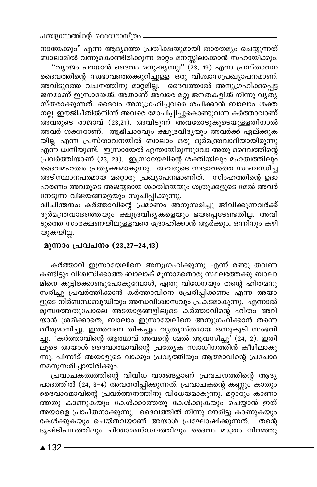നായേക്കും'' എന്ന ആദ്യത്തെ പ്രതീക്ഷയുമായി താരതമ്യം ചെയ്യുന്നത് ബാലാമിൽ വന്നുകൊണ്ടിരിക്കുന്ന മാറ്റം മനസ്സിലാക്കാൻ സഹായിക്കും.

"വ്യാജം പറയാൻ ദൈവം മനുഷ്യനല്ല" (23, 19) എന്ന പ്രസ്താവന ദൈവത്തിന്റെ സ്വഭാവത്തെക്കുറിച്ചുള്ള ഒരു വിശ്വാസപ്രഖ്യാപനമാണ്. അവിടുത്തെ വചനത്തിനു മാറ്റമില്ല. ദൈവത്താൽ അനുഗ്രഹിക്കപ്പെട്ട ജനമാണ് ഇസ്രായേൽ. അതാണ് അവരെ മറ്റു ജനതകളിൽ നിന്നു വൃതൃ സ്തരാക്കുന്നത്. ദൈവം അനുഗ്രഹിച്ചവരെ ശപിക്കാൻ ബാലാം ശക്ത നല്ല. ഈജിപ്തിൽനിന്ന് അവരെ മോചിപ്പിച്ചുകൊണ്ടുവന്ന കർത്താവാണ് അവരുടെ രാജാവ് (23,21). അവിടുന്ന് അവരോടുകൂടെയുള്ളതിനാൽ അവർ ശക്തരാണ്. ആഭിചാരവും ക്ഷുദ്രവിദൃയും അവർക്ക് ഏല്ക്കുക യില്ല എന്ന പ്രസ്താവനയിൽ ബാലാം ഒരു ദുർമന്ത്രവാദിയായിരുന്നു എന്ന ധിനിയുണ്ട്. ഇസ്രായേൽ എന്തായിരുന്നുവോ അതു ദൈവത്തിന്റെ പ്രവർത്തിയാണ് (23, 23). ഇസ്രായേലിന്റെ ശക്തിയിലും മഹത്വത്തിലും ദൈവമഹത്വം പ്രത്യക്ഷമാകുന്നു. അവരുടെ സ്വഭാവത്തെ സംബന്ധിച്ച അടിസ്ഥാനപരമായ മറ്റൊരു പ്രഖ്യാപനമാണിത്. സിംഹത്തിന്റെ ഉദാ ഹരണം അവരുടെ അജയ്യമായ ശക്തിയെയും ശത്രുക്കളുടെ മേൽ അവർ നേടുന്ന വിജയങ്ങളെയും സൂചിപ്പിക്കുന്നു.

വിചിന്തനം: കർത്താവിന്റെ പ്രമാണം അനുസരിച്ചു ജീവിക്കുന്നവർക്ക് ദുർമന്ത്രവാദത്തെയും ക്ഷുദ്രവിദൃകളെയും ഭയപ്പെടേണ്ടതില്ല. അവി ടുത്തെ സംരക്ഷണയിലുള്ളവരെ ദ്രോഹിക്കാൻ ആര്ക്കും, ഒന്നി്നും കഴി യുകയില്ല.

#### മൂന്നാം പ്രവചനം (23,27-24,13)

കർത്താവ് ഇസ്രായേലിനെ അനുഗ്രഹിക്കുന്നു എന്ന് രണ്ടു തവണ കണ്ടിട്ടും വിശ്വസിക്കാത്ത ബാലാക് മൂന്നാമതൊരു സ്ഥലത്തേക്കു ബാലാ മിനെ കൂട്ടിക്കൊണ്ടുപോകുമ്പോൾ, ഏതു വിധേനയും തന്റെ ഹിതമനു സരിച്ചു പ്രവർത്തിക്കാൻ കർത്താവിനെ പ്രേരിപ്പിക്കണം എന്ന അയാ ളുടെ നിർബന്ധബുദ്ധിയും അന്ധവിശ്വാസവും പ്രകടമാകുന്നു. എന്നാൽ മുമ്പത്തേതുപോലെ അടയാളങ്ങളിലൂടെ കർത്താവിന്റെ ഹിതം അറി യാൻ ശ്രമിക്കാതെ, ബാലാം ഇസ്രായേലിനെ അനുഗ്രഹിക്കാൻ തന്നെ തീരുമാനിച്ചു. ഇത്തവണ തികച്ചും വൃതൃസ്തമായ ഒന്നുകൂടി സംഭവി ച്ചു. 'കർത്താവിന്റെ ആത്മാവ് അവന്റെ മേൽ ആവസിച്ചു' (24, 2). ഇതി ലൂടെ അയാൾ ദൈവാത്മാവിന്റെ പ്രത്യേക സ്വാധീനത്തിൻ കീഴിലാകു ന്നു. പിന്നീട് അയാളുടെ വാക്കും പ്രവൃത്തിയും ആത്മാവിന്റെ പ്രചോദ നമനുസരിച്ചായിരിക്കും.

പ്രവാചകത്വത്തിന്റെ വിവിധ വശങ്ങളാണ് പ്രവചനത്തിന്റെ ആദ്യ പാദത്തിൽ (24, 3-4) അ്വതരിപ്പിക്കുന്നത്. പ്രവാചകന്റെ കണ്ണും്കാതും ദൈവാത്മാവിന്റെ പ്രവർത്തനത്തിനു വിധേയമാകുന്നു. മറ്റാരും കാണാ ത്തതു കാണുകയും കേൾക്കാത്തതു കേൾക്കുകയും ചെയ്യാൻ ഇത് അയാളെ പ്രാപ്തനാക്കുന്നു. ദൈവത്തിൽ നിന്നു നേരിട്ടു കാണുകയും കേൾക്കുകയും ചെയ്തവയാണ് അയാൾ പ്രഘോഷിക്കുന്നത്. ്തന്റെ ദൃഷ്ടിപഥത്തിലും ചിന്താമണ്ഡലത്തിലും ദൈവം മാത്രം നിറഞ്ഞു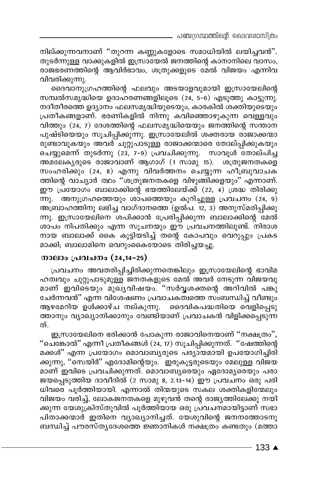നില്ക്കുന്നവനാണ് ''തുറന്ന കണ്ണുകളോടെ സമാധിയിൽ ലയിച്ചവൻ''. തുടർന്നുള്ള വാക്കുകളിൽ ഇസ്രായേൽ ജനത്തിന്റെ കാനാനിലെ വാസം, രാജഭരണത്തിന്റെ ആവിർഭാവം, ശത്രുക്കളുടെ മേൽ വിജയം എന്നിവ വിവരിക്കുന്നു.

ദൈവാനുഗ്രഹത്തിന്റെ ഫലവും അടയാളവുമായി ഇസ്രായേലിന്റെ സമ്പൽസമൃദ്ധിയെ ഉദാഹരണങ്ങളിലൂടെ (24, 5–6) എടുത്തു കാട്ടുന്നു. നദീതീരത്തെ ഉദ്യാനം ഫലസമൃദ്ധിയുടെയും, കാരകിൽ ശക്തിയുടെയും പ്രതീകങ്ങളാണ്. ഭരണികളിൽ നിന്നു കവിഞ്ഞൊഴുകുന്ന വെള്ളവും വിത്തും (24, 7) ദേശത്തിന്റെ ഫലസമൃദ്ധിയെയും ജനത്തിന്റെ സന്താന പുഷ്ടിയെയും സൂചിപ്പിക്കുന്നു. ഇസ്രായേലിൽ ശക്തരായ രാജാക്കന്മാ രുണ്ടാവുകയും അവര് ചുറ്റുപാടുള്ള രാജാക്കന്മാരെ തോല്പ്പിക്കുകയും ചെയ്യുമെന്ന് തുടർന്നു (23, 7-9) പ്രവചിക്കുന്നു. സാവൂൾ തോല്പിച്ച അമലേകൃരുടെ രാജാവാണ് ആഗാഗ് (1 സാമു 15). ശത്രുജനതകളെ സംഹരിക്കും (24, 8) എന്നു വിവർത്തനം ചെയ്യുന്ന ഹീ്ബ്രുവാചക ത്തിന്റെ വാച്യാർ ത്ഥം ''ശത്രുജനതകളെ വിഴുങ്ങിക്കളയും'' എന്നാണ്. ഈ പ്രയോഗം ബാലാക്കിന്റെ ഭയത്തിലേയ്ക്ക് (22, 4) ശ്രദ്ധ തിരിക്കു ന്നു. അനുഗ്രഹത്തെയും ശാപത്തെയും കുറിച്ചുള്ള പ്രവചനം (24, 9) അബ്രാഹത്തിനു ലഭിച്ച വാഗ്ദാനത്തെ (ഉൽപ. 12, 3) അനുസ്മരിപ്പിക്കു ന്നു. ഇസ്രായേലിനെ ശപിക്കാൻ പ്രേരിപ്പിക്കുന്ന ബാലാക്കിന്റെ മേൽ ശാപം നിപതിക്കും എന്ന സൂചനയും ഈ പ്രവചനത്തിലുണ്ട്. നിരാശ നായ ബാലാക്ക് കൈ കുട്ടിയടിച്ച് തന്റെ കോപവും വെറുപ്പും പ്രകട മാക്കി; ബാലാമിനെ വെറുംകൈയോടെ തിരിച്ചയച്ചു.

#### നാലാം പ്രവചനം (24,14-25)

പ്രവചനം അവതരിപ്പിച്ചിരിക്കുന്നതെങ്കിലും ഇസ്രായേലിന്റെ ഭാവിമ ഹത്വവും ചുറ്റുപാടുമുള്ള ജനതകളുടെ മേൽ അവർ നേടുന്ന വിജയവു മാണ് ഇവിടെയും മുഖ്യവിഷയം. "സർവൃശക്തന്റെ അറിവിൽ പങ്കു ചേർന്നവൻ'' എന്ന വിശേഷണം പ്രവാചകത്വത്തെ സംബന്ധിച്ച് വീണ്ടും ആഴമേറിയ ഉൾക്കാഴ്ച നല്കുന്നു. ദൈവികപദ്ധതിയെ വെളിപ്പെട്ടു ത്താനും വ്യാഖ്യാനിക്കാനും വേണ്ടിയാണ് പ്രവാചകൻ വിളിക്കപ്പെടുന്ന ത്.

ഇസ്രായേലിനെ ഭരിക്കാൻ പോകുന്ന രാജാവിനെയാണ് "നക്ഷത്രം", "ചെങ്കോൽ" എന്നീ പ്രതീകങ്ങൾ (24, 17) സൂചിപ്പിക്കുന്നത്. "ഷേത്തിന്റെ മക്കൾ" എന്ന പ്രയോഗം മൊവാബൃരുടെ പര്യായമായി ഉപയോഗിച്ചിരി ക്കുന്നു, ''സെയിർ'' എദോമിന്റെയും. `ഇരുകൂട്ടരുടെയും മേലുള്ള വിജയ മാണ് ഇവിടെ പ്രവചിക്കുന്നത്. മൊവാബ്യരെയും ഏദോമ്യരെയും പരാ ജയപ്പെടുത്തിയ ദാവീദിൽ (2 സാമു 8, 2.13-14) ഈ പ്രവചനം ഒരു പരി ധിവരെ പൂർത്തിയായി. എന്നാൽ തിന്മയുടെ സകല ശക്തികളിന്മേലും വിജയം വരിച്ച്, ലോകജനതകളെ മുഴുവൻ തന്റെ രാജ്യത്തിലേക്കു നയി ക്കുന്ന യേശുക്രിസ്തുവിൽ പൂർത്തിയായ ഒരു പ്രവചനമായിട്ടാണ് സഭാ പിതാക്കന്മാർ ഇതിനെ വ്യാഖ്യാനിച്ചത്. യേശുവിന്റെ ജനനത്തോടനു ബന്ധിച്ച് പൗരസ്തൃദേശത്തെ ജ്ഞാനികൾ നക്ഷത്രം കണ്ടതും (മത്താ

 $133 \triangle$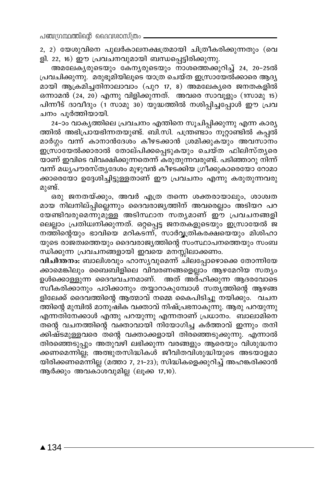2, 2) യേശുവിനെ പുലർകാലനക്ഷത്രമായി ചിത്രീകരിക്കുന്നതും (വെ ളി. 22, 16) ഈ പ്രവചനവുമായി ബന്ധപ്പെട്ടിരിക്കുന്നു.

അമലേകൃരുടെയും കേനൃരുടെയും നാശത്തെക്കുറിച്ച് 24, 20-25ൽ പ്രവചിക്കുന്നു. മരുഭൂമിയിലൂടെ യാത്ര ചെയ്ത ഇസ്രായേൽക്കാരെ ആദ്യ മായി ആക്രമിച്ചതിനാലാവാം (പുറ 17, 8) അമലേകൃരെ ജനതകളിൽ ഒന്നാമൻ (24, 20) എന്നു വിളിക്കുന്നത്. അവരെ സാവൂളും (1സാമു 15) പിന്നീട് ദാവീദും (1 സാമു 30) യുദ്ധത്തിൽ നശിപ്പിച്ചപ്പോൾ ഈ പ്രവ ചനം പൂർത്തിയായി.

24-ാം വാകൃത്തിലെ പ്രവചനം എന്തിനെ സൂചിപ്പിക്കുന്നു എന്ന കാരൃ ത്തിൽ അഭിപ്രായഭിന്നതയുണ്ട്. ബി.സി. പന്ത്രണ്ടാം നൂറ്റാണ്ടിൽ കപ്പൽ മാർഗ്ഗം വന്ന് കാനാൻദേശം കീഴടക്കാൻ ശ്രമിക്കുകയും അവസാനം ഇസ്രായേൽക്കാരാൽ തോല്പിക്കപ്പെടുകയും ചെയ്ത ഫിലിസ്തൃരെ യാണ് ഇവിടെ വിവക്ഷിക്കുന്നതെന്ന് കരുതുന്നവരുണ്ട്. പടിഞ്ഞാറു നിന്ന് വന്ന് മധൃപൗരസ്തൃദേശം മുഴുവൻ കീഴടക്കിയ ഗ്രീക്കുകാരെയോ റോമാ ക്കാരെയോ ഉദ്ദേശിച്ചിട്ടുള്ളതാണ് ഈ പ്രവചനം എന്നു കരുതുന്നവരു മുണ്ട്.

ഒരു ജനതയ്ക്കും, അവർ എത്ര തന്നെ ശക്തരായാലും, ശാശ്വത മായ നിലനില്പ്പില്ലെന്നും ദൈവരാജ്യത്തിന് അവരെല്ലാം അടിയറ പറ യേണ്ടിവരുമെന്നുമു്ള്ള അടിസ്ഥാന സത്യമാണ് ഈ പ്രവചനങ്ങളി ലെല്ലാം പ്രതിധ്വനിക്കുന്നത്. ഒറ്റപ്പെട്ട ജനതകളുടെയും ഇസ്രായേൽ ജ നത്തിന്റെയും ഭാവിയെ മറികടന്ന്, സാർവ്വത്രികരക്ഷയെയും മിശിഹാ യുടെ രാജത്വത്തെയും ദൈവരാജ്യത്തിന്റെ സംസ്ഥാപനത്തെയും സംബ ന്ധിക്കുന്ന പ്രവചനങ്ങളായി ഇവയെ മനസ്സിലാക്കണം.

വിചിന്തനം: ബാലിശവും ഹാസൃവുമെന്ന് ചിലപ്പോഴൊക്കെ തോന്നിയേ ക്കാമെങ്കിലും ബൈബിളിലെ വിവരണങ്ങളെല്ലാം ആഴമേറിയ സത്യം ഉൾക്കൊള്ളുന്ന ദൈവവചനമാണ്. അത് അര്ഹിക്കുന്ന ആദരവോടെ സ്ഥീകരിക്കാനും പഠിക്കാനും തയ്യാറാകുമ്പോൾ സതൃത്തിന്റെ ആഴങ്ങ ളിലേക്ക് ദൈവത്തിന്റെ ആത്മാവ് നമ്മെ കൈപിടിച്ചു നയിക്കും. വചന ത്തിന്റെ മുമ്പിൽ മാനുഷിക വക്താവ് നിഷ്പ്രഭനാകുന്നു. ആരു പറയുന്നു എന്നതിനേക്കാൾ എന്തു പറയുന്നു എന്നതാണ് പ്രധാനം. ബാലാമിനെ തന്റെ വചനത്തിന്റെ വക്താവായി നിയോഗിച്ച കർത്താവ് ഇന്നും തനി ക്കിഷ്ടമുള്ളവരെ തന്റെ വക്താക്കളായി തിരഞ്ഞെടുക്കുന്നു. എന്നാൽ തിരഞ്ഞെടുപ്പും അതുവഴി ലഭിക്കുന്ന വരങ്ങളും ആരെയും വിശുദ്ധനാ ക്കണമെന്നില്ല; അത്ഭുതസിദ്ധികൾ ജീവിതവിശുദ്ധിയുടെ അടയാളമാ യിരിക്കണമെന്നില്ല (മത്താ 7, 21–23); സിദ്ധികളെക്കുറിച്ച് അഹങ്കരിക്കാൻ ആർക്കും അവകാശവുമില്ല (ലൂക്ക 17,10).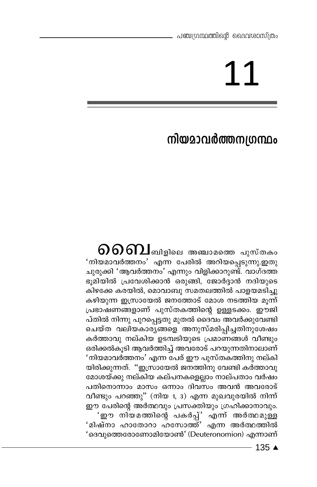## 11

## നിയമാവർത്തനഗ്രന്ഥം

 $\mathfrak{so}\mathfrak{on}$ ച്ചിളിലെ അഞ്ചാമത്തെ പുസ്തകം <u>'നിയമാവർത്തനം' എന്ന പേരിൽ അറിയപ്പെടുന്നു.ഇതു</u> ചുരുക്കി 'ആവർത്തനം' എന്നും വിളിക്കാറുണ്ട്. വാഗ്ദത്ത ഭുമിയിൽ പ്രവേശിക്കാൻ ഒരുങ്ങി, ജോർദ്ദാൻ നദിയുടെ കിഴക്കേ കരയിൽ, മൊവാബു സമതലത്തിൽ പാളയമടിച്ചു കഴിയുന്ന ഇസ്രായേൽ ജനത്തോട് മോശ നടത്തിയ മുന്ന് പ്രഭാഷണങ്ങളാണ് പുസ്തകത്തിന്റെ ഉള്ളടക്കം. ഈജി പ്തിൽ നിന്നു പുറപ്പെട്ടതു മുതൽ ദൈവം അവർക്കുവേണ്ടി ചെയ്ത വലിയകാരുങ്ങളെ അനുസ്മരിപ്പിച്ചതിനുശേഷം കർത്താവു നല്കിയ ഉടമ്പടിയുടെ പ്രമാണങ്ങൾ വീണ്ടും ഒരിക്കൽകൂടി ആവർത്തിച്ച് അവരോട് പറയുന്നതിനാലാണ് 'നിയമാവർത്തനം' എന്ന പേര് ഈ പുസ്തകത്തിനു നല്കി യിരിക്കുന്നത്. ''ഇസ്രായേൽ ജനത്തിനു വേണ്ടി കർത്താവു മോശയ്ക്കു നല്കിയ കല്പനകളെല്ലാം നാല്പതാം വർഷം പതിനൊന്നാം മാസം ഒന്നാം ദിവസം അവൻ അവരോട് വീണ്ടും പറഞ്ഞു'' (നിയ 1, 3) എന്ന മുഖവുരയിൽ നിന്ന് ഈ പേരിന്റെ അർത്ഥവും പ്രസക്തിയും ഗ്രഹിക്കാനാവും. 'ഈ നിയമത്തിന്റെ പകർപ്പ്' എന്ന് അർത്ഥമുള്ള 'മിഷ്നാ ഹാതോറാ ഹന്ധോത്ത്' എന്ന അർത്ഥത്തിൽ 'ദെവുത്തെരോണോമിയോൺ' (Deuteronomion) എന്നാണ്

 $-135$   $\triangle$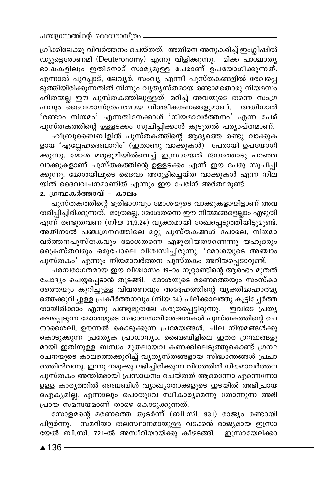ഗ്രീക്കിലേക്കു വിവർത്തനം ചെയ്തത്. അതിനെ അനുകരിച്ച് ഇംഗ്ലീഷിൽ ഡ്യൂട്ടെരോണമി (Deuteronomy) എന്നു വിളിക്കുന്നു. മിക്ക പാശ്ചാതൃ ഭാഷകളിലും ഇതിനോട് സാമ്യമുള്ള പേരാണ് ഉപയോഗിക്കുന്നത്. എന്നാൽ പുറപ്പാട്, ലേവൃർ, സംഖ്യ എന്നീ പുസ്തകങ്ങളിൽ രേഖപ്പെ ടുത്തിയിരിക്കുന്നതിൽ നിന്നും വൃത്യസ്തമായ രണ്ടാമതൊരു നിയമസം ഹിതയല്ല ഈ പുസ്തകത്തിലുള്ളത്, മറിച്ച് അവയുടെ തന്നെ സംഗ്ര ഹവും ദൈവശാസ്ത്രപരമായ വിശദീകരണങ്ങളുമാണ്. അതിനാൽ 'രണ്ടാം നിയമം' എന്നതിനേക്കാൾ 'നിയമാവർത്തനം' എന്ന പേര് പുസ്തകത്തിന്റെ ഉള്ളടക്കം സൂചിപ്പിക്കാൻ കൂടുതൽ പര്യാപ്തമാണ്.

ഹീബ്രുബൈബിളിൽ പുസ്തകത്തിന്റെ ആദ്യത്തെ രണ്ടു വാക്കുക ളായ 'എല്ലേഹദെബാറിം' (ഇതാണു വാക്കുകൾ) പേരായി ഉപയോഗി \_<br>കുന്നു. മോശ മരുഭൂമിയിൽവെച്ച് ഇസ്രായേൽ ജനത്തോടു പറഞ്ഞ വാക്കുകളാണ് പുസ്തകത്തിന്റെ ഉള്ളടക്കം എന്ന് ഈ പേരു സൂചിപ്പി ക്കുന്നു. മോശയിലൂടെ ദൈവം അരുളിച്ചെയ്ത വാക്കുകൾ എന്ന നില യിൽ ദൈവവചനമാണിത് എന്നും ഈ പേരിന് അർത്ഥമുണ്ട്.

#### 2. ഗ്രന്ഥകർത്താവ് – കാലം

പുസ്തകത്തിന്റെ ഭൂരിഭാഗവും മോശയുടെ വാക്കുകളായിട്ടാണ് അവ തരിപ്പിച്ചിരിക്കുന്നത്. മാത്രമല്ല, മോശതന്നെ ഈ നിയമങ്ങളെല്ലാം എഴുതി എന്ന് രണ്ടുതവണ (നിയ 31,9.24) വൃക്തമായി രേഖപ്പെടുത്തിയിട്ടുമുണ്ട്. അതിനാൽ പഞ്ചഗ്രന്ഥത്തിലെ മറ്റു പുസ്തകങ്ങൾ പോലെ, നിയമാ വർത്തനപുസ്തകവും മോശതന്നെ എഴുതിയതാണെന്നു യഹൂദരും ക്രൈസ്തവരും ഒരുപോലെ വിശ്വസിച്ചിരുന്നു. 'മോശയുടെ അഞ്ചാം പുസ്തകം' എന്നും നിയമാവർത്തന പുസ്തകം അറിയപ്പെടാറുണ്ട്.

പരമ്പരാഗതമായ ഈ വിശ്വാസം 19-ാം നൂറ്റാണ്ടിന്റെ ആരംഭം മുതൽ ചോദ്യം ചെയ്യപ്പെടാൻ തുടങ്ങി. മോശയുടെ മരണത്തെയും സംസ്കാ രത്തെയും കുറിച്ചുള്ള വിവരണവും അദ്ദേഹത്തിന്റെ വ്യക്തിമാഹാത്മ്യ ത്തെക്കുറിച്ചുള്ള പ്രകീർത്തനവും (നിയ 34) പില്ക്കാലത്തു കൂട്ടിച്ചേർത്ത തായിരിക്കാം എന്നു പണ്ടുമുതലേ കരുതപ്പെട്ടിരുന്നു. ഇവിടെ പ്രത്യ ക്ഷപ്പെടുന്ന മോശയുടെ സ്വഭാവസവിശേഷതകൾ പുസ്തകത്തിന്റെ രച നാശൈലി, ഊന്നൽ കൊടുക്കുന്ന പ്രമേയങ്ങൾ, ചില നിയമങ്ങൾക്കു കൊടുക്കുന്ന പ്രത്യേക പ്രാധാന്യം, ബൈബിളിലെ ഇതര ഗ്രന്ഥങ്ങളു മായി ഇതിനുള്ള ബന്ധം മുതലായവ കണക്കിലെടുത്തുകൊണ്ട് ഗ്രന്ഥ രചനയുടെ കാലത്തെക്കുറിച്ച് വൃതൃസ്തങ്ങളായ സിദ്ധാന്തങ്ങൾ പ്രചാ രത്തിൽവന്നു. ഇന്നു നമുക്കു ലഭിച്ചിരിക്കുന്ന വിധത്തിൽ നിയമാവർത്തന പുസ്തകം അന്തിമമായി പ്രസാധനം ചെയ്തത് ആരെന്നോ എന്നെന്നോ .<br>ഉള്ള കാര്യത്തിൽ ബൈബിൾ വ്യാഖ്യാതാക്കളുടെ ഇടയിൽ അഭിപ്രായ ഐക്യമില്ല. എന്നാലും പൊതുവേ സ്വീകാര്യമെന്നു തോന്നുന്ന അഭി പ്രായ സമന്വയമാണ് താഴെ കൊടുക്കുന്നത്.

സോളമന്റെ മരണത്തെ തുടർന്ന് (ബി.സി. 931) രാജ്യം രണ്ടായി പിളർന്നു. സ്മറിയാ തലസ്ഥാനമായുള്ള വടക്കൻ രാജ്യമായ ഇസ്രാ യേൽ ബി.സി. 721-ൽ അസീറിയായ്ക്കു കീഴടങ്ങി. ഇസ്രായേല്ക്കാ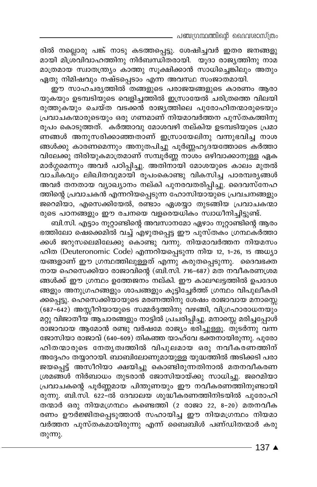\_ പഞ്ചഗ്രന്ഥത്തിന്റെ ദൈവശാസ്ത്രം

രിൽ നല്ലൊരു പങ്ക് നാടു കടത്തപ്പെട്ടു. ശേഷിച്ചവർ ഇതര ജനങ്ങളു മായി മിശ്രവിവാഹത്തിനു നിർബന്ധിതരായി. യൂദാ രാജ്യത്തിനു നാമ മാത്രമായ സ്വാതന്ത്ര്യം കാത്തു സൂക്ഷിക്കാൻ സാധിച്ചെങ്കിലും അതും ഏതു നിമിഷവും നഷ്ടപ്പെടാം എന്ന അവസ്ഥ സംജാതമായി.

ഈ സാഹചര്യത്തിൽ തങ്ങളുടെ പരാജയങ്ങളുടെ കാരണം ആരാ യുകയും ഉടമ്പടിയുടെ വെളിച്ചത്തിൽ ഇസ്രായേൽ ചരിത്രത്തെ വിലയി രുത്തുകയും ചെയ്ത വടക്കൻ രാജ്യത്തിലെ പുരോഹിതന്മാരുടെയും പ്രവാചകന്മാരുടെയും ഒരു ഗണമാണ് നിയമാവർത്തന പുസ്തകത്തിനു രൂപം കൊടുത്തത്. കർത്താവു മോശവഴി നല്കിയ ഉടമ്പടിയുടെ പ്രമാ ണങ്ങൾ അനുസരിക്കാഞ്ഞതാണ് ഇസ്രായേലിനു വന്നുഭവിച്ച നാശ ങ്ങൾക്കു കാരണമെന്നും അനുതപിച്ചു പൂർണ്ണഹൃദയത്തോടെ കർത്താ വിലേക്കു തിരിയുകമാത്രമാണ് സമ്പൂർണ്ണ നാശം ഒഴിവാക്കാനുള്ള ഏക മാർഗ്ഗമെന്നും അവർ പഠിപ്പിച്ചു. അതിനായി മോശയുടെ കാലം മുതൽ വാചികവും ലിഖിതവുമായി രൂപംകൊണ്ടു വികസിച്ച പാരമ്പര്യങ്ങൾ അവർ തനതായ വ്യാഖ്യാനം നല്കി പുനരവതരിപ്പിച്ചു. ദൈവസ്നേഹ ത്തിന്റെ പ്രവാചകൻ എന്നറിയപ്പെടുന്ന ഹോസിയായുടെ പ്രവചനങ്ങളും ജറെമിയാ, എസെക്കിയേൽ, രണ്ടാം ഏശയ്യാ തുടങ്ങിയ പ്രവാചകന്മാ രുടെ പഠനങ്ങളും ഈ രചനയെ വളരെയധികം സ്വാധീനിച്ചിട്ടുണ്ട്.

ബി.സി. എട്ടാം നൂറ്റാണ്ടിന്റെ അവസാനമോ ഏഴാം നൂറ്റാണ്ടിന്റെ ആരം ഭത്തിലോ ഷെക്കെമിൽ വച്ച് എഴുതപ്പെട്ട ഈ പുസ്തകം ഗ്രന്ഥകർത്താ ക്കൾ ജറുസലെമിലേക്കു കൊണ്ടു വന്നു. നിയമാവർത്തന നിയമസം ഹിത (Deuteronomic Code) എന്നറിയപ്പെടുന്ന നിയ 12, 1-26, 15 അധ്യാ യങ്ങളാണ് ഈ ഗ്രന്ഥത്തിലുള്ളത് എന്നു കരുതപ്പെടുന്നു. ദൈവഭക്ത നായ ഹെസെക്കിയാ രാജാവിന്റെ (ബി.സി. 716-687) മത നവീകരണശ്രമ ങ്ങൾക്ക് ഈ ഗ്രന്ഥം ഉത്തേജനം നല്കി. ഈ കാലഘട്ടത്തിൽ ഉപദേശ ങ്ങളും അനുഗ്രഹങ്ങളും ശാപങ്ങളും കൂട്ടിച്ചേർത്ത് ഗ്രന്ഥം വിപുലീകരി ക്കപ്പെട്ടു. ഹെസെക്കിയായുടെ മരണത്തിനു ശേഷം രാജാവായ മനാസ്സെ (687-642) അസ്സീറിയായുടെ സമ്മർദ്ദത്തിനു വഴങ്ങി, വിഗ്രഹാരാധനയും മറ്റു വിജാതീയ ആചാരങ്ങളും നാട്ടിൽ പ്രചരിപ്പിച്ചു. മനാസ്സെ മരിച്ചപ്പോൾ രാജാവായ ആമോൻ രണ്ടു വർഷമേ രാജ്യം ഭരിച്ചുള്ളൂ. തുടർന്നു വന്ന ജോസിയാ രാജാവ് (640-609) തികഞ്ഞ യാഹ്വേ ഭക്തനായിരുന്നു. പുരോ ഹിതന്മാരുടെ നേതൃത്വത്തിൽ വിപുലമായ ഒരു നവീകരണത്തിന് അദ്ദേഹം തയ്യാറായി. ബാബിലോണുമായുള്ള യുദ്ധത്തിൽ അടിക്കടി പരാ ജയപ്പെട്ട് അസീറിയാ ക്ഷയിച്ചു കൊണ്ടിരുന്നതിനാൽ മതനവീകരണ ശ്രമങ്ങൾ നിർബാധം തുടരാൻ ജോസിയായ്ക്കു സാധിച്ചു. ജറെമിയാ പ്രവാചകന്റെ പൂർണ്ണമായ പിന്തുണയും ഈ നവീകരണത്തിനുണ്ടായി രുന്നു. ബി.സി. 622–ൽ ദേവാലയ ശുദ്ധീകരണത്തിനിടയിൽ പുരോഹി തന്മാർ ഒരു നിയമഗ്രന്ഥം കണ്ടെത്തി (2 രാജാ 22, 8-20) മതനവീക രണം ഊർജ്ജിതപ്പെടുത്താൻ സഹായിച്ച ഈ നിയമഗ്രന്ഥം നിയമാ വർത്തന പുസ്തകമായിരുന്നു എന്ന് ബൈബിൾ പണ്ഡിതന്മാർ കരു തുന്നു.

 $137 \triangle$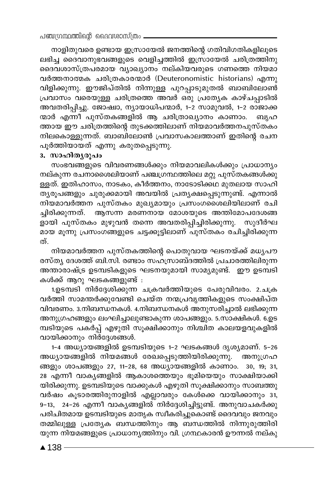നാളിതുവരെ ഉണ്ടായ ഇസ്രായേൽ ജനത്തിന്റെ ഗതിവിഗതികളിലൂടെ ലഭിച്ച ദൈവാനുഭവങ്ങളുടെ വെളിച്ചത്തിൽ ഇസ്രായേൽ ചരിത്രത്തിനു ദൈവശാസ്ത്രപരമായ വ്യാഖ്യാനം നല്കിയവരുടെ ഗണത്തെ നിയമാ വർത്തനാത്മക ചരിത്രകാരന്മാർ (Deuteronomistic historians) എന്നു വിളിക്കുന്നു. ഈജിപ്തിൽ നിന്നുള്ള പുറപ്പാടുമുതൽ ബാബിലോൺ പ്രവാസം വരെയുള്ള ചരിത്രത്തെ അവർ ഒരു പ്രത്യേക കാഴ്ചപ്പാടിൽ അവതരിപ്പിച്ചു. ജോഷ്വാ, ന്യായാധിപന്മാർ, 1-2 സാമുവൽ, 1-2 രാജാക്ക ന്മാർ എന്നി പുസ്തകങ്ങളിൽ ആ ചരിത്രാഖ്യാനം കാണാം. ബ്യഹ ത്തായ ഈ ചരിത്രത്തിന്റെ തുടക്കത്തിലാണ് നിയമാവർത്തനപുസ്തകം നിലകൊള്ളുന്നത്. ബാബിലോൺ പ്രവാസകാലത്താണ് ഇതിന്റെ രചന പൂർത്തിയായത് എന്നു കരുതപ്പെടുന്നു.

#### 3. സാഹിതൃരൂപം

സംഭവങ്ങളുടെ വിവരണങ്ങൾക്കും നിയമാവലികൾക്കും പ്രാധാന്യം നല്കുന്ന രചനാശൈലിയാണ് പഞ്ചഗ്രന്ഥത്തിലെ മറ്റു പുസ്തകങ്ങൾക്കു ള്ളത്. ഇതിഹാസം, നാടകം, കീർത്തനം, നാടോടിക്കഥ മുതലായ സാഹി തൃരൂപങ്ങളും ചുരുക്കമായി അവയിൽ പ്രത്യക്ഷപ്പെടുന്നുണ്ട്. എന്നാൽ നിയമാവർത്തന പുസ്തകം മുഖ്യമായും പ്രസംഗശൈലിയിലാണ് രചി ച്ചിരിക്കുന്നത്. ആസന്ന മരണനായ മോശയുടെ അന്തിമോപദേശങ്ങ \_\_<br>ളായി പുസ്തകം മുഴുവൻ തന്നെ അവതരിപ്പിച്ചിരിക്കുന്നു. സുദീർഘ മായ മൂന്നു പ്രസംഗങ്ങളുടെ ചട്ടക്കൂട്ടിലാണ് പുസ്തകം രചിച്ചിരിക്കുന്ന ത്.

നിയമാവർത്തന പുസ്തകത്തിന്റെ പൊതുവായ ഘടനയ്ക്ക് മധൃപൗ രസ്ത്യ ദേശത്ത് ബി.സി. രണ്ടാം സഹസ്ാബ്ദത്തിൽ പ്രചാരത്തിലിരുന്ന അന്താരാഷ്ട്ര ഉടമ്പടികളുടെ ഘടനയുമായി സാമ്യമുണ്ട്. ഈ ഉടമ്പടി കൾക്ക് ആറു ഘടകങ്ങളുണ്ട് :

1.ഉടമ്പടി നിർദ്ദേശിക്കുന്ന ചക്രവർത്തിയുടെ പേരുവിവരം. 2.ചക്ര വർത്തി സാമന്തർക്കുവേണ്ടി ചെയ്ത നന്മപ്രവൃത്തികളുടെ സംക്ഷിപ്ത വിവരണം. 3.നിബന്ധനകൾ. 4.നിബന്ധനകൾ അനുസരിച്ചാൽ ലഭിക്കുന്ന .<br>അനുഗ്രഹങ്ങളും ലംഘിച്ചാലുണ്ടാകുന്ന ശാപങ്ങളും. 5.സാക്ഷികൾ. 6.ഉട മ്പടിയുടെ പകർപ്പ് എഴുതി സൂക്ഷിക്കാനും നിശ്ചിത കാലയളവുകളിൽ വായിക്കാനും നിർദേശങ്ങൾ.

1-4 അധ്യായങ്ങളിൽ ഉടമ്പടിയുടെ 1-2 ഘടകങ്ങൾ ദൃശ്യമാണ്. 5-26 അധ്യായങ്ങളിൽ നിയമങ്ങൾ രേഖപ്പെടുത്തിയിരിക്കുന്നു. അനുഗ്രഹ ങ്ങളും ശാപങ്ങളും 27, 11-28, 68 അധ്യായങ്ങളിൽ കാണാം. 30, 19, 31, .<br>28 എന്നീ വാകൃങ്ങളിൽ ആകാശത്തെയും ഭൂമിയെയും സാക്ഷിയാക്കി യിരിക്കുന്നു. ഉടമ്പടിയുടെ വാക്കുകൾ എഴുതി സൂക്ഷിക്കാനും സാബത്തു വർഷം കൂടാരത്തിരുനാളിൽ എല്ലാവരും കേൾക്കെ വായിക്കാനും 31, 9–13, 24–26 എന്നീ വാകൃങ്ങളിൽ നിർദ്ദേശിച്ചിട്ടുണ്ട്. അനുവാചകർക്കു പരിചിതമായ ഉടമ്പടിയുടെ മാതൃക സ്വീകരിച്ചുകൊണ്ട് ദൈവവും ജനവും തമ്മിലുള്ള പ്രത്യേക ബന്ധത്തിനും ആ ബന്ധത്തിൽ നിന്നുരുത്തിരി യുന്ന നിയമങ്ങളുടെ പ്രാധാനൃത്തിനും വി. ഗ്രന്ഥകാരൻ ഊന്നൽ നല്കു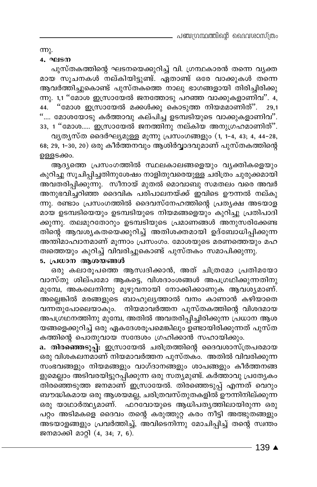$mp<sub>2</sub>$ .

#### 4. ഘടന

പുസ്തകത്തിന്റെ ഘടനയെക്കുറിച്ച് വി. ഗ്രന്ഥകാരൻ തന്നെ വൃക്ത മായ സൂചനകൾ നല്കിയിട്ടുണ്ട്. ഏതാണ്ട് ഒരേ വാക്കുകൾ തന്നെ ആവർത്തിച്ചുകൊണ്ട് പുസ്തകത്തെ നാലു ഭാഗങ്ങളായി തിരിച്ചിരിക്കു ന്നു. 1,1 "മോശ ഇസ്രായേൽ ജനത്തോടു പറഞ്ഞ വാക്കുകളാണിവ". 4, 44. "മോശ ഇസ്രായേൽ മക്കൾക്കു കൊടുത്ത നിയമമാണിത്". 29,1 ".... മോശയോടു കർത്താവു കല്പിച്ച ഉടമ്പടിയുടെ വാക്കുകളാണിവ". 33, 1 "മോശ..... ഇസ്രായേൽ ജനത്തിനു നല്കിയ അനുഗ്രഹമാണിത്".

വൃതൃസ്ത ദൈർഘ്യമുള്ള മൂന്നു പ്രസംഗങ്ങളും (1, 1-4, 43; 4, 44-28, 68; 29, 1-30, 20) ഒരു കീർത്തനവും ആശിർവ്വാദവുമാണ് പുസ്തകത്തിന്റെ ഉള്ളടക്കം.

ആദ്യത്തെ പ്രസംഗത്തിൽ സ്ഥലകാലങ്ങളെയും വ്യക്തികളെയും കുറിച്ചു സൂചിപ്പിച്ചതിനുശേഷം നാളിതുവരെയുള്ള ചരിത്രം ചുരുക്കമായി അവതരിപ്പിക്കുന്നു. സീനായ് മുതൽ മൊവാബു സമതലം വരെ അവർ അനുഭവിച്ചറിഞ്ഞ ദൈവിക പരിപാലനയ്ക്ക് ഇവിടെ ഊന്നൽ നല്കു ന്നു. രണ്ടാം പ്രസംഗത്തിൽ ദൈവസ്നേഹത്തിന്റെ പ്രത്യക്ഷ അടയാള മായ ഉടമ്പടിയെയും ഉടമ്പടിയുടെ നിയമങ്ങളെയും കുറിച്ചു പ്രതിപാദി ക്കുന്നു. തലമുറതോറും ഉടമ്പടിയുടെ പ്രമാണങ്ങൾ അനുസരിക്കേണ്ട തിന്റെ ആവശ്യകതയെക്കുറിച്ച് അതിശക്തമായി ഉദ്ബോധിപ്പിക്കുന്ന അന്തിമാഹ്വാനമാണ് മൂന്നാം പ്രസംഗം. മോശയുടെ മരണത്തെയും മഹ .<br>ത്വത്തെയും കുറിച്ച് വിവരിച്ചുകൊണ്ട് പുസ്തകം സമാപിക്കുന്നു.

#### 5. പ്രധാന ആശയങ്ങൾ

ഒരു കലാരൂപത്തെ ആസ്വദിക്കാൻ, അത് ചിത്രമോ പ്രതിമയോ വാസ്തു ശില്പമോ ആകട്ടെ, വിശദാംശങ്ങൾ അപഗ്രഥിക്കുന്നതിനു മുമ്പേ, അകലെനിന്നു മുഴുവനായി നോക്കിക്കാണുക ആവശ്യമാണ്. അല്ലെങ്കിൽ മരങ്ങളുടെ ബാഹുല്യത്താൽ വനം കാണാൻ കഴിയാതെ വന്നതുപോലെയാകും. നിയമാവർത്തന പുസ്തകത്തിന്റെ വിശദമായ അപഗ്രഥനത്തിനു മുമ്പേ, അതിൽ അവതരിപ്പിച്ചിരിക്കുന്ന പ്രധാന ആശ യങ്ങളെക്കുറിച്ച് ഒരു ഏകദേശരൂപമെങ്കിലും ഉണ്ടായിരിക്കുന്നത് പുസ്ത കത്തിന്റെ പൊതുവായ സന്ദേശം ഗ്രഹിക്കാൻ സഹായിക്കും.

a. തിരഞ്ഞെടുപ്പ്: ഇസ്രായേൽ ചരിത്രത്തിന്റെ ദൈവശാസ്ത്രപരമായ ഒരു വിശകലനമാണ് നിയമാവർത്തന പുസ്തക്ം. അതിൽ വിവരിക്കുന്ന സംഭവങ്ങളും നിയമങ്ങളും വാഗ്ദാനങ്ങളും ശാപങ്ങളും കീർത്തനങ്ങ ളുമെല്ലാം അടിവരയിട്ടുറപ്പിക്കുന്ന ഒരു സത്യമുണ്ട്. കർത്താവു പ്രത്യേകം —<br>തിരഞ്ഞെടുത്ത ജനമാണ് ഇസ്രായേൽ. തിരഞ്ഞെടുപ്പ് എന്നത് വെറും ബൗദ്ധികമായ ഒരു ആശയമല്ല, ചരിത്രവസ്തുതകളിൽ ഊന്നിനില്ക്കുന്ന ഒരു യാഥാർത്ഥ്യമാണ്. ഫറ്വോയുടെ ആധിപത്യത്തിലായിരുന്ന ഒരു പറ്റം അടിമകളെ ദൈവം തന്റെ കരുത്തുറ്റ കരം നീട്ടി അത്ഭുതങ്ങളും അ്ടയാളങ്ങളും പ്രവർത്തിച്ച്, അവിടെനിന്നു മോചിപ്പിച്ച് തന്റെ സ്വന്തം ജനമാക്കി മാറ്റി (4, 34; 7, 6).

139 ▲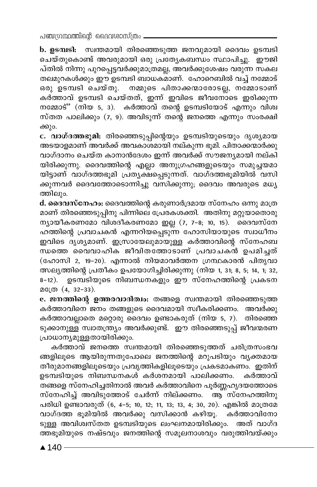പഞ്ചന്ഥ്രന്തിന്റെ ദൈവശാസ്ത്രം

b. ഉടമ്പടി: സ്വന്തമായി തിരഞ്ഞെടുത്ത ജനവുമായി ദൈവം ഉടമ്പടി ചെയ്തുകൊണ്ട് അവരുമായി ഒരു പ്രത്യേകബന്ധം സ്ഥാപിച്ചു. ഈജി പ്തിൽ നിന്നു പുറപ്പെട്ടവർക്കുമാത്രമല്ല, അവർക്കുശേഷം വരുന്ന സകല .<br>തലമുറകൾക്കും ഈ ഉടമ്പടി ബാധകമാണ്. ഹോറെബിൽ വച്ച് നമ്മോട് ഒരു ഉടമ്പടി ചെയ്തു. നമ്മുടെ പിതാക്കന്മാരോടല്ല, നമ്മോടാണ് കർത്താവ് ഉടമ്പടി ചെയ്തത്, ഇന്ന് ഇവിടെ ജീവനോടെ ഇരിക്കുന്ന നമ്മോട്" (നിയ 5, 3). കർത്താവ് തന്റെ ഉടമ്പടിയോട് എന്നും വിശ്വ സ്തത പാലിക്കും (7, 9). അവിടുന്ന് തന്റെ ജനത്തെ എന്നും സംരക്ഷി ക്കും.

c. വാഗ്ദത്തഭൂമി: തിരഞ്ഞെടുപ്പിന്റെയും ഉടമ്പടിയുടെയും ദൃശ്യമായ അടയാളമാണ് അവർക്ക് അവകാശമായി നല്കുന്ന ഭൂമി. പിതാക്കന്മാർക്കു വാഗ്ദാനം ചെയ്ത കാനാൻദേശം ഇന്ന് അവർക്ക് സൗജന്യമായി നല്കി യിരിക്കുന്നു. ദൈവത്തിന്റെ എല്ലാ അനുഗ്രഹങ്ങളുടെയും സമുച്ചയമാ യിട്ടാണ് വാഗ്ദത്തഭൂമി പ്രത്യക്ഷപ്പെടുന്നത്. വാഗ്ദത്തഭൂമിയിൽ വസി ക്കുന്നവർ ദൈവത്തോടൊന്നിച്ചു വസിക്കുന്നു; ദൈവം അവരുടെ മധ്യ ത്തിലും.

d. ദൈവസ്നേഹം: ദൈവത്തിന്റെ കരുണാർദ്രമായ സ്നേഹം ഒന്നു മാത്ര മാണ് തിരഞ്ഞെടുപ്പിനു പിന്നിലെ പ്രേരകശക്തി. അതിനു മറ്റുയാതൊരു ന്യായീകരണമോ വിശദീകരണമോ ഇല്ല (7, 7-8; 10, 15). ദൈവസ്നേ ഹത്തിന്റെ പ്രവാചകൻ എന്നറിയപ്പെടുന്ന ഹോസിയായുടെ സ്വാധീനം ഇവിടെ ദൃശ്യമാണ്. ഇസ്രായേലുമായുള്ള കർത്താവിന്റെ സ്നേഹബ ന്ധത്തെ വൈവാഹിക ജീവിതത്തോടാണ് പ്രവാചകൻ ഉപമിച്ചത് (ഹോസി 2, 19–20). എന്നാൽ നിയമാവർത്തന ഗ്രന്ഥകാരൻ പിതൃവാ ത്സല്യത്തിന്റെ പ്രതീകം ഉപയോഗിച്ചിരിക്കുന്നു (നിയ 1, 31; 8, 5; 14, 1; 32, 8–12). ഉടമ്പടിയുടെ നിബന്ധനകളും ഈ സ്നേഹത്തിന്റെ പ്രകടന മത്രേ (4, 32-33).

e. ജനത്തിന്റെ ഉത്തരവാദിത്വം: തങ്ങളെ സ്വന്തമായി തിരഞ്ഞെടുത്ത കർത്താവിനെ ജനം തങ്ങളുടെ ദൈവമായി സ്വീകരിക്കണം. അവർക്കു കർത്താവല്ലാതെ മറ്റൊരു ദൈവം ഉണ്ടാകരുത് (നിയ 5, 7). തിരഞ്ഞെ ടുക്കാനുള്ള സ്വാതന്ത്ര്യം അവർക്കുണ്ട്. ഈ തിരഞ്ഞെടുപ്പ് ജീവന്മരണ പ്രാധാന്യമുള്ളതായിരിക്കും.

കർത്താവ് ജനത്തെ സ്വന്തമായി തിരഞ്ഞെടുത്തത് ചരിത്രസംഭവ ങ്ങളിലൂടെ ആയിരുന്നതുപോലെ ജനത്തിന്റെ മറുപടിയും വ്യക്തമായ തീരുമാനങ്ങളിലൂടെയും പ്രവൃത്തികളിലൂടെയും പ്രകടമാകണം. ഇതിന് ഉടമ്പടിയുടെ നിബന്ധനകൾ കർശനമായി പാലിക്കണം. കർത്താവ് തങ്ങളെ സ്നേഹിച്ചതിനാൽ അവർ കർത്താവിനെ പുർണ്ണഹൃദയത്തോടെ സ്നേഹിച്ച് അവിടുത്തോട് ചേർന്ന് നില്ക്കണം. ര്ത്ത്സ്നേഹത്തിനു പരിധി ഉണ്ടാവരുത് (6, 4-5; 10, 12; 11, 13; 13, 4; 30, 20). എങ്കിൽ മാത്രമേ വാഗ്ദത്ത ഭൂമിയിൽ അവർക്കു വസിക്കാൻ കഴിയൂ. കർത്താവിനോ ടുള്ള അവിശ്വസ്തത ഉടമ്പടിയുടെ ലംഘനമായിരിക്കും. അത് വാഗ്ദ ത്തഭൂമിയുടെ നഷ്ടവും ജനത്തിന്റെ സമൂലനാശവും വരുത്തിവയ്ക്കും

 $\blacktriangle$  140 −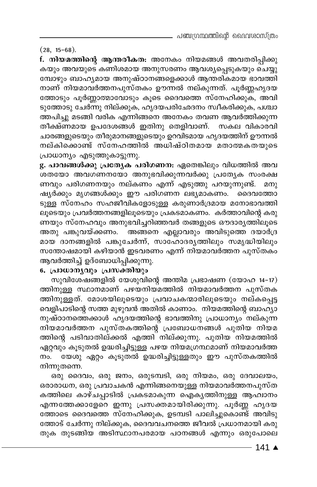#### $(28, 15-68).$

f. നിയമത്തിന്റെ ആന്തരീകത: അനേകം നിയമങ്ങൾ അവതരിപ്പിക്കു കയും അവയുടെ കണിശമായ അനുസരണം ആവശ്യപ്പെടുകയും ചെയ്യു മ്പോഴും ബാഹ്യമായ അനുഷ്ഠാനങ്ങളെക്കാൾ ആന്തരികമായ ഭാവത്തി നാണ് നിയമാവർത്തനപുസ്തകം ഊന്നൽ നല്കുന്നത്. പൂർണ്ണഹൃദയ ത്തോടും പൂർണ്ണാത്മാവോടും കൂടെ ദൈവത്തെ സ്നേഹിക്കുക്, അവി ടുത്തോടു ചേർന്നു നില്ക്കുക, ഹൃദയപരിഛേദനം സ്വീകരിക്കുക, പശ്ചാ ത്തപിച്ചു മടങ്ങി വരിക എന്നിങ്ങനെ അനേകം തവണ ആവർത്തിക്കുന്ന തീക്ഷ്ണമായ ഉപദേശങ്ങൾ ഇതിനു തെളിവാണ്. സകല വികാരവി ചാരങ്ങളുടെയും തീരുമാനങ്ങളുടെയും ഉറവിടമായ ഹൃദയത്തിന് ഊന്നൽ നല്കിക്കൊണ്ട് സ്നേഹത്തിൽ അധിഷ്ഠിതമായ മതാത്മകതയുടെ പ്രാധാന്യം എടുത്തുകാട്ടുന്നു.

g. പാവങ്ങൾക്കു പ്രത്യേക പരിഗണന: ഏതെങ്കിലും വിധത്തിൽ അവ .<br>ശതയോ അവഗണനയോ അനുഭവിക്കുന്നവർക്കു പ്രത്യേക സംരക്ഷ ണവും പരിഗണനയും നല്കണം എന്ന് എടുത്തു പറയുന്നുണ്ട്. മനു ഷ്യർക്കും മൃഗങ്ങൾക്കും ഈ പരിഗണന ലഭ്യമാകണം. ദൈവത്തോ ടുള്ള സ്നേഹം സഹജീവികളോടുള്ള കരുണാർദ്രമായ മനോഭാവത്തി ്.\_\_<br>ലൂടെയും പ്രവർത്തനങ്ങളിലൂടെയും പ്രകടമാകണം. കർത്താവിന്റെ കരു ണയും സ്നേഹവും അനുഭവിച്ചറിഞ്ഞവർ തങ്ങളുടെ ഔദാരൃത്തിലൂടെ അതു പങ്കുവയ്ക്കണം. അങ്ങനെ എല്ലാവരും അവിടുത്തെ ദയാർദ്ര മായ ദാനങ്ങളിൽ പങ്കുചേർന്ന്, സാഹോദര്യത്തിലും സമൃദ്ധിയിലും സന്തോഷമായി കഴിയാൻ ഇടവരണം എന്ന് നിയമാവർത്തന പുസ്തകം ആവർത്തിച്ച് ഉദ്ബോധിപ്പിക്കുന്നു.

#### 6. പ്രാധാനൃവും പ്രസക്തിയും

സുവിശേഷങ്ങളിൽ യേശുവിന്റെ അന്തിമ പ്രഭാഷണ (യോഹ 14-17) ത്തിനുള്ള സ്ഥാനമാണ് പഴയനിയമത്തിൽ നിയമാവർത്തന പുസ്തക ത്തിനുള്ളത്. മോശയിലൂടെയും പ്രവാചകന്മാരിലൂടെയും നല്കപ്പെട്ട വെളിപാടിന്റെ സത്ത മുഴുവൻ അതിൽ കാണാം. നിയമത്തിന്റെ ബാഹുാ നുഷ്ഠാനത്തെക്കാൾ ഹൃദയത്തിന്റെ ഭാവത്തിനു പ്രാധാന്യം നല്കുന്ന നിയമാവർത്തന പുസ്തകത്തിന്റെ പ്രബോധനങ്ങൾ പുതിയ നിയമ ത്തിന്റെ പടിവാതില്ക്കൽ എത്തി നില്ക്കുന്നു. പുതിയ നിയമത്തിൽ ഏറ്റവും കൂടുതൽ ഉദ്ധരിച്ചിട്ടുള്ള പഴയ നിയമഗ്രന്ഥമാണ് നിയമാവർത്ത നം. യേശു ഏറ്റം കൂടുതൽ ഉദ്ധരിച്ചിട്ടുള്ളതും ഈ പുസ്തകത്തിൽ നിന്നുതന്നെ.

ഒരു ദൈവം, ഒരു ജനം, ഒരുടമ്പടി, ഒരു നിയമം, ഒരു ദേവാലയം, ഒരാരാധന, ഒരു പ്രവാചകൻ എന്നിങ്ങനെയുള്ള നിയമാവർത്തനപുസ്ത കത്തിലെ കാഴ്ചപ്പാടിൽ പ്രകടമാകുന്ന ഐക്യത്തിനുള്ള ആഹ്വാനം എന്നത്തേക്കാളേറെ ഇന്നു പ്രസക്തമായിരിക്കുന്നു. പൂർണ്ണ ഹൃദയ ം.<br>ത്തോടെ ദൈവത്തെ സ്നേഹിക്കുക, ഉടമ്പടി പാലിച്ചുകൊണ്ട് അവിടു .<br>തോേട് ചേർന്നു നില്ക്കുക, ദൈവവചനത്തെ ജീവൽ പ്രധാനമായി കരു തുക തുടങ്ങിയ അടിസ്ഥാനപരമായ പഠനങ്ങൾ എന്നും ഒരുപോലെ

 $-141$   $\triangle$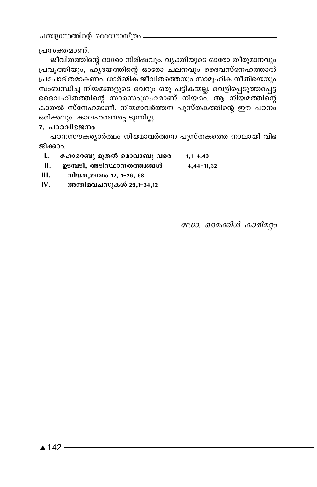പഞ്ചന്ധന്ഥത്തിന്റെ ദൈവശാസ്ത്രം —

പ്രസക്തമാണ്.

ജീവിതത്തിന്റെ ഓരോ നിമിഷവും, വ്യക്തിയുടെ ഓരോ തീരുമാനവും പ്രവൃത്തിയും, ഹൃദയത്തിന്റെ ഓരോ ചലനവും ദൈവസ്നേഹത്താൽ പ്രചോദിതമാകണം. ധാർമ്മിക ജീവിതത്തെയും സാമൂഹിക നീതിയെയും സംബന്ധിച്ച നിയമങ്ങളുടെ വെറും ഒരു പട്ടികയല്ല, വെളിപ്പെടുത്തപ്പെട്ട ദൈവഹിതത്തിന്റെ സാരസംഗ്രഹമാണ് നിയമം. ആ നിയമത്തിന്റെ കാതൽ സ്നേഹമാണ്. നിയമാവർത്തന പുസ്തകത്തിന്റെ ഈ പഠനം ഒരിക്കലും കാലഹരണപ്പെടുന്നില്ല.

#### 7. പാഠവിഭജനം

പഠനസൗകര്യാർത്ഥം നിയമാവർത്തന പുസ്തകത്തെ നാലായി വിഭ ജിക്കാം.

- L. ഹോറെബു മുതൽ മൊവാബു വരെ  $1,1-4,43$
- II. ഉടമ്പടി, അടിസ്ഥാനതത്ത്വങ്ങൾ 4,44-11,32
- $III.$ നിയമഗ്രന്ഥം 12, 1-26, 68
- IV. അന്തിമവചസുകൾ 29,1-34,12

ഡോ. മൈക്കിൾ കാരിമറ്റം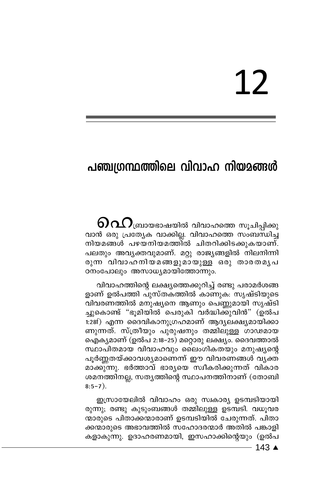# 12

### പഞ്ചഗ്രന്ഥത്തിലെ വിവാഹ നിയമങ്ങൾ

 $\mathbf{0}$ വ $\Omega$ ബ്രായഭാഷയിൽ വിവാഹത്തെ സൂചിപ്പിക്കു വാൻ ഒരു പ്രത്യേക വാക്കില്ല. വിവാഹത്തെ സംബന്ധിച്ച നിയമങ്ങൾ പഴയനിയമത്തിൽ ചിതറിക്കിടക്കുകയാണ്. പലതും അവൃക്തവുമാണ്. മറ്റു രാജ്യങ്ങളിൽ നിലനിന്നി രുന്ന വിവാഹനിയമങ്ങളുമായുള്ള ഒരു താരതമൃപ ഠനംപോലും അസാധ്യമായിത്തോന്നും.

വിവാഹത്തിന്റെ ലക്ഷ്യത്തെക്കുറിച്ച് രണ്ടു പരാമർശങ്ങ ളാണ് ഉൽപത്തി പുസ്തകത്തിൽ കാണുക: സൃഷ്ടിയുടെ വിവരണത്തിൽ മനുഷ്യനെ ആണും പെണ്ണമായി സൃഷ്ടി ച്ചുകൊണ്ട് "ഭൂമിയിൽ പെരുകി വർദ്ധിക്കുവിൻ" (ഉൽപ 1:28f) എന്ന ദൈവികാനുഗ്രഹമാണ് ആദ്യലക്ഷ്യമായിക്കാ ണുന്നത്. സ്ത്രീയും പുരുഷനും തമ്മിലുള്ള ഗാഢമായ ഐക്യമാണ് (ഉൽപ 2:18–25) മറ്റൊരു ലക്ഷ്യം. ദൈവത്താൽ സ്ഥാപിതമായ വിവാഹവും ലൈംഗികതയും മനുഷ്യന്റെ പൂർണ്ണതയ്ക്കാവശ്യമാണെന്ന് ഈ വിവരണങ്ങൾ വൃക്ത<sup>്</sup> മാക്കു്നു. ഭർത്താവ് ഭാര്യയെ സ്വീകരിക്കുന്നത് വികാര ശമനത്തിനല്ല, സതൃത്തിന്റെ സ്ഥാപനത്തിനാണ് (തോബി  $8:5-7$ ).

ഇസ്രായേലിൽ വിവാഹം ഒരു സ്വകാര്യ ഉടമ്പടിയായി രുന്നു; രണ്ടു കുടുംബങ്ങൾ തമ്മിലുള്ള ഉടമ്പടി. വധൂവര ന്മാരുടെ പിതാക്കന്മാരാണ് ഉടമ്പടിയിൽ ചേരുന്നത്. പിതാ ക്കന്മാരുടെ അഭാവത്തിൽ സഹോദരന്മാർ അതിൽ പങ്കാളി കളാകുന്നു. ഉദാഹരണമായി, ഇസഹാക്കിന്റെയും (ഉൽപ

 $-143$   $\triangle$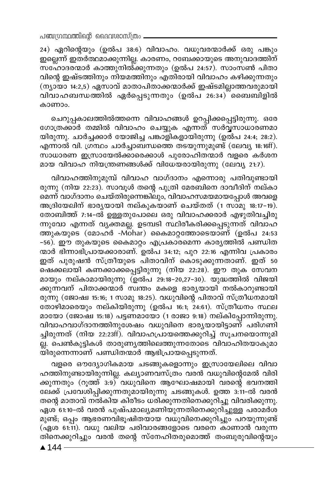24) ഏറിന്റെയും (ഉൽപ 38:6) വിവാഹം. വധൂവരന്മാർക്ക് ഒരു പങ്കും ഇല്ലെന്ന് ഇതർത്ഥമാക്കുന്നില്ല. കാരണം, റബേക്കായുടെ അനുവാദത്തിന്  $\overline{\text{m}}$ ഹോദരന്മാർ കാത്തുനിൽ്കുന്നതും (ഉൽപ 24:57). സാംസൺ പിതാ വിന്റെ ഇഷ്ടത്തിനും നിയമത്തിനും എതിരായി വിവാഹം കഴിക്കുന്നതും (ന്യായാ 14:2,5) ഏസാവ് മാതാപിതാക്കന്മാർക്ക് ഇഷ്ടമില്ലാത്തവരുമായി വിവാഹബന്ധത്തിൽ ഏർപ്പെടുന്നതും (ഉൽപ 26:34) ്ബൈബിളിൽ കാണാം.

ചെറുപ്പകാലത്തിൽത്തന്നെ വിവാഹങ്ങൾ ഉറപ്പിക്കപ്പെട്ടിരുന്നു. ഒരേ ഗോത്രക്കാർ തമ്മിൽ വിവാഹം ചെയ്യുക എന്നത് സർവ്വസാധാരണമാ യിരുന്നു. ചാർച്ചക്കാർ യോജിച്ച പങ്കാളികളായിരുന്നു (ഉൽപ 24:4; 28:2). എന്നാൽ വി. ഗ്രന്ഥം ചാർച്ചാബന്ധത്തെ തടയുന്നുമുണ്ട് (ലേവ്യ 18:16ff). സാധാരണ ഇസ്രായേൽക്കാരെക്കാൾ പുരോഹിതന്മാർ വളരെ കർശന മായ വിവാഹ നിയന്ത്രണങ്ങൾക്ക് വിധേയരായിരുന്നു (ലേവ്യ 21:7).

hnhml-Øn-\p-apºv hnhml hmKvZm\w Fs∂mcp ]Xn-hp-≠m-bn-രുന്നു (നിയ 22:23). സാവൂൾ തന്റെ പുത്രി മേരബിനെ ദാവീദിന് നല്കാ മെന്ന് വാഗ്ദാനം ചെയ്തിരുന്നെങ്കിലും, വിവാഹസമയമായപ്പോൾ അവളെ അദ്രിയേലിന് ഭാരൃയായി നല്കുകയാണ് ചെയ്തത് (1 സാമു 18:17-19). രോബിത്ത് 7:14-ൽ ഉള്ളതുപോലെ ഒരു വിവാഹക്കരാർ എഴുതിവച്ചിരു ന്നുവോ എന്നത് വ്യക്തമല്ല. ഉടമ്പടി സ്ഥിരീകരിക്കപ്പെടുന്നത് വിവാഹ <u>ത്തുകയുടെ (മോഹർ -Mohar) കൈമാറ്റത്തോടെയാണ് (ഉൽപ 24:53</u> −56). ഈ തുകയുടെ കൈമാറ്റം എപ്രകാരമെന്ന കാരൃത്തിൽ പണ്ഡിത ന്മാർ ഭിന്നാഭിപ്രായക്കാരാണ്. ്ഉൽപ 34:12; പുറ 22:16 എന്നിവ പ്രകാരം ഇത് പുരുഷൻ സ്ത്രീയുടെ പിതാവിന് കൊടുക്കുന്നതാണ്. ഇത് 50 ഷെക്കലായി കണക്കാക്കപ്പെട്ടിരുന്നു (നിയ 22:28). ഈ തുക സേവന മായും നല്കാമായിരുന്നു (ഉൽപ 29:18−20,27−30). യുദ്ധത്തിൽ വിജയി ക്കുന്നവന് പിതാക്കന്മാർ സ്വന്തം മകളെ ഭാരൃയായി നൽകാറുണ്ടായി രുന്നു (ജോഷ്വ 15:16; 1 സാമു 18:25). വധുവിന്റെ പിതാവ് സ്ത്രീധനമായി തോഴിമാരെയും നല്കിയിരുന്നു (ഉൽപ 16:1; 24:61). സ്ത്രീധനം സ്ഥല മായോ (ജോഷ്വ 15:18) പട്ടണമായോ (1 രാജാ 9:18) നല്കിപ്പോന്നിരുന്നു. വിവാഹവാഗ്ദാനത്തിനുശേഷം വധുവിനെ ഭാര്യയായിട്ടാണ് പരിഗണി ച്ചിരുന്നത് (നിയ 22:23ff). വിവാഹപ്രായത്തെക്കുറിച്ച് സൂചനയൊന്നുമി \_<br>ല്ല. പെൺകുട്ടികൾ താരുണൃത്തിലെത്തുന്നതോടെ വിവാഹിതയാകുമാ യിരുന്നെന്നാണ് പണ്ഡിതന്മാർ ആഭിപ്രായപ്പെടുന്നത്.

വളരെ ഔദ്യോഗികമായ ചടങ്ങുകളൊന്നും ഇസ്രായേലിലെ വിവാ ഹത്തിനുണ്ടായിരുന്നില്ല. കല്യാണവസ്ത്രം വരൻ വധുവിന്റെമേൽ വിരി ക്കുന്നതും (റൂത്ത് 3:9) വധുവിനെ ആഘോഷമായി വരന്റെ ഭവനത്തി ലേക്ക് പ്രവേശിപ്പിക്കുന്നതുമായിരുന്നു ചടങ്ങുകൾ. ഉത്ത<sup>3:11–</sup>ൽ വരൻ തന്റെ മാതാവ് നൽകിയ കിരീടം ധരിക്കുന്നതിനെക്കുറിച്ചു വിവരിക്കുന്നു. ഏശ<sup>്</sup>61:10-ൽ വരൻ പുഷ്പമാല്യമണിയുന്നതിനെക്കുറിച്ചുള്ള പരാമര്ശ് മുണ്ട്; ഒപ്പം ആഭരണവിഭൂഷിതയായ വധുവിനെക്കുറിച്ചും പറയുന്നുണ്ട് (ഏശ 61:11). വധു വലിയ പരിവാരങ്ങളോടെ വരനെ കാണാൻ വരുന്ന തിനെക്കുറിച്ചും വരൻ തന്റെ സ്നേഹിതരുമൊത്ത് തംബുരുവിന്റെയും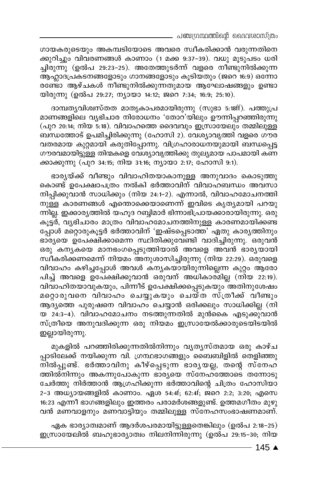- പഞ്ചഗ്രന്ഥത്തിന്റെ ദൈവശാസ്ത്രം

ഗായകരുടെയും അകമ്പടിയോടെ അവരെ സ്ഥീകരിക്കാൻ വരുന്നതിനെ ക്കുറിച്ചും വിവരണങ്ങൾ കാണാം (1 മക്ക 9:37-39). വധു മൂടുപടം ധരി ച്ചിരുന്നു (ഉൽപ 29:23–25). അതേത്തുടർന്ന് വളരെ നീണ്ടുനിൽക്കുന്ന ആഹ്ലാദപ്രകടനങ്ങളോടും ഗാനങ്ങളോടും കൂടിയതും (ജറെ 16:9) ഒന്നോ രണ്ടോ ആഴ്ചകൾ നീണ്ടുനിൽക്കുന്നതുമായ ആഘോഷങ്ങളും ഉണ്ടാ യിരുന്നു (ഉൽപ 29:27; ന്യായാ 14:12; ജറെ 7:34; 16:9; 25:10).

ദാമ്പതൃവിശ്വസ്തത മാതൃകാപരമായിരുന്നു (സുഭാ 5:18ff). പത്തുപ്ര മാണങ്ങളിലെ വൃഭിചാര നിരോധനം 'തോറ'യിലും ഊന്നിപ്പറഞ്ഞിരുന്നു (പുറ 20:14; നിയ 5:18). വിവാഹത്തെ ദൈവവും ഇസ്രായേലും തമ്മിലുള്ള ബന്ധത്തോട് ഉപമിച്ചിരിക്കുന്നു (ഹോസി 2). വേശ്യാവൃത്തി വളരെ ഗൗര വതരമായ കുറ്റമായി കരുതിപ്പോന്നു. വിഗ്രഹാരാധനയുമായി ബന്ധപ്പെട്ട ഗൗരവമായിട്ടുള്ള തിന്മകളെ വേശ്യാവൃത്തിക്കു തുല്യമായ പാപമായി കണ ക്കാക്കുന്നു (പുറ 34:15; നിയ 31:16; ന്യായാ 2:17; ഹോസി 9:1).

ഭാര്യയ്ക്ക് വീണ്ടും വിവാഹിതയാകാനുള്ള അനുവാദം കൊടുത്തു കൊണ്ട് ഉപേക്ഷാപത്രം നൽകി ഭർത്താവിന് വിവാഹബന്ധം അവസാ നിപ്പിക്കുവാൻ സാധിക്കും (നിയ 24:1-2). എന്നാൽ, വിവാഹമോചനത്തി നുള്ള കാരണങ്ങൾ എന്തൊക്കെയാണെന്ന് ഇവിടെ കൃത്യമായി പറയു ന്നില്ല. ഇക്കാര്യത്തിൽ യഹൂദ റബ്ബിമാർ ഭിന്നാഭിപ്രായക്കാരായിരുന്നു. ഒരു കൂട്ടർ, വൃഭിചാരം മാത്രം വിവാഹമോചനത്തിനുള്ള കാരണമായിക്കണ്ട പ്പോൾ മറ്റൊരുകൂട്ടർ ഭർത്താവിന് 'ഇഷ്ടപ്പെടാത്ത' ഏതു കാര്യത്തിനും ഭാര്യയെ ഉപേക്ഷിക്കാമെന്ന സ്ഥിതിക്കുവേണ്ടി വാദിച്ചിരുന്നു. ഒരുവൻ ഒരു കനൃകയെ മാനഭംഗപ്പെടുത്തിയാൽ അവളെ അവൻ ഭാര്യയായി സ്വീകരിക്കണമെന്ന് നിയമം അനുശാസിച്ചിരുന്നു (നിയ 22:29). ഒരുവളെ വിവാഹം കഴിച്ചപ്പോൾ അവൾ കന്യകയായിരുന്നില്ലെന്ന കുറ്റം ആരോ പിച്ച് അവളെ ഉപേക്ഷിക്കുവാൻ ഒരുവന് അധികാര്മില്ല (നിയ 22:19). വിവാഹിതയാവുകയും, പിന്നീട് ഉപേക്ഷിക്കപ്പെടുകയും അതിനുശേഷം മറ്റൊരുവനെ വിവാഹം ചെയ്യുകയും ചെയ്ത സ്ത്രീക്ക് വീണ്ടും ആദ്യത്തെ പുരുഷനെ വിവാഹം ചെയ്യാൻ ഒരിക്കലും സാധിക്കില്ല (നി യ 24:3–4). വിവാഹമോചനം നടത്തുന്നതിൽ മുൻകൈ എടുക്കുവാൻ സ്ത്രീയെ അനുവദിക്കുന്ന ഒരു നിയമം ഇസ്രായേൽക്കാരുടെയിടയിൽ ഇല്ലായിരുന്നു.

മുകളിൽ പറഞ്ഞിരിക്കുന്നതിൽനിന്നും വ്യത്യസ്തമായ ഒരു കാഴ്ച പ്പാടിലേക്ക് നയിക്കുന്ന വി. ഗ്രന്ഥഭാഗങ്ങളും ബൈബിളിൽ തെളിഞ്ഞു .<br>നിൽപ്പുണ്ട്. ഭർത്താവിനു കീഴ്പ്പെടുന്ന ഭാരൃയല്ല, തന്റെ സ്നേഹ ത്തിൽനിന്നും അകന്നുപോകുന്ന ഭാര്യയെ സ്നേഹ്ത്തോടെ തന്നോടു ചേർത്തു നിർത്താൻ ആഗ്രഹിക്കുന്ന ഭർത്താവിന്റെ ചിത്രം ഹോസിയാ 2-3 അധ്യായങ്ങളിൽ കാണാം. ഏശ 54:4f; 62:4f; ജറെ 2:2; 3:20; എസെ 16:23 എന്നീ ഭാഗങ്ങളിലും ഇത്തരം പരാമർശങ്ങളുണ്ട്. ഉത്തമഗീതം മുഴു വൻ മണവാളനും മണവാട്ടിയും തമ്മിലുള്ള സ്നേഹസംഭാഷണമാണ്.

ഏക ഭാര്യാത്വമാണ് ആദർശപരമായിട്ടുള്ളതെങ്കിലും (ഉൽപ 2:18-25) ഇസ്രായേലിൽ ബഹുഭാര്യാത്വം നിലനിന്നിരുന്നു (ഉൽപ 29:15-30; നിയ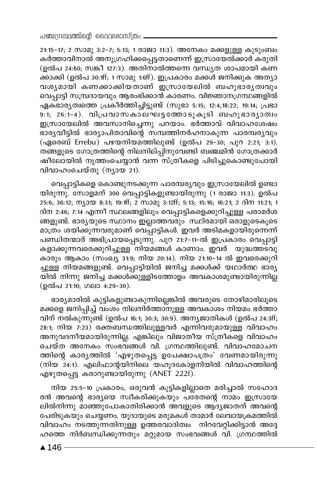21:15-17; 2 സാമു 3:2-7; 5:13; 1 രാജാ 11:3). അനേകം മക്കളുള്ള കുടുംബം കർത്താവിനാൽ അനുഗ്രഹിക്കപ്പെട്ടതാണെന്ന് ഇസ്രായേൽക്കാർ കരുതി (ഉൽപ 24:60; സങ്കീ 127:3). അതിനാൽത്തന്നെ വന്ധ്യത ശാപമായി കണ ക്കാക്കി (ഉൽപ 30:1ff; 1 സാമു 1:6ff). ഇപ്രകാരം മക്കൾ ജനിക്കുക അത്യാ വശൃമായി കണക്കാക്കിയതാണ് ഇസ്രായേലിൽ ബഹുഭാരൃത്വവും വെപ്പാട്ടി സമ്പ്രദായവും ആരംഭിക്കാൻ കാരണം. വിജ്ഞാനഗ്രന്ഥങ്ങളിൽ ഏക്ഭാര്യത്വത്തെ പ്രകീർത്തിച്ചിട്ടുണ്ട് (സുഭാ 5:15; 12:4,18:22; 19:14; പ്രഭാ  $9:1; 26:1$ –4). വിപ്രവാസകാലഘട്ടത്തോടുകൂടി ബഹുഭാര്യാത്വം ഇസ്രായേലിൽ അവസാനിച്ചെന്നു പറയാം. ഭര്ത്താവ് വിവാഹശേഷം  $\epsilon$ ാര്യവീട്ടിൽ ഭാര്യാപിതാവിന്റെ സമ്പത്തിനർഹനാകുന്ന പാരമ്പര്യവും (ഏരെബ് Errebu) പഴയനിയമത്തിലുണ്ട് (ഉൽപ 29-30; പുറ 2:21; 3:1). ് ..<br>തങ്ങളുടെ ഗോത്രത്തിന്റെ നിലനില്പ്പിനുവേണ്ടി ബഞ്ചമിൻ ഗോത്രക്കാർ ഷീലോയിൽ നൃത്തംചെയ്യാൻ വന്ന സ്ത്രീകളെ പിടിച്ചുകൊണ്ടുപോയി വിവാഹംചെയ്തു (ന്യായ 21).

വെപ്പാട്ടികളെ കൊണ്ടുനടക്കുന്ന പാരമ്പര്യവും ഇസ്രായേലിൽ ഉണ്ടാ യിരുന്നു. സോളമന് 300 വെപ്പാട്ടികളുണ്ടായിരുന്നു (1 രാജാ 11:3). ഉൽപ 25:6; 36:12;  $\mathfrak{m}_1$ 00 8:31; 19:1ff; 2  $\mathfrak{m}_2$ 02; 3:12ff; 5:13; 15:16; 16:21; 2  $\mathfrak{a}$ l $\mathfrak{m}$  11:21; 1  $\overline{a}$ ിന 2:46; 7:14 എന്നീ സ്ഥലങ്ങളിലും വെപ്പാട്ടികളെക്കുറിച്ചുള്ള പരാമർശ ങ്ങളുണ്ട്. ഭാരൃയുടെ സ്ഥാനം ഇല്ലാത്തവരും സ്ഥിരമായി ഒരാളുടെകൂടെ മാത്രം ശയിക്കുന്നവരുമാണ് വെപ്പാട്ടികൾ. ഇവർ അടിമകളായിരുന്നെന്ന് പണ്ഡിതന്മാർ അഭിപ്രായപ്പെടുന്നു. പുറ 21:7-11-ൽ ഇപ്രകാരം വെപ്പാട്ടി .കളാക്കുന്നവരെക്കുറിച്ചുള്ള<sup>്</sup>നിയമങ്ങൾ കാണാം. ഇവർ യുദ്ധത്തടവു കാരും ആകാം (സംഖ്യ 31:9; നിയ 20:14). നിയ 21:10-14 ൽ ഇവരെക്കുറി ച്ചുള്ള നിയമങ്ങളുണ്ട്. വെപ്പാട്ടിയിൽ ജനിച്ച മക്കൾക്ക് യഥാർത്ഥ ഭാര്യ ....<br>യിൽ നിന്നു ജനിച്ച മക്കൾക്കുള്ളിടത്തോളം അവകാശമുണ്ടായിരുന്നില്ല (ഉൽപ 21:10; ഗലാ 4:29-30).

ഭാര്യമാരിൽ കുട്ടികളുണ്ടാകുന്നില്ലെങ്കിൽ അവരുടെ തോഴിമാരിലൂടെ മക്കളെ ജനിപ്പിച്ച് വംശം നിലനിർത്താനുള്ള അവകാശം നിയമം ഭർത്താ വിന് നൽകുന്നുണ്ട് (ഉൽപ 16:1; 30:3; 30:9). അനൃജാതികൾ (ഉൽപ 24:3ff; 28:1; നിയ 7:23) രക്തബന്ധത്തിലുള്ളവർ എന്നിവരുമായുള്ള വിവാഹം അനുവദനീയമായിരുന്നില്ല. എങ്കിലും വിജാതീയ സ്ത്രീകളെ വിവാഹം ചെയ്ത അനേകം സംഭവങ്ങൾ വി. ഗ്രന്ഥത്തിലുണ്ട്. വിവാഹമോചന ത്തിന്റെ കാരൃത്തിൽ 'എഴുതപ്പെട്ട ഉപേക്ഷാപത്രം' വേണമായിരുന്നു  $(\mathfrak{m} \in \mathbb{Z}^{24:1})$ . എലിഫാന്റയിനിലെ യഹൂദകോളനിയിൽ വിവാഹത്തിന്റെ എഴുതപ്പെട്ട കരാറുണ്ടായിരുന്നു (ANET 222f).

 $\overline{n}$ ിയ 25:5-10 പ്രകാരം, ഒരുവൻ കുട്ടികളില്ലാതെ മരിച്ചാൽ സഹോദ രൻ അവന്റെ ഭാര്യയെ സ്വീകരിക്കുകയും പര്രതന്റെ നാമം ഇസ്രായേ ലിൽനിന്നു മാഞ്ഞുപോകാതിരിക്കാൻ അവളുടെ ആദ്യജാതന് അവന്റെ പേരിടുകയും ചെയ്യണം. യൂദായുടെ മരുമകൾ താമാർ ലേവായക്രമത്തിൽ വിവാഹം നടത്തുന്നതിനുള്ള ഉത്തരവാദിത്വം നിറവേറ്റിക്കിട്ടാൻ അദ്ദേ ഹത്തെ നിർബന്ധിക്കുന്നതും മറ്റുമായ സംഭവങ്ങൾ വി. ഗ്രന്ഥത്തിൽ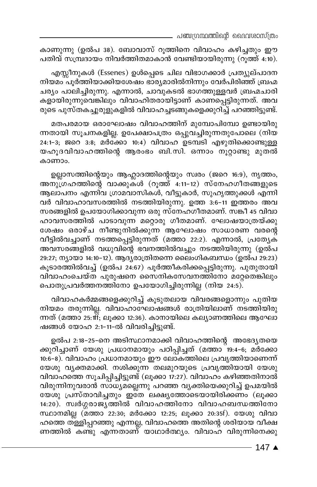പഞ്ചഗ്രന്ഥത്തിന്റെ ദൈവശാസ്ത്രം

കാണുന്നു (ഉൽപ 38). ബോവാസ് റൂത്തിനെ വിവാഹം കഴിച്ചതും ഈ പതിവ് സമ്പ്രദായം നിവർത്തിതമാകാൻ വേണ്ടിയായിരുന്നു (റുത്ത് 4:10).

എസ്സീനുകൾ (Essenes) ഉൾപ്പെടെ ചില വിഭാഗക്കാർ പ്രത്യുല്പാദന നിയമം പൂർത്തിയാക്കിയശേഷം ഭാര്യമാരിൽനിന്നും വേർപിരിഞ്ഞ് ബ്രഹ്മ ചര്യം പാലിച്ചിരുന്നു. എന്നാൽ, ചാവുകടൽ ഭാഗത്തുള്ളവർ ബ്രഹ്മചാരി. കളായിരുന്നുവെങ്കിലും വിവാഹിതരായിട്ടാണ് കാണപ്പെട്ടിരുന്നത്. അവ രുടെ പുസ്തകച്ചുരുളുകളിൽ വിവാഹച്ചടങ്ങുകളെക്കുറിച്ച് പറഞ്ഞിട്ടുണ്ട്.

മതപരമായ ഒരാഘോഷം വിവാഹത്തിന് മുമ്പോപിമ്പോ ഉണ്ടായിരു ന്നതായി സൂചനകളില്ല. ഉപേക്ഷാപത്രം ഒപ്പുവച്ചിരുന്നതുപോലെ (നിയ 24:1-3; ജറെ 3:8; മർക്കോ 10:4) വിവാഹ ഉടമ്പടി എഴുതിക്കൊണ്ടുള്ള യഹൂദവിവാഹത്തിന്റെ ആരംഭം ബി.സി. ഒന്നാം നൂറ്റാണ്ടു മുതൽ കാണാം.

ഉല്ലാസത്തിന്റെയും ആഹ്ലാദത്തിന്റെയും സ്വരം (ജറെ 16:9), നൃത്തം, അനു്ഗ്രഹത്തിന്റെ വാക്കുക്ൾ (റൂത്ത് 4:11-12) സ്നേഹഗീതങ്ങളുടെ ആലാപനം എന്നിവ ഗ്രാമവാസികൾ, വീട്ടുകാർ, സുഹൃത്തുക്കൾ എന്നി വർ വിവാഹാവസരത്തിൽ നടത്തിയിരുന്നു. ഉത്ത 3:6-11 ഇത്തരം അവ സരങ്ങളിൽ ഉപയോഗിക്കാവുന്ന ഒരു സ്നേഹഗീതമാണ്. സങ്കീ 45 വിവാ ഹാവസരത്തിൽ പാടാവുന്ന മറ്റൊരു ഗീതമാണ്. ഘോഷയാത്രയ്ക്കു ശേഷം ഒരാഴ്ച നീണ്ടുനിൽക്കുന്ന ആഘോഷം സാധാരണ വരന്റെ വീട്ടിൽവച്ചാണ് നടത്തപ്പെട്ടിരുന്നത് (മത്താ 22:2). എന്നാൽ, പ്രത്യേക അവസരങ്ങളിൽ വധുവിന്റെ ഭവനത്തിൽവച്ചും നടത്തിയിരുന്നു (ഉൽപ 29:27; ന്യായാ 14:10-12). ആദ്യരാത്രിതന്നെ ലൈംഗികബന്ധം (ഉൽപ 29:23) കൂടാരത്തിൽവച്ച് (ഉൽപ 24:67) പൂർത്തീകരിക്കപ്പെട്ടിരുന്നു. പുതുതായി വിവാഹംചെയ്ത പുരുഷനെ സൈനികസേവനത്തിനോ മറ്റേതെങ്കിലും പൊതുപ്രവർത്തനത്തിനോ ഉപയോഗിച്ചിരുന്നില്ല (നിയ 24:5).

വിവാഹകർമ്മങ്ങളെക്കുറിച്ച് കൂടുതലായ വിവരങ്ങളൊന്നും പുതിയ നിയമം തരുന്നില്ല. വിവാഹാഘോഷങ്ങൾ രാത്രിയിലാണ് നടത്തിയിരു ന്നത് (മത്താ 25: fff; ലൂക്കാ 12:36). കാനായിലെ കല്യാണത്തിലെ ആഘോ ഷങ്ങൾ യോഹ 2:1-11-ൽ വിവരിച്ചിട്ടുണ്ട്.

ഉൽപ 2:18-25-നെ അടിസ്ഥാനമാക്കി വിവാഹത്തിന്റെ അഭേദൃതയെ ക്കുറിച്ചാണ് യേശു പ്രധാനമായും പഠിപ്പിച്ചത് (മത്താാ്ദ്യം4-6; മർക്കോ 10:6-8). വിവാഹം പ്രധാനമായും ഈ ലോകത്തിലെ പ്രവൃത്തിയാണെന്ന് യേശു വ്യക്തമാക്കി. നശിക്കുന്ന തലമുറയുടെ പ്രവൃത്തിയായി യേശു വിവാഹത്തെ സൂചിപ്പിച്ചിട്ടുണ്ട് (ലൂക്കാ 17:27). വിവാഹം കഴിഞ്ഞതിനാൽ വിരുന്നിനുവരാൻ സാധ്യമല്ലെന്നു പറഞ്ഞ വ്യക്തിയെക്കുറിച്ച് ഉപമയിൽ യേശു പ്രസ്താവിച്ചതും ഇതേ ലക്ഷ്യത്തോടെയായിരിക്കണം (ലൂക്കാ 14:20). സ്വർഗ്ഗരാജുത്തിൽ വിവാഹത്തിനോ വിവാഹബന്ധത്തിനോ സ്ഥാനമില്ല (മത്താ 22:30; മർക്കോ 12:25; ലൂക്കാ 20:35f). യേശു വിവാ ഹത്തെ ത്ള്ളിപ്പറഞ്ഞു എന്നല്ല, വിവാഹത്തെ അതിന്റെ ശരിയായ വീക്ഷ ണത്തിൽ കണ്ടു എന്നതാണ് യാഥാർത്ഥ്യം. വിവാഹ വിരുന്നിനെക്കു

- 147 ▲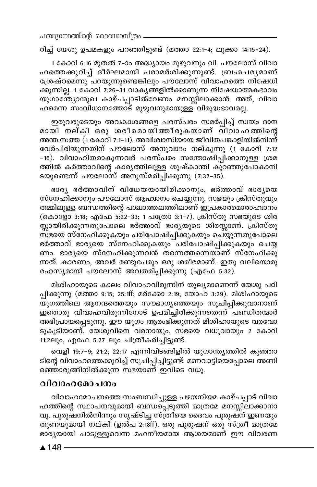പഞ്ചന്ഥ്രന്തിന്റെ ദൈവശാസ്ത്രം

റിച്ച് യേശു ഉപമകളും പറഞ്ഞിട്ടുണ്ട് (മത്താ 22:1-4; ലൂക്കാ 14:15-24).

1 കോറി 6:16 മുതൽ 7-ാം അദ്ധ്യായം മുഴുവനും വി. പൗലോസ് വിവാ ഹത്തെക്കുറിച്ച് ദീർഘമായി പരാമർശിക്കുന്നുണ്ട്. ബ്രഹ്മചര്യമാണ് ശ്രേഷ്ഠമെന്നു പറയുന്നുണ്ടെങ്കിലും പൗലോസ് വിവാഹത്തെ നിഷേധി ക്കുന്നില്ല. 1 കോറി 7:26–31 വാകൃങ്ങളിൽക്കാണുന്ന നിഷേധാത്മകഭാവം യുഗാന്ത്യോന്മുഖ കാഴ്ചപ്പാടിൽവേണം മനസ്സിലാക്കാൻ. അത്, വിവാ ഹമെന്ന സംവിധാനത്തോട് മുഴുവനുമായുള്ള് വിരുദ്ധഭാവമല്ല.

ഇരുവരുടെയും അവകാശങ്ങളെ പരസ്പരം സമർപ്പിച്ച് സ്വയം ദാന മായി നല്കി ഒരു ശരീരമായിതതീരുകയാണ് വിവാഹത്തിന്റെ അന്ത:സത്ത (1 കോറി 7:1-11). അവിശ്വാസിയായ ജീവിതപങ്കാളിയിൽനിന്ന് വേർപിരിയുന്നതിന് പൗലോസ് അനുവാദം നല്കുന്നു (1 കോറി 7:12 -16). വിവാഹിതരാകുന്നവർ പരസ്പരം സന്തോഷിപ്പിക്കാനുള്ള ശ്രമ ത്തിൽ കർത്താവിന്റെ കാര്യത്തിലുള്ള ശുഷ്കാന്തി കുറഞ്ഞുപോകാനി ടയുണ്ടെന്ന് പൗലോസ് അനുസ്മരിപ്പിക്കുന്നു (7:32-35).

ഭാര്യ ഭർത്താവിന് വിധേയയായിരിക്കാനും, ഭർത്താവ് ഭാര്യയെ സ്നേഹിക്കാനും പൗലോസ് ആഹ്വാനം ചെയ്യുന്നു. സഭയും ക്രിസ്തുവും തമ്മിലുള്ള ബന്ധത്തിന്റെ പശ്ചാത്തലത്തിലാണ് ഇപ്രകാരമൊരാഹ്വാനം (കൊളോ 3:18; എഫേ 5:22-33; 1 പത്രോ 3:1-7). ക്രിസ്തു സഭയുടെ ശിര സ്സായിരിക്കുന്നതുപോലെ ഭർത്താവ് ഭാര്യയുടെ ശിരസ്സാണ്. ക്രിസ്തു സ്ഭയെ സ്നേഹിക്കുകയും പരിപോഷിപ്പിക്കുകയും ചെയ്യുന്നതുപോലെ ഭർത്താവ് ഭാര്യയെ സ്നേഹിക്കുകയും പരിപോഷിപ്പിക്കുകയും ചെയ്യ ണം. ഭാര്യയെ സ്നേഹിക്കുന്നവൻ തന്നെത്തന്നെയാണ് സ്നേഹിക്കു ന്നത്. കാരണം, അവർ രണ്ടുപേരും ഒരു ശരീരമാണ്. ഇതു വലിയൊരു രഹസ്യമായി പൗലോസ് അവതരിപ്പിക്കുന്നു (എഫേ 5:32).

മിശിഹായുടെ കാലം വിവാഹവിരുന്നിന് തുല്യമാണെന്ന് യേശു പഠി പ്പിക്കുന്നു (മത്താ 9:15; 25:1ff; മർക്കോ 2:19; യോഹ 3:29). മിശിഹായുടെ യുഗത്തിലെ ആനന്ദത്തെയും സൗഭാഗൃത്തെയും സൂചിപ്പിക്കുവാനാണ് ഇതൊരു വിവാഹവിരുന്നിനോട് ഉപമിച്ചിരിക്കുന്നതെന്ന് പണ്ഡിതന്മാർ അഭിപ്രായപ്പെടുന്നു. ഈ യുഗം ആരംഭിക്കുന്നത് മിശിഹായുടെ വരവോ ടുകൂടിയാണ്. യേശുവിനെ വരനായും, സഭയെ വധുവായും 2 കോറി 11:2ലും, എഫേ 5:27 ലും ചിത്രീകരിച്ചിട്ടുണ്ട്.

വെളി 19:7-9; 21:2; 22:17 എന്നിവിടങ്ങിളിൽ യുഗാന്ത്യത്തിൽ കുഞ്ഞാ ടിന്റെ വിവാഹത്തെക്കുറിച്ച് സൂചിപ്പിച്ചിട്ടുണ്ട്. മണവാട്ടിയെപ്പോലെ അണി ഞ്ഞൊരുങ്ങിനിൽക്കുന്ന സഭയാണ് ഇവിടെ വധു.

#### വിവാഹമോചനം

വിവാഹമോചനത്തെ സംബന്ധിച്ചുള്ള പഴയനിയമ കാഴ്ചപ്പാട് വിവാ ഹത്തിന്റെ സ്ഥാപനവുമായി ബന്ധപ്പെടുത്തി മാത്രമേ മനസ്സിലാക്കാനാ വൂ. പുരുഷനിൽനിന്നും സൃഷ്ടിച്ച സ്ത്രീയെ ദൈവം പുരുഷ്ന് ഇണയും തുണയുമായി നല്കി (ഉൽപ 2:18ff). ഒരു പുരുഷന് ഒരു സ്ത്രീ മാത്രമേ ഭാര്യയായി പാടുള്ളുവെന്ന മഹനീയമായ ആശയമാണ് ഈ വിവരണ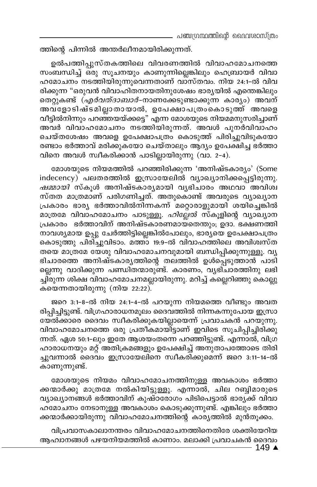ത്തിന്റെ പിന്നിൽ അന്തർലീനമായിരിക്കുന്നത്.

ഉൽപത്തിപ്പുസ്തകത്തിലെ വിവരണത്തിൽ വിവാഹമോചനത്തെ സംബന്ധിച്ച് ഒരു സൂചനയും കാണുന്നില്ലെങ്കിലും ഹെബ്രായർ വിവാ ഹമോചനം നടത്തിയിരുന്നുവെന്നതാണ് വാസ്തവം. നിയ 24:1-ൽ വിവ രിക്കുന്ന "ഒരുവൻ വിവാഹിതനായതിനുശേഷം ഭാര്യയിൽ എന്തെങ്കിലും തെറ്റുകണ്ട് *(എർവത്ദാബാർ*-നാണക്കേടുണ്ടാക്കുന്ന കാര്യം) അവന് അവളോടിഷ്ടമില്ലാതായാൽ, ഉപേക്ഷാപത്രംകൊടുത്ത് അവളെ വീട്ടിൽനിന്നും പറഞ്ഞയയ്ക്കട്ടെ" എന്ന മോശയുടെ നിയമമനുസരിച്ചാണ് അവർ വിവാഹമോചനം നടത്തിയിരുന്നത്. അവൾ പുനർവിവാഹം ചെയ്തശേഷം അവളെ ഉപേക്ഷാപത്രം കൊടുത്ത് പിരിച്ചുവിടുകയോ രണ്ടാം ഭർത്താവ് മരിക്കുകയോ ചെയ്താലും ആദ്യം ഉപേക്ഷിച്ച ഭർത്താ വിനെ അവൾ സ്വീകരിക്കാൻ പാടില്ലായിരുന്നു (വാ. 2-4).

മോശയുടെ നിയമത്തിൽ പറഞ്ഞിരിക്കുന്ന 'അനിഷ്ടകാര്യം' (Some indecency) പലതരത്തിൽ ഇസ്രായേലിൽ വ്യാഖ്യാനിക്കപ്പെട്ടിരുന്നു. *ഷമ്മായി* സ്കൂൾ അനിഷ്ടകാര്യമായി വൃഭിചാരം അഥവാ അവിശ്വ സ്തത മാത്രമാണ് പരിഗണിച്ചത്. അതുകൊണ്ട് അവരുടെ വ്യാഖ്യാന പ്രകാരം ഭാര്യ ഭർത്താവിൽനിന്നകന്ന് മറ്റൊരാളുമായി ശയിച്ചെങ്കിൽ മാത്രമേ വിവാഹമോചനം പാടുള്ളൂ. *ഹില്ലേൽ* സ്കൂളിന്റെ വ്യാഖ്യാന പ്രകാരം ഭർത്താവിന് അനിഷ്ടകാരണമായ്തെന്തും, ഉദാ. ഭക്ഷണത്തി നാവശ്യമായ ഉപ്പു ചേർത്തിട്ടില്ലെങ്കിൽപോലും, ഭാര്യയെ ഉപേക്ഷാപത്രം കൊടുത്തു പിരിച്ചുവിടാം. മത്താ 19:9-ൽ വിവാഹത്തിലെ അവിശ്വസ്ത തയെ മാത്രമേ യേശു വിവാഹമോചനവുമായി ബന്ധിപ്പിക്കുന്നുള്ളൂ. വ്യ ഭിചാരത്തെ അനിഷ്ടകാരൃത്തിന്റെ തലത്തിൽ ഉൾപ്പെടുത്താൻ പാടി ല്ലെന്നു വാദിക്കുന്ന പണ്ഡിതന്മാരുണ്ട്. കാരണം, വൃഭിചാരത്തിനു ലഭി ച്ചിരുന്ന ശിക്ഷ വിവാഹമോചനമല്ലായിരുന്നു. മറിച്ച് കല്ലെറിഞ്ഞു കൊല്ലു കയെന്നതായിരുന്നു (നിയ 22:22).

ജറെ 3:1-8-ൽ നിയ 24:1-4-ൽ പറയുന്ന നിയമത്തെ വീണ്ടും അവത രിപ്പിച്ചിട്ടുണ്ട്. വിഗ്രഹാരാധനമൂലം ദൈവത്തിൽ നിന്നകന്നുപോയ ഇസ്രാ യേൽക്കാരെ ദൈവം സ്വീകരിക്കുകയില്ലായെന്ന് പ്രവാചകൻ പറയുന്നു. വിവാഹമോചനത്തെ ഒരു പ്രതീകമായിട്ടാണ് ഇവിടെ സൂചിപ്പിച്ചിരിക്കു ന്നത്. ഏശ 50:1-ലും ഇതേ ആശയംതന്നെ പറഞ്ഞിട്ടുണ്ട്. എന്നാൽ, വിഗ്ര ഹാരാധനയും മറ്റ് അതിക്രമങ്ങളും ഉപേക്ഷിച്ച് അനുതാപത്തോടെ തിരി ച്ചുവന്നാൽ ദൈവം ഇസ്രായേലിനെ സ്വീകരിക്കുമെന്ന് ജറെ 3:11–14–ൽ കാണുന്നുണ്ട്.

മോശയുടെ നിയമം വിവാഹമോചനത്തിനുള്ള അവകാശം ഭർത്താ ക്കന്മാർക്കു മാത്രമേ നൽകിയിട്ടുള്ളൂ. എന്നാൽ, ചില റബ്ബിമാരുടെ വ്യാഖ്യാനങ്ങൾ ഭർത്താവിന് കുഷ്ഠരോഗം പിടിപെട്ടാൽ ഭാര്യക്ക് വിവാ ഹമോചനം നേടാനുള്ള അവകാശം കൊടുക്കുന്നുണ്ട്. എങ്കിലും ഭർത്താ ക്കന്മാർക്കായിരുന്നു വിവാഹമോചനത്തിന്റെ കാര്യത്തിൽ മുൻതൂക്കം.

വിപ്രവാസകാലാനന്തരം വിവാഹമോചനത്തിനെതിരേ ശക്തിയേറിയ ആഹ്വാനങ്ങൾ പഴയനിയമത്തിൽ കാണാം. മലാക്കി പ്രവാചകൻ ദൈവം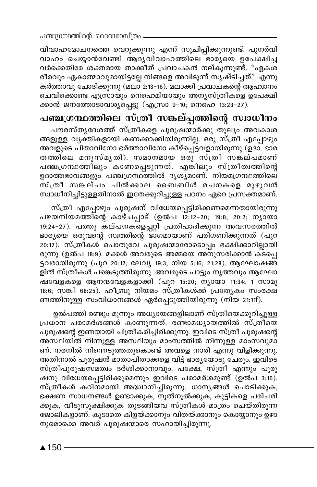വിവാഹമോചനത്തെ വെറുക്കുന്നു എന്ന് സൂചിപ്പിക്കുന്നുണ്ട്. പുനർവി വാഹം ചെയ്യാൻവേണ്ടി ആദൃവിവാഹത്തിലെ ഭാര്യയെ ഉപേക്ഷിച്ച വർക്കെതിരേ ശക്തമായ താക്കിത് പ്രവാചകൻ നല്കുന്നുണ്ട്. "ഏകശ രീരവും ഏകാത്മാവുമായിട്ടല്ലേ നിങ്ങളെ അവിടുന്ന് സൃഷ്ടിച്ചത്" എന്നു കർത്താവു ചോദിക്കുന്നു (മലാ 2:13-16). മലാക്കി പ്രവാചകന്റെ ആഹാനം ചെവിക്കൊണ്ട എസ്രായും നെഹെമിയായും അന്യസ്ത്രീകളെ ഉപേക്ഷി ക്കാൻ ജനത്തോടാവശ്യപ്പെട്ടു (എസ്രാ 9-10; നെഹെ 13:23-27).

## പഞ്ചഗ്രന്ഥത്തിലെ സ്ത്രീ സങ്കല്പ്പത്തിന്റെ സ്വാധീനം

പൗരസ്തൃദേശത്ത് സ്ത്രീകളെ പുരുഷന്മാർക്കു തുല്യം അവകാശ ങ്ങളുള്ള വൃക്തികളായി കണക്കാക്കിയിരുന്നില്ല. ഒരു സ്ത്രീ എപ്പോഴും അവളുടെ പിതാവിനോ ഭർത്താവിനോ കീഴ്പ്പെട്ടവളായിരുന്നു (ഉദാ. ഭാര തത്തിലെ മനുസ്മൃതി). സമാനമായ ഒരു സ്ത്രീ സങ്കല്പമാണ് പഞ്ചഗ്രന്ഥത്തിലും കാണപ്പെടുന്നത്. എങ്കിലും സ്ത്രീത്വത്തിന്റെ ഉദാത്തഭാവങ്ങളും പഞ്ചഗ്രന്ഥത്തിൽ ദൃശ്യമാണ്. നിയമഗ്രന്ഥത്തിലെ സ്ത്രീ സങ്കല്പം പിൽക്കാല ബൈബിൾ രചനകളെ മുഴുവൻ സ്ഥാധീനിച്ചിട്ടുള്ളതിനാൽ ഇതേക്കുറിച്ചുള്ള പഠനം ഏറെ പ്രസക്തമാണ്.

സ്ത്രീ എപ്പോഴും പുരുഷന് വിധേയപ്പെട്ടിരിക്കണമെന്നതായിരുന്നു പഴയനിയമത്തിന്റെ കാഴ്ചപ്പാട് (ഉൽപ 12:12-20; 19:8; 20:2; നൃായാ 19:24-27). പത്തു കല്പനക്ളെപ്പറ്റി പ്രതിപാദിക്കുന്ന അവസരത്തിൽ ഭാര്യയെ ഒരുവന്റെ സ്വത്തിന്റെ ഭാഗമായാണ് പരിഗണിക്കുന്നത് (പുറ 20:17). സ്ത്രീകൾ ്പൊതുവേ ്പുരുഷന്മാരോടൊപ്പം ഭക്ഷിക്കാറില്ലായി രുന്നു (ഉൽപ 18:9). മക്കൾ അവരുടെ അമ്മയെ അനുസരിക്കാൻ ക്ടപ്പെ ട്ടവരായിരുന്നു (പുറ 20:12; ലേവ്യ 19:3; നിയ 5:16; 21:28). ആഘോഷങ്ങ ളിൽ സ്ത്രീകൾ പങ്കെടുത്തിരുന്നു. അവരുടെ പാട്ടും നൃത്തവും ആഘോ ഷവേളകളെ ആനന്ദവേളകളാക്കി (പുറ 15:20; ന്യായാ 11:34; 1 സാമു 18:6; സങ്കീ 68:25). ഹീബ്രു നിയമം സ്ത്രീകൾക്ക് പ്രത്യേകം സംരക്ഷ ണത്തിനുള്ള സംവിധാനങ്ങൾ ഏർപ്പെടുത്തിയിരുന്നു (നിയ 21:11f).

ഉൽപത്തി രണ്ടും മുന്നും അധ്യായങ്ങളിലാണ് സ്ത്രീയെക്കുറിച്ചുള്ള പ്രധാന പരാമർശങ്ങൾ കാണുന്നത്. രണ്ടാമധ്യായത്തിൽ സ്ത്രീയെ പുരുഷന്റെ ഇണയായി ചിത്രീകരിച്ചിരിക്കുന്നു. ഇവിടെ സ്ത്രീ പുരുഷന്റെ അസ്ഥിയിൽ നിന്നുള്ള അസ്ഥിയും മാംസത്തിൽ നിന്നുള്ള മാംസവുമാ ണ്. നരനിൽ നിന്നെടുത്തതുകൊണ്ട് അവളെ നാരി എന്നു വിളിക്കുന്നു. അതിനാൽ പുരുഷൻ മാതാപിതാക്കളെ വിട്ട് ഭാര്യയോടു ചേരും. ഇവിടെ സ്ത്രീപുരുഷസമത്വം ദർശിക്കാനാവും. പക്ഷേ, സ്ത്രീ എന്നും പുരു ഷനു വിധേയപ്പെട്ടിരിക്കുമെന്നും ഇവിടെ പരാമർശമുണ്ട് (ഉൽപ 3:16). സ്ത്രീകൾ കഠിനമായി അദ്ധാനിച്ചിരുന്നു. ധാനൃങ്ങൾ പൊടിക്കുക, ഭക്ഷണ സാധനങ്ങൾ ഉണ്ടാക്കുക, നൂൽനൂൽക്കുക, കുട്ടികളെ പരിചരി ക്കുക, വീടുസൂക്ഷിക്കുക തുടങ്ങിയവ സ്ത്രീകൾ മാത്രം ചെയ്തിരുന്ന ജോലികളാണ്. കൂടാതെ കിളയ്ക്കാനും വിതയ്ക്കാനും കൊയ്യാനും ഉഴാ നുമൊക്കെ അവർ പുരുഷന്മാരെ സഹായിച്ചിരുന്നു.

 $\blacktriangle$  150 -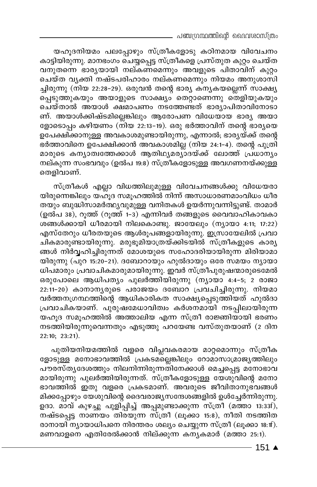പഞ്ചഗ്രന്ഥത്തിന്റെ ദൈവശാസ്ത്രം

യഹൂദനിയമം പലപ്പോഴും സ്ത്രീകളോടു കഠിനമായ വിവേചനം കാട്ടിയിരുന്നു. മാനഭംഗം ചെയ്യപ്പെട്ട സ്ത്രീകളെ പ്രസ്തുത കുറ്റം ചെയ്ത വനുതന്നെ ഭാര്യയായി നല്കണമെന്നും അവളുടെ പിതാവിന് കുറ്റം ചെയ്ത വൃക്തി നഷ്ടപരിഹാരം നല്കണമെന്നും നിയമം അനുശാസി ച്ചിരുന്നു (നിയ 22:28–29). ഒരുവൻ തന്റെ ഭാര്യ കന്യകയല്ലെന്ന് സാക്ഷ്യ പ്പെടുത്തുകയും അയാളുടെ സാക്ഷ്യം തെറ്റാണെന്നു തെളിയുകയും ചെയ്താൽ അയാൾ ക്ഷമാപണം നടത്തേണ്ടത് ഭാര്യാപിതാവിനോടാ ണ്. അയാൾക്കിഷ്ടമില്ലെങ്കിലും ആരോപണ വിധേയായ ഭാര്യ അയാ ളോടൊപ്പം കഴിയണം (നിയ 22:13-19). ഒരു ഭർത്താവിന് തന്റെ ഭാര്യയെ ഉപേക്ഷിക്കാനുള്ള അവകാശമുണ്ടായിരുന്നു, എന്നാൽ, ഭാരൃയ്ക്ക് തന്റെ ഭർത്താവിനെ ഉപേക്ഷിക്കാൻ അവകാശമില്ല (നിയ 24:1-4). തന്റെ പുത്രി മാരുടെ കന്യാത്വത്തേക്കാൾ ആതിഥ്യമര്യാദയ്ക്ക് ലോത്ത് പ്രധാന്യം നല്കുന്ന സംഭവവും (ഉൽപ 19:8) സ്ത്രീകളോടുള്ള അവഗണനയ്ക്കുള്ള തെളിവാണ്.

സ്ത്രീകൾ എല്ലാ വിധത്തിലുമുള്ള വിവേചനങ്ങൾക്കു വിധേയരാ യിരുന്നെങ്കിലും യഹുദ സമൂഹത്തിൽ നിന്ന് അസാധാരണമാംവിധം ധീര തയും ബുദ്ധിസാമർത്ഥ്യവുമുള്ള വനിതകൾ ഉയർന്നുവന്നിട്ടുണ്ട്. താമാർ (ഉൽപ 38), റൂത്ത് (റൂത്ത് 1-3) എന്നിവർ തങ്ങളുടെ വൈവാഹികാവകാ ശങ്ങൾക്കായി ധീരമായി നിലകൊണ്ടു. ജായേലും (നൃായാ 4:11; 17:22) എസ്തേറും ധീരതയുടെ ആൾരൂപങ്ങളായിരുന്നു. ഇസ്രായേലിൽ പ്രവാ ചികമാരുണ്ടായിരുന്നു. മരുഭൂമിയാത്രയ്ക്കിടയിൽ സ്ത്രീകളുടെ കാര്യ ങ്ങൾ നിർവ്വഹിച്ചിരുന്നത് മോശയുടെ സഹോദരിയായിരുന്ന മിരിയാമാ യിരുന്നു (പുറ 15:20–21). ദബോറായും ഹുൽദായും ഒരേ സമയം ന്യായാ ധിപമാരും പ്രവാചികമാരുമായിരുന്നു. ഇവർ സ്ത്രീപുരുഷന്മാരുടെമേൽ ഒരുപോലെ ആധിപത്യം പുലർത്തിയിരുന്നു (ന്യായാ 4:4-5; 2 രാജാ 22:11-20) കാനാനൃരുടെ പരാജയം ദബോറ പ്രവചിച്ചിരുന്നു. നിയമാ വർത്തനഗ്രന്ഥത്തിന്റെ ആധികാരികത സാക്ഷ്യപ്പെടുത്തിയത് ഹുൽദാ പ്രവാചികയാണ്. പുരുഷമേധാവിത്വം കർശനമായി നടപ്പിലായിരുന്ന യഹൂദ സമൂഹത്തിൽ അത്താലിയ എന്ന സ്ത്രീ രാജ്ഞിയായി ഭരണം നടത്തിയിരുന്നുവെന്നതും എടുത്തു പറയേണ്ട വസ്തുതയാണ് (2 ദിന 22:10; 23:21).

പുതിയനിയമത്തിൽ വളരെ വിപ്ലവകരമായ മാറ്റമൊന്നും സ്ത്രീക ളോടുള്ള മനോഭാവത്തിൽ പ്രകടമല്ലെങ്കിലും റോമാസാമ്രാജ്യത്തിലും പൗരസ്തൃദേശത്തും നിലനിന്നിരുന്നതിനേക്കാൾ മെച്ചപ്പെട്ട മനോഭാവ മായിരുന്നു പുലർത്തിയിരുന്നത്. സ്ത്രീകളോടുള്ള യേശുവിന്റെ മനോ ഭാവത്തിൽ ഇതു വളരെ പ്രകടമാണ്. അവരുടെ ജീവിതാനുഭവങ്ങൾ മിക്കപ്പോഴും യേശുവിന്റെ ദൈവരാജ്യസന്ദേശങ്ങളിൽ ഉൾച്ചേർന്നിരുന്നു. ഉദാ. മാവ് കുഴച്ചു പുളിപ്പിച്ച് അപ്പമുണ്ടാക്കുന്ന സ്ത്രീ (മത്താ 13:33f), നഷ്ടപ്പെട്ട നാണയം തിരയുന്ന സ്ത്രീ (ലുക്കാ 15:8), നീതി നടത്തിത രാനായി ന്യായാധിപനെ നിരന്തരം ശല്യം ചെയ്യുന്ന സ്ത്രീ (ലൂക്കാ 18:1f). മണവാളനെ എതിരേൽക്കാൻ നില്ക്കുന്ന കന്യകമാർ (മത്താ 25:1).

 $-151$   $\triangle$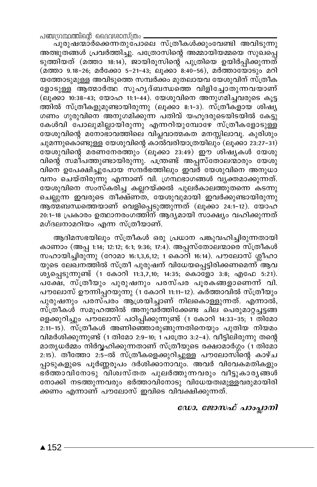പഞ്ചന്ഥ്രന്തിന്റെ ദൈവശാസ്ത്രം

പുരുഷന്മാർക്കെന്നതുപോലെ സ്ത്രീകൾക്കുംവേണ്ടി അവിടുന്നു അത്ഭുതങ്ങൾ പ്രവർത്തിച്ചു. പത്രോസിന്റെ അമ്മായിയമ്മയെ സുഖ്പ്പെ ടുത്തിയത് (മത്താ 18:14), ജായിരുസിന്റെ പുത്രിയെ ഉയിർപ്പിക്കുന്നത് (മത്താ 9.18-26; മർക്കോ 5-21-43; ലൂക്കാ 8:40-56), മർത്തായോടും മറി യത്തോടുമുള്ള അവിടുത്തെ സമ്പർക്കം മുതലായവ യേശുവിന് സ്ത്രീക ളോടുള്ള ആത്മാർത്ഥ സുഹൃദ്ബന്ധത്തെ വിളിച്ചോതുന്നവയാണ് (ലൂക്കാ 10:38-43; യോഹ 11:1-44). യേശുവിനെ അനുഗമിച്ചവരുടെ കൂട്ട ത്തിൽ സ്ത്രീകളുമുണ്ടായിരുന്നു (ലൂക്കാ 8:1-3). സ്ത്രീകളായ ശിഷ്യ ഗണം ഗുരുവിനെ അനുഗമിക്കുന്ന പതിവ് യഹുദരുടെയിടയിൽ കേട്ടു കേൾവി പോലുമില്ലായിരുന്നു എന്നറിയുമ്പോഴേ സ്ത്രീകളോടുള്ള യേശുവിന്റെ മനോഭാവത്തിലെ വിപ്ലവാത്മകത മനസ്സിലാവൂ. കുരിശും ചുമന്നുകൊണ്ടുള്ള യേശുവിന്റെ കാൽവരിയാത്രയിലും (ലൂക്കാ 23:27–31) യേശുവിന്റെ മരണനേരത്തും (ലൂക്കാ 23:49) ഈ ശിഷ്യകൾ യേശു വിന്റെ സമീപത്തുണ്ടായിരുന്നു. പന്ത്രണ്ട് അപ്പസ്തോലന്മാരും യേശു വിനെ ഉപേക്ഷിച്ചുപോയ സന്ദർഭത്തിലും ഇവർ യേശുവിനെ അനുധാ വനം ചെയ്തിരുന്നു എന്നാണ് വി. ഗ്രന്ഥഭാഗങ്ങൾ വൃക്തമാക്കുന്നത്. യേശുവിനെ സംസ്കരിച്ച കല്ലറയ്ക്കൽ പുലർകാലത്തുതന്നെ കടന്നു ചെല്ലുന്ന ഇവരുടെ തീക്ഷ്ണ്ത, യേശുവുമായി ഇവർക്കുണ്ടായിരുന്നു ആത്മബന്ധത്തെയാണ് വെളിപ്പെടുത്തുന്നത് (ലൂക്കാ 24:1-12). യോഹ 20:1-18 പ്രകാരം ഉത്ഥാനരംഗത്തിന് ആദൃമായി സാക്ഷ്യം വഹിക്കുന്നത് മഗ്ദലനാമറിയം എന്ന സ്ത്രീയാണ്.

ആദിമസഭയിലും സ്ത്രീകൾ ഒരു പ്രധാന പങ്കുവഹിച്ചിരുന്നതായി കാണാം (അപ്പ 1:14; 12:12; 6:1; 9:36; 17:4). അപ്പസ്തോലന്മാരെ സ്ത്രീകൾ സഹായിച്ചിരുന്നു (റോമാ 16:1,3,6,12; 1 കൊറി 16:14). പൗലോസ് ശ്ലീഹാ യുടെ ലേഖനത്തിൽ സ്ത്രീ പുരുഷന് വിധേയപ്പെട്ടിരിക്കണമെന്ന് ആവ ശുപ്പെടുന്നുണ്ട് (1 കോറി 11:3,7,10; 14:35; കൊളോ 3:8; എഫേ 5:21). പക്ഷേ, സ്ത്രീയും പുരുഷനും പരസ്പര പൂരകങ്ങളാണെന്ന് വി. പൗലോസ് ഊന്നിപ്പറയുന്നു (1 കോറി 11:11-12). കർത്താവിൽ സ്ത്രീയും പുരുഷനും പരസ്പരം ആശ്രയിച്ചാണ് നിലകൊള്ളുന്നത്. എന്നാൽ, സ്ത്രീകൾ സമൂഹത്തിൽ അനുവർത്തിക്കേണ്ട ചില പെരുമാറ്റച്ചട്ടങ്ങ ളെക്കുറിച്ചും പൗലോസ് പഠിപ്പിക്കുന്നുണ്ട് (1 കോറി 14:33-35; 1 തിമോ 2:11-15). സ്ത്രീകൾ അണിഞ്ഞാരുങ്ങുന്നതിനെയും പുതിയ നിയമം വിമർശിക്കുന്നുണ്ട് (1 തിമോ 2:9–10; 1 പത്രോ 3:2–4). വീട്ടിലിരുന്നു തന്റെ മാതൃധർമ്മം നിർവ്വഹിക്കുന്നതാണ് സ്ത്രീയുടെ രക്ഷാമാർഗ്ഗം (1 തിമോ 2:15). തീത്തോ 2:5–ൽ സ്ത്രീകളെക്കുറിച്ചുള്ള പൗലോസിന്റെ കാഴ്ച പ്പാടുകളുടെ പൂർണ്ണരൂപം ദർശിക്കാനാവും. അവർ വിവേകമതികളും ഭര്ത്താവിനോടു വിശ്വസ്തത പുലര്ത്തുന്നവരും വീട്ടുകാരൃങ്ങൾ നോക്കി നടത്തുന്നവരും ഭർത്താവിനോടു വിധേയത്വമുള്ളവരുമായിരി ക്കണം എന്നാണ് പൗലോസ് ഇവിടെ വിവക്ഷിക്കുന്നത്.

### ഡോ. ജോസഫ് പാംപ്ലാനി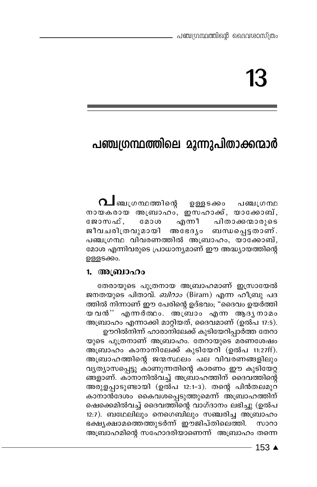# പഞ്ചഗ്രന്ഥത്തിലെ മൂന്നുപിതാക്കന്മാർ

∩⊿ ഞ⊥ഗന്ഥത്തിനുെ ഉള്ളടക്കം പഞ്ചത്രന്ഥ നായകരായ അബ്രാഹം, ഇസഹാക്ക്, യാക്കോബ്, എന്നീ പിതാക്കന്മാരുടെ ജോസഫ്. **G** 20 CO ബന്ധപ്പെട്ടതാണ്. ജീവചരിത്രവുമായി അഭേദൃം പഞ്ചഗ്രന്ഥ വിവരണത്തിൽ അബ്രാഹം, യാക്കോബ്, മോശ എന്നിവരുടെ പ്രാധാന്യമാണ് ഈ അദ്ധ്യായത്തിന്റെ ഉള്ളടക്കം.

## 1. അബ്രാഹം

തേരായുടെ പുത്രനായ അബ്രാഹമാണ് ഇസ്രായേൽ ജനതയുടെ പിതാവ്. *ബിറാം* (Biram) എന്ന ഹീബ്രു പദ ത്തിൽ നിന്നാണ് ഈ പേരിന്റെ ഉദ്ഭവം; "ദൈവം ഉയർത്തി യവൻ'' എന്നർത്ഥം. അബ്ാം എന്ന ആദൃനാമം അബ്രാഹം എന്നാക്കി മാറ്റിയത്, ദൈവമാണ് (ഉൽപ 17:5).

ഊറിൽനിന്ന് ഹാരാനിലേക്ക് കുടിയേറിപ്പാർത്ത തേറാ യുടെ പുത്രനാണ് അബ്രാഹം. തേറായുടെ മരണശേഷം അബ്രാഹം കാനാനിലേക്ക് കുടിയേറി (ഉൽപ 11:27ff). അബ്രാഹത്തിന്റെ ജന്മസ്ഥലം പല വിവരണങ്ങളിലും വൃത്യാസപ്പെട്ടു കാണുന്നതിന്റെ കാരണം ഈ കുടിയേറ്റ ങ്ങളാണ്. കാനാനിൽവച്ച് അബ്രാഹത്തിന് ദൈവത്തിന്റെ അരുളപ്പാടുണ്ടായി (ഉൽപ 12:1-3). തന്റെ പിൻതലമുറ കാനാൻദേശം കൈവശപ്പെടുത്തുമെന്ന് അബ്രാഹത്തിന് ഷെക്കെമിൽവച്ച് ദൈവത്തിന്റെ വാഗ്ദാനം ലഭിച്ചു (ഉൽപ 12:7). ബഥേലിലും നെഗെബിലും സഞ്ചരിച്ച അബ്രാഹം ഭക്ഷ്യക്ഷാമത്തെത്തുടർന്ന് ഈജിപ്തിലെത്തി. സാറാ അബ്രാഹമിന്റെ സഹോദരിയാണെന്ന് അബ്രാഹം തന്നെ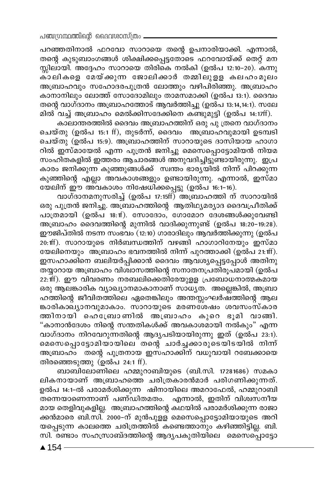പറഞ്ഞതിനാൽ ഫറവോ സാറായെ തന്റെ ഉപനാരിയാക്കി. എന്നാൽ, തന്റെ കുടുബാംഗങ്ങൾ ശിക്ഷിക്കപ്പെട്ടതോടെ ഫറവോയ്ക്ക് തെറ്റ് മന സ്സിലായി. അദ്ദേഹം സാറായെ തിരികെ നൽകി (ഉൽപ 12:10–20). കന്നു .<br>കാലികളെ മേയ്ക്കുന്ന ജോലിക്കാർ തമ്മിലുളള കലഹംമൂലം അബ്രാഹവും സഹോദരപുത്രൻ ലോത്തും വഴിപിരിഞ്ഞു. അബ്രാഹം കാനാനിലും ലോത്ത് സോദോമിലും താമസമാക്കി (ഉൽപ 13:1). ദൈവം തന്റെ വാഗ്ദാനം അബ്രാഹത്തോട് ആവർത്തിച്ചു (ഉൽപ 13:14,14:1). സലേ മിൽ<sup>്</sup>വച്ച് അബ്രാഹം മെൽക്കിസദേക്കിനെ കണ്ടുമുട്ടി (ഉൽപ 14:17ff).

കാലാന്തരത്തിൽ ദൈവം അബ്രാഹത്തിന് ഒരു പു ത്രനെ വാഗ്ദാനം ചെയ്തു (ഉൽപ 15:1 ff), തുടർന്ന്, ദൈവം അബ്രാഹവുമായി ഉടമ്പടി ചെയ്തു (ഉൽപ 15:9). അബ്രാഹത്തിന് സാറായുടെ ദാസിയായ ഹാഗാ റിൽ ഇസ്മായേൽ എന്ന പുത്രൻ ജനിച്ചു മെസെപ്പൊട്ടോമിയൻ നിയമ സംഹിതകളിൽ ഇത്തരം ആചാരങ്ങൾ അനുവദിച്ചിട്ടുണ്ടായിരുന്നു. ഇപ്ര കാരം ജനിക്കുന്ന കുഞ്ഞുങ്ങൾക്ക് സ്വന്തം ഭാരൃയിൽ നിന്ന് പിറക്കുന്ന കുഞ്ഞിന്റെ എല്ലാ അവകാശങ്ങളും ഉണ്ടായിരുന്നു. എന്നാൽ, ഇസ്മാ യേലിന് ഈ അവകാശം നിഷേധിക്കപ്പെട്ടു (ഉൽപ് 16:1–16).

വാഗ്ദാനമനുസരിച്ച് (ഉൽപ 17:15ff) അബ്രാഹത്തി ന് സാറായിൽ ഒരു പുത്രൻ ജനിച്ചു. അബ്രാഹത്തിന്റെ ആതിഥ്യമര്യാദ ദൈവപ്രീതിക്ക് പാത്രമായി (ഉൽപ് 18:1f). സോദോം, ഗോമോറ ദേശങ്ങൾക്കുവേണ്ടി അബ്രാഹം ദൈവത്തിന്റെ മുന്നിൽ വാദിക്കുന്നുണ്ട് (ഉൽപ 18:20-19:28). ഈജിപ്തിൽ നടന്ന സംഭവം (12:10) ഗാരാദിലും ആവർത്തിക്കുന്നു (ഉൽപ 20:1ff). സാറായുടെ നിർബന്ധത്തിന് വഴങ്ങി ഹാഗാറിനേയും ഇസ്മാ യേലിനെയും അബ്രാഹം ഭവനത്തിൽ നിന്ന് പുറത്താക്കി (ഉൽപ 21:1ff). ഇസഹാക്കിനെ ബലിയർപ്പിക്കാൻ ദൈവം ആവശ്യപ്പെട്ടപ്പോൾ അതിനു തയ്യാറായ അബ്രാഹം വിശ്വാസത്തിന്റെ സനാതനപ്രതിരൂപ്മായി (ഉൽപ .<br>22:1ff). ഈ വിവരണം നരബലിക്കെതിരേയുളള പ്രബോധനാത്മകമായ ഒരു ആലങ്കാരിക വ്യാഖ്യാനമാകാനാണ് സാധ്യത. അല്ലെങ്കിൽ, അബ്രാ ഹത്തിന്റെ ജീവിതത്തിലെ ഏതെങ്കിലും അന്തസ്സംഘർഷ്ത്തിന്റെ ആല ങ്കാരികാഖ്യാനവുമാകാം. സാറായുടെ മരണശേഷം ശവസംസ്കാര തതിനായി ഹെ്ഫ്രോണിൽ അ്ബാഹം കുറെ ഭൂമി വാങ്ങി. "കാനാൻദേശം നിന്റെ സന്തതികൾക്ക് അവകാശമായി നൽകും" എന്ന വാഗ്ദാനം നിറവേറുന്നതിന്റെ ആദൃപടിയായിരുന്നു ഇത് (ഉൽപ 23:1). മെസെപ്പൊട്ടോമിയായിലെ തന്റെ ചാർച്ചക്കാരുടെയിടയിൽ നിന്ന് അബ്രാഹം രന്റെ പുത്രനായ ഇസഹാക്കിന് വധുവായി റബേക്കായെ തിരഞ്ഞെടുത്തു (ഉൽപ 24:1 ff).

ബാബിലോണിലെ ഹമ്മുറാബിയുടെ (ബി.സി. 17281686) സമകാ ലികനായാണ് അബ്രാഹത്തെ ചരിത്രകാരൻമാർ പരിഗണിക്കുന്നത്. ഉൽപ 14:1-ൽ പരാമർശിക്കുന്ന ഷിനായിലെ അമറാഫേൽ, ഹമ്മുറാബി തന്നെയാണെന്നാണ് പണ്ഡിതമതം. എന്നാൽ, ഇതിന് വിശ്വസനീയ മായ തെളിവുകളില്ല. അബ്രാഹത്തിന്റെ കഥയിൽ പരാമർശിക്കുന്ന രാജാ ക്കൻമാരെ ബി.സി.് 2000-ന് മുൻപുളള് മെസെപ്പൊട്ടോമിയായുടെ അറി യപ്പെടുന്ന കാലത്തെ ചരിത്രത്തിൽ കണ്ടെത്താനും കഴിഞ്ഞിട്ടില്ല. ബി. സി. രണ്ടാം സഹസ്രാബ്ദത്തിന്റെ ആദൃപകുതിയിലെ മെസെപ്പൊട്ടോ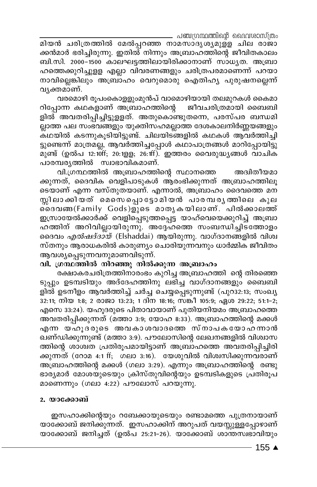ക്കൻമാർ ഭരിച്ചിരുന്നു. ഇതിൽ നിന്നും അബ്രാഹത്തിന്റെ ജീവിതകാലം ബി.സി. 2000–1500 കാലഘട്ടത്തിലായിരിക്കാനാണ് സാധൃത. അബ്രാ ഹത്തെക്കുറിച്ചുളള എല്ലാ വിവരണങ്ങളും ചരിത്രപരമാണെന്ന് പറയാ നാവില്ലെങ്കിലും അബ്രാഹം വെറുമൊരു ഐതിഹ്യ പുരുഷനല്ലെന്ന് വൃക്തമാണ്.

വരമൊഴി രൂപംകൊളളുംമുൻപ് വാമൊഴിയായി തലമുറകൾ കൈമാ റിപ്പോന്ന കഥകളാണ് അബ്രാഹത്തിന്റെ ജീവചരിത്രമായി ബൈബി ളിൽ അവതരിപ്പിച്ചിട്ടുളളത്. അതുകൊണ്ടുതന്നെ, പരസ്പര ബന്ധമി ല്ലാത്ത പല സംഭവങ്ങളും യുക്തിസഹമല്ലാത്ത ദേശകാലനിർണ്ണയങ്ങളും .<br>കഥയിൽ കടന്നുകൂടിയിട്ടുണ്ട്. ചിലയിടങ്ങളിൽ കഥകൾ ആവർത്തിച്ചി ട്ടുണ്ടെന്ന് മാത്രമല്ല, ആവർത്തിച്ചപ്പോൾ കഥാപാത്രങ്ങൾ മാറിപ്പോയിട്ടു മുണ്ട് (ഉൽപ 12:10ff; 20:1ഉള; 26:1ff). ഇത്തരം വൈരുദ്ധ്യങ്ങൾ വാചിക പാരമ്പരൃത്തിൽ സ്വാഭാവികമാണ്.

വി.ഗ്രന്ഥത്തിൽ അബ്രാഹത്തിന്റെ സ്ഥാനത്തെ അദ്വിതീയമാ ക്കുന്നത്, ദൈവിക വെളിപാടുകൾ ആരംഭിക്കുന്നത് അബ്രാഹത്തിലൂ ടെയാണ് എന്ന വസ്തുതയാണ്. എന്നാൽ, അബ്രാഹം ദൈവത്തെ മന സ്സിലാക്കിയത് മെസെ്പറ്റൊട്ടോമിയൻ പാരമ്പരൃത്തിലെ കുല ക്ദെവങ്ങ(Family Gods)ളുടെ മാതൃകയിലാണ്. പിൽക്കാലത്ത് ഇസ്രായേൽക്കാർക്ക് വെളിപ്പെടുത്തപ്പെട്ട യാഹ്വെയെക്കുറിച്ച് അബ്രാ ഹത്തിന് അറിവില്ലായിരുന്നു. അദ്ദേഹത്തെ സംബന്ധിച്ചിടത്തോളം ദൈവം *എൽഷദ്ദായ്* (Elshaddai) ആയിരുന്നു. വാഗ്ദാനങ്ങളിൽ വിശ്വ സ്തനും ആരാധകരിൽ കാരുണ്യം ചൊരിയുന്നവനും ധാർമ്മിക ജീവിതം ആവശ്യപ്പെടുന്നവനുമാണവിടുന്ന്.

## വി. ഗ്രന്ഥത്തിൽ നിറഞ്ഞു നിൽക്കുന്ന അബ്രാഹം

രക്ഷാകരചരിത്രത്തിനാരംഭം കുറിച്ച അബ്രാഹത്തി ന്റെ തിരഞ്ഞെ ടുപ്പും ഉടമ്പടിയും അദ്ദേഹത്തിനു ലഭിച്ച വാഗ്ദാനങ്ങളും ബൈബി ളിൽ ഉടനീളം ആവർത്തിച്ച് ചർച്ച ചെയ്യപ്പെടുന്നുണ്ട് (പുറ32:13; സംഖ്യ  $32:11$ ; നിയ 1:8; 2 രാജാ 13:23; 1 ദിന 18:16; സങ്കീ 105:9; ഏശ 29:22; 51:1-2; എസെ 33:24). യഹൂദരുടെ പിതാവായാണ് പുതിയനിയമം അബ്രാഹത്തെ അവതരിപ്പിക്കുന്നത് (മത്താ 3:9; യോഹ 8:33). അബ്രാഹത്തിന്റെ മക്കൾ എന്ന യഹൂദരുടെ അവകാശവാദത്തെ സ്നാപകയോഹന്ാൻ .<br>ഖണ്ഡിക്കുന്നുണ്ട് (മത്താ 3:9). പൗലോസിന്റെ ലേഖനങ്ങളിൽ വിശ്വാസ ത്തിന്റെ ശാശ്വത പ്രതിരൂപമായിട്ടാണ് അബ്രാഹത്തെ അവതരിപ്പിച്ചിരി ക്കുന്നത് (റോമ 4:1 ff; ഗലാ 3:16). യേശുവിൽ വിശ്വസിക്കുന്നവരാണ് അബ്രാഹത്തിന്റെ മക്കൾ (ഗലാ 3:29). എന്നും അബ്രാഹത്തിന്റെ രണ്ടു ഭാര്യമാർ മോശയുടെയും ക്രിസ്തുവിന്റെയും ഉടമ്പടികളുടെ പ്രതിരൂപ് മാണെന്നും (ഗലാ 4:22) പൗലോസ് പറയുന്നു.

#### 2. യാക്കോബ്

ഇസഹാക്കിന്റെയും റബേക്കായുടെയും രണ്ടാമത്തെ പുത്രനായാണ് യാക്കോബ് ജനിക്കുന്നത്. ഇസഹാക്കിന് അറുപത് വയസ്സുള്ളപ്പോഴാണ് യാക്കോബ് ജനിച്ചത് (ഉൽപ 25:21-26). യാക്കോബ് ശാന്തസ്വഭാവിയും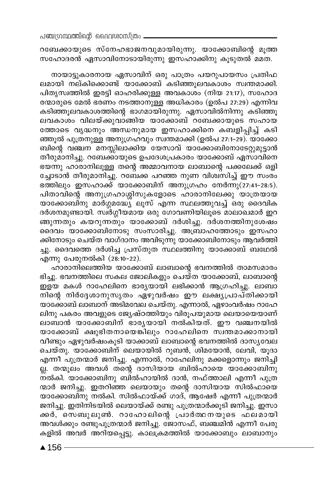റബേക്കായുടെ സ്നേഹഭാജനവുമായിരുന്നു. യാക്കോബിന്റെ മൂത്ത സഹോദരൻ ഏസാവിനോടായിരുന്നു ഇസഹാക്കിനു കൂടുതൽ മമത.

നായാട്ടുകാരനായ ഏസാവിന് ഒരു പാത്രം പയറുപായസം പ്രതിഫ ലമായി നല്കിക്കൊണ്ട് യാക്കോബ് കടിഞ്ഞുലവകാശം സ്വന്തമാക്കി. പിതൃസ്വത്തിൽ ഇരട്ടി ഓഹരിക്കുള്ള അവകാശം (നിയ 21:17), സഹോദ രന്മാരുടെ മേൽ ഭരണം നടത്താനുള്ള അധികാരം (ഉൽപ 27:29) എന്നിവ കടിഞ്ഞൂലവകാശത്തിന്റെ ഭാഗമായിരുന്നു. ഏസാവിൽനിന്നു കടിഞ്ഞൂ ലവകാശം വിലയ്ക്കുവാങ്ങിയ യാക്കോബ് റബേക്കായുടെ സഹായ് ത്തോടെ വൃദ്ധനും അന്ധനുമായ ഇസഹാക്കിനെ കബളിപ്പിച്ച് കടി ഞ്ഞൂൽ പുത്രനുള്ള അനുഗ്രഹവും സ്ഥതമാക്കി (ഉൽപ 27:1–29). യാക്കോ ബിന്റെ വഞ്ചന മനസ്സിലാക്കിയ യേസാവ് യാക്കോബിനോടേറ്റുമുട്ടാൻ തീരുമാനിച്ചു. റബേക്കായുടെ ഉപദേശപ്രകാരം യാക്കോബ് ഏസാവിനെ ഭയന്നു ഹാരാനിലുള്ള തന്റെ അമ്മാവനായ ലാബാന്റെ പക്കലേക്ക് ഒളി ച്ചോടാൻ തീരുമാനിച്ചു. റബേക്ക പറഞ്ഞ നുണ വിശ്വസിച്ച് ഈ സംരം  $\overline{1}$  ഭത്തിലും ഇസഹാക്ക് യാക്കോബിന് അനുഗ്രഹം നേർന്നു(27:41-28:5). പിതാവിന്റെ അനുഗ്രഹാശ്ശിസുകളോടെ ഹാരാനിലേക്കു യാത്രയായ യാക്കോബിനു മാർഗ്ഗമദ്ധ്യേ ലൂസ് എന്ന സ്ഥലത്തുവച്ച് ഒരു ദൈവിക ദർശനമുണ്ടായി. സ്ഥരശ്നീയമായ ഒരു ഗോവണിയിലൂടെ മാലാഖമാർ ഇറ ങ്ങുന്നതും കയറുന്നതും യാക്കോബ് ദർശിച്ചു. ദർശനത്തിനുശേഷം ദൈവം യാക്കോബിനോടു സംസാരിച്ചു. അബ്രാഹത്തോടും ഇസഹാ ക്കിനോടും ചെയ്ത വാഗ്ദാനം അവിടുന്നു യാക്കോബിനോടും ആവർത്തി ച്ചു. ദൈവത്തെ ദർശിച്ച പ്രസ്തുത സ്ഥലത്തിനു യാക്കോബ് ബഥേൽ എന്നു പേരുനൽകി (28:10-22).

ഹാരാനിലെത്തിയ യാക്കോബ് ലാബാന്റെ ഭവനത്തിൽ താമസമാരം ഭിച്ചു. ഭവനത്തിലെ സകല ജോലികളും ചെയ്ത യാക്കോബ്, ലാബാന്റെ ഇളയ മകൾ റാഹേലിനെ ഭാര്യയായി ലഭിക്കാൻ ആഗ്രഹിച്ചു. ലാബാ നിന്റെ നിർദ്ദേശാനുസൃതം ഏഴുവർഷം ഈ ലക്ഷ്യപ്രാപ്തിക്കായി യാക്കോബ് ലാബാന് അടിമവേല ചെയ്തു. എന്നാൽ, ഏഴാംവർഷം റാഹേ ലിനു പകരം അവളുടെ ജ്യേഷ്ഠത്തിയും വിരുപയുമായ ലെയായെയാണ് ലാബാൻ യാക്കോബിന് ഭാരൃയായി നൽകിയത്. ഈ വഞ്ചനയിൽ യാക്കോബ് ക്ഷുഭിതനായെങ്കിലും റാഹേലിനെ സ്വന്തമാക്കാനായി വീണ്ടും ഏഴുവർഷംകൂടി യാക്കാബ് ലാബാന്റെ ഭവനത്തിൽ ദാസ്യവേല ചെയ്തു. യാക്കോബിന് ലെയായിൽ റുബൻ, ശിമയോൻ, ലേവി, യൂദാ എന്നീ പുത്രന്മാർ ജനിച്ചു. എന്നാൽ, റാഹേലിനു മക്കളൊന്നും ജനിച്ചി ല്ല. തന്മൂലം അവൾ തന്റെ ദാസിയായ ബിൽഹായെ യാക്കോബിനു ന്ൽകി. യാക്കോബിനു ബിൽഹായിൽ ദാൻ, നഫ്ത്താലി എന്നീ പുത്ര ന്മാർ ജനിച്ചു. ഇതറിഞ്ഞ ലെയായും തന്റെ ദാസിയായ സിൽഫായെ യാക്കോബിനു നൽകി. സിൽഫായ്ക്ക് ഗാദ്, ആഷേർ എന്നീ പുത്രന്മാർ ജനിച്ചു. ഇതിനിടയിൽ ലെയായ്ക്ക് രണ്ടു പുത്രന്മാർക്കൂടി ജനിച്ചു. ഇസാ ക്കർ, സെബുലുൺ. റാഹോലിന്റെ പ്രാർത്ഥനയുടെ ഫലമായി അവൾക്കും രണ്ടുപുത്രന്മാർ ജനിച്ചു. ദ്ജാസഫ്, ബഞ്ചമിൻ എന്നീ പേരു കളിൽ അവർ അറിയപ്പെട്ടു. കാലക്രമത്തിൽ യാക്കോബും ലാബാനും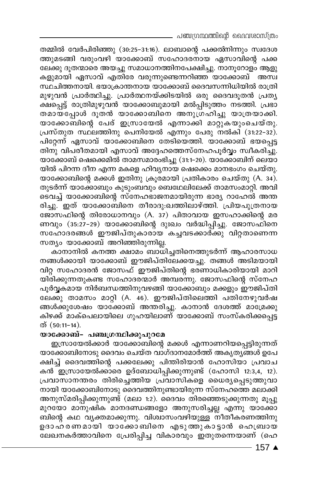– പഞ്ചഗ്രന്ഥത്തിന്റെ ദൈവശാസ്ത്രം

തമ്മിൽ വേർപിരിഞ്ഞു (30:25-31:16). ലാബാന്റെ പക്കൽനിന്നും സ്വദേശ ത്തുമടങ്ങി വരുംവഴി യാക്കോബ് സഹോദരനായ ഏസാവിന്റെ പക്ക ലേക്കു ദൂതന്മാരെ അയച്ചു സമാധാനത്തിനപേക്ഷിച്ചു. നാനൂറോളം ആളു കളുമായി ഏസാവ് എതിരേ വരുന്നുണ്ടെന്നറിഞ്ഞ യാക്കോബ് അസ്വ സ്ഥചിത്തനായി. ഭയാക്രാന്തനായ യാക്കോബ് ദൈവസന്നിധിയിൽ രാത്രി മുഴുവൻ പ്രാർത്ഥിച്ചു. പ്രാർത്ഥനയ്ക്കിടയിൽ ഒരു ദൈവദൂതൻ പ്രത്യ ക്ഷപ്പെട്ട് രാത്രിമുഴുവൻ യാക്കോബുമായി മൽപ്പിടുത്തം നടത്തി. പ്രഭാ തമായ്പ്പോൾ ദൂതൻ യാക്കോബിനെ അനുഗ്രഹിച്ചു യാത്രയാക്കി. യാക്കോബിന്റെ പേര് ഇസ്രായേൽ എന്നാക്കി മാറ്റുകയുംചെയ്തു. പ്രസ്തുത സ്ഥലത്തിനു പെനിയേൽ എന്നും പേരു നൽകി (31:22-32). പിറ്റേന്ന് ഏസാവ് യാക്കോബിനെ തേടിയെത്തി. യാക്കോബ് ഭയപ്പെട്ട തിനു വിപരീതമായി എസാവ് അദ്ദേഹത്തെസ്നേഹപൂർവ്വം സ്വീകരിച്ചു. യാക്കോബ് ഷെക്കെമിൽ താമസമാരംഭിച്ചു (31:1–20). യാക്കോബിന് ലെയാ യിൽ പിറന്ന ദീന എന്ന മകളെ ഹിവ്യനായ ഷെക്കെം മാനഭംഗം ചെയ്തു. യാക്കോബിന്റെ മക്കൾ ഇതിനു ക്രൂരമായി പ്രതികാരം ചെയ്തു (A. 34). തുടർന്ന് യാക്കോബും കുടുംബവും ബെഥേലിലേക്ക് താമസംമാറ്റി. അവി ടെവച്ച് യാക്കോബിന്റെ സ്നേഹഭാജനമായിരുന്ന ഭാര്യ റാഹേൽ അന്ത രിച്ചു.\_ ഇത് യാക്കോബിനെ തീരാദു։ഖത്തിലാഴ്ത്തി. പ്രിയപുത്രനായ ജോസഫിന്റെ തിരോധാനവും (A. 37) പിതാവായ ഇസഹാക്കിന്റെ മര ണവും (35:27-29) യാക്കോബിന്റെ ദുഃഖം വർദ്ധിപ്പിച്ചു. ജോസഫിനെ സഹോദരങ്ങൾ ഈജിപ്തുകാരായ കച്ചവടക്കാര്ക്കു വിറ്റതാണെന്ന സത്യം യാക്കോബ് അറിഞ്ഞിരുന്നില്ല.

കാനാനിൽ കനത്ത ക്ഷാമം ബാധിച്ചതിനെത്തുടർന്ന് ആഹാരസാധ നങ്ങൾക്കായി യാക്കോബ് ഈജിപ്തിലേക്കയച്ചു. തങ്ങൾ അടിമയായി വിറ്റ സഹോദരൻ ജോസഫ് ഈജിപ്തിന്റെ ഭരണാധികാരിയായി മാറി യിരിക്കുന്നതുകണ്ട സഹോദരന്മാർ അമ്പരന്നു. ജോസഫിന്റെ സ്നേഹ പൂർവ്വകമായ നിർബന്ധത്തിനുവഴങ്ങി യാക്കോബും മക്കളും ഈജിപ്തി ലേക്കു താമസം മാറ്റി (A. 46). ഈജിപ്തിലെത്തി പതിനേഴുവർഷ ങ്ങൾക്കുശേഷം യാക്കോബ് അന്തരിച്ചു. കാനാൻ ദേശത്ത് മാശ്രേക്കു കിഴക്ക് മാക്പെലായിലെ ഗുഹയിലാണ് യാക്കോബ് സംസ്കരിക്കപ്പെട്ട ത് (50:11-14).

#### യാക്കോബ്- പഞ്ചഗ്രന്ഥിക്കുപുറമേ

ഇസ്രായേൽക്കാർ യാക്കോബിന്റെ മക്കൾ എന്നാണറിയപ്പെട്ടിരുന്നത് യാക്കോബിനോടു ദൈവം ചെയ്ത വാഗ്ദാനമോർത്ത് അകൃത്യങ്ങൾ ഉപേ ക്ഷിച്ച് ദൈവത്തിന്റെ പക്കലേക്കു പിന്തിരിയാൻ ഹോസിയാ പ്രവാച കൻ ഇസ്രായേൽക്കാരെ ഉദ്ബോധിപ്പിക്കുന്നുണ്ട് (ഹോസി 12:3,4, 12). പ്രവാസാനന്തരം തിരിച്ചെത്തിയ പ്രവാസികളെ ധൈര്യപ്പെടുത്തുവാ നായി യാക്കോബിനോടു ദൈവത്തിനുണ്ടായിരുന്ന സ്നേഹത്തെ മലാക്കി അനുസ്മരിപ്പിക്കുന്നുണ്ട് (മലാ 1:2). ദൈവം തിരഞ്ഞെടുക്കുന്നതു മൂപ്പു മുറയോ മാനുഷിക മാനദണ്ഡങ്ങളോ അനുസരിച്ചല്ല എന്നു യാക്കോ ബിന്റെ കഥ വൃക്തമാക്കുന്നു. വിശ്വാസംവഴിയുള്ള നീതീകരണത്തിനു ഉദാഹരണമായി യാക്കോബിനെ എടുത്തുകാട്ടാൻ ഹെബ്രായ ലേഖനകർത്താവിനെ പ്രേരിപ്പിച്ച വികാരവും ഇതുതന്നെയാണ് (ഹെ

 $-157$   $\triangle$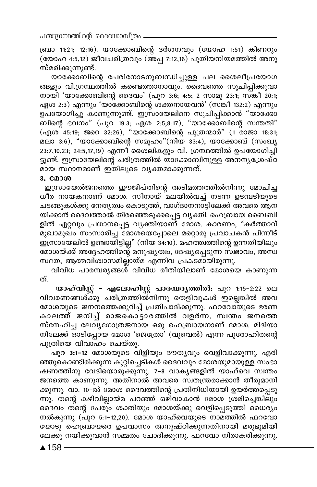ബ്രാ 11:21; 12:16). യാക്കോബിന്റെ ദർശനവും (യോഹ 1:51) കിണറും (യോഹ 4:5,12) ജീവചരിത്രവും (അപ്പ 7:12,16) പുതിയനിയമത്തിൽ അനു സ്മരിക്കുന്നുണ്ട്.

യാക്കോബിന്റെ പേരിനോടനുബന്ധിച്ചുള്ള പല ശൈലീപ്രയോഗ ങ്ങളും വി.ഗ്രന്ഥത്തിൽ കണ്ടെത്താനാവും. ദൈവത്തെ സൂചിപ്പിക്കുവാ നായി 'യാക്കോബിന്റെ ദൈവം' (പുറ 3:6; 4:5; 2 സാമു 23:1; സ്ങ്കീ 20:1; ഏശ 2:3) എന്നും 'യാക്കോബിന്റെ ശക്തനായവൻ' (സങ്കീ 132:2) എന്നും ഉപയോഗിച്ചു കാണുന്നുണ്ട്. ഇസ്രായേലിനെ സൂചിപ്പിക്കാൻ "യാക്കോ ബിന്റെ ഭവനം" (പുറ 19:3; ഏശ 2:5;8:17), "യാക്കോബിന്റെ സന്തതി" (ഏശ<sup>്</sup> 45:19; ജറെ 32:26), "യാക്കോബിന്റെ പുത്രന്മാർ" (1 രാജാ 18:31; മലാ 3:6), "യാക്കോബിന്റെ സമൂഹം"(നിയ 33:4), യാക്കോബ് (സംഖ്യ 23:7,10,23; 24:5,17,19) എന്നീ ശൈലികളും വി. ഗ്രന്ഥത്തിൽ ഉപയോഗിച്ചി ട്ടുണ്ട്. ഇസ്രായേലിന്റെ ചരിത്രത്തിൽ യാക്കോബിനുള്ള അനനൃശ്രേഷ്ഠ മായ സ്ഥാനമാണ് ഇതിലൂടെ വൃക്തമാക്കുന്നത്.

#### 3. മോശ

ഇസ്രായേൽജനത്തെ ഈജിപ്തിന്റെ അടിമത്തത്തിൽനിന്നു മോചിച്ച ധിര നായകനാണ് മോശ. സീനായ് മലയിൽവച്ച് നടന്ന ഉടമ്പടിയുടെ ചടങ്ങുകൾക്കു നേതൃത്വം കൊടുത്ത്, വാഗ്ദാനനാട്ടിലേക്ക് അവരെ ആന യിക്കാൻ ദൈവത്താൽ തിരഞ്ഞെടുക്കപ്പെട്ട വൃക്തി. ഹെബ്രായ ബൈബി ളിൽ ഏറ്റവും പ്രധാനപ്പെട്ട വൃക്തിയാണ് മോശ. കാരണം, "കർത്താവ് മുഖാമുഖം സംസാരിച്ച മോശയെപ്പോലെ മറ്റൊരു പ്രവാചകൻ പിന്നീട് ഇസ്രായേലിൽ ഉണ്ടായിട്ടില്ല" (നിയ 34:10). മഹത്ത്വത്തിന്റെ ഉന്നതിയിലും മോശയ്ക്ക് അദ്ദേഹത്തിന്റെ മനുഷ്യത്വം, ദേഷ്യപ്പെടുന്ന സ്ഥഭാവം, അസ്വ സ്ഥത, ആത്മവിശ്വാസമില്ലായ്മ എന്നിവ പ്രകടമായിരുന്നു.

വിവിധ പാരമ്പര്യങ്ങൾ വിവിധ രീതിയിലാണ് മോശയെ കാണുന്ന ത്.

യാഹ്വിസ്റ്റ് - എലോഹിസ്റ്റ് പാരമ്പരൃത്തിൽ: പുറ 1:15-2:22 ലെ വിവരണങ്ങൾക്കു ചരിത്രത്തിൽനിന്നു തെളിവുകൾ ഇല്ലെങ്കിൽ അവ മോശയുടെ ജനനത്തെക്കുറിച്ച് പ്രതിപാദിക്കുന്നു. ഫറവോ്യുടെ ഭരണ കാലത്ത് ജനിച്ച് രാജകൊട്ടാരത്തിൽ വളർന്ന, സ്വന്തം ജനത്തെ സ്നേഹിച്ച ലേവ്യഗോത്രജനായ ഒരു ഹെബ്രായനാണ് മോശ. മിദിയാ നിലേക്ക് ഓടിപ്പോയ മോശ 'ജെത്രോ് (വുവെൽ) എന്ന പുരോഹിതന്റെ പുത്രിയെ വിവാഹം ചെയ്തു.

പുറ 3:1-12 മോശയുടെ വിളിയും ദൗതൃവും വെളിവാക്കുന്നു. എരി ഞ്ഞുകൊണ്ടിരിക്കുന്ന കുറ്റിച്ചെടികൾ ദൈവവും മോശയുമായുള്ള സംഭാ ഷണത്തിനു വേദിയൊരുക്കുന്നു. 7-8 വാകൃങ്ങളിൽ യാഹ്വെ സ്വന്തം ജനത്തെ കാണുന്നു. അതിനാൽ അവരെ സ്വതന്ത്രരാക്കാൻ തീരുമാനി ക്കുന്നു. വാ. 10-ൽ മോശ ദൈവത്തിന്റെ പ്രതിനിധിയായി ഉയർത്തപ്പെടു ന്നു. തന്റെ കഴിവില്ലായ്മ പറഞ്ഞ് ഒഴിവാകാൻ മോശ ശ്രമിച്ചെങ്കിലും ദൈവം തന്റെ പേരും ശക്തിയും മോശയ്ക്കു വെളിപ്പെടുത്തി ധൈര്യം നൽകുന്നു (പുറ 5:1-12,20). മോശ യാഹ്വെയുടെ നാമത്തിൽ ഫറവോ യോടു ഹെബ്രായരെ ഉപവാസം അനുഷ്ഠിക്കുന്നതിനായി മരുഭൂമിയി ലേക്കു നയിക്കുവാൻ സമ്മതം ചോദിക്കുന്നു. ഫറവോ നിരാകരിക്കുന്നു.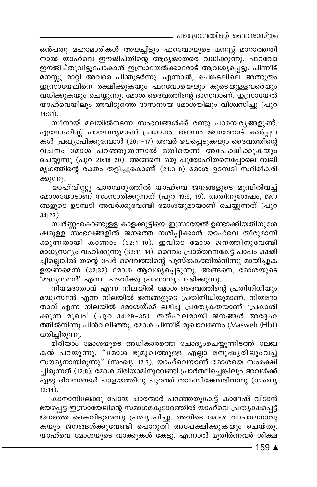\_ പഞ്ചഗ്രന്ഥത്തിന്റെ ദൈവശാസ്ത്രം

ഒൻപതു മഹാമാരികൾ അയച്ചിട്ടും ഫറവോയുടെ മനസ്സ് മാറാത്തതി നാൽ യാഹ്വെ ഈജിപ്തിന്റെ ആദൃജാതരെ വധിക്കുന്നു. ഫറവോ ഈജിപ്തുവിട്ടുപോകാൻ ഇസ്രായേൽക്കാരോട് ആവശ്യപ്പെട്ടു. പിന്നീട് മനസ്സു മാറ്റി അവരെ പിന്തുടർന്നു. എന്നാൽ, ചെങ്കടലിലെ അത്ഭുതം ഇസ്രായേലിനെ രക്ഷിക്കുകയും ഫറവോയെയും കൂടെയുള്ളവരെയും വധിക്കുകയും ചെയ്യുന്നു. മോശ ദൈവത്തിന്റെ ദാസനാണ്. ഇസ്രായേൽ യാഹ്വെയിലും അവിടുത്തെ ദാസനായ മോശയിലും വിശ്വസിച്ചു (പുറ  $14:31).$ 

സീനായ് മലയിൽനടന്ന സംഭവങ്ങൾക്ക് രണ്ടു പാരമ്പര്യങ്ങളുണ്ട്. എലോഹിസ്റ്റ് പാരമ്പര്യമാണ് പ്രധാനം. ദൈവം ജനത്തോട് കൽപ്പന കൾ പ്രഖ്യാപിക്കുമ്പോൾ (20:1–17) അവർ ഭയപ്പെടുകയും ദൈവത്തിന്റെ വചനം മോശ പറഞ്ഞുതന്നാൽ മതിയെന്ന് അപേക്ഷിക്കുകയും ചെയ്യുന്നു (പുറ 20:18-20). അങ്ങനെ ഒരു പുരോഹിതനെപ്പോലെ ബലി മൃഗത്തിന്റെ രക്തം തളിച്ചുകൊണ്ട് (24:3–8) മോശ ഉടമ്പടി സ്ഥിരീകരി ക്കുന്നു.

യാഹ്വിസ്റ്റു പാരമ്പര്യത്തിൽ യാഹ്വെ ജനങ്ങളുടെ മുമ്പിൽവച്ച് മോശയോടാണ് സംസാരിക്കുന്നത് (പുറ 19:9, 19). അതിനുശേഷം, ജന ങ്ങളുടെ ഉടമ്പടി അവർക്കുവേണ്ടി മോശയുമായാണ് ചെയ്യുന്നത് (പുറ  $34:27$ ).

സ്വർണ്ണംകൊണ്ടുള്ള കാളക്കുട്ടിയെ ഇസ്രായേൽ ഉണ്ടാക്കിയതിനുശേ ഷമുള്ള സംഭവങ്ങളിൽ ജനത്തെ നശിപ്പിക്കാൻ യാഹ്വെ തീരുമാനി ക്കുന്നതായി കാണാം (32:1-10). ഇവിടെ മോശ ജനത്തിനുവേണ്ടി മാധ്യസ്ഥ്യം വഹിക്കുന്നു (32:11-14). ദൈവം പ്രാർത്ഥനകേട്ട് പാപം ക്ഷമി ച്ചില്ലെങ്കിൽ തന്റെ പേര് ദൈവത്തിന്റെ പുസ്തകത്തിൽനിന്നു മായിച്ചുക ളയണമെന്ന് (32:32) മോശ ആവശ്യപ്പെടുന്നു. അങ്ങനെ, മോശയുടെ 'മദ്ധ്യസ്ഥൻ' എന്ന പദവിക്കു പ്രാധാന്യം ലഭിക്കുന്നു.

നിയമദാതാവ് എന്ന നിലയിൽ മോശ ദൈവത്തിന്റെ പ്രതിനിധിയും മദ്ധ്യസ്ഥൻ എന്ന നിലയിൽ ജനങ്ങളുടെ പ്രതിനിധിയുമാണ്. നിയമദാ താവ് എന്ന നിലയിൽ മോശയ്ക്ക് ലഭിച്ച പ്രത്യേകതയാണ് 'പ്രകാശി ക്കുന്ന മുഖം' (പുറ 34:29−35). തത്ഫലമായി ജനങ്ങൾ അദ്ദേഹ ത്തിൽനിന്നു പിൻവലിഞ്ഞു. മോശ പിന്നീട് മുഖാവരണം (Masweh (Hb)) ധരിച്ചിരുന്നു.

മിരിയാം മോശയുടെ അധികാരത്തെ ചോദ്യംചെയ്യുന്നിടത്ത് ലേഖ കൻ പറയുന്നു. "മോശ ഭൂമുഖത്തുള്ള എല്ലാ മനുഷ്യരിലുംവച്ച് സൗമൃനായിരുന്നു" (സംഖ്യ 12:3). യാഹ്വെയാണ് മോശയെ സംരക്ഷി ച്ചിരുന്നത് (12:8). മോശ മിരിയാമിനുവേണ്ടി പ്രാർത്ഥിച്ചെങ്കിലും അവൾക്ക് ഏഴു ദിവസങ്ങൾ പാളയത്തിനു പുറത്ത് താമസിക്കേണ്ടിവന്നു (സംഖ്യ  $12:14$ ).

കാനാനിലേക്കു പോയ ചാരന്മാർ പറഞ്ഞതുകേട്ട് കാദേഷ് വിടാൻ ഭയപ്പെട്ട ഇസ്രായേലിന്റെ സമാഗമകൂടാരത്തിൽ യാഹ്വെ പ്രത്യക്ഷപ്പെട്ട് ജനത്തെ കൈവിടുമെന്നു പ്രഖ്യാപിച്ചു. അവിടെ മോശ വാചാലനാവു കയും ജനങ്ങൾക്കുവേണ്ടി പൊറുതി അപേക്ഷിക്കുകയും ചെയ്തു. യാഹ്വെ മോശയുടെ വാക്കുകൾ കേട്ടു. എന്നാൽ മുതിർന്നവർ ശിക്ഷ

 $-159$   $\blacktriangle$